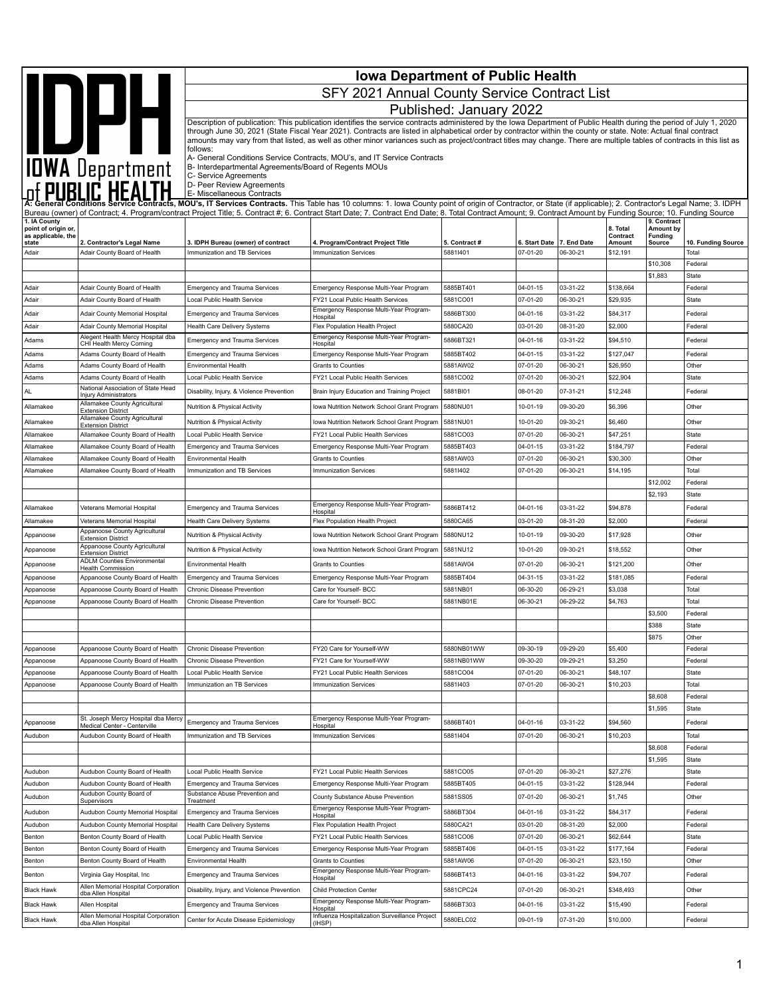|                                           | IOWA Department                                                      | <b>Iowa Department of Public Health</b><br>SFY 2021 Annual County Service Contract List |                                                                                                                                                                                                                                                                                                                                                                                                                                 |                           |                           |                         |                       |                             |                             |  |
|-------------------------------------------|----------------------------------------------------------------------|-----------------------------------------------------------------------------------------|---------------------------------------------------------------------------------------------------------------------------------------------------------------------------------------------------------------------------------------------------------------------------------------------------------------------------------------------------------------------------------------------------------------------------------|---------------------------|---------------------------|-------------------------|-----------------------|-----------------------------|-----------------------------|--|
|                                           |                                                                      |                                                                                         |                                                                                                                                                                                                                                                                                                                                                                                                                                 |                           |                           |                         |                       |                             |                             |  |
|                                           |                                                                      |                                                                                         |                                                                                                                                                                                                                                                                                                                                                                                                                                 | Published: January 2022   |                           |                         |                       |                             |                             |  |
|                                           |                                                                      |                                                                                         | Description of publication: This publication identifies the service contracts administered by the Iowa Department of Public Health during the period of July 1, 2020<br>through June 30, 2021 (State Fiscal Year 2021). Contracts are listed in alphabetical order by contractor within the county or state. Note: Actual final contract                                                                                        |                           |                           |                         |                       |                             |                             |  |
|                                           |                                                                      |                                                                                         | amounts may vary from that listed, as well as other minor variances such as project/contract titles may change. There are multiple tables of contracts in this list as                                                                                                                                                                                                                                                          |                           |                           |                         |                       |                             |                             |  |
|                                           |                                                                      | follows:                                                                                | A- General Conditions Service Contracts, MOU's, and IT Service Contracts                                                                                                                                                                                                                                                                                                                                                        |                           |                           |                         |                       |                             |                             |  |
|                                           |                                                                      | B- Interdepartmental Agreements/Board of Regents MOUs                                   |                                                                                                                                                                                                                                                                                                                                                                                                                                 |                           |                           |                         |                       |                             |                             |  |
|                                           |                                                                      | C- Service Agreements<br>D- Peer Review Agreements                                      |                                                                                                                                                                                                                                                                                                                                                                                                                                 |                           |                           |                         |                       |                             |                             |  |
|                                           |                                                                      | E- Miscellaneous Contracts                                                              |                                                                                                                                                                                                                                                                                                                                                                                                                                 |                           |                           |                         |                       |                             |                             |  |
|                                           |                                                                      |                                                                                         | A: General Conditions Service Contracts, MOU's, IT Services Contracts. This Table has 10 columns: 1. Iowa County point of origin of Contractor, or State (if applicable); 2. Contractor's Legal Name; 3. IDPH<br>Bureau (owner) of Contract; 4. Program/contract Project Title; 5. Contract #; 6. Contract Start Date; 7. Contract End Date; 8. Total Contract Amount; 9. Contract Amount by Funding Source; 10. Funding Source |                           |                           |                         |                       |                             |                             |  |
| 1. IA County                              |                                                                      |                                                                                         |                                                                                                                                                                                                                                                                                                                                                                                                                                 |                           |                           |                         | 8. Total              | 9. Contract                 |                             |  |
| point of origin or,<br>as applicable, the |                                                                      |                                                                                         |                                                                                                                                                                                                                                                                                                                                                                                                                                 |                           |                           |                         | Contract              | Amount by<br><b>Funding</b> |                             |  |
| state<br>Adair                            | 2. Contractor's Legal Name<br>Adair County Board of Health           | 3. IDPH Bureau (owner) of contract<br>Immunization and TB Services                      | 4. Program/Contract Project Title<br>Immunization Services                                                                                                                                                                                                                                                                                                                                                                      | 5. Contract #<br>58811401 | 6. Start Date<br>07-01-20 | 7. End Date<br>06-30-21 | Amount<br>\$12,191    | <b>Source</b>               | 10. Funding Source<br>Total |  |
|                                           |                                                                      |                                                                                         |                                                                                                                                                                                                                                                                                                                                                                                                                                 |                           |                           |                         |                       | \$10,308                    | Federal                     |  |
|                                           |                                                                      |                                                                                         |                                                                                                                                                                                                                                                                                                                                                                                                                                 |                           |                           |                         |                       | \$1,883                     | State                       |  |
| Adair                                     | Adair County Board of Health                                         | <b>Emergency and Trauma Services</b>                                                    | Emergency Response Multi-Year Program                                                                                                                                                                                                                                                                                                                                                                                           | 5885BT401                 | 04-01-15                  | 03-31-22                | \$138,664             |                             | Federal                     |  |
| Adair                                     | Adair County Board of Health                                         | Local Public Health Service                                                             | FY21 Local Public Health Services                                                                                                                                                                                                                                                                                                                                                                                               | 5881CO01                  | 07-01-20                  | 06-30-21                | \$29,935              |                             | State                       |  |
| Adair                                     | Adair County Memorial Hospital                                       | <b>Emergency and Trauma Services</b>                                                    | Emergency Response Multi-Year Program-<br>Hospital                                                                                                                                                                                                                                                                                                                                                                              | 5886BT300                 | 04-01-16                  | 03-31-22                | \$84,317              |                             | Federal                     |  |
| Adair                                     | Adair County Memorial Hospital                                       | Health Care Delivery Systems                                                            | Flex Population Health Project                                                                                                                                                                                                                                                                                                                                                                                                  | 5880CA20                  | 03-01-20                  | 08-31-20                | \$2,000               |                             | Federal                     |  |
| Adams                                     | Alegent Health Mercy Hospital dba<br>CHI Health Mercy Corning        | <b>Emergency and Trauma Services</b>                                                    | Emergency Response Multi-Year Program-<br>Hospital                                                                                                                                                                                                                                                                                                                                                                              | 5886BT321                 | 04-01-16                  | 03-31-22                | \$94,510              |                             | Federal                     |  |
| Adams                                     | Adams County Board of Health                                         | <b>Emergency and Trauma Services</b>                                                    | Emergency Response Multi-Year Program                                                                                                                                                                                                                                                                                                                                                                                           | 5885BT402                 | 04-01-15                  | 03-31-22                | \$127,047             |                             | Federal                     |  |
| Adams                                     | Adams County Board of Health                                         | Environmental Health                                                                    | <b>Grants to Counties</b>                                                                                                                                                                                                                                                                                                                                                                                                       | 5881AW02                  | 07-01-20                  | 06-30-21                | \$26,950              |                             | Other                       |  |
| Adams                                     | Adams County Board of Health<br>National Association of State Head   | Local Public Health Service                                                             | FY21 Local Public Health Services                                                                                                                                                                                                                                                                                                                                                                                               | 5881CO02                  | 07-01-20                  | 06-30-21                | \$22,904              |                             | State                       |  |
| AL                                        | Injury Administrators<br>Allamakee County Agricultural               | Disability, Injury, & Violence Prevention                                               | Brain Injury Education and Training Project                                                                                                                                                                                                                                                                                                                                                                                     | 5881BI01                  | 08-01-20                  | 07-31-21                | \$12,248              |                             | Federal                     |  |
| Allamakee                                 | <b>Extension District</b>                                            | Nutrition & Physical Activity                                                           | Iowa Nutrition Network School Grant Program                                                                                                                                                                                                                                                                                                                                                                                     | 5880NU01                  | 10-01-19                  | 09-30-20                | \$6,396               |                             | Other                       |  |
| Allamakee                                 | Allamakee County Agricultural<br><b>Extension District</b>           | Nutrition & Physical Activity                                                           | Iowa Nutrition Network School Grant Program                                                                                                                                                                                                                                                                                                                                                                                     | 5881NU01                  | 10-01-20                  | 09-30-21                | \$6,460               |                             | Other                       |  |
| Allamakee                                 | Allamakee County Board of Health                                     | Local Public Health Service                                                             | FY21 Local Public Health Services                                                                                                                                                                                                                                                                                                                                                                                               | 5881CO03                  | 07-01-20                  | 06-30-21                | \$47,251              |                             | State                       |  |
| Allamakee                                 | Allamakee County Board of Health                                     | <b>Emergency and Trauma Services</b>                                                    | Emergency Response Multi-Year Program                                                                                                                                                                                                                                                                                                                                                                                           | 5885BT403                 | $04 - 01 - 15$            | 03-31-22                | \$184,797             |                             | Federal                     |  |
| Allamakee                                 | Allamakee County Board of Health                                     | Environmental Health                                                                    | <b>Grants to Counties</b>                                                                                                                                                                                                                                                                                                                                                                                                       | 5881AW03<br>58811402      | 07-01-20<br>07-01-20      | 06-30-21                | \$30,300              |                             | Other<br>Total              |  |
| Allamakee                                 | Allamakee County Board of Health                                     | Immunization and TB Services                                                            | <b>Immunization Services</b>                                                                                                                                                                                                                                                                                                                                                                                                    |                           |                           | 06-30-21                | \$14,195              | \$12,002                    | Federal                     |  |
|                                           |                                                                      |                                                                                         |                                                                                                                                                                                                                                                                                                                                                                                                                                 |                           |                           |                         |                       | \$2,193                     | State                       |  |
| Allamakee                                 | Veterans Memorial Hospital                                           | <b>Emergency and Trauma Services</b>                                                    | Emergency Response Multi-Year Program-                                                                                                                                                                                                                                                                                                                                                                                          | 5886BT412                 | 04-01-16                  | 03-31-22                | \$94,878              |                             | Federal                     |  |
| Allamakee                                 | Veterans Memorial Hospital                                           | Health Care Delivery Systems                                                            | Hospital<br>Flex Population Health Project                                                                                                                                                                                                                                                                                                                                                                                      | 5880CA65                  | 03-01-20                  | 08-31-20                | \$2,000               |                             | Federal                     |  |
| Appanoose                                 | Appanoose County Agricultural                                        | Nutrition & Physical Activity                                                           | Iowa Nutrition Network School Grant Program                                                                                                                                                                                                                                                                                                                                                                                     | 5880NU12                  | 10-01-19                  | 09-30-20                | \$17,928              |                             | Other                       |  |
| Appanoose                                 | <b>Extension District</b><br>Appanoose County Agricultural           | Nutrition & Physical Activity                                                           | Iowa Nutrition Network School Grant Program                                                                                                                                                                                                                                                                                                                                                                                     | 5881NU12                  | 10-01-20                  | 09-30-21                | \$18,552              |                             | Other                       |  |
| Appanoose                                 | <b>Extension District</b><br><b>ADLM Counties Environmental</b>      | <b>Environmental Health</b>                                                             | Grants to Counties                                                                                                                                                                                                                                                                                                                                                                                                              | 5881AW04                  | 07-01-20                  | 06-30-21                | \$121,200             |                             | Other                       |  |
|                                           | Health Commission<br>Appanoose County Board of Health                | <b>Emergency and Trauma Services</b>                                                    | Emergency Response Multi-Year Program                                                                                                                                                                                                                                                                                                                                                                                           | 5885BT404                 | 04-31-15                  | 03-31-22                | \$181,085             |                             | Federal                     |  |
| Appanoose<br>Appanoose                    | Appanoose County Board of Health                                     | Chronic Disease Prevention                                                              | Care for Yourself- BCC                                                                                                                                                                                                                                                                                                                                                                                                          | 5881NB01                  | 06-30-20                  | 06-29-21                | \$3,038               |                             | Total                       |  |
| Appanoose                                 | Appanoose County Board of Health                                     | <b>Chronic Disease Prevention</b>                                                       | Care for Yourself- BCC                                                                                                                                                                                                                                                                                                                                                                                                          | 5881NB01E                 | 06-30-21                  | 06-29-22                | \$4,763               |                             | Total                       |  |
|                                           |                                                                      |                                                                                         |                                                                                                                                                                                                                                                                                                                                                                                                                                 |                           |                           |                         |                       | \$3,500                     | Federal                     |  |
|                                           |                                                                      |                                                                                         |                                                                                                                                                                                                                                                                                                                                                                                                                                 |                           |                           |                         |                       | \$388                       | State                       |  |
|                                           |                                                                      |                                                                                         |                                                                                                                                                                                                                                                                                                                                                                                                                                 |                           |                           |                         |                       | \$875                       | Other                       |  |
| Appanoose                                 | Appanoose County Board of Health                                     | Chronic Disease Prevention                                                              | FY20 Care for Yourself-WW                                                                                                                                                                                                                                                                                                                                                                                                       | 5880NB01WW                | 09-30-19                  | 09-29-20                | \$5,400               |                             | Federal                     |  |
| Appanoose<br>Appanoose                    | Appanoose County Board of Health<br>Appanoose County Board of Health | Chronic Disease Prevention<br>Local Public Health Service                               | FY21 Care for Yourself-WW<br>FY21 Local Public Health Services                                                                                                                                                                                                                                                                                                                                                                  | 5881NB01WW<br>5881CO04    | 09-30-20<br>07-01-20      | 09-29-21<br>06-30-21    | \$3,250<br>\$48,107   |                             | Federal<br>State            |  |
| Appanoose                                 | Appanoose County Board of Health                                     | Immunization an TB Services                                                             | <b>Immunization Services</b>                                                                                                                                                                                                                                                                                                                                                                                                    | 58811403                  | 07-01-20                  | 06-30-21                | \$10,203              |                             | Total                       |  |
|                                           |                                                                      |                                                                                         |                                                                                                                                                                                                                                                                                                                                                                                                                                 |                           |                           |                         |                       | \$8,608                     | Federal                     |  |
|                                           |                                                                      |                                                                                         |                                                                                                                                                                                                                                                                                                                                                                                                                                 |                           |                           |                         |                       | \$1,595                     | State                       |  |
| Appanoose                                 | St. Joseph Mercy Hospital dba Mercy<br>Medical Center - Centerville  | <b>Emergency and Trauma Services</b>                                                    | Emergency Response Multi-Year Program-<br>Hospital                                                                                                                                                                                                                                                                                                                                                                              | 5886BT401                 | 04-01-16                  | 03-31-22                | \$94,560              |                             | Federal                     |  |
| Audubon                                   | Audubon County Board of Health                                       | Immunization and TB Services                                                            | Immunization Services                                                                                                                                                                                                                                                                                                                                                                                                           | 58811404                  | 07-01-20                  | 06-30-21                | \$10,203              |                             | Total                       |  |
|                                           |                                                                      |                                                                                         |                                                                                                                                                                                                                                                                                                                                                                                                                                 |                           |                           |                         |                       | \$8,608                     | Federal                     |  |
|                                           |                                                                      |                                                                                         |                                                                                                                                                                                                                                                                                                                                                                                                                                 |                           |                           |                         |                       | \$1,595                     | State                       |  |
| Audubon                                   | Audubon County Board of Health                                       | Local Public Health Service                                                             | FY21 Local Public Health Services                                                                                                                                                                                                                                                                                                                                                                                               | 5881CO05                  | 07-01-20                  | 06-30-21                | \$27,276              |                             | <b>State</b>                |  |
| Audubon                                   | Audubon County Board of Health<br>Audubon County Board of            | <b>Emergency and Trauma Services</b><br>Substance Abuse Prevention and                  | Emergency Response Multi-Year Program                                                                                                                                                                                                                                                                                                                                                                                           | 5885BT405                 | $04 - 01 - 15$            | 03-31-22                | \$128,944             |                             | Federal                     |  |
| Audubon                                   | Supervisors                                                          | Treatment                                                                               | County Substance Abuse Prevention<br>Emergency Response Multi-Year Program-                                                                                                                                                                                                                                                                                                                                                     | 5881SS05                  | 07-01-20                  | 06-30-21                | \$1,745               |                             | Other                       |  |
| Audubon                                   | Audubon County Memorial Hospital                                     | <b>Emergency and Trauma Services</b>                                                    | Hospital                                                                                                                                                                                                                                                                                                                                                                                                                        | 5886BT304                 | 04-01-16                  | 03-31-22                | \$84,317              |                             | Federal                     |  |
| Audubon                                   | Audubon County Memorial Hospital                                     | Health Care Delivery Systems                                                            | Flex Population Health Project                                                                                                                                                                                                                                                                                                                                                                                                  | 5880CA21                  | 03-01-20                  | 08-31-20                | \$2,000               |                             | Federal                     |  |
| Benton<br>Benton                          | Benton County Board of Health<br>Benton County Board of Health       | Local Public Health Service<br><b>Emergency and Trauma Services</b>                     | FY21 Local Public Health Services<br>Emergency Response Multi-Year Program                                                                                                                                                                                                                                                                                                                                                      | 5881CO06<br>5885BT406     | 07-01-20<br>04-01-15      | 06-30-21<br>03-31-22    | \$62,644<br>\$177,164 |                             | State<br>Federal            |  |
| Benton                                    | Benton County Board of Health                                        | Environmental Health                                                                    | Grants to Counties                                                                                                                                                                                                                                                                                                                                                                                                              | 5881AW06                  | 07-01-20                  | 06-30-21                | \$23,150              |                             | Other                       |  |
| Benton                                    | Virginia Gay Hospital, Inc                                           | Emergency and Trauma Services                                                           | Emergency Response Multi-Year Program-                                                                                                                                                                                                                                                                                                                                                                                          | 5886BT413                 | 04-01-16                  | 03-31-22                | \$94,707              |                             | Federal                     |  |
| <b>Black Hawk</b>                         | Allen Memorial Hospital Corporation                                  | Disability, Injury, and Violence Prevention                                             | Hospital<br>Child Protection Center                                                                                                                                                                                                                                                                                                                                                                                             | 5881CPC24                 | 07-01-20                  | 06-30-21                | \$348,493             |                             | Other                       |  |
|                                           | dba Allen Hospital                                                   |                                                                                         | Emergency Response Multi-Year Program-                                                                                                                                                                                                                                                                                                                                                                                          |                           |                           |                         |                       |                             |                             |  |
| <b>Black Hawk</b>                         | Allen Hospital<br>Allen Memorial Hospital Corporation                | <b>Emergency and Trauma Services</b>                                                    | Hospital<br>Influenza Hospitalization Surveillance Project                                                                                                                                                                                                                                                                                                                                                                      | 5886BT303                 | 04-01-16                  | 03-31-22                | \$15,490              |                             | Federal                     |  |
| <b>Black Hawk</b>                         | dba Allen Hospital                                                   | Center for Acute Disease Epidemiology                                                   | (IHSP)                                                                                                                                                                                                                                                                                                                                                                                                                          | 5880ELC02                 | 09-01-19                  | 07-31-20                | \$10,000              |                             | Federal                     |  |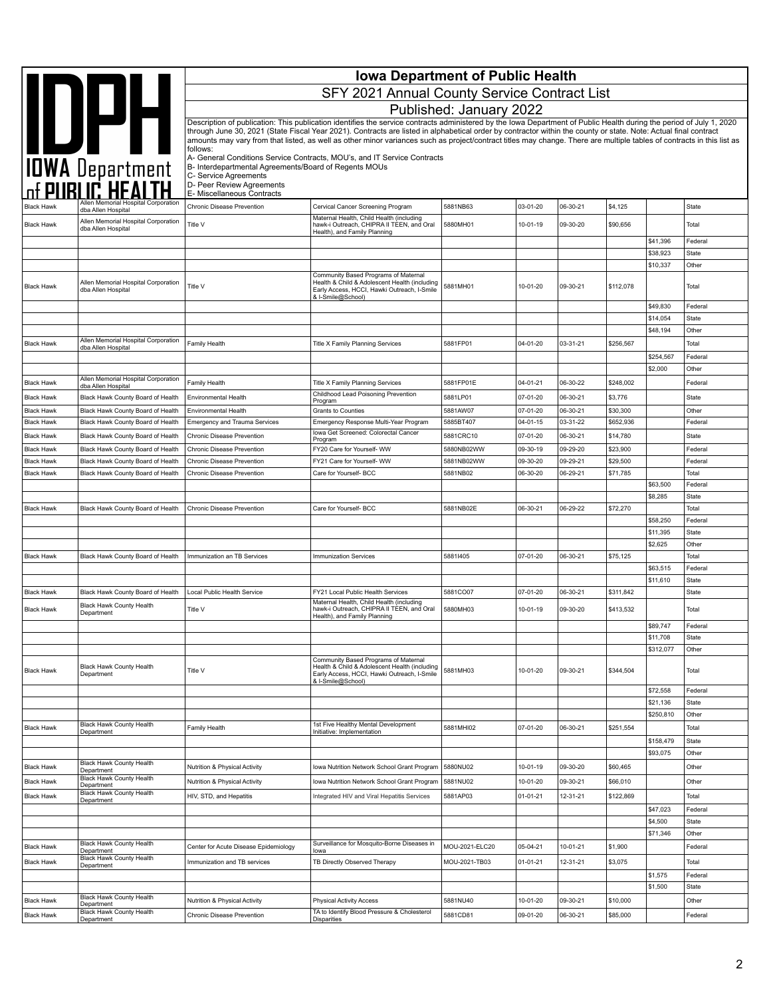|                   |                                                           |                                                       | <b>Iowa Department of Public Health</b>                                                                                                                                                                                                                                                                                                    |                         |                |          |           |                       |                         |
|-------------------|-----------------------------------------------------------|-------------------------------------------------------|--------------------------------------------------------------------------------------------------------------------------------------------------------------------------------------------------------------------------------------------------------------------------------------------------------------------------------------------|-------------------------|----------------|----------|-----------|-----------------------|-------------------------|
|                   | IOWA Department                                           |                                                       | SFY 2021 Annual County Service Contract List                                                                                                                                                                                                                                                                                               |                         |                |          |           |                       |                         |
|                   |                                                           |                                                       |                                                                                                                                                                                                                                                                                                                                            | Published: January 2022 |                |          |           |                       |                         |
|                   |                                                           |                                                       | Description of publication: This publication identifies the service contracts administered by the Iowa Department of Public Health during the period of July 1, 2020                                                                                                                                                                       |                         |                |          |           |                       |                         |
|                   |                                                           |                                                       | through June 30, 2021 (State Fiscal Year 2021). Contracts are listed in alphabetical order by contractor within the county or state. Note: Actual final contract<br>amounts may vary from that listed, as well as other minor variances such as project/contract titles may change. There are multiple tables of contracts in this list as |                         |                |          |           |                       |                         |
|                   |                                                           | follows:                                              |                                                                                                                                                                                                                                                                                                                                            |                         |                |          |           |                       |                         |
|                   |                                                           | B- Interdepartmental Agreements/Board of Regents MOUs | A- General Conditions Service Contracts, MOU's, and IT Service Contracts                                                                                                                                                                                                                                                                   |                         |                |          |           |                       |                         |
|                   |                                                           | C- Service Agreements<br>D- Peer Review Agreements    |                                                                                                                                                                                                                                                                                                                                            |                         |                |          |           |                       |                         |
|                   | Allen Memorial Hospital Corporation                       | E- Miscellaneous Contracts                            |                                                                                                                                                                                                                                                                                                                                            |                         |                |          |           |                       |                         |
| <b>Black Hawk</b> | dba Allen Hospital                                        | Chronic Disease Prevention                            | Cervical Cancer Screening Program<br>Maternal Health, Child Health (including                                                                                                                                                                                                                                                              | 5881NB63                | 03-01-20       | 06-30-21 | \$4,125   |                       | <b>State</b>            |
| <b>Black Hawk</b> | Allen Memorial Hospital Corporation<br>dba Allen Hospital | Title V                                               | hawk-i Outreach, CHIPRA II TEEN, and Oral<br>Health), and Family Planning                                                                                                                                                                                                                                                                  | 5880MH01                | 10-01-19       | 09-30-20 | \$90,656  |                       | Total                   |
|                   |                                                           |                                                       |                                                                                                                                                                                                                                                                                                                                            |                         |                |          |           | \$41,396<br>\$38,923  | Federal<br><b>State</b> |
|                   |                                                           |                                                       |                                                                                                                                                                                                                                                                                                                                            |                         |                |          |           | \$10,337              | Other                   |
| <b>Black Hawk</b> | Allen Memorial Hospital Corporation<br>dba Allen Hospital | Title V                                               | Community Based Programs of Maternal<br>Health & Child & Adolescent Health (including<br>Early Access, HCCI, Hawki Outreach, I-Smile<br>& I-Smile@School)                                                                                                                                                                                  | 5881MH01                | 10-01-20       | 09-30-21 | \$112,078 |                       | Total                   |
|                   |                                                           |                                                       |                                                                                                                                                                                                                                                                                                                                            |                         |                |          |           | \$49,830              | Federal                 |
|                   |                                                           |                                                       |                                                                                                                                                                                                                                                                                                                                            |                         |                |          |           | \$14,054              | <b>State</b>            |
|                   | Allen Memorial Hospital Corporation                       |                                                       |                                                                                                                                                                                                                                                                                                                                            |                         |                |          |           | \$48,194              | Other                   |
| <b>Black Hawk</b> | dba Allen Hospital                                        | Family Health                                         | <b>Title X Family Planning Services</b>                                                                                                                                                                                                                                                                                                    | 5881FP01                | 04-01-20       | 03-31-21 | \$256,567 | \$254,567             | Total                   |
|                   |                                                           |                                                       |                                                                                                                                                                                                                                                                                                                                            |                         |                |          |           | \$2,000               | Federal<br>Other        |
| <b>Black Hawk</b> | Allen Memorial Hospital Corporation<br>dba Allen Hospital | Family Health                                         | Title X Family Planning Services                                                                                                                                                                                                                                                                                                           | 5881FP01E               | 04-01-21       | 06-30-22 | \$248,002 |                       | Federal                 |
| <b>Black Hawk</b> | Black Hawk County Board of Health                         | Environmental Health                                  | Childhood Lead Poisoning Prevention                                                                                                                                                                                                                                                                                                        | 5881LP01                | 07-01-20       | 06-30-21 | \$3,776   |                       | State                   |
| <b>Black Hawk</b> | Black Hawk County Board of Health                         | <b>Environmental Health</b>                           | Program<br>Grants to Counties                                                                                                                                                                                                                                                                                                              | 5881AW07                | 07-01-20       | 06-30-21 | \$30,300  |                       | Other                   |
| <b>Black Hawk</b> | Black Hawk County Board of Health                         | <b>Emergency and Trauma Services</b>                  | Emergency Response Multi-Year Program                                                                                                                                                                                                                                                                                                      | 5885BT407               | $04 - 01 - 15$ | 03-31-22 | \$652,936 |                       | Federal                 |
| <b>Black Hawk</b> | Black Hawk County Board of Health                         | Chronic Disease Prevention                            | Iowa Get Screened: Colorectal Cancer<br>Program                                                                                                                                                                                                                                                                                            | 5881CRC10               | 07-01-20       | 06-30-21 | \$14,780  |                       | State                   |
| <b>Black Hawk</b> | Black Hawk County Board of Health                         | Chronic Disease Prevention                            | FY20 Care for Yourself- WW                                                                                                                                                                                                                                                                                                                 | 5880NB02WW              | 09-30-19       | 09-29-20 | \$23,900  |                       | Federal                 |
| <b>Black Hawk</b> | Black Hawk County Board of Health                         | Chronic Disease Prevention                            | FY21 Care for Yourself- WW                                                                                                                                                                                                                                                                                                                 | 5881NB02WW              | 09-30-20       | 09-29-21 | \$29,500  |                       | Federal                 |
| <b>Black Hawk</b> | Black Hawk County Board of Health                         | Chronic Disease Prevention                            | Care for Yourself- BCC                                                                                                                                                                                                                                                                                                                     | 5881NB02                | 06-30-20       | 06-29-21 | \$71,785  | \$63,500              | Total<br>Federal        |
|                   |                                                           |                                                       |                                                                                                                                                                                                                                                                                                                                            |                         |                |          |           | \$8,285               | <b>State</b>            |
| <b>Black Hawk</b> | Black Hawk County Board of Health                         | Chronic Disease Prevention                            | Care for Yourself- BCC                                                                                                                                                                                                                                                                                                                     | 5881NB02E               | 06-30-21       | 06-29-22 | \$72,270  |                       | Total                   |
|                   |                                                           |                                                       |                                                                                                                                                                                                                                                                                                                                            |                         |                |          |           | \$58,250              | Federal                 |
|                   |                                                           |                                                       |                                                                                                                                                                                                                                                                                                                                            |                         |                |          |           | \$11,395<br>\$2,625   | <b>State</b><br>Other   |
| <b>Black Hawk</b> | Black Hawk County Board of Health                         | Immunization an TB Services                           | <b>Immunization Services</b>                                                                                                                                                                                                                                                                                                               | 58811405                | 07-01-20       | 06-30-21 | \$75,125  |                       | Total                   |
|                   |                                                           |                                                       |                                                                                                                                                                                                                                                                                                                                            |                         |                |          |           | \$63,515              | Federal                 |
|                   |                                                           |                                                       |                                                                                                                                                                                                                                                                                                                                            |                         |                |          |           | \$11,610              | <b>State</b>            |
| <b>Black Hawk</b> | Black Hawk County Board of Health                         | Local Public Health Service                           | FY21 Local Public Health Services<br>Maternal Health, Child Health (including                                                                                                                                                                                                                                                              | 5881CO07                | 07-01-20       | 06-30-21 | \$311,842 |                       | <b>State</b>            |
| <b>Black Hawk</b> | Black Hawk County Health<br>Department                    | Title V                                               | hawk-i Outreach, CHIPRA II TEEN, and Oral<br>Health), and Family Planning                                                                                                                                                                                                                                                                  | 5880MH03                | 10-01-19       | 09-30-20 | \$413,532 |                       | Total                   |
|                   |                                                           |                                                       |                                                                                                                                                                                                                                                                                                                                            |                         |                |          |           | \$89,747              | Federal                 |
|                   |                                                           |                                                       |                                                                                                                                                                                                                                                                                                                                            |                         |                |          |           | \$11,708<br>\$312,077 | State<br>Other          |
| <b>Black Hawk</b> | <b>Black Hawk County Health</b><br>Department             | Title V                                               | Community Based Programs of Maternal<br>Health & Child & Adolescent Health (including<br>Early Access, HCCI, Hawki Outreach, I-Smile<br>& I-Smile@School)                                                                                                                                                                                  | 5881MH03                | 10-01-20       | 09-30-21 | \$344,504 |                       | Total                   |
|                   |                                                           |                                                       |                                                                                                                                                                                                                                                                                                                                            |                         |                |          |           | \$72,558              | Federal                 |
|                   |                                                           |                                                       |                                                                                                                                                                                                                                                                                                                                            |                         |                |          |           | \$21,136<br>\$250,810 | <b>State</b><br>Other   |
| <b>Black Hawk</b> | Black Hawk County Health                                  | Family Health                                         | 1st Five Healthy Mental Development                                                                                                                                                                                                                                                                                                        | 5881MHI02               | 07-01-20       | 06-30-21 | \$251,554 |                       | Total                   |
|                   | Department                                                |                                                       | Initiative: Implementation                                                                                                                                                                                                                                                                                                                 |                         |                |          |           | \$158,479             | State                   |
|                   |                                                           |                                                       |                                                                                                                                                                                                                                                                                                                                            |                         |                |          |           | \$93,075              | Other                   |
| <b>Black Hawk</b> | Black Hawk County Health<br>Department                    | Nutrition & Physical Activity                         | Iowa Nutrition Network School Grant Program                                                                                                                                                                                                                                                                                                | 5880NU02                | 10-01-19       | 09-30-20 | \$60,465  |                       | Other                   |
| <b>Black Hawk</b> | Black Hawk County Health<br>Department                    | Nutrition & Physical Activity                         | Iowa Nutrition Network School Grant Program                                                                                                                                                                                                                                                                                                | 5881NU02                | 10-01-20       | 09-30-21 | \$66,010  |                       | Other                   |
| <b>Black Hawk</b> | Black Hawk County Health<br>Department                    | HIV, STD, and Hepatitis                               | Integrated HIV and Viral Hepatitis Services                                                                                                                                                                                                                                                                                                | 5881AP03                | 01-01-21       | 12-31-21 | \$122,869 |                       | Total                   |
|                   |                                                           |                                                       |                                                                                                                                                                                                                                                                                                                                            |                         |                |          |           | \$47,023              | Federal                 |
|                   |                                                           |                                                       |                                                                                                                                                                                                                                                                                                                                            |                         |                |          |           | \$4,500               | <b>State</b>            |
|                   | Black Hawk County Health                                  |                                                       | Surveillance for Mosquito-Borne Diseases in                                                                                                                                                                                                                                                                                                |                         |                |          |           | \$71,346              | Other                   |
| <b>Black Hawk</b> | Department<br>Black Hawk County Health                    | Center for Acute Disease Epidemiology                 | lowa                                                                                                                                                                                                                                                                                                                                       | MOU-2021-ELC20          | 05-04-21       | 10-01-21 | \$1,900   |                       | Federal                 |
| <b>Black Hawk</b> | Department                                                | Immunization and TB services                          | TB Directly Observed Therapy                                                                                                                                                                                                                                                                                                               | MOU-2021-TB03           | $01 - 01 - 21$ | 12-31-21 | \$3,075   |                       | Total                   |
|                   |                                                           |                                                       |                                                                                                                                                                                                                                                                                                                                            |                         |                |          |           | \$1,575<br>\$1,500    | Federal<br>State        |
| <b>Black Hawk</b> | Black Hawk County Health                                  | Nutrition & Physical Activity                         | <b>Physical Activity Access</b>                                                                                                                                                                                                                                                                                                            | 5881NU40                | 10-01-20       | 09-30-21 | \$10,000  |                       | Other                   |
| <b>Black Hawk</b> | Department<br>Black Hawk County Health                    | Chronic Disease Prevention                            | TA to Identify Blood Pressure & Cholesterol                                                                                                                                                                                                                                                                                                | 5881CD81                | 09-01-20       | 06-30-21 | \$85,000  |                       | Federal                 |
|                   | Department                                                |                                                       | <b>Disparities</b>                                                                                                                                                                                                                                                                                                                         |                         |                |          |           |                       |                         |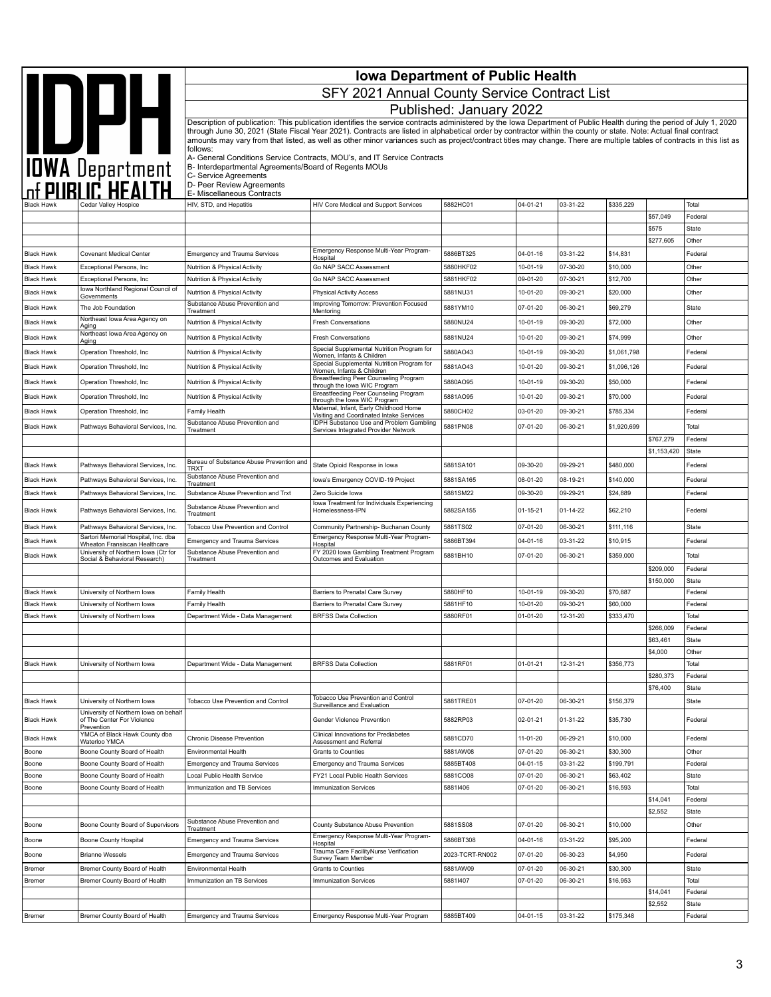| <b>Iowa Department of Public Health</b> |                                                                           |                                                                                                             |                                                                                                                                                                                                                                                                                                                                                                                                                                                                                                                    |                         |                      |                      |                       |                        |                    |
|-----------------------------------------|---------------------------------------------------------------------------|-------------------------------------------------------------------------------------------------------------|--------------------------------------------------------------------------------------------------------------------------------------------------------------------------------------------------------------------------------------------------------------------------------------------------------------------------------------------------------------------------------------------------------------------------------------------------------------------------------------------------------------------|-------------------------|----------------------|----------------------|-----------------------|------------------------|--------------------|
|                                         |                                                                           |                                                                                                             | SFY 2021 Annual County Service Contract List                                                                                                                                                                                                                                                                                                                                                                                                                                                                       |                         |                      |                      |                       |                        |                    |
|                                         |                                                                           |                                                                                                             |                                                                                                                                                                                                                                                                                                                                                                                                                                                                                                                    | Published: January 2022 |                      |                      |                       |                        |                    |
|                                         | IOWA Department                                                           |                                                                                                             | Description of publication: This publication identifies the service contracts administered by the Iowa Department of Public Health during the period of July 1, 2020<br>through June 30, 2021 (State Fiscal Year 2021). Contracts are listed in alphabetical order by contractor within the county or state. Note: Actual final contract<br>amounts may vary from that listed, as well as other minor variances such as project/contract titles may change. There are multiple tables of contracts in this list as |                         |                      |                      |                       |                        |                    |
|                                         |                                                                           | follows:                                                                                                    | A- General Conditions Service Contracts, MOU's, and IT Service Contracts                                                                                                                                                                                                                                                                                                                                                                                                                                           |                         |                      |                      |                       |                        |                    |
|                                         |                                                                           | B- Interdepartmental Agreements/Board of Regents MOUs<br>C- Service Agreements<br>D- Peer Review Agreements |                                                                                                                                                                                                                                                                                                                                                                                                                                                                                                                    |                         |                      |                      |                       |                        |                    |
|                                         |                                                                           | E- Miscellaneous Contracts                                                                                  |                                                                                                                                                                                                                                                                                                                                                                                                                                                                                                                    |                         |                      |                      |                       |                        |                    |
|                                         |                                                                           | HIV, STD, and Hepatitis                                                                                     | <b>HIV Core Medical and Support Services</b>                                                                                                                                                                                                                                                                                                                                                                                                                                                                       | 5882HC01                | 04-01-21             | 03-31-22             | \$335,229             | \$57,049               | Total<br>Federal   |
|                                         |                                                                           |                                                                                                             |                                                                                                                                                                                                                                                                                                                                                                                                                                                                                                                    |                         |                      |                      |                       | \$575                  | State              |
|                                         |                                                                           |                                                                                                             |                                                                                                                                                                                                                                                                                                                                                                                                                                                                                                                    |                         |                      |                      |                       | \$277,605              | Other              |
| <b>Black Hawk</b>                       | Covenant Medical Center                                                   | <b>Emergency and Trauma Services</b>                                                                        | Emergency Response Multi-Year Program-<br>Hospital                                                                                                                                                                                                                                                                                                                                                                                                                                                                 | 5886BT325               | 04-01-16             | 03-31-22             | \$14,831              |                        | Federal            |
| <b>Black Hawk</b>                       | Exceptional Persons, Inc                                                  | Nutrition & Physical Activity                                                                               | Go NAP SACC Assessment                                                                                                                                                                                                                                                                                                                                                                                                                                                                                             | 5880HKF02               | 10-01-19             | 07-30-20             | \$10,000              |                        | Other              |
| <b>Black Hawk</b>                       | Exceptional Persons, Inc.<br>Iowa Northland Regional Council of           | Nutrition & Physical Activity                                                                               | Go NAP SACC Assessment                                                                                                                                                                                                                                                                                                                                                                                                                                                                                             | 5881HKF02<br>5881NU31   | 09-01-20<br>10-01-20 | 07-30-21<br>09-30-21 | \$12,700<br>\$20,000  |                        | Other<br>Other     |
| <b>Black Hawk</b>                       | Governments                                                               | Nutrition & Physical Activity<br>Substance Abuse Prevention and                                             | <b>Physical Activity Access</b><br>Improving Tomorrow: Prevention Focused                                                                                                                                                                                                                                                                                                                                                                                                                                          |                         |                      |                      |                       |                        |                    |
| <b>Black Hawk</b>                       | The Job Foundation<br>Northeast Iowa Area Agency on                       | Treatment                                                                                                   | Mentoring                                                                                                                                                                                                                                                                                                                                                                                                                                                                                                          | 5881YM10                | 07-01-20             | 06-30-21             | \$69,279              |                        | State              |
| <b>Black Hawk</b>                       | Aging<br>Northeast Iowa Area Agency on                                    | Nutrition & Physical Activity                                                                               | <b>Fresh Conversations</b>                                                                                                                                                                                                                                                                                                                                                                                                                                                                                         | 5880NU24                | 10-01-19             | 09-30-20             | \$72,000              |                        | Other              |
| <b>Black Hawk</b>                       | Aging                                                                     | Nutrition & Physical Activity                                                                               | <b>Fresh Conversations</b><br>Special Supplemental Nutrition Program for                                                                                                                                                                                                                                                                                                                                                                                                                                           | 5881NU24                | 10-01-20             | 09-30-21             | \$74,999              |                        | Other              |
| <b>Black Hawk</b>                       | Operation Threshold, Inc                                                  | Nutrition & Physical Activity                                                                               | Women, Infants & Children<br>Special Supplemental Nutrition Program for                                                                                                                                                                                                                                                                                                                                                                                                                                            | 5880AO43                | 10-01-19             | 09-30-20             | \$1,061,798           |                        | Federal            |
| <b>Black Hawk</b>                       | Operation Threshold, Inc                                                  | Nutrition & Physical Activity                                                                               | Women, Infants & Children<br>Breastfeeding Peer Counseling Program                                                                                                                                                                                                                                                                                                                                                                                                                                                 | 5881AO43                | 10-01-20             | 09-30-21             | \$1,096,126           |                        | Federal            |
| <b>Black Hawk</b>                       | Operation Threshold, Inc                                                  | Nutrition & Physical Activity                                                                               | through the lowa WIC Program                                                                                                                                                                                                                                                                                                                                                                                                                                                                                       | 5880AO95                | 10-01-19             | 09-30-20             | \$50,000              |                        | Federal            |
| <b>Black Hawk</b>                       | Operation Threshold, Inc                                                  | Nutrition & Physical Activity                                                                               | Breastfeeding Peer Counseling Program<br>through the lowa WIC Program                                                                                                                                                                                                                                                                                                                                                                                                                                              | 5881AO95                | 10-01-20             | 09-30-21             | \$70,000              |                        | Federal            |
| <b>Black Hawk</b>                       | Operation Threshold, Inc                                                  | Family Health                                                                                               | Maternal, Infant, Early Childhood Home<br>Visiting and Coordinated Intake Services                                                                                                                                                                                                                                                                                                                                                                                                                                 | 5880CH02                | 03-01-20             | 09-30-21             | \$785,334             |                        | Federal            |
| <b>Black Hawk</b>                       | Pathways Behavioral Services, Inc.                                        | Substance Abuse Prevention and<br>Treatment                                                                 | <b>IDPH Substance Use and Problem Gambling</b><br>Services Integrated Provider Network                                                                                                                                                                                                                                                                                                                                                                                                                             | 5881PN08                | 07-01-20             | 06-30-21             | \$1,920,699           |                        | Total              |
|                                         |                                                                           |                                                                                                             |                                                                                                                                                                                                                                                                                                                                                                                                                                                                                                                    |                         |                      |                      |                       | \$767,279              | Federal            |
|                                         |                                                                           | Bureau of Substance Abuse Prevention and                                                                    |                                                                                                                                                                                                                                                                                                                                                                                                                                                                                                                    |                         |                      |                      |                       | \$1,153,420            | State              |
| <b>Black Hawk</b>                       | Pathways Behavioral Services, Inc.                                        | <b>TRXT</b><br>Substance Abuse Prevention and                                                               | State Opioid Response in Iowa                                                                                                                                                                                                                                                                                                                                                                                                                                                                                      | 5881SA101               | 09-30-20             | 09-29-21             | \$480,000             |                        | Federal            |
| <b>Black Hawk</b>                       | Pathways Behavioral Services, Inc.                                        | Treatment                                                                                                   | Iowa's Emergency COVID-19 Project                                                                                                                                                                                                                                                                                                                                                                                                                                                                                  | 5881SA165<br>5881SM22   | 08-01-20<br>09-30-20 | 08-19-21<br>09-29-21 | \$140,000<br>\$24,889 |                        | Federal<br>Federal |
| <b>Black Hawk</b>                       | Pathways Behavioral Services, Inc.                                        | Substance Abuse Prevention and Trxt<br>Substance Abuse Prevention and                                       | Zero Suicide Iowa<br>lowa Treatment for Individuals Experiencing                                                                                                                                                                                                                                                                                                                                                                                                                                                   |                         |                      |                      |                       |                        |                    |
| <b>Black Hawk</b>                       | Pathways Behavioral Services, Inc.                                        | Treatment                                                                                                   | Homelessness-IPN                                                                                                                                                                                                                                                                                                                                                                                                                                                                                                   | 5882SA155               | $01 - 15 - 21$       | 01-14-22             | \$62,210              |                        | Federal            |
| <b>Black Hawk</b>                       | Pathways Behavioral Services, Inc.<br>Sartori Memorial Hospital, Inc. dba | Tobacco Use Prevention and Control                                                                          | Community Partnership- Buchanan County<br>Emergency Response Multi-Year Program-                                                                                                                                                                                                                                                                                                                                                                                                                                   | 5881TS02                | 07-01-20             | 06-30-21             | \$111,116             |                        | State              |
| <b>Black Hawk</b>                       | Wheaton Fransiscan Healthcare<br>University of Northern Iowa (Ctr for     | <b>Emergency and Trauma Services</b><br>Substance Abuse Prevention and                                      | Hospital<br>FY 2020 Iowa Gambling Treatment Program                                                                                                                                                                                                                                                                                                                                                                                                                                                                | 5886BT394               | 04-01-16             | 03-31-22             | \$10,915              |                        | Federal            |
| <b>Black Hawk</b>                       | Social & Behavioral Research)                                             | Treatment                                                                                                   | Outcomes and Evaluation                                                                                                                                                                                                                                                                                                                                                                                                                                                                                            | 5881BH10                | 07-01-20             | 06-30-21             | \$359,000             |                        | Total              |
|                                         |                                                                           |                                                                                                             |                                                                                                                                                                                                                                                                                                                                                                                                                                                                                                                    |                         |                      |                      |                       | \$209,000<br>\$150,000 | Federal<br>State   |
| <b>Black Hawk</b>                       | University of Northern Iowa                                               | Family Health                                                                                               | Barriers to Prenatal Care Survey                                                                                                                                                                                                                                                                                                                                                                                                                                                                                   | 5880HF10                | 10-01-19             | 09-30-20             | \$70,887              |                        | Federal            |
| <b>Black Hawk</b>                       | University of Northern Iowa                                               | Family Health                                                                                               | Barriers to Prenatal Care Survey                                                                                                                                                                                                                                                                                                                                                                                                                                                                                   | 5881HF10                | 10-01-20             | 09-30-21             | \$60,000              |                        | Federal            |
| <b>Black Hawk</b>                       | University of Northern Iowa                                               | Department Wide - Data Management                                                                           | <b>BRFSS Data Collection</b>                                                                                                                                                                                                                                                                                                                                                                                                                                                                                       | 5880RF01                | 01-01-20             | 12-31-20             | \$333,470             |                        | Total              |
|                                         |                                                                           |                                                                                                             |                                                                                                                                                                                                                                                                                                                                                                                                                                                                                                                    |                         |                      |                      |                       | \$266,009<br>\$63,461  | Federal<br>State   |
|                                         |                                                                           |                                                                                                             |                                                                                                                                                                                                                                                                                                                                                                                                                                                                                                                    |                         |                      |                      |                       | \$4,000                | Other              |
| <b>Black Hawk</b>                       | University of Northern Iowa                                               | Department Wide - Data Management                                                                           | <b>BRFSS Data Collection</b>                                                                                                                                                                                                                                                                                                                                                                                                                                                                                       | 5881RF01                | $01 - 01 - 21$       | 12-31-21             | \$356,773             |                        | Total              |
|                                         |                                                                           |                                                                                                             |                                                                                                                                                                                                                                                                                                                                                                                                                                                                                                                    |                         |                      |                      |                       | \$280,373              | Federal            |
|                                         |                                                                           |                                                                                                             |                                                                                                                                                                                                                                                                                                                                                                                                                                                                                                                    |                         |                      |                      |                       | \$76,400               | State              |
| <b>Black Hawk</b>                       | University of Northern Iowa<br>University of Northern Iowa on behalf      | Tobacco Use Prevention and Control                                                                          | Tobacco Use Prevention and Control<br>Surveillance and Evaluation                                                                                                                                                                                                                                                                                                                                                                                                                                                  | 5881TRE01               | 07-01-20             | 06-30-21             | \$156,379             |                        | State              |
| <b>Black Hawk</b>                       | of The Center For Violence<br>Prevention                                  |                                                                                                             | Gender Violence Prevention                                                                                                                                                                                                                                                                                                                                                                                                                                                                                         | 5882RP03                | 02-01-21             | 01-31-22             | \$35,730              |                        | Federal            |
| <b>Black Hawk</b>                       | YMCA of Black Hawk County dba<br>Waterloo YMCA                            | Chronic Disease Prevention                                                                                  | Clinical Innovations for Prediabetes<br>Assessment and Referral                                                                                                                                                                                                                                                                                                                                                                                                                                                    | 5881CD70                | 11-01-20             | 06-29-21             | \$10,000              |                        | Federal            |
| Boone                                   | Boone County Board of Health                                              | Environmental Health                                                                                        | <b>Grants to Counties</b>                                                                                                                                                                                                                                                                                                                                                                                                                                                                                          | 5881AW08                | 07-01-20             | 06-30-21             | \$30,300              |                        | Other              |
| Boone<br>Boone                          | Boone County Board of Health<br>Boone County Board of Health              | <b>Emergency and Trauma Services</b><br>Local Public Health Service                                         | <b>Emergency and Trauma Services</b><br>FY21 Local Public Health Services                                                                                                                                                                                                                                                                                                                                                                                                                                          | 5885BT408<br>5881CO08   | 04-01-15<br>07-01-20 | 03-31-22<br>06-30-21 | \$199,791<br>\$63,402 |                        | Federal<br>State   |
| Boone                                   | Boone County Board of Health                                              | Immunization and TB Services                                                                                | <b>Immunization Services</b>                                                                                                                                                                                                                                                                                                                                                                                                                                                                                       | 58811406                | 07-01-20             | 06-30-21             | \$16,593              |                        | Total              |
|                                         |                                                                           |                                                                                                             |                                                                                                                                                                                                                                                                                                                                                                                                                                                                                                                    |                         |                      |                      |                       | \$14,041               | Federal            |
|                                         |                                                                           |                                                                                                             |                                                                                                                                                                                                                                                                                                                                                                                                                                                                                                                    |                         |                      |                      |                       | \$2,552                | State              |
| Boone                                   | Boone County Board of Supervisors                                         | Substance Abuse Prevention and<br>Treatment                                                                 | County Substance Abuse Prevention                                                                                                                                                                                                                                                                                                                                                                                                                                                                                  | 5881SS08                | 07-01-20             | 06-30-21             | \$10,000              |                        | Other              |
| Boone                                   | <b>Boone County Hospital</b>                                              | <b>Emergency and Trauma Services</b>                                                                        | Emergency Response Multi-Year Program-<br>Hospital                                                                                                                                                                                                                                                                                                                                                                                                                                                                 | 5886BT308               | 04-01-16             | 03-31-22             | \$95,200              |                        | Federal            |
| Boone                                   | <b>Brianne Wessels</b>                                                    | Emergency and Trauma Services                                                                               | Trauma Care FacilityNurse Verification<br>Survey Team Member                                                                                                                                                                                                                                                                                                                                                                                                                                                       | 2023-TCRT-RN002         | 07-01-20             | 06-30-23             | \$4,950               |                        | Federal            |
| Bremer                                  | Bremer County Board of Health                                             | Environmental Health                                                                                        | Grants to Counties                                                                                                                                                                                                                                                                                                                                                                                                                                                                                                 | 5881AW09                | 07-01-20             | 06-30-21             | \$30,300              |                        | State              |
| Bremer                                  | Bremer County Board of Health                                             | Immunization an TB Services                                                                                 | <b>Immunization Services</b>                                                                                                                                                                                                                                                                                                                                                                                                                                                                                       | 58811407                | 07-01-20             | 06-30-21             | \$16,953              |                        | Total              |
|                                         |                                                                           |                                                                                                             |                                                                                                                                                                                                                                                                                                                                                                                                                                                                                                                    |                         |                      |                      |                       | \$14,041<br>\$2,552    | Federal<br>State   |
| Bremer                                  | Bremer County Board of Health                                             | Emergency and Trauma Services                                                                               | Emergency Response Multi-Year Program                                                                                                                                                                                                                                                                                                                                                                                                                                                                              | 5885BT409               | $04 - 01 - 15$       | 03-31-22             | \$175,348             |                        | Federal            |
|                                         |                                                                           |                                                                                                             |                                                                                                                                                                                                                                                                                                                                                                                                                                                                                                                    |                         |                      |                      |                       |                        |                    |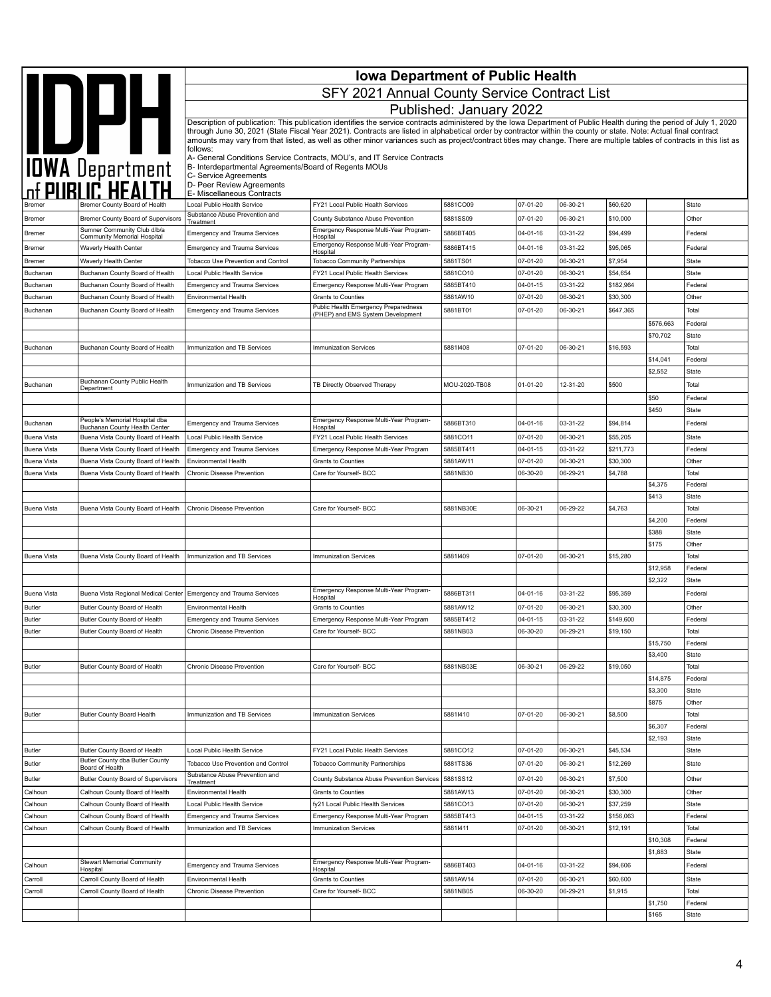| <b>Iowa Department of Public Health</b> |                                                                     |                                                                                |                                                                                                                                                                                                                                                                                                                                          |                         |                            |                      |                       |                     |                  |
|-----------------------------------------|---------------------------------------------------------------------|--------------------------------------------------------------------------------|------------------------------------------------------------------------------------------------------------------------------------------------------------------------------------------------------------------------------------------------------------------------------------------------------------------------------------------|-------------------------|----------------------------|----------------------|-----------------------|---------------------|------------------|
|                                         | IOWA Department                                                     |                                                                                | SFY 2021 Annual County Service Contract List                                                                                                                                                                                                                                                                                             |                         |                            |                      |                       |                     |                  |
|                                         |                                                                     |                                                                                |                                                                                                                                                                                                                                                                                                                                          |                         |                            |                      |                       |                     |                  |
|                                         |                                                                     |                                                                                |                                                                                                                                                                                                                                                                                                                                          | Published: January 2022 |                            |                      |                       |                     |                  |
|                                         |                                                                     |                                                                                | Description of publication: This publication identifies the service contracts administered by the Iowa Department of Public Health during the period of July 1, 2020<br>through June 30, 2021 (State Fiscal Year 2021). Contracts are listed in alphabetical order by contractor within the county or state. Note: Actual final contract |                         |                            |                      |                       |                     |                  |
|                                         |                                                                     |                                                                                | amounts may vary from that listed, as well as other minor variances such as project/contract titles may change. There are multiple tables of contracts in this list as                                                                                                                                                                   |                         |                            |                      |                       |                     |                  |
|                                         |                                                                     | follows:                                                                       | A- General Conditions Service Contracts, MOU's, and IT Service Contracts                                                                                                                                                                                                                                                                 |                         |                            |                      |                       |                     |                  |
|                                         |                                                                     | B- Interdepartmental Agreements/Board of Regents MOUs<br>C- Service Agreements |                                                                                                                                                                                                                                                                                                                                          |                         |                            |                      |                       |                     |                  |
|                                         |                                                                     | D- Peer Review Agreements                                                      |                                                                                                                                                                                                                                                                                                                                          |                         |                            |                      |                       |                     |                  |
|                                         |                                                                     | E- Miscellaneous Contracts                                                     |                                                                                                                                                                                                                                                                                                                                          |                         |                            |                      |                       |                     |                  |
|                                         | Bremer County Board of Health                                       | Local Public Health Service<br>Substance Abuse Prevention and                  | FY21 Local Public Health Services<br>County Substance Abuse Prevention                                                                                                                                                                                                                                                                   | 5881CO09                | 07-01-20                   | 06-30-21             | \$60,620              |                     | State<br>Other   |
| <b>Bremer</b>                           | Bremer County Board of Supervisors<br>Sumner Community Club d/b/a   | Treatment                                                                      | Emergency Response Multi-Year Program-                                                                                                                                                                                                                                                                                                   | 5881SS09                | 07-01-20                   | 06-30-21             | \$10,000              |                     |                  |
| Bremer                                  | Community Memorial Hospital                                         | <b>Emergency and Trauma Services</b>                                           | Hospital<br>Emergency Response Multi-Year Program-                                                                                                                                                                                                                                                                                       | 5886BT405               | 04-01-16                   | 03-31-22             | \$94,499              |                     | Federal          |
| Bremer                                  | Waverly Health Center                                               | <b>Emergency and Trauma Services</b>                                           | Hospital                                                                                                                                                                                                                                                                                                                                 | 5886BT415               | 04-01-16                   | 03-31-22             | \$95,065              |                     | Federal          |
| Bremer<br>Buchanan                      | Waverly Health Center<br>Buchanan County Board of Health            | Tobacco Use Prevention and Control<br>Local Public Health Service              | <b>Tobacco Community Partnerships</b><br>FY21 Local Public Health Services                                                                                                                                                                                                                                                               | 5881TS01<br>5881CO10    | 07-01-20<br>07-01-20       | 06-30-21<br>06-30-21 | \$7,954<br>\$54,654   |                     | State<br>State   |
| Buchanan                                | Buchanan County Board of Health                                     | <b>Emergency and Trauma Services</b>                                           | Emergency Response Multi-Year Program                                                                                                                                                                                                                                                                                                    | 5885BT410               | 04-01-15                   | 03-31-22             | \$182,964             |                     | Federal          |
| Buchanan                                | Buchanan County Board of Health                                     | Environmental Health                                                           | Grants to Counties                                                                                                                                                                                                                                                                                                                       | 5881AW10                | 07-01-20                   | 06-30-21             | \$30,300              |                     | Other            |
| Buchanan                                | Buchanan County Board of Health                                     | <b>Emergency and Trauma Services</b>                                           | Public Health Emergency Preparedness<br>(PHEP) and EMS System Development                                                                                                                                                                                                                                                                | 5881BT01                | 07-01-20                   | 06-30-21             | \$647,365             |                     | Total            |
|                                         |                                                                     |                                                                                |                                                                                                                                                                                                                                                                                                                                          |                         |                            |                      |                       | \$576,663           | Federal          |
|                                         |                                                                     |                                                                                |                                                                                                                                                                                                                                                                                                                                          |                         |                            |                      |                       | \$70,702            | State            |
| Buchanan                                | Buchanan County Board of Health                                     | Immunization and TB Services                                                   | <b>Immunization Services</b>                                                                                                                                                                                                                                                                                                             | 58811408                | 07-01-20                   | 06-30-21             | \$16,593              |                     | Total            |
|                                         |                                                                     |                                                                                |                                                                                                                                                                                                                                                                                                                                          |                         |                            |                      |                       | \$14,041<br>\$2,552 | Federal<br>State |
| Buchanan                                | Buchanan County Public Health                                       | Immunization and TB Services                                                   | TB Directly Observed Therapy                                                                                                                                                                                                                                                                                                             | MOU-2020-TB08           | $01 - 01 - 20$             | 12-31-20             | \$500                 |                     | Total            |
|                                         | Department                                                          |                                                                                |                                                                                                                                                                                                                                                                                                                                          |                         |                            |                      |                       | \$50                | Federal          |
|                                         |                                                                     |                                                                                |                                                                                                                                                                                                                                                                                                                                          |                         |                            |                      |                       | \$450               | State            |
| Buchanan                                | People's Memorial Hospital dba                                      | <b>Emergency and Trauma Services</b>                                           | Emergency Response Multi-Year Program-                                                                                                                                                                                                                                                                                                   | 5886BT310               | 04-01-16                   | 03-31-22             | \$94,814              |                     | Federal          |
| Buena Vista                             | Buchanan County Health Center<br>Buena Vista County Board of Health | Local Public Health Service                                                    | Hospital<br>FY21 Local Public Health Services                                                                                                                                                                                                                                                                                            | 5881CO11                | 07-01-20                   | 06-30-21             | \$55,205              |                     | State            |
| <b>Buena Vista</b>                      | Buena Vista County Board of Health                                  | <b>Emergency and Trauma Services</b>                                           | Emergency Response Multi-Year Program                                                                                                                                                                                                                                                                                                    | 5885BT411               | $04 - 01 - 15$             | 03-31-22             | \$211,773             |                     | Federal          |
| Buena Vista                             | Buena Vista County Board of Health                                  | <b>Environmental Health</b>                                                    | <b>Grants to Counties</b>                                                                                                                                                                                                                                                                                                                | 5881AW11                | 07-01-20                   | 06-30-21             | \$30,300              |                     | Other            |
| Buena Vista                             | Buena Vista County Board of Health                                  | Chronic Disease Prevention                                                     | Care for Yourself- BCC                                                                                                                                                                                                                                                                                                                   | 5881NB30                | 06-30-20                   | 06-29-21             | \$4,788               |                     | Total            |
|                                         |                                                                     |                                                                                |                                                                                                                                                                                                                                                                                                                                          |                         |                            |                      |                       | \$4,375             | Federal          |
| Buena Vista                             | Buena Vista County Board of Health                                  | Chronic Disease Prevention                                                     | Care for Yourself- BCC                                                                                                                                                                                                                                                                                                                   | 5881NB30E               | 06-30-21                   | 06-29-22             | \$4,763               | \$413               | State<br>Total   |
|                                         |                                                                     |                                                                                |                                                                                                                                                                                                                                                                                                                                          |                         |                            |                      |                       | \$4,200             | Federal          |
|                                         |                                                                     |                                                                                |                                                                                                                                                                                                                                                                                                                                          |                         |                            |                      |                       | \$388               | State            |
|                                         |                                                                     |                                                                                |                                                                                                                                                                                                                                                                                                                                          |                         |                            |                      |                       | \$175               | Other            |
| <b>Buena Vista</b>                      | Buena Vista County Board of Health                                  | Immunization and TB Services                                                   | <b>Immunization Services</b>                                                                                                                                                                                                                                                                                                             | 58811409                | 07-01-20                   | 06-30-21             | \$15,280              |                     | Total            |
|                                         |                                                                     |                                                                                |                                                                                                                                                                                                                                                                                                                                          |                         |                            |                      |                       | \$12,958            | Federal          |
|                                         |                                                                     |                                                                                | Emergency Response Multi-Year Program-                                                                                                                                                                                                                                                                                                   |                         |                            |                      |                       | \$2,322             | State            |
| <b>Buena Vista</b>                      | Buena Vista Regional Medical Center                                 | <b>Emergency and Trauma Services</b>                                           | Hospital                                                                                                                                                                                                                                                                                                                                 | 5886BT311               | 04-01-16                   | 03-31-22             | \$95,359              |                     | Federal          |
| Butler<br><b>Butler</b>                 | Butler County Board of Health<br>Butler County Board of Health      | <b>Environmental Health</b><br><b>Emergency and Trauma Services</b>            | <b>Grants to Counties</b><br>Emergency Response Multi-Year Program                                                                                                                                                                                                                                                                       | 5881AW12<br>5885BT412   | 07-01-20<br>$04 - 01 - 15$ | 06-30-21<br>03-31-22 | \$30,300<br>\$149,600 |                     | Other<br>Federal |
| Butler                                  | Butler County Board of Health                                       | Chronic Disease Prevention                                                     | Care for Yourself- BCC                                                                                                                                                                                                                                                                                                                   | 5881NB03                | 06-30-20                   | 06-29-21             | \$19,150              |                     | Total            |
|                                         |                                                                     |                                                                                |                                                                                                                                                                                                                                                                                                                                          |                         |                            |                      |                       | \$15,750            | Federal          |
|                                         |                                                                     |                                                                                |                                                                                                                                                                                                                                                                                                                                          |                         |                            |                      |                       | \$3,400             | State            |
| <b>Butler</b>                           | Butler County Board of Health                                       | Chronic Disease Prevention                                                     | Care for Yourself- BCC                                                                                                                                                                                                                                                                                                                   | 5881NB03E               | 06-30-21                   | 06-29-22             | \$19,050              |                     | Total            |
|                                         |                                                                     |                                                                                |                                                                                                                                                                                                                                                                                                                                          |                         |                            |                      |                       | \$14,875            | Federal          |
|                                         |                                                                     |                                                                                |                                                                                                                                                                                                                                                                                                                                          |                         |                            |                      |                       | \$3,300<br>\$875    | State<br>Other   |
| <b>Butler</b>                           | <b>Butler County Board Health</b>                                   | Immunization and TB Services                                                   | <b>Immunization Services</b>                                                                                                                                                                                                                                                                                                             | 58811410                | 07-01-20                   | 06-30-21             | \$8,500               |                     | Total            |
|                                         |                                                                     |                                                                                |                                                                                                                                                                                                                                                                                                                                          |                         |                            |                      |                       | \$6,307             | Federal          |
|                                         |                                                                     |                                                                                |                                                                                                                                                                                                                                                                                                                                          |                         |                            |                      |                       | \$2,193             | State            |
| <b>Butler</b>                           | Butler County Board of Health                                       | Local Public Health Service                                                    | FY21 Local Public Health Services                                                                                                                                                                                                                                                                                                        | 5881CO12                | 07-01-20                   | 06-30-21             | \$45,534              |                     | State            |
| <b>Butler</b>                           | Butler County dba Butler County<br>Board of Health                  | Tobacco Use Prevention and Control                                             | <b>Tobacco Community Partnerships</b>                                                                                                                                                                                                                                                                                                    | 5881TS36                | 07-01-20                   | 06-30-21             | \$12,269              |                     | State            |
| <b>Butler</b>                           | <b>Butler County Board of Supervisors</b>                           | Substance Abuse Prevention and<br>Treatment                                    | County Substance Abuse Prevention Services                                                                                                                                                                                                                                                                                               | 5881SS12                | 07-01-20                   | 06-30-21             | \$7,500               |                     | Other            |
| Calhoun                                 | Calhoun County Board of Health                                      | Environmental Health                                                           | Grants to Counties                                                                                                                                                                                                                                                                                                                       | 5881AW13                | 07-01-20                   | 06-30-21             | \$30,300              |                     | Other            |
| Calhoun                                 | Calhoun County Board of Health                                      | Local Public Health Service                                                    | fy21 Local Public Health Services                                                                                                                                                                                                                                                                                                        | 5881CO13                | 07-01-20                   | 06-30-21             | \$37,259              |                     | State            |
| Calhoun                                 | Calhoun County Board of Health                                      | <b>Emergency and Trauma Services</b>                                           | Emergency Response Multi-Year Program                                                                                                                                                                                                                                                                                                    | 5885BT413               | 04-01-15                   | 03-31-22             | \$156,063             |                     | Federal          |
| Calhoun                                 | Calhoun County Board of Health                                      | Immunization and TB Services                                                   | <b>Immunization Services</b>                                                                                                                                                                                                                                                                                                             | 58811411                | 07-01-20                   | 06-30-21             | \$12,191              | \$10,308            | Total<br>Federal |
|                                         |                                                                     |                                                                                |                                                                                                                                                                                                                                                                                                                                          |                         |                            |                      |                       | \$1,883             | State            |
| Calhoun                                 | Stewart Memorial Community                                          | <b>Emergency and Trauma Services</b>                                           | Emergency Response Multi-Year Program-                                                                                                                                                                                                                                                                                                   | 5886BT403               | 04-01-16                   | 03-31-22             | \$94,606              |                     | Federal          |
| Carroll                                 | Hospital<br>Carroll County Board of Health                          | Environmental Health                                                           | Hospital<br>Grants to Counties                                                                                                                                                                                                                                                                                                           | 5881AW14                | 07-01-20                   | 06-30-21             | \$60,600              |                     | State            |
| Carroll                                 | Carroll County Board of Health                                      | Chronic Disease Prevention                                                     | Care for Yourself- BCC                                                                                                                                                                                                                                                                                                                   | 5881NB05                | 06-30-20                   | 06-29-21             | \$1,915               |                     | Total            |
|                                         |                                                                     |                                                                                |                                                                                                                                                                                                                                                                                                                                          |                         |                            |                      |                       | \$1,750             | Federal          |
|                                         |                                                                     |                                                                                |                                                                                                                                                                                                                                                                                                                                          |                         |                            |                      |                       | \$165               | State            |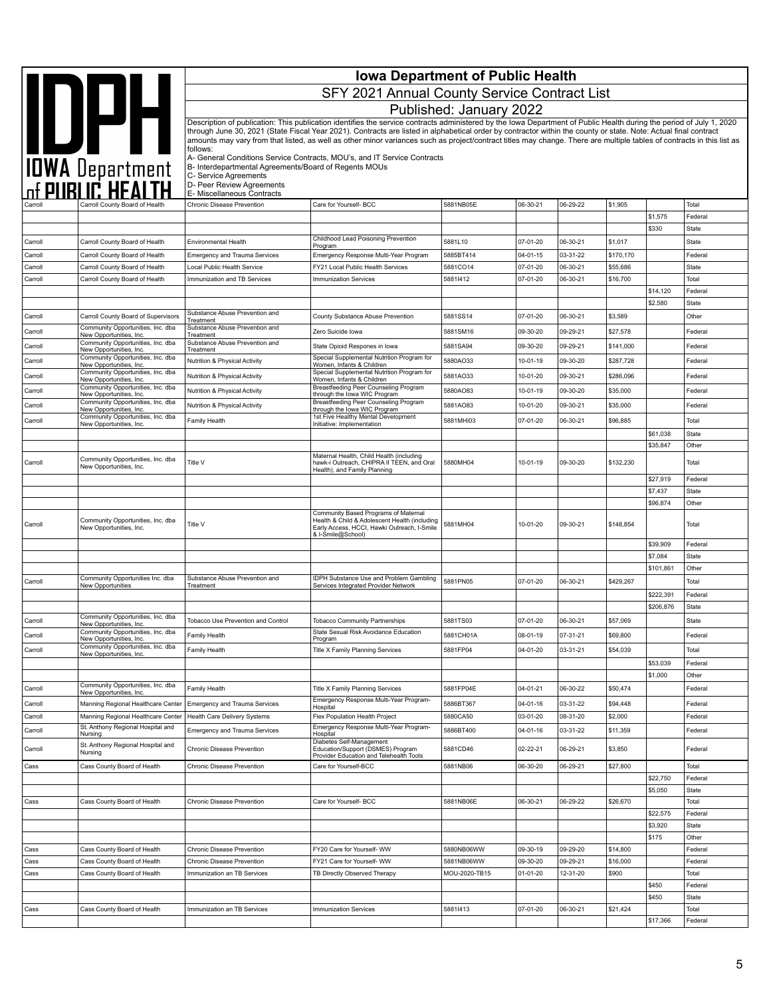|                    |                                                                          |                                                                                | <b>Iowa Department of Public Health</b>                                                                                                                                                                                                                                                                                                    |                          |                      |                      |                      |                      |                         |
|--------------------|--------------------------------------------------------------------------|--------------------------------------------------------------------------------|--------------------------------------------------------------------------------------------------------------------------------------------------------------------------------------------------------------------------------------------------------------------------------------------------------------------------------------------|--------------------------|----------------------|----------------------|----------------------|----------------------|-------------------------|
|                    |                                                                          |                                                                                | SFY 2021 Annual County Service Contract List                                                                                                                                                                                                                                                                                               |                          |                      |                      |                      |                      |                         |
|                    |                                                                          |                                                                                |                                                                                                                                                                                                                                                                                                                                            | Published: January 2022  |                      |                      |                      |                      |                         |
|                    |                                                                          |                                                                                | Description of publication: This publication identifies the service contracts administered by the Iowa Department of Public Health during the period of July 1, 2020                                                                                                                                                                       |                          |                      |                      |                      |                      |                         |
|                    | IOWA Department                                                          |                                                                                | through June 30, 2021 (State Fiscal Year 2021). Contracts are listed in alphabetical order by contractor within the county or state. Note: Actual final contract<br>amounts may vary from that listed, as well as other minor variances such as project/contract titles may change. There are multiple tables of contracts in this list as |                          |                      |                      |                      |                      |                         |
|                    |                                                                          | follows:                                                                       | A- General Conditions Service Contracts, MOU's, and IT Service Contracts                                                                                                                                                                                                                                                                   |                          |                      |                      |                      |                      |                         |
|                    |                                                                          | B- Interdepartmental Agreements/Board of Regents MOUs<br>C- Service Agreements |                                                                                                                                                                                                                                                                                                                                            |                          |                      |                      |                      |                      |                         |
|                    |                                                                          | D- Peer Review Agreements<br>E- Miscellaneous Contracts                        |                                                                                                                                                                                                                                                                                                                                            |                          |                      |                      |                      |                      |                         |
|                    | Carroll County Board of Health                                           | Chronic Disease Prevention                                                     | Care for Yourself- BCC                                                                                                                                                                                                                                                                                                                     | 5881NB05E                | 06-30-21             | 06-29-22             | \$1,905              |                      | Total                   |
|                    |                                                                          |                                                                                |                                                                                                                                                                                                                                                                                                                                            |                          |                      |                      |                      | \$1,575              | Federal                 |
|                    |                                                                          |                                                                                | Childhood Lead Poisoning Prevention                                                                                                                                                                                                                                                                                                        |                          |                      |                      |                      | \$330                | <b>State</b>            |
| Carroll<br>Carroll | Carroll County Board of Health<br>Carroll County Board of Health         | Environmental Health<br><b>Emergency and Trauma Services</b>                   | Program<br>Emergency Response Multi-Year Program                                                                                                                                                                                                                                                                                           | 5881L10<br>5885BT414     | 07-01-20<br>04-01-15 | 06-30-21<br>03-31-22 | \$1,017<br>\$170,170 |                      | <b>State</b><br>Federal |
| Carroll            | Carroll County Board of Health                                           | Local Public Health Service                                                    | FY21 Local Public Health Services                                                                                                                                                                                                                                                                                                          | 5881CO14                 | 07-01-20             | 06-30-21             | \$55,686             |                      | State                   |
| Carroll            | Carroll County Board of Health                                           | Immunization and TB Services                                                   | <b>Immunization Services</b>                                                                                                                                                                                                                                                                                                               | 58811412                 | 07-01-20             | 06-30-21             | \$16,700             |                      | Total                   |
|                    |                                                                          |                                                                                |                                                                                                                                                                                                                                                                                                                                            |                          |                      |                      |                      | \$14,120             | Federal                 |
|                    |                                                                          | Substance Abuse Prevention and                                                 |                                                                                                                                                                                                                                                                                                                                            |                          |                      |                      |                      | \$2,580              | State                   |
| Carroll            | Carroll County Board of Supervisors<br>Community Opportunities, Inc. dba | Treatment<br>Substance Abuse Prevention and                                    | County Substance Abuse Prevention                                                                                                                                                                                                                                                                                                          | 5881SS14                 | 07-01-20             | 06-30-21             | \$3,589              |                      | Other                   |
| Carroll            | New Opportunities, Inc.                                                  | Treatment<br>Substance Abuse Prevention and                                    | Zero Suicide Iowa                                                                                                                                                                                                                                                                                                                          | 5881SM16                 | 09-30-20             | 09-29-21             | \$27,578             |                      | Federal                 |
| Carroll            | Community Opportunities, Inc. dba<br>New Opportunities, Inc.             | Treatment                                                                      | State Opioid Respones in lowa                                                                                                                                                                                                                                                                                                              | 5881SA94                 | 09-30-20             | 09-29-21             | \$141,000            |                      | Federal                 |
| Carroll            | Community Opportunities, Inc. dba<br>New Opportunities, Inc.             | Nutrition & Physical Activity                                                  | Special Supplemental Nutrition Program for<br>Women, Infants & Children                                                                                                                                                                                                                                                                    | 5880AO33                 | 10-01-19             | 09-30-20             | \$287,728            |                      | Federal                 |
| Carroll            | Community Opportunities, Inc. dba<br>New Opportunities, Inc.             | Nutrition & Physical Activity                                                  | Special Supplemental Nutrition Program for<br>Women, Infants & Children                                                                                                                                                                                                                                                                    | 5881AO33                 | 10-01-20             | 09-30-21             | \$286,096            |                      | Federal                 |
| Carroll            | Community Opportunities, Inc. dba<br>New Opportunities, Inc.             | Nutrition & Physical Activity                                                  | Breastfeeding Peer Counseling Program<br>through the lowa WIC Program                                                                                                                                                                                                                                                                      | 5880AO83                 | 10-01-19             | 09-30-20             | \$35,000             |                      | Federal                 |
| Carroll            | Community Opportunities, Inc. dba<br>New Opportunities, Inc.             | Nutrition & Physical Activity                                                  | <b>Breastfeeding Peer Counseling Program</b><br>through the lowa WIC Program                                                                                                                                                                                                                                                               | 5881AO83                 | 10-01-20             | 09-30-21             | \$35,000             |                      | Federal                 |
| Carroll            | Community Opportunities, Inc. dba<br>New Opportunities, Inc.             | Family Health                                                                  | 1st Five Healthy Mental Development<br>Initiative: Implementation                                                                                                                                                                                                                                                                          | 5881MHI03                | 07-01-20             | 06-30-21             | \$96,885             |                      | Total                   |
|                    |                                                                          |                                                                                |                                                                                                                                                                                                                                                                                                                                            |                          |                      |                      |                      | \$61,038             | <b>State</b>            |
|                    |                                                                          |                                                                                |                                                                                                                                                                                                                                                                                                                                            |                          |                      |                      |                      | \$35,847             | Other                   |
| Carroll            | Community Opportunities, Inc. dba<br>New Opportunities, Inc.             | Title V                                                                        | Maternal Health, Child Health (including<br>hawk-i Outreach, CHIPRA II TEEN, and Oral<br>Health), and Family Planning                                                                                                                                                                                                                      | 5880MH04                 | 10-01-19             | 09-30-20             | \$132,230            |                      | Total                   |
|                    |                                                                          |                                                                                |                                                                                                                                                                                                                                                                                                                                            |                          |                      |                      |                      | \$27,919<br>\$7,437  | Federal<br><b>State</b> |
|                    |                                                                          |                                                                                |                                                                                                                                                                                                                                                                                                                                            |                          |                      |                      |                      | \$96,874             | Other                   |
|                    |                                                                          |                                                                                | Community Based Programs of Maternal                                                                                                                                                                                                                                                                                                       |                          |                      |                      |                      |                      |                         |
| Carroll            | Community Opportunities, Inc. dba<br>New Opportunities, Inc.             | Title V                                                                        | Health & Child & Adolescent Health (including<br>Early Access, HCCI, Hawki Outreach, I-Smile<br>& I-Smile@School)                                                                                                                                                                                                                          | 5881MH04                 | 10-01-20             | 09-30-21             | \$148,854            |                      | Total                   |
|                    |                                                                          |                                                                                |                                                                                                                                                                                                                                                                                                                                            |                          |                      |                      |                      | \$39,909             | Federal                 |
|                    |                                                                          |                                                                                |                                                                                                                                                                                                                                                                                                                                            |                          |                      |                      |                      | \$7,084<br>\$101,861 | <b>State</b><br>Other   |
| Carroll            | Community Opportunities Inc. dba<br>New Opportunities                    | Substance Abuse Prevention and<br>Treatment                                    | <b>IDPH Substance Use and Problem Gambling</b><br>Services Integrated Provider Network                                                                                                                                                                                                                                                     | 5881PN05                 | 07-01-20             | 06-30-21             | \$429,267            |                      | Total                   |
|                    |                                                                          |                                                                                |                                                                                                                                                                                                                                                                                                                                            |                          |                      |                      |                      | \$222,391            | Federal                 |
|                    |                                                                          |                                                                                |                                                                                                                                                                                                                                                                                                                                            |                          |                      |                      |                      | \$206,876            | <b>State</b>            |
| Carroll            | Community Opportunities, Inc. dba<br>New Opportunities, Inc.             | Tobacco Use Prevention and Control                                             | <b>Tobacco Community Partnerships</b>                                                                                                                                                                                                                                                                                                      | 5881TS03                 | 07-01-20             | 06-30-21             | \$57,069             |                      | State                   |
| Carroll            | Community Opportunities, Inc. dba<br>New Opportunities, Inc.             | Family Health                                                                  | State Sexual Risk Avoidance Education<br>Program                                                                                                                                                                                                                                                                                           | 5881CH01A                | 08-01-19             | 07-31-21             | \$69,800             |                      | Federal                 |
| Carroll            | Community Opportunities, Inc. dba<br>New Opportunities, Inc.             | Family Health                                                                  | Title X Family Planning Services                                                                                                                                                                                                                                                                                                           | 5881FP04                 | 04-01-20             | 03-31-21             | \$54,039             |                      | Total                   |
|                    |                                                                          |                                                                                |                                                                                                                                                                                                                                                                                                                                            |                          |                      |                      |                      | \$53,039             | Federal                 |
|                    | Community Opportunities, Inc. dba                                        |                                                                                |                                                                                                                                                                                                                                                                                                                                            |                          |                      |                      |                      | \$1,000              | Other                   |
| Carroll            | New Opportunities, Inc.                                                  | Family Health                                                                  | Title X Family Planning Services<br>Emergency Response Multi-Year Program-                                                                                                                                                                                                                                                                 | 5881FP04E                | 04-01-21             | 06-30-22             | \$50,474             |                      | Federal                 |
| Carroll            | Manning Regional Healthcare Center                                       | Emergency and Trauma Services                                                  | Hospital                                                                                                                                                                                                                                                                                                                                   | 5886BT367                | 04-01-16             | 03-31-22             | \$94,448             |                      | Federal                 |
| Carroll            | Manning Regional Healthcare Center<br>St. Anthony Regional Hospital and  | Health Care Delivery Systems                                                   | Flex Population Health Project<br>Emergency Response Multi-Year Program-                                                                                                                                                                                                                                                                   | 5880CA50                 | 03-01-20             | 08-31-20             | \$2,000              |                      | Federal                 |
| Carroll            | Nursing                                                                  | <b>Emergency and Trauma Services</b>                                           | Hospital                                                                                                                                                                                                                                                                                                                                   | 5886BT400                | 04-01-16             | 03-31-22             | \$11,359             |                      | Federal                 |
| Carroll            | St. Anthony Regional Hospital and<br>Nursing                             | Chronic Disease Prevention                                                     | Diabetes Self-Management<br>Education/Support (DSMES) Program<br>Provider Education and Telehealth Tools                                                                                                                                                                                                                                   | 5881CD46                 | 02-22-21             | 06-29-21             | \$3,850              |                      | Federal                 |
| Cass               | Cass County Board of Health                                              | Chronic Disease Prevention                                                     | Care for Yourself-BCC                                                                                                                                                                                                                                                                                                                      | 5881NB06                 | 06-30-20             | 06-29-21             | \$27,800             | \$22,750             | Total<br>Federal        |
|                    |                                                                          |                                                                                |                                                                                                                                                                                                                                                                                                                                            |                          |                      |                      |                      | \$5,050              | State                   |
| Cass               | Cass County Board of Health                                              | Chronic Disease Prevention                                                     | Care for Yourself- BCC                                                                                                                                                                                                                                                                                                                     | 5881NB06E                | 06-30-21             | 06-29-22             | \$26,670             |                      | Total                   |
|                    |                                                                          |                                                                                |                                                                                                                                                                                                                                                                                                                                            |                          |                      |                      |                      | \$22,575             | Federal                 |
|                    |                                                                          |                                                                                |                                                                                                                                                                                                                                                                                                                                            |                          |                      |                      |                      | \$3,920              | State                   |
|                    |                                                                          |                                                                                |                                                                                                                                                                                                                                                                                                                                            |                          |                      |                      |                      | \$175                | Other                   |
| Cass<br>Cass       | Cass County Board of Health<br>Cass County Board of Health               | Chronic Disease Prevention<br>Chronic Disease Prevention                       | FY20 Care for Yourself- WW<br>FY21 Care for Yourself- WW                                                                                                                                                                                                                                                                                   | 5880NB06WW<br>5881NB06WW | 09-30-19<br>09-30-20 | 09-29-20<br>09-29-21 | \$14,800<br>\$16,000 |                      | Federal<br>Federal      |
| Cass               | Cass County Board of Health                                              | Immunization an TB Services                                                    | TB Directly Observed Therapy                                                                                                                                                                                                                                                                                                               | MOU-2020-TB15            | $01 - 01 - 20$       | 12-31-20             | \$900                |                      | Total                   |
|                    |                                                                          |                                                                                |                                                                                                                                                                                                                                                                                                                                            |                          |                      |                      |                      | \$450                | Federal                 |
|                    |                                                                          |                                                                                |                                                                                                                                                                                                                                                                                                                                            |                          |                      |                      |                      | \$450                | <b>State</b>            |
| Cass               | Cass County Board of Health                                              | Immunization an TB Services                                                    | <b>Immunization Services</b>                                                                                                                                                                                                                                                                                                               | 58811413                 | 07-01-20             | 06-30-21             | \$21,424             |                      | Total                   |
|                    |                                                                          |                                                                                |                                                                                                                                                                                                                                                                                                                                            |                          |                      |                      |                      | \$17,366             | Federal                 |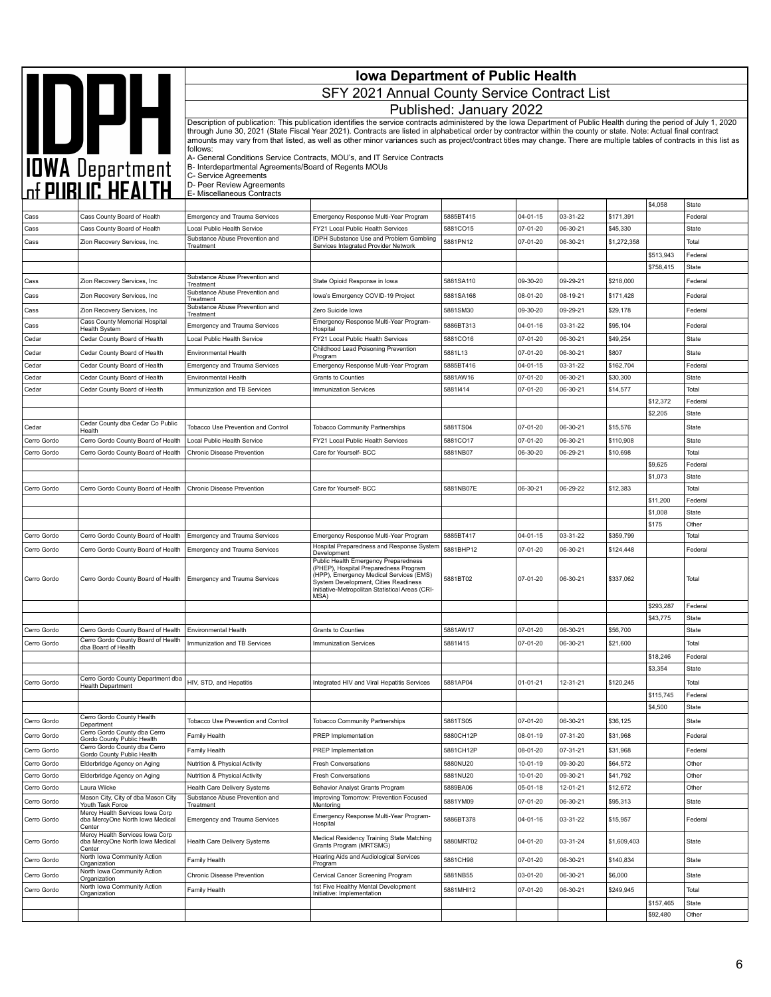|                            |                                                                                        | <b>Iowa Department of Public Health</b>                           |                                                                                                                                                                                                                                                                                                                                                                                                                                                                                                                    |                         |                      |                      |                       |           |                  |  |
|----------------------------|----------------------------------------------------------------------------------------|-------------------------------------------------------------------|--------------------------------------------------------------------------------------------------------------------------------------------------------------------------------------------------------------------------------------------------------------------------------------------------------------------------------------------------------------------------------------------------------------------------------------------------------------------------------------------------------------------|-------------------------|----------------------|----------------------|-----------------------|-----------|------------------|--|
|                            |                                                                                        |                                                                   | SFY 2021 Annual County Service Contract List                                                                                                                                                                                                                                                                                                                                                                                                                                                                       |                         |                      |                      |                       |           |                  |  |
|                            |                                                                                        |                                                                   |                                                                                                                                                                                                                                                                                                                                                                                                                                                                                                                    | Published: January 2022 |                      |                      |                       |           |                  |  |
|                            | <b>IDPH</b>                                                                            |                                                                   | Description of publication: This publication identifies the service contracts administered by the Iowa Department of Public Health during the period of July 1, 2020<br>through June 30, 2021 (State Fiscal Year 2021). Contracts are listed in alphabetical order by contractor within the county or state. Note: Actual final contract<br>amounts may vary from that listed, as well as other minor variances such as project/contract titles may change. There are multiple tables of contracts in this list as |                         |                      |                      |                       |           |                  |  |
|                            | <b>TOWA Department</b><br>Inf PUBLIC HEALTH                                            | follows:<br>B- Interdepartmental Agreements/Board of Regents MOUs | A- General Conditions Service Contracts, MOU's, and IT Service Contracts                                                                                                                                                                                                                                                                                                                                                                                                                                           |                         |                      |                      |                       |           |                  |  |
|                            |                                                                                        | C- Service Agreements<br>D- Peer Review Agreements                |                                                                                                                                                                                                                                                                                                                                                                                                                                                                                                                    |                         |                      |                      |                       |           |                  |  |
|                            |                                                                                        | E- Miscellaneous Contracts                                        |                                                                                                                                                                                                                                                                                                                                                                                                                                                                                                                    |                         |                      |                      |                       | \$4,058   | State            |  |
| Cass                       | Cass County Board of Health                                                            | <b>Emergency and Trauma Services</b>                              | Emergency Response Multi-Year Program                                                                                                                                                                                                                                                                                                                                                                                                                                                                              | 5885BT415               | 04-01-15             | 03-31-22             | \$171,391             |           | Federal          |  |
| Cass                       | Cass County Board of Health                                                            | Local Public Health Service                                       | FY21 Local Public Health Services                                                                                                                                                                                                                                                                                                                                                                                                                                                                                  | 5881CO15                | 07-01-20             | 06-30-21             | \$45,330              |           | State            |  |
| Cass                       | Zion Recovery Services, Inc.                                                           | Substance Abuse Prevention and<br>Treatment                       | IDPH Substance Use and Problem Gambling<br>Services Integrated Provider Network                                                                                                                                                                                                                                                                                                                                                                                                                                    | 5881PN12                | 07-01-20             | 06-30-21             | \$1,272,358           |           | Total            |  |
|                            |                                                                                        |                                                                   |                                                                                                                                                                                                                                                                                                                                                                                                                                                                                                                    |                         |                      |                      |                       | \$513,943 | Federal          |  |
|                            |                                                                                        | Substance Abuse Prevention and                                    |                                                                                                                                                                                                                                                                                                                                                                                                                                                                                                                    |                         |                      |                      |                       | \$758,415 | State            |  |
| Cass                       | Zion Recovery Services, Inc.                                                           | Treatment<br>Substance Abuse Prevention and                       | State Opioid Response in Iowa                                                                                                                                                                                                                                                                                                                                                                                                                                                                                      | 5881SA110               | 09-30-20             | 09-29-21             | \$218,000             |           | Federal          |  |
| Cass                       | Zion Recovery Services, Inc.                                                           | Treatment<br>Substance Abuse Prevention and                       | Iowa's Emergency COVID-19 Project                                                                                                                                                                                                                                                                                                                                                                                                                                                                                  | 5881SA168               | 08-01-20             | 08-19-21             | \$171,428             |           | Federal          |  |
| Cass                       | Zion Recovery Services, Inc.<br>Cass County Memorial Hospital                          | Treatment                                                         | Zero Suicide Iowa<br>Emergency Response Multi-Year Program-                                                                                                                                                                                                                                                                                                                                                                                                                                                        | 5881SM30                | 09-30-20             | 09-29-21             | \$29,178              |           | Federal          |  |
| Cass                       | Health System                                                                          | <b>Emergency and Trauma Services</b>                              | Hospital                                                                                                                                                                                                                                                                                                                                                                                                                                                                                                           | 5886BT313               | 04-01-16             | 03-31-22             | \$95,104              |           | Federal          |  |
| Cedar                      | Cedar County Board of Health                                                           | Local Public Health Service                                       | FY21 Local Public Health Services<br>Childhood Lead Poisoning Prevention                                                                                                                                                                                                                                                                                                                                                                                                                                           | 5881CO16                | 07-01-20             | 06-30-21             | \$49,254              |           | State            |  |
| Cedar                      | Cedar County Board of Health                                                           | <b>Environmental Health</b>                                       | Program                                                                                                                                                                                                                                                                                                                                                                                                                                                                                                            | 5881L13                 | 07-01-20             | 06-30-21             | \$807                 |           | State            |  |
| Cedar<br>Cedar             | Cedar County Board of Health<br>Cedar County Board of Health                           | <b>Emergency and Trauma Services</b><br>Environmental Health      | Emergency Response Multi-Year Program<br>Grants to Counties                                                                                                                                                                                                                                                                                                                                                                                                                                                        | 5885BT416<br>5881AW16   | 04-01-15<br>07-01-20 | 03-31-22<br>06-30-21 | \$162,704<br>\$30,300 |           | Federal<br>State |  |
| Cedar                      | Cedar County Board of Health                                                           | Immunization and TB Services                                      | <b>Immunization Services</b>                                                                                                                                                                                                                                                                                                                                                                                                                                                                                       | 58811414                | 07-01-20             | 06-30-21             | \$14,577              |           | Total            |  |
|                            |                                                                                        |                                                                   |                                                                                                                                                                                                                                                                                                                                                                                                                                                                                                                    |                         |                      |                      |                       | \$12,372  | Federal          |  |
|                            |                                                                                        |                                                                   |                                                                                                                                                                                                                                                                                                                                                                                                                                                                                                                    |                         |                      |                      |                       | \$2,205   | State            |  |
| Cedar                      | Cedar County dba Cedar Co Public<br>Health                                             | Tobacco Use Prevention and Control                                | <b>Tobacco Community Partnerships</b>                                                                                                                                                                                                                                                                                                                                                                                                                                                                              | 5881TS04                | 07-01-20             | 06-30-21             | \$15,576              |           | State            |  |
| Cerro Gordo                | Cerro Gordo County Board of Health                                                     | Local Public Health Service                                       | FY21 Local Public Health Services                                                                                                                                                                                                                                                                                                                                                                                                                                                                                  | 5881CO17                | 07-01-20             | 06-30-21             | \$110,908             |           | State            |  |
| Cerro Gordo                | Cerro Gordo County Board of Health                                                     | Chronic Disease Prevention                                        | Care for Yourself- BCC                                                                                                                                                                                                                                                                                                                                                                                                                                                                                             | 5881NB07                | 06-30-20             | 06-29-21             | \$10,698              | \$9,625   | Total<br>Federal |  |
|                            |                                                                                        |                                                                   |                                                                                                                                                                                                                                                                                                                                                                                                                                                                                                                    |                         |                      |                      |                       | \$1,073   | State            |  |
| Cerro Gordo                | Cerro Gordo County Board of Health                                                     | Chronic Disease Prevention                                        | Care for Yourself- BCC                                                                                                                                                                                                                                                                                                                                                                                                                                                                                             | 5881NB07E               | 06-30-21             | 06-29-22             | \$12,383              |           | Total            |  |
|                            |                                                                                        |                                                                   |                                                                                                                                                                                                                                                                                                                                                                                                                                                                                                                    |                         |                      |                      |                       | \$11,200  | Federal          |  |
|                            |                                                                                        |                                                                   |                                                                                                                                                                                                                                                                                                                                                                                                                                                                                                                    |                         |                      |                      |                       | \$1,008   | State            |  |
| Cerro Gordo                | Cerro Gordo County Board of Health                                                     | <b>Emergency and Trauma Services</b>                              | Emergency Response Multi-Year Program                                                                                                                                                                                                                                                                                                                                                                                                                                                                              | 5885BT417               | 04-01-15             | 03-31-22             | \$359,799             | \$175     | Other<br>Total   |  |
| Cerro Gordo                | Cerro Gordo County Board of Health                                                     | <b>Emergency and Trauma Services</b>                              | Hospital Preparedness and Response System                                                                                                                                                                                                                                                                                                                                                                                                                                                                          | 5881BHP12               | 07-01-20             | 06-30-21             | \$124,448             |           | Federal          |  |
| Cerro Gordo                | Cerro Gordo County Board of Health                                                     | <b>Emergency and Trauma Services</b>                              | Development<br>Public Health Emergency Preparedness<br>(PHEP), Hospital Preparedness Program<br>(HPP), Emergency Medical Services (EMS)<br>System Development, Cities Readiness<br>Initiative-Metropolitan Statistical Areas (CRI-<br>MSA)                                                                                                                                                                                                                                                                         | 5881BT02                | 07-01-20             | 06-30-21             | \$337,062             |           | Total            |  |
|                            |                                                                                        |                                                                   |                                                                                                                                                                                                                                                                                                                                                                                                                                                                                                                    |                         |                      |                      |                       | \$293,287 | Federal          |  |
|                            |                                                                                        |                                                                   |                                                                                                                                                                                                                                                                                                                                                                                                                                                                                                                    |                         |                      |                      |                       | \$43,775  | State            |  |
| Cerro Gordo                | Cerro Gordo County Board of Health<br>Cerro Gordo County Board of Health               | <b>Environmental Health</b>                                       | <b>Grants to Counties</b>                                                                                                                                                                                                                                                                                                                                                                                                                                                                                          | 5881AW17                | 07-01-20             | 06-30-21             | \$56,700              |           | State            |  |
| Cerro Gordo                | dba Board of Health                                                                    | Immunization and TB Services                                      | <b>Immunization Services</b>                                                                                                                                                                                                                                                                                                                                                                                                                                                                                       | 58811415                | 07-01-20             | 06-30-21             | \$21,600              | \$18,246  | Total<br>Federal |  |
|                            |                                                                                        |                                                                   |                                                                                                                                                                                                                                                                                                                                                                                                                                                                                                                    |                         |                      |                      |                       | \$3,354   | State            |  |
| Cerro Gordo                | Cerro Gordo County Department dba<br>Health Department                                 | HIV, STD, and Hepatitis                                           | Integrated HIV and Viral Hepatitis Services                                                                                                                                                                                                                                                                                                                                                                                                                                                                        | 5881AP04                | 01-01-21             | 12-31-21             | \$120,245             |           | Total            |  |
|                            |                                                                                        |                                                                   |                                                                                                                                                                                                                                                                                                                                                                                                                                                                                                                    |                         |                      |                      |                       | \$115,745 | Federal          |  |
|                            |                                                                                        |                                                                   |                                                                                                                                                                                                                                                                                                                                                                                                                                                                                                                    |                         |                      |                      |                       | \$4,500   | <b>State</b>     |  |
| Cerro Gordo                | Cerro Gordo County Health<br>Department                                                | Tobacco Use Prevention and Control                                | <b>Tobacco Community Partnerships</b>                                                                                                                                                                                                                                                                                                                                                                                                                                                                              | 5881TS05                | 07-01-20             | 06-30-21             | \$36,125              |           | State            |  |
| Cerro Gordo                | Cerro Gordo County dba Cerro<br>Gordo County Public Health                             | Family Health                                                     | PREP Implementation                                                                                                                                                                                                                                                                                                                                                                                                                                                                                                | 5880CH12P               | 08-01-19             | 07-31-20             | \$31,968              |           | Federal          |  |
| Cerro Gordo                | Cerro Gordo County dba Cerro<br>Gordo County Public Health                             | Family Health                                                     | <b>PREP Implementation</b>                                                                                                                                                                                                                                                                                                                                                                                                                                                                                         | 5881CH12P               | 08-01-20             | 07-31-21             | \$31,968              |           | Federal          |  |
| Cerro Gordo                | Elderbridge Agency on Aging                                                            | Nutrition & Physical Activity                                     | <b>Fresh Conversations</b>                                                                                                                                                                                                                                                                                                                                                                                                                                                                                         | 5880NU20                | 10-01-19             | 09-30-20             | \$64,572              |           | Other            |  |
| Cerro Gordo                | Elderbridge Agency on Aging                                                            | Nutrition & Physical Activity                                     | <b>Fresh Conversations</b>                                                                                                                                                                                                                                                                                                                                                                                                                                                                                         | 5881NU20                | 10-01-20             | 09-30-21             | \$41,792              |           | Other            |  |
| Cerro Gordo                | Laura Wilcke<br>Mason City, City of dba Mason City                                     | Health Care Delivery Systems<br>Substance Abuse Prevention and    | Behavior Analyst Grants Program<br>Improving Tomorrow: Prevention Focused                                                                                                                                                                                                                                                                                                                                                                                                                                          | 5889BA06<br>5881YM09    | 05-01-18<br>07-01-20 | 12-01-21<br>06-30-21 | \$12,672<br>\$95,313  |           | Other<br>State   |  |
| Cerro Gordo<br>Cerro Gordo | Youth Task Force<br>Mercy Health Services Iowa Corp<br>dba MercyOne North Iowa Medical | Treatment<br>Emergency and Trauma Services                        | Mentoring<br>Emergency Response Multi-Year Program-<br>Hospital                                                                                                                                                                                                                                                                                                                                                                                                                                                    | 5886BT378               | 04-01-16             | 03-31-22             | \$15,957              |           | Federal          |  |
| Cerro Gordo                | Center<br>Mercy Health Services Iowa Corp<br>dba MercyOne North Iowa Medical<br>Center | Health Care Delivery Systems                                      | Medical Residency Training State Matching<br>Grants Program (MRTSMG)                                                                                                                                                                                                                                                                                                                                                                                                                                               | 5880MRT02               | 04-01-20             | 03-31-24             | \$1,609,403           |           | State            |  |
| Cerro Gordo                | North Iowa Community Action<br>Organization                                            | Family Health                                                     | Hearing Aids and Audiological Services<br>Program                                                                                                                                                                                                                                                                                                                                                                                                                                                                  | 5881CH98                | 07-01-20             | 06-30-21             | \$140,834             |           | State            |  |
| Cerro Gordo                | North Iowa Community Action                                                            | Chronic Disease Prevention                                        | Cervical Cancer Screening Program                                                                                                                                                                                                                                                                                                                                                                                                                                                                                  | 5881NB55                | 03-01-20             | 06-30-21             | \$6,000               |           | State            |  |
| Cerro Gordo                | Organization<br>North Iowa Community Action                                            | Family Health                                                     | 1st Five Healthy Mental Development                                                                                                                                                                                                                                                                                                                                                                                                                                                                                | 5881MHI12               | 07-01-20             | 06-30-21             | \$249,945             |           | Total            |  |
|                            | Organization                                                                           |                                                                   | Initiative: Implementation                                                                                                                                                                                                                                                                                                                                                                                                                                                                                         |                         |                      |                      |                       | \$157,465 | State            |  |
|                            |                                                                                        |                                                                   |                                                                                                                                                                                                                                                                                                                                                                                                                                                                                                                    |                         |                      |                      |                       | \$92,480  | Other            |  |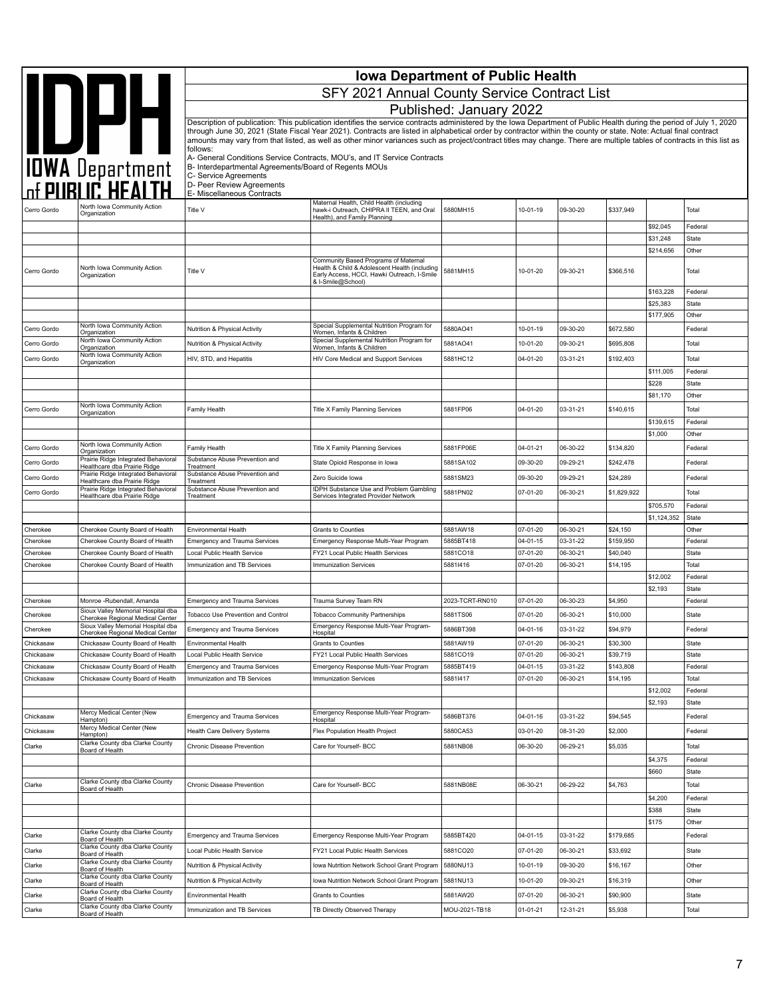|                        |                                                                        | <b>Iowa Department of Public Health</b>                           |                                                                                                                                                                                                                                                                                                                                                                                                                                                                                                                    |                         |                      |                      |                       |                       |                         |  |
|------------------------|------------------------------------------------------------------------|-------------------------------------------------------------------|--------------------------------------------------------------------------------------------------------------------------------------------------------------------------------------------------------------------------------------------------------------------------------------------------------------------------------------------------------------------------------------------------------------------------------------------------------------------------------------------------------------------|-------------------------|----------------------|----------------------|-----------------------|-----------------------|-------------------------|--|
|                        |                                                                        |                                                                   | SFY 2021 Annual County Service Contract List                                                                                                                                                                                                                                                                                                                                                                                                                                                                       |                         |                      |                      |                       |                       |                         |  |
|                        |                                                                        |                                                                   |                                                                                                                                                                                                                                                                                                                                                                                                                                                                                                                    | Published: January 2022 |                      |                      |                       |                       |                         |  |
|                        | <b>SALES AND SEPTEMBER 1999</b>                                        |                                                                   | Description of publication: This publication identifies the service contracts administered by the Iowa Department of Public Health during the period of July 1, 2020<br>through June 30, 2021 (State Fiscal Year 2021). Contracts are listed in alphabetical order by contractor within the county or state. Note: Actual final contract<br>amounts may vary from that listed, as well as other minor variances such as project/contract titles may change. There are multiple tables of contracts in this list as |                         |                      |                      |                       |                       |                         |  |
|                        |                                                                        | follows:<br>B- Interdepartmental Agreements/Board of Regents MOUs | A- General Conditions Service Contracts, MOU's, and IT Service Contracts                                                                                                                                                                                                                                                                                                                                                                                                                                           |                         |                      |                      |                       |                       |                         |  |
|                        |                                                                        | C- Service Agreements<br>D- Peer Review Agreements                |                                                                                                                                                                                                                                                                                                                                                                                                                                                                                                                    |                         |                      |                      |                       |                       |                         |  |
|                        | North Iowa Community Action                                            | E- Miscellaneous Contracts                                        | Maternal Health, Child Health (including                                                                                                                                                                                                                                                                                                                                                                                                                                                                           |                         |                      |                      |                       |                       |                         |  |
| Cerro Gordo            | Organization                                                           | Title V                                                           | hawk-i Outreach, CHIPRA II TEEN, and Oral<br>Health), and Family Planning                                                                                                                                                                                                                                                                                                                                                                                                                                          | 5880MH15                | 10-01-19             | 09-30-20             | \$337,949             |                       | Total                   |  |
|                        |                                                                        |                                                                   |                                                                                                                                                                                                                                                                                                                                                                                                                                                                                                                    |                         |                      |                      |                       | \$92,045<br>\$31,248  | Federal<br><b>State</b> |  |
|                        |                                                                        |                                                                   |                                                                                                                                                                                                                                                                                                                                                                                                                                                                                                                    |                         |                      |                      |                       | \$214,656             | Other                   |  |
| Cerro Gordo            | North Iowa Community Action<br>Organization                            | Title V                                                           | Community Based Programs of Maternal<br>Health & Child & Adolescent Health (including<br>Early Access, HCCI, Hawki Outreach, I-Smile<br>& I-Smile@School)                                                                                                                                                                                                                                                                                                                                                          | 5881MH15                | 10-01-20             | 09-30-21             | \$366,516             |                       | Total                   |  |
|                        |                                                                        |                                                                   |                                                                                                                                                                                                                                                                                                                                                                                                                                                                                                                    |                         |                      |                      |                       | \$163,228             | Federal                 |  |
|                        |                                                                        |                                                                   |                                                                                                                                                                                                                                                                                                                                                                                                                                                                                                                    |                         |                      |                      |                       | \$25,383<br>\$177,905 | <b>State</b><br>Other   |  |
| Cerro Gordo            | North Iowa Community Action                                            | Nutrition & Physical Activity                                     | Special Supplemental Nutrition Program for                                                                                                                                                                                                                                                                                                                                                                                                                                                                         | 5880AO41                | 10-01-19             | 09-30-20             | \$672,580             |                       | Federal                 |  |
| Cerro Gordo            | Organization<br>North Iowa Community Action                            | Nutrition & Physical Activity                                     | Women, Infants & Children<br>Special Supplemental Nutrition Program for                                                                                                                                                                                                                                                                                                                                                                                                                                            | 5881AO41                | 10-01-20             | 09-30-21             | \$695,808             |                       | Total                   |  |
| Cerro Gordo            | Organization<br>North Iowa Community Action                            | HIV, STD, and Hepatitis                                           | Women, Infants & Children<br>HIV Core Medical and Support Services                                                                                                                                                                                                                                                                                                                                                                                                                                                 | 5881HC12                | 04-01-20             | 03-31-21             | \$192,403             |                       | Total                   |  |
|                        | Organization                                                           |                                                                   |                                                                                                                                                                                                                                                                                                                                                                                                                                                                                                                    |                         |                      |                      |                       | \$111,005             | Federal                 |  |
|                        |                                                                        |                                                                   |                                                                                                                                                                                                                                                                                                                                                                                                                                                                                                                    |                         |                      |                      |                       | \$228                 | <b>State</b>            |  |
|                        | North Iowa Community Action                                            |                                                                   |                                                                                                                                                                                                                                                                                                                                                                                                                                                                                                                    |                         |                      |                      |                       | \$81,170              | Other                   |  |
| Cerro Gordo            | Organization                                                           | Family Health                                                     | <b>Title X Family Planning Services</b>                                                                                                                                                                                                                                                                                                                                                                                                                                                                            | 5881FP06                | 04-01-20             | 03-31-21             | \$140,615             |                       | Total                   |  |
|                        |                                                                        |                                                                   |                                                                                                                                                                                                                                                                                                                                                                                                                                                                                                                    |                         |                      |                      |                       | \$139,615<br>\$1,000  | Federal<br>Other        |  |
| Cerro Gordo            | North Iowa Community Action<br>Organization                            | Family Health                                                     | Title X Family Planning Services                                                                                                                                                                                                                                                                                                                                                                                                                                                                                   | 5881FP06E               | 04-01-21             | 06-30-22             | \$134,820             |                       | Federal                 |  |
| Cerro Gordo            | Prairie Ridge Integrated Behavioral<br>Healthcare dba Prairie Ridge    | Substance Abuse Prevention and<br>Treatment                       | State Opioid Response in Iowa                                                                                                                                                                                                                                                                                                                                                                                                                                                                                      | 5881SA102               | 09-30-20             | 09-29-21             | \$242,478             |                       | Federal                 |  |
| Cerro Gordo            | Prairie Ridge Integrated Behavioral<br>Healthcare dba Prairie Ridge    | Substance Abuse Prevention and<br>Treatment                       | Zero Suicide Iowa                                                                                                                                                                                                                                                                                                                                                                                                                                                                                                  | 5881SM23                | 09-30-20             | 09-29-21             | \$24,289              |                       | Federal                 |  |
| Cerro Gordo            | Prairie Ridge Integrated Behavioral<br>Healthcare dba Prairie Ridge    | Substance Abuse Prevention and<br>Treatment                       | <b>IDPH Substance Use and Problem Gambling</b><br>Services Integrated Provider Network                                                                                                                                                                                                                                                                                                                                                                                                                             | 5881PN02                | 07-01-20             | 06-30-21             | \$1,829,922           |                       | Total                   |  |
|                        |                                                                        |                                                                   |                                                                                                                                                                                                                                                                                                                                                                                                                                                                                                                    |                         |                      |                      |                       | \$705,570             | Federal                 |  |
|                        |                                                                        |                                                                   |                                                                                                                                                                                                                                                                                                                                                                                                                                                                                                                    |                         |                      |                      |                       | \$1,124,352           | State                   |  |
| Cherokee<br>Cherokee   | Cherokee County Board of Health<br>Cherokee County Board of Health     | Environmental Health<br><b>Emergency and Trauma Services</b>      | Grants to Counties<br>Emergency Response Multi-Year Program                                                                                                                                                                                                                                                                                                                                                                                                                                                        | 5881AW18<br>5885BT418   | 07-01-20<br>04-01-15 | 06-30-21<br>03-31-22 | \$24,150<br>\$159,950 |                       | Other<br>Federal        |  |
| Cherokee               | Cherokee County Board of Health                                        | Local Public Health Service                                       | FY21 Local Public Health Services                                                                                                                                                                                                                                                                                                                                                                                                                                                                                  | 5881CO18                | 07-01-20             | 06-30-21             | \$40,040              |                       | <b>State</b>            |  |
| Cherokee               | Cherokee County Board of Health                                        | Immunization and TB Services                                      | <b>Immunization Services</b>                                                                                                                                                                                                                                                                                                                                                                                                                                                                                       | 58811416                | 07-01-20             | 06-30-21             | \$14,195              |                       | Total                   |  |
|                        |                                                                        |                                                                   |                                                                                                                                                                                                                                                                                                                                                                                                                                                                                                                    |                         |                      |                      |                       | \$12,002<br>\$2,193   | Federal<br><b>State</b> |  |
| Cherokee               | Monroe -Rubendall, Amanda                                              | <b>Emergency and Trauma Services</b>                              | Trauma Survey Team RN                                                                                                                                                                                                                                                                                                                                                                                                                                                                                              | 2023-TCRT-RN010         | 07-01-20             | 06-30-23             | \$4,950               |                       | Federal                 |  |
| Cherokee               | Sioux Valley Memorial Hospital dba<br>Cherokee Regional Medical Center | Tobacco Use Prevention and Control                                | <b>Tobacco Community Partnerships</b>                                                                                                                                                                                                                                                                                                                                                                                                                                                                              | 5881TS06                | 07-01-20             | 06-30-21             | \$10,000              |                       | State                   |  |
| Cherokee               | Sioux Valley Memorial Hospital dba<br>Cherokee Regional Medical Center | Emergency and Trauma Services                                     | Emergency Response Multi-Year Program-<br>Hospital                                                                                                                                                                                                                                                                                                                                                                                                                                                                 | 2886R1388               | 04-01-16             | 03-31-22             | \$94,979              |                       | Federal                 |  |
| Chickasaw              | Chickasaw County Board of Health                                       | Environmental Health                                              | Grants to Counties                                                                                                                                                                                                                                                                                                                                                                                                                                                                                                 | 5881AW19                | 07-01-20             | 06-30-21             | \$30,300              |                       | State                   |  |
| Chickasaw              | Chickasaw County Board of Health                                       | Local Public Health Service                                       | FY21 Local Public Health Services                                                                                                                                                                                                                                                                                                                                                                                                                                                                                  | 5881CO19                | 07-01-20             | 06-30-21             | \$39,719              |                       | <b>State</b>            |  |
| Chickasaw<br>Chickasaw | Chickasaw County Board of Health<br>Chickasaw County Board of Health   | Emergency and Trauma Services<br>Immunization and TB Services     | Emergency Response Multi-Year Program<br><b>Immunization Services</b>                                                                                                                                                                                                                                                                                                                                                                                                                                              | 5885BT419<br>58811417   | 04-01-15<br>07-01-20 | 03-31-22<br>06-30-21 | \$143,808<br>\$14,195 |                       | Federal<br>Total        |  |
|                        |                                                                        |                                                                   |                                                                                                                                                                                                                                                                                                                                                                                                                                                                                                                    |                         |                      |                      |                       | \$12,002              | Federal                 |  |
|                        |                                                                        |                                                                   |                                                                                                                                                                                                                                                                                                                                                                                                                                                                                                                    |                         |                      |                      |                       | \$2,193               | State                   |  |
| Chickasaw              | Mercy Medical Center (New<br>Hampton)<br>Mercy Medical Center (New     | Emergency and Trauma Services                                     | Emergency Response Multi-Year Program-<br>Hospital                                                                                                                                                                                                                                                                                                                                                                                                                                                                 | 5886BT376               | 04-01-16             | 03-31-22             | \$94,545              |                       | Federal                 |  |
| Chickasaw              | Hampton)                                                               | Health Care Delivery Systems                                      | Flex Population Health Project                                                                                                                                                                                                                                                                                                                                                                                                                                                                                     | 5880CA53                | 03-01-20             | 08-31-20             | \$2,000               |                       | Federal                 |  |
| Clarke                 | Clarke County dba Clarke County<br>Board of Health                     | Chronic Disease Prevention                                        | Care for Yourself- BCC                                                                                                                                                                                                                                                                                                                                                                                                                                                                                             | 5881NB08                | 06-30-20             | 06-29-21             | \$5,035               | \$4,375               | Total<br>Federal        |  |
|                        |                                                                        |                                                                   |                                                                                                                                                                                                                                                                                                                                                                                                                                                                                                                    |                         |                      |                      |                       | \$660                 | State                   |  |
| Clarke                 | Clarke County dba Clarke County<br>Board of Health                     | Chronic Disease Prevention                                        | Care for Yourself- BCC                                                                                                                                                                                                                                                                                                                                                                                                                                                                                             | 5881NB08E               | 06-30-21             | 06-29-22             | \$4,763               |                       | Total                   |  |
|                        |                                                                        |                                                                   |                                                                                                                                                                                                                                                                                                                                                                                                                                                                                                                    |                         |                      |                      |                       | \$4,200<br>\$388      | Federal<br>State        |  |
|                        |                                                                        |                                                                   |                                                                                                                                                                                                                                                                                                                                                                                                                                                                                                                    |                         |                      |                      |                       | \$175                 | Other                   |  |
| Clarke                 | Clarke County dba Clarke County<br>Board of Health                     | Emergency and Trauma Services                                     | Emergency Response Multi-Year Program                                                                                                                                                                                                                                                                                                                                                                                                                                                                              | 5885BT420               | 04-01-15             | 03-31-22             | \$179,685             |                       | Federal                 |  |
| Clarke                 | Clarke County dba Clarke County<br>Board of Health                     | Local Public Health Service                                       | FY21 Local Public Health Services                                                                                                                                                                                                                                                                                                                                                                                                                                                                                  | 5881CO20                | 07-01-20             | 06-30-21             | \$33,692              |                       | State                   |  |
| Clarke                 | Clarke County dba Clarke County<br>Board of Health                     | Nutrition & Physical Activity                                     | Iowa Nutrition Network School Grant Program                                                                                                                                                                                                                                                                                                                                                                                                                                                                        | 5880NU13                | 10-01-19             | 09-30-20             | \$16,167              |                       | Other                   |  |
| Clarke                 | Clarke County dba Clarke County<br>Board of Health                     | Nutrition & Physical Activity                                     | Iowa Nutrition Network School Grant Program                                                                                                                                                                                                                                                                                                                                                                                                                                                                        | 5881NU13                | 10-01-20             | 09-30-21             | \$16,319              |                       | Other                   |  |
| Clarke                 | Clarke County dba Clarke County<br>Board of Health                     | Environmental Health                                              | Grants to Counties                                                                                                                                                                                                                                                                                                                                                                                                                                                                                                 | 5881AW20                | 07-01-20             | 06-30-21             | \$90,900              |                       | State                   |  |
| Clarke                 | Clarke County dba Clarke County<br>Board of Health                     | Immunization and TB Services                                      | TB Directly Observed Therapy                                                                                                                                                                                                                                                                                                                                                                                                                                                                                       | MOU-2021-TB18           | 01-01-21             | 12-31-21             | \$5,938               |                       | Total                   |  |
|                        |                                                                        |                                                                   |                                                                                                                                                                                                                                                                                                                                                                                                                                                                                                                    |                         |                      |                      |                       |                       |                         |  |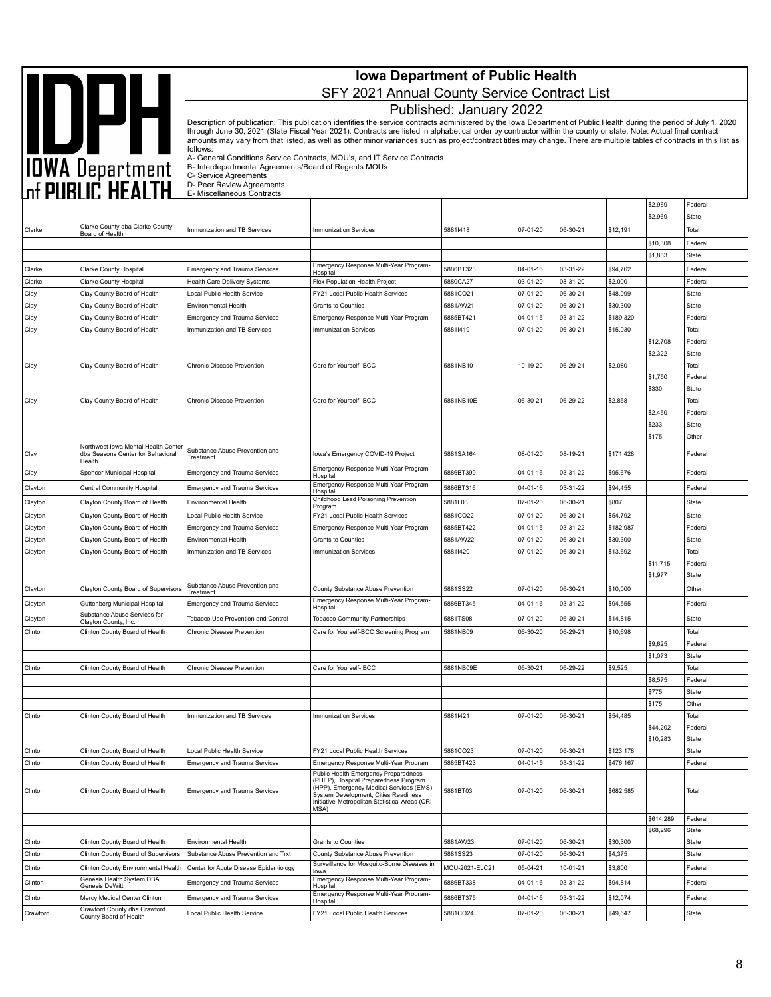|                     |                                                                                        | <b>Iowa Department of Public Health</b><br>SFY 2021 Annual County Service Contract List                     |                                                                                                                                                                                                                                                                                                                                                                                                                                                                                                                    |                         |                            |                      |                       |                     |                         |  |
|---------------------|----------------------------------------------------------------------------------------|-------------------------------------------------------------------------------------------------------------|--------------------------------------------------------------------------------------------------------------------------------------------------------------------------------------------------------------------------------------------------------------------------------------------------------------------------------------------------------------------------------------------------------------------------------------------------------------------------------------------------------------------|-------------------------|----------------------------|----------------------|-----------------------|---------------------|-------------------------|--|
|                     |                                                                                        |                                                                                                             |                                                                                                                                                                                                                                                                                                                                                                                                                                                                                                                    | Published: January 2022 |                            |                      |                       |                     |                         |  |
|                     |                                                                                        | follows:                                                                                                    | Description of publication: This publication identifies the service contracts administered by the Iowa Department of Public Health during the period of July 1, 2020<br>through June 30, 2021 (State Fiscal Year 2021). Contracts are listed in alphabetical order by contractor within the county or state. Note: Actual final contract<br>amounts may vary from that listed, as well as other minor variances such as project/contract titles may change. There are multiple tables of contracts in this list as |                         |                            |                      |                       |                     |                         |  |
|                     | <b>AND DEAL</b><br>TOWA Department<br>The PUBLIC HEALTH                                | B- Interdepartmental Agreements/Board of Regents MOUs<br>C- Service Agreements<br>D- Peer Review Agreements | A- General Conditions Service Contracts, MOU's, and IT Service Contracts                                                                                                                                                                                                                                                                                                                                                                                                                                           |                         |                            |                      |                       |                     |                         |  |
|                     |                                                                                        | E- Miscellaneous Contracts                                                                                  |                                                                                                                                                                                                                                                                                                                                                                                                                                                                                                                    |                         |                            |                      |                       | \$2,969             | Federal                 |  |
|                     |                                                                                        |                                                                                                             |                                                                                                                                                                                                                                                                                                                                                                                                                                                                                                                    |                         |                            |                      |                       | \$2,969             | <b>State</b>            |  |
| Clarke              | Clarke County dba Clarke County<br>Board of Health                                     | Immunization and TB Services                                                                                | Immunization Services                                                                                                                                                                                                                                                                                                                                                                                                                                                                                              | 58811418                | 07-01-20                   | 06-30-21             | \$12,191              | \$10,308            | Total<br>Federal        |  |
|                     |                                                                                        |                                                                                                             |                                                                                                                                                                                                                                                                                                                                                                                                                                                                                                                    |                         |                            |                      |                       | \$1,883             | <b>State</b>            |  |
| Clarke              | <b>Clarke County Hospital</b>                                                          | <b>Emergency and Trauma Services</b>                                                                        | Emergency Response Multi-Year Program-<br>Hospital                                                                                                                                                                                                                                                                                                                                                                                                                                                                 | 5886BT323               | 04-01-16                   | 03-31-22             | \$94,762              |                     | Federal                 |  |
| Clarke              | Clarke County Hospital                                                                 | Health Care Delivery Systems                                                                                | Flex Population Health Project                                                                                                                                                                                                                                                                                                                                                                                                                                                                                     | 5880CA27                | 03-01-20                   | 08-31-20             | \$2,000               |                     | Federal                 |  |
| Clay                | Clay County Board of Health                                                            | Local Public Health Service                                                                                 | FY21 Local Public Health Services                                                                                                                                                                                                                                                                                                                                                                                                                                                                                  | 5881CO21                | 07-01-20                   | 06-30-21             | \$48,099              |                     | <b>State</b>            |  |
| Clay                | Clay County Board of Health                                                            | <b>Environmental Health</b>                                                                                 | Grants to Counties                                                                                                                                                                                                                                                                                                                                                                                                                                                                                                 | 5881AW21                | 07-01-20                   | 06-30-21             | \$30,300              |                     | State                   |  |
| Clay                | Clay County Board of Health                                                            | <b>Emergency and Trauma Services</b>                                                                        | Emergency Response Multi-Year Program                                                                                                                                                                                                                                                                                                                                                                                                                                                                              | 5885BT421               | 04-01-15                   | 03-31-22             | \$189,320             |                     | Federal                 |  |
| Clay                | Clay County Board of Health                                                            | Immunization and TB Services                                                                                | <b>Immunization Services</b>                                                                                                                                                                                                                                                                                                                                                                                                                                                                                       | 58811419                | 07-01-20                   | 06-30-21             | \$15,030              |                     | Total                   |  |
|                     |                                                                                        |                                                                                                             |                                                                                                                                                                                                                                                                                                                                                                                                                                                                                                                    |                         |                            |                      |                       | \$12,708<br>\$2,322 | Federal<br>State        |  |
| Clay                | Clay County Board of Health                                                            | Chronic Disease Prevention                                                                                  | Care for Yourself- BCC                                                                                                                                                                                                                                                                                                                                                                                                                                                                                             | 5881NB10                | 10-19-20                   | 06-29-21             | \$2,080               |                     | Total                   |  |
|                     |                                                                                        |                                                                                                             |                                                                                                                                                                                                                                                                                                                                                                                                                                                                                                                    |                         |                            |                      |                       | \$1,750             | Federal                 |  |
|                     |                                                                                        |                                                                                                             |                                                                                                                                                                                                                                                                                                                                                                                                                                                                                                                    |                         |                            |                      |                       | \$330               | <b>State</b>            |  |
| Clay                | Clay County Board of Health                                                            | Chronic Disease Prevention                                                                                  | Care for Yourself- BCC                                                                                                                                                                                                                                                                                                                                                                                                                                                                                             | 5881NB10E               | 06-30-21                   | 06-29-22             | \$2,858               |                     | Total                   |  |
|                     |                                                                                        |                                                                                                             |                                                                                                                                                                                                                                                                                                                                                                                                                                                                                                                    |                         |                            |                      |                       | \$2,450             | Federal                 |  |
|                     |                                                                                        |                                                                                                             |                                                                                                                                                                                                                                                                                                                                                                                                                                                                                                                    |                         |                            |                      |                       | \$233               | <b>State</b>            |  |
| Clay                | Northwest Iowa Mental Health Center<br>dba Seasons Center for Behavioral               | Substance Abuse Prevention and<br>Treatment                                                                 | Iowa's Emergency COVID-19 Project                                                                                                                                                                                                                                                                                                                                                                                                                                                                                  | 5881SA164               | 08-01-20                   | 08-19-21             | \$171,428             | \$175               | Other<br>Federal        |  |
|                     | Health                                                                                 |                                                                                                             | Emergency Response Multi-Year Program-                                                                                                                                                                                                                                                                                                                                                                                                                                                                             |                         |                            |                      |                       |                     |                         |  |
| Clay<br>Clayton     | Spencer Municipal Hospital<br>Central Community Hospital                               | <b>Emergency and Trauma Services</b><br><b>Emergency and Trauma Services</b>                                | Hospital<br>Emergency Response Multi-Year Program-                                                                                                                                                                                                                                                                                                                                                                                                                                                                 | 5886BT399<br>5886BT316  | 04-01-16<br>04-01-16       | 03-31-22<br>03-31-22 | \$95,676<br>\$94,455  |                     | Federal<br>Federal      |  |
|                     | Clayton County Board of Health                                                         | Environmental Health                                                                                        | Hospital<br>Childhood Lead Poisoning Prevention                                                                                                                                                                                                                                                                                                                                                                                                                                                                    |                         |                            |                      |                       |                     |                         |  |
| Clayton             |                                                                                        |                                                                                                             |                                                                                                                                                                                                                                                                                                                                                                                                                                                                                                                    |                         |                            |                      |                       |                     |                         |  |
|                     |                                                                                        |                                                                                                             | Program                                                                                                                                                                                                                                                                                                                                                                                                                                                                                                            | 5881L03                 | 07-01-20                   | 06-30-21             | \$807                 |                     | State                   |  |
| Clayton             | Clayton County Board of Health                                                         | Local Public Health Service                                                                                 | FY21 Local Public Health Services                                                                                                                                                                                                                                                                                                                                                                                                                                                                                  | 5881CO22                | 07-01-20                   | 06-30-21             | \$54,792              |                     | State                   |  |
| Clayton             | Clayton County Board of Health<br>Clayton County Board of Health                       | <b>Emergency and Trauma Services</b><br><b>Environmental Health</b>                                         | Emergency Response Multi-Year Program<br><b>Grants to Counties</b>                                                                                                                                                                                                                                                                                                                                                                                                                                                 | 5885BT422<br>5881AW22   | $04 - 01 - 15$<br>07-01-20 | 03-31-22<br>06-30-21 | \$182,987<br>\$30,300 |                     | Federal<br><b>State</b> |  |
| Clayton<br>Clayton  | Clayton County Board of Health                                                         | Immunization and TB Services                                                                                | <b>Immunization Services</b>                                                                                                                                                                                                                                                                                                                                                                                                                                                                                       | 58811420                | 07-01-20                   | 06-30-21             | \$13,692              |                     | Total                   |  |
|                     |                                                                                        |                                                                                                             |                                                                                                                                                                                                                                                                                                                                                                                                                                                                                                                    |                         |                            |                      |                       | \$11,715            | Federal                 |  |
|                     |                                                                                        |                                                                                                             |                                                                                                                                                                                                                                                                                                                                                                                                                                                                                                                    |                         |                            |                      |                       | \$1,977             | <b>State</b>            |  |
| Clayton             | Clayton County Board of Supervisors                                                    | Substance Abuse Prevention and<br>Treatment                                                                 | County Substance Abuse Prevention                                                                                                                                                                                                                                                                                                                                                                                                                                                                                  | 5881SS22                | 07-01-20                   | 06-30-21             | \$10,000              |                     | Other                   |  |
| Clayton             | Guttenberg Municipal Hospital                                                          | <b>Emergency and Trauma Services</b>                                                                        | Emergency Response Multi-Year Program-<br>Hospital                                                                                                                                                                                                                                                                                                                                                                                                                                                                 | 5886BT345               | 04-01-16                   | 03-31-22             | \$94,555              |                     | Federal                 |  |
| Clayton             | Substance Abuse Services for                                                           | Tobacco Use Prevention and Control                                                                          | <b>Tobacco Community Partnerships</b>                                                                                                                                                                                                                                                                                                                                                                                                                                                                              | 5881TS08                | 07-01-20                   | 06-30-21             | \$14,815              |                     | <b>State</b>            |  |
| Clinton             | Clayton County, Inc.<br>Clinton County Board of Health                                 | Chronic Disease Prevention                                                                                  | Care for Yourself-BCC Screening Program                                                                                                                                                                                                                                                                                                                                                                                                                                                                            | 5881NB09                | 06-30-20                   | 06-29-21             | \$10,698              |                     | Total                   |  |
|                     |                                                                                        |                                                                                                             |                                                                                                                                                                                                                                                                                                                                                                                                                                                                                                                    |                         |                            |                      |                       | \$9,625             | Federal                 |  |
|                     |                                                                                        |                                                                                                             |                                                                                                                                                                                                                                                                                                                                                                                                                                                                                                                    |                         |                            |                      |                       | \$1,073             | State                   |  |
| Clinton             | Clinton County Board of Health                                                         | Chronic Disease Prevention                                                                                  | Care for Yourself- BCC                                                                                                                                                                                                                                                                                                                                                                                                                                                                                             | 5881NB09E               | 06-30-21                   | 06-29-22             | \$9,525               |                     | Total                   |  |
|                     |                                                                                        |                                                                                                             |                                                                                                                                                                                                                                                                                                                                                                                                                                                                                                                    |                         |                            |                      |                       | \$8,575             | Federal                 |  |
|                     |                                                                                        |                                                                                                             |                                                                                                                                                                                                                                                                                                                                                                                                                                                                                                                    |                         |                            |                      |                       | \$775               | <b>State</b>            |  |
| Clinton             | Clinton County Board of Health                                                         | Immunization and TB Services                                                                                | <b>Immunization Services</b>                                                                                                                                                                                                                                                                                                                                                                                                                                                                                       | 58811421                | 07-01-20                   | 06-30-21             | \$54,485              | \$175               | Other<br>Total          |  |
|                     |                                                                                        |                                                                                                             |                                                                                                                                                                                                                                                                                                                                                                                                                                                                                                                    |                         |                            |                      |                       | \$44,202            | Federal                 |  |
|                     |                                                                                        |                                                                                                             |                                                                                                                                                                                                                                                                                                                                                                                                                                                                                                                    |                         |                            |                      |                       | \$10,283            | State                   |  |
| Clinton             | Clinton County Board of Health                                                         | Local Public Health Service                                                                                 | FY21 Local Public Health Services                                                                                                                                                                                                                                                                                                                                                                                                                                                                                  | 5881CO23                | 07-01-20                   | 06-30-21             | \$123,178             |                     | <b>State</b>            |  |
| Clinton             | Clinton County Board of Health                                                         | <b>Emergency and Trauma Services</b>                                                                        | Emergency Response Multi-Year Program                                                                                                                                                                                                                                                                                                                                                                                                                                                                              | 5885BT423               | 04-01-15                   | 03-31-22             | \$476,167             |                     | Federal                 |  |
| Clinton             | Clinton County Board of Health                                                         | <b>Emergency and Trauma Services</b>                                                                        | Public Health Emergency Preparedness<br>(PHEP), Hospital Preparedness Program<br>(HPP), Emergency Medical Services (EMS)<br>System Development, Cities Readiness<br>Initiative-Metropolitan Statistical Areas (CRI-<br>MSA)                                                                                                                                                                                                                                                                                        | 5881BT03                | 07-01-20                   | 06-30-21             | \$682,585             |                     | Total                   |  |
|                     |                                                                                        |                                                                                                             |                                                                                                                                                                                                                                                                                                                                                                                                                                                                                                                    |                         |                            |                      |                       | \$614,289           | Federal                 |  |
|                     |                                                                                        |                                                                                                             |                                                                                                                                                                                                                                                                                                                                                                                                                                                                                                                    |                         |                            |                      |                       | \$68,296            | <b>State</b>            |  |
| Clinton             | Clinton County Board of Health                                                         | <b>Environmental Health</b>                                                                                 | Grants to Counties                                                                                                                                                                                                                                                                                                                                                                                                                                                                                                 | 5881AW23                | 07-01-20                   | 06-30-21             | \$30,300              |                     | State                   |  |
| Clinton             | Clinton County Board of Supervisors                                                    | Substance Abuse Prevention and Trxt                                                                         | County Substance Abuse Prevention<br>Surveillance for Mosquito-Borne Diseases in                                                                                                                                                                                                                                                                                                                                                                                                                                   | 5881SS23                | 07-01-20                   | 06-30-21             | \$4,375               |                     | <b>State</b>            |  |
| Clinton             | Clinton County Environmental Health<br>Genesis Health System DBA                       | Center for Acute Disease Epidemiology                                                                       | lowa<br>Emergency Response Multi-Year Program-                                                                                                                                                                                                                                                                                                                                                                                                                                                                     | MOU-2021-ELC21          | 05-04-21                   | 10-01-21             | \$3,800               |                     | Federal                 |  |
| Clinton             | Genesis DeWitt                                                                         | <b>Emergency and Trauma Services</b>                                                                        | Hospital                                                                                                                                                                                                                                                                                                                                                                                                                                                                                                           | 5886BT338               | 04-01-16                   | 03-31-22             | \$94,814              |                     | Federal                 |  |
| Clinton<br>Crawford | Mercy Medical Center Clinton<br>Crawford County dba Crawford<br>County Board of Health | <b>Emergency and Trauma Services</b><br>Local Public Health Service                                         | Emergency Response Multi-Year Program-<br>Hospital<br>FY21 Local Public Health Services                                                                                                                                                                                                                                                                                                                                                                                                                            | 5886BT375<br>5881CO24   | 04-01-16<br>07-01-20       | 03-31-22<br>06-30-21 | \$12,074<br>\$49,647  |                     | Federal<br><b>State</b> |  |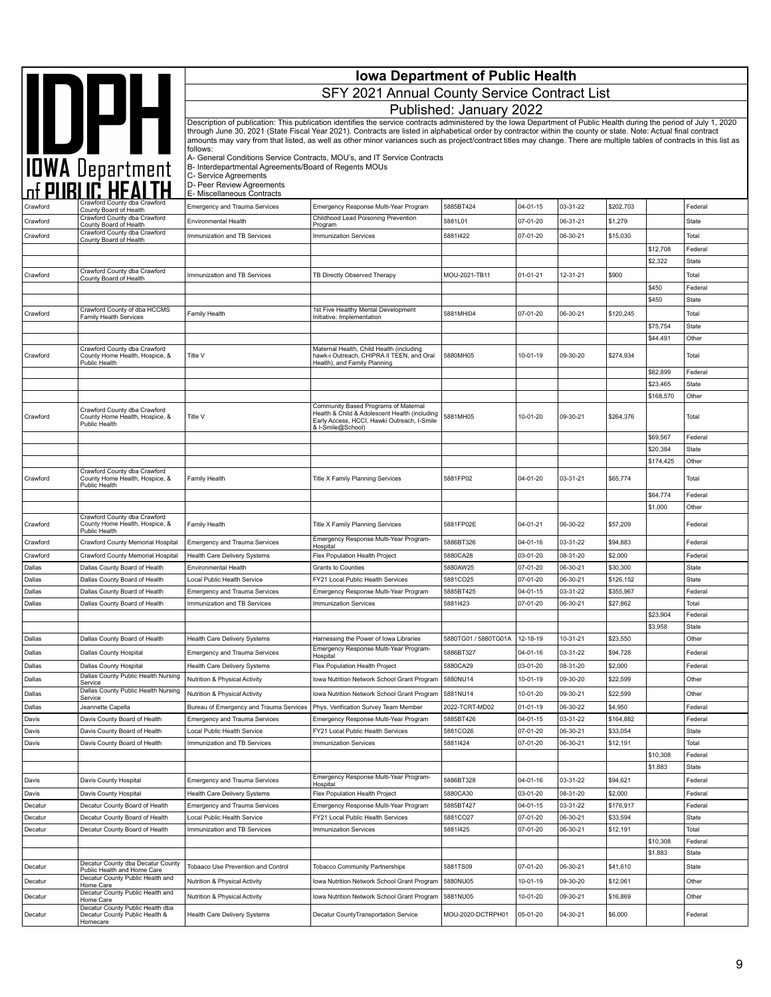|                    |                                                                                 | <b>Iowa Department of Public Health</b>                              |                                                                                                                                                                                                                                                                                                                                            |                               |                      |                      |                       |           |                  |  |
|--------------------|---------------------------------------------------------------------------------|----------------------------------------------------------------------|--------------------------------------------------------------------------------------------------------------------------------------------------------------------------------------------------------------------------------------------------------------------------------------------------------------------------------------------|-------------------------------|----------------------|----------------------|-----------------------|-----------|------------------|--|
|                    |                                                                                 |                                                                      | SFY 2021 Annual County Service Contract List                                                                                                                                                                                                                                                                                               |                               |                      |                      |                       |           |                  |  |
|                    |                                                                                 |                                                                      |                                                                                                                                                                                                                                                                                                                                            | Published: January 2022       |                      |                      |                       |           |                  |  |
|                    |                                                                                 |                                                                      | Description of publication: This publication identifies the service contracts administered by the Iowa Department of Public Health during the period of July 1, 2020                                                                                                                                                                       |                               |                      |                      |                       |           |                  |  |
|                    | IOWA Department                                                                 |                                                                      | through June 30, 2021 (State Fiscal Year 2021). Contracts are listed in alphabetical order by contractor within the county or state. Note: Actual final contract<br>amounts may vary from that listed, as well as other minor variances such as project/contract titles may change. There are multiple tables of contracts in this list as |                               |                      |                      |                       |           |                  |  |
|                    |                                                                                 | follows:<br>B- Interdepartmental Agreements/Board of Regents MOUs    | A- General Conditions Service Contracts, MOU's, and IT Service Contracts                                                                                                                                                                                                                                                                   |                               |                      |                      |                       |           |                  |  |
|                    |                                                                                 | C- Service Agreements<br>D- Peer Review Agreements                   |                                                                                                                                                                                                                                                                                                                                            |                               |                      |                      |                       |           |                  |  |
|                    | Crawford County dba Crawford                                                    | E- Miscellaneous Contracts                                           |                                                                                                                                                                                                                                                                                                                                            | 5885BT424                     |                      |                      |                       |           |                  |  |
| Crawford           | County Board of Health<br>Crawford County dba Crawford                          | <b>Emergency and Trauma Services</b>                                 | Emergency Response Multi-Year Program<br>Childhood Lead Poisoning Prevention                                                                                                                                                                                                                                                               |                               | 04-01-15             | 03-31-22             | \$202,703             |           | Federal          |  |
| Crawford           | County Board of Health<br>Crawford County dba Crawford                          | <b>Environmental Health</b>                                          | Program                                                                                                                                                                                                                                                                                                                                    | 5881L01                       | 07-01-20             | 06-31-21             | \$1,279               |           | State            |  |
| Crawford           | County Board of Health                                                          | Immunization and TB Services                                         | <b>Immunization Services</b>                                                                                                                                                                                                                                                                                                               | 58811422                      | 07-01-20             | 06-30-21             | \$15,030              | \$12,708  | Total<br>Federal |  |
|                    |                                                                                 |                                                                      |                                                                                                                                                                                                                                                                                                                                            |                               |                      |                      |                       | \$2,322   | <b>State</b>     |  |
| Crawford           | Crawford County dba Crawford                                                    | Immunization and TB Services                                         | TB Directly Observed Therapy                                                                                                                                                                                                                                                                                                               | MOU-2021-TB11                 | $01 - 01 - 21$       | 12-31-21             | \$900                 |           | Total            |  |
|                    | County Board of Health                                                          |                                                                      |                                                                                                                                                                                                                                                                                                                                            |                               |                      |                      |                       | \$450     | Federal          |  |
|                    |                                                                                 |                                                                      |                                                                                                                                                                                                                                                                                                                                            |                               |                      |                      |                       | \$450     | State            |  |
| Crawford           | Crawford County of dba HCCMS<br><b>Family Health Services</b>                   | Family Health                                                        | 1st Five Healthy Mental Development<br>Initiative: Implementation                                                                                                                                                                                                                                                                          | 5881MHI04                     | 07-01-20             | 06-30-21             | \$120,245             |           | Total            |  |
|                    |                                                                                 |                                                                      |                                                                                                                                                                                                                                                                                                                                            |                               |                      |                      |                       | \$75,754  | <b>State</b>     |  |
|                    | Crawford County dba Crawford                                                    |                                                                      | Maternal Health, Child Health (including                                                                                                                                                                                                                                                                                                   |                               |                      |                      |                       | \$44,491  | Other            |  |
| Crawford           | County Home Health, Hospice, &<br>Public Health                                 | Title V                                                              | hawk-i Outreach, CHIPRA II TEEN, and Oral<br>Health), and Family Planning                                                                                                                                                                                                                                                                  | 5880MH05                      | 10-01-19             | 09-30-20             | \$274,934             |           | Total            |  |
|                    |                                                                                 |                                                                      |                                                                                                                                                                                                                                                                                                                                            |                               |                      |                      |                       | \$82,899  | Federal          |  |
|                    |                                                                                 |                                                                      |                                                                                                                                                                                                                                                                                                                                            |                               |                      |                      |                       | \$23,465  | <b>State</b>     |  |
|                    |                                                                                 |                                                                      | Community Based Programs of Maternal                                                                                                                                                                                                                                                                                                       |                               |                      |                      |                       | \$168,570 | Other            |  |
| Crawford           | Crawford County dba Crawford<br>County Home Health, Hospice, &<br>Public Health | Title V                                                              | Health & Child & Adolescent Health (including<br>Early Access, HCCI, Hawki Outreach, I-Smile<br>& I-Smile@School)                                                                                                                                                                                                                          | 5881MH05                      | 10-01-20             | 09-30-21             | \$264,376             |           | Total            |  |
|                    |                                                                                 |                                                                      |                                                                                                                                                                                                                                                                                                                                            |                               |                      |                      |                       | \$69,567  | Federal          |  |
|                    |                                                                                 |                                                                      |                                                                                                                                                                                                                                                                                                                                            |                               |                      |                      |                       | \$20,384  | State            |  |
|                    | Crawford County dba Crawford                                                    |                                                                      |                                                                                                                                                                                                                                                                                                                                            |                               |                      |                      |                       | \$174,425 | Other            |  |
| Crawford           | County Home Health, Hospice, &<br>Public Health                                 | Family Health                                                        | Title X Family Planning Services                                                                                                                                                                                                                                                                                                           | 5881FP02                      | 04-01-20             | 03-31-21             | \$65,774              | \$64,774  | Total<br>Federal |  |
|                    |                                                                                 |                                                                      |                                                                                                                                                                                                                                                                                                                                            |                               |                      |                      |                       | \$1,000   | Other            |  |
| Crawford           | Crawford County dba Crawford<br>County Home Health, Hospice, &<br>Public Health | Family Health                                                        | Title X Family Planning Services                                                                                                                                                                                                                                                                                                           | 5881FP02E                     | 04-01-21             | 06-30-22             | \$57,209              |           | Federal          |  |
| Crawford           | Crawford County Memorial Hospital                                               | <b>Emergency and Trauma Services</b>                                 | Emergency Response Multi-Year Program-<br>Hospital                                                                                                                                                                                                                                                                                         | 5886BT326                     | 04-01-16             | 03-31-22             | \$94,883              |           | Federal          |  |
| Crawford           | Crawford County Memorial Hospital                                               | <b>Health Care Delivery Systems</b>                                  | Flex Population Health Project                                                                                                                                                                                                                                                                                                             | 5880CA28                      | 03-01-20             | 08-31-20             | \$2,000               |           | Federal          |  |
| Dallas             | Dallas County Board of Health                                                   | Environmental Health                                                 | Grants to Counties                                                                                                                                                                                                                                                                                                                         | 5880AW25                      | 07-01-20             | 06-30-21             | \$30,300              |           | State            |  |
| Dallas             | Dallas County Board of Health                                                   | Local Public Health Service                                          | FY21 Local Public Health Services                                                                                                                                                                                                                                                                                                          | 5881CO25                      | 07-01-20             | 06-30-21             | \$126,152             |           | State            |  |
| Dallas<br>Dallas   | Dallas County Board of Health<br>Dallas County Board of Health                  | <b>Emergency and Trauma Services</b><br>Immunization and TB Services | Emergency Response Multi-Year Program<br><b>Immunization Services</b>                                                                                                                                                                                                                                                                      | 5885BT425<br>58811423         | 04-01-15<br>07-01-20 | 03-31-22<br>06-30-21 | \$355,967<br>\$27,862 |           | Federal<br>Total |  |
|                    |                                                                                 |                                                                      |                                                                                                                                                                                                                                                                                                                                            |                               |                      |                      |                       | \$23,904  | Federal          |  |
|                    |                                                                                 |                                                                      |                                                                                                                                                                                                                                                                                                                                            |                               |                      |                      |                       | \$3,958   | <b>State</b>     |  |
| Dallas             | Dallas County Board of Health                                                   | Health Care Delivery Systems                                         | Harnessing the Power of Iowa Libraries                                                                                                                                                                                                                                                                                                     | 5880TG01 / 5880TG01A          | 12-18-19             | 10-31-21             | \$23,550              |           | Other            |  |
| Dallas             | Dallas County Hospital                                                          | <b>Emergency and Trauma Services</b>                                 | Emergency Response Multi-Year Program-<br>Hospital                                                                                                                                                                                                                                                                                         | 5886BT327                     | 04-01-16             | 03-31-22             | \$94,728              |           | Federal          |  |
| Dallas             | Dallas County Hospital                                                          | Health Care Delivery Systems                                         | Flex Population Health Project                                                                                                                                                                                                                                                                                                             | 5880CA29                      | 03-01-20             | 08-31-20             | \$2,000               |           | Federal          |  |
| Dallas             | Dallas County Public Health Nursing<br>Service                                  | Nutrition & Physical Activity                                        | Iowa Nutrition Network School Grant Program                                                                                                                                                                                                                                                                                                | 5880NU14                      | 10-01-19             | 09-30-20             | \$22,599              |           | Other            |  |
| Dallas             | Dallas County Public Health Nursing<br>Service                                  | Nutrition & Physical Activity                                        | Iowa Nutrition Network School Grant Program                                                                                                                                                                                                                                                                                                | 5881NU14                      | 10-01-20             | 09-30-21             | \$22,599              |           | Other            |  |
| Dallas             | Jeannette Capella                                                               | Bureau of Emergency and Trauma Services                              | Phys. Verification Survey Team Member                                                                                                                                                                                                                                                                                                      | 2022-TCRT-MD02                | 01-01-19             | 06-30-22             | \$4,950               |           | Federal          |  |
| Davis              | Davis County Board of Health                                                    | Emergency and Trauma Services                                        | Emergency Response Multi-Year Program                                                                                                                                                                                                                                                                                                      | 5885BT426                     | 04-01-15             | 03-31-22             | \$164,882             |           | Federal          |  |
| Davis              | Davis County Board of Health                                                    | Local Public Health Service                                          | FY21 Local Public Health Services                                                                                                                                                                                                                                                                                                          | 5881CO26                      | 07-01-20             | 06-30-21             | \$33,054              |           | State            |  |
| Davis              | Davis County Board of Health                                                    | Immunization and TB Services                                         | <b>Immunization Services</b>                                                                                                                                                                                                                                                                                                               | 58811424                      | 07-01-20             | 06-30-21             | \$12,191              | \$10,308  | Total<br>Federal |  |
|                    |                                                                                 |                                                                      |                                                                                                                                                                                                                                                                                                                                            |                               |                      |                      |                       | \$1,883   | State            |  |
| Davis              | Davis County Hospital                                                           | <b>Emergency and Trauma Services</b>                                 | Emergency Response Multi-Year Program-                                                                                                                                                                                                                                                                                                     | 5886BT328                     | 04-01-16             | 03-31-22             | \$94,621              |           | Federal          |  |
| Davis              | Davis County Hospital                                                           | Health Care Delivery Systems                                         | Hospital<br>Flex Population Health Project                                                                                                                                                                                                                                                                                                 | 5880CA30                      | 03-01-20             | 08-31-20             | \$2,000               |           | Federal          |  |
| Decatur            | Decatur County Board of Health                                                  | <b>Emergency and Trauma Services</b>                                 | Emergency Response Multi-Year Program                                                                                                                                                                                                                                                                                                      | 5885BT427                     | 04-01-15             | 03-31-22             | \$176,917             |           | Federal          |  |
| Decatur            | Decatur County Board of Health                                                  | Local Public Health Service                                          | FY21 Local Public Health Services                                                                                                                                                                                                                                                                                                          | 5881CO27                      | 07-01-20             | 06-30-21             | \$33,594              |           | State            |  |
| Decatur            | Decatur County Board of Health                                                  | Immunization and TB Services                                         | <b>Immunization Services</b>                                                                                                                                                                                                                                                                                                               | 58811425                      | 07-01-20             | 06-30-21             | \$12,191              |           | Total            |  |
|                    |                                                                                 |                                                                      |                                                                                                                                                                                                                                                                                                                                            |                               |                      |                      |                       | \$10,308  | Federal          |  |
|                    | Decatur County dba Decatur County                                               |                                                                      |                                                                                                                                                                                                                                                                                                                                            |                               |                      | 06-30-21             |                       | \$1,883   | State            |  |
| Decatur            | Public Health and Home Care<br>Decatur County Public Health and                 | Tobaaco Use Prevention and Control                                   | <b>Tobacco Community Partnerships</b>                                                                                                                                                                                                                                                                                                      | 5881TS09                      | 07-01-20             |                      | \$41,610              |           | State            |  |
| Decatur            | Home Care<br>Decatur County Public Health and                                   | Nutrition & Physical Activity                                        | Iowa Nutrition Network School Grant Program                                                                                                                                                                                                                                                                                                | 5880NU05                      | 10-01-19             | 09-30-20             | \$12,061              |           | Other            |  |
| Decatur<br>Decatur | Home Care<br>Decatur County Public Health dba<br>Decatur County Public Health & | Nutrition & Physical Activity<br>Health Care Delivery Systems        | Iowa Nutrition Network School Grant Program<br>Decatur CountyTransportation Service                                                                                                                                                                                                                                                        | 5881NU05<br>MOU-2020-DCTRPH01 | 10-01-20<br>05-01-20 | 09-30-21<br>04-30-21 | \$16,869<br>\$6,000   |           | Other<br>Federal |  |
|                    | Homecare                                                                        |                                                                      |                                                                                                                                                                                                                                                                                                                                            |                               |                      |                      |                       |           |                  |  |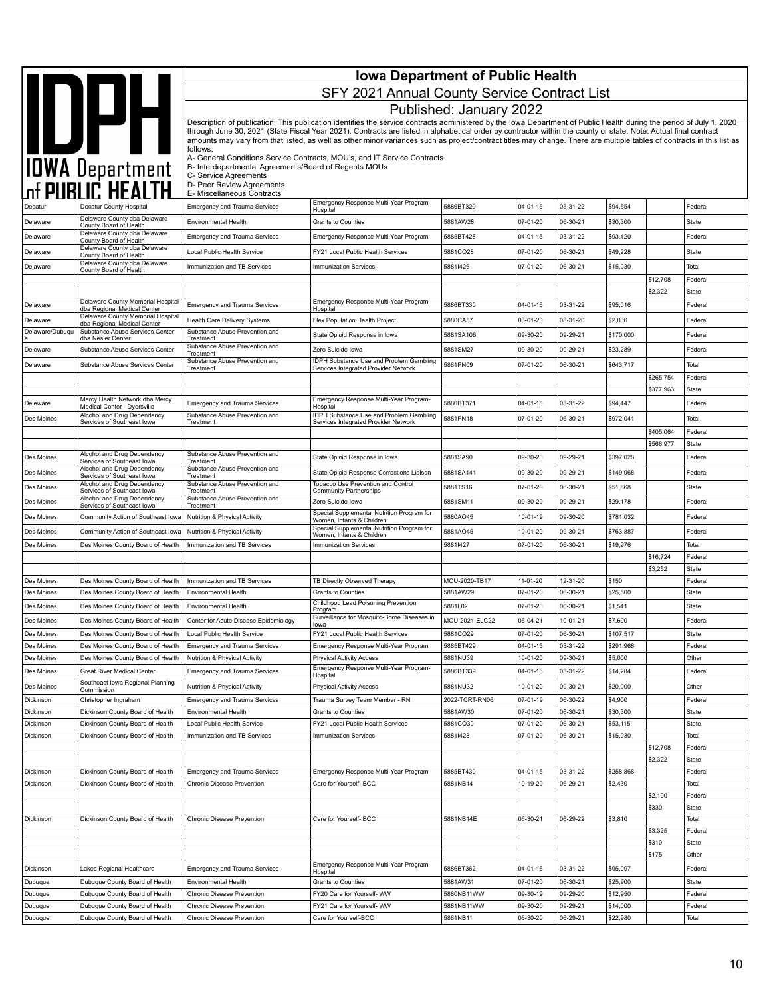|                             |                                                                                         | <b>Iowa Department of Public Health</b>                                        |                                                                                                                                                                                                                                                                                                                                            |                            |                      |                      |                      |                        |                       |
|-----------------------------|-----------------------------------------------------------------------------------------|--------------------------------------------------------------------------------|--------------------------------------------------------------------------------------------------------------------------------------------------------------------------------------------------------------------------------------------------------------------------------------------------------------------------------------------|----------------------------|----------------------|----------------------|----------------------|------------------------|-----------------------|
|                             | IOWA Department                                                                         |                                                                                | SFY 2021 Annual County Service Contract List                                                                                                                                                                                                                                                                                               |                            |                      |                      |                      |                        |                       |
|                             |                                                                                         |                                                                                |                                                                                                                                                                                                                                                                                                                                            | Published: January 2022    |                      |                      |                      |                        |                       |
|                             |                                                                                         |                                                                                | Description of publication: This publication identifies the service contracts administered by the Iowa Department of Public Health during the period of July 1, 2020                                                                                                                                                                       |                            |                      |                      |                      |                        |                       |
|                             |                                                                                         |                                                                                | through June 30, 2021 (State Fiscal Year 2021). Contracts are listed in alphabetical order by contractor within the county or state. Note: Actual final contract<br>amounts may vary from that listed, as well as other minor variances such as project/contract titles may change. There are multiple tables of contracts in this list as |                            |                      |                      |                      |                        |                       |
|                             |                                                                                         | follows:                                                                       | A- General Conditions Service Contracts, MOU's, and IT Service Contracts                                                                                                                                                                                                                                                                   |                            |                      |                      |                      |                        |                       |
|                             |                                                                                         | B- Interdepartmental Agreements/Board of Regents MOUs<br>C- Service Agreements |                                                                                                                                                                                                                                                                                                                                            |                            |                      |                      |                      |                        |                       |
|                             |                                                                                         | D- Peer Review Agreements                                                      |                                                                                                                                                                                                                                                                                                                                            |                            |                      |                      |                      |                        |                       |
| Decatur                     | Decatur County Hospital                                                                 | E- Miscellaneous Contracts<br><b>Emergency and Trauma Services</b>             | Emergency Response Multi-Year Program-                                                                                                                                                                                                                                                                                                     | 5886BT329                  | 04-01-16             | 03-31-22             | \$94,554             |                        | Federal               |
| Delaware                    | Delaware County dba Delaware                                                            | <b>Environmental Health</b>                                                    | Hospital<br><b>Grants to Counties</b>                                                                                                                                                                                                                                                                                                      | 5881AW28                   | 07-01-20             | 06-30-21             | \$30,300             |                        | State                 |
| Delaware                    | County Board of Health<br>Delaware County dba Delaware<br>County Board of Health        | <b>Emergency and Trauma Services</b>                                           | Emergency Response Multi-Year Program                                                                                                                                                                                                                                                                                                      | 5885BT428                  | $04 - 01 - 15$       | 03-31-22             | \$93,420             |                        | Federal               |
| Delaware                    | Delaware County dba Delaware<br>County Board of Health                                  | Local Public Health Service                                                    | FY21 Local Public Health Services                                                                                                                                                                                                                                                                                                          | 5881CO28                   | 07-01-20             | 06-30-21             | \$49,228             |                        | State                 |
| Delaware                    | Delaware County dba Delaware<br>County Board of Health                                  | Immunization and TB Services                                                   | <b>Immunization Services</b>                                                                                                                                                                                                                                                                                                               | 58811426                   | 07-01-20             | 06-30-21             | \$15,030             |                        | Total                 |
|                             |                                                                                         |                                                                                |                                                                                                                                                                                                                                                                                                                                            |                            |                      |                      |                      | \$12,708               | Federal               |
|                             | Delaware County Memorial Hospital                                                       |                                                                                | Emergency Response Multi-Year Program-                                                                                                                                                                                                                                                                                                     |                            |                      |                      |                      | \$2,322                | <b>State</b>          |
| Delaware                    | dba Regional Medical Center<br>Delaware County Memorial Hospital                        | <b>Emergency and Trauma Services</b><br><b>Health Care Delivery Systems</b>    | Hospital                                                                                                                                                                                                                                                                                                                                   | 5886BT330<br>5880CA57      | 04-01-16<br>03-01-20 | 03-31-22<br>08-31-20 | \$95,016<br>\$2,000  |                        | Federal               |
| Delaware<br>Delaware/Dubuqu | dba Regional Medical Center<br>Substance Abuse Services Center                          | Substance Abuse Prevention and                                                 | Flex Population Health Project<br>State Opioid Response in lowa                                                                                                                                                                                                                                                                            | 5881SA106                  | 09-30-20             | 09-29-21             | \$170,000            |                        | Federal<br>Federal    |
| Deleware                    | dba Nesler Center<br>Substance Abuse Services Center                                    | Treatment<br>Substance Abuse Prevention and                                    | Zero Suicide Iowa                                                                                                                                                                                                                                                                                                                          | 5881SM27                   | 09-30-20             | 09-29-21             | \$23,289             |                        | Federal               |
| Delaware                    | Substance Abuse Services Center                                                         | Treatment<br>Substance Abuse Prevention and                                    | IDPH Substance Use and Problem Gambling                                                                                                                                                                                                                                                                                                    | 5881PN09                   | 07-01-20             | 06-30-21             | \$643,717            |                        | Total                 |
|                             |                                                                                         | Treatment                                                                      | Services Integrated Provider Network                                                                                                                                                                                                                                                                                                       |                            |                      |                      |                      | \$265,754              | Federal               |
|                             |                                                                                         |                                                                                |                                                                                                                                                                                                                                                                                                                                            |                            |                      |                      |                      | \$377,963              | State                 |
| Deleware                    | Mercy Health Network dba Mercy<br>Medical Center - Dyersville                           | <b>Emergency and Trauma Services</b>                                           | Emergency Response Multi-Year Program-<br>Hospital                                                                                                                                                                                                                                                                                         | 5886BT371                  | 04-01-16             | 03-31-22             | \$94,447             |                        | Federal               |
| Des Moines                  | Alcohol and Drug Dependency<br>Services of Southeast lowa                               | Substance Abuse Prevention and<br>Treatment                                    | IDPH Substance Use and Problem Gambling<br>Services Integrated Provider Network                                                                                                                                                                                                                                                            | 5881PN18                   | 07-01-20             | 06-30-21             | \$972,041            |                        | Total                 |
|                             |                                                                                         |                                                                                |                                                                                                                                                                                                                                                                                                                                            |                            |                      |                      |                      | \$405,064<br>\$566,977 | Federal<br>State      |
| Des Moines                  | Alcohol and Drug Dependency                                                             | Substance Abuse Prevention and<br>Treatment                                    | State Opioid Response in lowa                                                                                                                                                                                                                                                                                                              | 5881SA90                   | 09-30-20             | 09-29-21             | \$397,028            |                        | Federal               |
| Des Moines                  | Services of Southeast Iowa<br>Alcohol and Drug Dependency<br>Services of Southeast Iowa | Substance Abuse Prevention and<br>Treatment                                    | State Opioid Response Corrections Liaison                                                                                                                                                                                                                                                                                                  | 5881SA141                  | 09-30-20             | 09-29-21             | \$149,968            |                        | Federal               |
| Des Moines                  | Alcohol and Drug Dependency<br>Services of Southeast Iowa                               | Substance Abuse Prevention and<br>Treatment                                    | Tobacco Use Prevention and Control<br><b>Community Partnerships</b>                                                                                                                                                                                                                                                                        | 5881TS16                   | 07-01-20             | 06-30-21             | \$51,868             |                        | State                 |
| Des Moines                  | Alcohol and Drug Dependency<br>Services of Southeast lowa                               | Substance Abuse Prevention and<br>Treatment                                    | Zero Suicide Iowa                                                                                                                                                                                                                                                                                                                          | 5881SM11                   | 09-30-20             | 09-29-21             | \$29,178             |                        | Federal               |
| Des Moines                  | Community Action of Southeast lowa                                                      | Nutrition & Physical Activity                                                  | Special Supplemental Nutrition Program for<br>Women, Infants & Children                                                                                                                                                                                                                                                                    | 5880AO45                   | 10-01-19             | 09-30-20             | \$781,032            |                        | Federal               |
| Des Moines                  | Community Action of Southeast lowa                                                      | Nutrition & Physical Activity                                                  | Special Supplemental Nutrition Program for<br>Women, Infants & Children                                                                                                                                                                                                                                                                    | 5881AO45                   | 10-01-20             | 09-30-21             | \$763,887            |                        | Federal               |
| Des Moines                  | Des Moines County Board of Health                                                       | Immunization and TB Services                                                   | <b>Immunization Services</b>                                                                                                                                                                                                                                                                                                               | 58811427                   | 07-01-20             | 06-30-21             | \$19,976             |                        | Total                 |
|                             |                                                                                         |                                                                                |                                                                                                                                                                                                                                                                                                                                            |                            |                      |                      |                      | \$16,724<br>\$3,252    | Federal<br>State      |
| Des Moines                  | Des Moines County Board of Health                                                       | Immunization and TB Services                                                   | TB Directly Observed Therapy                                                                                                                                                                                                                                                                                                               | MOU-2020-TB17              | 11-01-20             | 12-31-20             | \$150                |                        | Federal               |
| Des Moines                  | Des Moines County Board of Health                                                       | <b>Environmental Health</b>                                                    | <b>Grants to Counties</b>                                                                                                                                                                                                                                                                                                                  | 5881AW29                   | 07-01-20             | 06-30-21             | \$25,500             |                        | <b>State</b>          |
| Des Moines                  | Des Moines County Board of Health                                                       | Environmental Health                                                           | Childhood Lead Poisoning Prevention<br>Program<br>Surveillance for Mosquito-Borne Diseases in                                                                                                                                                                                                                                              | 5881L02                    | 07-01-20             | 06-30-21             | \$1,541              |                        | <b>State</b>          |
| Des Moines<br>Des Moines    | Des Moines County Board of Health<br>Des Moines County Board of Health                  | Center for Acute Disease Epidemiology<br>Local Public Health Service           | lowa<br>FY21 Local Public Health Services                                                                                                                                                                                                                                                                                                  | MOU-2021-ELC22<br>5881CO29 | 05-04-21<br>07-01-20 | 10-01-21<br>06-30-21 | \$7,600<br>\$107,517 |                        | Federal<br>State      |
| Des Moines                  | Des Moines County Board of Health                                                       | <b>Emergency and Trauma Services</b>                                           | Emergency Response Multi-Year Program                                                                                                                                                                                                                                                                                                      | 5885BT429                  | 04-01-15             | 03-31-22             | \$291,968            |                        | Federal               |
| Des Moines                  | Des Moines County Board of Health                                                       | Nutrition & Physical Activity                                                  | <b>Physical Activity Access</b>                                                                                                                                                                                                                                                                                                            | 5881NU39                   | 10-01-20             | 09-30-21             | \$5,000              |                        | Other                 |
| Des Moines                  | <b>Great River Medical Center</b>                                                       | <b>Emergency and Trauma Services</b>                                           | Emergency Response Multi-Year Program-<br>Hospital                                                                                                                                                                                                                                                                                         | 5886BT339                  | 04-01-16             | 03-31-22             | \$14,284             |                        | Federal               |
| Des Moines                  | Southeast Iowa Regional Planning<br>Commission                                          | Nutrition & Physical Activity                                                  | <b>Physical Activity Access</b>                                                                                                                                                                                                                                                                                                            | 5881NU32                   | 10-01-20             | 09-30-21             | \$20,000             |                        | Other                 |
| Dickinson<br>Dickinson      | Christopher Ingraham<br>Dickinson County Board of Health                                | <b>Emergency and Trauma Services</b><br>Environmental Health                   | Trauma Survey Team Member - RN<br>Grants to Counties                                                                                                                                                                                                                                                                                       | 2022-TCRT-RN06<br>5881AW30 | 07-01-19<br>07-01-20 | 06-30-22<br>06-30-21 | \$4,900<br>\$30,300  |                        | Federal<br>State      |
| Dickinson                   | Dickinson County Board of Health                                                        | Local Public Health Service                                                    | FY21 Local Public Health Services                                                                                                                                                                                                                                                                                                          | 5881CO30                   | 07-01-20             | 06-30-21             | \$53,115             |                        | State                 |
| Dickinson                   | Dickinson County Board of Health                                                        | Immunization and TB Services                                                   | <b>Immunization Services</b>                                                                                                                                                                                                                                                                                                               | 58811428                   | 07-01-20             | 06-30-21             | \$15,030             |                        | Total                 |
|                             |                                                                                         |                                                                                |                                                                                                                                                                                                                                                                                                                                            |                            |                      |                      |                      | \$12,708<br>\$2,322    | Federal<br>State      |
| Dickinson                   | Dickinson County Board of Health                                                        | <b>Emergency and Trauma Services</b>                                           | Emergency Response Multi-Year Program                                                                                                                                                                                                                                                                                                      | 5885BT430                  | $04 - 01 - 15$       | 03-31-22             | \$258,868            |                        | Federal               |
| Dickinson                   | Dickinson County Board of Health                                                        | Chronic Disease Prevention                                                     | Care for Yourself- BCC                                                                                                                                                                                                                                                                                                                     | 5881NB14                   | 10-19-20             | 06-29-21             | \$2,430              |                        | Total                 |
|                             |                                                                                         |                                                                                |                                                                                                                                                                                                                                                                                                                                            |                            |                      |                      |                      | \$2,100                | Federal               |
| Dickinson                   | Dickinson County Board of Health                                                        | Chronic Disease Prevention                                                     | Care for Yourself- BCC                                                                                                                                                                                                                                                                                                                     | 5881NB14E                  | 06-30-21             | 06-29-22             | \$3,810              | \$330                  | <b>State</b><br>Total |
|                             |                                                                                         |                                                                                |                                                                                                                                                                                                                                                                                                                                            |                            |                      |                      |                      | \$3,325                | Federal               |
|                             |                                                                                         |                                                                                |                                                                                                                                                                                                                                                                                                                                            |                            |                      |                      |                      | \$310                  | <b>State</b>          |
|                             | Lakes Regional Healthcare                                                               |                                                                                | Emergency Response Multi-Year Program-                                                                                                                                                                                                                                                                                                     | 5886BT362                  | 04-01-16             | 03-31-22             | \$95,097             | \$175                  | Other<br>Federal      |
| Dickinson<br>Dubuque        | Dubuque County Board of Health                                                          | Emergency and Trauma Services<br><b>Environmental Health</b>                   | Hospital<br>Grants to Counties                                                                                                                                                                                                                                                                                                             | 5881AW31                   | 07-01-20             | 06-30-21             | \$25,900             |                        | State                 |
| Dubuque                     | Dubuque County Board of Health                                                          | Chronic Disease Prevention                                                     | FY20 Care for Yourself- WW                                                                                                                                                                                                                                                                                                                 | 5880NB11WW                 | 09-30-19             | 09-29-20             | \$12,950             |                        | Federal               |
| Dubuque                     | Dubuque County Board of Health                                                          | Chronic Disease Prevention                                                     | FY21 Care for Yourself- WW                                                                                                                                                                                                                                                                                                                 | 5881NB11WW                 | 09-30-20             | 09-29-21             | \$14,000             |                        | Federal               |
| Dubuque                     | Dubuque County Board of Health                                                          | Chronic Disease Prevention                                                     | Care for Yourself-BCC                                                                                                                                                                                                                                                                                                                      | 5881NB11                   | 06-30-20             | 06-29-21             | \$22,980             |                        | Total                 |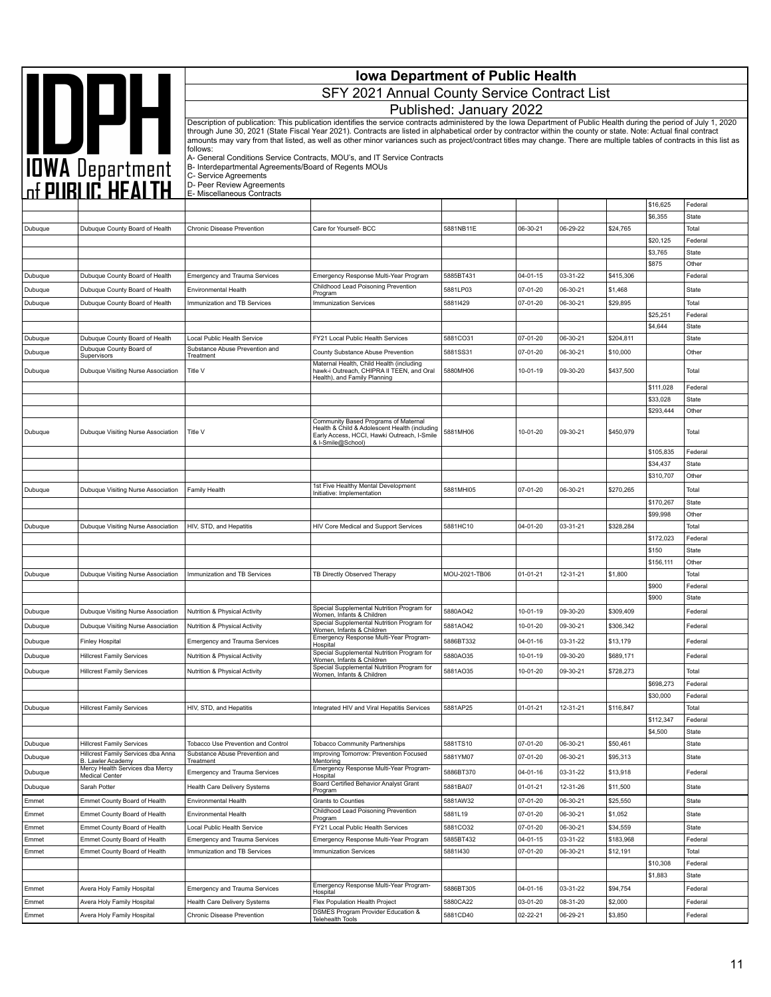|                |                                                                        | <b>Iowa Department of Public Health</b><br>SFY 2021 Annual County Service Contract List |                                                                                                                                                                                                                                                                                                                                            |                         |                      |                      |                     |                       |                       |  |
|----------------|------------------------------------------------------------------------|-----------------------------------------------------------------------------------------|--------------------------------------------------------------------------------------------------------------------------------------------------------------------------------------------------------------------------------------------------------------------------------------------------------------------------------------------|-------------------------|----------------------|----------------------|---------------------|-----------------------|-----------------------|--|
|                |                                                                        |                                                                                         |                                                                                                                                                                                                                                                                                                                                            |                         |                      |                      |                     |                       |                       |  |
|                |                                                                        |                                                                                         | Description of publication: This publication identifies the service contracts administered by the Iowa Department of Public Health during the period of July 1, 2020                                                                                                                                                                       | Published: January 2022 |                      |                      |                     |                       |                       |  |
|                | DPH                                                                    | follows:                                                                                | through June 30, 2021 (State Fiscal Year 2021). Contracts are listed in alphabetical order by contractor within the county or state. Note: Actual final contract<br>amounts may vary from that listed, as well as other minor variances such as project/contract titles may change. There are multiple tables of contracts in this list as |                         |                      |                      |                     |                       |                       |  |
|                | <b>TOWA Department</b>                                                 | B- Interdepartmental Agreements/Board of Regents MOUs<br>C- Service Agreements          | A- General Conditions Service Contracts, MOU's, and IT Service Contracts                                                                                                                                                                                                                                                                   |                         |                      |                      |                     |                       |                       |  |
|                |                                                                        | D- Peer Review Agreements<br>E- Miscellaneous Contracts                                 |                                                                                                                                                                                                                                                                                                                                            |                         |                      |                      |                     |                       |                       |  |
|                |                                                                        |                                                                                         |                                                                                                                                                                                                                                                                                                                                            |                         |                      |                      |                     | \$16,625              | Federal               |  |
|                |                                                                        |                                                                                         |                                                                                                                                                                                                                                                                                                                                            |                         |                      |                      |                     | \$6,355               | <b>State</b>          |  |
| Dubuque        | Dubuque County Board of Health                                         | Chronic Disease Prevention                                                              | Care for Yourself- BCC                                                                                                                                                                                                                                                                                                                     | 5881NB11E               | 06-30-21             | 06-29-22             | \$24,765            | \$20,125              | Total<br>Federal      |  |
|                |                                                                        |                                                                                         |                                                                                                                                                                                                                                                                                                                                            |                         |                      |                      |                     | \$3,765               | <b>State</b>          |  |
|                |                                                                        |                                                                                         |                                                                                                                                                                                                                                                                                                                                            |                         |                      |                      |                     | \$875                 | Other                 |  |
| Dubuque        | Dubuque County Board of Health                                         | <b>Emergency and Trauma Services</b>                                                    | Emergency Response Multi-Year Program<br>Childhood Lead Poisoning Prevention                                                                                                                                                                                                                                                               | 5885BT431               | 04-01-15             | 03-31-22             | \$415,306           |                       | Federal               |  |
| Dubuque        | Dubuque County Board of Health                                         | <b>Environmental Health</b>                                                             | Program                                                                                                                                                                                                                                                                                                                                    | 5881LP03                | 07-01-20             | 06-30-21             | \$1,468<br>\$29,895 |                       | State                 |  |
| Dubuque        | Dubuque County Board of Health                                         | Immunization and TB Services                                                            | <b>Immunization Services</b>                                                                                                                                                                                                                                                                                                               | 58811429                | 07-01-20             | 06-30-21             |                     | \$25,251              | Total<br>Federal      |  |
|                |                                                                        |                                                                                         |                                                                                                                                                                                                                                                                                                                                            |                         |                      |                      |                     | \$4,644               | <b>State</b>          |  |
| Dubuque        | Dubuque County Board of Health                                         | Local Public Health Service                                                             | FY21 Local Public Health Services                                                                                                                                                                                                                                                                                                          | 5881CO31                | 07-01-20             | 06-30-21             | \$204,811           |                       | State                 |  |
| Dubuque        | Dubuque County Board of<br>Supervisors                                 | Substance Abuse Prevention and<br>Treatment                                             | County Substance Abuse Prevention                                                                                                                                                                                                                                                                                                          | 5881SS31                | 07-01-20             | 06-30-21             | \$10,000            |                       | Other                 |  |
| Dubuque        | Dubuque Visiting Nurse Association                                     | Title V                                                                                 | Maternal Health, Child Health (including<br>hawk-i Outreach, CHIPRA II TEEN, and Oral<br>Health), and Family Planning                                                                                                                                                                                                                      | 5880MH06                | 10-01-19             | 09-30-20             | \$437,500           |                       | Total                 |  |
|                |                                                                        |                                                                                         |                                                                                                                                                                                                                                                                                                                                            |                         |                      |                      |                     | \$111,028<br>\$33,028 | Federal               |  |
|                |                                                                        |                                                                                         |                                                                                                                                                                                                                                                                                                                                            |                         |                      |                      |                     | \$293,444             | <b>State</b><br>Other |  |
| Dubuque        | Dubuque Visiting Nurse Association                                     | Title V                                                                                 | Community Based Programs of Maternal<br>Health & Child & Adolescent Health (including<br>Early Access, HCCI, Hawki Outreach, I-Smile<br>& I-Smile@School)                                                                                                                                                                                  | 5881MH06                | 10-01-20             | 09-30-21             | \$450,979           |                       | Total                 |  |
|                |                                                                        |                                                                                         |                                                                                                                                                                                                                                                                                                                                            |                         |                      |                      |                     | \$105,835             | Federal               |  |
|                |                                                                        |                                                                                         |                                                                                                                                                                                                                                                                                                                                            |                         |                      |                      |                     | \$34,437              | <b>State</b>          |  |
|                |                                                                        |                                                                                         | 1st Five Healthy Mental Development                                                                                                                                                                                                                                                                                                        |                         |                      |                      |                     | \$310,707             | Other                 |  |
| Dubuque        | Dubuque Visiting Nurse Association                                     | Family Health                                                                           | Initiative: Implementation                                                                                                                                                                                                                                                                                                                 | 5881MHI05               | 07-01-20             | 06-30-21             | \$270,265           | \$170,267             | Total<br>State        |  |
|                |                                                                        |                                                                                         |                                                                                                                                                                                                                                                                                                                                            |                         |                      |                      |                     | \$99,998              | Other                 |  |
| Dubuque        | Dubuque Visiting Nurse Association                                     | HIV, STD, and Hepatitis                                                                 | HIV Core Medical and Support Services                                                                                                                                                                                                                                                                                                      | 5881HC10                | 04-01-20             | 03-31-21             | \$328,284           |                       | Total                 |  |
|                |                                                                        |                                                                                         |                                                                                                                                                                                                                                                                                                                                            |                         |                      |                      |                     | \$172,023             | Federal               |  |
|                |                                                                        |                                                                                         |                                                                                                                                                                                                                                                                                                                                            |                         |                      |                      |                     | \$150<br>\$156,111    | <b>State</b><br>Other |  |
| Dubuque        | Dubuque Visiting Nurse Association                                     | Immunization and TB Services                                                            | TB Directly Observed Therapy                                                                                                                                                                                                                                                                                                               | MOU-2021-TB06           | $01 - 01 - 21$       | 12-31-21             | \$1,800             |                       | Total                 |  |
|                |                                                                        |                                                                                         |                                                                                                                                                                                                                                                                                                                                            |                         |                      |                      |                     | \$900                 | Federal               |  |
|                |                                                                        |                                                                                         | Special Supplemental Nutrition Program for                                                                                                                                                                                                                                                                                                 |                         |                      |                      |                     | \$900                 | State                 |  |
| Dubuque        | Dubuque Visiting Nurse Association                                     | Nutrition & Physical Activity                                                           | Women, Infants & Children<br>Special Supplemental Nutrition Program for                                                                                                                                                                                                                                                                    | 5880AO42                | 10-01-19             | 09-30-20             | \$309,409           |                       | Federal               |  |
| Dubuque        | Dubuque Visiting Nurse Association                                     | Nutrition & Physical Activity                                                           | Women, Infants & Children<br>Emergency Response Multi-Year Program-                                                                                                                                                                                                                                                                        | 5881AO42                | 10-01-20             | 09-30-21             | \$306,342           |                       | Federal               |  |
| Dubuque        | Finley Hospital                                                        | <b>Emergency and Trauma Services</b>                                                    | Hospital<br>Special Supplemental Nutrition Program for                                                                                                                                                                                                                                                                                     | 5886BT332               | 04-01-16             | 03-31-22             | \$13,179            |                       | Federal               |  |
| Dubuque        | <b>Hillcrest Family Services</b>                                       | Nutrition & Physical Activity                                                           | Women, Infants & Children                                                                                                                                                                                                                                                                                                                  | 5880AO35                | 10-01-19             | 09-30-20             | \$689,171           |                       | Federal               |  |
| Dubuque        | <b>Hillcrest Family Services</b>                                       | Nutrition & Physical Activity                                                           | Special Supplemental Nutrition Program for<br>Women, Infants & Children                                                                                                                                                                                                                                                                    | 5881AO35                | 10-01-20             | 09-30-21             | \$728,273           |                       | Total                 |  |
|                |                                                                        |                                                                                         |                                                                                                                                                                                                                                                                                                                                            |                         |                      |                      |                     | \$698,273<br>\$30,000 | Federal<br>Federal    |  |
| Dubuque        | <b>Hillcrest Family Services</b>                                       | HIV, STD, and Hepatitis                                                                 | Integrated HIV and Viral Hepatitis Services                                                                                                                                                                                                                                                                                                | 5881AP25                | $01 - 01 - 21$       | 12-31-21             | \$116,847           |                       | Total                 |  |
|                |                                                                        |                                                                                         |                                                                                                                                                                                                                                                                                                                                            |                         |                      |                      |                     | \$112,347             | Federal               |  |
|                |                                                                        |                                                                                         |                                                                                                                                                                                                                                                                                                                                            |                         |                      |                      |                     | \$4,500               | <b>State</b>          |  |
| Dubuque        | <b>Hillcrest Family Services</b><br>Hillcrest Family Services dba Anna | Tobacco Use Prevention and Control<br>Substance Abuse Prevention and                    | <b>Tobacco Community Partnerships</b><br>Improving Tomorrow: Prevention Focused                                                                                                                                                                                                                                                            | 5881TS10                | 07-01-20             | 06-30-21             | \$50,461            |                       | <b>State</b>          |  |
| Dubuque        | B. Lawler Academy<br>Mercy Health Services dba Mercy                   | Treatment                                                                               | Mentoring<br>Emergency Response Multi-Year Program-                                                                                                                                                                                                                                                                                        | 5881YM07                | 07-01-20             | 06-30-21             | \$95,313            |                       | State                 |  |
| Dubuque        | Medical Center                                                         | Emergency and Trauma Services                                                           | Hospital<br>Board Certified Behavior Analyst Grant                                                                                                                                                                                                                                                                                         | 5886BT370               | 04-01-16             | 03-31-22             | \$13,918            |                       | Federal               |  |
| Dubuque        | Sarah Potter                                                           | Health Care Delivery Systems                                                            | Program                                                                                                                                                                                                                                                                                                                                    | 5881BA07                | $01 - 01 - 21$       | 12-31-26             | \$11,500            |                       | State                 |  |
| Emmet          | Emmet County Board of Health                                           | <b>Environmental Health</b>                                                             | Grants to Counties<br>Childhood Lead Poisoning Prevention                                                                                                                                                                                                                                                                                  | 5881AW32                | 07-01-20<br>07-01-20 | 06-30-21             | \$25,550<br>\$1,052 |                       | State                 |  |
| Emmet<br>Emmet | Emmet County Board of Health<br>Emmet County Board of Health           | Environmental Health<br>Local Public Health Service                                     | Program<br>FY21 Local Public Health Services                                                                                                                                                                                                                                                                                               | 5881L19<br>5881CO32     | 07-01-20             | 06-30-21<br>06-30-21 | \$34,559            |                       | State<br>State        |  |
| Emmet          | Emmet County Board of Health                                           | <b>Emergency and Trauma Services</b>                                                    | Emergency Response Multi-Year Program                                                                                                                                                                                                                                                                                                      | 5885BT432               | 04-01-15             | 03-31-22             | \$183,968           |                       | Federal               |  |
| Emmet          | Emmet County Board of Health                                           | Immunization and TB Services                                                            | <b>Immunization Services</b>                                                                                                                                                                                                                                                                                                               | 58811430                | 07-01-20             | 06-30-21             | \$12,191            |                       | Total                 |  |
|                |                                                                        |                                                                                         |                                                                                                                                                                                                                                                                                                                                            |                         |                      |                      |                     | \$10,308              | Federal               |  |
|                |                                                                        |                                                                                         | Emergency Response Multi-Year Program-                                                                                                                                                                                                                                                                                                     |                         |                      |                      |                     | \$1,883               | State                 |  |
| Emmet<br>Emmet | Avera Holy Family Hospital<br>Avera Holy Family Hospital               | <b>Emergency and Trauma Services</b><br>Health Care Delivery Systems                    | Hospital<br>Flex Population Health Project                                                                                                                                                                                                                                                                                                 | 5886BT305<br>5880CA22   | 04-01-16<br>03-01-20 | 03-31-22<br>08-31-20 | \$94,754<br>\$2,000 |                       | Federal<br>Federal    |  |
| Emmet          | Avera Holy Family Hospital                                             | Chronic Disease Prevention                                                              | <b>DSMES Program Provider Education &amp;</b>                                                                                                                                                                                                                                                                                              | 5881CD40                | 02-22-21             | 06-29-21             | \$3,850             |                       | Federal               |  |
|                |                                                                        |                                                                                         | <b>Telehealth Tools</b>                                                                                                                                                                                                                                                                                                                    |                         |                      |                      |                     |                       |                       |  |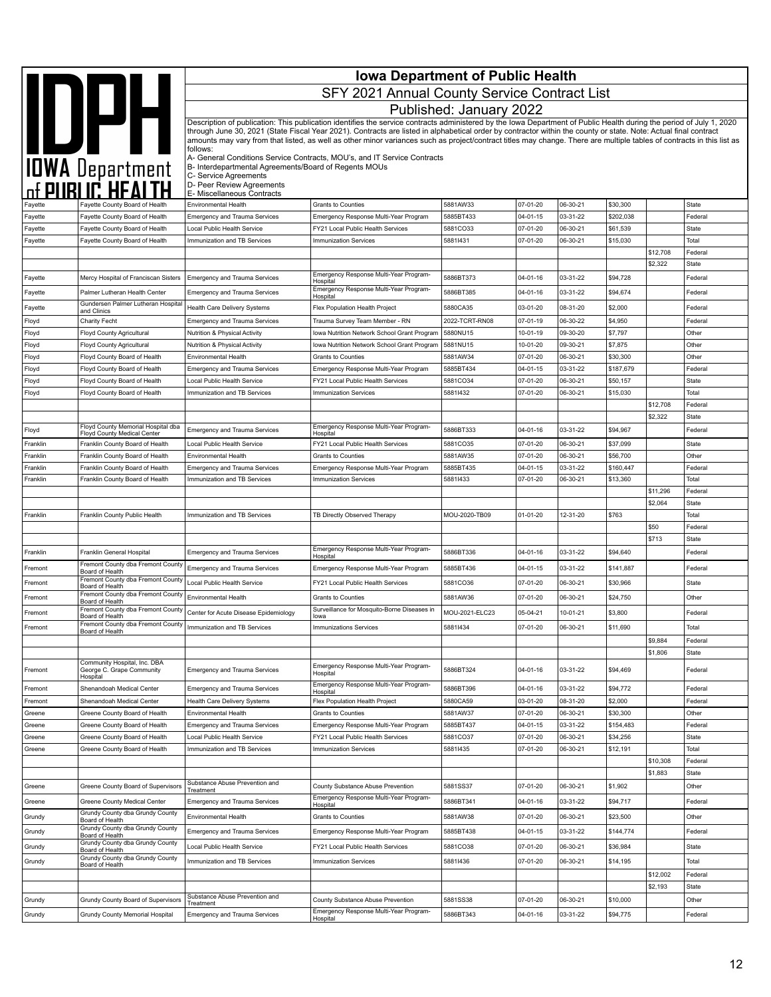|                      |                                                                    | <b>Iowa Department of Public Health</b>                                        |                                                                                                                                                                                                                                                                                                                                            |                         |                            |                      |                       |                     |                  |
|----------------------|--------------------------------------------------------------------|--------------------------------------------------------------------------------|--------------------------------------------------------------------------------------------------------------------------------------------------------------------------------------------------------------------------------------------------------------------------------------------------------------------------------------------|-------------------------|----------------------------|----------------------|-----------------------|---------------------|------------------|
|                      | DPH                                                                |                                                                                | SFY 2021 Annual County Service Contract List                                                                                                                                                                                                                                                                                               |                         |                            |                      |                       |                     |                  |
|                      |                                                                    |                                                                                |                                                                                                                                                                                                                                                                                                                                            | Published: January 2022 |                            |                      |                       |                     |                  |
|                      |                                                                    |                                                                                | Description of publication: This publication identifies the service contracts administered by the Iowa Department of Public Health during the period of July 1, 2020                                                                                                                                                                       |                         |                            |                      |                       |                     |                  |
|                      |                                                                    |                                                                                | through June 30, 2021 (State Fiscal Year 2021). Contracts are listed in alphabetical order by contractor within the county or state. Note: Actual final contract<br>amounts may vary from that listed, as well as other minor variances such as project/contract titles may change. There are multiple tables of contracts in this list as |                         |                            |                      |                       |                     |                  |
|                      |                                                                    | follows:                                                                       | A- General Conditions Service Contracts, MOU's, and IT Service Contracts                                                                                                                                                                                                                                                                   |                         |                            |                      |                       |                     |                  |
|                      |                                                                    | B- Interdepartmental Agreements/Board of Regents MOUs<br>C- Service Agreements |                                                                                                                                                                                                                                                                                                                                            |                         |                            |                      |                       |                     |                  |
|                      | <b>IOWA</b> Department<br>of PUBLIC HEALTH                         | D- Peer Review Agreements                                                      |                                                                                                                                                                                                                                                                                                                                            |                         |                            |                      |                       |                     |                  |
| Fayette              | Fayette County Board of Health                                     | E- Miscellaneous Contracts<br><b>Environmental Health</b>                      | Grants to Counties                                                                                                                                                                                                                                                                                                                         | 5881AW33                | 07-01-20                   | 06-30-21             | \$30,300              |                     | State            |
| Fayette              | Fayette County Board of Health                                     | Emergency and Trauma Services                                                  | Emergency Response Multi-Year Program                                                                                                                                                                                                                                                                                                      | 5885BT433               | $04 - 01 - 15$             | 03-31-22             | \$202,038             |                     | Federal          |
| Fayette              | Fayette County Board of Health                                     | Local Public Health Service                                                    | FY21 Local Public Health Services                                                                                                                                                                                                                                                                                                          | 5881CO33                | 07-01-20                   | 06-30-21             | \$61,539              |                     | State            |
| Fayette              | Fayette County Board of Health                                     | Immunization and TB Services                                                   | <b>Immunization Services</b>                                                                                                                                                                                                                                                                                                               | 58811431                | 07-01-20                   | 06-30-21             | \$15,030              |                     | Total            |
|                      |                                                                    |                                                                                |                                                                                                                                                                                                                                                                                                                                            |                         |                            |                      |                       | \$12,708<br>\$2,322 | Federal<br>State |
| Fayette              | Mercy Hospital of Franciscan Sisters                               | <b>Emergency and Trauma Services</b>                                           | Emergency Response Multi-Year Program-                                                                                                                                                                                                                                                                                                     | 5886BT373               | 04-01-16                   | 03-31-22             | \$94,728              |                     | Federal          |
| Fayette              | Palmer Lutheran Health Center                                      | <b>Emergency and Trauma Services</b>                                           | Hospital<br>Emergency Response Multi-Year Program-                                                                                                                                                                                                                                                                                         | 5886BT385               | 04-01-16                   | 03-31-22             | \$94,674              |                     | Federal          |
| Fayette              | Gundersen Palmer Lutheran Hospital                                 | Health Care Delivery Systems                                                   | Hospital<br>Flex Population Health Project                                                                                                                                                                                                                                                                                                 | 5880CA35                | 03-01-20                   | 08-31-20             | \$2,000               |                     | Federal          |
| Floyd                | and Clinics<br>Charity Fecht                                       | <b>Emergency and Trauma Services</b>                                           | Trauma Survey Team Member - RN                                                                                                                                                                                                                                                                                                             | 2022-TCRT-RN08          | 07-01-19                   | 06-30-22             | \$4,950               |                     | Federal          |
| Floyd                | Floyd County Agricultural                                          | Nutrition & Physical Activity                                                  | Iowa Nutrition Network School Grant Program                                                                                                                                                                                                                                                                                                | 5880NU15                | 10-01-19                   | 09-30-20             | \$7,797               |                     | Other            |
| Floyd                | Floyd County Agricultural                                          | Nutrition & Physical Activity                                                  | Iowa Nutrition Network School Grant Program                                                                                                                                                                                                                                                                                                | 5881NU15                | 10-01-20                   | 09-30-21             | \$7,875               |                     | Other            |
| Floyd                | Floyd County Board of Health                                       | <b>Environmental Health</b>                                                    | Grants to Counties                                                                                                                                                                                                                                                                                                                         | 5881AW34                | 07-01-20                   | 06-30-21             | \$30,300              |                     | Other            |
| Floyd<br>Floyd       | Floyd County Board of Health<br>Floyd County Board of Health       | <b>Emergency and Trauma Services</b><br>Local Public Health Service            | Emergency Response Multi-Year Program<br>FY21 Local Public Health Services                                                                                                                                                                                                                                                                 | 5885BT434<br>5881CO34   | 04-01-15<br>07-01-20       | 03-31-22<br>06-30-21 | \$187,679<br>\$50,157 |                     | Federal<br>State |
| Floyd                | Floyd County Board of Health                                       | Immunization and TB Services                                                   | <b>Immunization Services</b>                                                                                                                                                                                                                                                                                                               | 58811432                | 07-01-20                   | 06-30-21             | \$15,030              |                     | Total            |
|                      |                                                                    |                                                                                |                                                                                                                                                                                                                                                                                                                                            |                         |                            |                      |                       | \$12,708            | Federal          |
|                      |                                                                    |                                                                                |                                                                                                                                                                                                                                                                                                                                            |                         |                            |                      |                       | \$2,322             | State            |
| Floyd                | Floyd County Memorial Hospital dba<br>Floyd County Medical Center  | <b>Emergency and Trauma Services</b>                                           | Emergency Response Multi-Year Program-<br>Hospital                                                                                                                                                                                                                                                                                         | 5886BT333               | $04 - 01 - 16$             | 03-31-22             | \$94,967              |                     | Federal          |
| Franklin             | Franklin County Board of Health                                    | Local Public Health Service                                                    | FY21 Local Public Health Services                                                                                                                                                                                                                                                                                                          | 5881CO35                | 07-01-20                   | 06-30-21             | \$37,099              |                     | State            |
| Franklin<br>Franklin | Franklin County Board of Health<br>Franklin County Board of Health | Environmental Health<br><b>Emergency and Trauma Services</b>                   | <b>Grants to Counties</b><br>Emergency Response Multi-Year Program                                                                                                                                                                                                                                                                         | 5881AW35<br>5885BT435   | 07-01-20<br>$04 - 01 - 15$ | 06-30-21<br>03-31-22 | \$56,700<br>\$160,447 |                     | Other<br>Federal |
| Franklin             | Franklin County Board of Health                                    | Immunization and TB Services                                                   | <b>Immunization Services</b>                                                                                                                                                                                                                                                                                                               | 58811433                | 07-01-20                   | 06-30-21             | \$13,360              |                     | Total            |
|                      |                                                                    |                                                                                |                                                                                                                                                                                                                                                                                                                                            |                         |                            |                      |                       | \$11,296            | Federal          |
|                      |                                                                    |                                                                                |                                                                                                                                                                                                                                                                                                                                            |                         |                            |                      |                       | \$2,064             | State            |
| Franklin             | Franklin County Public Health                                      | Immunization and TB Services                                                   | TB Directly Observed Therapy                                                                                                                                                                                                                                                                                                               | MOU-2020-TB09           | $01 - 01 - 20$             | 12-31-20             | \$763                 | \$50                | Total<br>Federal |
|                      |                                                                    |                                                                                |                                                                                                                                                                                                                                                                                                                                            |                         |                            |                      |                       | \$713               | State            |
| Franklin             | Franklin General Hospital                                          | <b>Emergency and Trauma Services</b>                                           | Emergency Response Multi-Year Program-<br>Hospital                                                                                                                                                                                                                                                                                         | 5886BT336               | $04 - 01 - 16$             | 03-31-22             | \$94,640              |                     | Federal          |
| Fremont              | Fremont County dba Fremont County<br>Board of Health               | <b>Emergency and Trauma Services</b>                                           | Emergency Response Multi-Year Program                                                                                                                                                                                                                                                                                                      | 5885BT436               | $04 - 01 - 15$             | 03-31-22             | \$141,887             |                     | Federal          |
| Fremont              | Fremont County dba Fremont County<br>Board of Health               | Local Public Health Service                                                    | FY21 Local Public Health Services                                                                                                                                                                                                                                                                                                          | 5881CO36                | 07-01-20                   | 06-30-21             | \$30,966              |                     | State            |
| Fremont              | Fremont County dba Fremont County<br>Board of Health               | Environmental Health                                                           | Grants to Counties                                                                                                                                                                                                                                                                                                                         | 5881AW36                | 07-01-20                   | 06-30-21             | \$24,750              |                     | Other            |
| Fremont              | Fremont County dba Fremont County<br>Board of Health               | Center for Acute Disease Epidemiology                                          | Surveillance for Mosquito-Borne Diseases in                                                                                                                                                                                                                                                                                                | MOU-2021-ELC23          | 05-04-21                   | 10-01-21             | \$3,800               |                     | Federal          |
| Fremont              | Fremont County dba Fremont County                                  | Immunization and TB Services                                                   | lowa<br><b>Immunizations Services</b>                                                                                                                                                                                                                                                                                                      | 58811434                | 07-01-20                   | 06-30-21             | \$11,690              |                     | Total            |
|                      | Board of Health                                                    |                                                                                |                                                                                                                                                                                                                                                                                                                                            |                         |                            |                      |                       | \$9,884             | Federal          |
|                      |                                                                    |                                                                                |                                                                                                                                                                                                                                                                                                                                            |                         |                            |                      |                       | \$1,806             | State            |
| Fremont              | Community Hospital, Inc. DBA<br>George C. Grape Community          | <b>Emergency and Trauma Services</b>                                           | Emergency Response Multi-Year Program-<br>Hospital                                                                                                                                                                                                                                                                                         | 5886BT324               | 04-01-16                   | 03-31-22             | \$94,469              |                     | Federal          |
| Fremont              | Hospital<br>Shenandoah Medical Center                              | <b>Emergency and Trauma Services</b>                                           | Emergency Response Multi-Year Program-                                                                                                                                                                                                                                                                                                     | 5886BT396               | $04 - 01 - 16$             | 03-31-22             | \$94,772              |                     | Federal          |
| Fremont              | Shenandoah Medical Center                                          | Health Care Delivery Systems                                                   | Hospital<br>Flex Population Health Project                                                                                                                                                                                                                                                                                                 | 5880CA59                | 03-01-20                   | 08-31-20             | \$2,000               |                     | Federal          |
| Greene               | Greene County Board of Health                                      | Environmental Health                                                           | Grants to Counties                                                                                                                                                                                                                                                                                                                         | 5881AW37                | 07-01-20                   | 06-30-21             | \$30,300              |                     | Other            |
| Greene               | Greene County Board of Health                                      | <b>Emergency and Trauma Services</b>                                           | Emergency Response Multi-Year Program                                                                                                                                                                                                                                                                                                      | 5885BT437               | 04-01-15                   | 03-31-22             | \$154,483             |                     | Federal          |
| Greene               | Greene County Board of Health                                      | Local Public Health Service                                                    | FY21 Local Public Health Services                                                                                                                                                                                                                                                                                                          | 5881CO37                | 07-01-20                   | 06-30-21             | \$34,256              |                     | State            |
| Greene               | Greene County Board of Health                                      | Immunization and TB Services                                                   | <b>Immunization Services</b>                                                                                                                                                                                                                                                                                                               | 58811435                | 07-01-20                   | 06-30-21             | \$12,191              | \$10,308            | Total<br>Federal |
|                      |                                                                    |                                                                                |                                                                                                                                                                                                                                                                                                                                            |                         |                            |                      |                       | \$1,883             | State            |
| Greene               | Greene County Board of Supervisors                                 | Substance Abuse Prevention and<br>Treatment                                    | County Substance Abuse Prevention                                                                                                                                                                                                                                                                                                          | 5881SS37                | 07-01-20                   | 06-30-21             | \$1,902               |                     | Other            |
| Greene               | Greene County Medical Center                                       | <b>Emergency and Trauma Services</b>                                           | Emergency Response Multi-Year Program-<br>Hospital                                                                                                                                                                                                                                                                                         | 5886BT341               | 04-01-16                   | 03-31-22             | \$94,717              |                     | Federal          |
| Grundy               | Grundy County dba Grundy County                                    | Environmental Health                                                           | Grants to Counties                                                                                                                                                                                                                                                                                                                         | 5881AW38                | 07-01-20                   | 06-30-21             | \$23,500              |                     | Other            |
| Grundy               | Board of Health<br>Grundy County dba Grundy County                 | <b>Emergency and Trauma Services</b>                                           | Emergency Response Multi-Year Program                                                                                                                                                                                                                                                                                                      | 5885BT438               | $04 - 01 - 15$             | 03-31-22             | \$144,774             |                     | Federal          |
| Grundy               | Board of Health<br>Grundy County dba Grundy County                 | Local Public Health Service                                                    | FY21 Local Public Health Services                                                                                                                                                                                                                                                                                                          | 5881CO38                | 07-01-20                   | 06-30-21             | \$36,984              |                     | State            |
| Grundy               | Board of Health<br>Grundy County dba Grundy County                 | Immunization and TB Services                                                   | Immunization Services                                                                                                                                                                                                                                                                                                                      | 58811436                | 07-01-20                   | 06-30-21             | \$14,195              |                     | Total            |
|                      | Board of Health                                                    |                                                                                |                                                                                                                                                                                                                                                                                                                                            |                         |                            |                      |                       | \$12,002            | Federal          |
|                      |                                                                    |                                                                                |                                                                                                                                                                                                                                                                                                                                            |                         |                            |                      |                       | \$2,193             | State            |
| Grundy               | Grundy County Board of Supervisors                                 | Substance Abuse Prevention and<br>Treatment                                    | County Substance Abuse Prevention                                                                                                                                                                                                                                                                                                          | 5881SS38                | 07-01-20                   | 06-30-21             | \$10,000              |                     | Other            |
| Grundy               | Grundy County Memorial Hospital                                    | <b>Emergency and Trauma Services</b>                                           | Emergency Response Multi-Year Program-<br>Hospital                                                                                                                                                                                                                                                                                         | 5886BT343               | 04-01-16                   | 03-31-22             | \$94,775              |                     | Federal          |
|                      |                                                                    |                                                                                |                                                                                                                                                                                                                                                                                                                                            |                         |                            |                      |                       |                     |                  |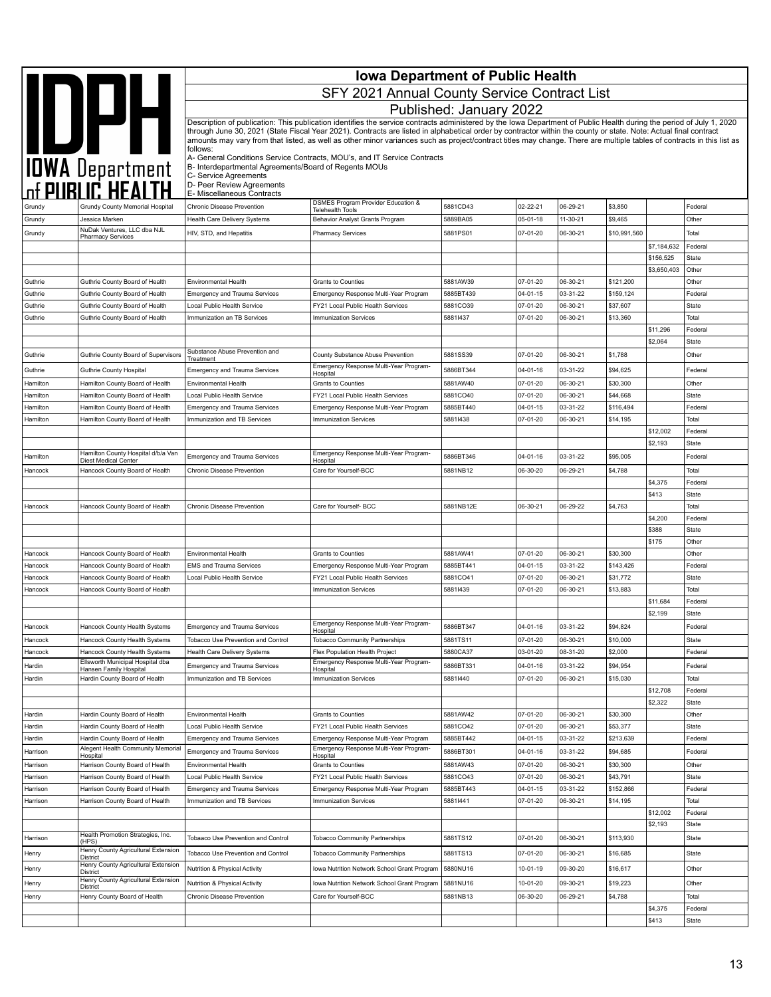|                      |                                                                    | <b>Iowa Department of Public Health</b>                                        |                                                                                                                                                                                                                                                                                                                                            |                         |                      |                      |                       |                          |                  |
|----------------------|--------------------------------------------------------------------|--------------------------------------------------------------------------------|--------------------------------------------------------------------------------------------------------------------------------------------------------------------------------------------------------------------------------------------------------------------------------------------------------------------------------------------|-------------------------|----------------------|----------------------|-----------------------|--------------------------|------------------|
|                      |                                                                    |                                                                                | SFY 2021 Annual County Service Contract List                                                                                                                                                                                                                                                                                               |                         |                      |                      |                       |                          |                  |
|                      |                                                                    |                                                                                |                                                                                                                                                                                                                                                                                                                                            | Published: January 2022 |                      |                      |                       |                          |                  |
|                      |                                                                    |                                                                                | Description of publication: This publication identifies the service contracts administered by the Iowa Department of Public Health during the period of July 1, 2020                                                                                                                                                                       |                         |                      |                      |                       |                          |                  |
|                      | IDPH                                                               |                                                                                | through June 30, 2021 (State Fiscal Year 2021). Contracts are listed in alphabetical order by contractor within the county or state. Note: Actual final contract<br>amounts may vary from that listed, as well as other minor variances such as project/contract titles may change. There are multiple tables of contracts in this list as |                         |                      |                      |                       |                          |                  |
|                      |                                                                    | follows:                                                                       | A- General Conditions Service Contracts, MOU's, and IT Service Contracts                                                                                                                                                                                                                                                                   |                         |                      |                      |                       |                          |                  |
|                      | <b>IOWA</b> Department                                             | B- Interdepartmental Agreements/Board of Regents MOUs<br>C- Service Agreements |                                                                                                                                                                                                                                                                                                                                            |                         |                      |                      |                       |                          |                  |
|                      |                                                                    | D- Peer Review Agreements<br>E- Miscellaneous Contracts                        |                                                                                                                                                                                                                                                                                                                                            |                         |                      |                      |                       |                          |                  |
| Grundy               | Grundy County Memorial Hospital                                    | Chronic Disease Prevention                                                     | DSMES Program Provider Education &<br>Telehealth Tools                                                                                                                                                                                                                                                                                     | 5881CD43                | 02-22-21             | 06-29-21             | \$3,850               |                          | Federal          |
| Grundy               | Jessica Marken<br>NuDak Ventures, LLC dba NJL                      | Health Care Delivery Systems                                                   | Behavior Analyst Grants Program                                                                                                                                                                                                                                                                                                            | 5889BA05                | 05-01-18             | 11-30-21             | \$9,465               |                          | Other            |
| Grundy               | <b>Pharmacy Services</b>                                           | HIV, STD, and Hepatitis                                                        | <b>Pharmacy Services</b>                                                                                                                                                                                                                                                                                                                   | 5881PS01                | 07-01-20             | 06-30-21             | \$10,991,560          |                          | Total            |
|                      |                                                                    |                                                                                |                                                                                                                                                                                                                                                                                                                                            |                         |                      |                      |                       | \$7,184,632<br>\$156,525 | Federal<br>State |
|                      |                                                                    |                                                                                |                                                                                                                                                                                                                                                                                                                                            |                         |                      |                      |                       | \$3,650,403              | Other            |
| Guthrie              | Guthrie County Board of Health                                     | Environmental Health                                                           | Grants to Counties                                                                                                                                                                                                                                                                                                                         | 5881AW39                | 07-01-20             | 06-30-21             | \$121,200             |                          | Other            |
| Guthrie              | Guthrie County Board of Health                                     | <b>Emergency and Trauma Services</b>                                           | Emergency Response Multi-Year Program                                                                                                                                                                                                                                                                                                      | 5885BT439               | 04-01-15             | 03-31-22             | \$159,124             |                          | Federal          |
| Guthrie              | Guthrie County Board of Health                                     | Local Public Health Service                                                    | FY21 Local Public Health Services                                                                                                                                                                                                                                                                                                          | 5881CO39                | 07-01-20             | 06-30-21             | \$37,607              |                          | State            |
| Guthrie              | Guthrie County Board of Health                                     | Immunization an TB Services                                                    | <b>Immunization Services</b>                                                                                                                                                                                                                                                                                                               | 58811437                | 07-01-20             | 06-30-21             | \$13,360              | \$11,296                 | Total<br>Federal |
|                      |                                                                    |                                                                                |                                                                                                                                                                                                                                                                                                                                            |                         |                      |                      |                       | \$2,064                  | State            |
| Guthrie              | Guthrie County Board of Supervisors                                | Substance Abuse Prevention and<br>Treatment                                    | County Substance Abuse Prevention                                                                                                                                                                                                                                                                                                          | 5881SS39                | 07-01-20             | 06-30-21             | \$1,788               |                          | Other            |
| Guthrie              | Guthrie County Hospital                                            | <b>Emergency and Trauma Services</b>                                           | Emergency Response Multi-Year Program-<br>Hospital                                                                                                                                                                                                                                                                                         | 5886BT344               | 04-01-16             | 03-31-22             | \$94,625              |                          | Federal          |
| Hamilton             | Hamilton County Board of Health                                    | Environmental Health                                                           | <b>Grants to Counties</b>                                                                                                                                                                                                                                                                                                                  | 5881AW40                | 07-01-20             | 06-30-21             | \$30,300              |                          | Other            |
| Hamilton             | Hamilton County Board of Health                                    | Local Public Health Service                                                    | FY21 Local Public Health Services                                                                                                                                                                                                                                                                                                          | 5881CO40                | 07-01-20             | 06-30-21             | \$44,668              |                          | State            |
| Hamilton             | Hamilton County Board of Health                                    | <b>Emergency and Trauma Services</b>                                           | Emergency Response Multi-Year Program                                                                                                                                                                                                                                                                                                      | 5885BT440               | 04-01-15             | 03-31-22             | \$116,494             |                          | Federal          |
| Hamilton             | Hamilton County Board of Health                                    | Immunization and TB Services                                                   | <b>Immunization Services</b>                                                                                                                                                                                                                                                                                                               | 58811438                | 07-01-20             | 06-30-21             | \$14,195              | \$12,002                 | Total<br>Federal |
|                      |                                                                    |                                                                                |                                                                                                                                                                                                                                                                                                                                            |                         |                      |                      |                       | \$2,193                  | State            |
| Hamilton             | Hamilton County Hospital d/b/a Van<br><b>Diest Medical Center</b>  | <b>Emergency and Trauma Services</b>                                           | Emergency Response Multi-Year Program-<br>Hospital                                                                                                                                                                                                                                                                                         | 5886BT346               | 04-01-16             | 03-31-22             | \$95,005              |                          | Federal          |
| Hancock              | Hancock County Board of Health                                     | Chronic Disease Prevention                                                     | Care for Yourself-BCC                                                                                                                                                                                                                                                                                                                      | 5881NB12                | 06-30-20             | 06-29-21             | \$4,788               |                          | Total            |
|                      |                                                                    |                                                                                |                                                                                                                                                                                                                                                                                                                                            |                         |                      |                      |                       | \$4,375                  | Federal          |
|                      |                                                                    |                                                                                |                                                                                                                                                                                                                                                                                                                                            |                         |                      |                      |                       | \$413                    | <b>State</b>     |
| Hancock              | Hancock County Board of Health                                     | Chronic Disease Prevention                                                     | Care for Yourself- BCC                                                                                                                                                                                                                                                                                                                     | 5881NB12E               | 06-30-21             | 06-29-22             | \$4,763               | \$4,200                  | Total<br>Federal |
|                      |                                                                    |                                                                                |                                                                                                                                                                                                                                                                                                                                            |                         |                      |                      |                       | \$388                    | State            |
|                      |                                                                    |                                                                                |                                                                                                                                                                                                                                                                                                                                            |                         |                      |                      |                       | \$175                    | Other            |
| Hancock              | Hancock County Board of Health                                     | Environmental Health                                                           | Grants to Counties                                                                                                                                                                                                                                                                                                                         | 5881AW41                | 07-01-20             | 06-30-21             | \$30,300              |                          | Other            |
| Hancock              | Hancock County Board of Health                                     | <b>EMS and Trauma Services</b>                                                 | Emergency Response Multi-Year Program                                                                                                                                                                                                                                                                                                      | 5885BT441               | $04 - 01 - 15$       | 03-31-22             | \$143,426             |                          | Federal          |
| Hancock<br>Hancock   | Hancock County Board of Health<br>Hancock County Board of Health   | Local Public Health Service                                                    | FY21 Local Public Health Services<br><b>Immunization Services</b>                                                                                                                                                                                                                                                                          | 5881CO41<br>58811439    | 07-01-20<br>07-01-20 | 06-30-21<br>06-30-21 | \$31,772<br>\$13,883  |                          | State<br>Total   |
|                      |                                                                    |                                                                                |                                                                                                                                                                                                                                                                                                                                            |                         |                      |                      |                       | \$11,684                 | Federal          |
|                      |                                                                    |                                                                                |                                                                                                                                                                                                                                                                                                                                            |                         |                      |                      |                       | \$2,199                  | State            |
| Hancock              | Hancock County Health Systems                                      | <b>Emergency and Trauma Services</b>                                           | Emergency Response Multi-Year Program-<br>Hospital                                                                                                                                                                                                                                                                                         | 5886BT347               | 04-01-16             | 03-31-22             | \$94,824              |                          | Federal          |
| Hancock              | Hancock County Health Systems                                      | Tobacco Use Prevention and Control                                             | <b>Tobacco Community Partnerships</b>                                                                                                                                                                                                                                                                                                      | 5881TS11                | 07-01-20             | 06-30-21             | \$10,000              |                          | State            |
| Hancock              | Hancock County Health Systems<br>Ellsworth Municipal Hospital dba  | Health Care Delivery Systems                                                   | Flex Population Health Project<br>Emergency Response Multi-Year Program-                                                                                                                                                                                                                                                                   | 5880CA37                | 03-01-20             | 08-31-20             | \$2,000               |                          | Federal          |
| Hardin               | Hansen Family Hospital                                             | <b>Emergency and Trauma Services</b>                                           | Hospital                                                                                                                                                                                                                                                                                                                                   | 5886BT331               | 04-01-16             | 03-31-22             | \$94,954              |                          | Federal          |
| Hardin               | Hardin County Board of Health                                      | Immunization and TB Services                                                   | <b>Immunization Services</b>                                                                                                                                                                                                                                                                                                               | 58811440                | 07-01-20             | 06-30-21             | \$15,030              | \$12,708                 | Total<br>Federal |
|                      |                                                                    |                                                                                |                                                                                                                                                                                                                                                                                                                                            |                         |                      |                      |                       | \$2,322                  | State            |
| Hardin               | Hardin County Board of Health                                      | Environmental Health                                                           | Grants to Counties                                                                                                                                                                                                                                                                                                                         | 5881AW42                | 07-01-20             | 06-30-21             | \$30,300              |                          | Other            |
| Hardin               | Hardin County Board of Health                                      | Local Public Health Service                                                    | FY21 Local Public Health Services                                                                                                                                                                                                                                                                                                          | 5881CO42                | 07-01-20             | 06-30-21             | \$53,377              |                          | State            |
| Hardin               | Hardin County Board of Health                                      | Emergency and Trauma Services                                                  | Emergency Response Multi-Year Program                                                                                                                                                                                                                                                                                                      | 5885BT442               | 04-01-15             | 03-31-22             | \$213,639             |                          | Federal          |
| Harrison             | Alegent Health Community Memorial<br>Hospital                      | <b>Emergency and Trauma Services</b>                                           | Emergency Response Multi-Year Program-<br>Hospital                                                                                                                                                                                                                                                                                         | 5886BT301               | 04-01-16             | 03-31-22             | \$94,685              |                          | Federal          |
| Harrison             | Harrison County Board of Health                                    | Environmental Health                                                           | Grants to Counties                                                                                                                                                                                                                                                                                                                         | 5881AW43                | 07-01-20             | 06-30-21             | \$30,300              |                          | Other            |
| Harrison<br>Harrison | Harrison County Board of Health<br>Harrison County Board of Health | Local Public Health Service<br><b>Emergency and Trauma Services</b>            | FY21 Local Public Health Services<br>Emergency Response Multi-Year Program                                                                                                                                                                                                                                                                 | 5881CO43<br>5885BT443   | 07-01-20<br>04-01-15 | 06-30-21<br>03-31-22 | \$43,791<br>\$152,866 |                          | State<br>Federal |
| Harrison             | Harrison County Board of Health                                    | Immunization and TB Services                                                   | Immunization Services                                                                                                                                                                                                                                                                                                                      | 58811441                | 07-01-20             | 06-30-21             | \$14,195              |                          | Total            |
|                      |                                                                    |                                                                                |                                                                                                                                                                                                                                                                                                                                            |                         |                      |                      |                       | \$12,002                 | Federal          |
|                      |                                                                    |                                                                                |                                                                                                                                                                                                                                                                                                                                            |                         |                      |                      |                       | \$2,193                  | State            |
| Harrison             | Health Promotion Strategies, Inc.<br>(HPS)                         | Tobaaco Use Prevention and Control                                             | <b>Tobacco Community Partnerships</b>                                                                                                                                                                                                                                                                                                      | 5881TS12                | 07-01-20             | 06-30-21             | \$113,930             |                          | State            |
| Henry                | Henry County Agricultural Extension<br><b>District</b>             | Tobacco Use Prevention and Control                                             | <b>Tobacco Community Partnerships</b>                                                                                                                                                                                                                                                                                                      | 5881TS13                | 07-01-20             | 06-30-21             | \$16,685              |                          | State            |
| Henry                | Henry County Agricultural Extension<br>District                    | Nutrition & Physical Activity                                                  | Iowa Nutrition Network School Grant Program                                                                                                                                                                                                                                                                                                | 5880NU16                | 10-01-19             | 09-30-20             | \$16,617              |                          | Other            |
| Henry                | Henry County Agricultural Extension<br>District                    | Nutrition & Physical Activity                                                  | Iowa Nutrition Network School Grant Program                                                                                                                                                                                                                                                                                                | 5881NU16                | 10-01-20             | 09-30-21             | \$19,223              |                          | Other            |
| Henry                | Henry County Board of Health                                       | Chronic Disease Prevention                                                     | Care for Yourself-BCC                                                                                                                                                                                                                                                                                                                      | 5881NB13                | 06-30-20             | 06-29-21             | \$4,788               |                          | Total            |
|                      |                                                                    |                                                                                |                                                                                                                                                                                                                                                                                                                                            |                         |                      |                      |                       | \$4,375                  | Federal          |
|                      |                                                                    |                                                                                |                                                                                                                                                                                                                                                                                                                                            |                         |                      |                      |                       | \$413                    | State            |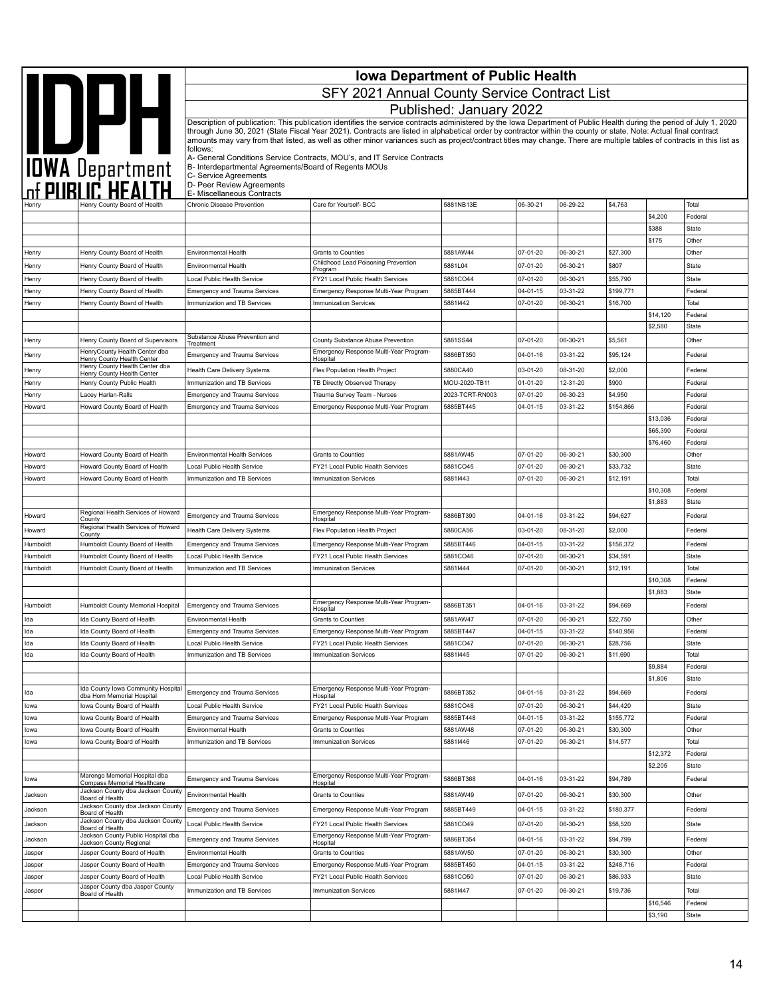|                  | <b>Iowa Department of Public Health</b>                          |                                                                                |                                                                                                                                                                                                                                                                                                                                          |                              |                            |                      |                       |                     |                         |
|------------------|------------------------------------------------------------------|--------------------------------------------------------------------------------|------------------------------------------------------------------------------------------------------------------------------------------------------------------------------------------------------------------------------------------------------------------------------------------------------------------------------------------|------------------------------|----------------------------|----------------------|-----------------------|---------------------|-------------------------|
|                  | IOWA Department                                                  |                                                                                | SFY 2021 Annual County Service Contract List                                                                                                                                                                                                                                                                                             |                              |                            |                      |                       |                     |                         |
|                  |                                                                  |                                                                                |                                                                                                                                                                                                                                                                                                                                          | Published: January 2022      |                            |                      |                       |                     |                         |
|                  |                                                                  |                                                                                | Description of publication: This publication identifies the service contracts administered by the Iowa Department of Public Health during the period of July 1, 2020<br>through June 30, 2021 (State Fiscal Year 2021). Contracts are listed in alphabetical order by contractor within the county or state. Note: Actual final contract |                              |                            |                      |                       |                     |                         |
|                  |                                                                  |                                                                                | amounts may vary from that listed, as well as other minor variances such as project/contract titles may change. There are multiple tables of contracts in this list as                                                                                                                                                                   |                              |                            |                      |                       |                     |                         |
|                  |                                                                  | follows:                                                                       | A- General Conditions Service Contracts, MOU's, and IT Service Contracts                                                                                                                                                                                                                                                                 |                              |                            |                      |                       |                     |                         |
|                  |                                                                  | B- Interdepartmental Agreements/Board of Regents MOUs<br>C- Service Agreements |                                                                                                                                                                                                                                                                                                                                          |                              |                            |                      |                       |                     |                         |
|                  |                                                                  | D- Peer Review Agreements<br>E- Miscellaneous Contracts                        |                                                                                                                                                                                                                                                                                                                                          |                              |                            |                      |                       |                     |                         |
|                  | Henry County Board of Health                                     | <b>Chronic Disease Prevention</b>                                              | Care for Yourself- BCC                                                                                                                                                                                                                                                                                                                   | 5881NB13E                    | 06-30-21                   | 06-29-22             | \$4,763               |                     | Total                   |
|                  |                                                                  |                                                                                |                                                                                                                                                                                                                                                                                                                                          |                              |                            |                      |                       | \$4,200             | Federal                 |
|                  |                                                                  |                                                                                |                                                                                                                                                                                                                                                                                                                                          |                              |                            |                      |                       | \$388<br>\$175      | State<br>Other          |
| Henry            | Henry County Board of Health                                     | Environmental Health                                                           | Grants to Counties                                                                                                                                                                                                                                                                                                                       | 5881AW44                     | 07-01-20                   | 06-30-21             | \$27,300              |                     | Other                   |
| Henry            | Henry County Board of Health                                     | Environmental Health                                                           | Childhood Lead Poisoning Prevention<br>Program                                                                                                                                                                                                                                                                                           | 5881L04                      | 07-01-20                   | 06-30-21             | \$807                 |                     | State                   |
| Henry            | Henry County Board of Health                                     | Local Public Health Service                                                    | FY21 Local Public Health Services                                                                                                                                                                                                                                                                                                        | 5881CO44                     | 07-01-20                   | 06-30-21             | \$55,790              |                     | State                   |
| Henry            | Henry County Board of Health                                     | <b>Emergency and Trauma Services</b><br>Immunization and TB Services           | Emergency Response Multi-Year Program<br><b>Immunization Services</b>                                                                                                                                                                                                                                                                    | 5885BT444<br>58811442        | $04 - 01 - 15$<br>07-01-20 | 03-31-22<br>06-30-21 | \$199,771<br>\$16,700 |                     | Federal<br>Total        |
| Henry            | Henry County Board of Health                                     |                                                                                |                                                                                                                                                                                                                                                                                                                                          |                              |                            |                      |                       | \$14,120            | Federal                 |
|                  |                                                                  |                                                                                |                                                                                                                                                                                                                                                                                                                                          |                              |                            |                      |                       | \$2,580             | State                   |
| Henry            | Henry County Board of Supervisors                                | Substance Abuse Prevention and<br>Treatment                                    | County Substance Abuse Prevention                                                                                                                                                                                                                                                                                                        | 5881SS44                     | 07-01-20                   | 06-30-21             | \$5,561               |                     | Other                   |
| Henry            | HenryCounty Health Center dba<br>Henry County Health Center      | <b>Emergency and Trauma Services</b>                                           | Emergency Response Multi-Year Program-<br>Hospital                                                                                                                                                                                                                                                                                       | 5886BT350                    | 04-01-16                   | 03-31-22             | \$95,124              |                     | Federal                 |
| Henry            | Henry County Health Center dba<br>Henry County Health Center     | <b>Health Care Delivery Systems</b>                                            | Flex Population Health Project                                                                                                                                                                                                                                                                                                           | 5880CA40                     | 03-01-20                   | 08-31-20             | \$2,000               |                     | Federal                 |
| Henry            | Henry County Public Health                                       | Immunization and TB Services                                                   | TB Directly Observed Therapy                                                                                                                                                                                                                                                                                                             | MOU-2020-TB11                | $01 - 01 - 20$             | 12-31-20             | \$900                 |                     | Federal                 |
| Henry<br>Howard  | Lacey Harlan-Ralls<br>Howard County Board of Health              | <b>Emergency and Trauma Services</b><br><b>Emergency and Trauma Services</b>   | Trauma Survey Team - Nurses<br>Emergency Response Multi-Year Program                                                                                                                                                                                                                                                                     | 2023-TCRT-RN003<br>5885BT445 | 07-01-20<br>$04 - 01 - 15$ | 06-30-23<br>03-31-22 | \$4,950<br>\$154,866  |                     | Federal<br>Federal      |
|                  |                                                                  |                                                                                |                                                                                                                                                                                                                                                                                                                                          |                              |                            |                      |                       | \$13,036            | Federal                 |
|                  |                                                                  |                                                                                |                                                                                                                                                                                                                                                                                                                                          |                              |                            |                      |                       | \$65,390            | Federal                 |
| Howard           | Howard County Board of Health                                    | <b>Environmental Health Services</b>                                           | <b>Grants to Counties</b>                                                                                                                                                                                                                                                                                                                | 5881AW45                     | 07-01-20                   | 06-30-21             | \$30,300              | \$76,460            | Federal<br>Other        |
| Howard           | Howard County Board of Health                                    | Local Public Health Service                                                    | FY21 Local Public Health Services                                                                                                                                                                                                                                                                                                        | 5881CO45                     | 07-01-20                   | 06-30-21             | \$33,732              |                     | State                   |
| Howard           | Howard County Board of Health                                    | mmunization and TB Services                                                    | <b>Immunization Services</b>                                                                                                                                                                                                                                                                                                             | 58811443                     | 07-01-20                   | 06-30-21             | \$12,191              |                     | Total                   |
|                  |                                                                  |                                                                                |                                                                                                                                                                                                                                                                                                                                          |                              |                            |                      |                       | \$10,308            | Federal                 |
| Howard           | Regional Health Services of Howard                               |                                                                                | Emergency Response Multi-Year Program-                                                                                                                                                                                                                                                                                                   | 5886BT390                    |                            | 03-31-22             | \$94,627              | \$1,883             | State<br>Federal        |
| Howard           | County<br>Regional Health Services of Howard                     | <b>Emergency and Trauma Services</b><br>Health Care Delivery Systems           | Hospital<br>Flex Population Health Project                                                                                                                                                                                                                                                                                               | 5880CA56                     | 04-01-16<br>03-01-20       | 08-31-20             | \$2,000               |                     | Federal                 |
| Humboldt         | County<br>Humboldt County Board of Health                        | <b>Emergency and Trauma Services</b>                                           | Emergency Response Multi-Year Program                                                                                                                                                                                                                                                                                                    | 5885BT446                    | 04-01-15                   | 03-31-22             | \$156,372             |                     | Federal                 |
| Humboldt         | Humboldt County Board of Health                                  | Local Public Health Service                                                    | FY21 Local Public Health Services                                                                                                                                                                                                                                                                                                        | 5881CO46                     | 07-01-20                   | 06-30-21             | \$34,591              |                     | State                   |
| Humboldt         | Humboldt County Board of Health                                  | Immunization and TB Services                                                   | <b>Immunization Services</b>                                                                                                                                                                                                                                                                                                             | 58811444                     | 07-01-20                   | 06-30-21             | \$12,191              |                     | Total                   |
|                  |                                                                  |                                                                                |                                                                                                                                                                                                                                                                                                                                          |                              |                            |                      |                       | \$10,308<br>\$1,883 | Federal<br><b>State</b> |
| Humboldt         | Humboldt County Memorial Hospital                                | <b>Emergency and Trauma Services</b>                                           | Emergency Response Multi-Year Program-                                                                                                                                                                                                                                                                                                   | 5886BT351                    | $04 - 01 - 16$             | 03-31-22             | \$94,669              |                     | Federal                 |
| Ida              | Ida County Board of Health                                       | Environmental Health                                                           | Hospital<br><b>Grants to Counties</b>                                                                                                                                                                                                                                                                                                    | 5881AW47                     | 07-01-20                   | 06-30-21             | \$22,750              |                     | Other                   |
| Ida              | Ida County Board of Health                                       | <b>Emergency and Trauma Services</b>                                           | Emergency Response Multi-Year Program                                                                                                                                                                                                                                                                                                    | 5885BT447                    | 04-01-15                   | 03-31-22             | \$140,956             |                     | Federal                 |
| Ida              | Ida County Board of Health                                       | Local Public Health Service                                                    | FY21 Local Public Health Services                                                                                                                                                                                                                                                                                                        | 5881CO47                     | 07-01-20                   | 06-30-21             | \$28,756              |                     | State                   |
| Ida              | Ida County Board of Health                                       | Immunization and TB Services                                                   | <b>Immunization Services</b>                                                                                                                                                                                                                                                                                                             | 58811445                     | 07-01-20                   | 06-30-21             | \$11,690              | \$9,884             | Total<br>Federal        |
|                  |                                                                  |                                                                                |                                                                                                                                                                                                                                                                                                                                          |                              |                            |                      |                       | \$1,806             | State                   |
| Ida              | Ida County Iowa Community Hospital<br>dba Horn Memorial Hospital | Emergency and Trauma Services                                                  | Emergency Response Multi-Year Program-<br>Hospital                                                                                                                                                                                                                                                                                       | 5886BT352                    | 04-01-16                   | 03-31-22             | \$94,669              |                     | Federal                 |
| lowa             | lowa County Board of Health                                      | Local Public Health Service                                                    | FY21 Local Public Health Services                                                                                                                                                                                                                                                                                                        | 5881CO48                     | 07-01-20                   | 06-30-21             | \$44,420              |                     | State                   |
| lowa<br>lowa     | lowa County Board of Health<br>lowa County Board of Health       | <b>Emergency and Trauma Services</b><br>Environmental Health                   | Emergency Response Multi-Year Program<br><b>Grants to Counties</b>                                                                                                                                                                                                                                                                       | 5885BT448<br>5881AW48        | 04-01-15<br>07-01-20       | 03-31-22<br>06-30-21 | \$155,772<br>\$30,300 |                     | Federal<br>Other        |
| lowa             | lowa County Board of Health                                      | Immunization and TB Services                                                   | <b>Immunization Services</b>                                                                                                                                                                                                                                                                                                             | 58811446                     | 07-01-20                   | 06-30-21             | \$14,577              |                     | Total                   |
|                  |                                                                  |                                                                                |                                                                                                                                                                                                                                                                                                                                          |                              |                            |                      |                       | \$12,372            | Federal                 |
|                  | Marengo Memorial Hospital dba                                    |                                                                                | Emergency Response Multi-Year Program-                                                                                                                                                                                                                                                                                                   |                              |                            |                      |                       | \$2,205             | State                   |
| lowa             | Compass Memorial Healthcare<br>Jackson County dba Jackson County | Emergency and Trauma Services                                                  | Hospital                                                                                                                                                                                                                                                                                                                                 | 5886BT368                    | 04-01-16                   | 03-31-22             | \$94,789              |                     | Federal                 |
| Jackson          | Board of Health<br>Jackson County dba Jackson County             | Environmental Health                                                           | Grants to Counties                                                                                                                                                                                                                                                                                                                       | 5881AW49                     | 07-01-20                   | 06-30-21             | \$30,300              |                     | Other                   |
| Jackson          | Board of Health<br>Jackson County dba Jackson County             | Emergency and Trauma Services                                                  | Emergency Response Multi-Year Program                                                                                                                                                                                                                                                                                                    | 5885BT449                    | $04 - 01 - 15$             | 03-31-22             | \$180,377             |                     | Federal                 |
| Jackson          | Board of Health<br>Jackson County Public Hospital dba            | Local Public Health Service                                                    | FY21 Local Public Health Services<br>Emergency Response Multi-Year Program-                                                                                                                                                                                                                                                              | 5881CO49                     | 07-01-20                   | 06-30-21             | \$58,520              |                     | State                   |
| Jackson          | Jackson County Regional                                          | <b>Emergency and Trauma Services</b>                                           | Hospital                                                                                                                                                                                                                                                                                                                                 | 5886BT354                    | 04-01-16                   | 03-31-22             | \$94,799              |                     | Federal                 |
| Jasper<br>Jasper | Jasper County Board of Health<br>Jasper County Board of Health   | Environmental Health<br>Emergency and Trauma Services                          | Grants to Counties<br>Emergency Response Multi-Year Program                                                                                                                                                                                                                                                                              | 5881AW50<br>5885BT450        | 07-01-20<br>04-01-15       | 06-30-21<br>03-31-22 | \$30,300<br>\$248,716 |                     | Other<br>Federal        |
| Jasper           | Jasper County Board of Health                                    | Local Public Health Service                                                    | FY21 Local Public Health Services                                                                                                                                                                                                                                                                                                        | 5881CO50                     | 07-01-20                   | 06-30-21             | \$86,933              |                     | State                   |
| Jasper           | Jasper County dba Jasper County<br>Board of Health               | Immunization and TB Services                                                   | <b>Immunization Services</b>                                                                                                                                                                                                                                                                                                             | 58811447                     | 07-01-20                   | 06-30-21             | \$19,736              |                     | Total                   |
|                  |                                                                  |                                                                                |                                                                                                                                                                                                                                                                                                                                          |                              |                            |                      |                       | \$16,546            | Federal                 |
|                  |                                                                  |                                                                                |                                                                                                                                                                                                                                                                                                                                          |                              |                            |                      |                       | \$3,190             | State                   |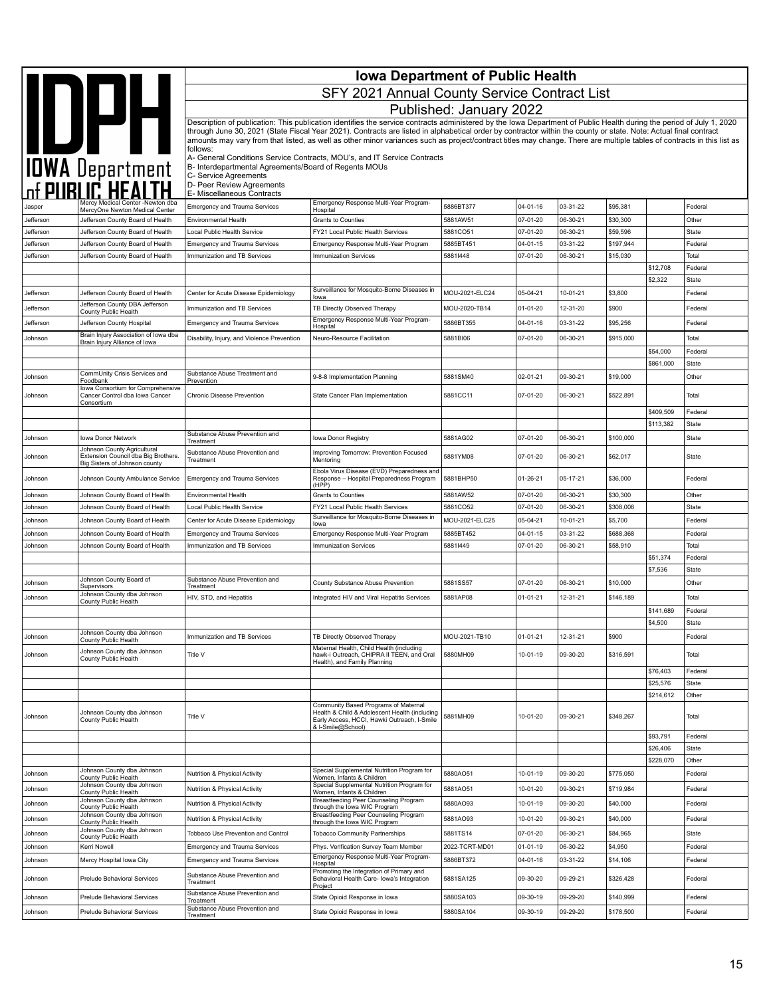|           | IOWA Department                                                       | <b>Iowa Department of Public Health</b>                 |                                                                                                                                                                        |                         |                |          |           |                     |                         |  |
|-----------|-----------------------------------------------------------------------|---------------------------------------------------------|------------------------------------------------------------------------------------------------------------------------------------------------------------------------|-------------------------|----------------|----------|-----------|---------------------|-------------------------|--|
|           |                                                                       |                                                         | SFY 2021 Annual County Service Contract List                                                                                                                           |                         |                |          |           |                     |                         |  |
|           |                                                                       |                                                         |                                                                                                                                                                        | Published: January 2022 |                |          |           |                     |                         |  |
|           |                                                                       |                                                         | Description of publication: This publication identifies the service contracts administered by the Iowa Department of Public Health during the period of July 1, 2020   |                         |                |          |           |                     |                         |  |
|           |                                                                       |                                                         | through June 30, 2021 (State Fiscal Year 2021). Contracts are listed in alphabetical order by contractor within the county or state. Note: Actual final contract       |                         |                |          |           |                     |                         |  |
|           |                                                                       |                                                         | amounts may vary from that listed, as well as other minor variances such as project/contract titles may change. There are multiple tables of contracts in this list as |                         |                |          |           |                     |                         |  |
|           |                                                                       | follows:                                                | A- General Conditions Service Contracts, MOU's, and IT Service Contracts                                                                                               |                         |                |          |           |                     |                         |  |
|           |                                                                       | B- Interdepartmental Agreements/Board of Regents MOUs   |                                                                                                                                                                        |                         |                |          |           |                     |                         |  |
|           |                                                                       | C- Service Agreements                                   |                                                                                                                                                                        |                         |                |          |           |                     |                         |  |
|           |                                                                       | D- Peer Review Agreements<br>E- Miscellaneous Contracts |                                                                                                                                                                        |                         |                |          |           |                     |                         |  |
| Jasper    | Mercy Medical Center -Newton dba                                      | <b>Emergency and Trauma Services</b>                    | Emergency Response Multi-Year Program-                                                                                                                                 | 5886BT377               | $04 - 01 - 16$ | 03-31-22 | \$95,381  |                     | Federal                 |  |
| Jefferson | MercyOne Newton Medical Center<br>Jefferson County Board of Health    | <b>Environmental Health</b>                             | Hospital<br>Grants to Counties                                                                                                                                         | 5881AW51                | 07-01-20       | 06-30-21 | \$30,300  |                     | Other                   |  |
| Jefferson | Jefferson County Board of Health                                      | Local Public Health Service                             | FY21 Local Public Health Services                                                                                                                                      | 5881CO51                | 07-01-20       | 06-30-21 | \$59,596  |                     | State                   |  |
| Jefferson | Jefferson County Board of Health                                      | <b>Emergency and Trauma Services</b>                    | Emergency Response Multi-Year Program                                                                                                                                  | 5885BT451               | $04 - 01 - 15$ | 03-31-22 | \$197,944 |                     | Federal                 |  |
| Jefferson | Jefferson County Board of Health                                      | Immunization and TB Services                            | <b>Immunization Services</b>                                                                                                                                           | 58811448                | 07-01-20       | 06-30-21 | \$15,030  |                     | Total                   |  |
|           |                                                                       |                                                         |                                                                                                                                                                        |                         |                |          |           | \$12,708            | Federal                 |  |
|           |                                                                       |                                                         |                                                                                                                                                                        |                         |                |          |           | \$2,322             | State                   |  |
| Jefferson | Jefferson County Board of Health                                      | Center for Acute Disease Epidemiology                   | Surveillance for Mosquito-Borne Diseases in                                                                                                                            | MOU-2021-ELC24          | 05-04-21       | 10-01-21 | \$3,800   |                     | Federal                 |  |
| Jefferson | Jefferson County DBA Jefferson                                        | Immunization and TB Services                            | lowa<br>TB Directly Observed Therapy                                                                                                                                   | MOU-2020-TB14           | 01-01-20       | 12-31-20 | \$900     |                     | Federal                 |  |
|           | County Public Health                                                  |                                                         | Emergency Response Multi-Year Program-                                                                                                                                 |                         |                |          |           |                     |                         |  |
| Jefferson | Jefferson County Hospital                                             | <b>Emergency and Trauma Services</b>                    | Hospital                                                                                                                                                               | 5886BT355               | 04-01-16       | 03-31-22 | \$95,256  |                     | Federal                 |  |
| Johnson   | Brain Injury Association of Iowa dba<br>Brain Injury Alliance of Iowa | Disability, Injury, and Violence Prevention             | Neuro-Resource Facilitation                                                                                                                                            | 5881BI06                | 07-01-20       | 06-30-21 | \$915,000 |                     | Total                   |  |
|           |                                                                       |                                                         |                                                                                                                                                                        |                         |                |          |           | \$54,000            | Federal                 |  |
|           |                                                                       |                                                         |                                                                                                                                                                        |                         |                |          |           | \$861,000           | <b>State</b>            |  |
| Johnson   | CommUnity Crisis Services and<br>Foodbank                             | Substance Abuse Treatment and<br>Prevention             | 9-8-8 Implementation Planning                                                                                                                                          | 5881SM40                | 02-01-21       | 09-30-21 | \$19,000  |                     | Other                   |  |
|           | Iowa Consortium for Comprehensive                                     |                                                         |                                                                                                                                                                        |                         |                |          |           |                     |                         |  |
| Johnson   | Cancer Control dba Iowa Cancer<br>Consortium                          | Chronic Disease Prevention                              | State Cancer Plan Implementation                                                                                                                                       | 5881CC11                | 07-01-20       | 06-30-21 | \$522,891 |                     | Total                   |  |
|           |                                                                       |                                                         |                                                                                                                                                                        |                         |                |          |           | \$409,509           | Federal                 |  |
|           |                                                                       |                                                         |                                                                                                                                                                        |                         |                |          |           | \$113,382           | <b>State</b>            |  |
| Johnson   | Iowa Donor Network                                                    | Substance Abuse Prevention and<br>Treatment             | Iowa Donor Registry                                                                                                                                                    | 5881AG02                | 07-01-20       | 06-30-21 | \$100,000 |                     | <b>State</b>            |  |
| Johnson   | Johnson County Agricultural<br>Extension Council dba Big Brothers.    | Substance Abuse Prevention and                          | Improving Tomorrow: Prevention Focused                                                                                                                                 | 5881YM08                | 07-01-20       | 06-30-21 | \$62,017  |                     | State                   |  |
|           | Big Sisters of Johnson county                                         | Treatment                                               | Mentoring                                                                                                                                                              |                         |                |          |           |                     |                         |  |
| Johnson   | Johnson County Ambulance Service                                      | <b>Emergency and Trauma Services</b>                    | Ebola Virus Disease (EVD) Preparedness and<br>Response - Hospital Preparedness Program                                                                                 | 5881BHP50               | $01 - 26 - 21$ | 05-17-21 | \$36,000  |                     | Federal                 |  |
|           |                                                                       |                                                         | (HPP)                                                                                                                                                                  |                         |                |          |           |                     |                         |  |
| Johnson   | Johnson County Board of Health                                        | Environmental Health                                    | Grants to Counties                                                                                                                                                     | 5881AW52                | 07-01-20       | 06-30-21 | \$30,300  |                     | Other                   |  |
| Johnson   | Johnson County Board of Health                                        | Local Public Health Service                             | FY21 Local Public Health Services<br>Surveillance for Mosquito-Borne Diseases in                                                                                       | 5881CO52                | 07-01-20       | 06-30-21 | \$308,008 |                     | <b>State</b>            |  |
| Johnson   | Johnson County Board of Health                                        | Center for Acute Disease Epidemiology                   | lowa                                                                                                                                                                   | MOU-2021-ELC25          | 05-04-21       | 10-01-21 | \$5,700   |                     | Federal                 |  |
| Johnson   | Johnson County Board of Health                                        | <b>Emergency and Trauma Services</b>                    | Emergency Response Multi-Year Program                                                                                                                                  | 5885BT452               | $04 - 01 - 15$ | 03-31-22 | \$688,368 |                     | Federal                 |  |
| Johnson   | Johnson County Board of Health                                        | Immunization and TB Services                            | <b>Immunization Services</b>                                                                                                                                           | 58811449                | 07-01-20       | 06-30-21 | \$58,910  |                     | Total                   |  |
|           |                                                                       |                                                         |                                                                                                                                                                        |                         |                |          |           | \$51,374<br>\$7,536 | Federal<br><b>State</b> |  |
|           | Johnson County Board of                                               | Substance Abuse Prevention and                          |                                                                                                                                                                        |                         |                |          |           |                     |                         |  |
| Johnson   | Supervisors<br>Johnson County dba Johnson                             | Treatment                                               | County Substance Abuse Prevention                                                                                                                                      | 5881SS57                | 07-01-20       | 06-30-21 | \$10,000  |                     | Other                   |  |
| Johnson   | County Public Health                                                  | HIV, STD, and Hepatitis                                 | Integrated HIV and Viral Hepatitis Services                                                                                                                            | 5881AP08                | $01 - 01 - 21$ | 12-31-21 | \$146.189 |                     | Total                   |  |
|           |                                                                       |                                                         |                                                                                                                                                                        |                         |                |          |           | \$141,689           | Federal                 |  |
|           |                                                                       |                                                         |                                                                                                                                                                        |                         |                |          |           | \$4,500             | State                   |  |
| Johnson   | Johnson County dba Johnson<br>County Public Health                    | Immunization and TB Services                            | TB Directly Observed Therapy                                                                                                                                           | MOU-2021-TB10           | $01 - 01 - 21$ | 12-31-21 | \$900     |                     | Federal                 |  |
| Johnson   | Johnson County dba Johnson                                            | Title V                                                 | Maternal Health, Child Health (including<br>hawk-i Outreach, CHIPRA II TEEN, and Oral                                                                                  | 5880MH09                | 10-01-19       | 09-30-20 | \$316,591 |                     | Total                   |  |
|           | County Public Health                                                  |                                                         | Health), and Family Planning                                                                                                                                           |                         |                |          |           |                     |                         |  |
|           |                                                                       |                                                         |                                                                                                                                                                        |                         |                |          |           | \$76,403            | Federal                 |  |
|           |                                                                       |                                                         |                                                                                                                                                                        |                         |                |          |           | \$25,576            | State                   |  |
|           |                                                                       |                                                         | Community Based Programs of Maternal                                                                                                                                   |                         |                |          |           | \$214,612           | Other                   |  |
| Johnson   | Johnson County dba Johnson                                            | Title V                                                 | Health & Child & Adolescent Health (including                                                                                                                          | 5881MH09                | 10-01-20       | 09-30-21 | \$348,267 |                     | Total                   |  |
|           | County Public Health                                                  |                                                         | Early Access, HCCI, Hawki Outreach, I-Smile<br>& I-Smile@School)                                                                                                       |                         |                |          |           |                     |                         |  |
|           |                                                                       |                                                         |                                                                                                                                                                        |                         |                |          |           | \$93,791            | Federal                 |  |
|           |                                                                       |                                                         |                                                                                                                                                                        |                         |                |          |           | \$26,406            | State                   |  |
|           |                                                                       |                                                         |                                                                                                                                                                        |                         |                |          |           | \$228,070           | Other                   |  |
| Johnson   | Johnson County dba Johnson<br>County Public Health                    | Nutrition & Physical Activity                           | Special Supplemental Nutrition Program for<br>Women, Infants & Children                                                                                                | 5880AO51                | 10-01-19       | 09-30-20 | \$775,050 |                     | Federal                 |  |
| Johnson   | Johnson County dba Johnson<br>County Public Health                    | Nutrition & Physical Activity                           | Special Supplemental Nutrition Program for<br>Women, Infants & Children                                                                                                | 5881AO51                | 10-01-20       | 09-30-21 | \$719,984 |                     | Federal                 |  |
| Johnson   | Johnson County dba Johnson                                            | Nutrition & Physical Activity                           | Breastfeeding Peer Counseling Program                                                                                                                                  | 5880AO93                | 10-01-19       | 09-30-20 | \$40,000  |                     | Federal                 |  |
| Johnson   | County Public Health<br>Johnson County dba Johnson                    | Nutrition & Physical Activity                           | through the lowa WIC Program<br>Breastfeeding Peer Counseling Program                                                                                                  | 5881AO93                | 10-01-20       | 09-30-21 | \$40,000  |                     | Federal                 |  |
|           | County Public Health<br>Johnson County dba Johnson                    |                                                         | through the lowa WIC Program                                                                                                                                           |                         |                |          |           |                     |                         |  |
| Johnson   | County Public Health                                                  | Tobbaco Use Prevention and Control                      | <b>Tobacco Community Partnerships</b>                                                                                                                                  | 5881TS14                | 07-01-20       | 06-30-21 | \$84,965  |                     | State                   |  |
| Johnson   | Kerri Nowell                                                          | <b>Emergency and Trauma Services</b>                    | Phys. Verification Survey Team Member                                                                                                                                  | 2022-TCRT-MD01          | $01 - 01 - 19$ | 06-30-22 | \$4,950   |                     | Federal                 |  |
| Johnson   | Mercy Hospital lowa City                                              | <b>Emergency and Trauma Services</b>                    | Emergency Response Multi-Year Program-<br>Hospital                                                                                                                     | 5886BT372               | 04-01-16       | 03-31-22 | \$14,106  |                     | Federal                 |  |
| Johnson   | Prelude Behavioral Services                                           | Substance Abuse Prevention and                          | Promoting the Integration of Primary and<br>Behavioral Health Care- Iowa's Integration                                                                                 | 5881SA125               | 09-30-20       | 09-29-21 | \$326,428 |                     | Federal                 |  |
|           |                                                                       | Treatment<br>Substance Abuse Prevention and             | Project                                                                                                                                                                |                         |                |          |           |                     |                         |  |
| Johnson   | Prelude Behavioral Services                                           | Treatment                                               | State Opioid Response in Iowa                                                                                                                                          | 5880SA103               | 09-30-19       | 09-29-20 | \$140,999 |                     | Federal                 |  |
| Johnson   | Prelude Behavioral Services                                           | Substance Abuse Prevention and<br>Treatment             | State Opioid Response in Iowa                                                                                                                                          | 5880SA104               | 09-30-19       | 09-29-20 | \$178,500 |                     | Federal                 |  |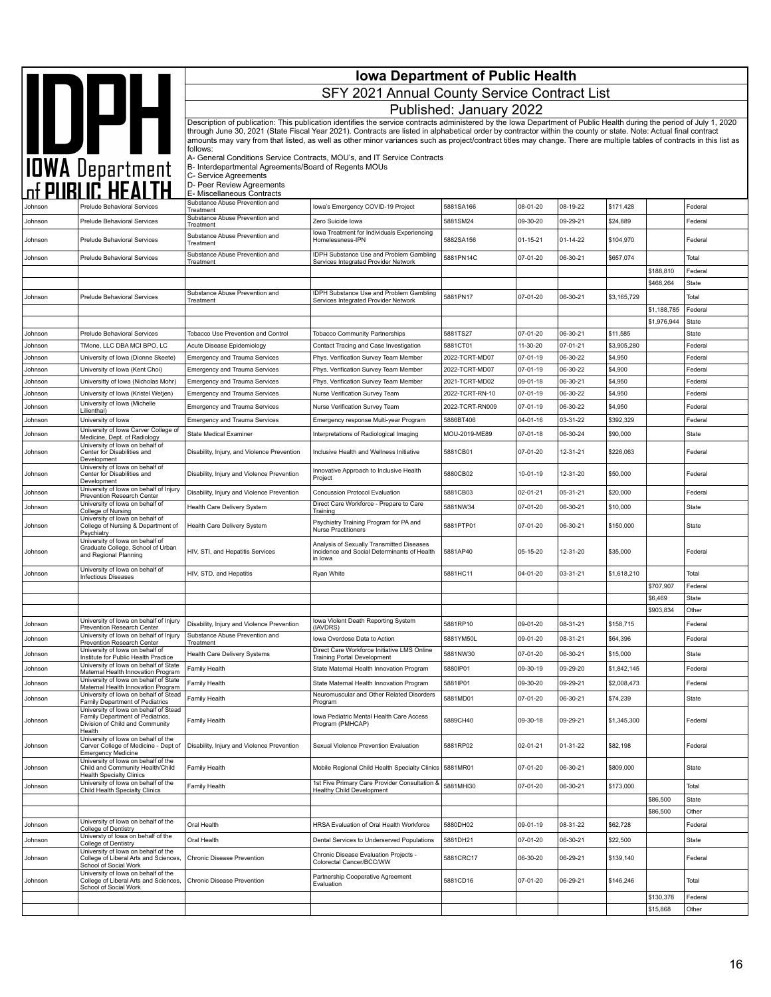|                    | <b>Iowa Department of Public Health</b>                                                                      |                                                                                |                                                                                                                                                                                                                                                                                                                                            |                                  |                      |                      |                    |                            |                    |  |
|--------------------|--------------------------------------------------------------------------------------------------------------|--------------------------------------------------------------------------------|--------------------------------------------------------------------------------------------------------------------------------------------------------------------------------------------------------------------------------------------------------------------------------------------------------------------------------------------|----------------------------------|----------------------|----------------------|--------------------|----------------------------|--------------------|--|
|                    |                                                                                                              |                                                                                | SFY 2021 Annual County Service Contract List                                                                                                                                                                                                                                                                                               |                                  |                      |                      |                    |                            |                    |  |
|                    |                                                                                                              |                                                                                |                                                                                                                                                                                                                                                                                                                                            | Published: January 2022          |                      |                      |                    |                            |                    |  |
|                    |                                                                                                              |                                                                                | Description of publication: This publication identifies the service contracts administered by the Iowa Department of Public Health during the period of July 1, 2020                                                                                                                                                                       |                                  |                      |                      |                    |                            |                    |  |
|                    | <b>SAN DEPARTMENT</b>                                                                                        |                                                                                | through June 30, 2021 (State Fiscal Year 2021). Contracts are listed in alphabetical order by contractor within the county or state. Note: Actual final contract<br>amounts may vary from that listed, as well as other minor variances such as project/contract titles may change. There are multiple tables of contracts in this list as |                                  |                      |                      |                    |                            |                    |  |
|                    |                                                                                                              | follows:                                                                       | A- General Conditions Service Contracts, MOU's, and IT Service Contracts                                                                                                                                                                                                                                                                   |                                  |                      |                      |                    |                            |                    |  |
|                    |                                                                                                              | B- Interdepartmental Agreements/Board of Regents MOUs<br>C- Service Agreements |                                                                                                                                                                                                                                                                                                                                            |                                  |                      |                      |                    |                            |                    |  |
|                    |                                                                                                              | D- Peer Review Agreements<br>E- Miscellaneous Contracts                        |                                                                                                                                                                                                                                                                                                                                            |                                  |                      |                      |                    |                            |                    |  |
| Johnson            | Prelude Behavioral Services                                                                                  | Substance Abuse Prevention and                                                 | Iowa's Emergency COVID-19 Project                                                                                                                                                                                                                                                                                                          | 5881SA166                        | 08-01-20             | 08-19-22             | \$171.428          |                            | Federal            |  |
| Johnson            | <b>Prelude Behavioral Services</b>                                                                           | Treatment<br>Substance Abuse Prevention and<br>Treatment                       | Zero Suicide Iowa                                                                                                                                                                                                                                                                                                                          | 5881SM24                         | 09-30-20             | 09-29-21             | \$24,889           |                            | Federal            |  |
| Johnson            | Prelude Behavioral Services                                                                                  | Substance Abuse Prevention and<br>Treatment                                    | Iowa Treatment for Individuals Experiencing<br>Homelessness-IPN                                                                                                                                                                                                                                                                            | 5882SA156                        | 01-15-21             | 01-14-22             | \$104,970          |                            | Federal            |  |
| Johnson            | Prelude Behavioral Services                                                                                  | Substance Abuse Prevention and<br>Treatment                                    | IDPH Substance Use and Problem Gambling<br>Services Integrated Provider Network                                                                                                                                                                                                                                                            | 5881PN14C                        | 07-01-20             | 06-30-21             | \$657,074          |                            | Total              |  |
|                    |                                                                                                              |                                                                                |                                                                                                                                                                                                                                                                                                                                            |                                  |                      |                      |                    | \$188,810                  | Federal            |  |
|                    |                                                                                                              | Substance Abuse Prevention and                                                 | IDPH Substance Use and Problem Gambling                                                                                                                                                                                                                                                                                                    |                                  |                      |                      |                    | \$468,264                  | State              |  |
| Johnson            | Prelude Behavioral Services                                                                                  | Treatment                                                                      | Services Integrated Provider Network                                                                                                                                                                                                                                                                                                       | 5881PN17                         | 07-01-20             | 06-30-21             | \$3,165,729        |                            | Total<br>Federal   |  |
|                    |                                                                                                              |                                                                                |                                                                                                                                                                                                                                                                                                                                            |                                  |                      |                      |                    | \$1,188,785<br>\$1,976,944 | State              |  |
| Johnson            | Prelude Behavioral Services                                                                                  | Tobacco Use Prevention and Control                                             | <b>Tobacco Community Partnerships</b>                                                                                                                                                                                                                                                                                                      | 5881TS27                         | 07-01-20             | 06-30-21             | \$11,585           |                            | State              |  |
| Johnson            | TMone, LLC DBA MCI BPO, LC                                                                                   | Acute Disease Epidemiology                                                     | Contact Tracing and Case Investigation                                                                                                                                                                                                                                                                                                     | 5881CT01                         | 11-30-20             | 07-01-21             | \$3,905,280        |                            | Federal            |  |
| Johnson            | University of Iowa (Dionne Skeete)                                                                           | <b>Emergency and Trauma Services</b>                                           | Phys. Verification Survey Team Member                                                                                                                                                                                                                                                                                                      | 2022-TCRT-MD07                   | 07-01-19             | 06-30-22             | \$4,950            |                            | Federal            |  |
| Johnson<br>Johnson | University of Iowa (Kent Choi)<br>Universitty of Iowa (Nicholas Mohr)                                        | <b>Emergency and Trauma Services</b><br><b>Emergency and Trauma Services</b>   | Phys. Verification Survey Team Member<br>Phys. Verification Survey Team Member                                                                                                                                                                                                                                                             | 2022-TCRT-MD07<br>2021-TCRT-MD02 | 07-01-19<br>09-01-18 | 06-30-22<br>06-30-21 | \$4,900<br>\$4,950 |                            | Federal<br>Federal |  |
| Johnson            | University of Iowa (Kristel Wetjen)                                                                          | <b>Emergency and Trauma Services</b>                                           | Nurse Verification Survey Team                                                                                                                                                                                                                                                                                                             | 2022-TCRT-RN-10                  | 07-01-19             | 06-30-22             | \$4,950            |                            | Federal            |  |
| Johnson            | University of Iowa (Michelle<br>Lilienthal)                                                                  | <b>Emergency and Trauma Services</b>                                           | Nurse Verification Survey Team                                                                                                                                                                                                                                                                                                             | 2022-TCRT-RN009                  | 07-01-19             | 06-30-22             | \$4,950            |                            | Federal            |  |
| Johnson            | University of Iowa                                                                                           | <b>Emergency and Trauma Services</b>                                           | Emergency response Multi-year Program                                                                                                                                                                                                                                                                                                      | 5886BT406                        | 04-01-16             | 03-31-22             | \$392,329          |                            | Federal            |  |
| Johnson            | University of Iowa Carver College of<br>Medicine, Dept. of Radiology                                         | <b>State Medical Examiner</b>                                                  | Interpretations of Radiological Imaging                                                                                                                                                                                                                                                                                                    | MOU-2019-ME89                    | 07-01-18             | 06-30-24             | \$90,000           |                            | State              |  |
| Johnson            | University of lowa on behalf of<br>Center for Disabilities and<br>Development                                | Disability, Injury, and Violence Prevention                                    | Inclusive Health and Wellness Initiative                                                                                                                                                                                                                                                                                                   | 5881CB01                         | 07-01-20             | 12-31-21             | \$226,063          |                            | Federal            |  |
| Johnson            | University of lowa on behalf of<br>Center for Disabilities and<br>Development                                | Disability, Injury and Violence Prevention                                     | Innovative Approach to Inclusive Health<br>Project                                                                                                                                                                                                                                                                                         | 5880CB02                         | 10-01-19             | 12-31-20             | \$50,000           |                            | Federal            |  |
| Johnson            | University of lowa on behalf of Injury<br>Prevention Research Center                                         | Disability, Injury and Violence Prevention                                     | Concussion Protocol Evaluation                                                                                                                                                                                                                                                                                                             | 5881CB03                         | 02-01-21             | 05-31-21             | \$20,000           |                            | Federal            |  |
| Johnson            | University of lowa on behalf of<br>College of Nursing                                                        | Health Care Delivery System                                                    | Direct Care Workforce - Prepare to Care<br>Training                                                                                                                                                                                                                                                                                        | 5881NW34                         | 07-01-20             | 06-30-21             | \$10,000           |                            | State              |  |
| Johnson            | University of lowa on behalf of<br>College of Nursing & Department of<br>Psychiatry                          | Health Care Delivery System                                                    | Psychiatry Training Program for PA and<br><b>Nurse Practitioners</b>                                                                                                                                                                                                                                                                       | 5881PTP01                        | 07-01-20             | 06-30-21             | \$150,000          |                            | State              |  |
| Johnson            | University of lowa on behalf of<br>Graduate College, School of Urban<br>and Regional Planning                | HIV, STI, and Hepatitis Services                                               | Analysis of Sexually Transmitted Diseases<br>Incidence and Social Determinants of Health<br>in Iowa                                                                                                                                                                                                                                        | 5881AP40                         | 05-15-20             | 12-31-20             | \$35,000           |                            | Federal            |  |
| Johnson            | University of lowa on behalf of<br><b>Infectious Diseases</b>                                                | HIV, STD, and Hepatitis                                                        | Ryan White                                                                                                                                                                                                                                                                                                                                 | 5881HC11                         | 04-01-20             | 03-31-21             | \$1,618,210        |                            | Total              |  |
|                    |                                                                                                              |                                                                                |                                                                                                                                                                                                                                                                                                                                            |                                  |                      |                      |                    | \$707,907                  | Federal            |  |
|                    |                                                                                                              |                                                                                |                                                                                                                                                                                                                                                                                                                                            |                                  |                      |                      |                    | \$6,469                    | State              |  |
| Johnson            | University of lowa on behalf of Injury                                                                       | Disability, Injury and Violence Prevention                                     | Iowa Violent Death Reporting System                                                                                                                                                                                                                                                                                                        | 5881RP10                         | 09-01-20             | 08-31-21             | \$158.715          | \$903,834                  | Other<br>Federal   |  |
| Johnson            | Prevention Research Center<br>University of lowa on behalf of Injury                                         | Substance Abuse Prevention and                                                 | <b>IAVDRS</b><br>Iowa Overdose Data to Action                                                                                                                                                                                                                                                                                              | 5881YM50L                        | 09-01-20             | 08-31-21             | \$64,396           |                            | Federal            |  |
| Johnson            | Prevention Research Center<br>University of lowa on behalf of                                                | Treatment<br>Health Care Delivery Systems                                      | Direct Care Workforce Initiative LMS Online                                                                                                                                                                                                                                                                                                | 5881NW30                         | 07-01-20             | 06-30-21             | \$15,000           |                            | <b>State</b>       |  |
|                    | Institute for Public Health Practice<br>University of Iowa on behalf of State                                |                                                                                | <b>Training Portal Development</b><br>State Maternal Health Innovation Program                                                                                                                                                                                                                                                             | 5880IP01                         | 09-30-19             | 09-29-20             | \$1,842,145        |                            | Federal            |  |
| Johnson            | Maternal Health Innovation Program<br>University of Iowa on behalf of State                                  | Family Health                                                                  |                                                                                                                                                                                                                                                                                                                                            |                                  |                      |                      |                    |                            |                    |  |
| Johnson            | Maternal Health Innovation Program<br>University of Iowa on behalf of Stead                                  | Family Health                                                                  | State Maternal Health Innovation Program<br>Neuromuscular and Other Related Disorders                                                                                                                                                                                                                                                      | 5881IP01                         | 09-30-20             | 09-29-21             | \$2,008,473        |                            | Federal            |  |
| Johnson            | Family Department of Pediatrics<br>University of Iowa on behalf of Stead<br>Family Department of Pediatrics, | Family Health                                                                  | Program<br>Iowa Pediatric Mental Health Care Access                                                                                                                                                                                                                                                                                        | 5881MD01                         | 07-01-20             | 06-30-21             | \$74,239           |                            | State              |  |
| Johnson            | Division of Child and Community<br>Health<br>University of lowa on behalf of the                             | Family Health                                                                  | Program (PMHCAP)                                                                                                                                                                                                                                                                                                                           | 5889CH40                         | 09-30-18             | 09-29-21             | \$1,345,300        |                            | Federal            |  |
| Johnson            | Carver College of Medicine - Dept of<br><b>Emergency Medicine</b><br>University of lowa on behalf of the     | Disability, Injury and Violence Prevention                                     | Sexual Violence Prevention Evaluation                                                                                                                                                                                                                                                                                                      | 5881RP02                         | 02-01-21             | 01-31-22             | \$82,198           |                            | Federal            |  |
| Johnson            | Child and Community Health/Child<br><b>Health Specialty Clinics</b>                                          | Family Health                                                                  | Mobile Regional Child Health Specialty Clinics                                                                                                                                                                                                                                                                                             | 5881MR01                         | 07-01-20             | 06-30-21             | \$809,000          |                            | State              |  |
| Johnson            | University of lowa on behalf of the<br>Child Health Specialty Clinics                                        | Family Health                                                                  | 1st Five Primary Care Provider Consultation &<br><b>Healthy Child Development</b>                                                                                                                                                                                                                                                          | 5881MHI30                        | 07-01-20             | 06-30-21             | \$173,000          |                            | Total              |  |
|                    |                                                                                                              |                                                                                |                                                                                                                                                                                                                                                                                                                                            |                                  |                      |                      |                    | \$86,500                   | State              |  |
| Johnson            | University of lowa on behalf of the                                                                          | Oral Health                                                                    | HRSA Evaluation of Oral Health Workforce                                                                                                                                                                                                                                                                                                   | 5880DH02                         | 09-01-19             | 08-31-22             | \$62,728           | \$86,500                   | Other<br>Federal   |  |
| Johnson            | College of Dentistry<br>Universty of lowa on behalf of the                                                   | Oral Health                                                                    | Dental Services to Underserved Populations                                                                                                                                                                                                                                                                                                 | 5881DH21                         | 07-01-20             | 06-30-21             | \$22,500           |                            | State              |  |
|                    | College of Dentistry<br>University of Iowa on behalf of the                                                  |                                                                                |                                                                                                                                                                                                                                                                                                                                            |                                  |                      |                      |                    |                            |                    |  |
| Johnson            | College of Liberal Arts and Sciences,<br>School of Social Work<br>University of lowa on behalf of the        | Chronic Disease Prevention                                                     | Chronic Disease Evaluation Projects -<br>Colorectal Cancer/BCC/WW<br>Partnership Cooperative Agreement                                                                                                                                                                                                                                     | 5881CRC17                        | 06-30-20             | 06-29-21             | \$139,140          |                            | Federal            |  |
| Johnson            | College of Liberal Arts and Sciences,<br>School of Social Work                                               | Chronic Disease Prevention                                                     | Evaluation                                                                                                                                                                                                                                                                                                                                 | 5881CD16                         | 07-01-20             | 06-29-21             | \$146,246          |                            | Total              |  |
|                    |                                                                                                              |                                                                                |                                                                                                                                                                                                                                                                                                                                            |                                  |                      |                      |                    | \$130,378<br>\$15,868      | Federal<br>Other   |  |
|                    |                                                                                                              |                                                                                |                                                                                                                                                                                                                                                                                                                                            |                                  |                      |                      |                    |                            |                    |  |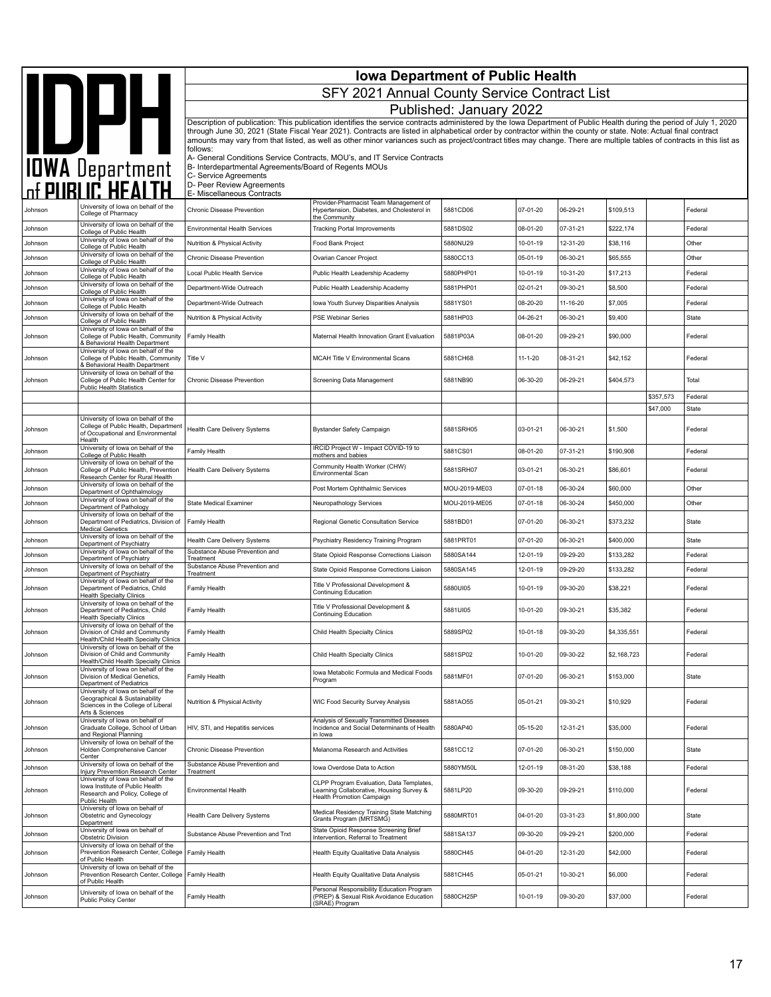|         |                                                                                                                                                     | <b>Iowa Department of Public Health</b><br>SFY 2021 Annual County Service Contract List                     |                                                                                                                                                                                                                                                                                                                                                                                                                                                                                                                    |                         |                |          |             |           |              |  |  |
|---------|-----------------------------------------------------------------------------------------------------------------------------------------------------|-------------------------------------------------------------------------------------------------------------|--------------------------------------------------------------------------------------------------------------------------------------------------------------------------------------------------------------------------------------------------------------------------------------------------------------------------------------------------------------------------------------------------------------------------------------------------------------------------------------------------------------------|-------------------------|----------------|----------|-------------|-----------|--------------|--|--|
|         |                                                                                                                                                     |                                                                                                             |                                                                                                                                                                                                                                                                                                                                                                                                                                                                                                                    | Published: January 2022 |                |          |             |           |              |  |  |
|         | DPH                                                                                                                                                 | follows:                                                                                                    | Description of publication: This publication identifies the service contracts administered by the Iowa Department of Public Health during the period of July 1, 2020<br>through June 30, 2021 (State Fiscal Year 2021). Contracts are listed in alphabetical order by contractor within the county or state. Note: Actual final contract<br>amounts may vary from that listed, as well as other minor variances such as project/contract titles may change. There are multiple tables of contracts in this list as |                         |                |          |             |           |              |  |  |
|         | <b>IOWA</b> Department<br>of <b>PUBLIC HEALTH</b>                                                                                                   | B- Interdepartmental Agreements/Board of Regents MOUs<br>C- Service Agreements<br>D- Peer Review Agreements | A- General Conditions Service Contracts, MOU's, and IT Service Contracts                                                                                                                                                                                                                                                                                                                                                                                                                                           |                         |                |          |             |           |              |  |  |
|         |                                                                                                                                                     | E- Miscellaneous Contracts                                                                                  | Provider-Pharmacist Team Management of                                                                                                                                                                                                                                                                                                                                                                                                                                                                             |                         |                |          |             |           |              |  |  |
| Johnson | University of lowa on behalf of the<br>College of Pharmacy                                                                                          | Chronic Disease Prevention                                                                                  | Hypertension, Diabetes, and Cholesterol in<br>the Community                                                                                                                                                                                                                                                                                                                                                                                                                                                        | 5881CD06                | 07-01-20       | 06-29-21 | \$109,513   |           | Federal      |  |  |
| Johnson | University of lowa on behalf of the<br>College of Public Health                                                                                     | <b>Environmental Health Services</b>                                                                        | <b>Tracking Portal Improvements</b>                                                                                                                                                                                                                                                                                                                                                                                                                                                                                | 5881DS02                | 08-01-20       | 07-31-21 | \$222,174   |           | Federal      |  |  |
| Johnson | University of Iowa on behalf of the<br>College of Public Health                                                                                     | Nutrition & Physical Activity                                                                               | Food Bank Project                                                                                                                                                                                                                                                                                                                                                                                                                                                                                                  | 5880NU29                | 10-01-19       | 12-31-20 | \$38,116    |           | Other        |  |  |
| Johnson | University of lowa on behalf of the<br>College of Public Health                                                                                     | Chronic Disease Prevention                                                                                  | Ovarian Cancer Project                                                                                                                                                                                                                                                                                                                                                                                                                                                                                             | 5880CC13                | 05-01-19       | 06-30-21 | \$65,555    |           | Other        |  |  |
| Johnson | University of lowa on behalf of the<br>College of Public Health                                                                                     | Local Public Health Service                                                                                 | Public Health Leadership Academy                                                                                                                                                                                                                                                                                                                                                                                                                                                                                   | 5880PHP01               | 10-01-19       | 10-31-20 | \$17,213    |           | Federal      |  |  |
| Johnson | University of lowa on behalf of the<br>College of Public Health                                                                                     | Department-Wide Outreach                                                                                    | Public Health Leadership Academy                                                                                                                                                                                                                                                                                                                                                                                                                                                                                   | 5881PHP01               | 02-01-21       | 09-30-21 | \$8,500     |           | Federal      |  |  |
| Johnson | University of lowa on behalf of the<br>College of Public Health                                                                                     | Department-Wide Outreach                                                                                    | Iowa Youth Survey Disparities Analysis                                                                                                                                                                                                                                                                                                                                                                                                                                                                             | 5881YS01                | 08-20-20       | 11-16-20 | \$7,005     |           | Federal      |  |  |
| Johnson | University of lowa on behalf of the<br>College of Public Health                                                                                     | Nutrition & Physical Activity                                                                               | <b>PSE Webinar Series</b>                                                                                                                                                                                                                                                                                                                                                                                                                                                                                          | 5881HP03                | 04-26-21       | 06-30-21 | \$9,400     |           | State        |  |  |
| Johnson | University of lowa on behalf of the<br>College of Public Health, Community<br>& Behavioral Health Department<br>University of lowa on behalf of the | Family Health                                                                                               | Maternal Health Innovation Grant Evaluation                                                                                                                                                                                                                                                                                                                                                                                                                                                                        | 5881IP03A               | 08-01-20       | 09-29-21 | \$90,000    |           | Federal      |  |  |
| Johnson | College of Public Health, Community<br>& Behavioral Health Department<br>University of lowa on behalf of the                                        | Title V                                                                                                     | <b>MCAH Title V Environmental Scans</b>                                                                                                                                                                                                                                                                                                                                                                                                                                                                            | 5881CH68                | $11 - 1 - 20$  | 08-31-21 | \$42,152    |           | Federal      |  |  |
| Johnson | College of Public Health Center for<br><b>Public Health Statistics</b>                                                                              | Chronic Disease Prevention                                                                                  | Screening Data Management                                                                                                                                                                                                                                                                                                                                                                                                                                                                                          | 5881NB90                | 06-30-20       | 06-29-21 | \$404,573   |           | Total        |  |  |
|         |                                                                                                                                                     |                                                                                                             |                                                                                                                                                                                                                                                                                                                                                                                                                                                                                                                    |                         |                |          |             | \$357,573 | Federal      |  |  |
|         | University of Iowa on behalf of the                                                                                                                 |                                                                                                             |                                                                                                                                                                                                                                                                                                                                                                                                                                                                                                                    |                         |                |          |             | \$47,000  | <b>State</b> |  |  |
| Johnson | College of Public Health, Department<br>of Occupational and Environmental<br>Health                                                                 | Health Care Delivery Systems                                                                                | <b>Bystander Safety Campaign</b>                                                                                                                                                                                                                                                                                                                                                                                                                                                                                   | 5881SRH05               | 03-01-21       | 06-30-21 | \$1,500     |           | Federal      |  |  |
| Johnson | University of lowa on behalf of the<br>College of Public Health                                                                                     | Family Health                                                                                               | IRCID Project W - Impact COVID-19 to<br>mothers and babies                                                                                                                                                                                                                                                                                                                                                                                                                                                         | 5881CS01                | 08-01-20       | 07-31-21 | \$190,908   |           | Federal      |  |  |
| Johnson | University of lowa on behalf of the<br>College of Public Health, Prevention<br>Research Center for Rural Health                                     | Health Care Delivery Systems                                                                                | Community Health Worker (CHW)<br><b>Environmental Scan</b>                                                                                                                                                                                                                                                                                                                                                                                                                                                         | 5881SRH07               | 03-01-21       | 06-30-21 | \$86,601    |           | Federal      |  |  |
| Johnson | University of lowa on behalf of the<br>Department of Ophthalmology                                                                                  |                                                                                                             | Post Mortem Ophthalmic Services                                                                                                                                                                                                                                                                                                                                                                                                                                                                                    | MOU-2019-ME03           | 07-01-18       | 06-30-24 | \$60,000    |           | Other        |  |  |
| Johnson | University of lowa on behalf of the<br>Department of Pathology                                                                                      | <b>State Medical Examiner</b>                                                                               | Neuropathology Services                                                                                                                                                                                                                                                                                                                                                                                                                                                                                            | MOU-2019-ME05           | 07-01-18       | 06-30-24 | \$450,000   |           | Other        |  |  |
| Johnson | University of lowa on behalf of the<br>Department of Pediatrics, Division of<br><b>Medical Genetics</b>                                             | Family Health                                                                                               | Regional Genetic Consultation Service                                                                                                                                                                                                                                                                                                                                                                                                                                                                              | 5881BD01                | 07-01-20       | 06-30-21 | \$373,232   |           | State        |  |  |
| Johnson | University of lowa on behalf of the<br>Department of Psychiatry                                                                                     | Health Care Delivery Systems                                                                                | Psychiatry Residency Training Program                                                                                                                                                                                                                                                                                                                                                                                                                                                                              | 5881PRT01               | 07-01-20       | 06-30-21 | \$400,000   |           | State        |  |  |
| Johnson | University of lowa on behalf of the<br>Department of Psychiatry                                                                                     | Substance Abuse Prevention and<br>Treatment                                                                 | State Opioid Response Corrections Liaison                                                                                                                                                                                                                                                                                                                                                                                                                                                                          | 5880SA144               | 12-01-19       | 09-29-20 | \$133,282   |           | Federal      |  |  |
| Johnson | University of Iowa on behalf of the<br>Department of Psychiatry                                                                                     | Substance Abuse Prevention and<br>Treatment                                                                 | State Opioid Response Corrections Liaison                                                                                                                                                                                                                                                                                                                                                                                                                                                                          | 5880SA145               | 12-01-19       | 09-29-20 | \$133,282   |           | Federal      |  |  |
| Johnson | University of lowa on behalf of the<br>Department of Pediatrics, Child<br><b>Health Specialty Clinics</b>                                           | Family Health                                                                                               | Title V Professional Development &<br><b>Continuing Education</b>                                                                                                                                                                                                                                                                                                                                                                                                                                                  | 5880UI05                | 10-01-19       | 09-30-20 | \$38,221    |           | Federal      |  |  |
| Johnson | University of lowa on behalf of the<br>Department of Pediatrics, Child<br><b>Health Specialty Clinics</b>                                           | Family Health                                                                                               | Title V Professional Development &<br><b>Continuing Education</b>                                                                                                                                                                                                                                                                                                                                                                                                                                                  | 5881UI05                | 10-01-20       | 09-30-21 | \$35,382    |           | Federal      |  |  |
| Johnson | University of lowa on behalf of the<br>Division of Child and Community<br>Health/Child Health Specialty Clinics                                     | Family Health                                                                                               | Child Health Specialty Clinics                                                                                                                                                                                                                                                                                                                                                                                                                                                                                     | 5889SP02                | $10 - 01 - 18$ | 09-30-20 | \$4,335,551 |           | Federal      |  |  |
| Johnson | University of lowa on behalf of the<br>Division of Child and Community<br>Health/Child Health Specialty Clinics                                     | Family Health                                                                                               | Child Health Specialty Clinics                                                                                                                                                                                                                                                                                                                                                                                                                                                                                     | 5881SP02                | 10-01-20       | 09-30-22 | \$2.168.723 |           | Federal      |  |  |
| Johnson | University of lowa on behalf of the<br>Division of Medical Genetics,<br>Department of Pediatrics                                                    | Family Health                                                                                               | Iowa Metabolic Formula and Medical Foods<br>Program                                                                                                                                                                                                                                                                                                                                                                                                                                                                | 5881MF01                | 07-01-20       | 06-30-21 | \$153,000   |           | State        |  |  |
| Johnson | University of Iowa on behalf of the<br>Geographical & Sustainability<br>Sciences in the College of Liberal<br>Arts & Sciences                       | Nutrition & Physical Activity                                                                               | WIC Food Security Survey Analysis                                                                                                                                                                                                                                                                                                                                                                                                                                                                                  | 5881AO55                | 05-01-21       | 09-30-21 | \$10,929    |           | Federal      |  |  |
| Johnson | University of lowa on behalf of<br>Graduate College, School of Urban<br>and Regional Planning                                                       | HIV, STI, and Hepatitis services                                                                            | Analysis of Sexually Transmitted Diseases<br>Incidence and Social Determinants of Health<br>in Iowa                                                                                                                                                                                                                                                                                                                                                                                                                | 5880AP40                | 05-15-20       | 12-31-21 | \$35,000    |           | Federal      |  |  |
| Johnson | University of Iowa on behalf of the<br>Holden Comprehensive Cancer<br>Center                                                                        | Chronic Disease Prevention                                                                                  | Melanoma Research and Activities                                                                                                                                                                                                                                                                                                                                                                                                                                                                                   | 5881CC12                | 07-01-20       | 06-30-21 | \$150,000   |           | State        |  |  |
| Johnson | University of lowa on behalf of the<br>Injury Prevemtion Research Center                                                                            | Substance Abuse Prevention and<br>Treatment                                                                 | Iowa Overdose Data to Action                                                                                                                                                                                                                                                                                                                                                                                                                                                                                       | 5880YM50L               | 12-01-19       | 08-31-20 | \$38,188    |           | Federal      |  |  |
| Johnson | University of lowa on behalf of the<br>lowa Institute of Public Health<br>Research and Policy, College of<br>Public Health                          | Environmental Health                                                                                        | CLPP Program Evaluation. Data Templates.<br>Learning Collaborative, Housing Survey &<br>Health Promotion Campaign                                                                                                                                                                                                                                                                                                                                                                                                  | 5881LP20                | 09-30-20       | 09-29-21 | \$110,000   |           | Federal      |  |  |
| Johnson | University of lowa on behalf of<br>Obstetric and Gynecology<br>Department                                                                           | Health Care Delivery Systems                                                                                | Medical Residency Training State Matching<br>Grants Program (MRTSMG)                                                                                                                                                                                                                                                                                                                                                                                                                                               | 5880MRT01               | 04-01-20       | 03-31-23 | \$1,800,000 |           | State        |  |  |
| Johnson | University of lowa on behalf of<br>Obstetric Division                                                                                               | Substance Abuse Prevention and Trxt                                                                         | State Opioid Response Screening Brief<br>Intervention, Referral to Treatment                                                                                                                                                                                                                                                                                                                                                                                                                                       | 5881SA137               | 09-30-20       | 09-29-21 | \$200,000   |           | Federal      |  |  |
| Johnson | University of lowa on behalf of the<br>Prevention Research Center, College<br>of Public Health                                                      | Family Health                                                                                               | Health Equity Qualitative Data Analysis                                                                                                                                                                                                                                                                                                                                                                                                                                                                            | 5880CH45                | 04-01-20       | 12-31-20 | \$42,000    |           | Federal      |  |  |
| Johnson | University of lowa on behalf of the<br>Prevention Research Center, College<br>of Public Health                                                      | Family Health                                                                                               | Health Equity Qualitative Data Analysis                                                                                                                                                                                                                                                                                                                                                                                                                                                                            | 5881CH45                | 05-01-21       | 10-30-21 | \$6,000     |           | Federal      |  |  |
| Johnson | University of lowa on behalf of the<br><b>Public Policy Center</b>                                                                                  | Family Health                                                                                               | Personal Responsibility Education Program<br>(PREP) & Sexual Risk Avoidance Education<br>SRAE) Program                                                                                                                                                                                                                                                                                                                                                                                                             | 5880CH25P               | 10-01-19       | 09-30-20 | \$37,000    |           | Federal      |  |  |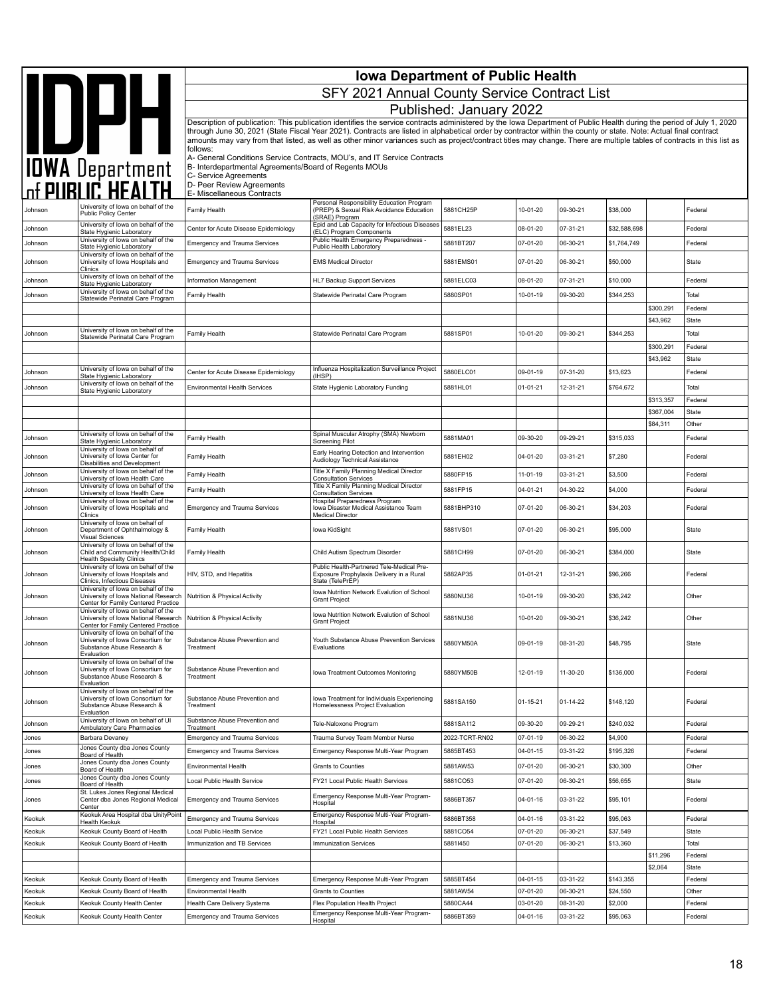|                    | <b>Iowa Department of Public Health</b>                                                                                                            |                                                                                            |                                                                                                                                                                                                                                                                                                                                                                                                                                                                                                                    |                         |                      |                      |                    |                     |                    |
|--------------------|----------------------------------------------------------------------------------------------------------------------------------------------------|--------------------------------------------------------------------------------------------|--------------------------------------------------------------------------------------------------------------------------------------------------------------------------------------------------------------------------------------------------------------------------------------------------------------------------------------------------------------------------------------------------------------------------------------------------------------------------------------------------------------------|-------------------------|----------------------|----------------------|--------------------|---------------------|--------------------|
|                    |                                                                                                                                                    |                                                                                            | SFY 2021 Annual County Service Contract List                                                                                                                                                                                                                                                                                                                                                                                                                                                                       |                         |                      |                      |                    |                     |                    |
|                    |                                                                                                                                                    |                                                                                            |                                                                                                                                                                                                                                                                                                                                                                                                                                                                                                                    | Published: January 2022 |                      |                      |                    |                     |                    |
|                    | IOWA Department                                                                                                                                    |                                                                                            | Description of publication: This publication identifies the service contracts administered by the Iowa Department of Public Health during the period of July 1, 2020<br>through June 30, 2021 (State Fiscal Year 2021). Contracts are listed in alphabetical order by contractor within the county or state. Note: Actual final contract<br>amounts may vary from that listed, as well as other minor variances such as project/contract titles may change. There are multiple tables of contracts in this list as |                         |                      |                      |                    |                     |                    |
|                    |                                                                                                                                                    | follows:<br>B- Interdepartmental Agreements/Board of Regents MOUs<br>C- Service Agreements | A- General Conditions Service Contracts, MOU's, and IT Service Contracts                                                                                                                                                                                                                                                                                                                                                                                                                                           |                         |                      |                      |                    |                     |                    |
|                    |                                                                                                                                                    | D- Peer Review Agreements<br>E- Miscellaneous Contracts                                    |                                                                                                                                                                                                                                                                                                                                                                                                                                                                                                                    |                         |                      |                      |                    |                     |                    |
| Johnson            | University of Iowa on behalf of the<br><b>Public Policy Center</b>                                                                                 | Family Health                                                                              | Personal Responsibility Education Program<br>(PREP) & Sexual Risk Avoidance Education                                                                                                                                                                                                                                                                                                                                                                                                                              | 5881CH25P               | 10-01-20             | 09-30-21             | \$38,000           |                     | Federal            |
| Johnson            | University of Iowa on behalf of the<br>State Hygienic Laboratory                                                                                   | Center for Acute Disease Epidemiology                                                      | (SRAE) Program<br>Epid and Lab Capacity for Infectious Diseases<br>(ELC) Program Components                                                                                                                                                                                                                                                                                                                                                                                                                        | 5881EL23                | 08-01-20             | 07-31-21             | \$32,588,698       |                     | Federal            |
| Johnson            | University of Iowa on behalf of the<br>State Hygienic Laboratory                                                                                   | <b>Emergency and Trauma Services</b>                                                       | Public Health Emergency Preparedness -<br>Public Health Laboratory                                                                                                                                                                                                                                                                                                                                                                                                                                                 | 5881BT207               | 07-01-20             | 06-30-21             | \$1,764,749        |                     | Federal            |
| Johnson            | University of lowa on behalf of the<br>University of Iowa Hospitals and<br>Clinics                                                                 | <b>Emergency and Trauma Services</b>                                                       | <b>EMS Medical Director</b>                                                                                                                                                                                                                                                                                                                                                                                                                                                                                        | 5881EMS01               | 07-01-20             | 06-30-21             | \$50,000           |                     | State              |
| Johnson            | University of lowa on behalf of the<br>State Hygienic Laboratory                                                                                   | Information Management                                                                     | HL7 Backup Support Services                                                                                                                                                                                                                                                                                                                                                                                                                                                                                        | 5881ELC03               | 08-01-20             | 07-31-21             | \$10,000           |                     | Federal            |
| Johnson            | University of lowa on behalf of the<br>Statewide Perinatal Care Program                                                                            | Family Health                                                                              | Statewide Perinatal Care Program                                                                                                                                                                                                                                                                                                                                                                                                                                                                                   | 5880SP01                | 10-01-19             | 09-30-20             | \$344,253          |                     | Total              |
|                    |                                                                                                                                                    |                                                                                            |                                                                                                                                                                                                                                                                                                                                                                                                                                                                                                                    |                         |                      |                      |                    | \$300,291           | Federal            |
|                    | University of lowa on behalf of the                                                                                                                |                                                                                            |                                                                                                                                                                                                                                                                                                                                                                                                                                                                                                                    |                         |                      |                      |                    | \$43,962            | State              |
| Johnson            | Statewide Perinatal Care Program                                                                                                                   | Family Health                                                                              | Statewide Perinatal Care Program                                                                                                                                                                                                                                                                                                                                                                                                                                                                                   | 5881SP01                | 10-01-20             | 09-30-21             | \$344,253          | \$300,291           | Total<br>Federal   |
|                    |                                                                                                                                                    |                                                                                            |                                                                                                                                                                                                                                                                                                                                                                                                                                                                                                                    |                         |                      |                      |                    | \$43,962            | State              |
| Johnson            | University of lowa on behalf of the<br>State Hygienic Laboratory                                                                                   | Center for Acute Disease Epidemiology                                                      | Influenza Hospitalization Surveillance Project<br>(IHSP)                                                                                                                                                                                                                                                                                                                                                                                                                                                           | 5880ELC01               | 09-01-19             | 07-31-20             | \$13,623           |                     | Federal            |
| Johnson            | University of lowa on behalf of the<br>State Hygienic Laboratory                                                                                   | <b>Environmental Health Services</b>                                                       | State Hygienic Laboratory Funding                                                                                                                                                                                                                                                                                                                                                                                                                                                                                  | 5881HL01                | $01 - 01 - 21$       | 12-31-21             | \$764,672          |                     | Total              |
|                    |                                                                                                                                                    |                                                                                            |                                                                                                                                                                                                                                                                                                                                                                                                                                                                                                                    |                         |                      |                      |                    | \$313,357           | Federal            |
|                    |                                                                                                                                                    |                                                                                            |                                                                                                                                                                                                                                                                                                                                                                                                                                                                                                                    |                         |                      |                      |                    | \$367,004           | State              |
| Johnson            | University of lowa on behalf of the                                                                                                                | Family Health                                                                              | Spinal Muscular Atrophy (SMA) Newborn                                                                                                                                                                                                                                                                                                                                                                                                                                                                              | 5881MA01                | 09-30-20             | 09-29-21             | \$315,033          | \$84,311            | Other<br>Federal   |
| Johnson            | State Hygienic Laboratory<br>University of lowa on behalf of<br>University of Iowa Center for                                                      | Family Health                                                                              | Screening Pilot<br>Early Hearing Detection and Intervention                                                                                                                                                                                                                                                                                                                                                                                                                                                        | 5881EH02                | 04-01-20             | 03-31-21             | \$7,280            |                     | Federal            |
|                    | Disabilities and Development<br>University of lowa on behalf of the                                                                                |                                                                                            | Audiology Technical Assistance<br>Title X Family Planning Medical Director                                                                                                                                                                                                                                                                                                                                                                                                                                         |                         |                      |                      |                    |                     |                    |
| Johnson<br>Johnson | University of Iowa Health Care<br>University of lowa on behalf of the                                                                              | Family Health<br>Family Health                                                             | <b>Consultation Services</b><br>Title X Family Planning Medical Director                                                                                                                                                                                                                                                                                                                                                                                                                                           | 5880FP15<br>5881FP15    | 11-01-19<br>04-01-21 | 03-31-21<br>04-30-22 | \$3,500<br>\$4,000 |                     | Federal<br>Federal |
| Johnson            | University of Iowa Health Care<br>University of lowa on behalf of the<br>University of Iowa Hospitals and<br>Clinics                               | <b>Emergency and Trauma Services</b>                                                       | <b>Consultation Services</b><br>Hospital Preparedness Program<br>Iowa Disaster Medical Assistance Team<br><b>Medical Director</b>                                                                                                                                                                                                                                                                                                                                                                                  | 5881BHP310              | 07-01-20             | 06-30-21             | \$34,203           |                     | Federal            |
| Johnson            | University of lowa on behalf of<br>Department of Ophthalmology &                                                                                   | Family Health                                                                              | lowa KidSight                                                                                                                                                                                                                                                                                                                                                                                                                                                                                                      | 5881VS01                | 07-01-20             | 06-30-21             | \$95,000           |                     | State              |
| Johnson            | Visual Sciences<br>University of Iowa on behalf of the<br>Child and Community Health/Child<br><b>Health Specialty Clinics</b>                      | Family Health                                                                              | Child Autism Spectrum Disorder                                                                                                                                                                                                                                                                                                                                                                                                                                                                                     | 5881CH99                | 07-01-20             | 06-30-21             | \$384,000          |                     | State              |
| Johnson            | University of lowa on behalf of the<br>University of Iowa Hospitals and                                                                            | HIV, STD, and Hepatitis                                                                    | Public Health-Partnered Tele-Medical Pre-<br>Exposure Prophylaxis Delivery in a Rural<br>State (TelePrEP)                                                                                                                                                                                                                                                                                                                                                                                                          | 5882AP35                | $01 - 01 - 21$       | 12-31-21             | \$96,266           |                     | Federal            |
| Johnson            | Clinics, Infectious Diseases<br>University of lowa on behalf of the<br>University of Iowa National Research<br>Center for Family Centered Practice | Nutrition & Physical Activity                                                              | Iowa Nutrition Network Evalution of School<br><b>Grant Project</b>                                                                                                                                                                                                                                                                                                                                                                                                                                                 | 5880NU36                | 10-01-19             | 09-30-20             | \$36,242           |                     | Other              |
| Johnson            | University of lowa on behalf of the<br>University of Iowa National Research   Nutrition & Physical Activity<br>Center for Family Centered Practice |                                                                                            | Iowa Nutrition Network Evalution of School<br><b>Grant Project</b>                                                                                                                                                                                                                                                                                                                                                                                                                                                 | 5881NU36                | 10-01-20             | 09-30-21             | \$36.242           |                     | Other              |
| Johnson            | University of lowa on behalf of the<br>University of Iowa Consortium for<br>Substance Abuse Research &                                             | Substance Abuse Prevention and<br>Treatment                                                | Youth Substance Abuse Prevention Services<br>Evaluations                                                                                                                                                                                                                                                                                                                                                                                                                                                           | 5880YM50A               | 09-01-19             | 08-31-20             | \$48,795           |                     | State              |
| Johnson            | Evaluation<br>University of Iowa on behalf of the<br>University of Iowa Consortium for<br>Substance Abuse Research &                               | Substance Abuse Prevention and<br>Treatment                                                | Iowa Treatment Outcomes Monitoring                                                                                                                                                                                                                                                                                                                                                                                                                                                                                 | 5880YM50B               | 12-01-19             | 11-30-20             | \$136,000          |                     | Federal            |
| Johnson            | Evaluation<br>University of lowa on behalf of the<br>University of Iowa Consortium for<br>Substance Abuse Research &                               | Substance Abuse Prevention and<br>Treatment                                                | lowa Treatment for Individuals Experiencing<br>Homelessness Project Evaluation                                                                                                                                                                                                                                                                                                                                                                                                                                     | 5881SA150               | 01-15-21             | 01-14-22             | \$148,120          |                     | Federal            |
| Johnson            | Evaluation<br>University of Iowa on behalf of UI                                                                                                   | Substance Abuse Prevention and                                                             | Tele-Naloxone Program                                                                                                                                                                                                                                                                                                                                                                                                                                                                                              | 5881SA112               | 09-30-20             | 09-29-21             | \$240,032          |                     | Federal            |
| Jones              | Ambulatory Care Pharmacies<br>Barbara Devaney                                                                                                      | Treatment<br><b>Emergency and Trauma Services</b>                                          | Trauma Survey Team Member Nurse                                                                                                                                                                                                                                                                                                                                                                                                                                                                                    | 2022-TCRT-RN02          | 07-01-19             | 06-30-22             | \$4,900            |                     | Federal            |
| Jones              | Jones County dba Jones County<br>Board of Health                                                                                                   | <b>Emergency and Trauma Services</b>                                                       | Emergency Response Multi-Year Program                                                                                                                                                                                                                                                                                                                                                                                                                                                                              | 5885BT453               | 04-01-15             | 03-31-22             | \$195,326          |                     | Federal            |
| Jones              | Jones County dba Jones County<br>Board of Health                                                                                                   | Environmental Health                                                                       | Grants to Counties                                                                                                                                                                                                                                                                                                                                                                                                                                                                                                 | 5881AW53                | 07-01-20             | 06-30-21             | \$30,300           |                     | Other              |
| Jones              | Jones County dba Jones County<br>Board of Health                                                                                                   | Local Public Health Service                                                                | FY21 Local Public Health Services                                                                                                                                                                                                                                                                                                                                                                                                                                                                                  | 5881CO53                | 07-01-20             | 06-30-21             | \$56,655           |                     | State              |
| Jones              | St. Lukes Jones Regional Medical<br>Center dba Jones Regional Medical<br>Center                                                                    | <b>Emergency and Trauma Services</b>                                                       | Emergency Response Multi-Year Program-<br>Hospital                                                                                                                                                                                                                                                                                                                                                                                                                                                                 | 5886BT357               | 04-01-16             | 03-31-22             | \$95,101           |                     | Federal            |
| Keokuk             | Keokuk Area Hospital dba UnityPoint<br>Health Keokuk                                                                                               | <b>Emergency and Trauma Services</b>                                                       | Emergency Response Multi-Year Program-<br>Hospital                                                                                                                                                                                                                                                                                                                                                                                                                                                                 | 5886BT358               | 04-01-16             | 03-31-22             | \$95,063           |                     | Federal            |
| Keokuk             | Keokuk County Board of Health                                                                                                                      | Local Public Health Service                                                                | FY21 Local Public Health Services                                                                                                                                                                                                                                                                                                                                                                                                                                                                                  | 5881CO54                | 07-01-20             | 06-30-21             | \$37,549           |                     | State              |
| Keokuk             | Keokuk County Board of Health                                                                                                                      | Immunization and TB Services                                                               | <b>Immunization Services</b>                                                                                                                                                                                                                                                                                                                                                                                                                                                                                       | 58811450                | 07-01-20             | 06-30-21             | \$13,360           |                     | Total              |
|                    |                                                                                                                                                    |                                                                                            |                                                                                                                                                                                                                                                                                                                                                                                                                                                                                                                    |                         |                      |                      |                    | \$11,296<br>\$2,064 | Federal<br>State   |
| Keokuk             | Keokuk County Board of Health                                                                                                                      | <b>Emergency and Trauma Services</b>                                                       | Emergency Response Multi-Year Program                                                                                                                                                                                                                                                                                                                                                                                                                                                                              | 5885BT454               | $04 - 01 - 15$       | 03-31-22             | \$143,355          |                     | Federal            |
| Keokuk             | Keokuk County Board of Health                                                                                                                      | Environmental Health                                                                       | <b>Grants to Counties</b>                                                                                                                                                                                                                                                                                                                                                                                                                                                                                          | 5881AW54                | 07-01-20             | 06-30-21             | \$24,550           |                     | Other              |
| Keokuk             | Keokuk County Health Center                                                                                                                        | Health Care Delivery Systems                                                               | Flex Population Health Project                                                                                                                                                                                                                                                                                                                                                                                                                                                                                     | 5880CA44                | 03-01-20             | 08-31-20             | \$2,000            |                     | Federal            |
| Keokuk             | Keokuk County Health Center                                                                                                                        | <b>Emergency and Trauma Services</b>                                                       | Emergency Response Multi-Year Program-<br>Hospital                                                                                                                                                                                                                                                                                                                                                                                                                                                                 | 5886BT359               | 04-01-16             | 03-31-22             | \$95,063           |                     | Federal            |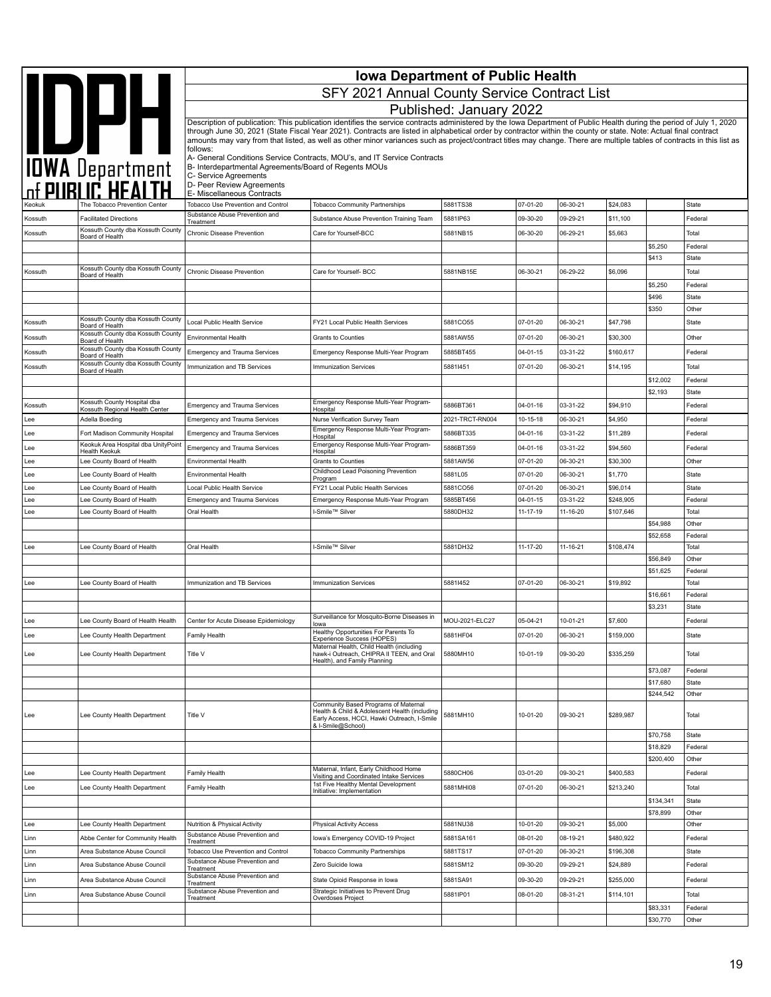|         | <b>Iowa Department of Public Health</b>                        |                                                                      |                                                                                                                                                                                                                                                                                                                                            |                         |                      |                      |                      |                       |                         |
|---------|----------------------------------------------------------------|----------------------------------------------------------------------|--------------------------------------------------------------------------------------------------------------------------------------------------------------------------------------------------------------------------------------------------------------------------------------------------------------------------------------------|-------------------------|----------------------|----------------------|----------------------|-----------------------|-------------------------|
|         | IOWA Department                                                |                                                                      | SFY 2021 Annual County Service Contract List                                                                                                                                                                                                                                                                                               |                         |                      |                      |                      |                       |                         |
|         |                                                                |                                                                      |                                                                                                                                                                                                                                                                                                                                            | Published: January 2022 |                      |                      |                      |                       |                         |
|         |                                                                |                                                                      | Description of publication: This publication identifies the service contracts administered by the Iowa Department of Public Health during the period of July 1, 2020                                                                                                                                                                       |                         |                      |                      |                      |                       |                         |
|         |                                                                |                                                                      | through June 30, 2021 (State Fiscal Year 2021). Contracts are listed in alphabetical order by contractor within the county or state. Note: Actual final contract<br>amounts may vary from that listed, as well as other minor variances such as project/contract titles may change. There are multiple tables of contracts in this list as |                         |                      |                      |                      |                       |                         |
|         |                                                                | follows:                                                             | A- General Conditions Service Contracts, MOU's, and IT Service Contracts                                                                                                                                                                                                                                                                   |                         |                      |                      |                      |                       |                         |
|         |                                                                | B- Interdepartmental Agreements/Board of Regents MOUs                |                                                                                                                                                                                                                                                                                                                                            |                         |                      |                      |                      |                       |                         |
|         |                                                                | C- Service Agreements<br>D- Peer Review Agreements                   |                                                                                                                                                                                                                                                                                                                                            |                         |                      |                      |                      |                       |                         |
|         |                                                                | E- Miscellaneous Contracts                                           |                                                                                                                                                                                                                                                                                                                                            | 5881TS38                |                      |                      |                      |                       |                         |
| Kossuth | The Tobacco Prevention Center<br><b>Facilitated Directions</b> | Tobacco Use Prevention and Control<br>Substance Abuse Prevention and | <b>Tobacco Community Partnerships</b><br>Substance Abuse Prevention Training Team                                                                                                                                                                                                                                                          | 5881IP63                | 07-01-20<br>09-30-20 | 06-30-21<br>09-29-21 | \$24,083<br>\$11,100 |                       | State<br>Federal        |
| Kossuth | Kossuth County dba Kossuth County                              | Treatment<br>Chronic Disease Prevention                              | Care for Yourself-BCC                                                                                                                                                                                                                                                                                                                      | 5881NB15                | 06-30-20             | 06-29-21             | \$5,663              |                       | Total                   |
|         | Board of Health                                                |                                                                      |                                                                                                                                                                                                                                                                                                                                            |                         |                      |                      |                      | \$5,250               | Federal                 |
|         |                                                                |                                                                      |                                                                                                                                                                                                                                                                                                                                            |                         |                      |                      |                      | \$413                 | State                   |
| Kossuth | Kossuth County dba Kossuth County<br>Board of Health           | <b>Chronic Disease Prevention</b>                                    | Care for Yourself- BCC                                                                                                                                                                                                                                                                                                                     | 5881NB15E               | 06-30-21             | 06-29-22             | \$6,096              |                       | Total                   |
|         |                                                                |                                                                      |                                                                                                                                                                                                                                                                                                                                            |                         |                      |                      |                      | \$5,250               | Federal                 |
|         |                                                                |                                                                      |                                                                                                                                                                                                                                                                                                                                            |                         |                      |                      |                      | \$496                 | State                   |
|         | Kossuth County dba Kossuth County                              |                                                                      |                                                                                                                                                                                                                                                                                                                                            |                         |                      |                      |                      | \$350                 | Other                   |
| Kossuth | Board of Health<br>Kossuth County dba Kossuth County           | Local Public Health Service                                          | FY21 Local Public Health Services                                                                                                                                                                                                                                                                                                          | 5881CO55                | 07-01-20             | 06-30-21             | \$47,798             |                       | State                   |
| Kossuth | Board of Health<br>Kossuth County dba Kossuth County           | Environmental Health                                                 | <b>Grants to Counties</b>                                                                                                                                                                                                                                                                                                                  | 5881AW55                | 07-01-20             | 06-30-21             | \$30,300             |                       | Other                   |
| Kossuth | Board of Health<br>Kossuth County dba Kossuth County           | <b>Emergency and Trauma Services</b>                                 | Emergency Response Multi-Year Program                                                                                                                                                                                                                                                                                                      | 5885BT455               | $04 - 01 - 15$       | 03-31-22             | \$160,617            |                       | Federal                 |
| Kossuth | Board of Health                                                | Immunization and TB Services                                         | Immunization Services                                                                                                                                                                                                                                                                                                                      | 58811451                | 07-01-20             | 06-30-21             | \$14,195             |                       | Total                   |
|         |                                                                |                                                                      |                                                                                                                                                                                                                                                                                                                                            |                         |                      |                      |                      | \$12,002<br>\$2,193   | Federal<br>State        |
| Kossuth | Kossuth County Hospital dba                                    | Emergency and Trauma Services                                        | Emergency Response Multi-Year Program-                                                                                                                                                                                                                                                                                                     | 5886BT361               | 04-01-16             | 03-31-22             | \$94,910             |                       | Federal                 |
| Lee     | Kossuth Regional Health Center<br>Adella Boeding               | <b>Emergency and Trauma Services</b>                                 | Hospital<br>Nurse Verification Survey Team                                                                                                                                                                                                                                                                                                 | 2021-TRCT-RN004         | 10-15-18             | 06-30-21             | \$4,950              |                       | Federal                 |
| Lee     | Fort Madison Community Hospital                                | <b>Emergency and Trauma Services</b>                                 | Emergency Response Multi-Year Program-<br>Hospital                                                                                                                                                                                                                                                                                         | 5886BT335               | 04-01-16             | 03-31-22             | \$11,289             |                       | Federal                 |
| Lee     | Keokuk Area Hospital dba UnityPoint                            | <b>Emergency and Trauma Services</b>                                 | Emergency Response Multi-Year Program-                                                                                                                                                                                                                                                                                                     | 5886BT359               | 04-01-16             | 03-31-22             | \$94,560             |                       | Federal                 |
| Lee     | Health Keokuk<br>Lee County Board of Health                    | Environmental Health                                                 | Hospital<br>Grants to Counties                                                                                                                                                                                                                                                                                                             | 5881AW56                | 07-01-20             | 06-30-21             | \$30,300             |                       | Other                   |
| Lee     | Lee County Board of Health                                     | Environmental Health                                                 | Childhood Lead Poisoning Prevention<br>Program                                                                                                                                                                                                                                                                                             | 5881L05                 | 07-01-20             | 06-30-21             | \$1,770              |                       | State                   |
| Lee     | Lee County Board of Health                                     | Local Public Health Service                                          | FY21 Local Public Health Services                                                                                                                                                                                                                                                                                                          | 5881CO56                | 07-01-20             | 06-30-21             | \$96,014             |                       | State                   |
| Lee     | Lee County Board of Health                                     | <b>Emergency and Trauma Services</b>                                 | Emergency Response Multi-Year Program                                                                                                                                                                                                                                                                                                      | 5885BT456               | $04 - 01 - 15$       | 03-31-22             | \$248,905            |                       | Federal                 |
| Lee     | Lee County Board of Health                                     | Oral Health                                                          | I-Smile™ Silver                                                                                                                                                                                                                                                                                                                            | 5880DH32                | 11-17-19             | 11-16-20             | \$107,646            |                       | Total                   |
|         |                                                                |                                                                      |                                                                                                                                                                                                                                                                                                                                            |                         |                      |                      |                      | \$54,988<br>\$52,658  | Other<br>Federal        |
| Lee     | Lee County Board of Health                                     | Oral Health                                                          | I-Smile™ Silver                                                                                                                                                                                                                                                                                                                            | 5881DH32                | 11-17-20             | 11-16-21             | \$108,474            |                       | Total                   |
|         |                                                                |                                                                      |                                                                                                                                                                                                                                                                                                                                            |                         |                      |                      |                      | \$56,849              | Other                   |
|         |                                                                |                                                                      |                                                                                                                                                                                                                                                                                                                                            |                         |                      |                      |                      | \$51,625              | Federal                 |
| Lee     | Lee County Board of Health                                     | Immunization and TB Services                                         | Immunization Services                                                                                                                                                                                                                                                                                                                      | 58811452                | 07-01-20             | 06-30-21             | \$19,892             | \$16,661              | Total<br>Federal        |
|         |                                                                |                                                                      |                                                                                                                                                                                                                                                                                                                                            |                         |                      |                      |                      | \$3,231               | State                   |
| Lee     | Lee County Board of Health Health                              | Center for Acute Disease Epidemiology                                | Surveillance for Mosquito-Borne Diseases in<br>lowa                                                                                                                                                                                                                                                                                        | MOU-2021-ELC27          | 05-04-21             | 10-01-21             | \$7,600              |                       | Federal                 |
| Lee     | Lee County Health Department                                   | Family Health                                                        | Healthy Opportunities For Parents To<br>Experience Success (HOPES)                                                                                                                                                                                                                                                                         | 5881HF04                | 07-01-20             | 06-30-21             | \$159,000            |                       | State                   |
|         |                                                                | Title V                                                              | Maternal Health, Child Health (including<br>hawk-i Outreach, CHIPRA II TEEN, and Oral                                                                                                                                                                                                                                                      | 5880MH10                | 10-01-19             | 09-30-20             | \$335,259            |                       | Total                   |
| Lee     | Lee County Health Department                                   |                                                                      | Health), and Family Planning                                                                                                                                                                                                                                                                                                               |                         |                      |                      |                      |                       |                         |
|         |                                                                |                                                                      |                                                                                                                                                                                                                                                                                                                                            |                         |                      |                      |                      | \$73,087<br>\$17,680  | Federal<br><b>State</b> |
|         |                                                                |                                                                      |                                                                                                                                                                                                                                                                                                                                            |                         |                      |                      |                      | \$244,542             | Other                   |
|         |                                                                |                                                                      | Community Based Programs of Maternal<br>Health & Child & Adolescent Health (including                                                                                                                                                                                                                                                      |                         |                      |                      |                      |                       |                         |
| Lee     | Lee County Health Department                                   | Title V                                                              | Early Access, HCCI, Hawki Outreach, I-Smile<br>& I-Smile@School)                                                                                                                                                                                                                                                                           | 5881MH10                | 10-01-20             | 09-30-21             | \$289,987            |                       | Total                   |
|         |                                                                |                                                                      |                                                                                                                                                                                                                                                                                                                                            |                         |                      |                      |                      | \$70,758              | State                   |
|         |                                                                |                                                                      |                                                                                                                                                                                                                                                                                                                                            |                         |                      |                      |                      | \$18,829              | Federal                 |
|         |                                                                |                                                                      | Maternal, Infant, Early Childhood Home                                                                                                                                                                                                                                                                                                     |                         |                      |                      |                      | \$200,400             | Other                   |
| Lee     | Lee County Health Department                                   | Family Health                                                        | Visiting and Coordinated Intake Services<br>1st Five Healthy Mental Development                                                                                                                                                                                                                                                            | 5880CH06                | 03-01-20             | 09-30-21             | \$400,583            |                       | Federal                 |
| Lee     | Lee County Health Department                                   | Family Health                                                        | Initiative: Implementation                                                                                                                                                                                                                                                                                                                 | 5881MHI08               | 07-01-20             | 06-30-21             | \$213,240            |                       | Total                   |
|         |                                                                |                                                                      |                                                                                                                                                                                                                                                                                                                                            |                         |                      |                      |                      | \$134,341<br>\$78,899 | State<br>Other          |
| Lee     | Lee County Health Department                                   | Nutrition & Physical Activity                                        | <b>Physical Activity Access</b>                                                                                                                                                                                                                                                                                                            | 5881NU38                | 10-01-20             | 09-30-21             | \$5,000              |                       | Other                   |
| Linn    | Abbe Center for Community Health                               | Substance Abuse Prevention and<br>Treatment                          | Iowa's Emergency COVID-19 Project                                                                                                                                                                                                                                                                                                          | 5881SA161               | 08-01-20             | 08-19-21             | \$480,922            |                       | Federal                 |
| Linn    | Area Substance Abuse Council                                   | Tobacco Use Prevention and Control                                   | <b>Tobacco Community Partnerships</b>                                                                                                                                                                                                                                                                                                      | 5881TS17                | 07-01-20             | 06-30-21             | \$196,308            |                       | State                   |
| Linn    | Area Substance Abuse Council                                   | Substance Abuse Prevention and<br>Treatment                          | Zero Suicide Iowa                                                                                                                                                                                                                                                                                                                          | 5881SM12                | 09-30-20             | 09-29-21             | \$24,889             |                       | Federal                 |
| Linn    | Area Substance Abuse Council                                   | Substance Abuse Prevention and<br>Treatment                          | State Opioid Response in Iowa                                                                                                                                                                                                                                                                                                              | 5881SA91                | 09-30-20             | 09-29-21             | \$255,000            |                       | Federal                 |
| Linn    | Area Substance Abuse Council                                   | Substance Abuse Prevention and<br>Treatment                          | Strategic Initiatives to Prevent Drug<br>Overdoses Project                                                                                                                                                                                                                                                                                 | 5881IP01                | 08-01-20             | 08-31-21             | \$114,101            |                       | Total                   |
|         |                                                                |                                                                      |                                                                                                                                                                                                                                                                                                                                            |                         |                      |                      |                      | \$83,331              | Federal                 |
|         |                                                                |                                                                      |                                                                                                                                                                                                                                                                                                                                            |                         |                      |                      |                      | \$30,770              | Other                   |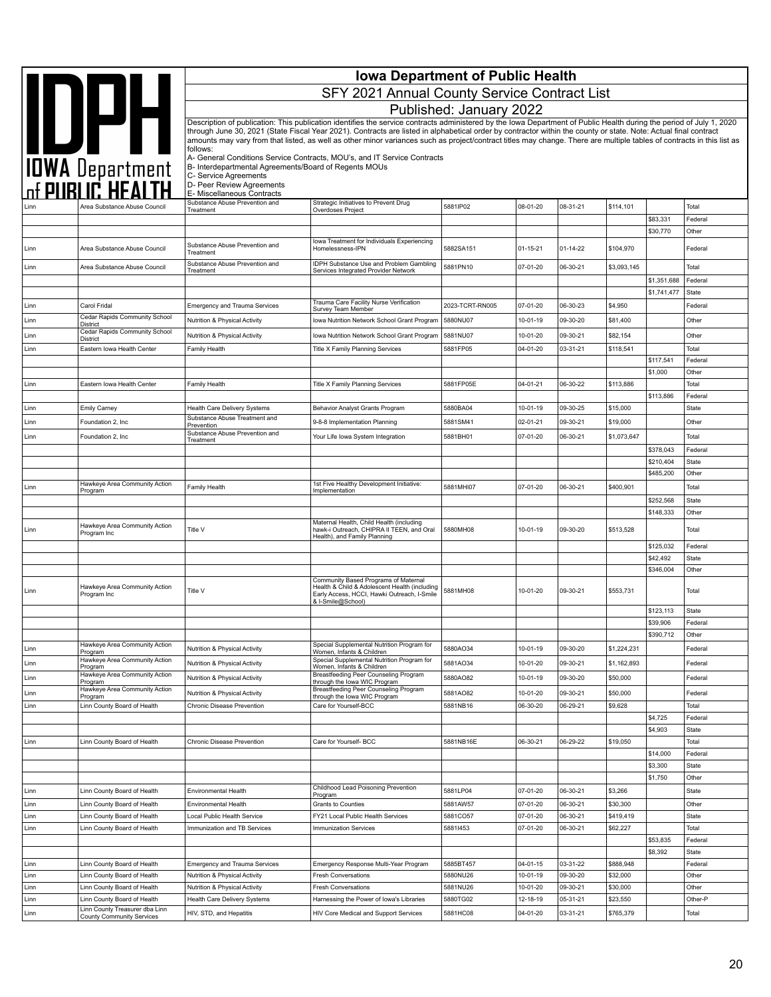| <b>SAN DEPARTMENT</b><br>SFY 2021 Annual County Service Contract List<br>Published: January 2022<br>Description of publication: This publication identifies the service contracts administered by the Iowa Department of Public Health during the period of July 1, 2020<br>through June 30, 2021 (State Fiscal Year 2021). Contracts are listed in alphabetical order by contractor within the county or state. Note: Actual final contract<br>amounts may vary from that listed, as well as other minor variances such as project/contract titles may change. There are multiple tables of contracts in this list as<br>follows:<br>A- General Conditions Service Contracts, MOU's, and IT Service Contracts<br>B- Interdepartmental Agreements/Board of Regents MOUs<br>C- Service Agreements<br>D- Peer Review Agreements<br>E- Miscellaneous Contracts<br>Substance Abuse Prevention and<br>Strategic Initiatives to Prevent Drug<br>5881IP02<br>08-01-20<br>08-31-21<br>\$114,101<br>Total<br>Area Substance Abuse Counci<br>Treatment<br>Overdoses Project<br>\$83,331<br>Federal<br>\$30,770<br>Other<br>lowa Treatment for Individuals Experiencing<br>Substance Abuse Prevention and<br>Area Substance Abuse Council<br>Homelessness-IPN<br>5882SA151<br>$01 - 15 - 21$<br>01-14-22<br>\$104,970<br>Federal<br>Linn<br>Treatment<br>Substance Abuse Prevention and<br><b>IDPH Substance Use and Problem Gambling</b><br>Area Substance Abuse Council<br>5881PN10<br>07-01-20<br>06-30-21<br>\$3,093,145<br>Total<br>Linn<br>Services Integrated Provider Network<br>Treatment<br>\$1,351,688<br>Federal<br>\$1,741,477<br><b>State</b><br>Trauma Care Facility Nurse Verification<br>Carol Fridal<br>2023-TCRT-RN005<br>07-01-20<br>06-30-23<br>\$4,950<br>Linn<br><b>Emergency and Trauma Services</b><br>Federal<br>Survey Team Member<br>Cedar Rapids Community School<br>Nutrition & Physical Activity<br>Iowa Nutrition Network School Grant Program<br>5880NU07<br>10-01-19<br>09-30-20<br>\$81,400<br>Other<br>Linn<br><b>District</b><br>Cedar Rapids Community School<br>Nutrition & Physical Activity<br>Iowa Nutrition Network School Grant Program<br>5881NU07<br>10-01-20<br>09-30-21<br>\$82,154<br>Other<br>Linn<br>District<br>Title X Family Planning Services<br>5881FP05<br>04-01-20<br>03-31-21<br>\$118,541<br>Total<br>Linn<br>Eastern Iowa Health Center<br>Family Health<br>\$117,541<br>Federal<br>\$1,000<br>Other<br><b>Title X Family Planning Services</b><br>5881FP05E<br>04-01-21<br>06-30-22<br>\$113,886<br>Total<br>Linn<br>Eastern Iowa Health Center<br>Family Health<br>\$113,886<br>Federal<br>10-01-19<br>09-30-25<br>\$15,000<br>State<br>Behavior Analyst Grants Program<br>5880BA04<br>Linn<br><b>Emily Carney</b><br><b>Health Care Delivery Systems</b><br>Substance Abuse Treatment and<br>02-01-21<br>\$19,000<br>Other<br>Linn<br>Foundation 2, Inc<br>9-8-8 Implementation Planning<br>5881SM41<br>09-30-21<br>Prevention<br>Substance Abuse Prevention and<br>07-01-20<br>\$1,073,647<br>Linn<br>Foundation 2, Inc<br>Your Life Iowa System Integration<br>5881BH01<br>06-30-21<br>Total<br>Treatment<br>\$378,043<br>Federal<br>\$210,404<br><b>State</b><br>\$485,200<br>Other<br>Hawkeye Area Community Action<br>1st Five Healthy Development Initiative:<br>5881MHI07<br>07-01-20<br>06-30-21<br>\$400,901<br>Total<br>Linn<br>Family Health<br>Program<br>Implementation<br>\$252,568<br>State<br>\$148,333<br>Other<br>Maternal Health, Child Health (including<br>Hawkeye Area Community Action<br>Title V<br>hawk-i Outreach, CHIPRA II TEEN, and Oral<br>5880MH08<br>10-01-19<br>09-30-20<br>\$513,528<br>Total<br>Linn<br>Program Inc<br>Health), and Family Planning<br>\$125,032<br>Federal<br>\$42,492<br>State<br>\$346,004<br>Other<br>Community Based Programs of Maternal<br>Hawkeye Area Community Action<br>Health & Child & Adolescent Health (including<br>Title V<br>5881MH08<br>10-01-20<br>09-30-21<br>\$553,731<br>Total<br>Linn<br>Program Inc<br>Early Access, HCCI, Hawki Outreach, I-Smile<br>& I-Smile@School)<br>\$123,113<br><b>State</b><br>\$39,906<br>Federal<br>Other<br>\$390,712<br>Hawkeye Area Community Action<br>Special Supplemental Nutrition Program for<br>5880AO34<br>Linn<br>Nutrition & Physical Activity<br>10-01-19<br>09-30-20<br>\$1,224,231<br>Federal<br>Women, Infants & Children<br>Program<br>Hawkeye Area Community Action<br>Special Supplemental Nutrition Program for<br>5881AO34<br>Nutrition & Physical Activity<br>10-01-20<br>09-30-21<br>\$1.162.893<br>Federal<br>Linn<br>Women, Infants & Children<br>Program<br><b>Breastfeeding Peer Counseling Program</b><br>Hawkeye Area Community Action<br>\$50,000<br>Nutrition & Physical Activity<br>5880AO82<br>10-01-19<br>09-30-20<br>Federal<br>Linn<br>through the lowa WIC Program<br>Program<br>Hawkeye Area Community Action<br>Breastfeeding Peer Counseling Program<br>\$50,000<br>Nutrition & Physical Activity<br>5881AO82<br>10-01-20<br>09-30-21<br>Federal<br>Linn<br>through the lowa WIC Program<br>Program<br>\$9,628<br>Linn County Board of Health<br>Care for Yourself-BCC<br>5881NB16<br>06-30-20<br>06-29-21<br>Total<br>Linn<br>Chronic Disease Prevention<br>\$4,725<br>Federal<br>\$4,903<br><b>State</b><br>\$19,050<br>Total<br>Linn<br>Linn County Board of Health<br>Care for Yourself- BCC<br>5881NB16E<br>06-30-21<br>06-29-22<br>Chronic Disease Prevention<br>\$14,000<br>Federal<br>\$3,300<br>State<br>Other<br>\$1,750<br>Childhood Lead Poisoning Prevention<br>5881LP04<br>07-01-20<br>06-30-21<br>\$3,266<br>Linn County Board of Health<br><b>State</b><br>Linn<br>Environmental Health<br>Program<br>06-30-21<br>Linn County Board of Health<br>Grants to Counties<br>5881AW57<br>07-01-20<br>\$30,300<br>Other<br>Linn<br>Environmental Health<br>5881CO57<br>07-01-20<br>06-30-21<br>\$419,419<br>Linn<br>Linn County Board of Health<br>FY21 Local Public Health Services<br><b>State</b><br>Local Public Health Service<br>Linn<br>Linn County Board of Health<br>Immunization and TB Services<br>58811453<br>07-01-20<br>06-30-21<br>\$62,227<br>Total<br><b>Immunization Services</b><br>\$53,835<br>Federal<br>\$8,392<br>State<br>03-31-22<br>\$888,948<br>Linn County Board of Health<br><b>Emergency and Trauma Services</b><br>5885BT457<br>04-01-15<br>Federal<br>Linn<br>Emergency Response Multi-Year Program<br>Linn<br>10-01-19<br>09-30-20<br>\$32,000<br>Other<br>Linn County Board of Health<br>Nutrition & Physical Activity<br><b>Fresh Conversations</b><br>5880NU26<br>5881NU26<br>09-30-21<br>Linn<br>Linn County Board of Health<br>10-01-20<br>\$30,000<br>Other<br>Nutrition & Physical Activity<br>Fresh Conversations<br>5880TG02<br>05-31-21<br>\$23,550<br>Linn<br>Linn County Board of Health<br>Health Care Delivery Systems<br>Harnessing the Power of Iowa's Libraries<br>12-18-19<br>Other-P<br>Linn County Treasurer dba Linn<br>Linn<br>HIV, STD, and Hepatitis<br>HIV Core Medical and Support Services<br>5881HC08<br>04-01-20<br>03-31-21<br>\$765,379<br>Total<br><b>County Community Services</b> |  | <b>Iowa Department of Public Health</b> |  |  |  |  |  |  |  |  |
|-------------------------------------------------------------------------------------------------------------------------------------------------------------------------------------------------------------------------------------------------------------------------------------------------------------------------------------------------------------------------------------------------------------------------------------------------------------------------------------------------------------------------------------------------------------------------------------------------------------------------------------------------------------------------------------------------------------------------------------------------------------------------------------------------------------------------------------------------------------------------------------------------------------------------------------------------------------------------------------------------------------------------------------------------------------------------------------------------------------------------------------------------------------------------------------------------------------------------------------------------------------------------------------------------------------------------------------------------------------------------------------------------------------------------------------------------------------------------------------------------------------------------------------------------------------------------------------------------------------------------------------------------------------------------------------------------------------------------------------------------------------------------------------------------------------------------------------------------------------------------------------------------------------------------------------------------------------------------------------------------------------------------------------------------------------------------------------------------------------------------------------------------------------------------------------------------------------------------------------------------------------------------------------------------------------------------------------------------------------------------------------------------------------------------------------------------------------------------------------------------------------------------------------------------------------------------------------------------------------------------------------------------------------------------------------------------------------------------------------------------------------------------------------------------------------------------------------------------------------------------------------------------------------------------------------------------------------------------------------------------------------------------------------------------------------------------------------------------------------------------------------------------------------------------------------------------------------------------------------------------------------------------------------------------------------------------------------------------------------------------------------------------------------------------------------------------------------------------------------------------------------------------------------------------------------------------------------------------------------------------------------------------------------------------------------------------------------------------------------------------------------------------------------------------------------------------------------------------------------------------------------------------------------------------------------------------------------------------------------------------------------------------------------------------------------------------------------------------------------------------------------------------------------------------------------------------------------------------------------------------------------------------------------------------------------------------------------------------------------------------------------------------------------------------------------------------------------------------------------------------------------------------------------------------------------------------------------------------------------------------------------------------------------------------------------------------------------------------------------------------------------------------------------------------------------------------------------------------------------------------------------------------------------------------------------------------------------------------------------------------------------------------------------------------------------------------------------------------------------------------------------------------------------------------------------------------------------------------------------------------------------------------------------------------------------------------------------------------------------------------------------------------------------------------------------------------------------------------------------------------------------------------------------------------------------------------------------------------------------------------------------------------------------------------------------------------------------------------------------------------------------------------------------------------------------------------------------------------------------------------------------------------------------------------------------------------------------------------------------------------------------------------------------------------------------------------------------------------------------------------------------------------------------------------------------------------------------------------------------------------------------------------------------------------------------------------------------------------------------------------------------------------------------------------------------------------------------------------------------------------------------------------------------------------------------------------------------------------------------------------------------------------------------------------------------------------------------------------------------------------------------------------------------------------------------------------------------------------------------------------------------------------------------------------------------------------------------------------------------------------------------------------------------------------------------------------------------------------------------------------------------------------------------------|--|-----------------------------------------|--|--|--|--|--|--|--|--|
|                                                                                                                                                                                                                                                                                                                                                                                                                                                                                                                                                                                                                                                                                                                                                                                                                                                                                                                                                                                                                                                                                                                                                                                                                                                                                                                                                                                                                                                                                                                                                                                                                                                                                                                                                                                                                                                                                                                                                                                                                                                                                                                                                                                                                                                                                                                                                                                                                                                                                                                                                                                                                                                                                                                                                                                                                                                                                                                                                                                                                                                                                                                                                                                                                                                                                                                                                                                                                                                                                                                                                                                                                                                                                                                                                                                                                                                                                                                                                                                                                                                                                                                                                                                                                                                                                                                                                                                                                                                                                                                                                                                                                                                                                                                                                                                                                                                                                                                                                                                                                                                                                                                                                                                                                                                                                                                                                                                                                                                                                                                                                                                                                                                                                                                                                                                                                                                                                                                                                                                                                                                                                                                                                                                                                                                                                                                                                                                                                                                                                                                                                                                                                                                                                                                                                                                                                                                                                                                                                                                                                                                                                                                                                                   |  |                                         |  |  |  |  |  |  |  |  |
|                                                                                                                                                                                                                                                                                                                                                                                                                                                                                                                                                                                                                                                                                                                                                                                                                                                                                                                                                                                                                                                                                                                                                                                                                                                                                                                                                                                                                                                                                                                                                                                                                                                                                                                                                                                                                                                                                                                                                                                                                                                                                                                                                                                                                                                                                                                                                                                                                                                                                                                                                                                                                                                                                                                                                                                                                                                                                                                                                                                                                                                                                                                                                                                                                                                                                                                                                                                                                                                                                                                                                                                                                                                                                                                                                                                                                                                                                                                                                                                                                                                                                                                                                                                                                                                                                                                                                                                                                                                                                                                                                                                                                                                                                                                                                                                                                                                                                                                                                                                                                                                                                                                                                                                                                                                                                                                                                                                                                                                                                                                                                                                                                                                                                                                                                                                                                                                                                                                                                                                                                                                                                                                                                                                                                                                                                                                                                                                                                                                                                                                                                                                                                                                                                                                                                                                                                                                                                                                                                                                                                                                                                                                                                                   |  |                                         |  |  |  |  |  |  |  |  |
|                                                                                                                                                                                                                                                                                                                                                                                                                                                                                                                                                                                                                                                                                                                                                                                                                                                                                                                                                                                                                                                                                                                                                                                                                                                                                                                                                                                                                                                                                                                                                                                                                                                                                                                                                                                                                                                                                                                                                                                                                                                                                                                                                                                                                                                                                                                                                                                                                                                                                                                                                                                                                                                                                                                                                                                                                                                                                                                                                                                                                                                                                                                                                                                                                                                                                                                                                                                                                                                                                                                                                                                                                                                                                                                                                                                                                                                                                                                                                                                                                                                                                                                                                                                                                                                                                                                                                                                                                                                                                                                                                                                                                                                                                                                                                                                                                                                                                                                                                                                                                                                                                                                                                                                                                                                                                                                                                                                                                                                                                                                                                                                                                                                                                                                                                                                                                                                                                                                                                                                                                                                                                                                                                                                                                                                                                                                                                                                                                                                                                                                                                                                                                                                                                                                                                                                                                                                                                                                                                                                                                                                                                                                                                                   |  |                                         |  |  |  |  |  |  |  |  |
|                                                                                                                                                                                                                                                                                                                                                                                                                                                                                                                                                                                                                                                                                                                                                                                                                                                                                                                                                                                                                                                                                                                                                                                                                                                                                                                                                                                                                                                                                                                                                                                                                                                                                                                                                                                                                                                                                                                                                                                                                                                                                                                                                                                                                                                                                                                                                                                                                                                                                                                                                                                                                                                                                                                                                                                                                                                                                                                                                                                                                                                                                                                                                                                                                                                                                                                                                                                                                                                                                                                                                                                                                                                                                                                                                                                                                                                                                                                                                                                                                                                                                                                                                                                                                                                                                                                                                                                                                                                                                                                                                                                                                                                                                                                                                                                                                                                                                                                                                                                                                                                                                                                                                                                                                                                                                                                                                                                                                                                                                                                                                                                                                                                                                                                                                                                                                                                                                                                                                                                                                                                                                                                                                                                                                                                                                                                                                                                                                                                                                                                                                                                                                                                                                                                                                                                                                                                                                                                                                                                                                                                                                                                                                                   |  |                                         |  |  |  |  |  |  |  |  |
|                                                                                                                                                                                                                                                                                                                                                                                                                                                                                                                                                                                                                                                                                                                                                                                                                                                                                                                                                                                                                                                                                                                                                                                                                                                                                                                                                                                                                                                                                                                                                                                                                                                                                                                                                                                                                                                                                                                                                                                                                                                                                                                                                                                                                                                                                                                                                                                                                                                                                                                                                                                                                                                                                                                                                                                                                                                                                                                                                                                                                                                                                                                                                                                                                                                                                                                                                                                                                                                                                                                                                                                                                                                                                                                                                                                                                                                                                                                                                                                                                                                                                                                                                                                                                                                                                                                                                                                                                                                                                                                                                                                                                                                                                                                                                                                                                                                                                                                                                                                                                                                                                                                                                                                                                                                                                                                                                                                                                                                                                                                                                                                                                                                                                                                                                                                                                                                                                                                                                                                                                                                                                                                                                                                                                                                                                                                                                                                                                                                                                                                                                                                                                                                                                                                                                                                                                                                                                                                                                                                                                                                                                                                                                                   |  |                                         |  |  |  |  |  |  |  |  |
|                                                                                                                                                                                                                                                                                                                                                                                                                                                                                                                                                                                                                                                                                                                                                                                                                                                                                                                                                                                                                                                                                                                                                                                                                                                                                                                                                                                                                                                                                                                                                                                                                                                                                                                                                                                                                                                                                                                                                                                                                                                                                                                                                                                                                                                                                                                                                                                                                                                                                                                                                                                                                                                                                                                                                                                                                                                                                                                                                                                                                                                                                                                                                                                                                                                                                                                                                                                                                                                                                                                                                                                                                                                                                                                                                                                                                                                                                                                                                                                                                                                                                                                                                                                                                                                                                                                                                                                                                                                                                                                                                                                                                                                                                                                                                                                                                                                                                                                                                                                                                                                                                                                                                                                                                                                                                                                                                                                                                                                                                                                                                                                                                                                                                                                                                                                                                                                                                                                                                                                                                                                                                                                                                                                                                                                                                                                                                                                                                                                                                                                                                                                                                                                                                                                                                                                                                                                                                                                                                                                                                                                                                                                                                                   |  |                                         |  |  |  |  |  |  |  |  |
|                                                                                                                                                                                                                                                                                                                                                                                                                                                                                                                                                                                                                                                                                                                                                                                                                                                                                                                                                                                                                                                                                                                                                                                                                                                                                                                                                                                                                                                                                                                                                                                                                                                                                                                                                                                                                                                                                                                                                                                                                                                                                                                                                                                                                                                                                                                                                                                                                                                                                                                                                                                                                                                                                                                                                                                                                                                                                                                                                                                                                                                                                                                                                                                                                                                                                                                                                                                                                                                                                                                                                                                                                                                                                                                                                                                                                                                                                                                                                                                                                                                                                                                                                                                                                                                                                                                                                                                                                                                                                                                                                                                                                                                                                                                                                                                                                                                                                                                                                                                                                                                                                                                                                                                                                                                                                                                                                                                                                                                                                                                                                                                                                                                                                                                                                                                                                                                                                                                                                                                                                                                                                                                                                                                                                                                                                                                                                                                                                                                                                                                                                                                                                                                                                                                                                                                                                                                                                                                                                                                                                                                                                                                                                                   |  |                                         |  |  |  |  |  |  |  |  |
|                                                                                                                                                                                                                                                                                                                                                                                                                                                                                                                                                                                                                                                                                                                                                                                                                                                                                                                                                                                                                                                                                                                                                                                                                                                                                                                                                                                                                                                                                                                                                                                                                                                                                                                                                                                                                                                                                                                                                                                                                                                                                                                                                                                                                                                                                                                                                                                                                                                                                                                                                                                                                                                                                                                                                                                                                                                                                                                                                                                                                                                                                                                                                                                                                                                                                                                                                                                                                                                                                                                                                                                                                                                                                                                                                                                                                                                                                                                                                                                                                                                                                                                                                                                                                                                                                                                                                                                                                                                                                                                                                                                                                                                                                                                                                                                                                                                                                                                                                                                                                                                                                                                                                                                                                                                                                                                                                                                                                                                                                                                                                                                                                                                                                                                                                                                                                                                                                                                                                                                                                                                                                                                                                                                                                                                                                                                                                                                                                                                                                                                                                                                                                                                                                                                                                                                                                                                                                                                                                                                                                                                                                                                                                                   |  |                                         |  |  |  |  |  |  |  |  |
|                                                                                                                                                                                                                                                                                                                                                                                                                                                                                                                                                                                                                                                                                                                                                                                                                                                                                                                                                                                                                                                                                                                                                                                                                                                                                                                                                                                                                                                                                                                                                                                                                                                                                                                                                                                                                                                                                                                                                                                                                                                                                                                                                                                                                                                                                                                                                                                                                                                                                                                                                                                                                                                                                                                                                                                                                                                                                                                                                                                                                                                                                                                                                                                                                                                                                                                                                                                                                                                                                                                                                                                                                                                                                                                                                                                                                                                                                                                                                                                                                                                                                                                                                                                                                                                                                                                                                                                                                                                                                                                                                                                                                                                                                                                                                                                                                                                                                                                                                                                                                                                                                                                                                                                                                                                                                                                                                                                                                                                                                                                                                                                                                                                                                                                                                                                                                                                                                                                                                                                                                                                                                                                                                                                                                                                                                                                                                                                                                                                                                                                                                                                                                                                                                                                                                                                                                                                                                                                                                                                                                                                                                                                                                                   |  |                                         |  |  |  |  |  |  |  |  |
|                                                                                                                                                                                                                                                                                                                                                                                                                                                                                                                                                                                                                                                                                                                                                                                                                                                                                                                                                                                                                                                                                                                                                                                                                                                                                                                                                                                                                                                                                                                                                                                                                                                                                                                                                                                                                                                                                                                                                                                                                                                                                                                                                                                                                                                                                                                                                                                                                                                                                                                                                                                                                                                                                                                                                                                                                                                                                                                                                                                                                                                                                                                                                                                                                                                                                                                                                                                                                                                                                                                                                                                                                                                                                                                                                                                                                                                                                                                                                                                                                                                                                                                                                                                                                                                                                                                                                                                                                                                                                                                                                                                                                                                                                                                                                                                                                                                                                                                                                                                                                                                                                                                                                                                                                                                                                                                                                                                                                                                                                                                                                                                                                                                                                                                                                                                                                                                                                                                                                                                                                                                                                                                                                                                                                                                                                                                                                                                                                                                                                                                                                                                                                                                                                                                                                                                                                                                                                                                                                                                                                                                                                                                                                                   |  |                                         |  |  |  |  |  |  |  |  |
|                                                                                                                                                                                                                                                                                                                                                                                                                                                                                                                                                                                                                                                                                                                                                                                                                                                                                                                                                                                                                                                                                                                                                                                                                                                                                                                                                                                                                                                                                                                                                                                                                                                                                                                                                                                                                                                                                                                                                                                                                                                                                                                                                                                                                                                                                                                                                                                                                                                                                                                                                                                                                                                                                                                                                                                                                                                                                                                                                                                                                                                                                                                                                                                                                                                                                                                                                                                                                                                                                                                                                                                                                                                                                                                                                                                                                                                                                                                                                                                                                                                                                                                                                                                                                                                                                                                                                                                                                                                                                                                                                                                                                                                                                                                                                                                                                                                                                                                                                                                                                                                                                                                                                                                                                                                                                                                                                                                                                                                                                                                                                                                                                                                                                                                                                                                                                                                                                                                                                                                                                                                                                                                                                                                                                                                                                                                                                                                                                                                                                                                                                                                                                                                                                                                                                                                                                                                                                                                                                                                                                                                                                                                                                                   |  |                                         |  |  |  |  |  |  |  |  |
|                                                                                                                                                                                                                                                                                                                                                                                                                                                                                                                                                                                                                                                                                                                                                                                                                                                                                                                                                                                                                                                                                                                                                                                                                                                                                                                                                                                                                                                                                                                                                                                                                                                                                                                                                                                                                                                                                                                                                                                                                                                                                                                                                                                                                                                                                                                                                                                                                                                                                                                                                                                                                                                                                                                                                                                                                                                                                                                                                                                                                                                                                                                                                                                                                                                                                                                                                                                                                                                                                                                                                                                                                                                                                                                                                                                                                                                                                                                                                                                                                                                                                                                                                                                                                                                                                                                                                                                                                                                                                                                                                                                                                                                                                                                                                                                                                                                                                                                                                                                                                                                                                                                                                                                                                                                                                                                                                                                                                                                                                                                                                                                                                                                                                                                                                                                                                                                                                                                                                                                                                                                                                                                                                                                                                                                                                                                                                                                                                                                                                                                                                                                                                                                                                                                                                                                                                                                                                                                                                                                                                                                                                                                                                                   |  |                                         |  |  |  |  |  |  |  |  |
|                                                                                                                                                                                                                                                                                                                                                                                                                                                                                                                                                                                                                                                                                                                                                                                                                                                                                                                                                                                                                                                                                                                                                                                                                                                                                                                                                                                                                                                                                                                                                                                                                                                                                                                                                                                                                                                                                                                                                                                                                                                                                                                                                                                                                                                                                                                                                                                                                                                                                                                                                                                                                                                                                                                                                                                                                                                                                                                                                                                                                                                                                                                                                                                                                                                                                                                                                                                                                                                                                                                                                                                                                                                                                                                                                                                                                                                                                                                                                                                                                                                                                                                                                                                                                                                                                                                                                                                                                                                                                                                                                                                                                                                                                                                                                                                                                                                                                                                                                                                                                                                                                                                                                                                                                                                                                                                                                                                                                                                                                                                                                                                                                                                                                                                                                                                                                                                                                                                                                                                                                                                                                                                                                                                                                                                                                                                                                                                                                                                                                                                                                                                                                                                                                                                                                                                                                                                                                                                                                                                                                                                                                                                                                                   |  |                                         |  |  |  |  |  |  |  |  |
|                                                                                                                                                                                                                                                                                                                                                                                                                                                                                                                                                                                                                                                                                                                                                                                                                                                                                                                                                                                                                                                                                                                                                                                                                                                                                                                                                                                                                                                                                                                                                                                                                                                                                                                                                                                                                                                                                                                                                                                                                                                                                                                                                                                                                                                                                                                                                                                                                                                                                                                                                                                                                                                                                                                                                                                                                                                                                                                                                                                                                                                                                                                                                                                                                                                                                                                                                                                                                                                                                                                                                                                                                                                                                                                                                                                                                                                                                                                                                                                                                                                                                                                                                                                                                                                                                                                                                                                                                                                                                                                                                                                                                                                                                                                                                                                                                                                                                                                                                                                                                                                                                                                                                                                                                                                                                                                                                                                                                                                                                                                                                                                                                                                                                                                                                                                                                                                                                                                                                                                                                                                                                                                                                                                                                                                                                                                                                                                                                                                                                                                                                                                                                                                                                                                                                                                                                                                                                                                                                                                                                                                                                                                                                                   |  |                                         |  |  |  |  |  |  |  |  |
|                                                                                                                                                                                                                                                                                                                                                                                                                                                                                                                                                                                                                                                                                                                                                                                                                                                                                                                                                                                                                                                                                                                                                                                                                                                                                                                                                                                                                                                                                                                                                                                                                                                                                                                                                                                                                                                                                                                                                                                                                                                                                                                                                                                                                                                                                                                                                                                                                                                                                                                                                                                                                                                                                                                                                                                                                                                                                                                                                                                                                                                                                                                                                                                                                                                                                                                                                                                                                                                                                                                                                                                                                                                                                                                                                                                                                                                                                                                                                                                                                                                                                                                                                                                                                                                                                                                                                                                                                                                                                                                                                                                                                                                                                                                                                                                                                                                                                                                                                                                                                                                                                                                                                                                                                                                                                                                                                                                                                                                                                                                                                                                                                                                                                                                                                                                                                                                                                                                                                                                                                                                                                                                                                                                                                                                                                                                                                                                                                                                                                                                                                                                                                                                                                                                                                                                                                                                                                                                                                                                                                                                                                                                                                                   |  |                                         |  |  |  |  |  |  |  |  |
|                                                                                                                                                                                                                                                                                                                                                                                                                                                                                                                                                                                                                                                                                                                                                                                                                                                                                                                                                                                                                                                                                                                                                                                                                                                                                                                                                                                                                                                                                                                                                                                                                                                                                                                                                                                                                                                                                                                                                                                                                                                                                                                                                                                                                                                                                                                                                                                                                                                                                                                                                                                                                                                                                                                                                                                                                                                                                                                                                                                                                                                                                                                                                                                                                                                                                                                                                                                                                                                                                                                                                                                                                                                                                                                                                                                                                                                                                                                                                                                                                                                                                                                                                                                                                                                                                                                                                                                                                                                                                                                                                                                                                                                                                                                                                                                                                                                                                                                                                                                                                                                                                                                                                                                                                                                                                                                                                                                                                                                                                                                                                                                                                                                                                                                                                                                                                                                                                                                                                                                                                                                                                                                                                                                                                                                                                                                                                                                                                                                                                                                                                                                                                                                                                                                                                                                                                                                                                                                                                                                                                                                                                                                                                                   |  |                                         |  |  |  |  |  |  |  |  |
|                                                                                                                                                                                                                                                                                                                                                                                                                                                                                                                                                                                                                                                                                                                                                                                                                                                                                                                                                                                                                                                                                                                                                                                                                                                                                                                                                                                                                                                                                                                                                                                                                                                                                                                                                                                                                                                                                                                                                                                                                                                                                                                                                                                                                                                                                                                                                                                                                                                                                                                                                                                                                                                                                                                                                                                                                                                                                                                                                                                                                                                                                                                                                                                                                                                                                                                                                                                                                                                                                                                                                                                                                                                                                                                                                                                                                                                                                                                                                                                                                                                                                                                                                                                                                                                                                                                                                                                                                                                                                                                                                                                                                                                                                                                                                                                                                                                                                                                                                                                                                                                                                                                                                                                                                                                                                                                                                                                                                                                                                                                                                                                                                                                                                                                                                                                                                                                                                                                                                                                                                                                                                                                                                                                                                                                                                                                                                                                                                                                                                                                                                                                                                                                                                                                                                                                                                                                                                                                                                                                                                                                                                                                                                                   |  |                                         |  |  |  |  |  |  |  |  |
|                                                                                                                                                                                                                                                                                                                                                                                                                                                                                                                                                                                                                                                                                                                                                                                                                                                                                                                                                                                                                                                                                                                                                                                                                                                                                                                                                                                                                                                                                                                                                                                                                                                                                                                                                                                                                                                                                                                                                                                                                                                                                                                                                                                                                                                                                                                                                                                                                                                                                                                                                                                                                                                                                                                                                                                                                                                                                                                                                                                                                                                                                                                                                                                                                                                                                                                                                                                                                                                                                                                                                                                                                                                                                                                                                                                                                                                                                                                                                                                                                                                                                                                                                                                                                                                                                                                                                                                                                                                                                                                                                                                                                                                                                                                                                                                                                                                                                                                                                                                                                                                                                                                                                                                                                                                                                                                                                                                                                                                                                                                                                                                                                                                                                                                                                                                                                                                                                                                                                                                                                                                                                                                                                                                                                                                                                                                                                                                                                                                                                                                                                                                                                                                                                                                                                                                                                                                                                                                                                                                                                                                                                                                                                                   |  |                                         |  |  |  |  |  |  |  |  |
|                                                                                                                                                                                                                                                                                                                                                                                                                                                                                                                                                                                                                                                                                                                                                                                                                                                                                                                                                                                                                                                                                                                                                                                                                                                                                                                                                                                                                                                                                                                                                                                                                                                                                                                                                                                                                                                                                                                                                                                                                                                                                                                                                                                                                                                                                                                                                                                                                                                                                                                                                                                                                                                                                                                                                                                                                                                                                                                                                                                                                                                                                                                                                                                                                                                                                                                                                                                                                                                                                                                                                                                                                                                                                                                                                                                                                                                                                                                                                                                                                                                                                                                                                                                                                                                                                                                                                                                                                                                                                                                                                                                                                                                                                                                                                                                                                                                                                                                                                                                                                                                                                                                                                                                                                                                                                                                                                                                                                                                                                                                                                                                                                                                                                                                                                                                                                                                                                                                                                                                                                                                                                                                                                                                                                                                                                                                                                                                                                                                                                                                                                                                                                                                                                                                                                                                                                                                                                                                                                                                                                                                                                                                                                                   |  |                                         |  |  |  |  |  |  |  |  |
|                                                                                                                                                                                                                                                                                                                                                                                                                                                                                                                                                                                                                                                                                                                                                                                                                                                                                                                                                                                                                                                                                                                                                                                                                                                                                                                                                                                                                                                                                                                                                                                                                                                                                                                                                                                                                                                                                                                                                                                                                                                                                                                                                                                                                                                                                                                                                                                                                                                                                                                                                                                                                                                                                                                                                                                                                                                                                                                                                                                                                                                                                                                                                                                                                                                                                                                                                                                                                                                                                                                                                                                                                                                                                                                                                                                                                                                                                                                                                                                                                                                                                                                                                                                                                                                                                                                                                                                                                                                                                                                                                                                                                                                                                                                                                                                                                                                                                                                                                                                                                                                                                                                                                                                                                                                                                                                                                                                                                                                                                                                                                                                                                                                                                                                                                                                                                                                                                                                                                                                                                                                                                                                                                                                                                                                                                                                                                                                                                                                                                                                                                                                                                                                                                                                                                                                                                                                                                                                                                                                                                                                                                                                                                                   |  |                                         |  |  |  |  |  |  |  |  |
|                                                                                                                                                                                                                                                                                                                                                                                                                                                                                                                                                                                                                                                                                                                                                                                                                                                                                                                                                                                                                                                                                                                                                                                                                                                                                                                                                                                                                                                                                                                                                                                                                                                                                                                                                                                                                                                                                                                                                                                                                                                                                                                                                                                                                                                                                                                                                                                                                                                                                                                                                                                                                                                                                                                                                                                                                                                                                                                                                                                                                                                                                                                                                                                                                                                                                                                                                                                                                                                                                                                                                                                                                                                                                                                                                                                                                                                                                                                                                                                                                                                                                                                                                                                                                                                                                                                                                                                                                                                                                                                                                                                                                                                                                                                                                                                                                                                                                                                                                                                                                                                                                                                                                                                                                                                                                                                                                                                                                                                                                                                                                                                                                                                                                                                                                                                                                                                                                                                                                                                                                                                                                                                                                                                                                                                                                                                                                                                                                                                                                                                                                                                                                                                                                                                                                                                                                                                                                                                                                                                                                                                                                                                                                                   |  |                                         |  |  |  |  |  |  |  |  |
|                                                                                                                                                                                                                                                                                                                                                                                                                                                                                                                                                                                                                                                                                                                                                                                                                                                                                                                                                                                                                                                                                                                                                                                                                                                                                                                                                                                                                                                                                                                                                                                                                                                                                                                                                                                                                                                                                                                                                                                                                                                                                                                                                                                                                                                                                                                                                                                                                                                                                                                                                                                                                                                                                                                                                                                                                                                                                                                                                                                                                                                                                                                                                                                                                                                                                                                                                                                                                                                                                                                                                                                                                                                                                                                                                                                                                                                                                                                                                                                                                                                                                                                                                                                                                                                                                                                                                                                                                                                                                                                                                                                                                                                                                                                                                                                                                                                                                                                                                                                                                                                                                                                                                                                                                                                                                                                                                                                                                                                                                                                                                                                                                                                                                                                                                                                                                                                                                                                                                                                                                                                                                                                                                                                                                                                                                                                                                                                                                                                                                                                                                                                                                                                                                                                                                                                                                                                                                                                                                                                                                                                                                                                                                                   |  |                                         |  |  |  |  |  |  |  |  |
|                                                                                                                                                                                                                                                                                                                                                                                                                                                                                                                                                                                                                                                                                                                                                                                                                                                                                                                                                                                                                                                                                                                                                                                                                                                                                                                                                                                                                                                                                                                                                                                                                                                                                                                                                                                                                                                                                                                                                                                                                                                                                                                                                                                                                                                                                                                                                                                                                                                                                                                                                                                                                                                                                                                                                                                                                                                                                                                                                                                                                                                                                                                                                                                                                                                                                                                                                                                                                                                                                                                                                                                                                                                                                                                                                                                                                                                                                                                                                                                                                                                                                                                                                                                                                                                                                                                                                                                                                                                                                                                                                                                                                                                                                                                                                                                                                                                                                                                                                                                                                                                                                                                                                                                                                                                                                                                                                                                                                                                                                                                                                                                                                                                                                                                                                                                                                                                                                                                                                                                                                                                                                                                                                                                                                                                                                                                                                                                                                                                                                                                                                                                                                                                                                                                                                                                                                                                                                                                                                                                                                                                                                                                                                                   |  |                                         |  |  |  |  |  |  |  |  |
|                                                                                                                                                                                                                                                                                                                                                                                                                                                                                                                                                                                                                                                                                                                                                                                                                                                                                                                                                                                                                                                                                                                                                                                                                                                                                                                                                                                                                                                                                                                                                                                                                                                                                                                                                                                                                                                                                                                                                                                                                                                                                                                                                                                                                                                                                                                                                                                                                                                                                                                                                                                                                                                                                                                                                                                                                                                                                                                                                                                                                                                                                                                                                                                                                                                                                                                                                                                                                                                                                                                                                                                                                                                                                                                                                                                                                                                                                                                                                                                                                                                                                                                                                                                                                                                                                                                                                                                                                                                                                                                                                                                                                                                                                                                                                                                                                                                                                                                                                                                                                                                                                                                                                                                                                                                                                                                                                                                                                                                                                                                                                                                                                                                                                                                                                                                                                                                                                                                                                                                                                                                                                                                                                                                                                                                                                                                                                                                                                                                                                                                                                                                                                                                                                                                                                                                                                                                                                                                                                                                                                                                                                                                                                                   |  |                                         |  |  |  |  |  |  |  |  |
|                                                                                                                                                                                                                                                                                                                                                                                                                                                                                                                                                                                                                                                                                                                                                                                                                                                                                                                                                                                                                                                                                                                                                                                                                                                                                                                                                                                                                                                                                                                                                                                                                                                                                                                                                                                                                                                                                                                                                                                                                                                                                                                                                                                                                                                                                                                                                                                                                                                                                                                                                                                                                                                                                                                                                                                                                                                                                                                                                                                                                                                                                                                                                                                                                                                                                                                                                                                                                                                                                                                                                                                                                                                                                                                                                                                                                                                                                                                                                                                                                                                                                                                                                                                                                                                                                                                                                                                                                                                                                                                                                                                                                                                                                                                                                                                                                                                                                                                                                                                                                                                                                                                                                                                                                                                                                                                                                                                                                                                                                                                                                                                                                                                                                                                                                                                                                                                                                                                                                                                                                                                                                                                                                                                                                                                                                                                                                                                                                                                                                                                                                                                                                                                                                                                                                                                                                                                                                                                                                                                                                                                                                                                                                                   |  |                                         |  |  |  |  |  |  |  |  |
|                                                                                                                                                                                                                                                                                                                                                                                                                                                                                                                                                                                                                                                                                                                                                                                                                                                                                                                                                                                                                                                                                                                                                                                                                                                                                                                                                                                                                                                                                                                                                                                                                                                                                                                                                                                                                                                                                                                                                                                                                                                                                                                                                                                                                                                                                                                                                                                                                                                                                                                                                                                                                                                                                                                                                                                                                                                                                                                                                                                                                                                                                                                                                                                                                                                                                                                                                                                                                                                                                                                                                                                                                                                                                                                                                                                                                                                                                                                                                                                                                                                                                                                                                                                                                                                                                                                                                                                                                                                                                                                                                                                                                                                                                                                                                                                                                                                                                                                                                                                                                                                                                                                                                                                                                                                                                                                                                                                                                                                                                                                                                                                                                                                                                                                                                                                                                                                                                                                                                                                                                                                                                                                                                                                                                                                                                                                                                                                                                                                                                                                                                                                                                                                                                                                                                                                                                                                                                                                                                                                                                                                                                                                                                                   |  |                                         |  |  |  |  |  |  |  |  |
|                                                                                                                                                                                                                                                                                                                                                                                                                                                                                                                                                                                                                                                                                                                                                                                                                                                                                                                                                                                                                                                                                                                                                                                                                                                                                                                                                                                                                                                                                                                                                                                                                                                                                                                                                                                                                                                                                                                                                                                                                                                                                                                                                                                                                                                                                                                                                                                                                                                                                                                                                                                                                                                                                                                                                                                                                                                                                                                                                                                                                                                                                                                                                                                                                                                                                                                                                                                                                                                                                                                                                                                                                                                                                                                                                                                                                                                                                                                                                                                                                                                                                                                                                                                                                                                                                                                                                                                                                                                                                                                                                                                                                                                                                                                                                                                                                                                                                                                                                                                                                                                                                                                                                                                                                                                                                                                                                                                                                                                                                                                                                                                                                                                                                                                                                                                                                                                                                                                                                                                                                                                                                                                                                                                                                                                                                                                                                                                                                                                                                                                                                                                                                                                                                                                                                                                                                                                                                                                                                                                                                                                                                                                                                                   |  |                                         |  |  |  |  |  |  |  |  |
|                                                                                                                                                                                                                                                                                                                                                                                                                                                                                                                                                                                                                                                                                                                                                                                                                                                                                                                                                                                                                                                                                                                                                                                                                                                                                                                                                                                                                                                                                                                                                                                                                                                                                                                                                                                                                                                                                                                                                                                                                                                                                                                                                                                                                                                                                                                                                                                                                                                                                                                                                                                                                                                                                                                                                                                                                                                                                                                                                                                                                                                                                                                                                                                                                                                                                                                                                                                                                                                                                                                                                                                                                                                                                                                                                                                                                                                                                                                                                                                                                                                                                                                                                                                                                                                                                                                                                                                                                                                                                                                                                                                                                                                                                                                                                                                                                                                                                                                                                                                                                                                                                                                                                                                                                                                                                                                                                                                                                                                                                                                                                                                                                                                                                                                                                                                                                                                                                                                                                                                                                                                                                                                                                                                                                                                                                                                                                                                                                                                                                                                                                                                                                                                                                                                                                                                                                                                                                                                                                                                                                                                                                                                                                                   |  |                                         |  |  |  |  |  |  |  |  |
|                                                                                                                                                                                                                                                                                                                                                                                                                                                                                                                                                                                                                                                                                                                                                                                                                                                                                                                                                                                                                                                                                                                                                                                                                                                                                                                                                                                                                                                                                                                                                                                                                                                                                                                                                                                                                                                                                                                                                                                                                                                                                                                                                                                                                                                                                                                                                                                                                                                                                                                                                                                                                                                                                                                                                                                                                                                                                                                                                                                                                                                                                                                                                                                                                                                                                                                                                                                                                                                                                                                                                                                                                                                                                                                                                                                                                                                                                                                                                                                                                                                                                                                                                                                                                                                                                                                                                                                                                                                                                                                                                                                                                                                                                                                                                                                                                                                                                                                                                                                                                                                                                                                                                                                                                                                                                                                                                                                                                                                                                                                                                                                                                                                                                                                                                                                                                                                                                                                                                                                                                                                                                                                                                                                                                                                                                                                                                                                                                                                                                                                                                                                                                                                                                                                                                                                                                                                                                                                                                                                                                                                                                                                                                                   |  |                                         |  |  |  |  |  |  |  |  |
|                                                                                                                                                                                                                                                                                                                                                                                                                                                                                                                                                                                                                                                                                                                                                                                                                                                                                                                                                                                                                                                                                                                                                                                                                                                                                                                                                                                                                                                                                                                                                                                                                                                                                                                                                                                                                                                                                                                                                                                                                                                                                                                                                                                                                                                                                                                                                                                                                                                                                                                                                                                                                                                                                                                                                                                                                                                                                                                                                                                                                                                                                                                                                                                                                                                                                                                                                                                                                                                                                                                                                                                                                                                                                                                                                                                                                                                                                                                                                                                                                                                                                                                                                                                                                                                                                                                                                                                                                                                                                                                                                                                                                                                                                                                                                                                                                                                                                                                                                                                                                                                                                                                                                                                                                                                                                                                                                                                                                                                                                                                                                                                                                                                                                                                                                                                                                                                                                                                                                                                                                                                                                                                                                                                                                                                                                                                                                                                                                                                                                                                                                                                                                                                                                                                                                                                                                                                                                                                                                                                                                                                                                                                                                                   |  |                                         |  |  |  |  |  |  |  |  |
|                                                                                                                                                                                                                                                                                                                                                                                                                                                                                                                                                                                                                                                                                                                                                                                                                                                                                                                                                                                                                                                                                                                                                                                                                                                                                                                                                                                                                                                                                                                                                                                                                                                                                                                                                                                                                                                                                                                                                                                                                                                                                                                                                                                                                                                                                                                                                                                                                                                                                                                                                                                                                                                                                                                                                                                                                                                                                                                                                                                                                                                                                                                                                                                                                                                                                                                                                                                                                                                                                                                                                                                                                                                                                                                                                                                                                                                                                                                                                                                                                                                                                                                                                                                                                                                                                                                                                                                                                                                                                                                                                                                                                                                                                                                                                                                                                                                                                                                                                                                                                                                                                                                                                                                                                                                                                                                                                                                                                                                                                                                                                                                                                                                                                                                                                                                                                                                                                                                                                                                                                                                                                                                                                                                                                                                                                                                                                                                                                                                                                                                                                                                                                                                                                                                                                                                                                                                                                                                                                                                                                                                                                                                                                                   |  |                                         |  |  |  |  |  |  |  |  |
|                                                                                                                                                                                                                                                                                                                                                                                                                                                                                                                                                                                                                                                                                                                                                                                                                                                                                                                                                                                                                                                                                                                                                                                                                                                                                                                                                                                                                                                                                                                                                                                                                                                                                                                                                                                                                                                                                                                                                                                                                                                                                                                                                                                                                                                                                                                                                                                                                                                                                                                                                                                                                                                                                                                                                                                                                                                                                                                                                                                                                                                                                                                                                                                                                                                                                                                                                                                                                                                                                                                                                                                                                                                                                                                                                                                                                                                                                                                                                                                                                                                                                                                                                                                                                                                                                                                                                                                                                                                                                                                                                                                                                                                                                                                                                                                                                                                                                                                                                                                                                                                                                                                                                                                                                                                                                                                                                                                                                                                                                                                                                                                                                                                                                                                                                                                                                                                                                                                                                                                                                                                                                                                                                                                                                                                                                                                                                                                                                                                                                                                                                                                                                                                                                                                                                                                                                                                                                                                                                                                                                                                                                                                                                                   |  |                                         |  |  |  |  |  |  |  |  |
|                                                                                                                                                                                                                                                                                                                                                                                                                                                                                                                                                                                                                                                                                                                                                                                                                                                                                                                                                                                                                                                                                                                                                                                                                                                                                                                                                                                                                                                                                                                                                                                                                                                                                                                                                                                                                                                                                                                                                                                                                                                                                                                                                                                                                                                                                                                                                                                                                                                                                                                                                                                                                                                                                                                                                                                                                                                                                                                                                                                                                                                                                                                                                                                                                                                                                                                                                                                                                                                                                                                                                                                                                                                                                                                                                                                                                                                                                                                                                                                                                                                                                                                                                                                                                                                                                                                                                                                                                                                                                                                                                                                                                                                                                                                                                                                                                                                                                                                                                                                                                                                                                                                                                                                                                                                                                                                                                                                                                                                                                                                                                                                                                                                                                                                                                                                                                                                                                                                                                                                                                                                                                                                                                                                                                                                                                                                                                                                                                                                                                                                                                                                                                                                                                                                                                                                                                                                                                                                                                                                                                                                                                                                                                                   |  |                                         |  |  |  |  |  |  |  |  |
|                                                                                                                                                                                                                                                                                                                                                                                                                                                                                                                                                                                                                                                                                                                                                                                                                                                                                                                                                                                                                                                                                                                                                                                                                                                                                                                                                                                                                                                                                                                                                                                                                                                                                                                                                                                                                                                                                                                                                                                                                                                                                                                                                                                                                                                                                                                                                                                                                                                                                                                                                                                                                                                                                                                                                                                                                                                                                                                                                                                                                                                                                                                                                                                                                                                                                                                                                                                                                                                                                                                                                                                                                                                                                                                                                                                                                                                                                                                                                                                                                                                                                                                                                                                                                                                                                                                                                                                                                                                                                                                                                                                                                                                                                                                                                                                                                                                                                                                                                                                                                                                                                                                                                                                                                                                                                                                                                                                                                                                                                                                                                                                                                                                                                                                                                                                                                                                                                                                                                                                                                                                                                                                                                                                                                                                                                                                                                                                                                                                                                                                                                                                                                                                                                                                                                                                                                                                                                                                                                                                                                                                                                                                                                                   |  |                                         |  |  |  |  |  |  |  |  |
|                                                                                                                                                                                                                                                                                                                                                                                                                                                                                                                                                                                                                                                                                                                                                                                                                                                                                                                                                                                                                                                                                                                                                                                                                                                                                                                                                                                                                                                                                                                                                                                                                                                                                                                                                                                                                                                                                                                                                                                                                                                                                                                                                                                                                                                                                                                                                                                                                                                                                                                                                                                                                                                                                                                                                                                                                                                                                                                                                                                                                                                                                                                                                                                                                                                                                                                                                                                                                                                                                                                                                                                                                                                                                                                                                                                                                                                                                                                                                                                                                                                                                                                                                                                                                                                                                                                                                                                                                                                                                                                                                                                                                                                                                                                                                                                                                                                                                                                                                                                                                                                                                                                                                                                                                                                                                                                                                                                                                                                                                                                                                                                                                                                                                                                                                                                                                                                                                                                                                                                                                                                                                                                                                                                                                                                                                                                                                                                                                                                                                                                                                                                                                                                                                                                                                                                                                                                                                                                                                                                                                                                                                                                                                                   |  |                                         |  |  |  |  |  |  |  |  |
|                                                                                                                                                                                                                                                                                                                                                                                                                                                                                                                                                                                                                                                                                                                                                                                                                                                                                                                                                                                                                                                                                                                                                                                                                                                                                                                                                                                                                                                                                                                                                                                                                                                                                                                                                                                                                                                                                                                                                                                                                                                                                                                                                                                                                                                                                                                                                                                                                                                                                                                                                                                                                                                                                                                                                                                                                                                                                                                                                                                                                                                                                                                                                                                                                                                                                                                                                                                                                                                                                                                                                                                                                                                                                                                                                                                                                                                                                                                                                                                                                                                                                                                                                                                                                                                                                                                                                                                                                                                                                                                                                                                                                                                                                                                                                                                                                                                                                                                                                                                                                                                                                                                                                                                                                                                                                                                                                                                                                                                                                                                                                                                                                                                                                                                                                                                                                                                                                                                                                                                                                                                                                                                                                                                                                                                                                                                                                                                                                                                                                                                                                                                                                                                                                                                                                                                                                                                                                                                                                                                                                                                                                                                                                                   |  |                                         |  |  |  |  |  |  |  |  |
|                                                                                                                                                                                                                                                                                                                                                                                                                                                                                                                                                                                                                                                                                                                                                                                                                                                                                                                                                                                                                                                                                                                                                                                                                                                                                                                                                                                                                                                                                                                                                                                                                                                                                                                                                                                                                                                                                                                                                                                                                                                                                                                                                                                                                                                                                                                                                                                                                                                                                                                                                                                                                                                                                                                                                                                                                                                                                                                                                                                                                                                                                                                                                                                                                                                                                                                                                                                                                                                                                                                                                                                                                                                                                                                                                                                                                                                                                                                                                                                                                                                                                                                                                                                                                                                                                                                                                                                                                                                                                                                                                                                                                                                                                                                                                                                                                                                                                                                                                                                                                                                                                                                                                                                                                                                                                                                                                                                                                                                                                                                                                                                                                                                                                                                                                                                                                                                                                                                                                                                                                                                                                                                                                                                                                                                                                                                                                                                                                                                                                                                                                                                                                                                                                                                                                                                                                                                                                                                                                                                                                                                                                                                                                                   |  |                                         |  |  |  |  |  |  |  |  |
|                                                                                                                                                                                                                                                                                                                                                                                                                                                                                                                                                                                                                                                                                                                                                                                                                                                                                                                                                                                                                                                                                                                                                                                                                                                                                                                                                                                                                                                                                                                                                                                                                                                                                                                                                                                                                                                                                                                                                                                                                                                                                                                                                                                                                                                                                                                                                                                                                                                                                                                                                                                                                                                                                                                                                                                                                                                                                                                                                                                                                                                                                                                                                                                                                                                                                                                                                                                                                                                                                                                                                                                                                                                                                                                                                                                                                                                                                                                                                                                                                                                                                                                                                                                                                                                                                                                                                                                                                                                                                                                                                                                                                                                                                                                                                                                                                                                                                                                                                                                                                                                                                                                                                                                                                                                                                                                                                                                                                                                                                                                                                                                                                                                                                                                                                                                                                                                                                                                                                                                                                                                                                                                                                                                                                                                                                                                                                                                                                                                                                                                                                                                                                                                                                                                                                                                                                                                                                                                                                                                                                                                                                                                                                                   |  |                                         |  |  |  |  |  |  |  |  |
|                                                                                                                                                                                                                                                                                                                                                                                                                                                                                                                                                                                                                                                                                                                                                                                                                                                                                                                                                                                                                                                                                                                                                                                                                                                                                                                                                                                                                                                                                                                                                                                                                                                                                                                                                                                                                                                                                                                                                                                                                                                                                                                                                                                                                                                                                                                                                                                                                                                                                                                                                                                                                                                                                                                                                                                                                                                                                                                                                                                                                                                                                                                                                                                                                                                                                                                                                                                                                                                                                                                                                                                                                                                                                                                                                                                                                                                                                                                                                                                                                                                                                                                                                                                                                                                                                                                                                                                                                                                                                                                                                                                                                                                                                                                                                                                                                                                                                                                                                                                                                                                                                                                                                                                                                                                                                                                                                                                                                                                                                                                                                                                                                                                                                                                                                                                                                                                                                                                                                                                                                                                                                                                                                                                                                                                                                                                                                                                                                                                                                                                                                                                                                                                                                                                                                                                                                                                                                                                                                                                                                                                                                                                                                                   |  |                                         |  |  |  |  |  |  |  |  |
|                                                                                                                                                                                                                                                                                                                                                                                                                                                                                                                                                                                                                                                                                                                                                                                                                                                                                                                                                                                                                                                                                                                                                                                                                                                                                                                                                                                                                                                                                                                                                                                                                                                                                                                                                                                                                                                                                                                                                                                                                                                                                                                                                                                                                                                                                                                                                                                                                                                                                                                                                                                                                                                                                                                                                                                                                                                                                                                                                                                                                                                                                                                                                                                                                                                                                                                                                                                                                                                                                                                                                                                                                                                                                                                                                                                                                                                                                                                                                                                                                                                                                                                                                                                                                                                                                                                                                                                                                                                                                                                                                                                                                                                                                                                                                                                                                                                                                                                                                                                                                                                                                                                                                                                                                                                                                                                                                                                                                                                                                                                                                                                                                                                                                                                                                                                                                                                                                                                                                                                                                                                                                                                                                                                                                                                                                                                                                                                                                                                                                                                                                                                                                                                                                                                                                                                                                                                                                                                                                                                                                                                                                                                                                                   |  |                                         |  |  |  |  |  |  |  |  |
|                                                                                                                                                                                                                                                                                                                                                                                                                                                                                                                                                                                                                                                                                                                                                                                                                                                                                                                                                                                                                                                                                                                                                                                                                                                                                                                                                                                                                                                                                                                                                                                                                                                                                                                                                                                                                                                                                                                                                                                                                                                                                                                                                                                                                                                                                                                                                                                                                                                                                                                                                                                                                                                                                                                                                                                                                                                                                                                                                                                                                                                                                                                                                                                                                                                                                                                                                                                                                                                                                                                                                                                                                                                                                                                                                                                                                                                                                                                                                                                                                                                                                                                                                                                                                                                                                                                                                                                                                                                                                                                                                                                                                                                                                                                                                                                                                                                                                                                                                                                                                                                                                                                                                                                                                                                                                                                                                                                                                                                                                                                                                                                                                                                                                                                                                                                                                                                                                                                                                                                                                                                                                                                                                                                                                                                                                                                                                                                                                                                                                                                                                                                                                                                                                                                                                                                                                                                                                                                                                                                                                                                                                                                                                                   |  |                                         |  |  |  |  |  |  |  |  |
|                                                                                                                                                                                                                                                                                                                                                                                                                                                                                                                                                                                                                                                                                                                                                                                                                                                                                                                                                                                                                                                                                                                                                                                                                                                                                                                                                                                                                                                                                                                                                                                                                                                                                                                                                                                                                                                                                                                                                                                                                                                                                                                                                                                                                                                                                                                                                                                                                                                                                                                                                                                                                                                                                                                                                                                                                                                                                                                                                                                                                                                                                                                                                                                                                                                                                                                                                                                                                                                                                                                                                                                                                                                                                                                                                                                                                                                                                                                                                                                                                                                                                                                                                                                                                                                                                                                                                                                                                                                                                                                                                                                                                                                                                                                                                                                                                                                                                                                                                                                                                                                                                                                                                                                                                                                                                                                                                                                                                                                                                                                                                                                                                                                                                                                                                                                                                                                                                                                                                                                                                                                                                                                                                                                                                                                                                                                                                                                                                                                                                                                                                                                                                                                                                                                                                                                                                                                                                                                                                                                                                                                                                                                                                                   |  |                                         |  |  |  |  |  |  |  |  |
|                                                                                                                                                                                                                                                                                                                                                                                                                                                                                                                                                                                                                                                                                                                                                                                                                                                                                                                                                                                                                                                                                                                                                                                                                                                                                                                                                                                                                                                                                                                                                                                                                                                                                                                                                                                                                                                                                                                                                                                                                                                                                                                                                                                                                                                                                                                                                                                                                                                                                                                                                                                                                                                                                                                                                                                                                                                                                                                                                                                                                                                                                                                                                                                                                                                                                                                                                                                                                                                                                                                                                                                                                                                                                                                                                                                                                                                                                                                                                                                                                                                                                                                                                                                                                                                                                                                                                                                                                                                                                                                                                                                                                                                                                                                                                                                                                                                                                                                                                                                                                                                                                                                                                                                                                                                                                                                                                                                                                                                                                                                                                                                                                                                                                                                                                                                                                                                                                                                                                                                                                                                                                                                                                                                                                                                                                                                                                                                                                                                                                                                                                                                                                                                                                                                                                                                                                                                                                                                                                                                                                                                                                                                                                                   |  |                                         |  |  |  |  |  |  |  |  |
|                                                                                                                                                                                                                                                                                                                                                                                                                                                                                                                                                                                                                                                                                                                                                                                                                                                                                                                                                                                                                                                                                                                                                                                                                                                                                                                                                                                                                                                                                                                                                                                                                                                                                                                                                                                                                                                                                                                                                                                                                                                                                                                                                                                                                                                                                                                                                                                                                                                                                                                                                                                                                                                                                                                                                                                                                                                                                                                                                                                                                                                                                                                                                                                                                                                                                                                                                                                                                                                                                                                                                                                                                                                                                                                                                                                                                                                                                                                                                                                                                                                                                                                                                                                                                                                                                                                                                                                                                                                                                                                                                                                                                                                                                                                                                                                                                                                                                                                                                                                                                                                                                                                                                                                                                                                                                                                                                                                                                                                                                                                                                                                                                                                                                                                                                                                                                                                                                                                                                                                                                                                                                                                                                                                                                                                                                                                                                                                                                                                                                                                                                                                                                                                                                                                                                                                                                                                                                                                                                                                                                                                                                                                                                                   |  |                                         |  |  |  |  |  |  |  |  |
|                                                                                                                                                                                                                                                                                                                                                                                                                                                                                                                                                                                                                                                                                                                                                                                                                                                                                                                                                                                                                                                                                                                                                                                                                                                                                                                                                                                                                                                                                                                                                                                                                                                                                                                                                                                                                                                                                                                                                                                                                                                                                                                                                                                                                                                                                                                                                                                                                                                                                                                                                                                                                                                                                                                                                                                                                                                                                                                                                                                                                                                                                                                                                                                                                                                                                                                                                                                                                                                                                                                                                                                                                                                                                                                                                                                                                                                                                                                                                                                                                                                                                                                                                                                                                                                                                                                                                                                                                                                                                                                                                                                                                                                                                                                                                                                                                                                                                                                                                                                                                                                                                                                                                                                                                                                                                                                                                                                                                                                                                                                                                                                                                                                                                                                                                                                                                                                                                                                                                                                                                                                                                                                                                                                                                                                                                                                                                                                                                                                                                                                                                                                                                                                                                                                                                                                                                                                                                                                                                                                                                                                                                                                                                                   |  |                                         |  |  |  |  |  |  |  |  |
|                                                                                                                                                                                                                                                                                                                                                                                                                                                                                                                                                                                                                                                                                                                                                                                                                                                                                                                                                                                                                                                                                                                                                                                                                                                                                                                                                                                                                                                                                                                                                                                                                                                                                                                                                                                                                                                                                                                                                                                                                                                                                                                                                                                                                                                                                                                                                                                                                                                                                                                                                                                                                                                                                                                                                                                                                                                                                                                                                                                                                                                                                                                                                                                                                                                                                                                                                                                                                                                                                                                                                                                                                                                                                                                                                                                                                                                                                                                                                                                                                                                                                                                                                                                                                                                                                                                                                                                                                                                                                                                                                                                                                                                                                                                                                                                                                                                                                                                                                                                                                                                                                                                                                                                                                                                                                                                                                                                                                                                                                                                                                                                                                                                                                                                                                                                                                                                                                                                                                                                                                                                                                                                                                                                                                                                                                                                                                                                                                                                                                                                                                                                                                                                                                                                                                                                                                                                                                                                                                                                                                                                                                                                                                                   |  |                                         |  |  |  |  |  |  |  |  |
|                                                                                                                                                                                                                                                                                                                                                                                                                                                                                                                                                                                                                                                                                                                                                                                                                                                                                                                                                                                                                                                                                                                                                                                                                                                                                                                                                                                                                                                                                                                                                                                                                                                                                                                                                                                                                                                                                                                                                                                                                                                                                                                                                                                                                                                                                                                                                                                                                                                                                                                                                                                                                                                                                                                                                                                                                                                                                                                                                                                                                                                                                                                                                                                                                                                                                                                                                                                                                                                                                                                                                                                                                                                                                                                                                                                                                                                                                                                                                                                                                                                                                                                                                                                                                                                                                                                                                                                                                                                                                                                                                                                                                                                                                                                                                                                                                                                                                                                                                                                                                                                                                                                                                                                                                                                                                                                                                                                                                                                                                                                                                                                                                                                                                                                                                                                                                                                                                                                                                                                                                                                                                                                                                                                                                                                                                                                                                                                                                                                                                                                                                                                                                                                                                                                                                                                                                                                                                                                                                                                                                                                                                                                                                                   |  |                                         |  |  |  |  |  |  |  |  |
|                                                                                                                                                                                                                                                                                                                                                                                                                                                                                                                                                                                                                                                                                                                                                                                                                                                                                                                                                                                                                                                                                                                                                                                                                                                                                                                                                                                                                                                                                                                                                                                                                                                                                                                                                                                                                                                                                                                                                                                                                                                                                                                                                                                                                                                                                                                                                                                                                                                                                                                                                                                                                                                                                                                                                                                                                                                                                                                                                                                                                                                                                                                                                                                                                                                                                                                                                                                                                                                                                                                                                                                                                                                                                                                                                                                                                                                                                                                                                                                                                                                                                                                                                                                                                                                                                                                                                                                                                                                                                                                                                                                                                                                                                                                                                                                                                                                                                                                                                                                                                                                                                                                                                                                                                                                                                                                                                                                                                                                                                                                                                                                                                                                                                                                                                                                                                                                                                                                                                                                                                                                                                                                                                                                                                                                                                                                                                                                                                                                                                                                                                                                                                                                                                                                                                                                                                                                                                                                                                                                                                                                                                                                                                                   |  |                                         |  |  |  |  |  |  |  |  |
|                                                                                                                                                                                                                                                                                                                                                                                                                                                                                                                                                                                                                                                                                                                                                                                                                                                                                                                                                                                                                                                                                                                                                                                                                                                                                                                                                                                                                                                                                                                                                                                                                                                                                                                                                                                                                                                                                                                                                                                                                                                                                                                                                                                                                                                                                                                                                                                                                                                                                                                                                                                                                                                                                                                                                                                                                                                                                                                                                                                                                                                                                                                                                                                                                                                                                                                                                                                                                                                                                                                                                                                                                                                                                                                                                                                                                                                                                                                                                                                                                                                                                                                                                                                                                                                                                                                                                                                                                                                                                                                                                                                                                                                                                                                                                                                                                                                                                                                                                                                                                                                                                                                                                                                                                                                                                                                                                                                                                                                                                                                                                                                                                                                                                                                                                                                                                                                                                                                                                                                                                                                                                                                                                                                                                                                                                                                                                                                                                                                                                                                                                                                                                                                                                                                                                                                                                                                                                                                                                                                                                                                                                                                                                                   |  |                                         |  |  |  |  |  |  |  |  |
|                                                                                                                                                                                                                                                                                                                                                                                                                                                                                                                                                                                                                                                                                                                                                                                                                                                                                                                                                                                                                                                                                                                                                                                                                                                                                                                                                                                                                                                                                                                                                                                                                                                                                                                                                                                                                                                                                                                                                                                                                                                                                                                                                                                                                                                                                                                                                                                                                                                                                                                                                                                                                                                                                                                                                                                                                                                                                                                                                                                                                                                                                                                                                                                                                                                                                                                                                                                                                                                                                                                                                                                                                                                                                                                                                                                                                                                                                                                                                                                                                                                                                                                                                                                                                                                                                                                                                                                                                                                                                                                                                                                                                                                                                                                                                                                                                                                                                                                                                                                                                                                                                                                                                                                                                                                                                                                                                                                                                                                                                                                                                                                                                                                                                                                                                                                                                                                                                                                                                                                                                                                                                                                                                                                                                                                                                                                                                                                                                                                                                                                                                                                                                                                                                                                                                                                                                                                                                                                                                                                                                                                                                                                                                                   |  |                                         |  |  |  |  |  |  |  |  |
|                                                                                                                                                                                                                                                                                                                                                                                                                                                                                                                                                                                                                                                                                                                                                                                                                                                                                                                                                                                                                                                                                                                                                                                                                                                                                                                                                                                                                                                                                                                                                                                                                                                                                                                                                                                                                                                                                                                                                                                                                                                                                                                                                                                                                                                                                                                                                                                                                                                                                                                                                                                                                                                                                                                                                                                                                                                                                                                                                                                                                                                                                                                                                                                                                                                                                                                                                                                                                                                                                                                                                                                                                                                                                                                                                                                                                                                                                                                                                                                                                                                                                                                                                                                                                                                                                                                                                                                                                                                                                                                                                                                                                                                                                                                                                                                                                                                                                                                                                                                                                                                                                                                                                                                                                                                                                                                                                                                                                                                                                                                                                                                                                                                                                                                                                                                                                                                                                                                                                                                                                                                                                                                                                                                                                                                                                                                                                                                                                                                                                                                                                                                                                                                                                                                                                                                                                                                                                                                                                                                                                                                                                                                                                                   |  |                                         |  |  |  |  |  |  |  |  |
|                                                                                                                                                                                                                                                                                                                                                                                                                                                                                                                                                                                                                                                                                                                                                                                                                                                                                                                                                                                                                                                                                                                                                                                                                                                                                                                                                                                                                                                                                                                                                                                                                                                                                                                                                                                                                                                                                                                                                                                                                                                                                                                                                                                                                                                                                                                                                                                                                                                                                                                                                                                                                                                                                                                                                                                                                                                                                                                                                                                                                                                                                                                                                                                                                                                                                                                                                                                                                                                                                                                                                                                                                                                                                                                                                                                                                                                                                                                                                                                                                                                                                                                                                                                                                                                                                                                                                                                                                                                                                                                                                                                                                                                                                                                                                                                                                                                                                                                                                                                                                                                                                                                                                                                                                                                                                                                                                                                                                                                                                                                                                                                                                                                                                                                                                                                                                                                                                                                                                                                                                                                                                                                                                                                                                                                                                                                                                                                                                                                                                                                                                                                                                                                                                                                                                                                                                                                                                                                                                                                                                                                                                                                                                                   |  |                                         |  |  |  |  |  |  |  |  |
|                                                                                                                                                                                                                                                                                                                                                                                                                                                                                                                                                                                                                                                                                                                                                                                                                                                                                                                                                                                                                                                                                                                                                                                                                                                                                                                                                                                                                                                                                                                                                                                                                                                                                                                                                                                                                                                                                                                                                                                                                                                                                                                                                                                                                                                                                                                                                                                                                                                                                                                                                                                                                                                                                                                                                                                                                                                                                                                                                                                                                                                                                                                                                                                                                                                                                                                                                                                                                                                                                                                                                                                                                                                                                                                                                                                                                                                                                                                                                                                                                                                                                                                                                                                                                                                                                                                                                                                                                                                                                                                                                                                                                                                                                                                                                                                                                                                                                                                                                                                                                                                                                                                                                                                                                                                                                                                                                                                                                                                                                                                                                                                                                                                                                                                                                                                                                                                                                                                                                                                                                                                                                                                                                                                                                                                                                                                                                                                                                                                                                                                                                                                                                                                                                                                                                                                                                                                                                                                                                                                                                                                                                                                                                                   |  |                                         |  |  |  |  |  |  |  |  |
|                                                                                                                                                                                                                                                                                                                                                                                                                                                                                                                                                                                                                                                                                                                                                                                                                                                                                                                                                                                                                                                                                                                                                                                                                                                                                                                                                                                                                                                                                                                                                                                                                                                                                                                                                                                                                                                                                                                                                                                                                                                                                                                                                                                                                                                                                                                                                                                                                                                                                                                                                                                                                                                                                                                                                                                                                                                                                                                                                                                                                                                                                                                                                                                                                                                                                                                                                                                                                                                                                                                                                                                                                                                                                                                                                                                                                                                                                                                                                                                                                                                                                                                                                                                                                                                                                                                                                                                                                                                                                                                                                                                                                                                                                                                                                                                                                                                                                                                                                                                                                                                                                                                                                                                                                                                                                                                                                                                                                                                                                                                                                                                                                                                                                                                                                                                                                                                                                                                                                                                                                                                                                                                                                                                                                                                                                                                                                                                                                                                                                                                                                                                                                                                                                                                                                                                                                                                                                                                                                                                                                                                                                                                                                                   |  |                                         |  |  |  |  |  |  |  |  |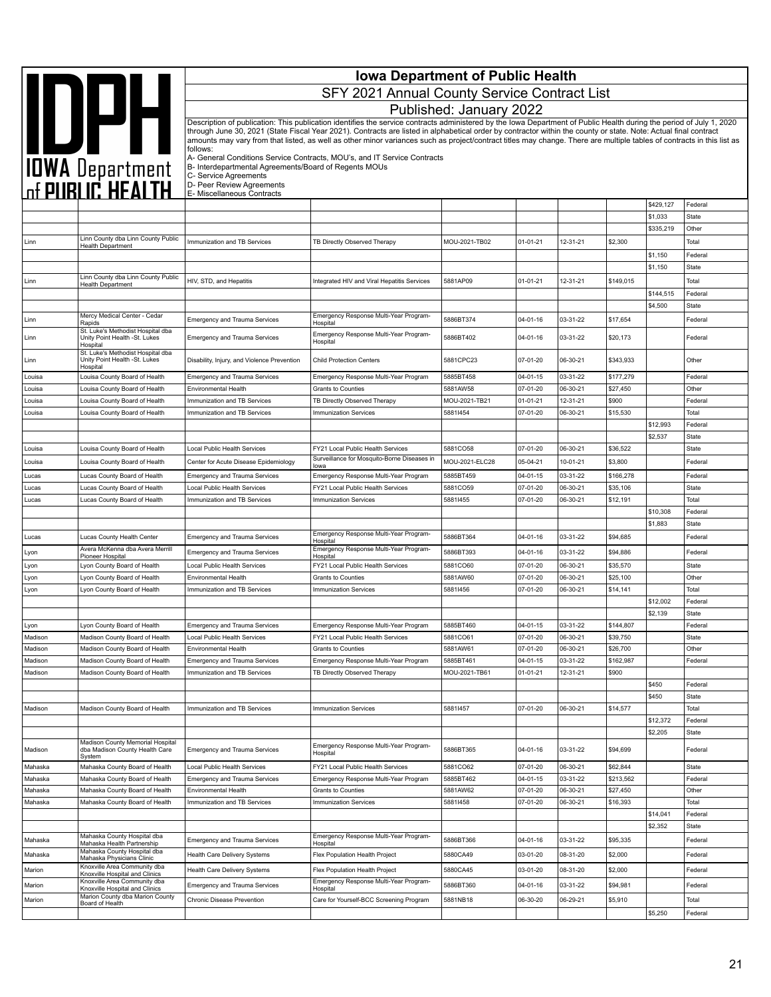|                    | <b>Iowa Department of Public Health</b>                                        |                                                                      |                                                                                                                                                                                                                                                                                                                                            |                         |                      |                      |                       |                      |                       |
|--------------------|--------------------------------------------------------------------------------|----------------------------------------------------------------------|--------------------------------------------------------------------------------------------------------------------------------------------------------------------------------------------------------------------------------------------------------------------------------------------------------------------------------------------|-------------------------|----------------------|----------------------|-----------------------|----------------------|-----------------------|
|                    | <b>AND DATE</b><br>TOWA Department<br>The PUBLIC HEALTH                        |                                                                      | SFY 2021 Annual County Service Contract List                                                                                                                                                                                                                                                                                               |                         |                      |                      |                       |                      |                       |
|                    |                                                                                |                                                                      |                                                                                                                                                                                                                                                                                                                                            | Published: January 2022 |                      |                      |                       |                      |                       |
|                    |                                                                                |                                                                      | Description of publication: This publication identifies the service contracts administered by the Iowa Department of Public Health during the period of July 1, 2020                                                                                                                                                                       |                         |                      |                      |                       |                      |                       |
|                    |                                                                                |                                                                      | through June 30, 2021 (State Fiscal Year 2021). Contracts are listed in alphabetical order by contractor within the county or state. Note: Actual final contract<br>amounts may vary from that listed, as well as other minor variances such as project/contract titles may change. There are multiple tables of contracts in this list as |                         |                      |                      |                       |                      |                       |
|                    |                                                                                | follows:                                                             |                                                                                                                                                                                                                                                                                                                                            |                         |                      |                      |                       |                      |                       |
|                    |                                                                                | B- Interdepartmental Agreements/Board of Regents MOUs                | A- General Conditions Service Contracts, MOU's, and IT Service Contracts                                                                                                                                                                                                                                                                   |                         |                      |                      |                       |                      |                       |
|                    |                                                                                | C- Service Agreements<br>D- Peer Review Agreements                   |                                                                                                                                                                                                                                                                                                                                            |                         |                      |                      |                       |                      |                       |
|                    |                                                                                | E- Miscellaneous Contracts                                           |                                                                                                                                                                                                                                                                                                                                            |                         |                      |                      |                       |                      |                       |
|                    |                                                                                |                                                                      |                                                                                                                                                                                                                                                                                                                                            |                         |                      |                      |                       | \$429,127<br>\$1,033 | Federal<br>State      |
|                    |                                                                                |                                                                      |                                                                                                                                                                                                                                                                                                                                            |                         |                      |                      |                       | \$335,219            | Other                 |
| Linn               | Linn County dba Linn County Public<br><b>Health Department</b>                 | Immunization and TB Services                                         | TB Directly Observed Therapy                                                                                                                                                                                                                                                                                                               | MOU-2021-TB02           | $01 - 01 - 21$       | 12-31-21             | \$2,300               |                      | Total                 |
|                    |                                                                                |                                                                      |                                                                                                                                                                                                                                                                                                                                            |                         |                      |                      |                       | \$1,150              | Federal               |
|                    | Linn County dba Linn County Public                                             |                                                                      |                                                                                                                                                                                                                                                                                                                                            |                         |                      |                      |                       | \$1,150              | State                 |
| Linn               | <b>Health Department</b>                                                       | HIV, STD, and Hepatitis                                              | Integrated HIV and Viral Hepatitis Services                                                                                                                                                                                                                                                                                                | 5881AP09                | 01-01-21             | 12-31-21             | \$149,015             |                      | Total                 |
|                    |                                                                                |                                                                      |                                                                                                                                                                                                                                                                                                                                            |                         |                      |                      |                       | \$144,515<br>\$4,500 | Federal<br>State      |
| Linn               | Mercy Medical Center - Cedar                                                   | <b>Emergency and Trauma Services</b>                                 | Emergency Response Multi-Year Program-                                                                                                                                                                                                                                                                                                     | 5886BT374               | 04-01-16             | 03-31-22             | \$17,654              |                      | Federal               |
| Linn               | Rapids<br>St. Luke's Methodist Hospital dba<br>Unity Point Health -St. Lukes   | <b>Emergency and Trauma Services</b>                                 | Hospital<br>Emergency Response Multi-Year Program-<br>Hospital                                                                                                                                                                                                                                                                             | 5886BT402               | 04-01-16             | 03-31-22             | \$20,173              |                      | Federal               |
| Linn               | Hospital<br>St. Luke's Methodist Hospital dba<br>Unity Point Health -St. Lukes | Disability, Injury, and Violence Prevention                          | <b>Child Protection Centers</b>                                                                                                                                                                                                                                                                                                            | 5881CPC23               | 07-01-20             | 06-30-21             | \$343,933             |                      | Other                 |
| Louisa             | Hospital<br>Louisa County Board of Health                                      | <b>Emergency and Trauma Services</b>                                 | Emergency Response Multi-Year Program                                                                                                                                                                                                                                                                                                      | 5885BT458               | 04-01-15             | 03-31-22             | \$177,279             |                      | Federal               |
| Louisa             | Louisa County Board of Health                                                  | Environmental Health                                                 | Grants to Counties                                                                                                                                                                                                                                                                                                                         | 5881AW58                | 07-01-20             | 06-30-21             | \$27,450              |                      | Other                 |
| Louisa             | Louisa County Board of Health                                                  | Immunization and TB Services                                         | TB Directly Observed Therapy                                                                                                                                                                                                                                                                                                               | MOU-2021-TB21           | 01-01-21             | 12-31-21             | \$900                 |                      | Federal               |
| Louisa             | Louisa County Board of Health                                                  | Immunization and TB Services                                         | <b>Immunization Services</b>                                                                                                                                                                                                                                                                                                               | 58811454                | 07-01-20             | 06-30-21             | \$15,530              |                      | Total                 |
|                    |                                                                                |                                                                      |                                                                                                                                                                                                                                                                                                                                            |                         |                      |                      |                       | \$12,993             | Federal               |
| Louisa             | Louisa County Board of Health                                                  | Local Public Health Services                                         | FY21 Local Public Health Services                                                                                                                                                                                                                                                                                                          | 5881CO58                | 07-01-20             | 06-30-21             | \$36,522              | \$2,537              | <b>State</b><br>State |
| Louisa             | Louisa County Board of Health                                                  | Center for Acute Disease Epidemiology                                | Surveillance for Mosquito-Borne Diseases in                                                                                                                                                                                                                                                                                                | MOU-2021-ELC28          | 05-04-21             | 10-01-21             | \$3,800               |                      | Federal               |
| Lucas              | Lucas County Board of Health                                                   | <b>Emergency and Trauma Services</b>                                 | lowa<br>Emergency Response Multi-Year Program                                                                                                                                                                                                                                                                                              | 5885BT459               | $04 - 01 - 15$       | 03-31-22             | \$166,278             |                      | Federal               |
| Lucas              | Lucas County Board of Health                                                   | Local Public Health Services                                         | FY21 Local Public Health Services                                                                                                                                                                                                                                                                                                          | 5881CO59                | 07-01-20             | 06-30-21             | \$35,106              |                      | State                 |
| Lucas              | Lucas County Board of Health                                                   | Immunization and TB Services                                         | <b>Immunization Services</b>                                                                                                                                                                                                                                                                                                               | 58811455                | 07-01-20             | 06-30-21             | \$12,191              |                      | Total                 |
|                    |                                                                                |                                                                      |                                                                                                                                                                                                                                                                                                                                            |                         |                      |                      |                       | \$10,308             | Federal               |
|                    |                                                                                |                                                                      | Emergency Response Multi-Year Program-                                                                                                                                                                                                                                                                                                     | 5886BT364               | 04-01-16             | 03-31-22             | \$94,685              | \$1,883              | State<br>Federal      |
| Lucas              | Lucas County Health Center<br>Avera McKenna dba Avera Merrill                  | Emergency and Trauma Services                                        | Hospital<br>Emergency Response Multi-Year Program-                                                                                                                                                                                                                                                                                         |                         |                      |                      |                       |                      |                       |
| Lyon<br>Lyon       | Pioneer Hospital<br>Lyon County Board of Health                                | <b>Emergency and Trauma Services</b><br>Local Public Health Services | Hospital<br>FY21 Local Public Health Services                                                                                                                                                                                                                                                                                              | 5886BT393<br>5881CO60   | 04-01-16<br>07-01-20 | 03-31-22<br>06-30-21 | \$94,886<br>\$35,570  |                      | Federal<br>State      |
| Lyon               | Lyon County Board of Health                                                    | Environmental Health                                                 | <b>Grants to Counties</b>                                                                                                                                                                                                                                                                                                                  | 5881AW60                | 07-01-20             | 06-30-21             | \$25,100              |                      | Other                 |
| Lyon               | Lyon County Board of Health                                                    | Immunization and TB Services                                         | <b>Immunization Services</b>                                                                                                                                                                                                                                                                                                               | 58811456                | 07-01-20             | 06-30-21             | \$14,141              |                      | Total                 |
|                    |                                                                                |                                                                      |                                                                                                                                                                                                                                                                                                                                            |                         |                      |                      |                       | \$12,002             | Federal               |
|                    |                                                                                |                                                                      |                                                                                                                                                                                                                                                                                                                                            |                         |                      | 03-31-22             |                       | \$2,139              | State                 |
| Lyon<br>Madison    | Lyon County Board of Health<br>Madison County Board of Health                  | <b>Emergency and Trauma Services</b><br>Local Public Health Services | Emergency Response Multi-Year Program<br>FY21 Local Public Health Services                                                                                                                                                                                                                                                                 | 5885BT460<br>5881CO61   | 04-01-15<br>07-01-20 | 06-30-21             | \$144,807<br>\$39,750 |                      | Federal<br>State      |
| Madison            | Madison County Board of Health                                                 | Environmental Health                                                 | Grants to Counties                                                                                                                                                                                                                                                                                                                         | 5881AW61                | 07-01-20             | 06-30-21             | \$26,700              |                      | Other                 |
| Madison            | Madison County Board of Health                                                 | <b>Emergency and Trauma Services</b>                                 | Emergency Response Multi-Year Program                                                                                                                                                                                                                                                                                                      | 5885BT461               | 04-01-15             | 03-31-22             | \$162,987             |                      | Federal               |
| Madison            | Madison County Board of Health                                                 | Immunization and TB Services                                         | TB Directly Observed Therapy                                                                                                                                                                                                                                                                                                               | MOU-2021-TB61           | $01 - 01 - 21$       | 12-31-21             | \$900                 |                      |                       |
|                    |                                                                                |                                                                      |                                                                                                                                                                                                                                                                                                                                            |                         |                      |                      |                       | \$450<br>\$450       | Federal<br>State      |
| Madison            | Madison County Board of Health                                                 | Immunization and TB Services                                         | <b>Immunization Services</b>                                                                                                                                                                                                                                                                                                               | 58811457                | 07-01-20             | 06-30-21             | \$14,577              |                      | Total                 |
|                    |                                                                                |                                                                      |                                                                                                                                                                                                                                                                                                                                            |                         |                      |                      |                       | \$12,372             | Federal               |
|                    |                                                                                |                                                                      |                                                                                                                                                                                                                                                                                                                                            |                         |                      |                      |                       | \$2,205              | State                 |
| Madison            | Madison County Memorial Hospital<br>dba Madison County Health Care<br>Svstem   | <b>Emergency and Trauma Services</b>                                 | Emergency Response Multi-Year Program-<br>Hospital                                                                                                                                                                                                                                                                                         | 5886BT365               | 04-01-16             | 03-31-22             | \$94,699              |                      | Federal               |
| Mahaska            | Mahaska County Board of Health                                                 | Local Public Health Services                                         | FY21 Local Public Health Services                                                                                                                                                                                                                                                                                                          | 5881CO62                | 07-01-20             | 06-30-21             | \$62,844              |                      | State                 |
| Mahaska            | Mahaska County Board of Health                                                 | Emergency and Trauma Services                                        | Emergency Response Multi-Year Program                                                                                                                                                                                                                                                                                                      | 5885BT462               | 04-01-15             | 03-31-22             | \$213,562             |                      | Federal               |
| Mahaska<br>Mahaska | Mahaska County Board of Health<br>Mahaska County Board of Health               | Environmental Health<br>Immunization and TB Services                 | Grants to Counties<br><b>Immunization Services</b>                                                                                                                                                                                                                                                                                         | 5881AW62<br>58811458    | 07-01-20<br>07-01-20 | 06-30-21<br>06-30-21 | \$27,450<br>\$16,393  |                      | Other<br>Total        |
|                    |                                                                                |                                                                      |                                                                                                                                                                                                                                                                                                                                            |                         |                      |                      |                       | \$14,041             | Federal               |
|                    |                                                                                |                                                                      |                                                                                                                                                                                                                                                                                                                                            |                         |                      |                      |                       | \$2,352              | State                 |
| Mahaska            | Mahaska County Hospital dba<br>Mahaska Health Partnership                      | <b>Emergency and Trauma Services</b>                                 | Emergency Response Multi-Year Program-<br>Hospital                                                                                                                                                                                                                                                                                         | 5886BT366               | 04-01-16             | 03-31-22             | \$95,335              |                      | Federal               |
| Mahaska            | Mahaska County Hospital dba<br>Mahaska Physicians Clinic                       | Health Care Delivery Systems                                         | Flex Population Health Project                                                                                                                                                                                                                                                                                                             | 5880CA49                | 03-01-20             | 08-31-20             | \$2,000               |                      | Federal               |
| Marion             | Knoxville Area Community dba<br>Knoxville Hospital and Clinics                 | Health Care Delivery Systems                                         | Flex Population Health Project                                                                                                                                                                                                                                                                                                             | 5880CA45                | 03-01-20             | 08-31-20             | \$2,000               |                      | Federal               |
| Marion             | Knoxville Area Community dba<br>Knoxville Hospital and Clinics                 | Emergency and Trauma Services                                        | Emergency Response Multi-Year Program-<br>Hospital                                                                                                                                                                                                                                                                                         | 5886BT360               | 04-01-16             | 03-31-22             | \$94,981              |                      | Federal               |
| Marion             | Marion County dba Marion County<br>Board of Health                             | Chronic Disease Prevention                                           | Care for Yourself-BCC Screening Program                                                                                                                                                                                                                                                                                                    | 5881NB18                | 06-30-20             | 06-29-21             | \$5,910               | \$5,250              | Total<br>Federal      |
|                    |                                                                                |                                                                      |                                                                                                                                                                                                                                                                                                                                            |                         |                      |                      |                       |                      |                       |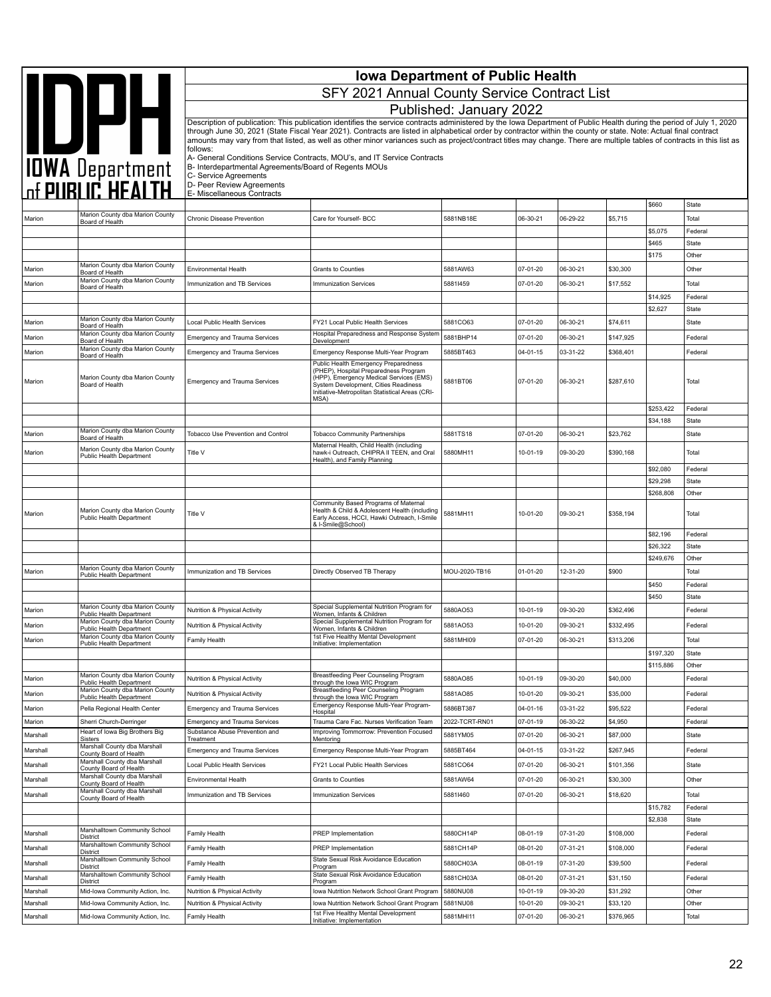|          |                                                                                         | <b>Iowa Department of Public Health</b><br>SFY 2021 Annual County Service Contract List    |                                                                                                                                                                                                                                                                                                                                                                                                                                                                                                                                                                                                |                         |          |          |           |                        |                       |  |
|----------|-----------------------------------------------------------------------------------------|--------------------------------------------------------------------------------------------|------------------------------------------------------------------------------------------------------------------------------------------------------------------------------------------------------------------------------------------------------------------------------------------------------------------------------------------------------------------------------------------------------------------------------------------------------------------------------------------------------------------------------------------------------------------------------------------------|-------------------------|----------|----------|-----------|------------------------|-----------------------|--|
|          |                                                                                         |                                                                                            |                                                                                                                                                                                                                                                                                                                                                                                                                                                                                                                                                                                                | Published: January 2022 |          |          |           |                        |                       |  |
|          | <b>AND PLAN</b><br>TOWA Department<br>Of PUBLIC HEALTH                                  | follows:<br>B- Interdepartmental Agreements/Board of Regents MOUs<br>C- Service Agreements | Description of publication: This publication identifies the service contracts administered by the lowa Department of Public Health during the period of July 1, 2020<br>through June 30, 2021 (State Fiscal Year 2021). Contracts are listed in alphabetical order by contractor within the county or state. Note: Actual final contract<br>amounts may vary from that listed, as well as other minor variances such as project/contract titles may change. There are multiple tables of contracts in this list as<br>A- General Conditions Service Contracts, MOU's, and IT Service Contracts |                         |          |          |           |                        |                       |  |
|          |                                                                                         | D- Peer Review Agreements<br>E- Miscellaneous Contracts                                    |                                                                                                                                                                                                                                                                                                                                                                                                                                                                                                                                                                                                |                         |          |          |           |                        |                       |  |
|          | Marion County dba Marion County                                                         |                                                                                            |                                                                                                                                                                                                                                                                                                                                                                                                                                                                                                                                                                                                |                         |          |          |           | \$660                  | State                 |  |
| Marion   | Board of Health                                                                         | Chronic Disease Prevention                                                                 | Care for Yourself- BCC                                                                                                                                                                                                                                                                                                                                                                                                                                                                                                                                                                         | 5881NB18E               | 06-30-21 | 06-29-22 | \$5,715   | \$5,075                | Total<br>Federal      |  |
|          |                                                                                         |                                                                                            |                                                                                                                                                                                                                                                                                                                                                                                                                                                                                                                                                                                                |                         |          |          |           | \$465                  | <b>State</b>          |  |
|          |                                                                                         |                                                                                            |                                                                                                                                                                                                                                                                                                                                                                                                                                                                                                                                                                                                |                         |          |          |           | \$175                  | Other                 |  |
| Marion   | Marion County dba Marion County<br>Board of Health                                      | <b>Environmental Health</b>                                                                | <b>Grants to Counties</b>                                                                                                                                                                                                                                                                                                                                                                                                                                                                                                                                                                      | 5881AW63                | 07-01-20 | 06-30-21 | \$30,300  |                        | Other                 |  |
| Marion   | Marion County dba Marion County<br>Board of Health                                      | Immunization and TB Services                                                               | <b>Immunization Services</b>                                                                                                                                                                                                                                                                                                                                                                                                                                                                                                                                                                   | 58811459                | 07-01-20 | 06-30-21 | \$17,552  |                        | Total                 |  |
|          |                                                                                         |                                                                                            |                                                                                                                                                                                                                                                                                                                                                                                                                                                                                                                                                                                                |                         |          |          |           | \$14,925               | Federal               |  |
|          | Marion County dba Marion County                                                         |                                                                                            |                                                                                                                                                                                                                                                                                                                                                                                                                                                                                                                                                                                                |                         |          |          |           | \$2,627                | State                 |  |
| Marion   | Board of Health                                                                         | Local Public Health Services                                                               | FY21 Local Public Health Services<br>Hospital Preparedness and Response System                                                                                                                                                                                                                                                                                                                                                                                                                                                                                                                 | 5881CO63                | 07-01-20 | 06-30-21 | \$74,611  |                        | State                 |  |
| Marion   | Marion County dba Marion County<br>Board of Health                                      | <b>Emergency and Trauma Services</b>                                                       | Development                                                                                                                                                                                                                                                                                                                                                                                                                                                                                                                                                                                    | 5881BHP14               | 07-01-20 | 06-30-21 | \$147,925 |                        | Federal               |  |
| Marion   | Marion County dba Marion County<br>Board of Health                                      | <b>Emergency and Trauma Services</b>                                                       | Emergency Response Multi-Year Program                                                                                                                                                                                                                                                                                                                                                                                                                                                                                                                                                          | 5885BT463               | 04-01-15 | 03-31-22 | \$368,401 |                        | Federal               |  |
| Marion   | Marion County dba Marion County<br>Board of Health                                      | <b>Emergency and Trauma Services</b>                                                       | Public Health Emergency Preparedness<br>(PHEP), Hospital Preparedness Program<br>(HPP), Emergency Medical Services (EMS)<br>System Development, Cities Readiness<br>Initiative-Metropolitan Statistical Areas (CRI-<br>MSA)                                                                                                                                                                                                                                                                                                                                                                    | 5881BT06                | 07-01-20 | 06-30-21 | \$287,610 |                        | Total                 |  |
|          |                                                                                         |                                                                                            |                                                                                                                                                                                                                                                                                                                                                                                                                                                                                                                                                                                                |                         |          |          |           | \$253,422              | Federal               |  |
|          | Marion County dba Marion County                                                         | Tobacco Use Prevention and Control                                                         | <b>Tobacco Community Partnerships</b>                                                                                                                                                                                                                                                                                                                                                                                                                                                                                                                                                          | 5881TS18                | 07-01-20 | 06-30-21 | \$23,762  | \$34,188               | <b>State</b><br>State |  |
| Marion   | Board of Health                                                                         |                                                                                            | Maternal Health, Child Health (including                                                                                                                                                                                                                                                                                                                                                                                                                                                                                                                                                       |                         |          |          |           |                        |                       |  |
| Marion   | Marion County dba Marion County<br>Public Health Department                             | Title V                                                                                    | hawk-i Outreach, CHIPRA II TEEN, and Oral<br>Health), and Family Planning                                                                                                                                                                                                                                                                                                                                                                                                                                                                                                                      | 5880MH11                | 10-01-19 | 09-30-20 | \$390,168 | \$92,080               | Total<br>Federal      |  |
|          |                                                                                         |                                                                                            |                                                                                                                                                                                                                                                                                                                                                                                                                                                                                                                                                                                                |                         |          |          |           | \$29,298               | <b>State</b>          |  |
|          |                                                                                         |                                                                                            |                                                                                                                                                                                                                                                                                                                                                                                                                                                                                                                                                                                                |                         |          |          |           | \$268,808              | Other                 |  |
| Marion   | Marion County dba Marion County<br>Public Health Department                             | Title V                                                                                    | Community Based Programs of Maternal<br>Health & Child & Adolescent Health (including<br>Early Access, HCCI, Hawki Outreach, I-Smile<br>& I-Smile@School)                                                                                                                                                                                                                                                                                                                                                                                                                                      | 5881MH11                | 10-01-20 | 09-30-21 | \$358,194 |                        | Total                 |  |
|          |                                                                                         |                                                                                            |                                                                                                                                                                                                                                                                                                                                                                                                                                                                                                                                                                                                |                         |          |          |           | \$82,196<br>\$26,322   | Federal               |  |
|          |                                                                                         |                                                                                            |                                                                                                                                                                                                                                                                                                                                                                                                                                                                                                                                                                                                |                         |          |          |           | \$249,676              | State<br>Other        |  |
| Marion   | Marion County dba Marion County<br>Public Health Department                             | Immunization and TB Services                                                               | Directly Observed TB Therapy                                                                                                                                                                                                                                                                                                                                                                                                                                                                                                                                                                   | MOU-2020-TB16           | 01-01-20 | 12-31-20 | \$900     |                        | Total                 |  |
|          |                                                                                         |                                                                                            |                                                                                                                                                                                                                                                                                                                                                                                                                                                                                                                                                                                                |                         |          |          |           | \$450                  | Federal               |  |
|          | Marion County dba Marion County                                                         |                                                                                            | Special Supplemental Nutrition Program for                                                                                                                                                                                                                                                                                                                                                                                                                                                                                                                                                     |                         |          |          |           | \$450                  | State                 |  |
| Marion   | Public Health Department<br>Marion County dba Marion County                             | Nutrition & Physical Activity                                                              | Women, Infants & Children<br>Special Supplemental Nutrition Program for                                                                                                                                                                                                                                                                                                                                                                                                                                                                                                                        | 5880AO53                | 10-01-19 | 09-30-20 | \$362,496 |                        | Federal               |  |
| Marion   | Public Health Department<br>Marion County dba Marion County                             | Nutrition & Physical Activity                                                              | Women, Infants & Children<br>1st Five Healthy Mental Development                                                                                                                                                                                                                                                                                                                                                                                                                                                                                                                               | 5881AO53                | 10-01-20 | 09-30-21 | \$332.495 |                        | Federal               |  |
| Marion   | Public Health Department                                                                | Family Health                                                                              | Initiative: Implementation                                                                                                                                                                                                                                                                                                                                                                                                                                                                                                                                                                     | 5881MHI09               | 07-01-20 | 06-30-21 | \$313,206 |                        | Total                 |  |
|          |                                                                                         |                                                                                            |                                                                                                                                                                                                                                                                                                                                                                                                                                                                                                                                                                                                |                         |          |          |           | \$197,320<br>\$115,886 | State<br>Other        |  |
| Marion   | Marion County dba Marion County                                                         | Nutrition & Physical Activity                                                              | Breastfeeding Peer Counseling Program<br>through the lowa WIC Program                                                                                                                                                                                                                                                                                                                                                                                                                                                                                                                          | 5880AO85                | 10-01-19 | 09-30-20 | \$40,000  |                        | Federal               |  |
| Marion   | Public Health Department<br>Marion County dba Marion County<br>Public Health Department | Nutrition & Physical Activity                                                              | Breastfeeding Peer Counseling Program                                                                                                                                                                                                                                                                                                                                                                                                                                                                                                                                                          | 5881AO85                | 10-01-20 | 09-30-21 | \$35,000  |                        | Federal               |  |
| Marion   | Pella Regional Health Center                                                            | <b>Emergency and Trauma Services</b>                                                       | through the lowa WIC Program<br>Emergency Response Multi-Year Program-                                                                                                                                                                                                                                                                                                                                                                                                                                                                                                                         | 5886BT387               | 04-01-16 | 03-31-22 | \$95,522  |                        | Federal               |  |
| Marion   | Sherri Church-Derringer                                                                 | <b>Emergency and Trauma Services</b>                                                       | Hospital<br>Trauma Care Fac. Nurses Verification Team                                                                                                                                                                                                                                                                                                                                                                                                                                                                                                                                          | 2022-TCRT-RN01          | 07-01-19 | 06-30-22 | \$4,950   |                        | Federal               |  |
| Marshall | Heart of Iowa Big Brothers Big<br><b>Sisters</b>                                        | Substance Abuse Prevention and<br>Treatment                                                | Improving Tommorrow: Prevention Focused<br>Mentoring                                                                                                                                                                                                                                                                                                                                                                                                                                                                                                                                           | 5881YM05                | 07-01-20 | 06-30-21 | \$87,000  |                        | State                 |  |
| Marshall | Marshall County dba Marshall<br>County Board of Health                                  | <b>Emergency and Trauma Services</b>                                                       | Emergency Response Multi-Year Program                                                                                                                                                                                                                                                                                                                                                                                                                                                                                                                                                          | 5885BT464               | 04-01-15 | 03-31-22 | \$267,945 |                        | Federal               |  |
| Marshall | Marshall County dba Marshall<br>County Board of Health                                  | Local Public Health Services                                                               | FY21 Local Public Health Services                                                                                                                                                                                                                                                                                                                                                                                                                                                                                                                                                              | 5881CO64                | 07-01-20 | 06-30-21 | \$101,356 |                        | State                 |  |
| Marshall | Marshall County dba Marshall                                                            | Environmental Health                                                                       | <b>Grants to Counties</b>                                                                                                                                                                                                                                                                                                                                                                                                                                                                                                                                                                      | 5881AW64                | 07-01-20 | 06-30-21 | \$30,300  |                        | Other                 |  |
| Marshall | County Board of Health<br>Marshall County dba Marshall                                  | Immunization and TB Services                                                               | Immunization Services                                                                                                                                                                                                                                                                                                                                                                                                                                                                                                                                                                          | 58811460                | 07-01-20 | 06-30-21 | \$18,620  |                        | Total                 |  |
|          | County Board of Health                                                                  |                                                                                            |                                                                                                                                                                                                                                                                                                                                                                                                                                                                                                                                                                                                |                         |          |          |           | \$15,782               | Federal               |  |
|          |                                                                                         |                                                                                            |                                                                                                                                                                                                                                                                                                                                                                                                                                                                                                                                                                                                |                         |          |          |           | \$2,838                | State                 |  |
| Marshall | Marshalltown Community School<br>District                                               | Family Health                                                                              | PREP Implementation                                                                                                                                                                                                                                                                                                                                                                                                                                                                                                                                                                            | 5880CH14P               | 08-01-19 | 07-31-20 | \$108,000 |                        | Federal               |  |
| Marshall | Marshalltown Community School<br>District                                               | Family Health                                                                              | PREP Implementation                                                                                                                                                                                                                                                                                                                                                                                                                                                                                                                                                                            | 5881CH14P               | 08-01-20 | 07-31-21 | \$108,000 |                        | Federal               |  |
| Marshall | Marshalltown Community School<br>District                                               | Family Health                                                                              | State Sexual Risk Avoidance Education<br>Program                                                                                                                                                                                                                                                                                                                                                                                                                                                                                                                                               | 5880CH03A               | 08-01-19 | 07-31-20 | \$39,500  |                        | Federal               |  |
| Marshall | Marshalltown Community School<br>District                                               | Family Health                                                                              | State Sexual Risk Avoidance Education<br>Program                                                                                                                                                                                                                                                                                                                                                                                                                                                                                                                                               | 5881CH03A               | 08-01-20 | 07-31-21 | \$31,150  |                        | Federal               |  |
| Marshall | Mid-Iowa Community Action, Inc.                                                         | Nutrition & Physical Activity                                                              | Iowa Nutrition Network School Grant Program                                                                                                                                                                                                                                                                                                                                                                                                                                                                                                                                                    | 5880NU08                | 10-01-19 | 09-30-20 | \$31,292  |                        | Other                 |  |
| Marshall | Mid-lowa Community Action, Inc.                                                         | Nutrition & Physical Activity                                                              | Iowa Nutrition Network School Grant Program                                                                                                                                                                                                                                                                                                                                                                                                                                                                                                                                                    | 5881NU08                | 10-01-20 | 09-30-21 | \$33,120  |                        | Other                 |  |
| Marshall | Mid-lowa Community Action, Inc.                                                         | Family Health                                                                              | 1st Five Healthy Mental Development<br>Initiative: Implementation                                                                                                                                                                                                                                                                                                                                                                                                                                                                                                                              | 5881MHI11               | 07-01-20 | 06-30-21 | \$376,965 |                        | Total                 |  |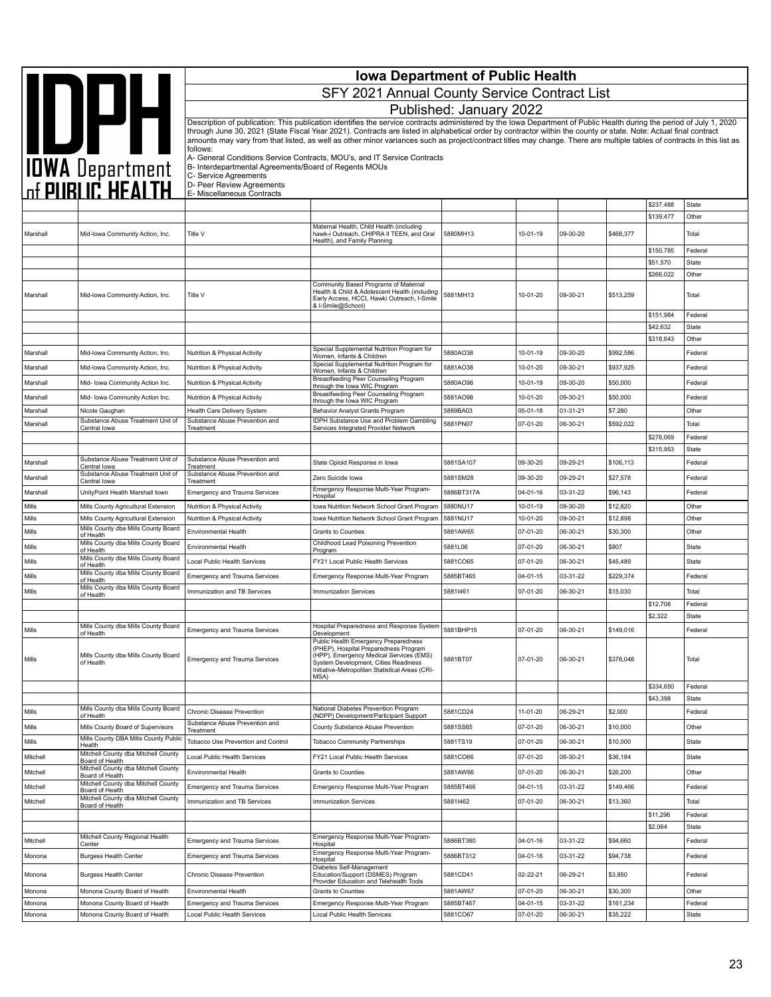|          | <b>Iowa Department of Public Health</b>                                   |                                                                      |                                                                                                                                                                                                                                                                                                                                            |                         |                      |                      |                       |                       |                       |
|----------|---------------------------------------------------------------------------|----------------------------------------------------------------------|--------------------------------------------------------------------------------------------------------------------------------------------------------------------------------------------------------------------------------------------------------------------------------------------------------------------------------------------|-------------------------|----------------------|----------------------|-----------------------|-----------------------|-----------------------|
|          | DPH                                                                       |                                                                      | SFY 2021 Annual County Service Contract List                                                                                                                                                                                                                                                                                               |                         |                      |                      |                       |                       |                       |
|          |                                                                           |                                                                      |                                                                                                                                                                                                                                                                                                                                            | Published: January 2022 |                      |                      |                       |                       |                       |
|          |                                                                           |                                                                      | Description of publication: This publication identifies the service contracts administered by the Iowa Department of Public Health during the period of July 1, 2020                                                                                                                                                                       |                         |                      |                      |                       |                       |                       |
|          |                                                                           |                                                                      | through June 30, 2021 (State Fiscal Year 2021). Contracts are listed in alphabetical order by contractor within the county or state. Note: Actual final contract<br>amounts may vary from that listed, as well as other minor variances such as project/contract titles may change. There are multiple tables of contracts in this list as |                         |                      |                      |                       |                       |                       |
|          |                                                                           | follows:                                                             | A- General Conditions Service Contracts, MOU's, and IT Service Contracts                                                                                                                                                                                                                                                                   |                         |                      |                      |                       |                       |                       |
|          | <b>TOWA Department</b>                                                    | B- Interdepartmental Agreements/Board of Regents MOUs                |                                                                                                                                                                                                                                                                                                                                            |                         |                      |                      |                       |                       |                       |
|          |                                                                           | C- Service Agreements<br>D- Peer Review Agreements                   |                                                                                                                                                                                                                                                                                                                                            |                         |                      |                      |                       |                       |                       |
|          |                                                                           | E- Miscellaneous Contracts                                           |                                                                                                                                                                                                                                                                                                                                            |                         |                      |                      |                       | \$237,488             | State                 |
|          |                                                                           |                                                                      |                                                                                                                                                                                                                                                                                                                                            |                         |                      |                      |                       | \$139,477             | Other                 |
| Marshall | Mid-Iowa Community Action, Inc.                                           | Title V                                                              | Maternal Health, Child Health (including<br>hawk-i Outreach, CHIPRA II TEEN, and Oral<br>Health), and Family Planning                                                                                                                                                                                                                      | 5880MH13                | 10-01-19             | 09-30-20             | \$468,377             |                       | Total                 |
|          |                                                                           |                                                                      |                                                                                                                                                                                                                                                                                                                                            |                         |                      |                      |                       | \$150,785<br>\$51,570 | Federal<br>State      |
|          |                                                                           |                                                                      |                                                                                                                                                                                                                                                                                                                                            |                         |                      |                      |                       | \$266,022             | Other                 |
| Marshall | Mid-lowa Community Action, Inc.                                           | Title V                                                              | Community Based Programs of Maternal<br>Health & Child & Adolescent Health (including<br>Early Access, HCCI, Hawki Outreach, I-Smile<br>& I-Smile@School)                                                                                                                                                                                  | 5881MH13                | 10-01-20             | 09-30-21             | \$513,259             |                       | Total                 |
|          |                                                                           |                                                                      |                                                                                                                                                                                                                                                                                                                                            |                         |                      |                      |                       | \$151,984             | Federal               |
|          |                                                                           |                                                                      |                                                                                                                                                                                                                                                                                                                                            |                         |                      |                      |                       | \$42,632<br>\$318,643 | <b>State</b><br>Other |
| Marshall | Mid-Iowa Community Action, Inc.                                           | Nutrition & Physical Activity                                        | Special Supplemental Nutrition Program for<br>Women, Infants & Children                                                                                                                                                                                                                                                                    | 5880AO38                | 10-01-19             | 09-30-20             | \$992,586             |                       | Federal               |
| Marshall | Mid-lowa Community Action, Inc.                                           | Nutrition & Physical Activity                                        | Special Supplemental Nutrition Program for<br>Women, Infants & Children                                                                                                                                                                                                                                                                    | 5881AO38                | 10-01-20             | 09-30-21             | \$937,925             |                       | Federal               |
| Marshall | Mid- Iowa Community Action Inc.                                           | Nutrition & Physical Activity                                        | Breastfeeding Peer Counseling Program<br>through the lowa WIC Program                                                                                                                                                                                                                                                                      | 5880AO98                | 10-01-19             | 09-30-20             | \$50,000              |                       | Federal               |
| Marshall | Mid- Iowa Community Action Inc.                                           | Nutrition & Physical Activity                                        | Breastfeeding Peer Counseling Program<br>through the lowa WIC Program                                                                                                                                                                                                                                                                      | 5881AO98                | 10-01-20             | 09-30-21             | \$50,000              |                       | Federal               |
| Marshall | Nicole Gaughan                                                            | Health Care Delivery System                                          | Behavior Analyst Grants Program                                                                                                                                                                                                                                                                                                            | 5889BA03                | 05-01-18             | 01-31-21             | \$7,280               |                       | Other                 |
| Marshall | Substance Abuse Treatment Unit of<br>Central lowa                         | Substance Abuse Prevention and<br>Treatment                          | <b>IDPH Substance Use and Problem Gambling</b><br>Services Integrated Provider Network                                                                                                                                                                                                                                                     | 5881PN07                | 07-01-20             | 06-30-21             | \$592,022             |                       | Total                 |
|          |                                                                           |                                                                      |                                                                                                                                                                                                                                                                                                                                            |                         |                      |                      |                       | \$276,069             | Federal               |
| Marshall | Substance Abuse Treatment Unit of                                         | Substance Abuse Prevention and                                       | State Opioid Response in lowa                                                                                                                                                                                                                                                                                                              | 5881SA107               | 09-30-20             | 09-29-21             | \$106,113             | \$315,953             | State<br>Federal      |
| Marshall | Central lowa<br>Substance Abuse Treatment Unit of                         | Treatment<br>Substance Abuse Prevention and                          | Zero Suicide Iowa                                                                                                                                                                                                                                                                                                                          | 5881SM28                | 09-30-20             | 09-29-21             | \$27,578              |                       | Federal               |
| Marshall | Central lowa<br>UnityPoint Health Marshall town                           | Treatment<br><b>Emergency and Trauma Services</b>                    | Emergency Response Multi-Year Program-                                                                                                                                                                                                                                                                                                     | 5886BT317A              | 04-01-16             | 03-31-22             | \$96,143              |                       | Federal               |
| Mills    | Mills County Agricultural Extension                                       | Nutrition & Physical Activity                                        | Hospital<br>Iowa Nutrition Network School Grant Program                                                                                                                                                                                                                                                                                    | 5880NU17                | 10-01-19             | 09-30-20             | \$12,820              |                       | Other                 |
| Mills    | Mills County Agricultural Extension                                       | Nutrition & Physical Activity                                        | Iowa Nutrition Network School Grant Program                                                                                                                                                                                                                                                                                                | 5881NU17                | 10-01-20             | 09-30-21             | \$12,898              |                       | Other                 |
| Mills    | Mills County dba Mills County Board<br>of Health                          | <b>Environmental Health</b>                                          | Grants to Counties                                                                                                                                                                                                                                                                                                                         | 5881AW65                | 07-01-20             | 06-30-21             | \$30,300              |                       | Other                 |
| Mills    | Mills County dba Mills County Board<br>of Health                          | <b>Environmental Health</b>                                          | Childhood Lead Poisoning Prevention<br>Program                                                                                                                                                                                                                                                                                             | 5881L06                 | 07-01-20             | 06-30-21             | \$807                 |                       | <b>State</b>          |
| Mills    | Mills County dba Mills County Board<br>of Health                          | Local Public Health Services                                         | FY21 Local Public Health Services                                                                                                                                                                                                                                                                                                          | 5881CO65                | 07-01-20             | 06-30-21             | \$45,489              |                       | <b>State</b>          |
| Mills    | Mills County dba Mills County Board<br>of Health                          | <b>Emergency and Trauma Services</b>                                 | Emergency Response Multi-Year Program                                                                                                                                                                                                                                                                                                      | 5885BT465               | 04-01-15             | 03-31-22             | \$229,374             |                       | Federal               |
| Mills    | Mills County dba Mills County Board<br>of Health                          | Immunization and TB Services                                         | <b>Immunization Services</b>                                                                                                                                                                                                                                                                                                               | 58811461                | 07-01-20             | 06-30-21             | \$15,030              |                       | Total                 |
|          |                                                                           |                                                                      |                                                                                                                                                                                                                                                                                                                                            |                         |                      |                      |                       | \$12,708              | Federal               |
| Mills    | Mills County dba Mills County Board                                       | <b>Emergency and Trauma Services</b>                                 | Hospital Preparedness and Response System 5881BHP15                                                                                                                                                                                                                                                                                        |                         | 07-01-20             | 06-30-21             | \$149,016             | \$2,322               | State                 |
|          | of Health                                                                 |                                                                      | Development<br>Public Health Emergency Preparedness                                                                                                                                                                                                                                                                                        |                         |                      |                      |                       |                       | ⊦eɑeraı               |
| Mills    | Mills County dba Mills County Board<br>of Health                          | Emergency and Trauma Services                                        | (PHEP), Hospital Preparedness Program<br>(HPP), Emergency Medical Services (EMS)<br>System Development, Cities Readiness<br>Initiative-Metropolitan Statistical Areas (CRI-<br>MSA)                                                                                                                                                        | 5881BT07                | 07-01-20             | 06-30-21             | \$378,048             |                       | Total                 |
|          |                                                                           |                                                                      |                                                                                                                                                                                                                                                                                                                                            |                         |                      |                      |                       | \$334,650             | Federal               |
|          | Mills County dba Mills County Board                                       |                                                                      | National Diabetes Prevention Program                                                                                                                                                                                                                                                                                                       |                         |                      |                      |                       | \$43,398              | State                 |
| Mills    | of Health                                                                 | Chronic Disease Prevention<br>Substance Abuse Prevention and         | (NDPP) Development/Participant Support                                                                                                                                                                                                                                                                                                     | 5881CD24                | 11-01-20             | 06-29-21             | \$2,000               |                       | Federal               |
| Mills    | Mills County Board of Supervisors<br>Mills County DBA Mills County Public | Treatment<br>Tobacco Use Prevention and Control                      | County Substance Abuse Prevention<br><b>Tobacco Community Partnerships</b>                                                                                                                                                                                                                                                                 | 5881SS65                | 07-01-20<br>07-01-20 | 06-30-21             | \$10,000              |                       | Other                 |
| Mills    | Health<br>Mitchell County dba Mitchell County                             |                                                                      |                                                                                                                                                                                                                                                                                                                                            | 5881TS19                |                      | 06-30-21             | \$10,000              |                       | State                 |
| Mitchell | Board of Health<br>Mitchell County dba Mitchell County                    | Local Public Health Services                                         | FY21 Local Public Health Services<br>Grants to Counties                                                                                                                                                                                                                                                                                    | 5881CO66                | 07-01-20             | 06-30-21             | \$36,184              |                       | State                 |
| Mitchell | Board of Health<br>Mitchell County dba Mitchell County                    | Environmental Health                                                 |                                                                                                                                                                                                                                                                                                                                            | 5881AW66                | 07-01-20             | 06-30-21             | \$26,200              |                       | Other                 |
| Mitchell | Board of Health<br>Mitchell County dba Mitchell County                    | <b>Emergency and Trauma Services</b><br>Immunization and TB Services | Emergency Response Multi-Year Program                                                                                                                                                                                                                                                                                                      | 5885BT466<br>58811462   | 04-01-15<br>07-01-20 | 03-31-22<br>06-30-21 | \$149,466<br>\$13,360 |                       | Federal<br>Total      |
| Mitchell | Board of Health                                                           |                                                                      | <b>Immunization Services</b>                                                                                                                                                                                                                                                                                                               |                         |                      |                      |                       | \$11,296              | Federal               |
|          |                                                                           |                                                                      |                                                                                                                                                                                                                                                                                                                                            |                         |                      |                      |                       | \$2,064               | State                 |
| Mitchell | Mitchell County Regional Health<br>Center                                 | <b>Emergency and Trauma Services</b>                                 | Emergency Response Multi-Year Program-<br>Hospital                                                                                                                                                                                                                                                                                         | 5886BT380               | 04-01-16             | 03-31-22             | \$94,660              |                       | Federal               |
| Monona   | <b>Burgess Health Center</b>                                              | <b>Emergency and Trauma Services</b>                                 | Emergency Response Multi-Year Program-<br>Hospital                                                                                                                                                                                                                                                                                         | 5886BT312               | 04-01-16             | 03-31-22             | \$94,738              |                       | Federal               |
| Monona   | <b>Burgess Health Center</b>                                              | Chronic Disease Prevention                                           | Diabetes Self-Management<br>Education/Support (DSMES) Program<br>Provider Education and Telehealth Tools                                                                                                                                                                                                                                   | 5881CD41                | 02-22-21             | 06-29-21             | \$3,850               |                       | Federal               |
| Monona   | Monona County Board of Health                                             | Environmental Health                                                 | Grants to Counties                                                                                                                                                                                                                                                                                                                         | 5881AW67                | 07-01-20             | 06-30-21             | \$30,300              |                       | Other                 |
| Monona   | Monona County Board of Health                                             | <b>Emergency and Trauma Services</b>                                 | Emergency Response Multi-Year Program                                                                                                                                                                                                                                                                                                      | 5885BT467               | 04-01-15             | 03-31-22             | \$161,234             |                       | Federal               |
| Monona   | Monona County Board of Health                                             | Local Public Health Services                                         | Local Public Health Services                                                                                                                                                                                                                                                                                                               | 5881CO67                | 07-01-20             | 06-30-21             | \$35,222              |                       | State                 |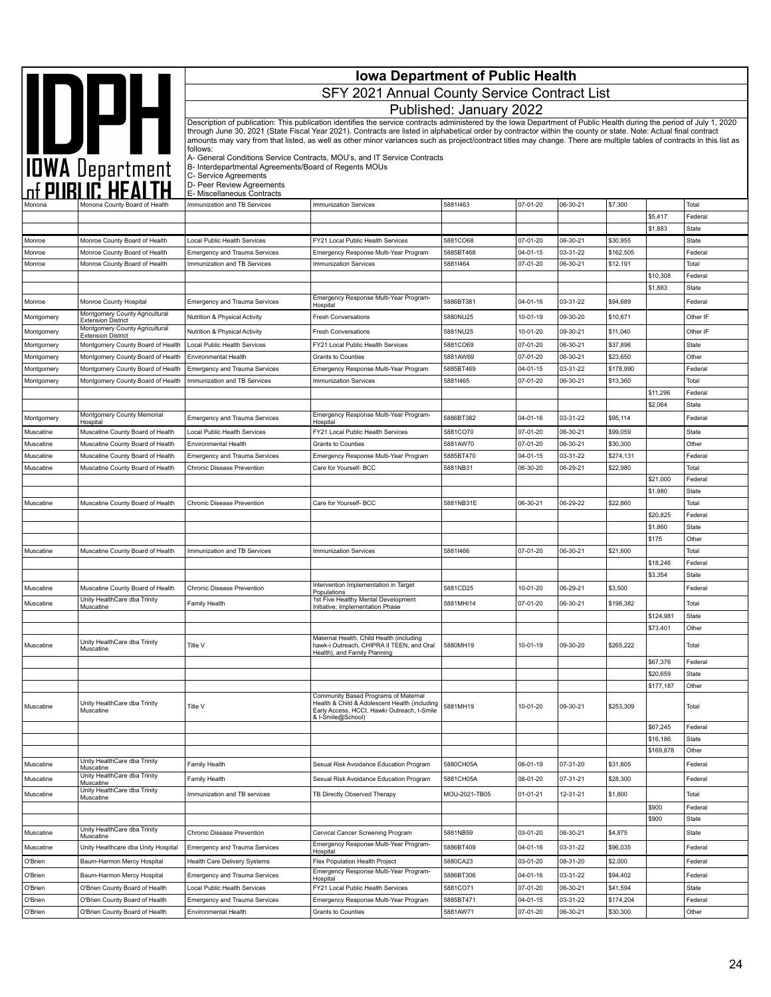| <b>Iowa Department of Public Health</b> |                                                                        |                                                                                |                                                                                                                                                                                                                                                                                                                                            |                         |                            |                      |                       |                     |                  |
|-----------------------------------------|------------------------------------------------------------------------|--------------------------------------------------------------------------------|--------------------------------------------------------------------------------------------------------------------------------------------------------------------------------------------------------------------------------------------------------------------------------------------------------------------------------------------|-------------------------|----------------------------|----------------------|-----------------------|---------------------|------------------|
|                                         | IOWA Department                                                        |                                                                                | SFY 2021 Annual County Service Contract List                                                                                                                                                                                                                                                                                               |                         |                            |                      |                       |                     |                  |
|                                         |                                                                        |                                                                                |                                                                                                                                                                                                                                                                                                                                            | Published: January 2022 |                            |                      |                       |                     |                  |
|                                         |                                                                        |                                                                                | Description of publication: This publication identifies the service contracts administered by the Iowa Department of Public Health during the period of July 1, 2020                                                                                                                                                                       |                         |                            |                      |                       |                     |                  |
|                                         |                                                                        |                                                                                | through June 30, 2021 (State Fiscal Year 2021). Contracts are listed in alphabetical order by contractor within the county or state. Note: Actual final contract<br>amounts may vary from that listed, as well as other minor variances such as project/contract titles may change. There are multiple tables of contracts in this list as |                         |                            |                      |                       |                     |                  |
|                                         |                                                                        | follows:                                                                       | A- General Conditions Service Contracts, MOU's, and IT Service Contracts                                                                                                                                                                                                                                                                   |                         |                            |                      |                       |                     |                  |
|                                         |                                                                        | B- Interdepartmental Agreements/Board of Regents MOUs<br>C- Service Agreements |                                                                                                                                                                                                                                                                                                                                            |                         |                            |                      |                       |                     |                  |
|                                         |                                                                        | D- Peer Review Agreements                                                      |                                                                                                                                                                                                                                                                                                                                            |                         |                            |                      |                       |                     |                  |
|                                         | Monona County Board of Health                                          | E- Miscellaneous Contracts<br>Immunization and TB Services                     | Immunization Services                                                                                                                                                                                                                                                                                                                      | 58811463                | 07-01-20                   | 06-30-21             | \$7,300               |                     | Total            |
|                                         |                                                                        |                                                                                |                                                                                                                                                                                                                                                                                                                                            |                         |                            |                      |                       | \$5,417             | Federal          |
|                                         |                                                                        |                                                                                |                                                                                                                                                                                                                                                                                                                                            |                         |                            |                      |                       | \$1,883             | State            |
| Monroe<br>Monroe                        | Monroe County Board of Health<br>Monroe County Board of Health         | Local Public Health Services                                                   | FY21 Local Public Health Services                                                                                                                                                                                                                                                                                                          | 5881CO68<br>5885BT468   | 07-01-20<br>$04 - 01 - 15$ | 06-30-21<br>03-31-22 | \$30,955<br>\$162,505 |                     | State<br>Federal |
| Monroe                                  | Monroe County Board of Health                                          | <b>Emergency and Trauma Services</b><br>Immunization and TB Services           | Emergency Response Multi-Year Program<br><b>Immunization Services</b>                                                                                                                                                                                                                                                                      | 58811464                | 07-01-20                   | 06-30-21             | \$12,191              |                     | Total            |
|                                         |                                                                        |                                                                                |                                                                                                                                                                                                                                                                                                                                            |                         |                            |                      |                       | \$10,308            | Federal          |
|                                         |                                                                        |                                                                                |                                                                                                                                                                                                                                                                                                                                            |                         |                            |                      |                       | \$1,883             | State            |
| Monroe                                  | Monroe County Hospital                                                 | <b>Emergency and Trauma Services</b>                                           | Emergency Response Multi-Year Program-<br>Hospital                                                                                                                                                                                                                                                                                         | 5886BT381               | 04-01-16                   | 03-31-22             | \$94,689              |                     | Federal          |
| Montgomery                              | Montgomery County Agricultural<br><b>Extension District</b>            | Nutrition & Physical Activity                                                  | <b>Fresh Conversations</b>                                                                                                                                                                                                                                                                                                                 | 5880NU25                | 10-01-19                   | 09-30-20             | \$10,671              |                     | Other IF         |
| Montgomery                              | Montgomery County Agricultural<br><b>Extension District</b>            | Nutrition & Physical Activity                                                  | <b>Fresh Conversations</b>                                                                                                                                                                                                                                                                                                                 | 5881NU25                | 10-01-20                   | 09-30-21             | \$11,040              |                     | Other IF         |
| Montgomery                              | Montgomery County Board of Health                                      | Local Public Health Services                                                   | FY21 Local Public Health Services                                                                                                                                                                                                                                                                                                          | 5881CO69                | 07-01-20                   | 06-30-21             | \$37,896              |                     | State            |
| Montgomery<br>Montgomery                | Montgomery County Board of Health<br>Montgomery County Board of Health | Environmental Health<br><b>Emergency and Trauma Services</b>                   | Grants to Counties<br>Emergency Response Multi-Year Program                                                                                                                                                                                                                                                                                | 5881AW69<br>5885BT469   | 07-01-20<br>$04 - 01 - 15$ | 06-30-21<br>03-31-22 | \$23,650<br>\$178,990 |                     | Other<br>Federal |
| Montgomery                              | Montgomery County Board of Health                                      | Immunization and TB Services                                                   | <b>Immunization Services</b>                                                                                                                                                                                                                                                                                                               | 58811465                | 07-01-20                   | 06-30-21             | \$13,360              |                     | Total            |
|                                         |                                                                        |                                                                                |                                                                                                                                                                                                                                                                                                                                            |                         |                            |                      |                       | \$11,296            | Federal          |
|                                         |                                                                        |                                                                                |                                                                                                                                                                                                                                                                                                                                            |                         |                            |                      |                       | \$2,064             | State            |
| Montgomery                              | Montgomery County Memorial<br>Hospital                                 | <b>Emergency and Trauma Services</b>                                           | Emergency Response Multi-Year Program-<br>Hospital                                                                                                                                                                                                                                                                                         | 5886BT382               | $04 - 01 - 16$             | 03-31-22             | \$95,114              |                     | Federal          |
| Muscatine                               | Muscatine County Board of Health                                       | Local Public Health Services                                                   | FY21 Local Public Health Services                                                                                                                                                                                                                                                                                                          | 5881CO70                | 07-01-20                   | 06-30-21             | \$99,059              |                     | State            |
| Muscatine<br>Muscatine                  | Muscatine County Board of Health<br>Muscatine County Board of Health   | Environmental Health<br><b>Emergency and Trauma Services</b>                   | Grants to Counties<br>Emergency Response Multi-Year Program                                                                                                                                                                                                                                                                                | 5881AW70<br>5885BT470   | 07-01-20<br>04-01-15       | 06-30-21<br>03-31-22 | \$30,300<br>\$274,131 |                     | Other<br>Federal |
| Muscatine                               | Muscatine County Board of Health                                       | <b>Chronic Disease Prevention</b>                                              | Care for Yourself- BCC                                                                                                                                                                                                                                                                                                                     | 5881NB31                | 06-30-20                   | 06-29-21             | \$22,980              |                     | Total            |
|                                         |                                                                        |                                                                                |                                                                                                                                                                                                                                                                                                                                            |                         |                            |                      |                       | \$21,000            | Federal          |
|                                         |                                                                        |                                                                                |                                                                                                                                                                                                                                                                                                                                            |                         |                            |                      |                       | \$1,980             | State            |
| Muscatine                               | Muscatine County Board of Health                                       | Chronic Disease Prevention                                                     | Care for Yourself- BCC                                                                                                                                                                                                                                                                                                                     | 5881NB31E               | 06-30-21                   | 06-29-22             | \$22,860              | \$20,825            | Total<br>Federal |
|                                         |                                                                        |                                                                                |                                                                                                                                                                                                                                                                                                                                            |                         |                            |                      |                       | \$1,860             | State            |
|                                         |                                                                        |                                                                                |                                                                                                                                                                                                                                                                                                                                            |                         |                            |                      |                       | \$175               | Other            |
| Muscatine                               | Muscatine County Board of Health                                       | Immunization and TB Services                                                   | <b>Immunization Services</b>                                                                                                                                                                                                                                                                                                               | 58811466                | 07-01-20                   | 06-30-21             | \$21,600              |                     | Total            |
|                                         |                                                                        |                                                                                |                                                                                                                                                                                                                                                                                                                                            |                         |                            |                      |                       | \$18,246<br>\$3,354 | Federal<br>State |
| Muscatine                               | Muscatine County Board of Health                                       | Chronic Disease Prevention                                                     | Intervention Implementation in Target                                                                                                                                                                                                                                                                                                      | 5881CD25                | 10-01-20                   | 06-29-21             | \$3,500               |                     | Federal          |
| Muscatine                               | Unity HealthCare dba Trinity                                           | Family Health                                                                  | Populations<br>1st Five Healthy Mental Development                                                                                                                                                                                                                                                                                         | 5881MHI14               | 07-01-20                   | 06-30-21             | \$198,382             |                     | Total            |
|                                         | Muscatine                                                              |                                                                                | Initiative: Implementation Phase                                                                                                                                                                                                                                                                                                           |                         |                            |                      |                       | \$124,981           | State            |
|                                         |                                                                        |                                                                                |                                                                                                                                                                                                                                                                                                                                            |                         |                            |                      |                       | \$73,401            | Other            |
| Muscatine                               | Unity HealthCare dba Trinity                                           | Title V                                                                        | Maternal Health, Child Health (including<br>hawk-i Outreach, CHIPRA II TEEN, and Oral                                                                                                                                                                                                                                                      | 5880MH19                | 10-01-19                   | 09-30-20             | \$265,222             |                     | Total            |
|                                         | Muscatine                                                              |                                                                                | Health), and Family Planning                                                                                                                                                                                                                                                                                                               |                         |                            |                      |                       | \$67,376            | Federal          |
|                                         |                                                                        |                                                                                |                                                                                                                                                                                                                                                                                                                                            |                         |                            |                      |                       | \$20,659            | State            |
|                                         |                                                                        |                                                                                |                                                                                                                                                                                                                                                                                                                                            |                         |                            |                      |                       | \$177,187           | Other            |
| Muscatine                               | Unity HealthCare dba Trinity<br>Muscatine                              | Title V                                                                        | Community Based Programs of Maternal<br>Health & Child & Adolescent Health (including<br>Early Access, HCCI, Hawki Outreach, I-Smile<br>& I-Smile@School)                                                                                                                                                                                  | 5881MH19                | 10-01-20                   | 09-30-21             | \$253,309             |                     | Total            |
|                                         |                                                                        |                                                                                |                                                                                                                                                                                                                                                                                                                                            |                         |                            |                      |                       | \$67,245            | Federal          |
|                                         |                                                                        |                                                                                |                                                                                                                                                                                                                                                                                                                                            |                         |                            |                      |                       | \$16,186            | <b>State</b>     |
| Muscatine                               | Unity HealthCare dba Trinity                                           |                                                                                |                                                                                                                                                                                                                                                                                                                                            | 5880CH05A               | 08-01-19                   | 07-31-20             | \$31,805              | \$169,878           | Other<br>Federal |
|                                         | Muscatine<br>Unity HealthCare dba Trinity                              | Family Health                                                                  | Sexual Risk Avoidance Education Program                                                                                                                                                                                                                                                                                                    | 5881CH05A               |                            |                      |                       |                     |                  |
| Muscatine                               | Muscatine<br>Unity HealthCare dba Trinity                              | Family Health                                                                  | Sexual Risk Avoidance Education Program                                                                                                                                                                                                                                                                                                    |                         | 08-01-20                   | 07-31-21             | \$28,300              |                     | Federal          |
| Muscatine                               | Muscatine                                                              | Immunization and TB services                                                   | TB Directly Observed Therapy                                                                                                                                                                                                                                                                                                               | MOU-2021-TB05           | $01 - 01 - 21$             | 12-31-21             | \$1,800               | \$900               | Total<br>Federal |
|                                         |                                                                        |                                                                                |                                                                                                                                                                                                                                                                                                                                            |                         |                            |                      |                       | \$900               | State            |
| Muscatine                               | Unity HealthCare dba Trinity<br>Muscatine                              | Chronic Disease Prevention                                                     | Cervical Cancer Screening Program                                                                                                                                                                                                                                                                                                          | 5881NB59                | 03-01-20                   | 06-30-21             | \$4,875               |                     | State            |
| Muscatine                               | Unity Healthcare dba Unity Hospital                                    | <b>Emergency and Trauma Services</b>                                           | Emergency Response Multi-Year Program-<br>Hospital                                                                                                                                                                                                                                                                                         | 5886BT409               | 04-01-16                   | 03-31-22             | \$96,035              |                     | Federal          |
| O'Brien                                 | Baum-Harmon Mercy Hospital                                             | Health Care Delivery Systems                                                   | Flex Population Health Project                                                                                                                                                                                                                                                                                                             | 5880CA23                | 03-01-20                   | 08-31-20             | \$2,000               |                     | Federal          |
| O'Brien                                 | Baum-Harmon Mercy Hospital                                             | Emergency and Trauma Services                                                  | Emergency Response Multi-Year Program-<br>Hospital                                                                                                                                                                                                                                                                                         | 5886BT306               | 04-01-16                   | 03-31-22             | \$94,402              |                     | Federal          |
| O'Brien                                 | O'Brien County Board of Health                                         | Local Public Health Services                                                   | FY21 Local Public Health Services                                                                                                                                                                                                                                                                                                          | 5881CO71                | 07-01-20                   | 06-30-21             | \$41,594              |                     | State            |
| O'Brien                                 | O'Brien County Board of Health                                         | Emergency and Trauma Services                                                  | Emergency Response Multi-Year Program                                                                                                                                                                                                                                                                                                      | 5885BT471               | $04 - 01 - 15$             | 03-31-22             | \$174,204             |                     | Federal          |
| O'Brien                                 | O'Brien County Board of Health                                         | Environmental Health                                                           | Grants to Counties                                                                                                                                                                                                                                                                                                                         | 5881AW71                | 07-01-20                   | 06-30-21             | \$30,300              |                     | Other            |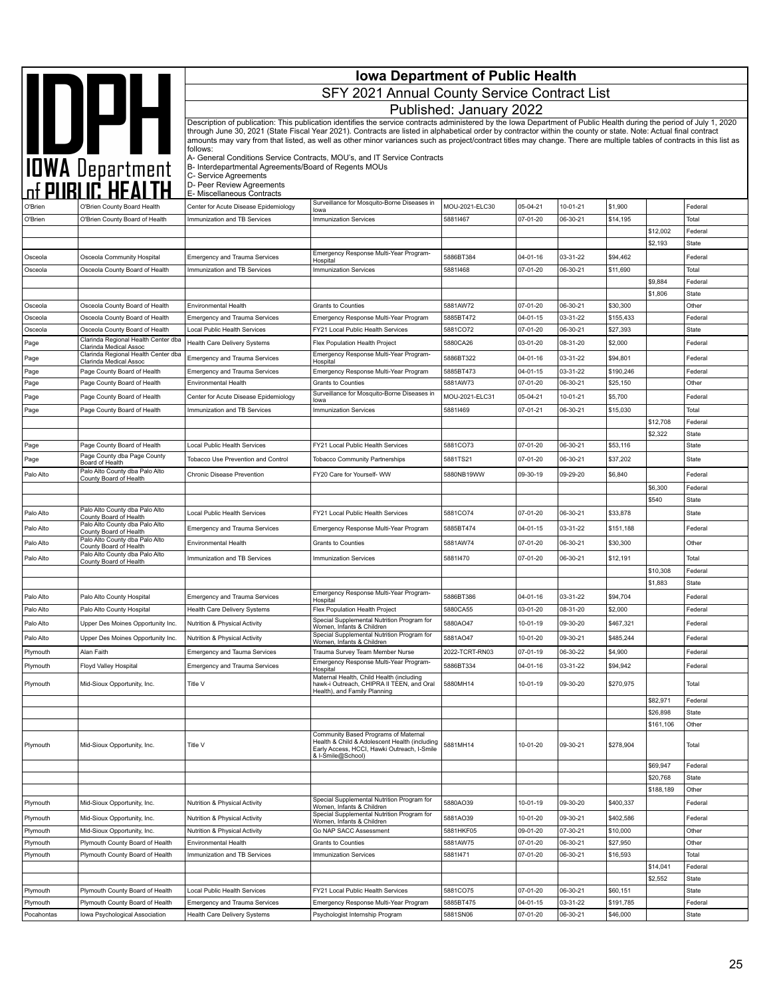|                       |                                                                  | <b>Iowa Department of Public Health</b><br>SFY 2021 Annual County Service Contract List |                                                                                                                                                                                                                                                                                                                                            |                            |                      |                      |                       |                       |                         |
|-----------------------|------------------------------------------------------------------|-----------------------------------------------------------------------------------------|--------------------------------------------------------------------------------------------------------------------------------------------------------------------------------------------------------------------------------------------------------------------------------------------------------------------------------------------|----------------------------|----------------------|----------------------|-----------------------|-----------------------|-------------------------|
|                       |                                                                  |                                                                                         |                                                                                                                                                                                                                                                                                                                                            | Published: January 2022    |                      |                      |                       |                       |                         |
|                       |                                                                  |                                                                                         | Description of publication: This publication identifies the service contracts administered by the Iowa Department of Public Health during the period of July 1, 2020                                                                                                                                                                       |                            |                      |                      |                       |                       |                         |
|                       |                                                                  | follows:                                                                                | through June 30, 2021 (State Fiscal Year 2021). Contracts are listed in alphabetical order by contractor within the county or state. Note: Actual final contract<br>amounts may vary from that listed, as well as other minor variances such as project/contract titles may change. There are multiple tables of contracts in this list as |                            |                      |                      |                       |                       |                         |
|                       |                                                                  | B- Interdepartmental Agreements/Board of Regents MOUs<br>C- Service Agreements          | A- General Conditions Service Contracts, MOU's, and IT Service Contracts                                                                                                                                                                                                                                                                   |                            |                      |                      |                       |                       |                         |
|                       |                                                                  | D- Peer Review Agreements<br>E- Miscellaneous Contracts                                 |                                                                                                                                                                                                                                                                                                                                            |                            |                      |                      |                       |                       |                         |
| O'Brien               | O'Brien County Board Health                                      | Center for Acute Disease Epidemiology                                                   | Surveillance for Mosquito-Borne Diseases in<br>lowa                                                                                                                                                                                                                                                                                        | MOU-2021-ELC30             | 05-04-21             | 10-01-21             | \$1,900               |                       | Federal                 |
| O'Brien               | O'Brien County Board of Health                                   | Immunization and TB Services                                                            | <b>Immunization Services</b>                                                                                                                                                                                                                                                                                                               | 58811467                   | 07-01-20             | 06-30-21             | \$14,195              |                       | Total                   |
|                       |                                                                  |                                                                                         |                                                                                                                                                                                                                                                                                                                                            |                            |                      |                      |                       | \$12,002<br>\$2,193   | Federal                 |
| Osceola               | Osceola Community Hospital                                       | <b>Emergency and Trauma Services</b>                                                    | Emergency Response Multi-Year Program-                                                                                                                                                                                                                                                                                                     | 5886BT384                  | 04-01-16             | 03-31-22             | \$94,462              |                       | <b>State</b><br>Federal |
| Osceola               | Osceola County Board of Health                                   | Immunization and TB Services                                                            | Hospital<br><b>Immunization Services</b>                                                                                                                                                                                                                                                                                                   | 58811468                   | 07-01-20             | 06-30-21             | \$11,690              |                       | Total                   |
|                       |                                                                  |                                                                                         |                                                                                                                                                                                                                                                                                                                                            |                            |                      |                      |                       | \$9,884               | Federal                 |
|                       |                                                                  |                                                                                         |                                                                                                                                                                                                                                                                                                                                            |                            |                      |                      |                       | \$1,806               | <b>State</b>            |
| Osceola<br>Osceola    | Osceola County Board of Health<br>Osceola County Board of Health | <b>Environmental Health</b><br><b>Emergency and Trauma Services</b>                     | Grants to Counties<br>Emergency Response Multi-Year Program                                                                                                                                                                                                                                                                                | 5881AW72<br>5885BT472      | 07-01-20<br>04-01-15 | 06-30-21<br>03-31-22 | \$30,300<br>\$155,433 |                       | Other<br>Federal        |
| Osceola               | Osceola County Board of Health                                   | Local Public Health Services                                                            | FY21 Local Public Health Services                                                                                                                                                                                                                                                                                                          | 5881CO72                   | 07-01-20             | 06-30-21             | \$27,393              |                       | State                   |
| Page                  | Clarinda Regional Health Center dba<br>Clarinda Medical Assoc    | Health Care Delivery Systems                                                            | Flex Population Health Project                                                                                                                                                                                                                                                                                                             | 5880CA26                   | 03-01-20             | 08-31-20             | \$2,000               |                       | Federal                 |
| Page                  | Clarinda Regional Health Center dba<br>Clarinda Medical Assoc    | <b>Emergency and Trauma Services</b>                                                    | Emergency Response Multi-Year Program-<br>Hospital                                                                                                                                                                                                                                                                                         | 5886BT322                  | 04-01-16             | 03-31-22             | \$94,801              |                       | Federal                 |
| Page                  | Page County Board of Health                                      | <b>Emergency and Trauma Services</b>                                                    | Emergency Response Multi-Year Program                                                                                                                                                                                                                                                                                                      | 5885BT473                  | 04-01-15             | 03-31-22             | \$190,246             |                       | Federal                 |
| Page                  | Page County Board of Health                                      | <b>Environmental Health</b>                                                             | <b>Grants to Counties</b>                                                                                                                                                                                                                                                                                                                  | 5881AW73                   | 07-01-20             | 06-30-21             | \$25,150              |                       | Other                   |
| Page                  | Page County Board of Health                                      | Center for Acute Disease Epidemiology                                                   | Surveillance for Mosquito-Borne Diseases in<br>lowa                                                                                                                                                                                                                                                                                        | MOU-2021-ELC31             | 05-04-21             | 10-01-21             | \$5,700               |                       | Federal                 |
| Page                  | Page County Board of Health                                      | Immunization and TB Services                                                            | <b>Immunization Services</b>                                                                                                                                                                                                                                                                                                               | 58811469                   | 07-01-21             | 06-30-21             | \$15,030              |                       | Total                   |
|                       |                                                                  |                                                                                         |                                                                                                                                                                                                                                                                                                                                            |                            |                      |                      |                       | \$12,708<br>\$2,322   | Federal<br>State        |
| Page                  | Page County Board of Health                                      | Local Public Health Services                                                            | FY21 Local Public Health Services                                                                                                                                                                                                                                                                                                          | 5881CO73                   | 07-01-20             | 06-30-21             | \$53,116              |                       | <b>State</b>            |
| Page                  | Page County dba Page County<br>Board of Health                   | Tobacco Use Prevention and Control                                                      | <b>Tobacco Community Partnerships</b>                                                                                                                                                                                                                                                                                                      | 5881TS21                   | 07-01-20             | 06-30-21             | \$37,202              |                       | <b>State</b>            |
| Palo Alto             | Palo Alto County dba Palo Alto                                   | Chronic Disease Prevention                                                              | FY20 Care for Yourself- WW                                                                                                                                                                                                                                                                                                                 | 5880NB19WW                 | 09-30-19             | 09-29-20             | \$6,840               |                       | Federal                 |
|                       | County Board of Health                                           |                                                                                         |                                                                                                                                                                                                                                                                                                                                            |                            |                      |                      |                       | \$6,300               | Federal                 |
|                       |                                                                  |                                                                                         |                                                                                                                                                                                                                                                                                                                                            |                            |                      |                      |                       | \$540                 | State                   |
| Palo Alto             | Palo Alto County dba Palo Alto<br>County Board of Health         | Local Public Health Services                                                            | FY21 Local Public Health Services                                                                                                                                                                                                                                                                                                          | 5881CO74                   | 07-01-20             | 06-30-21             | \$33,878              |                       | State                   |
| Palo Alto             | Palo Alto County dba Palo Alto<br>County Board of Health         | <b>Emergency and Trauma Services</b>                                                    | Emergency Response Multi-Year Program                                                                                                                                                                                                                                                                                                      | 5885BT474                  | 04-01-15             | 03-31-22             | \$151,188             |                       | Federal                 |
| Palo Alto             | Palo Alto County dba Palo Alto<br>County Board of Health         | Environmental Health                                                                    | Grants to Counties                                                                                                                                                                                                                                                                                                                         | 5881AW74                   | 07-01-20             | 06-30-21             | \$30,300              |                       | Other                   |
| Palo Alto             | Palo Alto County dba Palo Alto<br>County Board of Health         | Immunization and TB Services                                                            | <b>Immunization Services</b>                                                                                                                                                                                                                                                                                                               | 58811470                   | 07-01-20             | 06-30-21             | \$12,191              |                       | Total                   |
|                       |                                                                  |                                                                                         |                                                                                                                                                                                                                                                                                                                                            |                            |                      |                      |                       | \$10,308              | Federal                 |
|                       |                                                                  |                                                                                         | Emergency Response Multi-Year Program-                                                                                                                                                                                                                                                                                                     |                            |                      |                      |                       | \$1,883               | <b>State</b>            |
| Palo Alto             | Palo Alto County Hospital                                        | <b>Emergency and Trauma Services</b>                                                    | Hospital                                                                                                                                                                                                                                                                                                                                   | 5886BT386                  | 04-01-16             | 03-31-22             | \$94,704              |                       | Federal                 |
| Palo Alto             | Palo Alto County Hospital                                        | Health Care Delivery Systems                                                            | Flex Population Health Project<br>Special Supplemental Nutrition Program for                                                                                                                                                                                                                                                               | 5880CA55                   | 03-01-20             | 08-31-20             | \$2,000               |                       | Federal                 |
| Palo Alto             | Upper Des Moines Opportunity Inc.                                | Nutrition & Physical Activity                                                           | Women, Infants & Children<br>Special Supplemental Nutrition Program for                                                                                                                                                                                                                                                                    | 5880AO47                   | 10-01-19             | 09-30-20             | \$467,321             |                       | Federal                 |
| Palo Alto<br>Plymouth | Upper Des Moines Opportunity Inc.<br>Alan Faith                  | Nutrition & Physical Activity<br><b>Emergency and Tauma Services</b>                    | Women, Infants & Children<br>Trauma Survey Team Member Nurse                                                                                                                                                                                                                                                                               | 5881AO47<br>2022-TCRT-RN03 | 10-01-20<br>07-01-19 | 09-30-21<br>06-30-22 | \$485,244<br>\$4,900  |                       | Federal<br>Federal      |
| Plymouth              | Floyd Valley Hospital                                            | Emergency and Trauma Services                                                           | Emergency Response Multi-Year Program-                                                                                                                                                                                                                                                                                                     | 5886BT334                  | 04-01-16             | 03-31-22             | \$94,942              |                       | Federal                 |
|                       |                                                                  |                                                                                         | Hospital<br>Maternal Health, Child Health (including                                                                                                                                                                                                                                                                                       |                            |                      |                      |                       |                       |                         |
| Plymouth              | Mid-Sioux Opportunity, Inc.                                      | Title V                                                                                 | hawk-i Outreach, CHIPRA II TEEN, and Oral<br>Health), and Family Planning                                                                                                                                                                                                                                                                  | 5880MH14                   | 10-01-19             | 09-30-20             | \$270,975             |                       | Total                   |
|                       |                                                                  |                                                                                         |                                                                                                                                                                                                                                                                                                                                            |                            |                      |                      |                       | \$82,971              | Federal                 |
|                       |                                                                  |                                                                                         |                                                                                                                                                                                                                                                                                                                                            |                            |                      |                      |                       | \$26,898<br>\$161,106 | State<br>Other          |
| Plymouth              | Mid-Sioux Opportunity, Inc.                                      | Title V                                                                                 | Community Based Programs of Maternal<br>Health & Child & Adolescent Health (including<br>Early Access, HCCI, Hawki Outreach, I-Smile<br>& I-Smile@School)                                                                                                                                                                                  | 5881MH14                   | 10-01-20             | 09-30-21             | \$278,904             |                       | Total                   |
|                       |                                                                  |                                                                                         |                                                                                                                                                                                                                                                                                                                                            |                            |                      |                      |                       | \$69,947              | Federal                 |
|                       |                                                                  |                                                                                         |                                                                                                                                                                                                                                                                                                                                            |                            |                      |                      |                       | \$20,768<br>\$188,189 | <b>State</b><br>Other   |
| Plymouth              | Mid-Sioux Opportunity, Inc.                                      | Nutrition & Physical Activity                                                           | Special Supplemental Nutrition Program for                                                                                                                                                                                                                                                                                                 | 5880AO39                   | 10-01-19             | 09-30-20             | \$400,337             |                       | Federal                 |
| Plymouth              | Mid-Sioux Opportunity, Inc.                                      | Nutrition & Physical Activity                                                           | Women, Infants & Children<br>Special Supplemental Nutrition Program for                                                                                                                                                                                                                                                                    | 5881AO39                   | 10-01-20             | 09-30-21             | \$402,586             |                       | Federal                 |
| Plymouth              | Mid-Sioux Opportunity, Inc.                                      | Nutrition & Physical Activity                                                           | Women, Infants & Children<br>Go NAP SACC Assessment                                                                                                                                                                                                                                                                                        | 5881HKF05                  | 09-01-20             | 07-30-21             | \$10,000              |                       | Other                   |
| Plymouth              | Plymouth County Board of Health                                  | Environmental Health                                                                    | Grants to Counties                                                                                                                                                                                                                                                                                                                         | 5881AW75                   | 07-01-20             | 06-30-21             | \$27,950              |                       | Other                   |
| Plymouth              | Plymouth County Board of Health                                  | Immunization and TB Services                                                            | Immunization Services                                                                                                                                                                                                                                                                                                                      | 58811471                   | 07-01-20             | 06-30-21             | \$16,593              |                       | Total                   |
|                       |                                                                  |                                                                                         |                                                                                                                                                                                                                                                                                                                                            |                            |                      |                      |                       | \$14,041<br>\$2,552   | Federal                 |
| Plymouth              | Plymouth County Board of Health                                  | Local Public Health Services                                                            | FY21 Local Public Health Services                                                                                                                                                                                                                                                                                                          | 5881CO75                   | 07-01-20             | 06-30-21             | \$60,151              |                       | <b>State</b><br>State   |
| Plymouth              | Plymouth County Board of Health                                  | <b>Emergency and Trauma Services</b>                                                    | Emergency Response Multi-Year Program                                                                                                                                                                                                                                                                                                      | 5885BT475                  | 04-01-15             | 03-31-22             | \$191,785             |                       | Federal                 |
| Pocahontas            | Iowa Psychological Association                                   | Health Care Delivery Systems                                                            | Psychologist Internship Program                                                                                                                                                                                                                                                                                                            | 5881SN06                   | 07-01-20             | 06-30-21             | \$46,000              |                       | State                   |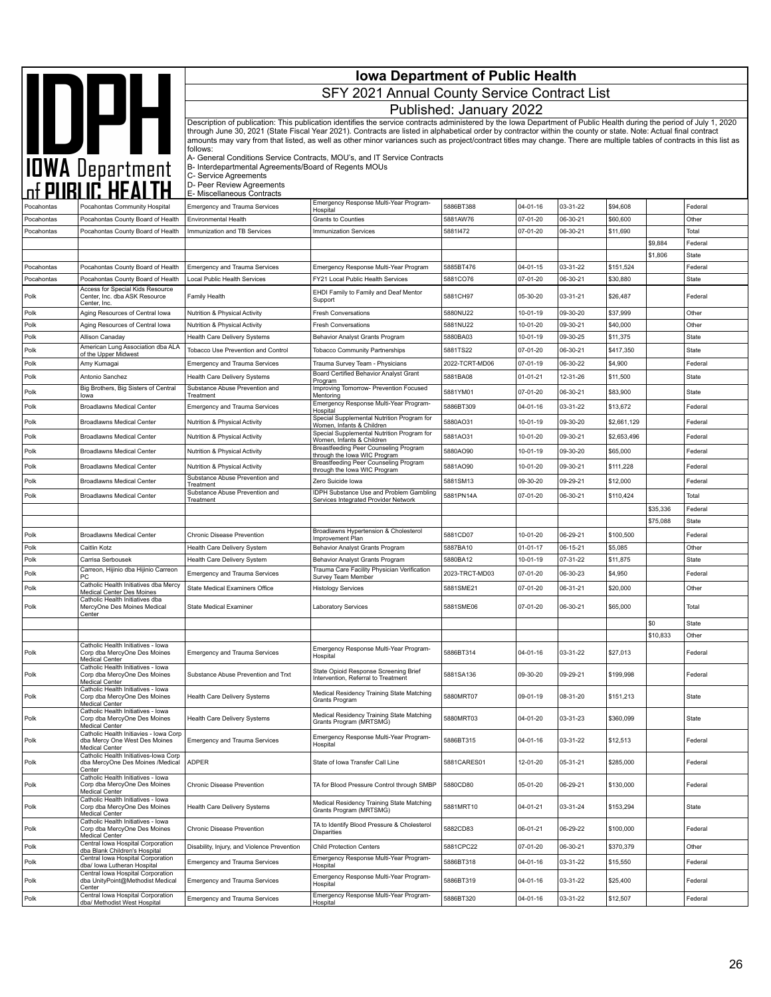|                          |                                                                                                                                   | <b>Iowa Department of Public Health</b><br>SFY 2021 Annual County Service Contract List |                                                                                                                                                                                                                                                                                                                                                                                                                                                                                                                    |                         |                            |                      |                       |          |                       |  |
|--------------------------|-----------------------------------------------------------------------------------------------------------------------------------|-----------------------------------------------------------------------------------------|--------------------------------------------------------------------------------------------------------------------------------------------------------------------------------------------------------------------------------------------------------------------------------------------------------------------------------------------------------------------------------------------------------------------------------------------------------------------------------------------------------------------|-------------------------|----------------------------|----------------------|-----------------------|----------|-----------------------|--|
|                          |                                                                                                                                   |                                                                                         |                                                                                                                                                                                                                                                                                                                                                                                                                                                                                                                    |                         |                            |                      |                       |          |                       |  |
|                          |                                                                                                                                   |                                                                                         |                                                                                                                                                                                                                                                                                                                                                                                                                                                                                                                    | Published: January 2022 |                            |                      |                       |          |                       |  |
|                          | <b>IDWA Department</b>                                                                                                            | follows:                                                                                | Description of publication: This publication identifies the service contracts administered by the Iowa Department of Public Health during the period of July 1, 2020<br>through June 30, 2021 (State Fiscal Year 2021). Contracts are listed in alphabetical order by contractor within the county or state. Note: Actual final contract<br>amounts may vary from that listed, as well as other minor variances such as project/contract titles may change. There are multiple tables of contracts in this list as |                         |                            |                      |                       |          |                       |  |
|                          |                                                                                                                                   | B- Interdepartmental Agreements/Board of Regents MOUs<br>C- Service Agreements          | A- General Conditions Service Contracts, MOU's, and IT Service Contracts                                                                                                                                                                                                                                                                                                                                                                                                                                           |                         |                            |                      |                       |          |                       |  |
|                          |                                                                                                                                   | D- Peer Review Agreements<br>E- Miscellaneous Contracts                                 |                                                                                                                                                                                                                                                                                                                                                                                                                                                                                                                    |                         |                            |                      |                       |          |                       |  |
| Pocahontas               | Pocahontas Community Hospital                                                                                                     | <b>Emergency and Trauma Services</b>                                                    | Emergency Response Multi-Year Program-                                                                                                                                                                                                                                                                                                                                                                                                                                                                             | 5886BT388               | $04 - 01 - 16$             | 03-31-22             | \$94,608              |          | Federal               |  |
| Pocahontas               | Pocahontas County Board of Health                                                                                                 | <b>Environmental Health</b>                                                             | Hospital<br><b>Grants to Counties</b>                                                                                                                                                                                                                                                                                                                                                                                                                                                                              | 5881AW76                | 07-01-20                   | 06-30-21             | \$60,600              |          | Other                 |  |
| Pocahontas               | Pocahontas County Board of Health                                                                                                 | Immunization and TB Services                                                            | Immunization Services                                                                                                                                                                                                                                                                                                                                                                                                                                                                                              | 58811472                | 07-01-20                   | 06-30-21             | \$11,690              |          | Total                 |  |
|                          |                                                                                                                                   |                                                                                         |                                                                                                                                                                                                                                                                                                                                                                                                                                                                                                                    |                         |                            |                      |                       | \$9,884  | Federal               |  |
|                          |                                                                                                                                   |                                                                                         |                                                                                                                                                                                                                                                                                                                                                                                                                                                                                                                    |                         |                            |                      |                       | \$1,806  | <b>State</b>          |  |
| Pocahontas<br>Pocahontas | Pocahontas County Board of Health<br>Pocahontas County Board of Health                                                            | <b>Emergency and Trauma Services</b><br>Local Public Health Services                    | Emergency Response Multi-Year Program<br>FY21 Local Public Health Services                                                                                                                                                                                                                                                                                                                                                                                                                                         | 5885BT476<br>5881CO76   | $04 - 01 - 15$<br>07-01-20 | 03-31-22<br>06-30-21 | \$151,524<br>\$30,880 |          | Federal<br>State      |  |
|                          | Access for Special Kids Resource                                                                                                  |                                                                                         | EHDI Family to Family and Deaf Mentor                                                                                                                                                                                                                                                                                                                                                                                                                                                                              |                         |                            |                      |                       |          |                       |  |
| Polk                     | Center, Inc. dba ASK Resource<br>Center, Inc.                                                                                     | Family Health                                                                           | Support                                                                                                                                                                                                                                                                                                                                                                                                                                                                                                            | 5881CH97                | 05-30-20                   | 03-31-21             | \$26,487              |          | Federal               |  |
| Polk                     | Aging Resources of Central lowa                                                                                                   | Nutrition & Physical Activity                                                           | Fresh Conversations                                                                                                                                                                                                                                                                                                                                                                                                                                                                                                | 5880NU22                | 10-01-19                   | 09-30-20             | \$37,999              |          | Other                 |  |
| Polk<br>Polk             | Aging Resources of Central lowa<br>Allison Canaday                                                                                | Nutrition & Physical Activity                                                           | <b>Fresh Conversations</b>                                                                                                                                                                                                                                                                                                                                                                                                                                                                                         | 5881NU22<br>5880BA03    | 10-01-20<br>10-01-19       | 09-30-21<br>09-30-25 | \$40,000<br>\$11,375  |          | Other<br><b>State</b> |  |
| Polk                     | American Lung Association dba ALA                                                                                                 | Health Care Delivery Systems<br>Tobacco Use Prevention and Control                      | Behavior Analyst Grants Program<br><b>Tobacco Community Partnerships</b>                                                                                                                                                                                                                                                                                                                                                                                                                                           | 5881TS22                | 07-01-20                   | 06-30-21             | \$417,350             |          | <b>State</b>          |  |
| Polk                     | of the Upper Midwest<br>Amy Kumagai                                                                                               | <b>Emergency and Trauma Services</b>                                                    | Trauma Survey Team - Physicians                                                                                                                                                                                                                                                                                                                                                                                                                                                                                    | 2022-TCRT-MD06          | 07-01-19                   | 06-30-22             | \$4,900               |          | Federal               |  |
| Polk                     | Antonio Sanchez                                                                                                                   | Health Care Delivery Systems                                                            | Board Certified Behavior Analyst Grant                                                                                                                                                                                                                                                                                                                                                                                                                                                                             | 5881BA08                | $01 - 01 - 21$             | 12-31-26             | \$11,500              |          | State                 |  |
| Polk                     | Big Brothers, Big Sisters of Central                                                                                              | Substance Abuse Prevention and                                                          | Program<br>Improving Tomorrow- Prevention Focused                                                                                                                                                                                                                                                                                                                                                                                                                                                                  | 5881YM01                | 07-01-20                   | 06-30-21             | \$83,900              |          | <b>State</b>          |  |
| Polk                     | lowa<br><b>Broadlawns Medical Center</b>                                                                                          | Treatment<br><b>Emergency and Trauma Services</b>                                       | Mentoring<br>Emergency Response Multi-Year Program-                                                                                                                                                                                                                                                                                                                                                                                                                                                                | 5886BT309               | 04-01-16                   | 03-31-22             | \$13,672              |          | Federal               |  |
| Polk                     | <b>Broadlawns Medical Center</b>                                                                                                  |                                                                                         | Hospital<br>Special Supplemental Nutrition Program for                                                                                                                                                                                                                                                                                                                                                                                                                                                             | 5880AO31                | 10-01-19                   | 09-30-20             | \$2.661.129           |          | Federal               |  |
|                          |                                                                                                                                   | Nutrition & Physical Activity                                                           | Women, Infants & Children<br>Special Supplemental Nutrition Program for                                                                                                                                                                                                                                                                                                                                                                                                                                            |                         |                            |                      |                       |          |                       |  |
| Polk                     | <b>Broadlawns Medical Center</b>                                                                                                  | Nutrition & Physical Activity                                                           | Women, Infants & Children<br>Breastfeeding Peer Counseling Program                                                                                                                                                                                                                                                                                                                                                                                                                                                 | 5881AO31                | 10-01-20                   | 09-30-21             | \$2,653,496           |          | Federal               |  |
| Polk                     | <b>Broadlawns Medical Center</b>                                                                                                  | Nutrition & Physical Activity                                                           | through the lowa WIC Program<br>Breastfeeding Peer Counseling Program                                                                                                                                                                                                                                                                                                                                                                                                                                              | 5880AO90                | 10-01-19                   | 09-30-20             | \$65,000              |          | Federal               |  |
| Polk                     | <b>Broadlawns Medical Center</b>                                                                                                  | Nutrition & Physical Activity<br>Substance Abuse Prevention and                         | through the lowa WIC Program                                                                                                                                                                                                                                                                                                                                                                                                                                                                                       | 5881AO90                | 10-01-20                   | 09-30-21             | \$111,228             |          | Federal               |  |
| Polk                     | <b>Broadlawns Medical Center</b>                                                                                                  | Treatment                                                                               | Zero Suicide Iowa                                                                                                                                                                                                                                                                                                                                                                                                                                                                                                  | 5881SM13                | 09-30-20                   | 09-29-21             | \$12,000              |          | Federal               |  |
| Polk                     | <b>Broadlawns Medical Center</b>                                                                                                  | Substance Abuse Prevention and<br>Treatment                                             | IDPH Substance Use and Problem Gambling<br>Services Integrated Provider Network                                                                                                                                                                                                                                                                                                                                                                                                                                    | 5881PN14A               | 07-01-20                   | 06-30-21             | \$110,424             |          | Total                 |  |
|                          |                                                                                                                                   |                                                                                         |                                                                                                                                                                                                                                                                                                                                                                                                                                                                                                                    |                         |                            |                      |                       | \$35,336 | Federal               |  |
|                          |                                                                                                                                   |                                                                                         | Broadlawns Hypertension & Cholesterol                                                                                                                                                                                                                                                                                                                                                                                                                                                                              | 5881CD07                | 10-01-20                   | 06-29-21             | \$100,500             | \$75,088 | State<br>Federal      |  |
| Polk<br>Polk             | <b>Broadlawns Medical Center</b><br>Caitlin Kotz                                                                                  | Chronic Disease Prevention<br>Health Care Delivery System                               | Improvement Plan<br>Behavior Analyst Grants Program                                                                                                                                                                                                                                                                                                                                                                                                                                                                | 5887BA10                | $01 - 01 - 17$             | 06-15-21             | \$5,085               |          | Other                 |  |
| Polk                     | Carrisa Serbousek                                                                                                                 | Health Care Delivery System                                                             | Behavior Analyst Grants Program                                                                                                                                                                                                                                                                                                                                                                                                                                                                                    | 5880BA12                | 10-01-19                   | 07-31-22             | \$11,875              |          | <b>State</b>          |  |
| Polk                     | Carreon, Hijinio dba Hijinio Carreon<br>PC                                                                                        | Emergency and Trauma Services                                                           | Trauma Care Facility Physician Verification<br>Survey Team Member                                                                                                                                                                                                                                                                                                                                                                                                                                                  | 2023-TRCT-MD03          | 07-01-20                   | 06-30-23             | \$4,950               |          | Federal               |  |
| Polk                     | Catholic Health Initiatives dba Mercy<br>Medical Center Des Moines                                                                | <b>State Medical Examiners Office</b>                                                   | <b>Histology Services</b>                                                                                                                                                                                                                                                                                                                                                                                                                                                                                          | 5881SME21               | 07-01-20                   | 06-31-21             | \$20,000              |          | Other                 |  |
| Polk                     | Catholic Health Initiatives dha<br>MercvOne Des Moines Medical<br>Center                                                          | <b>State Medical Examiner</b>                                                           | <b>Laboratory Services</b>                                                                                                                                                                                                                                                                                                                                                                                                                                                                                         | 5881SME06               | 07-01-20                   | 06-30-21             | \$65,000              |          | Total                 |  |
|                          |                                                                                                                                   |                                                                                         |                                                                                                                                                                                                                                                                                                                                                                                                                                                                                                                    |                         |                            |                      |                       | l so     | <b>State</b>          |  |
|                          |                                                                                                                                   |                                                                                         |                                                                                                                                                                                                                                                                                                                                                                                                                                                                                                                    |                         |                            |                      |                       | \$10,833 | Other                 |  |
| Polk                     | Catholic Health Initiatives - Iowa<br>Corp dba MercyOne Des Moines<br><b>Medical Center</b>                                       | Emergency and Trauma Services                                                           | Emergency Response Multi-Year Program-<br>Hospital                                                                                                                                                                                                                                                                                                                                                                                                                                                                 | 5886BT314               | $04 - 01 - 16$             | 03-31-22             | \$27,013              |          | Federal               |  |
| Polk                     | Catholic Health Initiatives - Iowa<br>Corp dba MercyOne Des Moines<br>Medical Center<br>Catholic Health Initiatives - Iowa        | Substance Abuse Prevention and Trxt                                                     | State Opioid Response Screening Brief<br>Intervention, Referral to Treatment                                                                                                                                                                                                                                                                                                                                                                                                                                       | 5881SA136               | 09-30-20                   | 09-29-21             | \$199,998             |          | Federal               |  |
| Polk                     | Corp dba MercyOne Des Moines<br>Medical Center<br>Catholic Health Initiatives - Iowa                                              | Health Care Delivery Systems                                                            | Medical Residency Training State Matching<br>Grants Program                                                                                                                                                                                                                                                                                                                                                                                                                                                        | 5880MRT07               | 09-01-19                   | 08-31-20             | \$151,213             |          | State                 |  |
| Polk                     | Corp dba MercyOne Des Moines<br><b>Medical Center</b><br>Catholic Health Initiavies - Iowa Corp                                   | Health Care Delivery Systems                                                            | Medical Residency Training State Matching<br>Grants Program (MRTSMG)                                                                                                                                                                                                                                                                                                                                                                                                                                               | 5880MRT03               | 04-01-20                   | 03-31-23             | \$360,099             |          | <b>State</b>          |  |
| Polk                     | dba Mercy One West Des Moines<br><b>Medical Center</b><br>Catholic Health Initiatives-lowa Corp                                   | <b>Emergency and Trauma Services</b>                                                    | Emergency Response Multi-Year Program-<br>Hospital                                                                                                                                                                                                                                                                                                                                                                                                                                                                 | 5886BT315               | $04 - 01 - 16$             | 03-31-22             | \$12,513              |          | Federal               |  |
| Polk                     | dba MercyOne Des Moines /Medical<br>Center<br>Catholic Health Initiatives - Iowa                                                  | <b>ADPER</b>                                                                            | State of Iowa Transfer Call Line                                                                                                                                                                                                                                                                                                                                                                                                                                                                                   | 5881CARES01             | 12-01-20                   | 05-31-21             | \$285,000             |          | Federal               |  |
| Polk                     | Corp dba MercyOne Des Moines<br><b>Medical Center</b>                                                                             | Chronic Disease Prevention                                                              | TA for Blood Pressure Control through SMBP                                                                                                                                                                                                                                                                                                                                                                                                                                                                         | 5880CD80                | 05-01-20                   | 06-29-21             | \$130,000             |          | Federal               |  |
| Polk                     | Catholic Health Initiatives - Iowa<br>Corp dba MercyOne Des Moines<br><b>Medical Center</b><br>Catholic Health Initiatives - Iowa | Health Care Delivery Systems                                                            | Medical Residency Training State Matching<br>Grants Program (MRTSMG)                                                                                                                                                                                                                                                                                                                                                                                                                                               | 5881MRT10               | 04-01-21                   | 03-31-24             | \$153,294             |          | State                 |  |
| Polk                     | Corp dba MercyOne Des Moines<br>Medical Center<br>Central Iowa Hospital Corporation                                               | Chronic Disease Prevention                                                              | TA to Identify Blood Pressure & Cholesterol<br><b>Disparities</b>                                                                                                                                                                                                                                                                                                                                                                                                                                                  | 5882CD83                | 06-01-21                   | 06-29-22             | \$100,000             |          | Federal               |  |
| Polk                     | dba Blank Children's Hospital                                                                                                     | Disability, Injury, and Violence Prevention                                             | <b>Child Protection Centers</b>                                                                                                                                                                                                                                                                                                                                                                                                                                                                                    | 5881CPC22               | 07-01-20                   | 06-30-21             | \$370,379             |          | Other                 |  |
| Polk                     | Central Iowa Hospital Corporation<br>dba/ Iowa Lutheran Hospital                                                                  | <b>Emergency and Trauma Services</b>                                                    | Emergency Response Multi-Year Program-<br>Hospital                                                                                                                                                                                                                                                                                                                                                                                                                                                                 | 5886BT318               | $04 - 01 - 16$             | 03-31-22             | \$15,550              |          | Federal               |  |
| Polk                     | Central Iowa Hospital Corporation<br>dba UnityPoint@Methodist Medical<br>Center                                                   | <b>Emergency and Trauma Services</b>                                                    | Emergency Response Multi-Year Program-<br>Hospital                                                                                                                                                                                                                                                                                                                                                                                                                                                                 | 5886BT319               | 04-01-16                   | 03-31-22             | \$25,400              |          | Federal               |  |
| Polk                     | Central Iowa Hospital Corporation<br>dba/ Methodist West Hospital                                                                 | <b>Emergency and Trauma Services</b>                                                    | Emergency Response Multi-Year Program-<br>Hospital                                                                                                                                                                                                                                                                                                                                                                                                                                                                 | 5886BT320               | 04-01-16                   | 03-31-22             | \$12,507              |          | Federal               |  |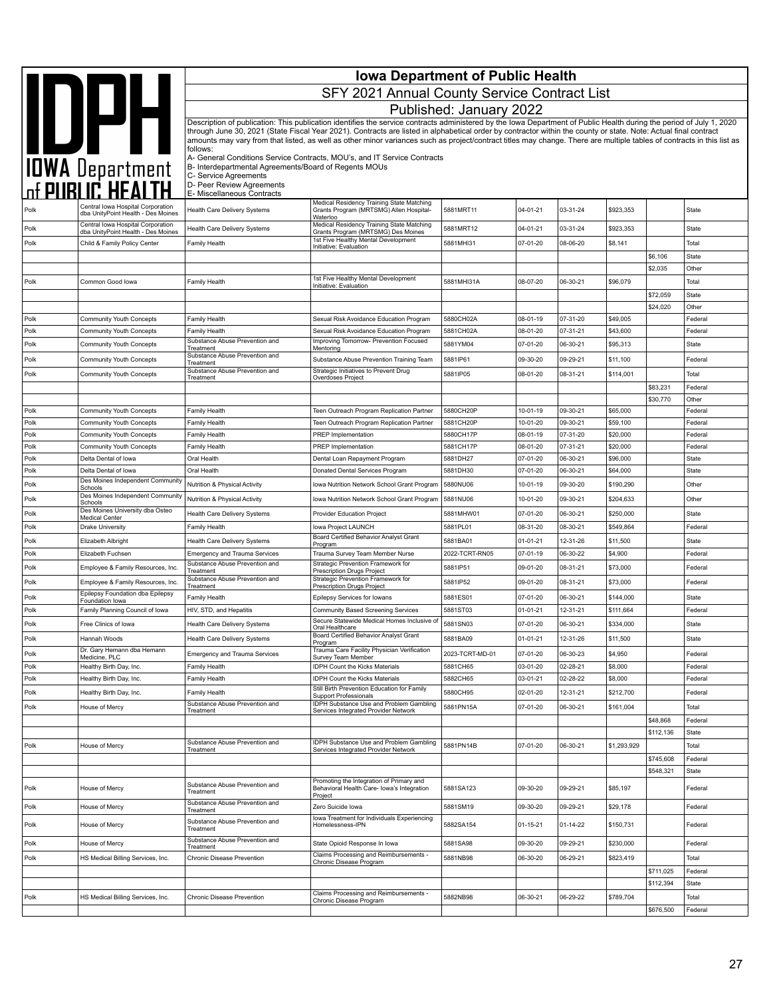|              | <b>Iowa Department of Public Health</b>                                 |                                                                                |                                                                                                                                                                                                                                                                                                                                          |                             |                      |                      |                      |                        |                    |
|--------------|-------------------------------------------------------------------------|--------------------------------------------------------------------------------|------------------------------------------------------------------------------------------------------------------------------------------------------------------------------------------------------------------------------------------------------------------------------------------------------------------------------------------|-----------------------------|----------------------|----------------------|----------------------|------------------------|--------------------|
|              | <b>SAN DEPARTMENT</b>                                                   |                                                                                | SFY 2021 Annual County Service Contract List                                                                                                                                                                                                                                                                                             |                             |                      |                      |                      |                        |                    |
|              |                                                                         |                                                                                |                                                                                                                                                                                                                                                                                                                                          | Published: January 2022     |                      |                      |                      |                        |                    |
|              |                                                                         |                                                                                | Description of publication: This publication identifies the service contracts administered by the Iowa Department of Public Health during the period of July 1, 2020<br>through June 30, 2021 (State Fiscal Year 2021). Contracts are listed in alphabetical order by contractor within the county or state. Note: Actual final contract |                             |                      |                      |                      |                        |                    |
|              |                                                                         |                                                                                | amounts may vary from that listed, as well as other minor variances such as project/contract titles may change. There are multiple tables of contracts in this list as                                                                                                                                                                   |                             |                      |                      |                      |                        |                    |
|              |                                                                         | follows:                                                                       | A- General Conditions Service Contracts, MOU's, and IT Service Contracts                                                                                                                                                                                                                                                                 |                             |                      |                      |                      |                        |                    |
|              |                                                                         | B- Interdepartmental Agreements/Board of Regents MOUs<br>C- Service Agreements |                                                                                                                                                                                                                                                                                                                                          |                             |                      |                      |                      |                        |                    |
|              |                                                                         | D- Peer Review Agreements<br>E- Miscellaneous Contracts                        |                                                                                                                                                                                                                                                                                                                                          |                             |                      |                      |                      |                        |                    |
| Polk         | Central Iowa Hospital Corporation                                       | Health Care Delivery Systems                                                   | Medical Residency Training State Matching<br>Grants Program (MRTSMG) Allen Hospital-                                                                                                                                                                                                                                                     | 5881MRT11                   | 04-01-21             | 03-31-24             | \$923,353            |                        | State              |
|              | dba UnityPoint Health - Des Moines<br>Central Iowa Hospital Corporation |                                                                                | Waterloo<br>Medical Residency Training State Matching                                                                                                                                                                                                                                                                                    |                             |                      |                      |                      |                        |                    |
| Polk<br>Polk | dba UnityPoint Health - Des Moines<br>Child & Family Policy Center      | Health Care Delivery Systems<br>Family Health                                  | Grants Program (MRTSMG) Des Moines<br>1st Five Healthy Mental Development                                                                                                                                                                                                                                                                | 5881MRT12<br>5881MHI31      | 04-01-21<br>07-01-20 | 03-31-24<br>08-06-20 | \$923,353<br>\$8,141 |                        | State<br>Total     |
|              |                                                                         |                                                                                | Initiative: Evaluation                                                                                                                                                                                                                                                                                                                   |                             |                      |                      |                      | \$6,106                | State              |
|              |                                                                         |                                                                                |                                                                                                                                                                                                                                                                                                                                          |                             |                      |                      |                      | \$2,035                | Other              |
| Polk         | Common Good lowa                                                        | Family Health                                                                  | 1st Five Healthy Mental Development<br>Initiative: Evaluation                                                                                                                                                                                                                                                                            | 5881MHI31A                  | 08-07-20             | 06-30-21             | \$96,079             |                        | Total              |
|              |                                                                         |                                                                                |                                                                                                                                                                                                                                                                                                                                          |                             |                      |                      |                      | \$72,059               | State              |
| Polk         | Community Youth Concepts                                                | Family Health                                                                  | Sexual Risk Avoidance Education Program                                                                                                                                                                                                                                                                                                  | 5880CH02A                   | 08-01-19             | 07-31-20             | \$49,005             | \$24,020               | Other<br>Federal   |
| Polk         | Community Youth Concepts                                                | <b>Family Health</b>                                                           | Sexual Risk Avoidance Education Program                                                                                                                                                                                                                                                                                                  | 5881CH02A                   | 08-01-20             | 07-31-21             | \$43,600             |                        | Federal            |
| Polk         | Community Youth Concepts                                                | Substance Abuse Prevention and<br>Treatment                                    | Improving Tomorrow- Prevention Focused<br>Mentoring                                                                                                                                                                                                                                                                                      | 5881YM04                    | 07-01-20             | 06-30-21             | \$95,313             |                        | State              |
| Polk         | Community Youth Concepts                                                | Substance Abuse Prevention and<br>Treatment                                    | Substance Abuse Prevention Training Team                                                                                                                                                                                                                                                                                                 | 5881IP61                    | 09-30-20             | 09-29-21             | \$11,100             |                        | Federal            |
| Polk         | Community Youth Concepts                                                | Substance Abuse Prevention and<br>Treatment                                    | Strategic Initiatives to Prevent Drug<br>Overdoses Project                                                                                                                                                                                                                                                                               | 5881IP05                    | 08-01-20             | 08-31-21             | \$114,001            |                        | Total              |
|              |                                                                         |                                                                                |                                                                                                                                                                                                                                                                                                                                          |                             |                      |                      |                      | \$83,231               | Federal            |
|              |                                                                         |                                                                                |                                                                                                                                                                                                                                                                                                                                          |                             |                      |                      |                      | \$30,770               | Other              |
| Polk<br>Polk | Community Youth Concepts<br>Community Youth Concepts                    | <b>Family Health</b><br>Family Health                                          | Teen Outreach Program Replication Partner<br>Teen Outreach Program Replication Partner                                                                                                                                                                                                                                                   | 5880CH20P<br>5881CH20P      | 10-01-19<br>10-01-20 | 09-30-21<br>09-30-21 | \$65,000<br>\$59,100 |                        | Federal<br>Federal |
| Polk         | Community Youth Concepts                                                | Family Health                                                                  | <b>PREP</b> Implementation                                                                                                                                                                                                                                                                                                               | 5880CH17P                   | 08-01-19             | 07-31-20             | \$20,000             |                        | Federal            |
| Polk         | Community Youth Concepts                                                | Family Health                                                                  | <b>PREP</b> Implementation                                                                                                                                                                                                                                                                                                               | 5881CH17P                   | 08-01-20             | 07-31-21             | \$20,000             |                        | Federal            |
| Polk<br>Polk | Delta Dental of Iowa<br>Delta Dental of Iowa                            | Oral Health<br>Oral Health                                                     | Dental Loan Repayment Program<br>Donated Dental Services Program                                                                                                                                                                                                                                                                         | 5881DH27<br>5881DH30        | 07-01-20<br>07-01-20 | 06-30-21<br>06-30-21 | \$96,000<br>\$64,000 |                        | State<br>State     |
| Polk         | Des Moines Independent Community                                        | Nutrition & Physical Activity                                                  | Iowa Nutrition Network School Grant Program                                                                                                                                                                                                                                                                                              | 5880NU06                    | 10-01-19             | 09-30-20             | \$190,290            |                        | Other              |
| Polk         | Schools<br>Des Moines Independent Community                             | Nutrition & Physical Activity                                                  | Iowa Nutrition Network School Grant Program                                                                                                                                                                                                                                                                                              | 5881NU06                    | 10-01-20             | 09-30-21             | \$204,633            |                        | Other              |
| Polk         | Schools<br>Des Moines University dba Osteo                              | Health Care Delivery Systems                                                   | <b>Provider Education Project</b>                                                                                                                                                                                                                                                                                                        | 5881MHW01                   | 07-01-20             | 06-30-21             | \$250,000            |                        | State              |
| Polk         | <b>Medical Center</b><br>Drake University                               | Family Health                                                                  | Iowa Project LAUNCH                                                                                                                                                                                                                                                                                                                      | 5881PL01                    | 08-31-20             | 08-30-21             | \$549,864            |                        | Federal            |
| Polk         | Elizabeth Albright                                                      | Health Care Delivery Systems                                                   | Board Certified Behavior Analyst Grant<br>Program                                                                                                                                                                                                                                                                                        | 5881BA01                    | $01 - 01 - 21$       | 12-31-26             | \$11,500             |                        | State              |
| Polk         | Elizabeth Fuchsen                                                       | <b>Emergency and Trauma Services</b>                                           | Trauma Survey Team Member Nurse                                                                                                                                                                                                                                                                                                          | 2022-TCRT-RN05              | 07-01-19             | 06-30-22             | \$4,900              |                        | Federal            |
| Polk         | Employee & Family Resources, Inc                                        | Substance Abuse Prevention and<br>Treatment                                    | Strategic Prevention Framework for<br>Prescription Drugs Project                                                                                                                                                                                                                                                                         | 5881IP51                    | 09-01-20             | 08-31-21             | \$73,000             |                        | Federal            |
| Polk         | Employee & Family Resources, Inc.                                       | Substance Abuse Prevention and<br>Treatment                                    | Strategic Prevention Framework for<br>Prescription Drugs Project                                                                                                                                                                                                                                                                         | 5881IP52                    | 09-01-20             | 08-31-21             | \$73,000             |                        | Federal            |
| Polk         | Epilepsy Foundation dba Epilepsy<br>Foundation lowa                     | <b>Family Health</b>                                                           | Epilepsy Services for Iowans                                                                                                                                                                                                                                                                                                             | 5881ES01                    | 07-01-20             | 06-30-21             | \$144,000            |                        | State              |
| Polk         | Family Planning Council of Iowa                                         | HIV, STD, and Hepatitis                                                        | Community Based Screening Services<br>Secure Statewide Medical Homes Inclusive of                                                                                                                                                                                                                                                        | 5881ST03                    | $01 - 01 - 21$       | 12-31-21             | \$111,664            |                        | Federal            |
| Polk         | Free Clinics of Iowa                                                    | Health Care Delivery Systems                                                   | Oral Healthcare<br>Board Certified Behavior Analyst Grant                                                                                                                                                                                                                                                                                | 5881SN03                    | 07-01-20             | 06-30-21             | \$334,000            |                        | State              |
| Polk         | Hannah Woods<br>Dr. Gary Hemann dba Hemann                              | <b>Health Care Delivery Systems</b>                                            | Program<br>Trauma Care Facility Physician Verification                                                                                                                                                                                                                                                                                   | 5881BA09                    | $01 - 01 - 21$       | 12-31-26             | \$11,500             |                        | State              |
| Polk<br>Polk | Medicine, PLC<br>Healthy Birth Day, Inc.                                | <b>Emergency and Trauma Services</b><br>Family Health                          | Survey Team Member<br><b>IDPH Count the Kicks Materials</b>                                                                                                                                                                                                                                                                              | 2023-TCRT-MD-01<br>5881CH65 | 07-01-20<br>03-01-20 | 06-30-23<br>02-28-21 | \$4,950<br>\$8,000   |                        | Federal<br>Federal |
| Polk         | Healthy Birth Day, Inc.                                                 | Family Health                                                                  | <b>IDPH Count the Kicks Materials</b>                                                                                                                                                                                                                                                                                                    | 5882CH65                    | 03-01-21             | 02-28-22             | \$8,000              |                        | Federal            |
| Polk         | Healthy Birth Day, Inc.                                                 | Family Health                                                                  | Still Birth Prevention Education for Family<br>Support Professionals                                                                                                                                                                                                                                                                     | 5880CH95                    | 02-01-20             | 12-31-21             | \$212,700            |                        | Federal            |
| Polk         | House of Mercy                                                          | Substance Abuse Prevention and<br>Treatment                                    | IDPH Substance Use and Problem Gambling<br>Services Integrated Provider Network                                                                                                                                                                                                                                                          | 5881PN15A                   | 07-01-20             | 06-30-21             | \$161,004            |                        | Total              |
|              |                                                                         |                                                                                |                                                                                                                                                                                                                                                                                                                                          |                             |                      |                      |                      | \$48,868               | Federal            |
|              |                                                                         | Substance Abuse Prevention and                                                 | IDPH Substance Use and Problem Gambling                                                                                                                                                                                                                                                                                                  |                             |                      |                      |                      | \$112,136              | State              |
| Polk         | House of Mercy                                                          | Treatment                                                                      | Services Integrated Provider Network                                                                                                                                                                                                                                                                                                     | 5881PN14B                   | 07-01-20             | 06-30-21             | \$1,293,929          |                        | Total              |
|              |                                                                         |                                                                                |                                                                                                                                                                                                                                                                                                                                          |                             |                      |                      |                      | \$745,608<br>\$548,321 | Federal<br>State   |
| Polk         | House of Mercy                                                          | Substance Abuse Prevention and<br>Treatment                                    | Promoting the Integration of Primary and<br>Behavioral Health Care- Iowa's Integration                                                                                                                                                                                                                                                   | 5881SA123                   | 09-30-20             | 09-29-21             | \$85,197             |                        | Federal            |
| Polk         | House of Mercy                                                          | Substance Abuse Prevention and                                                 | Project<br>Zero Suicide Iowa                                                                                                                                                                                                                                                                                                             | 5881SM19                    | 09-30-20             | 09-29-21             | \$29,178             |                        | Federal            |
| Polk         | House of Mercy                                                          | Treatment<br>Substance Abuse Prevention and<br>Treatment                       | lowa Treatment for Individuals Experiencing<br>Homelessness-IPN                                                                                                                                                                                                                                                                          | 5882SA154                   | 01-15-21             | 01-14-22             | \$150,731            |                        | Federal            |
| Polk         | House of Mercy                                                          | Substance Abuse Prevention and                                                 | State Opioid Response In Iowa                                                                                                                                                                                                                                                                                                            | 5881SA98                    | 09-30-20             | 09-29-21             | \$230,000            |                        | Federal            |
| Polk         | HS Medical Billing Services, Inc.                                       | Treatment<br>Chronic Disease Prevention                                        | Claims Processing and Reimbursements -                                                                                                                                                                                                                                                                                                   | 5881NB98                    | 06-30-20             | 06-29-21             | \$823,419            |                        | Total              |
|              |                                                                         |                                                                                | Chronic Disease Program                                                                                                                                                                                                                                                                                                                  |                             |                      |                      |                      | \$711,025              | Federal            |
|              |                                                                         |                                                                                |                                                                                                                                                                                                                                                                                                                                          |                             |                      |                      |                      | \$112,394              | State              |
| Polk         | HS Medical Billing Services, Inc.                                       | Chronic Disease Prevention                                                     | Claims Processing and Reimbursements -<br>Chronic Disease Program                                                                                                                                                                                                                                                                        | 5882NB98                    | 06-30-21             | 06-29-22             | \$789,704            |                        | Total              |
|              |                                                                         |                                                                                |                                                                                                                                                                                                                                                                                                                                          |                             |                      |                      |                      | \$676,500              | Federal            |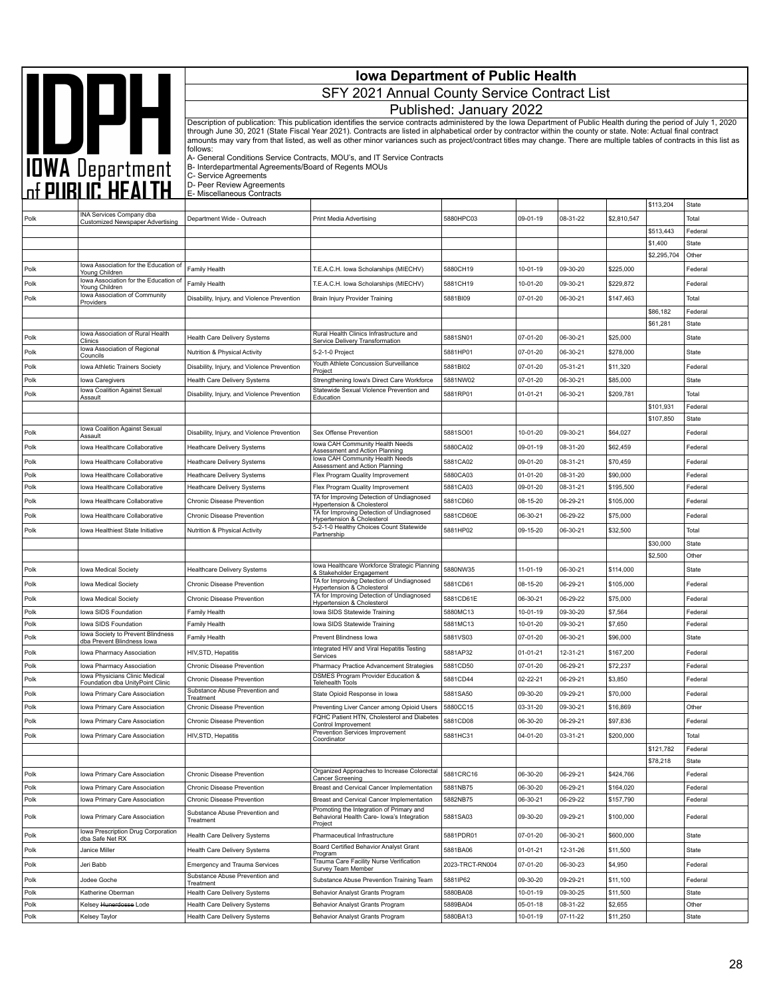|              | <b>Iowa Department of Public Health</b><br><b>AND DATE</b><br>TOWA Department<br>The PUBLIC HEALTH<br>SFY 2021 Annual County Service Contract List |                                                                 |                                                                                                                                                                                                                                                                                                                                            |                         |                      |                      |                        |                      |                    |
|--------------|----------------------------------------------------------------------------------------------------------------------------------------------------|-----------------------------------------------------------------|--------------------------------------------------------------------------------------------------------------------------------------------------------------------------------------------------------------------------------------------------------------------------------------------------------------------------------------------|-------------------------|----------------------|----------------------|------------------------|----------------------|--------------------|
|              |                                                                                                                                                    |                                                                 |                                                                                                                                                                                                                                                                                                                                            | Published: January 2022 |                      |                      |                        |                      |                    |
|              |                                                                                                                                                    |                                                                 | Description of publication: This publication identifies the service contracts administered by the Iowa Department of Public Health during the period of July 1, 2020                                                                                                                                                                       |                         |                      |                      |                        |                      |                    |
|              |                                                                                                                                                    | follows:                                                        | through June 30, 2021 (State Fiscal Year 2021). Contracts are listed in alphabetical order by contractor within the county or state. Note: Actual final contract<br>amounts may vary from that listed, as well as other minor variances such as project/contract titles may change. There are multiple tables of contracts in this list as |                         |                      |                      |                        |                      |                    |
|              |                                                                                                                                                    | B- Interdepartmental Agreements/Board of Regents MOUs           | A- General Conditions Service Contracts, MOU's, and IT Service Contracts                                                                                                                                                                                                                                                                   |                         |                      |                      |                        |                      |                    |
|              |                                                                                                                                                    | C- Service Agreements<br>D- Peer Review Agreements              |                                                                                                                                                                                                                                                                                                                                            |                         |                      |                      |                        |                      |                    |
|              |                                                                                                                                                    | E- Miscellaneous Contracts                                      |                                                                                                                                                                                                                                                                                                                                            |                         |                      |                      |                        | \$113,204            | State              |
| Polk         | INA Services Company dba<br><b>Customized Newspaper Advertising</b>                                                                                | Department Wide - Outreach                                      | Print Media Advertising                                                                                                                                                                                                                                                                                                                    | 5880HPC03               | 09-01-19             | 08-31-22             | \$2,810,547            |                      | Total              |
|              |                                                                                                                                                    |                                                                 |                                                                                                                                                                                                                                                                                                                                            |                         |                      |                      |                        | \$513,443            | Federal            |
|              |                                                                                                                                                    |                                                                 |                                                                                                                                                                                                                                                                                                                                            |                         |                      |                      |                        | \$1,400              | <b>State</b>       |
|              | Iowa Association for the Education of                                                                                                              |                                                                 |                                                                                                                                                                                                                                                                                                                                            |                         |                      |                      |                        | \$2,295,704          | Other              |
| Polk         | Young Children<br>lowa Association for the Education of                                                                                            | Family Health                                                   | T.E.A.C.H. Iowa Scholarships (MIECHV)                                                                                                                                                                                                                                                                                                      | 5880CH19                | 10-01-19             | 09-30-20             | \$225,000              |                      | Federal            |
| Polk         | Young Children<br>Iowa Association of Community                                                                                                    | Family Health                                                   | T.E.A.C.H. Iowa Scholarships (MIECHV)                                                                                                                                                                                                                                                                                                      | 5881CH19                | 10-01-20             | 09-30-21             | \$229,872              |                      | Federal            |
| Polk         | Providers                                                                                                                                          | Disability, Injury, and Violence Prevention                     | Brain Injury Provider Training                                                                                                                                                                                                                                                                                                             | 5881BI09                | 07-01-20             | 06-30-21             | \$147,463              |                      | Total              |
|              |                                                                                                                                                    |                                                                 |                                                                                                                                                                                                                                                                                                                                            |                         |                      |                      |                        | \$86,182<br>\$61,281 | Federal<br>State   |
| Polk         | Iowa Association of Rural Health                                                                                                                   | Health Care Delivery Systems                                    | Rural Health Clinics Infrastructure and                                                                                                                                                                                                                                                                                                    | 5881SN01                | 07-01-20             | 06-30-21             | \$25,000               |                      | State              |
| Polk         | Clinics<br>Iowa Association of Regional                                                                                                            | Nutrition & Physical Activity                                   | Service Delivery Transformation<br>5-2-1-0 Project                                                                                                                                                                                                                                                                                         | 5881HP01                | 07-01-20             | 06-30-21             | \$278,000              |                      | State              |
| Polk         | Councils<br>Iowa Athletic Trainers Society                                                                                                         | Disability, Injury, and Violence Prevention                     | Youth Athlete Concussion Surveillance                                                                                                                                                                                                                                                                                                      | 5881BI02                | 07-01-20             | 05-31-21             | \$11,320               |                      | Federal            |
| Polk         | Iowa Caregivers                                                                                                                                    | Health Care Delivery Systems                                    | Project<br>Strengthening Iowa's Direct Care Workforce                                                                                                                                                                                                                                                                                      | 5881NW02                | 07-01-20             | 06-30-21             | \$85,000               |                      | State              |
| Polk         | Iowa Coalition Against Sexual                                                                                                                      | Disability, Injury, and Violence Prevention                     | Statewide Sexual Violence Prevention and                                                                                                                                                                                                                                                                                                   | 5881RP01                | 01-01-21             | 06-30-21             | \$209,781              |                      | Total              |
|              | Assault                                                                                                                                            |                                                                 | Education                                                                                                                                                                                                                                                                                                                                  |                         |                      |                      |                        | \$101,931            | Federal            |
|              |                                                                                                                                                    |                                                                 |                                                                                                                                                                                                                                                                                                                                            |                         |                      |                      |                        | \$107,850            | State              |
| Polk         | Iowa Coalition Against Sexual<br>Assault                                                                                                           | Disability, Injury, and Violence Prevention                     | Sex Offense Prevention                                                                                                                                                                                                                                                                                                                     | 5881SO01                | 10-01-20             | 09-30-21             | \$64,027               |                      | Federal            |
| Polk         | Iowa Healthcare Collaborative                                                                                                                      | Heathcare Delivery Systems                                      | Iowa CAH Community Health Needs<br>Assessment and Action Planning                                                                                                                                                                                                                                                                          | 5880CA02                | 09-01-19             | 08-31-20             | \$62,459               |                      | Federal            |
| Polk         | Iowa Healthcare Collaborative                                                                                                                      | <b>Heathcare Delivery Systems</b>                               | Iowa CAH Community Health Needs<br>Assessment and Action Planning                                                                                                                                                                                                                                                                          | 5881CA02                | 09-01-20             | 08-31-21             | \$70,459               |                      | Federal            |
| Polk         | Iowa Healthcare Collaborative                                                                                                                      | Heathcare Delivery Systems                                      | Flex Program Quality Improvement                                                                                                                                                                                                                                                                                                           | 5880CA03                | 01-01-20             | 08-31-20             | \$90,000               |                      | Federal            |
| Polk         | Iowa Healthcare Collaborative                                                                                                                      | <b>Heathcare Delivery Systems</b>                               | Flex Program Quality Improvement<br>TA for Improving Detection of Undiagnosed                                                                                                                                                                                                                                                              | 5881CA03                | 09-01-20             | 08-31-21             | \$195,500              |                      | Federal            |
| Polk         | Iowa Healthcare Collaborative                                                                                                                      | Chronic Disease Prevention                                      | Hypertension & Cholesterol                                                                                                                                                                                                                                                                                                                 | 5881CD60                | 08-15-20             | 06-29-21             | \$105,000              |                      | Federal            |
| Polk         | Iowa Healthcare Collaborative                                                                                                                      | Chronic Disease Prevention                                      | TA for Improving Detection of Undiagnosed<br>Hypertension & Cholesterol                                                                                                                                                                                                                                                                    | 5881CD60E               | 06-30-21             | 06-29-22             | \$75,000               |                      | Federal            |
| Polk         | Iowa Healthiest State Initiative                                                                                                                   | Nutrition & Physical Activity                                   | 5-2-1-0 Healthy Choices Count Statewide<br>Partnership                                                                                                                                                                                                                                                                                     | 5881HP02                | 09-15-20             | 06-30-21             | \$32,500               |                      | Total              |
|              |                                                                                                                                                    |                                                                 |                                                                                                                                                                                                                                                                                                                                            |                         |                      |                      |                        | \$30,000<br>\$2,500  | State<br>Other     |
| Polk         | Iowa Medical Society                                                                                                                               | <b>Healthcare Delivery Systems</b>                              | Iowa Healthcare Workforce Strategic Planning                                                                                                                                                                                                                                                                                               | 5880NW35                | 11-01-19             | 06-30-21             | \$114,000              |                      | State              |
| Polk         | <b>Iowa Medical Society</b>                                                                                                                        | Chronic Disease Prevention                                      | & Stakeholder Engagement<br>TA for Improving Detection of Undiagnosed                                                                                                                                                                                                                                                                      | 5881CD61                | 08-15-20             | 06-29-21             | \$105,000              |                      | Federal            |
|              |                                                                                                                                                    |                                                                 | Hypertension & Cholesterol<br>TA for Improving Detection of Undiagnosed                                                                                                                                                                                                                                                                    | 5881CD61E               |                      | 06-29-22             |                        |                      | Federal            |
| Polk<br>Polk | Iowa Medical Society<br>Iowa SIDS Foundation                                                                                                       | Chronic Disease Prevention<br><b>Family Health</b>              | <b>Hypertension &amp; Cholesterol</b><br>Iowa SIDS Statewide Training                                                                                                                                                                                                                                                                      | 5880MC13                | 06-30-21<br>10-01-19 | 09-30-20             | \$75,000<br>\$7,564    |                      | Federal            |
| Polk         | Iowa SIDS Foundation                                                                                                                               | Family Health                                                   | Iowa SIDS Statewide Training                                                                                                                                                                                                                                                                                                               | 5881MC13                | 10-01-20             | 09-30-21             | \$7,650                |                      | Federal            |
| Polk         | lowa Society to Prevent Blindness<br>dba Prevent Blindness lowa                                                                                    | Family Health                                                   | Prevent Blindness lowa                                                                                                                                                                                                                                                                                                                     | 5881VS03                | 07-01-20             | 06-30-21             | \$96,000               |                      | State              |
| Polk         | Iowa Pharmacy Association                                                                                                                          | HIV, STD, Hepatitis                                             | Integrated HIV and Viral Hepatitis Testing<br>Services                                                                                                                                                                                                                                                                                     | 5881AP32                | 01-01-21             | 12-31-21             | \$167,200              |                      | Federal            |
| Polk         | Iowa Pharmacy Association                                                                                                                          | Chronic Disease Prevention                                      | Pharmacy Practice Advancement Strategies                                                                                                                                                                                                                                                                                                   | 5881CD50                | 07-01-20             | 06-29-21             | \$72,237               |                      | Federal            |
| Polk         | Iowa Physicians Clinic Medical<br>Foundation dba UnityPoint Clinic                                                                                 | Chronic Disease Prevention                                      | <b>DSMES Program Provider Education &amp;</b><br>Telehealth Tools                                                                                                                                                                                                                                                                          | 5881CD44                | 02-22-21             | 06-29-21             | \$3,850                |                      | Federal            |
| Polk         | Iowa Primary Care Association                                                                                                                      | Substance Abuse Prevention and<br>Treatment                     | State Opioid Response in Iowa                                                                                                                                                                                                                                                                                                              | 5881SA50                | 09-30-20             | 09-29-21             | \$70,000               |                      | Federal            |
| Polk         | Iowa Primary Care Association                                                                                                                      | Chronic Disease Prevention                                      | Preventing Liver Cancer among Opioid Users                                                                                                                                                                                                                                                                                                 | 5880CC15                | 03-31-20             | 09-30-21             | \$16,869               |                      | Other              |
| Polk         | Iowa Primary Care Association                                                                                                                      | Chronic Disease Prevention                                      | FQHC Patient HTN, Cholesterol and Diabetes<br>Control Improvement                                                                                                                                                                                                                                                                          | 5881CD08                | 06-30-20             | 06-29-21             | \$97,836               |                      | Federal            |
| Polk         | Iowa Primary Care Association                                                                                                                      | HIV,STD, Hepatitis                                              | Prevention Services Improvement<br>Coordinator                                                                                                                                                                                                                                                                                             | 5881HC31                | 04-01-20             | 03-31-21             | \$200,000              |                      | Total              |
|              |                                                                                                                                                    |                                                                 |                                                                                                                                                                                                                                                                                                                                            |                         |                      |                      |                        | \$121,782            | Federal            |
|              |                                                                                                                                                    |                                                                 |                                                                                                                                                                                                                                                                                                                                            |                         |                      |                      |                        | \$78,218             | State              |
| Polk         | Iowa Primary Care Association                                                                                                                      | Chronic Disease Prevention                                      | Organized Approaches to Increase Colorectal<br>Cancer Screening                                                                                                                                                                                                                                                                            | 5881CRC16               | 06-30-20             | 06-29-21             | \$424,766              |                      | Federal            |
| Polk<br>Polk | Iowa Primary Care Association<br>Iowa Primary Care Association                                                                                     | Chronic Disease Prevention<br>Chronic Disease Prevention        | Breast and Cervical Cancer Implementation<br>Breast and Cervical Cancer Implementation                                                                                                                                                                                                                                                     | 5881NB75<br>5882NB75    | 06-30-20<br>06-30-21 | 06-29-21<br>06-29-22 | \$164,020<br>\$157,790 |                      | Federal<br>Federal |
| Polk         | Iowa Primary Care Association                                                                                                                      | Substance Abuse Prevention and<br>Treatment                     | Promoting the Integration of Primary and<br>Behavioral Health Care- Iowa's Integration                                                                                                                                                                                                                                                     | 5881SA03                | 09-30-20             | 09-29-21             | \$100,000              |                      | Federal            |
| Polk         | Iowa Prescription Drug Corporation                                                                                                                 | Health Care Delivery Systems                                    | Project<br>Pharmaceutical Infrastructure                                                                                                                                                                                                                                                                                                   | 5881PDR01               | 07-01-20             | 06-30-21             | \$600,000              |                      | State              |
| Polk         | dba Safe Net RX<br>Janice Miller                                                                                                                   | Health Care Delivery Systems                                    | Board Certified Behavior Analyst Grant                                                                                                                                                                                                                                                                                                     | 5881BA06                | $01 - 01 - 21$       | 12-31-26             | \$11,500               |                      | State              |
|              | Jeri Babb                                                                                                                                          |                                                                 | Program<br>Trauma Care Facility Nurse Verification                                                                                                                                                                                                                                                                                         | 2023-TRCT-RN004         | 07-01-20             | 06-30-23             | \$4,950                |                      | Federal            |
| Polk         |                                                                                                                                                    | Emergency and Trauma Services<br>Substance Abuse Prevention and | Survey Team Member                                                                                                                                                                                                                                                                                                                         |                         |                      |                      |                        |                      |                    |
| Polk<br>Polk | Jodee Goche<br>Katherine Oberman                                                                                                                   | Treatment<br>Health Care Delivery Systems                       | Substance Abuse Prevention Training Team<br>Behavior Analyst Grants Program                                                                                                                                                                                                                                                                | 5881IP62<br>5880BA08    | 09-30-20<br>10-01-19 | 09-29-21<br>09-30-25 | \$11,100<br>\$11,500   |                      | Federal<br>State   |
| Polk         | Kelsey <del>Hunerdosse</del> Lode                                                                                                                  | Health Care Delivery Systems                                    | Behavior Analyst Grants Program                                                                                                                                                                                                                                                                                                            | 5889BA04                | 05-01-18             | 08-31-22             | \$2,655                |                      | Other              |
| Polk         | Kelsey Taylor                                                                                                                                      | Health Care Delivery Systems                                    | Behavior Analyst Grants Program                                                                                                                                                                                                                                                                                                            | 5880BA13                | 10-01-19             | 07-11-22             | \$11,250               |                      | State              |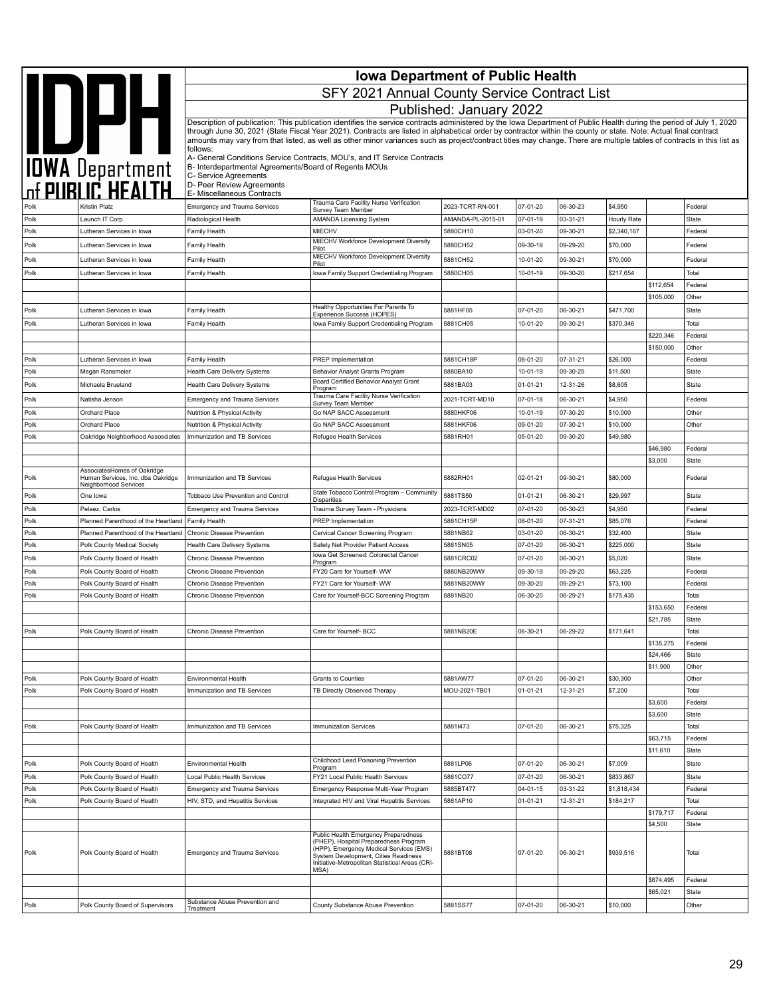|              |                                                            | <b>Iowa Department of Public Health</b>                                          |                                                                                                                                                                                                                                                                                                                                                                                                                                                                                                                    |                             |                      |                      |                      |                       |                    |  |  |
|--------------|------------------------------------------------------------|----------------------------------------------------------------------------------|--------------------------------------------------------------------------------------------------------------------------------------------------------------------------------------------------------------------------------------------------------------------------------------------------------------------------------------------------------------------------------------------------------------------------------------------------------------------------------------------------------------------|-----------------------------|----------------------|----------------------|----------------------|-----------------------|--------------------|--|--|
|              |                                                            |                                                                                  | SFY 2021 Annual County Service Contract List                                                                                                                                                                                                                                                                                                                                                                                                                                                                       |                             |                      |                      |                      |                       |                    |  |  |
|              |                                                            |                                                                                  |                                                                                                                                                                                                                                                                                                                                                                                                                                                                                                                    | Published: January 2022     |                      |                      |                      |                       |                    |  |  |
|              | <b>AND DEPARTMENT</b>                                      |                                                                                  | Description of publication: This publication identifies the service contracts administered by the Iowa Department of Public Health during the period of July 1, 2020<br>through June 30, 2021 (State Fiscal Year 2021). Contracts are listed in alphabetical order by contractor within the county or state. Note: Actual final contract<br>amounts may vary from that listed, as well as other minor variances such as project/contract titles may change. There are multiple tables of contracts in this list as |                             |                      |                      |                      |                       |                    |  |  |
|              |                                                            | follows:<br>B- Interdepartmental Agreements/Board of Regents MOUs                | A- General Conditions Service Contracts, MOU's, and IT Service Contracts                                                                                                                                                                                                                                                                                                                                                                                                                                           |                             |                      |                      |                      |                       |                    |  |  |
|              |                                                            | C- Service Agreements<br>D- Peer Review Agreements<br>E- Miscellaneous Contracts |                                                                                                                                                                                                                                                                                                                                                                                                                                                                                                                    |                             |                      |                      |                      |                       |                    |  |  |
|              | Kristin Platz                                              | <b>Emergency and Trauma Services</b>                                             | Trauma Care Facility Nurse Verification<br>Survey Team Member                                                                                                                                                                                                                                                                                                                                                                                                                                                      | 2023-TCRT-RN-001            | 07-01-20             | 06-30-23             | \$4,950              |                       | Federal            |  |  |
| Polk         | Launch IT Corp                                             | Radiological Health                                                              | <b>AMANDA Licensing System</b>                                                                                                                                                                                                                                                                                                                                                                                                                                                                                     | AMANDA-PL-2015-01           | 07-01-19             | 03-31-21             | Hourly Rate          |                       | State              |  |  |
| Polk         | Lutheran Services in Iowa                                  | Family Health                                                                    | MIECHV                                                                                                                                                                                                                                                                                                                                                                                                                                                                                                             | 5880CH10                    | 03-01-20             | 09-30-21             | \$2,340,167          |                       | Federal            |  |  |
| Polk         | Lutheran Services in Iowa                                  | Family Health                                                                    | MIECHV Workforce Development Diversity<br>Pilot                                                                                                                                                                                                                                                                                                                                                                                                                                                                    | 5880CH52                    | 09-30-19             | 09-29-20             | \$70,000             |                       | Federal            |  |  |
| Polk         | Lutheran Services in Iowa                                  | Family Health                                                                    | MIECHV Workforce Development Diversity<br>Pilot                                                                                                                                                                                                                                                                                                                                                                                                                                                                    | 5881CH52                    | 10-01-20             | 09-30-21             | \$70,000             |                       | Federal            |  |  |
| Polk         | Lutheran Services in Iowa                                  | Family Health                                                                    | Iowa Family Support Credentialing Program                                                                                                                                                                                                                                                                                                                                                                                                                                                                          | 5880CH05                    | 10-01-19             | 09-30-20             | \$217,654            | \$112,654             | Total<br>Federal   |  |  |
|              |                                                            |                                                                                  |                                                                                                                                                                                                                                                                                                                                                                                                                                                                                                                    |                             |                      |                      |                      | \$105,000             | Other              |  |  |
| Polk         | Lutheran Services in Iowa                                  | Family Health                                                                    | Healthy Opportunities For Parents To<br>Experience Success (HOPES)                                                                                                                                                                                                                                                                                                                                                                                                                                                 | 5881HF05                    | 07-01-20             | 06-30-21             | \$471,700            |                       | <b>State</b>       |  |  |
| Polk         | Lutheran Services in Iowa                                  | Family Health                                                                    | Iowa Family Support Credentialing Program                                                                                                                                                                                                                                                                                                                                                                                                                                                                          | 5881CH05                    | 10-01-20             | 09-30-21             | \$370,346            |                       | Total              |  |  |
|              |                                                            |                                                                                  |                                                                                                                                                                                                                                                                                                                                                                                                                                                                                                                    |                             |                      |                      |                      | \$220,346             | Federal            |  |  |
|              |                                                            |                                                                                  |                                                                                                                                                                                                                                                                                                                                                                                                                                                                                                                    |                             |                      |                      |                      | \$150,000             | Other              |  |  |
| Polk<br>Polk | Lutheran Services in Iowa<br>Megan Ransmeier               | <b>Family Health</b><br><b>Health Care Delivery Systems</b>                      | PREP Implementation<br>Behavior Analyst Grants Program                                                                                                                                                                                                                                                                                                                                                                                                                                                             | 5881CH18P<br>5880BA10       | 08-01-20<br>10-01-19 | 07-31-21<br>09-30-25 | \$26,000<br>\$11,500 |                       | Federal<br>State   |  |  |
| Polk         | Michaela Brueland                                          | Health Care Delivery Systems                                                     | Board Certified Behavior Analyst Grant                                                                                                                                                                                                                                                                                                                                                                                                                                                                             | 5881BA03                    | 01-01-21             | 12-31-26             | \$8,605              |                       | State              |  |  |
| Polk         | Natisha Jenson                                             | <b>Emergency and Trauma Services</b>                                             | Program<br>Trauma Care Facility Nurse Verification                                                                                                                                                                                                                                                                                                                                                                                                                                                                 | 2021-TCRT-MD10              | 07-01-18             | 06-30-21             | \$4,950              |                       | Federal            |  |  |
| Polk         | Orchard Place                                              | Nutrition & Physical Activity                                                    | Survey Team Member<br>Go NAP SACC Assessment                                                                                                                                                                                                                                                                                                                                                                                                                                                                       | 5880HKF06                   | 10-01-19             | 07-30-20             | \$10,000             |                       | Other              |  |  |
| Polk         | Orchard Place                                              | Nutrition & Physical Activity                                                    | Go NAP SACC Assessment                                                                                                                                                                                                                                                                                                                                                                                                                                                                                             | 5881HKF06                   | 09-01-20             | 07-30-21             | \$10,000             |                       | Other              |  |  |
| Polk         | Oakridge Neighborhood Assosciates                          | Immunization and TB Services                                                     | Refugee Health Services                                                                                                                                                                                                                                                                                                                                                                                                                                                                                            | 5881RH01                    | 05-01-20             | 09-30-20             | \$49,980             |                       |                    |  |  |
|              |                                                            |                                                                                  |                                                                                                                                                                                                                                                                                                                                                                                                                                                                                                                    |                             |                      |                      |                      | \$46,980              | Federal            |  |  |
|              | AssociatesHomes of Oakridge                                |                                                                                  |                                                                                                                                                                                                                                                                                                                                                                                                                                                                                                                    |                             |                      |                      |                      | \$3,000               | State              |  |  |
| Polk         | Human Services, Inc. dba Oakridge<br>Neighborhood Services | Immunization and TB Services                                                     | Refugee Health Services                                                                                                                                                                                                                                                                                                                                                                                                                                                                                            | 5882RH01                    | 02-01-21             | 09-30-21             | \$80,000             |                       | Federal            |  |  |
| Polk         | One lowa                                                   | Tobbaco Use Prevention and Control                                               | State Tobacco Control Program - Community<br><b>Disparities</b>                                                                                                                                                                                                                                                                                                                                                                                                                                                    | 5881TS50                    | $01 - 01 - 21$       | 06-30-21             | \$29,997             |                       | State              |  |  |
| Polk<br>Polk | Pelaez, Carlos<br>Planned Parenthood of the Heartland      | <b>Emergency and Trauma Services</b><br>Family Health                            | Trauma Survey Team - Physicians<br>PREP Implementation                                                                                                                                                                                                                                                                                                                                                                                                                                                             | 2023-TCRT-MD02<br>5881CH15P | 07-01-20<br>08-01-20 | 06-30-23<br>07-31-21 | \$4,950<br>\$85,076  |                       | Federal<br>Federal |  |  |
| Polk         | Planned Parenthood of the Heartland                        | Chronic Disease Prevention                                                       | Cervical Cancer Screening Program                                                                                                                                                                                                                                                                                                                                                                                                                                                                                  | 5881NB62                    | 03-01-20             | 06-30-21             | \$32,400             |                       | State              |  |  |
| Polk         | Polk County Medical Society                                | Health Care Delivery Systems                                                     | Safety Net Provider Patient Access                                                                                                                                                                                                                                                                                                                                                                                                                                                                                 | 5881SN05                    | 07-01-20             | 06-30-21             | \$225,000            |                       | State              |  |  |
| Polk         | Polk County Board of Health                                | Chronic Disease Prevention                                                       | Iowa Get Screened: Colorectal Cancer<br>Program                                                                                                                                                                                                                                                                                                                                                                                                                                                                    | 5881CRC02                   | 07-01-20             | 06-30-21             | \$5,020              |                       | State              |  |  |
| Polk         | Polk County Board of Health                                | Chronic Disease Prevention                                                       | FY20 Care for Yourself- WW                                                                                                                                                                                                                                                                                                                                                                                                                                                                                         | 5880NB20WW                  | 09-30-19             | 09-29-20             | \$63,225             |                       | Federal            |  |  |
| Polk         | Polk County Board of Health                                | Chronic Disease Prevention                                                       | FY21 Care for Yourself- WW                                                                                                                                                                                                                                                                                                                                                                                                                                                                                         | 5881NB20WW                  | 09-30-20             | 09-29-21             | \$73,100             |                       | Federal            |  |  |
| Polk         | Polk County Board of Health                                | Chronic Disease Prevention                                                       | Care for Yourself-BCC Screening Program                                                                                                                                                                                                                                                                                                                                                                                                                                                                            | 5881NB20                    | 06-30-20             | 06-29-21             | \$175,435            |                       | Total<br>Federal   |  |  |
|              |                                                            |                                                                                  |                                                                                                                                                                                                                                                                                                                                                                                                                                                                                                                    |                             |                      |                      |                      | \$153,650<br>\$21,785 | State              |  |  |
| Polk         | Polk County Board of Health                                | Chronic Disease Prevention                                                       | Care for Yourself- BCC                                                                                                                                                                                                                                                                                                                                                                                                                                                                                             | 5881NB20E                   | 06-30-21             | 06-29-22             | \$171,641            |                       | Total              |  |  |
|              |                                                            |                                                                                  |                                                                                                                                                                                                                                                                                                                                                                                                                                                                                                                    |                             |                      |                      |                      | \$135,275             | Federal            |  |  |
|              |                                                            |                                                                                  |                                                                                                                                                                                                                                                                                                                                                                                                                                                                                                                    |                             |                      |                      |                      | \$24,466              | <b>State</b>       |  |  |
| Polk         | Polk County Board of Health                                | Environmental Health                                                             | Grants to Counties                                                                                                                                                                                                                                                                                                                                                                                                                                                                                                 | 5881AW77                    | 07-01-20             | 06-30-21             | \$30,300             | \$11,900              | Other<br>Other     |  |  |
| Polk         | Polk County Board of Health                                | Immunization and TB Services                                                     | TB Directly Observed Therapy                                                                                                                                                                                                                                                                                                                                                                                                                                                                                       | MOU-2021-TB01               | $01 - 01 - 21$       | 12-31-21             | \$7,200              |                       | Total              |  |  |
|              |                                                            |                                                                                  |                                                                                                                                                                                                                                                                                                                                                                                                                                                                                                                    |                             |                      |                      |                      | \$3,600               | Federal            |  |  |
|              |                                                            |                                                                                  |                                                                                                                                                                                                                                                                                                                                                                                                                                                                                                                    |                             |                      |                      |                      | \$3,600               | State              |  |  |
| Polk         | Polk County Board of Health                                | Immunization and TB Services                                                     | <b>Immunization Services</b>                                                                                                                                                                                                                                                                                                                                                                                                                                                                                       | 58811473                    | 07-01-20             | 06-30-21             | \$75,325             |                       | Total              |  |  |
|              |                                                            |                                                                                  |                                                                                                                                                                                                                                                                                                                                                                                                                                                                                                                    |                             |                      |                      |                      | \$63,715<br>\$11,610  | Federal<br>State   |  |  |
| Polk         | Polk County Board of Health                                | Environmental Health                                                             | Childhood Lead Poisoning Prevention                                                                                                                                                                                                                                                                                                                                                                                                                                                                                | 5881LP06                    | 07-01-20             | 06-30-21             | \$7,009              |                       | State              |  |  |
| Polk         | Polk County Board of Health                                | Local Public Health Services                                                     | Program<br>FY21 Local Public Health Services                                                                                                                                                                                                                                                                                                                                                                                                                                                                       | 5881CO77                    | 07-01-20             | 06-30-21             | \$833,867            |                       | State              |  |  |
| Polk         | Polk County Board of Health                                | <b>Emergency and Trauma Services</b>                                             | Emergency Response Multi-Year Program                                                                                                                                                                                                                                                                                                                                                                                                                                                                              | 5885BT477                   | 04-01-15             | 03-31-22             | \$1,818,434          |                       | Federal            |  |  |
| Polk         | Polk County Board of Health                                | HIV, STD, and Hepatitis Services                                                 | Integrated HIV and Viral Hepatitis Services                                                                                                                                                                                                                                                                                                                                                                                                                                                                        | 5881AP10                    | 01-01-21             | 12-31-21             | \$184,217            |                       | Total              |  |  |
|              |                                                            |                                                                                  |                                                                                                                                                                                                                                                                                                                                                                                                                                                                                                                    |                             |                      |                      |                      | \$179,717             | Federal            |  |  |
|              |                                                            |                                                                                  | Public Health Emergency Preparedness                                                                                                                                                                                                                                                                                                                                                                                                                                                                               |                             |                      |                      |                      | \$4,500               | <b>State</b>       |  |  |
| Polk         | Polk County Board of Health                                | Emergency and Trauma Services                                                    | (PHEP), Hospital Preparedness Program<br>(HPP), Emergency Medical Services (EMS)<br>System Development, Cities Readiness<br>Initiative-Metropolitan Statistical Areas (CRI-<br>MSA)                                                                                                                                                                                                                                                                                                                                | 5881BT08                    | 07-01-20             | 06-30-21             | \$939,516            |                       | Total              |  |  |
|              |                                                            |                                                                                  |                                                                                                                                                                                                                                                                                                                                                                                                                                                                                                                    |                             |                      |                      |                      | \$874,495             | Federal            |  |  |
|              |                                                            | Substance Abuse Prevention and                                                   |                                                                                                                                                                                                                                                                                                                                                                                                                                                                                                                    |                             |                      |                      |                      | \$65,021              | State              |  |  |
| Polk         | Polk County Board of Supervisors                           | Treatment                                                                        | County Substance Abuse Prevention                                                                                                                                                                                                                                                                                                                                                                                                                                                                                  | 5881SS77                    | 07-01-20             | 06-30-21             | \$10,000             |                       | Other              |  |  |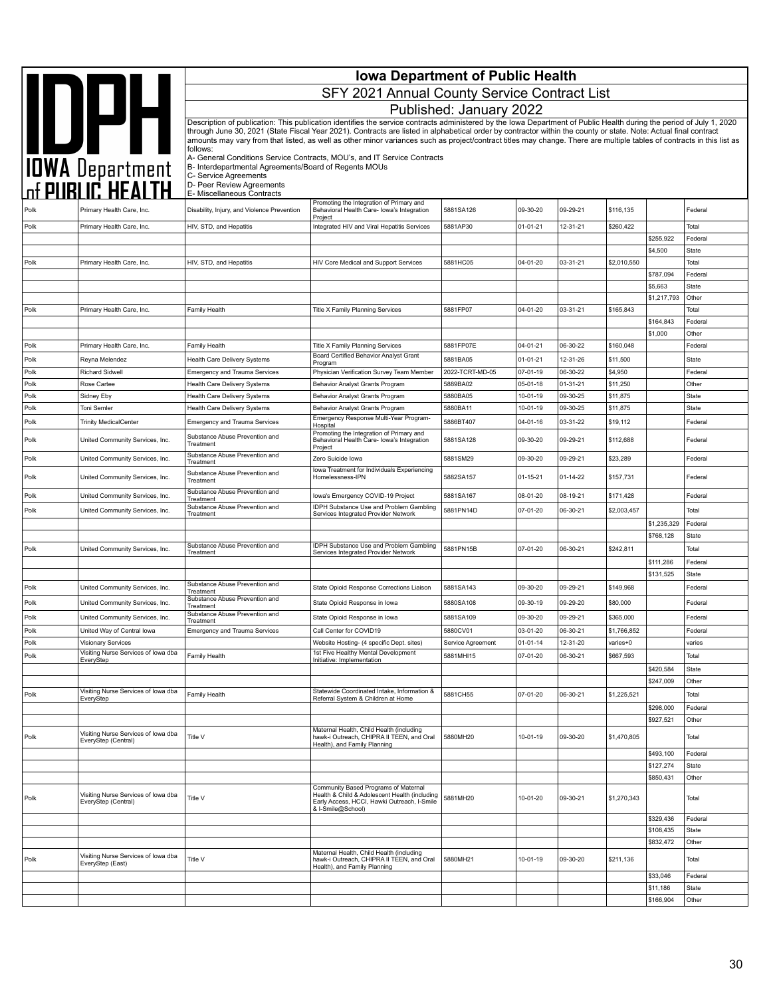|              |                                                            | <b>Iowa Department of Public Health</b>                                                                     |                                                                                                                                                                                                                                                                                                                                                                                                                                                                                                                    |                         |                      |                      |                      |                        |                         |  |
|--------------|------------------------------------------------------------|-------------------------------------------------------------------------------------------------------------|--------------------------------------------------------------------------------------------------------------------------------------------------------------------------------------------------------------------------------------------------------------------------------------------------------------------------------------------------------------------------------------------------------------------------------------------------------------------------------------------------------------------|-------------------------|----------------------|----------------------|----------------------|------------------------|-------------------------|--|
|              |                                                            |                                                                                                             | SFY 2021 Annual County Service Contract List                                                                                                                                                                                                                                                                                                                                                                                                                                                                       |                         |                      |                      |                      |                        |                         |  |
|              |                                                            |                                                                                                             |                                                                                                                                                                                                                                                                                                                                                                                                                                                                                                                    | Published: January 2022 |                      |                      |                      |                        |                         |  |
|              | <b>AND DATE</b><br>TOWA Department<br>The PUBLIC HEALTH    |                                                                                                             | Description of publication: This publication identifies the service contracts administered by the Iowa Department of Public Health during the period of July 1, 2020<br>through June 30, 2021 (State Fiscal Year 2021). Contracts are listed in alphabetical order by contractor within the county or state. Note: Actual final contract<br>amounts may vary from that listed, as well as other minor variances such as project/contract titles may change. There are multiple tables of contracts in this list as |                         |                      |                      |                      |                        |                         |  |
|              |                                                            | follows:                                                                                                    | A- General Conditions Service Contracts, MOU's, and IT Service Contracts                                                                                                                                                                                                                                                                                                                                                                                                                                           |                         |                      |                      |                      |                        |                         |  |
|              |                                                            | B- Interdepartmental Agreements/Board of Regents MOUs<br>C- Service Agreements<br>D- Peer Review Agreements |                                                                                                                                                                                                                                                                                                                                                                                                                                                                                                                    |                         |                      |                      |                      |                        |                         |  |
|              |                                                            | E- Miscellaneous Contracts                                                                                  | Promoting the Integration of Primary and                                                                                                                                                                                                                                                                                                                                                                                                                                                                           |                         |                      |                      |                      |                        |                         |  |
| Polk         | Primary Health Care, Inc.                                  | Disability, Injury, and Violence Prevention                                                                 | Behavioral Health Care- Iowa's Integration<br>Project                                                                                                                                                                                                                                                                                                                                                                                                                                                              | 5881SA126               | 09-30-20             | 09-29-21             | \$116,135            |                        | Federal                 |  |
| Polk         | Primary Health Care, Inc.                                  | HIV, STD, and Hepatitis                                                                                     | Integrated HIV and Viral Hepatitis Services                                                                                                                                                                                                                                                                                                                                                                                                                                                                        | 5881AP30                | $01 - 01 - 21$       | 12-31-21             | \$260,422            |                        | Total                   |  |
|              |                                                            |                                                                                                             |                                                                                                                                                                                                                                                                                                                                                                                                                                                                                                                    |                         |                      |                      |                      | \$255,922<br>\$4,500   | Federal<br><b>State</b> |  |
| Polk         | Primary Health Care, Inc.                                  | HIV, STD, and Hepatitis                                                                                     | HIV Core Medical and Support Services                                                                                                                                                                                                                                                                                                                                                                                                                                                                              | 5881HC05                | 04-01-20             | 03-31-21             | \$2,010,550          |                        | Total                   |  |
|              |                                                            |                                                                                                             |                                                                                                                                                                                                                                                                                                                                                                                                                                                                                                                    |                         |                      |                      |                      | \$787,094<br>\$5,663   | Federal<br><b>State</b> |  |
|              |                                                            |                                                                                                             |                                                                                                                                                                                                                                                                                                                                                                                                                                                                                                                    |                         |                      |                      |                      | \$1,217,793            | Other                   |  |
| Polk         | Primary Health Care, Inc.                                  | Family Health                                                                                               | Title X Family Planning Services                                                                                                                                                                                                                                                                                                                                                                                                                                                                                   | 5881FP07                | 04-01-20             | 03-31-21             | \$165,843            |                        | Total                   |  |
|              |                                                            |                                                                                                             |                                                                                                                                                                                                                                                                                                                                                                                                                                                                                                                    |                         |                      |                      |                      | \$164,843<br>\$1,000   | Federal<br>Other        |  |
| Polk         | Primary Health Care, Inc.                                  | Family Health                                                                                               | Title X Family Planning Services                                                                                                                                                                                                                                                                                                                                                                                                                                                                                   | 5881FP07E               | 04-01-21             | 06-30-22             | \$160,048            |                        | Federal                 |  |
| Polk         | Reyna Melendez                                             | Health Care Delivery Systems                                                                                | Board Certified Behavior Analyst Grant<br>Program                                                                                                                                                                                                                                                                                                                                                                                                                                                                  | 5881BA05                | 01-01-21             | 12-31-26             | \$11,500             |                        | State                   |  |
| Polk         | <b>Richard Sidwell</b>                                     | <b>Emergency and Trauma Services</b>                                                                        | Physician Verification Survey Team Member                                                                                                                                                                                                                                                                                                                                                                                                                                                                          | 2022-TCRT-MD-05         | 07-01-19             | 06-30-22             | \$4,950              |                        | Federal                 |  |
| Polk         | Rose Cartee                                                | Health Care Delivery Systems                                                                                | Behavior Analyst Grants Program                                                                                                                                                                                                                                                                                                                                                                                                                                                                                    | 5889BA02                | 05-01-18             | 01-31-21             | \$11,250             |                        | Other                   |  |
| Polk<br>Polk | Sidney Eby<br>Toni Semler                                  | <b>Health Care Delivery Systems</b><br>Health Care Delivery Systems                                         | Behavior Analyst Grants Program<br>Behavior Analyst Grants Program                                                                                                                                                                                                                                                                                                                                                                                                                                                 | 5880BA05<br>5880BA11    | 10-01-19<br>10-01-19 | 09-30-25<br>09-30-25 | \$11,875<br>\$11,875 |                        | State<br>State          |  |
| Polk         | <b>Trinity MedicalCenter</b>                               | <b>Emergency and Trauma Services</b>                                                                        | Emergency Response Multi-Year Program-                                                                                                                                                                                                                                                                                                                                                                                                                                                                             | 5886BT407               | 04-01-16             | 03-31-22             | \$19,112             |                        | Federal                 |  |
| Polk         | United Community Services, Inc.                            | Substance Abuse Prevention and<br>Treatment                                                                 | Hospital<br>Promoting the Integration of Primary and<br>Behavioral Health Care- Iowa's Integration                                                                                                                                                                                                                                                                                                                                                                                                                 | 5881SA128               | 09-30-20             | 09-29-21             | \$112,688            |                        | Federal                 |  |
| Polk         | United Community Services, Inc.                            | Substance Abuse Prevention and                                                                              | Project<br>Zero Suicide Iowa                                                                                                                                                                                                                                                                                                                                                                                                                                                                                       | 5881SM29                | 09-30-20             | 09-29-21             | \$23,289             |                        | Federal                 |  |
| Polk         | United Community Services, Inc.                            | Treatment<br>Substance Abuse Prevention and<br>Treatment                                                    | lowa Treatment for Individuals Experiencing<br>Homelessness-IPN                                                                                                                                                                                                                                                                                                                                                                                                                                                    | 5882SA157               | $01 - 15 - 21$       | $01 - 14 - 22$       | \$157,731            |                        | Federal                 |  |
| Polk         | United Community Services, Inc.                            | Substance Abuse Prevention and                                                                              | Iowa's Emergency COVID-19 Project                                                                                                                                                                                                                                                                                                                                                                                                                                                                                  | 5881SA167               | 08-01-20             | 08-19-21             | \$171,428            |                        | Federal                 |  |
| Polk         | United Community Services, Inc.                            | Treatment<br>Substance Abuse Prevention and                                                                 | <b>IDPH Substance Use and Problem Gambling</b>                                                                                                                                                                                                                                                                                                                                                                                                                                                                     | 5881PN14D               | 07-01-20             | 06-30-21             | \$2,003,457          |                        | Total                   |  |
|              |                                                            | Treatment                                                                                                   | Services Integrated Provider Network                                                                                                                                                                                                                                                                                                                                                                                                                                                                               |                         |                      |                      |                      | \$1,235,329            | Federal                 |  |
|              |                                                            | Substance Abuse Prevention and                                                                              | IDPH Substance Use and Problem Gambling                                                                                                                                                                                                                                                                                                                                                                                                                                                                            |                         |                      |                      |                      | \$768,128              | <b>State</b>            |  |
| Polk         | United Community Services, Inc.                            | Treatment                                                                                                   | Services Integrated Provider Network                                                                                                                                                                                                                                                                                                                                                                                                                                                                               | 5881PN15B               | 07-01-20             | 06-30-21             | \$242,811            | \$111,286              | Total<br>Federal        |  |
|              |                                                            |                                                                                                             |                                                                                                                                                                                                                                                                                                                                                                                                                                                                                                                    |                         |                      |                      |                      | \$131,525              | State                   |  |
| Polk         | United Community Services, Inc.                            | Substance Abuse Prevention and<br>Treatment                                                                 | State Opioid Response Corrections Liaison                                                                                                                                                                                                                                                                                                                                                                                                                                                                          | 5881SA143               | 09-30-20             | 09-29-21             | \$149,968            |                        | Federal                 |  |
| Polk         | United Community Services, Inc.                            | Substance Abuse Prevention and<br>Treatment                                                                 | State Opioid Response in Iowa                                                                                                                                                                                                                                                                                                                                                                                                                                                                                      | 5880SA108               | 09-30-19             | 09-29-20             | \$80,000             |                        | Federal                 |  |
| Polk         | United Community Services, Inc.                            | Substance Abuse Prevention and<br>Treatment                                                                 | State Opioid Response in Iowa                                                                                                                                                                                                                                                                                                                                                                                                                                                                                      | 5881SA109               | 09-30-20             | 09-29-21             | \$365,000            |                        | Federal                 |  |
| Polk         | United Way of Central Iowa                                 | <b>Emergency and Trauma Services</b>                                                                        | Call Center for COVID19                                                                                                                                                                                                                                                                                                                                                                                                                                                                                            | 5880CV01                | 03-01-20             | 06-30-21             | \$1,766,852          |                        | Federal                 |  |
| Polk         | <b>Visionary Services</b>                                  |                                                                                                             | Website Hosting- (4 specific Dept. sites)                                                                                                                                                                                                                                                                                                                                                                                                                                                                          | Service Agreement       | $01 - 01 - 14$       | 12-31-20             | varies+0             |                        | varies                  |  |
| Polk         | Visiting Nurse Services of Iowa dba<br>EveryStep           | Family Health                                                                                               | 1st Five Healthy Mental Development<br>Initiative: Implementation                                                                                                                                                                                                                                                                                                                                                                                                                                                  | 5881MHI15               | 07-01-20             | 06-30-21             | \$667,593            |                        | Total                   |  |
|              |                                                            |                                                                                                             |                                                                                                                                                                                                                                                                                                                                                                                                                                                                                                                    |                         |                      |                      |                      | \$420,584<br>\$247,009 | <b>State</b><br>Other   |  |
| Polk         | Visiting Nurse Services of Iowa dba                        | Family Health                                                                                               | Statewide Coordinated Intake, Information &                                                                                                                                                                                                                                                                                                                                                                                                                                                                        | 5881CH55                | 07-01-20             | 06-30-21             | \$1,225,521          |                        | Total                   |  |
|              | EveryStep                                                  |                                                                                                             | Referral System & Children at Home                                                                                                                                                                                                                                                                                                                                                                                                                                                                                 |                         |                      |                      |                      | \$298,000              | Federal                 |  |
|              |                                                            |                                                                                                             |                                                                                                                                                                                                                                                                                                                                                                                                                                                                                                                    |                         |                      |                      |                      | \$927,521              | Other                   |  |
| Polk         | Visiting Nurse Services of Iowa dba<br>EveryStep (Central) | Title V                                                                                                     | Maternal Health, Child Health (including<br>hawk-i Outreach, CHIPRA II TEEN, and Oral<br>Health), and Family Planning                                                                                                                                                                                                                                                                                                                                                                                              | 5880MH20                | 10-01-19             | 09-30-20             | \$1,470,805          |                        | Total                   |  |
|              |                                                            |                                                                                                             |                                                                                                                                                                                                                                                                                                                                                                                                                                                                                                                    |                         |                      |                      |                      | \$493,100              | Federal                 |  |
|              |                                                            |                                                                                                             |                                                                                                                                                                                                                                                                                                                                                                                                                                                                                                                    |                         |                      |                      |                      | \$127,274<br>\$850,431 | State<br>Other          |  |
|              |                                                            |                                                                                                             | Community Based Programs of Maternal                                                                                                                                                                                                                                                                                                                                                                                                                                                                               |                         |                      |                      |                      |                        |                         |  |
| Polk         | Visiting Nurse Services of Iowa dba<br>EveryStep (Central) | Title V                                                                                                     | Health & Child & Adolescent Health (including<br>Early Access, HCCI, Hawki Outreach, I-Smile<br>& I-Smile@School)                                                                                                                                                                                                                                                                                                                                                                                                  | 5881MH20                | 10-01-20             | 09-30-21             | \$1,270,343          |                        | Total                   |  |
|              |                                                            |                                                                                                             |                                                                                                                                                                                                                                                                                                                                                                                                                                                                                                                    |                         |                      |                      |                      | \$329,436<br>\$108,435 | Federal<br><b>State</b> |  |
|              |                                                            |                                                                                                             |                                                                                                                                                                                                                                                                                                                                                                                                                                                                                                                    |                         |                      |                      |                      | \$832,472              | Other                   |  |
| Polk         | Visiting Nurse Services of Iowa dba<br>EveryStep (East)    | Title V                                                                                                     | Maternal Health, Child Health (including<br>hawk-i Outreach, CHIPRA II TEEN, and Oral<br>Health), and Family Planning                                                                                                                                                                                                                                                                                                                                                                                              | 5880MH21                | 10-01-19             | 09-30-20             | \$211,136            |                        | Total                   |  |
|              |                                                            |                                                                                                             |                                                                                                                                                                                                                                                                                                                                                                                                                                                                                                                    |                         |                      |                      |                      | \$33,046               | Federal                 |  |
|              |                                                            |                                                                                                             |                                                                                                                                                                                                                                                                                                                                                                                                                                                                                                                    |                         |                      |                      |                      | \$11,186               | State<br>Other          |  |
|              |                                                            |                                                                                                             |                                                                                                                                                                                                                                                                                                                                                                                                                                                                                                                    |                         |                      |                      |                      | \$166,904              |                         |  |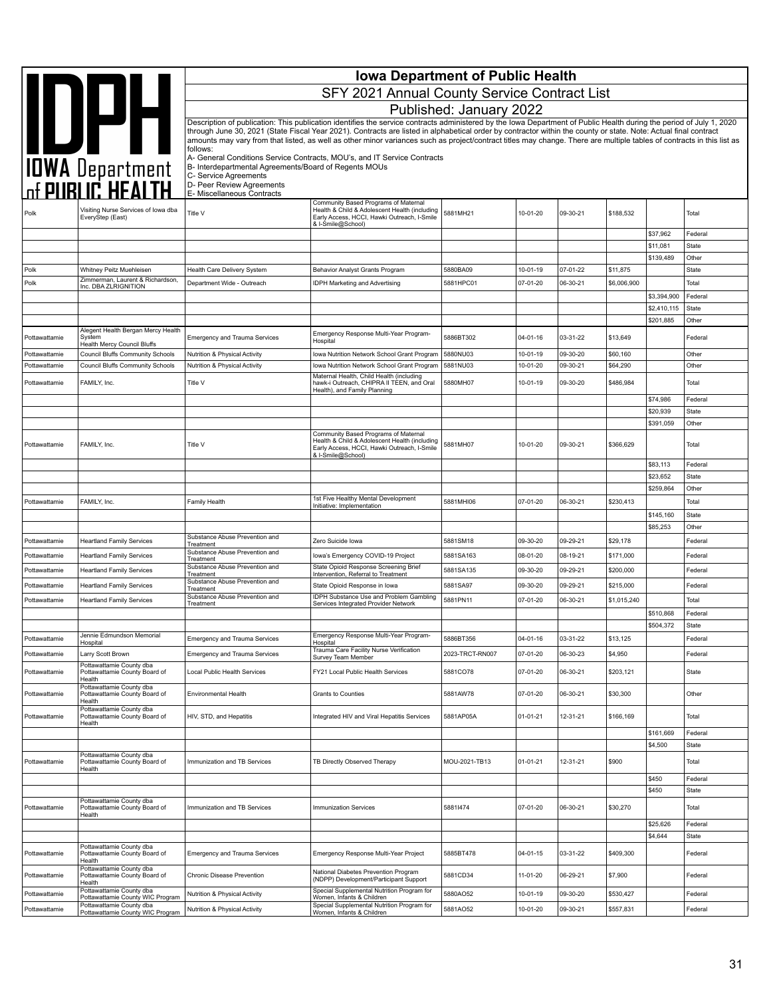|                                |                                                                                    | <b>Iowa Department of Public Health</b>                        |                                                                                                                                                                                                                                                                                                                                            |                         |                      |                      |                      |                        |                       |  |
|--------------------------------|------------------------------------------------------------------------------------|----------------------------------------------------------------|--------------------------------------------------------------------------------------------------------------------------------------------------------------------------------------------------------------------------------------------------------------------------------------------------------------------------------------------|-------------------------|----------------------|----------------------|----------------------|------------------------|-----------------------|--|
|                                | <b>AND DEAL</b><br>TOWA Department<br>The PUBLIC HEALTH                            |                                                                | SFY 2021 Annual County Service Contract List                                                                                                                                                                                                                                                                                               |                         |                      |                      |                      |                        |                       |  |
|                                |                                                                                    |                                                                |                                                                                                                                                                                                                                                                                                                                            | Published: January 2022 |                      |                      |                      |                        |                       |  |
|                                |                                                                                    |                                                                | Description of publication: This publication identifies the service contracts administered by the Iowa Department of Public Health during the period of July 1, 2020                                                                                                                                                                       |                         |                      |                      |                      |                        |                       |  |
|                                |                                                                                    |                                                                | through June 30, 2021 (State Fiscal Year 2021). Contracts are listed in alphabetical order by contractor within the county or state. Note: Actual final contract<br>amounts may vary from that listed, as well as other minor variances such as project/contract titles may change. There are multiple tables of contracts in this list as |                         |                      |                      |                      |                        |                       |  |
|                                |                                                                                    | follows:                                                       | A- General Conditions Service Contracts, MOU's, and IT Service Contracts                                                                                                                                                                                                                                                                   |                         |                      |                      |                      |                        |                       |  |
|                                |                                                                                    | B- Interdepartmental Agreements/Board of Regents MOUs          |                                                                                                                                                                                                                                                                                                                                            |                         |                      |                      |                      |                        |                       |  |
|                                |                                                                                    | C- Service Agreements<br>D- Peer Review Agreements             |                                                                                                                                                                                                                                                                                                                                            |                         |                      |                      |                      |                        |                       |  |
|                                |                                                                                    | E- Miscellaneous Contracts                                     | Community Based Programs of Maternal                                                                                                                                                                                                                                                                                                       |                         |                      |                      |                      |                        |                       |  |
| Polk                           | Visiting Nurse Services of Iowa dba<br>EveryStep (East)                            | Title V                                                        | Health & Child & Adolescent Health (including<br>Early Access, HCCI, Hawki Outreach, I-Smile<br>& I-Smile@School)                                                                                                                                                                                                                          | 5881MH21                | 10-01-20             | 09-30-21             | \$188,532            |                        | Total                 |  |
|                                |                                                                                    |                                                                |                                                                                                                                                                                                                                                                                                                                            |                         |                      |                      |                      | \$37,962               | Federal               |  |
|                                |                                                                                    |                                                                |                                                                                                                                                                                                                                                                                                                                            |                         |                      |                      |                      | \$11,081<br>\$139,489  | <b>State</b><br>Other |  |
| Polk                           | Whitney Peitz Muehleisen                                                           | Health Care Delivery System                                    | <b>Behavior Analyst Grants Program</b>                                                                                                                                                                                                                                                                                                     | 5880BA09                | 10-01-19             | 07-01-22             | \$11,875             |                        | State                 |  |
| Polk                           | Zimmerman, Laurent & Richardson,<br>Inc. DBA ZLRIGNITION                           | Department Wide - Outreach                                     | <b>IDPH Marketing and Advertising</b>                                                                                                                                                                                                                                                                                                      | 5881HPC01               | 07-01-20             | 06-30-21             | \$6,006,900          |                        | Total                 |  |
|                                |                                                                                    |                                                                |                                                                                                                                                                                                                                                                                                                                            |                         |                      |                      |                      | \$3,394,900            | Federal               |  |
|                                |                                                                                    |                                                                |                                                                                                                                                                                                                                                                                                                                            |                         |                      |                      |                      | \$2.410.115            | <b>State</b>          |  |
|                                | Alegent Health Bergan Mercy Health                                                 |                                                                |                                                                                                                                                                                                                                                                                                                                            |                         |                      |                      |                      | \$201,885              | Other                 |  |
| Pottawattamie                  | System<br><b>Health Mercy Council Bluffs</b>                                       | <b>Emergency and Trauma Services</b>                           | Emergency Response Multi-Year Program-<br>Hospital                                                                                                                                                                                                                                                                                         | 5886BT302               | 04-01-16             | 03-31-22             | \$13,649             |                        | Federal               |  |
| Pottawattamie<br>Pottawattamie | <b>Council Bluffs Community Schools</b><br><b>Council Bluffs Community Schools</b> | Nutrition & Physical Activity<br>Nutrition & Physical Activity | Iowa Nutrition Network School Grant Program                                                                                                                                                                                                                                                                                                | 5880NU03<br>5881NU03    | 10-01-19<br>10-01-20 | 09-30-20<br>09-30-21 | \$60,160<br>\$64,290 |                        | Other<br>Other        |  |
|                                |                                                                                    |                                                                | Iowa Nutrition Network School Grant Program<br>Maternal Health, Child Health (including                                                                                                                                                                                                                                                    |                         |                      |                      |                      |                        |                       |  |
| Pottawattamie                  | FAMILY, Inc.                                                                       | Title V                                                        | hawk-i Outreach, CHIPRA II TEEN, and Oral<br>Health), and Family Planning                                                                                                                                                                                                                                                                  | 5880MH07                | 10-01-19             | 09-30-20             | \$486,984            |                        | Total                 |  |
|                                |                                                                                    |                                                                |                                                                                                                                                                                                                                                                                                                                            |                         |                      |                      |                      | \$74,986               | Federal               |  |
|                                |                                                                                    |                                                                |                                                                                                                                                                                                                                                                                                                                            |                         |                      |                      |                      | \$20,939<br>\$391,059  | <b>State</b><br>Other |  |
| Pottawattamie                  | FAMILY, Inc.                                                                       | Title V                                                        | Community Based Programs of Maternal<br>Health & Child & Adolescent Health (including<br>Early Access, HCCI, Hawki Outreach, I-Smile                                                                                                                                                                                                       | 5881MH07                | 10-01-20             | 09-30-21             | \$366,629            |                        | Total                 |  |
|                                |                                                                                    |                                                                | & I-Smile@School)                                                                                                                                                                                                                                                                                                                          |                         |                      |                      |                      | \$83,113               | Federal               |  |
|                                |                                                                                    |                                                                |                                                                                                                                                                                                                                                                                                                                            |                         |                      |                      |                      | \$23,652               | <b>State</b>          |  |
|                                |                                                                                    |                                                                |                                                                                                                                                                                                                                                                                                                                            |                         |                      |                      |                      | \$259,864              | Other                 |  |
| Pottawattamie                  | FAMILY, Inc.                                                                       | Family Health                                                  | 1st Five Healthy Mental Development<br>Initiative: Implementation                                                                                                                                                                                                                                                                          | 5881MHI06               | 07-01-20             | 06-30-21             | \$230,413            |                        | Total                 |  |
|                                |                                                                                    |                                                                |                                                                                                                                                                                                                                                                                                                                            |                         |                      |                      |                      | \$145,160              | State                 |  |
|                                |                                                                                    | Substance Abuse Prevention and                                 |                                                                                                                                                                                                                                                                                                                                            |                         |                      |                      |                      | \$85,253               | Other                 |  |
| Pottawattamie                  | <b>Heartland Family Services</b>                                                   | Treatment<br>Substance Abuse Prevention and                    | Zero Suicide Iowa                                                                                                                                                                                                                                                                                                                          | 5881SM18                | 09-30-20             | 09-29-21             | \$29,178             |                        | Federal               |  |
| Pottawattamie                  | <b>Heartland Family Services</b>                                                   | Treatment<br>Substance Abuse Prevention and                    | Iowa's Emergency COVID-19 Project<br>State Opioid Response Screening Brief                                                                                                                                                                                                                                                                 | 5881SA163               | 08-01-20             | 08-19-21             | \$171,000            |                        | Federal               |  |
| Pottawattamie                  | <b>Heartland Family Services</b>                                                   | Treatment<br>Substance Abuse Prevention and                    | Intervention, Referral to Treatment                                                                                                                                                                                                                                                                                                        | 5881SA135               | 09-30-20             | 09-29-21             | \$200,000            |                        | Federal               |  |
| Pottawattamie                  | <b>Heartland Family Services</b>                                                   | Treatment                                                      | State Opioid Response in Iowa<br>IDPH Substance Use and Problem Gambling                                                                                                                                                                                                                                                                   | 5881SA97                | 09-30-20             | 09-29-21             | \$215,000            |                        | Federal               |  |
| Pottawattamie                  | <b>Heartland Family Services</b>                                                   | Substance Abuse Prevention and<br>Treatment                    | Services Integrated Provider Network                                                                                                                                                                                                                                                                                                       | 5881PN11                | 07-01-20             | 06-30-21             | \$1,015,240          |                        | Total                 |  |
|                                |                                                                                    |                                                                |                                                                                                                                                                                                                                                                                                                                            |                         |                      |                      |                      | \$510,868<br>\$504,372 | Federal<br>State      |  |
| Pottawattamie                  | Jennie Edmundson Memorial                                                          | <b>Emergency and Trauma Services</b>                           | Emergency Response Multi-Year Program-                                                                                                                                                                                                                                                                                                     | 5886BT356               | 04-01-16             | 03-31-22             | \$13,125             |                        | Federal               |  |
| Pottawattamie                  | Hospital<br>Larry Scott Brown                                                      | <b>Emergency and Trauma Services</b>                           | Hospital<br>Trauma Care Facility Nurse Verification                                                                                                                                                                                                                                                                                        | 2023-TRCT-RN007         | 07-01-20             | 06-30-23             | \$4,950              |                        | Federal               |  |
|                                | Pottawattamie County dba                                                           |                                                                | Survey Team Member                                                                                                                                                                                                                                                                                                                         |                         |                      |                      |                      |                        |                       |  |
| Pottawattamie                  | Pottawattamie County Board of<br>Health<br>Pottawattamie County dba                | Local Public Health Services                                   | FY21 Local Public Health Services                                                                                                                                                                                                                                                                                                          | 5881CO78                | 07-01-20             | 06-30-21             | \$203,121            |                        | State                 |  |
| Pottawattamie                  | Pottawattamie County Board of<br>Health<br>Pottawattamie County dba                | Environmental Health                                           | Grants to Counties                                                                                                                                                                                                                                                                                                                         | 5881AW78                | 07-01-20             | 06-30-21             | \$30,300             |                        | Other                 |  |
| Pottawattamie                  | Pottawattamie County Board of<br>Health                                            | HIV, STD, and Hepatitis                                        | Integrated HIV and Viral Hepatitis Services                                                                                                                                                                                                                                                                                                | 5881AP05A               | 01-01-21             | 12-31-21             | \$166,169            | \$161,669              | Total<br>Federal      |  |
|                                |                                                                                    |                                                                |                                                                                                                                                                                                                                                                                                                                            |                         |                      |                      |                      | \$4,500                | State                 |  |
| Pottawattamie                  | Pottawattamie County dba<br>Pottawattamie County Board of<br>Health                | Immunization and TB Services                                   | TB Directly Observed Therapy                                                                                                                                                                                                                                                                                                               | MOU-2021-TB13           | $01 - 01 - 21$       | 12-31-21             | \$900                |                        | Total                 |  |
|                                |                                                                                    |                                                                |                                                                                                                                                                                                                                                                                                                                            |                         |                      |                      |                      | \$450                  | Federal               |  |
|                                | Pottawattamie County dba                                                           |                                                                |                                                                                                                                                                                                                                                                                                                                            |                         |                      |                      |                      | \$450                  | State                 |  |
| Pottawattamie                  | Pottawattamie County Board of<br>Health                                            | Immunization and TB Services                                   | <b>Immunization Services</b>                                                                                                                                                                                                                                                                                                               | 58811474                | 07-01-20             | 06-30-21             | \$30,270             |                        | Total                 |  |
|                                |                                                                                    |                                                                |                                                                                                                                                                                                                                                                                                                                            |                         |                      |                      |                      | \$25,626<br>\$4,644    | Federal<br>State      |  |
| Pottawattamie                  | Pottawattamie County dba<br>Pottawattamie County Board of<br>Health                | <b>Emergency and Trauma Services</b>                           | Emergency Response Multi-Year Project                                                                                                                                                                                                                                                                                                      | 5885BT478               | 04-01-15             | 03-31-22             | \$409,300            |                        | Federal               |  |
| Pottawattamie                  | Pottawattamie County dba<br>Pottawattamie County Board of<br>Health                | Chronic Disease Prevention                                     | National Diabetes Prevention Program<br>(NDPP) Development/Participant Support                                                                                                                                                                                                                                                             | 5881CD34                | 11-01-20             | 06-29-21             | \$7,900              |                        | Federal               |  |
| Pottawattamie                  | Pottawattamie County dba<br>Pottawattamie County WIC Program                       | Nutrition & Physical Activity                                  | Special Supplemental Nutrition Program for<br>Women, Infants & Children                                                                                                                                                                                                                                                                    | 5880AO52                | 10-01-19             | 09-30-20             | \$530,427            |                        | Federal               |  |
| Pottawattamie                  | Pottawattamie County dba<br>Pottawattamie County WIC Program                       | Nutrition & Physical Activity                                  | Special Supplemental Nutrition Program for<br>Women, Infants & Children                                                                                                                                                                                                                                                                    | 5881AO52                | 10-01-20             | 09-30-21             | \$557,831            |                        | Federal               |  |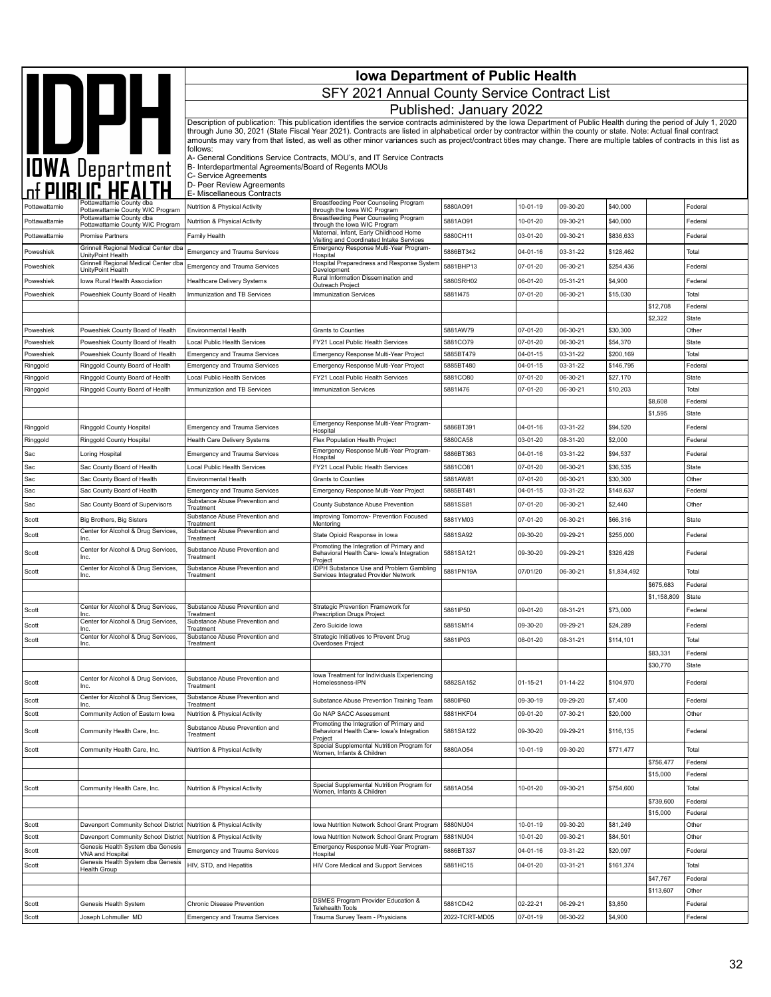|                      | <b>Iowa Department of Public Health</b>                             |                                                                                  |                                                                                                                                                                                                                                                                                                                                            |                         |                      |                      |                        |                       |                    |
|----------------------|---------------------------------------------------------------------|----------------------------------------------------------------------------------|--------------------------------------------------------------------------------------------------------------------------------------------------------------------------------------------------------------------------------------------------------------------------------------------------------------------------------------------|-------------------------|----------------------|----------------------|------------------------|-----------------------|--------------------|
|                      |                                                                     |                                                                                  | SFY 2021 Annual County Service Contract List                                                                                                                                                                                                                                                                                               |                         |                      |                      |                        |                       |                    |
|                      |                                                                     |                                                                                  |                                                                                                                                                                                                                                                                                                                                            | Published: January 2022 |                      |                      |                        |                       |                    |
|                      |                                                                     |                                                                                  | Description of publication: This publication identifies the service contracts administered by the Iowa Department of Public Health during the period of July 1, 2020                                                                                                                                                                       |                         |                      |                      |                        |                       |                    |
|                      | IDWA Department                                                     | follows:                                                                         | through June 30, 2021 (State Fiscal Year 2021). Contracts are listed in alphabetical order by contractor within the county or state. Note: Actual final contract<br>amounts may vary from that listed, as well as other minor variances such as project/contract titles may change. There are multiple tables of contracts in this list as |                         |                      |                      |                        |                       |                    |
|                      |                                                                     | B- Interdepartmental Agreements/Board of Regents MOUs                            | A- General Conditions Service Contracts, MOU's, and IT Service Contracts                                                                                                                                                                                                                                                                   |                         |                      |                      |                        |                       |                    |
|                      |                                                                     | C- Service Agreements<br>D- Peer Review Agreements<br>E- Miscellaneous Contracts |                                                                                                                                                                                                                                                                                                                                            |                         |                      |                      |                        |                       |                    |
| Pottawattamie        | Pottawattamie County dba<br>Pottawattamie County WIC Program        | Nutrition & Physical Activity                                                    | Breastfeeding Peer Counseling Program<br>through the lowa WIC Program                                                                                                                                                                                                                                                                      | 5880AO91                | 10-01-19             | 09-30-20             | \$40,000               |                       | Federal            |
| Pottawattamie        | Pottawattamie County dba                                            | Nutrition & Physical Activity                                                    | Breastfeeding Peer Counseling Program                                                                                                                                                                                                                                                                                                      | 5881AO91                | 10-01-20             | 09-30-21             | \$40,000               |                       | Federal            |
| Pottawattamie        | Pottawattamie County WIC Program<br><b>Promise Partners</b>         | Family Health                                                                    | through the lowa WIC Program<br>Maternal, Infant, Early Childhood Home<br>Visiting and Coordinated Intake Services                                                                                                                                                                                                                         | 5880CH11                | 03-01-20             | 09-30-21             | \$836,633              |                       | Federal            |
| Poweshiek            | Grinnell Regional Medical Center dba                                | <b>Emergency and Trauma Services</b>                                             | Emergency Response Multi-Year Program-                                                                                                                                                                                                                                                                                                     | 5886BT342               | 04-01-16             | 03-31-22             | \$128,462              |                       | Total              |
| Poweshiek            | UnityPoint Health<br>Grinnell Regional Medical Center dba           | <b>Emergency and Trauma Services</b>                                             | Hospital<br>Hospital Preparedness and Response System                                                                                                                                                                                                                                                                                      | 5881BHP13               | 07-01-20             | 06-30-21             | \$254,436              |                       | Federal            |
| Poweshiek            | UnityPoint Health<br>Iowa Rural Health Association                  | Healthcare Delivery Systems                                                      | Development<br>Rural Information Dissemination and                                                                                                                                                                                                                                                                                         | 5880SRH02               | 06-01-20             | 05-31-21             | \$4,900                |                       | Federal            |
| Poweshiek            | Poweshiek County Board of Health                                    | Immunization and TB Services                                                     | Outreach Project<br><b>Immunization Services</b>                                                                                                                                                                                                                                                                                           | 58811475                | 07-01-20             | 06-30-21             | \$15,030               |                       | Total              |
|                      |                                                                     |                                                                                  |                                                                                                                                                                                                                                                                                                                                            |                         |                      |                      |                        | \$12,708              | Federal            |
|                      |                                                                     |                                                                                  |                                                                                                                                                                                                                                                                                                                                            |                         |                      |                      |                        | \$2,322               | State              |
| Poweshiek            | Poweshiek County Board of Health                                    | Environmental Health                                                             | <b>Grants to Counties</b>                                                                                                                                                                                                                                                                                                                  | 5881AW79                | 07-01-20             | 06-30-21             | \$30,300               |                       | Other              |
| Poweshiek            | Poweshiek County Board of Health                                    | Local Public Health Services                                                     | FY21 Local Public Health Services                                                                                                                                                                                                                                                                                                          | 5881CO79                | 07-01-20             | 06-30-21             | \$54,370               |                       | State              |
| Poweshiek            | Poweshiek County Board of Health<br>Ringgold County Board of Health | <b>Emergency and Trauma Services</b>                                             | Emergency Response Multi-Year Project<br>Emergency Response Multi-Year Project                                                                                                                                                                                                                                                             | 5885BT479<br>5885BT480  | 04-01-15<br>04-01-15 | 03-31-22<br>03-31-22 | \$200,169<br>\$146,795 |                       | Total<br>Federal   |
| Ringgold<br>Ringgold | Ringgold County Board of Health                                     | <b>Emergency and Trauma Services</b><br>Local Public Health Services             | FY21 Local Public Health Services                                                                                                                                                                                                                                                                                                          | 5881CO80                | 07-01-20             | 06-30-21             | \$27,170               |                       | State              |
| Ringgold             | Ringgold County Board of Health                                     | Immunization and TB Services                                                     | <b>Immunization Services</b>                                                                                                                                                                                                                                                                                                               | 58811476                | 07-01-20             | 06-30-21             | \$10,203               |                       | Total              |
|                      |                                                                     |                                                                                  |                                                                                                                                                                                                                                                                                                                                            |                         |                      |                      |                        | \$8,608               | Federal            |
|                      |                                                                     |                                                                                  |                                                                                                                                                                                                                                                                                                                                            |                         |                      |                      |                        | \$1,595               | State              |
| Ringgold             | Ringgold County Hospital                                            | <b>Emergency and Trauma Services</b>                                             | Emergency Response Multi-Year Program-<br>Hospital                                                                                                                                                                                                                                                                                         | 5886BT391               | 04-01-16             | 03-31-22             | \$94,520               |                       | Federal            |
| Ringgold             | Ringgold County Hospital                                            | Health Care Delivery Systems                                                     | Flex Population Health Project                                                                                                                                                                                                                                                                                                             | 5880CA58                | 03-01-20             | 08-31-20             | \$2,000                |                       | Federal            |
| Sac                  | Loring Hospital                                                     | <b>Emergency and Trauma Services</b>                                             | Emergency Response Multi-Year Program-<br>Hospital                                                                                                                                                                                                                                                                                         | 5886BT363               | 04-01-16             | 03-31-22             | \$94,537               |                       | Federal            |
| Sac                  | Sac County Board of Health                                          | Local Public Health Services                                                     | FY21 Local Public Health Services                                                                                                                                                                                                                                                                                                          | 5881CO81                | 07-01-20             | 06-30-21             | \$36,535               |                       | State              |
| Sac                  | Sac County Board of Health                                          | Environmental Health                                                             | <b>Grants to Counties</b>                                                                                                                                                                                                                                                                                                                  | 5881AW81                | 07-01-20             | 06-30-21             | \$30,300               |                       | Other              |
| Sac                  | Sac County Board of Health                                          | <b>Emergency and Trauma Services</b>                                             | Emergency Response Multi-Year Project                                                                                                                                                                                                                                                                                                      | 5885BT481               | 04-01-15             | 03-31-22             | \$148,637              |                       | Federal            |
| Sac                  | Sac County Board of Supervisors                                     | Substance Abuse Prevention and<br>Treatment                                      | County Substance Abuse Prevention                                                                                                                                                                                                                                                                                                          | 5881SS81                | 07-01-20             | 06-30-21             | \$2,440                |                       | Other              |
| Scott                | <b>Big Brothers, Big Sisters</b>                                    | Substance Abuse Prevention and<br>Treatment                                      | Improving Tomorrow- Prevention Focused<br>Mentoring                                                                                                                                                                                                                                                                                        | 5881YM03                | 07-01-20             | 06-30-21             | \$66,316               |                       | State              |
| Scott                | Center for Alcohol & Drug Services,<br>Inc.                         | Substance Abuse Prevention and<br>Treatment                                      | State Opioid Response in lowa                                                                                                                                                                                                                                                                                                              | 5881SA92                | 09-30-20             | 09-29-21             | \$255,000              |                       | Federal            |
| Scott                | Center for Alcohol & Drug Services,<br>Inc.                         | Substance Abuse Prevention and<br>Treatment                                      | Promoting the Integration of Primary and<br>Behavioral Health Care- Iowa's Integration<br>Project                                                                                                                                                                                                                                          | 5881SA121               | 09-30-20             | 09-29-21             | \$326,428              |                       | Federal            |
| Scott                | Center for Alcohol & Drug Services,<br>Inc.                         | Substance Abuse Prevention and<br>Treatment                                      | IDPH Substance Use and Problem Gambling<br>Services Integrated Provider Network                                                                                                                                                                                                                                                            | 5881PN19A               | 07/01/20             | 06-30-21             | \$1,834,492            |                       | Total              |
|                      |                                                                     |                                                                                  |                                                                                                                                                                                                                                                                                                                                            |                         |                      |                      |                        | \$675,683             | Federal            |
|                      |                                                                     |                                                                                  |                                                                                                                                                                                                                                                                                                                                            |                         |                      |                      |                        | \$1,158,809           | State              |
| Scott                | Center for Alcohol & Drug Services,<br>Inc.                         | Substance Abuse Prevention and<br>Treatment                                      | Strategic Prevention Framework for<br>Prescription Drugs Project                                                                                                                                                                                                                                                                           | 5881IP50                | 09-01-20             | 08-31-21             | \$73,000               |                       | Federal            |
| Scott                | Center for Alcohol & Drug Services,                                 | Substance Abuse Prevention and<br>Γreatment                                      | Zero Suicide Iowa                                                                                                                                                                                                                                                                                                                          | 5881SM14                | 09-30-20             | 09-29-21             | \$24,289               |                       | Federal            |
| Scott                | Center for Alcohol & Drug Services,<br>Inc.                         | Substance Abuse Prevention and<br>Treatment                                      | Strategic Initiatives to Prevent Drug<br>Overdoses Project                                                                                                                                                                                                                                                                                 | 5881IP03                | 08-01-20             | 08-31-21             | \$114,101              |                       | Total              |
|                      |                                                                     |                                                                                  |                                                                                                                                                                                                                                                                                                                                            |                         |                      |                      |                        | \$83,331              | Federal            |
|                      |                                                                     |                                                                                  |                                                                                                                                                                                                                                                                                                                                            |                         |                      |                      |                        | \$30,770              | State              |
| Scott                | Center for Alcohol & Drug Services,<br>Inc.                         | Substance Abuse Prevention and<br>Treatment                                      | lowa Treatment for Individuals Experiencing<br>Homelessness-IPN                                                                                                                                                                                                                                                                            | 5882SA152               | $01 - 15 - 21$       | $01 - 14 - 22$       | \$104,970              |                       | Federal            |
| Scott                | Center for Alcohol & Drug Services,<br>Inc.                         | Substance Abuse Prevention and<br>Treatment                                      | Substance Abuse Prevention Training Team                                                                                                                                                                                                                                                                                                   | 5880IP60                | 09-30-19             | 09-29-20             | \$7,400                |                       | Federal            |
| Scott                | Community Action of Eastern Iowa                                    | Nutrition & Physical Activity                                                    | Go NAP SACC Assessment<br>Promoting the Integration of Primary and                                                                                                                                                                                                                                                                         | 5881HKF04               | 09-01-20             | 07-30-21             | \$20,000               |                       | Other              |
| Scott                | Community Health Care, Inc.                                         | Substance Abuse Prevention and<br>Treatment                                      | Behavioral Health Care- Iowa's Integration<br>Project<br>Special Supplemental Nutrition Program for                                                                                                                                                                                                                                        | 5881SA122               | 09-30-20             | 09-29-21             | \$116,135              |                       | Federal            |
| Scott                | Community Health Care, Inc.                                         | Nutrition & Physical Activity                                                    | Women, Infants & Children                                                                                                                                                                                                                                                                                                                  | 5880AO54                | 10-01-19             | 09-30-20             | \$771,477              |                       | Total              |
|                      |                                                                     |                                                                                  |                                                                                                                                                                                                                                                                                                                                            |                         |                      |                      |                        | \$756,477             | Federal            |
|                      |                                                                     |                                                                                  | Special Supplemental Nutrition Program for                                                                                                                                                                                                                                                                                                 |                         |                      |                      |                        | \$15,000              | Federal            |
| Scott                | Community Health Care, Inc.                                         | Nutrition & Physical Activity                                                    | Women, Infants & Children                                                                                                                                                                                                                                                                                                                  | 5881AO54                | 10-01-20             | 09-30-21             | \$754,600              |                       | Total              |
|                      |                                                                     |                                                                                  |                                                                                                                                                                                                                                                                                                                                            |                         |                      |                      |                        | \$739,600<br>\$15,000 | Federal<br>Federal |
| Scott                | Davenport Community School District Nutrition & Physical Activity   |                                                                                  | Iowa Nutrition Network School Grant Program                                                                                                                                                                                                                                                                                                | 5880NU04                | 10-01-19             | 09-30-20             | \$81,249               |                       | Other              |
| Scott                | Davenport Community School District                                 | Nutrition & Physical Activity                                                    | Iowa Nutrition Network School Grant Program                                                                                                                                                                                                                                                                                                | 5881NU04                | 10-01-20             | 09-30-21             | \$84,501               |                       | Other              |
| Scott                | Genesis Health System dba Genesis                                   | <b>Emergency and Trauma Services</b>                                             | Emergency Response Multi-Year Program-                                                                                                                                                                                                                                                                                                     | 5886BT337               | 04-01-16             | 03-31-22             | \$20,097               |                       | Federal            |
| Scott                | VNA and Hospital<br>Genesis Health System dba Genesis               | HIV, STD, and Hepatitis                                                          | Hospital<br>HIV Core Medical and Support Services                                                                                                                                                                                                                                                                                          | 5881HC15                | 04-01-20             | 03-31-21             | \$161,374              |                       | Total              |
|                      | Health Group                                                        |                                                                                  |                                                                                                                                                                                                                                                                                                                                            |                         |                      |                      |                        | \$47,767              | Federal            |
|                      |                                                                     |                                                                                  |                                                                                                                                                                                                                                                                                                                                            |                         |                      |                      |                        | \$113,607             | Other              |
| Scott                | Genesis Health System                                               | Chronic Disease Prevention                                                       | DSMES Program Provider Education &<br><b>Telehealth Tools</b>                                                                                                                                                                                                                                                                              | 5881CD42                | 02-22-21             | 06-29-21             | \$3,850                |                       | Federal            |
| Scott                | Joseph Lohmuller MD                                                 | <b>Emergency and Trauma Services</b>                                             | Trauma Survey Team - Physicians                                                                                                                                                                                                                                                                                                            | 2022-TCRT-MD05          | 07-01-19             | 06-30-22             | \$4,900                |                       | Federal            |
|                      |                                                                     |                                                                                  |                                                                                                                                                                                                                                                                                                                                            |                         |                      |                      |                        |                       |                    |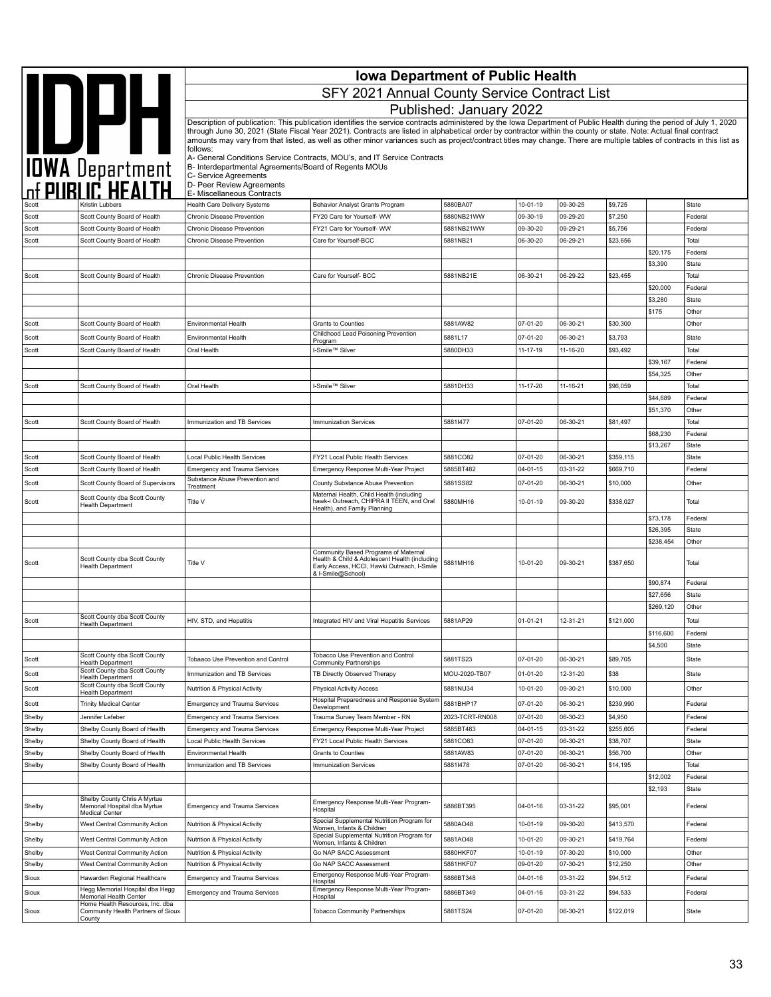|                  |                                                                 |                                                                        | <b>Iowa Department of Public Health</b>                                                                                                                                                                                                                                                                                                    |                         |                      |                      |                      |                       |                  |
|------------------|-----------------------------------------------------------------|------------------------------------------------------------------------|--------------------------------------------------------------------------------------------------------------------------------------------------------------------------------------------------------------------------------------------------------------------------------------------------------------------------------------------|-------------------------|----------------------|----------------------|----------------------|-----------------------|------------------|
|                  | IOWA Department                                                 |                                                                        | SFY 2021 Annual County Service Contract List                                                                                                                                                                                                                                                                                               |                         |                      |                      |                      |                       |                  |
|                  |                                                                 |                                                                        |                                                                                                                                                                                                                                                                                                                                            | Published: January 2022 |                      |                      |                      |                       |                  |
|                  |                                                                 |                                                                        | Description of publication: This publication identifies the service contracts administered by the Iowa Department of Public Health during the period of July 1, 2020                                                                                                                                                                       |                         |                      |                      |                      |                       |                  |
|                  |                                                                 |                                                                        | through June 30, 2021 (State Fiscal Year 2021). Contracts are listed in alphabetical order by contractor within the county or state. Note: Actual final contract<br>amounts may vary from that listed, as well as other minor variances such as project/contract titles may change. There are multiple tables of contracts in this list as |                         |                      |                      |                      |                       |                  |
|                  |                                                                 | follows:                                                               | A- General Conditions Service Contracts, MOU's, and IT Service Contracts                                                                                                                                                                                                                                                                   |                         |                      |                      |                      |                       |                  |
|                  |                                                                 | B- Interdepartmental Agreements/Board of Regents MOUs                  |                                                                                                                                                                                                                                                                                                                                            |                         |                      |                      |                      |                       |                  |
|                  |                                                                 | C- Service Agreements<br>D- Peer Review Agreements                     |                                                                                                                                                                                                                                                                                                                                            |                         |                      |                      |                      |                       |                  |
|                  | Kristin Lubbers                                                 | E- Miscellaneous Contracts<br>Health Care Delivery Systems             | Behavior Analyst Grants Program                                                                                                                                                                                                                                                                                                            | 5880BA07                | 10-01-19             | 09-30-25             | \$9,725              |                       | State            |
| Scott            | Scott County Board of Health                                    | Chronic Disease Prevention                                             | FY20 Care for Yourself- WW                                                                                                                                                                                                                                                                                                                 | 5880NB21WW              | 09-30-19             | 09-29-20             | \$7,250              |                       | Federal          |
| Scott            | Scott County Board of Health                                    | Chronic Disease Prevention                                             | FY21 Care for Yourself- WW                                                                                                                                                                                                                                                                                                                 | 5881NB21WW              | 09-30-20             | 09-29-21             | \$5,756              |                       | Federal          |
| Scott            | Scott County Board of Health                                    | Chronic Disease Prevention                                             | Care for Yourself-BCC                                                                                                                                                                                                                                                                                                                      | 5881NB21                | 06-30-20             | 06-29-21             | \$23,656             |                       | Total            |
|                  |                                                                 |                                                                        |                                                                                                                                                                                                                                                                                                                                            |                         |                      |                      |                      | \$20,175<br>\$3,390   | Federal<br>State |
| Scott            | Scott County Board of Health                                    | Chronic Disease Prevention                                             | Care for Yourself- BCC                                                                                                                                                                                                                                                                                                                     | 5881NB21E               | 06-30-21             | 06-29-22             | \$23,455             |                       | Total            |
|                  |                                                                 |                                                                        |                                                                                                                                                                                                                                                                                                                                            |                         |                      |                      |                      | \$20,000              | Federal          |
|                  |                                                                 |                                                                        |                                                                                                                                                                                                                                                                                                                                            |                         |                      |                      |                      | \$3,280<br>\$175      | State<br>Other   |
| Scott            | Scott County Board of Health                                    | Environmental Health                                                   | Grants to Counties                                                                                                                                                                                                                                                                                                                         | 5881AW82                | 07-01-20             | 06-30-21             | \$30,300             |                       | Other            |
| Scott            | Scott County Board of Health                                    | Environmental Health                                                   | Childhood Lead Poisoning Prevention<br>Program                                                                                                                                                                                                                                                                                             | 5881L17                 | 07-01-20             | 06-30-21             | \$3,793              |                       | State            |
| Scott            | Scott County Board of Health                                    | Oral Health                                                            | I-Smile™ Silver                                                                                                                                                                                                                                                                                                                            | 5880DH33                | 11-17-19             | 11-16-20             | \$93,492             |                       | Total            |
|                  |                                                                 |                                                                        |                                                                                                                                                                                                                                                                                                                                            |                         |                      |                      |                      | \$39,167              | Federal          |
| Scott            | Scott County Board of Health                                    | Oral Health                                                            | I-Smile™ Silver                                                                                                                                                                                                                                                                                                                            | 5881DH33                | 11-17-20             | 11-16-21             | \$96,059             | \$54,325              | Other<br>Total   |
|                  |                                                                 |                                                                        |                                                                                                                                                                                                                                                                                                                                            |                         |                      |                      |                      | \$44,689              | Federal          |
|                  |                                                                 |                                                                        |                                                                                                                                                                                                                                                                                                                                            |                         |                      |                      |                      | \$51,370              | Other            |
| Scott            | Scott County Board of Health                                    | Immunization and TB Services                                           | <b>Immunization Services</b>                                                                                                                                                                                                                                                                                                               | 58811477                | 07-01-20             | 06-30-21             | \$81,497             | \$68,230              | Total<br>Federal |
|                  |                                                                 |                                                                        |                                                                                                                                                                                                                                                                                                                                            |                         |                      |                      |                      | \$13,267              | State            |
| Scott            | Scott County Board of Health                                    | Local Public Health Services                                           | FY21 Local Public Health Services                                                                                                                                                                                                                                                                                                          | 5881CO82                | 07-01-20             | 06-30-21             | \$359,115            |                       | State            |
| Scott            | Scott County Board of Health                                    | <b>Emergency and Trauma Services</b><br>Substance Abuse Prevention and | Emergency Response Multi-Year Project                                                                                                                                                                                                                                                                                                      | 5885BT482               | 04-01-15             | 03-31-22             | \$669,710            |                       | Federal          |
| Scott            | Scott County Board of Supervisors                               | Treatment                                                              | County Substance Abuse Prevention<br>Maternal Health, Child Health (including                                                                                                                                                                                                                                                              | 5881SS82                | 07-01-20             | 06-30-21             | \$10,000             |                       | Other            |
| Scott            | Scott County dba Scott County<br><b>Health Department</b>       | Title V                                                                | hawk-i Outreach, CHIPRA II TEEN, and Oral<br>Health), and Family Planning                                                                                                                                                                                                                                                                  | 5880MH16                | 10-01-19             | 09-30-20             | \$338,027            |                       | Total            |
|                  |                                                                 |                                                                        |                                                                                                                                                                                                                                                                                                                                            |                         |                      |                      |                      | \$73,178              | Federal          |
|                  |                                                                 |                                                                        |                                                                                                                                                                                                                                                                                                                                            |                         |                      |                      |                      | \$26,395<br>\$238,454 | State<br>Other   |
|                  |                                                                 |                                                                        | Community Based Programs of Maternal                                                                                                                                                                                                                                                                                                       |                         |                      |                      |                      |                       |                  |
| Scott            | Scott County dba Scott County<br><b>Health Department</b>       | Title V                                                                | Health & Child & Adolescent Health (including<br>Early Access, HCCI, Hawki Outreach, I-Smile                                                                                                                                                                                                                                               | 5881MH16                | 10-01-20             | 09-30-21             | \$387,650            |                       | Total            |
|                  |                                                                 |                                                                        | & I-Smile@School)                                                                                                                                                                                                                                                                                                                          |                         |                      |                      |                      | \$90,874              | Federal          |
|                  |                                                                 |                                                                        |                                                                                                                                                                                                                                                                                                                                            |                         |                      |                      |                      | \$27,656              | <b>State</b>     |
|                  | Scott County dba Scott County                                   |                                                                        |                                                                                                                                                                                                                                                                                                                                            |                         |                      |                      |                      | \$269,120             | Other            |
| Scott            | <b>Health Department</b>                                        | HIV, STD, and Hepatitis                                                | Integrated HIV and Viral Hepatitis Services                                                                                                                                                                                                                                                                                                | 5881AP29                | $01 - 01 - 21$       | 12-31-21             | \$121,000            |                       | Total            |
|                  |                                                                 |                                                                        |                                                                                                                                                                                                                                                                                                                                            |                         |                      |                      |                      | \$116,600<br>\$4,500  | Federal<br>State |
| Scott            | Scott County dba Scott County<br>Health Department              | Tobaaco Use Prevention and Control                                     | Tobacco Use Prevention and Control<br><b>Community Partnerships</b>                                                                                                                                                                                                                                                                        | 5881TS23                | 07-01-20             | 06-30-21             | \$89,705             |                       | <b>State</b>     |
| Scott            | Scott County dba Scott County<br><b>Health Department</b>       | Immunization and TB Services                                           | TB Directly Observed Therapy                                                                                                                                                                                                                                                                                                               | MOU-2020-TB07           | $01 - 01 - 20$       | 12-31-20             | \$38                 |                       | <b>State</b>     |
| Scott            | Scott County dba Scott County<br>Health Department              | Nutrition & Physical Activity                                          | <b>Physical Activity Access</b>                                                                                                                                                                                                                                                                                                            | 5881NU34                | 10-01-20             | 09-30-21             | \$10,000             |                       | Other            |
| Scott            | <b>Trinity Medical Center</b>                                   | <b>Emergency and Trauma Services</b>                                   | Hospital Preparedness and Response System<br>Development                                                                                                                                                                                                                                                                                   | 5881BHP17               | 07-01-20             | 06-30-21             | \$239,990            |                       | Federal          |
| Shelby           | Jennifer Lefeber                                                | <b>Emergency and Trauma Services</b>                                   | Trauma Survey Team Member - RN                                                                                                                                                                                                                                                                                                             | 2023-TCRT-RN008         | 07-01-20             | 06-30-23             | \$4,950              |                       | Federal          |
| Shelby           | Shelby County Board of Health                                   | Emergency and Trauma Services                                          | Emergency Response Multi-Year Project                                                                                                                                                                                                                                                                                                      | 5885BT483               | 04-01-15             | 03-31-22             | \$255,605            |                       | Federal          |
| Shelby<br>Shelby | Shelby County Board of Health<br>Shelby County Board of Health  | Local Public Health Services<br><b>Environmental Health</b>            | FY21 Local Public Health Services<br><b>Grants to Counties</b>                                                                                                                                                                                                                                                                             | 5881CO83<br>5881AW83    | 07-01-20<br>07-01-20 | 06-30-21<br>06-30-21 | \$38,707<br>\$56,700 |                       | State<br>Other   |
| Shelby           | Shelby County Board of Health                                   | Immunization and TB Services                                           | <b>Immunization Services</b>                                                                                                                                                                                                                                                                                                               | 58811478                | 07-01-20             | 06-30-21             | \$14,195             |                       | Total            |
|                  |                                                                 |                                                                        |                                                                                                                                                                                                                                                                                                                                            |                         |                      |                      |                      | \$12,002              | Federal          |
|                  | Shelby County Chris A Myrtue                                    |                                                                        |                                                                                                                                                                                                                                                                                                                                            |                         |                      |                      |                      | \$2,193               | State            |
| Shelby           | Memorial Hospital dba Myrtue<br>Medical Center                  | <b>Emergency and Trauma Services</b>                                   | Emergency Response Multi-Year Program-<br>Hospital                                                                                                                                                                                                                                                                                         | 5886BT395               | 04-01-16             | 03-31-22             | \$95,001             |                       | Federal          |
| Shelby           | West Central Community Action                                   | Nutrition & Physical Activity                                          | Special Supplemental Nutrition Program for<br>Women, Infants & Children                                                                                                                                                                                                                                                                    | 5880AO48                | 10-01-19             | 09-30-20             | \$413,570            |                       | Federal          |
| Shelby           | West Central Community Action                                   | Nutrition & Physical Activity                                          | Special Supplemental Nutrition Program for<br>Women, Infants & Children                                                                                                                                                                                                                                                                    | 5881AO48                | 10-01-20             | 09-30-21             | \$419,764            |                       | Federal          |
| Shelby           | West Central Community Action                                   | Nutrition & Physical Activity                                          | Go NAP SACC Assessment                                                                                                                                                                                                                                                                                                                     | 5880HKF07               | 10-01-19             | 07-30-20             | \$10,000             |                       | Other            |
| Shelby           | West Central Community Action                                   | Nutrition & Physical Activity                                          | Go NAP SACC Assessment<br>Emergency Response Multi-Year Program-                                                                                                                                                                                                                                                                           | 5881HKF07               | 09-01-20             | 07-30-21             | \$12,250             |                       | Other            |
| Sioux            | Hawarden Regional Healthcare<br>Hegg Memorial Hospital dba Hegg | <b>Emergency and Trauma Services</b>                                   | Hospital<br>Emergency Response Multi-Year Program-                                                                                                                                                                                                                                                                                         | 5886BT348               | 04-01-16             | 03-31-22             | \$94,512             |                       | Federal          |
| Sioux            | Memorial Health Center<br>Home Health Resources, Inc. dba       | <b>Emergency and Trauma Services</b>                                   | Hospital                                                                                                                                                                                                                                                                                                                                   | 5886BT349               | 04-01-16             | 03-31-22             | \$94,533             |                       | Federal          |
| Sioux            | Community Health Partners of Sioux<br>County                    |                                                                        | <b>Tobacco Community Partnerships</b>                                                                                                                                                                                                                                                                                                      | 5881TS24                | 07-01-20             | 06-30-21             | \$122,019            |                       | State            |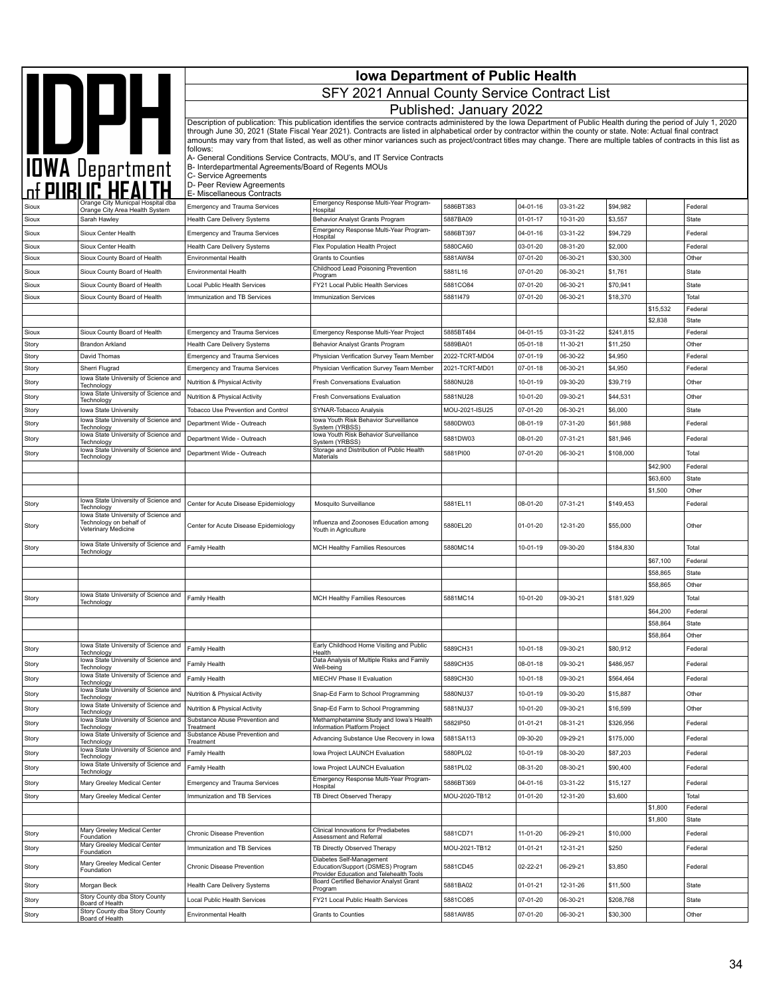|                |                                                              | <b>Iowa Department of Public Health</b>                           |                                                                                                                                                                                                                                                                                                                                            |                           |                            |                      |                     |          |                    |
|----------------|--------------------------------------------------------------|-------------------------------------------------------------------|--------------------------------------------------------------------------------------------------------------------------------------------------------------------------------------------------------------------------------------------------------------------------------------------------------------------------------------------|---------------------------|----------------------------|----------------------|---------------------|----------|--------------------|
|                |                                                              |                                                                   | SFY 2021 Annual County Service Contract List                                                                                                                                                                                                                                                                                               |                           |                            |                      |                     |          |                    |
|                |                                                              |                                                                   |                                                                                                                                                                                                                                                                                                                                            | Published: January 2022   |                            |                      |                     |          |                    |
|                |                                                              |                                                                   | Description of publication: This publication identifies the service contracts administered by the Iowa Department of Public Health during the period of July 1, 2020                                                                                                                                                                       |                           |                            |                      |                     |          |                    |
|                | IDWA Department                                              |                                                                   | through June 30, 2021 (State Fiscal Year 2021). Contracts are listed in alphabetical order by contractor within the county or state. Note: Actual final contract<br>amounts may vary from that listed, as well as other minor variances such as project/contract titles may change. There are multiple tables of contracts in this list as |                           |                            |                      |                     |          |                    |
|                |                                                              | follows:<br>B- Interdepartmental Agreements/Board of Regents MOUs | A- General Conditions Service Contracts, MOU's, and IT Service Contracts                                                                                                                                                                                                                                                                   |                           |                            |                      |                     |          |                    |
|                |                                                              | C- Service Agreements<br>D- Peer Review Agreements                |                                                                                                                                                                                                                                                                                                                                            |                           |                            |                      |                     |          |                    |
|                | Orange City Municpal Hospital dba                            | E- Miscellaneous Contracts                                        | Emergency Response Multi-Year Program-                                                                                                                                                                                                                                                                                                     |                           |                            |                      |                     |          |                    |
| Sioux          | Orange City Area Health System                               | <b>Emergency and Trauma Services</b>                              | Hospital                                                                                                                                                                                                                                                                                                                                   | 5886BT383                 | 04-01-16                   | 03-31-22             | \$94,982            |          | Federal            |
| Sioux          | Sarah Hawley                                                 | Health Care Delivery Systems                                      | Behavior Analyst Grants Program<br>Emergency Response Multi-Year Program-                                                                                                                                                                                                                                                                  | 5887BA09                  | $01 - 01 - 17$             | 10-31-20             | \$3,557             |          | State              |
| Sioux          | Sioux Center Health                                          | <b>Emergency and Trauma Services</b>                              | Hospital                                                                                                                                                                                                                                                                                                                                   | 5886BT397                 | 04-01-16                   | 03-31-22             | \$94,729            |          | Federal            |
| Sioux<br>Sioux | Sioux Center Health<br>Sioux County Board of Health          | Health Care Delivery Systems<br><b>Environmental Health</b>       | Flex Population Health Project<br>Grants to Counties                                                                                                                                                                                                                                                                                       | 5880CA60<br>5881AW84      | 03-01-20<br>07-01-20       | 08-31-20<br>06-30-21 | \$2,000<br>\$30,300 |          | Federal<br>Other   |
|                |                                                              |                                                                   | Childhood Lead Poisoning Prevention                                                                                                                                                                                                                                                                                                        |                           | 07-01-20                   | 06-30-21             | \$1,761             |          |                    |
| Sioux<br>Sioux | Sioux County Board of Health<br>Sioux County Board of Health | Environmental Health<br>Local Public Health Services              | Program<br>FY21 Local Public Health Services                                                                                                                                                                                                                                                                                               | 5881L16<br>5881CO84       | 07-01-20                   | 06-30-21             | \$70,941            |          | State<br>State     |
| Sioux          | Sioux County Board of Health                                 | Immunization and TB Services                                      | <b>Immunization Services</b>                                                                                                                                                                                                                                                                                                               | 58811479                  | 07-01-20                   | 06-30-21             | \$18,370            |          | Total              |
|                |                                                              |                                                                   |                                                                                                                                                                                                                                                                                                                                            |                           |                            |                      |                     | \$15,532 | Federal            |
|                |                                                              |                                                                   |                                                                                                                                                                                                                                                                                                                                            |                           |                            |                      |                     | \$2,838  | State              |
| Sioux          | Sioux County Board of Health                                 | <b>Emergency and Trauma Services</b>                              | Emergency Response Multi-Year Project                                                                                                                                                                                                                                                                                                      | 5885BT484                 | $04 - 01 - 15$             | 03-31-22             | \$241,815           |          | Federal            |
| Story          | <b>Brandon Arkland</b>                                       | <b>Health Care Delivery Systems</b>                               | Behavior Analyst Grants Program                                                                                                                                                                                                                                                                                                            | 5889BA01                  | $05 - 01 - 18$             | 11-30-21             | \$11,250            |          | Other              |
| Story          | David Thomas                                                 | <b>Emergency and Trauma Services</b>                              | Physician Verification Survey Team Member                                                                                                                                                                                                                                                                                                  | 2022-TCRT-MD04            | 07-01-19                   | 06-30-22             | \$4,950             |          | Federal            |
| Story          | Sherri Flugrad                                               | <b>Emergency and Trauma Services</b>                              | Physician Verification Survey Team Member                                                                                                                                                                                                                                                                                                  | 2021-TCRT-MD01            | 07-01-18                   | 06-30-21             | \$4,950             |          | Federal            |
| Story          | lowa State University of Science and<br>Technology           | Nutrition & Physical Activity                                     | Fresh Conversations Evaluation                                                                                                                                                                                                                                                                                                             | 5880NU28                  | 10-01-19                   | 09-30-20             | \$39,719            |          | Other              |
| Story          | Iowa State University of Science and<br>Technology           | Nutrition & Physical Activity                                     | Fresh Conversations Evaluation                                                                                                                                                                                                                                                                                                             | 5881NU28                  | 10-01-20                   | 09-30-21             | \$44,531            |          | Other              |
| Story          | Iowa State University                                        | Tobacco Use Prevention and Control                                | SYNAR-Tobacco Analysis                                                                                                                                                                                                                                                                                                                     | MOU-2021-ISU25            | 07-01-20                   | 06-30-21             | \$6,000             |          | State              |
| Story          | Iowa State University of Science and<br>Technology           | Department Wide - Outreach                                        | lowa Youth Risk Behavior Surveillance<br>System (YRBSS)                                                                                                                                                                                                                                                                                    | 5880DW03                  | 08-01-19                   | 07-31-20             | \$61,988            |          | Federal            |
| Story          | lowa State University of Science and<br>Technology           | Department Wide - Outreach                                        | Iowa Youth Risk Behavior Surveillance<br>System (YRBSS)                                                                                                                                                                                                                                                                                    | 5881DW03                  | 08-01-20                   | 07-31-21             | \$81,946            |          | Federal            |
| Story          | lowa State University of Science and<br>Technology           | Department Wide - Outreach                                        | Storage and Distribution of Public Health<br>Materials                                                                                                                                                                                                                                                                                     | 5881PI00                  | 07-01-20                   | 06-30-21             | \$108,000           |          | Total              |
|                |                                                              |                                                                   |                                                                                                                                                                                                                                                                                                                                            |                           |                            |                      |                     | \$42,900 | Federal            |
|                |                                                              |                                                                   |                                                                                                                                                                                                                                                                                                                                            |                           |                            |                      |                     | \$63,600 | <b>State</b>       |
|                | Iowa State University of Science and                         |                                                                   |                                                                                                                                                                                                                                                                                                                                            |                           |                            |                      |                     | \$1,500  | Other              |
| Story          | Technology<br>lowa State University of Science and           | Center for Acute Disease Epidemiology                             | Mosquito Surveillance                                                                                                                                                                                                                                                                                                                      | 5881EL11                  | 08-01-20                   | 07-31-21             | \$149,453           |          | Federal            |
| Story          | Technology on behalf of<br>Veterinary Medicine               | Center for Acute Disease Epidemiology                             | Influenza and Zoonoses Education among<br>Youth in Agriculture                                                                                                                                                                                                                                                                             | 5880EL20                  | 01-01-20                   | 12-31-20             | \$55,000            |          | Other              |
| Story          | lowa State University of Science and<br>Technology           | Family Health                                                     | MCH Healthy Families Resources                                                                                                                                                                                                                                                                                                             | 5880MC14                  | 10-01-19                   | 09-30-20             | \$184,830           |          | Total              |
|                |                                                              |                                                                   |                                                                                                                                                                                                                                                                                                                                            |                           |                            |                      |                     | \$67,100 | Federal            |
|                |                                                              |                                                                   |                                                                                                                                                                                                                                                                                                                                            |                           |                            |                      |                     | \$58,865 | <b>State</b>       |
|                |                                                              |                                                                   |                                                                                                                                                                                                                                                                                                                                            |                           |                            |                      |                     | \$58,865 | Other              |
| Story          | lowa State University of Science and<br>Technology           | Family Health                                                     | <b>MCH Healthy Families Resources</b>                                                                                                                                                                                                                                                                                                      | 5881MC14                  | 10-01-20                   | 09-30-21             | \$181,929           |          | Total              |
|                |                                                              |                                                                   |                                                                                                                                                                                                                                                                                                                                            |                           |                            |                      |                     | \$64,200 | Federal            |
|                |                                                              |                                                                   |                                                                                                                                                                                                                                                                                                                                            |                           |                            |                      |                     | \$58,864 | State              |
|                | lowa State University of Science and                         |                                                                   |                                                                                                                                                                                                                                                                                                                                            |                           |                            |                      |                     | \$58,864 | Other              |
| Story          | Technology                                                   | Family Health                                                     | Early Childhood Home Visiting and Public<br>Health                                                                                                                                                                                                                                                                                         | 5889CH31                  | $10 - 01 - 18$             | 09-30-21             | \$80,912            |          | Federal            |
| Story          | lowa State University of Science and<br>Technology           | Family Health                                                     | Data Analysis of Multiple Risks and Family<br>Well-being                                                                                                                                                                                                                                                                                   | 5889CH35                  | 08-01-18                   | 09-30-21             | \$486,957           |          | Federal            |
| Story          | lowa State University of Science and<br>Technology           | Family Health                                                     | <b>MIECHV Phase II Evaluation</b>                                                                                                                                                                                                                                                                                                          | 5889CH30                  | 10-01-18                   | 09-30-21             | \$564,464           |          | Federal            |
| Story          | lowa State University of Science and<br>Technology           | Nutrition & Physical Activity                                     | Snap-Ed Farm to School Programming                                                                                                                                                                                                                                                                                                         | 5880NU37                  | 10-01-19                   | 09-30-20             | \$15,887            |          | Other              |
| Story          | lowa State University of Science and                         | Nutrition & Physical Activity                                     | Snap-Ed Farm to School Programming                                                                                                                                                                                                                                                                                                         | 5881NU37                  | 10-01-20                   | 09-30-21             | \$16,599            |          | Other              |
| Story          | Technology<br>lowa State University of Science and           | Substance Abuse Prevention and                                    | Methamphetamine Study and Iowa's Health                                                                                                                                                                                                                                                                                                    | 5882IP50                  | $01 - 01 - 21$             | 08-31-21             | \$326,956           |          | Federal            |
| Story          | Technology<br>Iowa State University of Science and           | Treatment<br>Substance Abuse Prevention and                       | Information Platform Project<br>Advancing Substance Use Recovery in Iowa                                                                                                                                                                                                                                                                   | 5881SA113                 | 09-30-20                   | 09-29-21             | \$175,000           |          | Federal            |
|                | Technology<br>Iowa State University of Science and           | Treatment                                                         |                                                                                                                                                                                                                                                                                                                                            |                           |                            |                      |                     |          |                    |
| Story          | Technology<br>lowa State University of Science and           | Family Health                                                     | Iowa Project LAUNCH Evaluation                                                                                                                                                                                                                                                                                                             | 5880PL02                  | 10-01-19                   | 08-30-20             | \$87,203            |          | Federal            |
| Story          | Technoloav                                                   | Family Health                                                     | Iowa Project LAUNCH Evaluation                                                                                                                                                                                                                                                                                                             | 5881PL02                  | 08-31-20                   | 08-30-21             | \$90,400            |          | Federal            |
| Story          | Mary Greeley Medical Center                                  | <b>Emergency and Trauma Services</b>                              | Emergency Response Multi-Year Program-<br>Hospital                                                                                                                                                                                                                                                                                         | 5886BT369                 | 04-01-16                   | 03-31-22             | \$15,127            |          | Federal            |
| Story          | Mary Greeley Medical Center                                  | Immunization and TB Services                                      | TB Direct Observed Therapy                                                                                                                                                                                                                                                                                                                 | MOU-2020-TB12             | 01-01-20                   | 12-31-20             | \$3,600             |          | Total              |
|                |                                                              |                                                                   |                                                                                                                                                                                                                                                                                                                                            |                           |                            |                      |                     | \$1,800  | Federal            |
|                | Mary Greeley Medical Center                                  |                                                                   | Clinical Innovations for Prediabetes                                                                                                                                                                                                                                                                                                       |                           |                            |                      |                     | \$1,800  | State              |
| Story<br>Story | Foundation<br>Mary Greeley Medical Center                    | Chronic Disease Prevention<br>Immunization and TB Services        | Assessment and Referral<br>TB Directly Observed Therapy                                                                                                                                                                                                                                                                                    | 5881CD71<br>MOU-2021-TB12 | 11-01-20<br>$01 - 01 - 21$ | 06-29-21<br>12-31-21 | \$10,000<br>\$250   |          | Federal<br>Federal |
| Story          | Foundation<br>Mary Greeley Medical Center                    | Chronic Disease Prevention                                        | Diabetes Self-Management<br>Education/Support (DSMES) Program                                                                                                                                                                                                                                                                              | 5881CD45                  | 02-22-21                   | 06-29-21             | \$3,850             |          | Federal            |
| Story          | Foundation<br>Morgan Beck                                    | Health Care Delivery Systems                                      | Provider Education and Telehealth Tools<br>Board Certified Behavior Analyst Grant                                                                                                                                                                                                                                                          | 5881BA02                  | $01 - 01 - 21$             | 12-31-26             | \$11,500            |          | State              |
| Story          | Story County dba Story County                                | Local Public Health Services                                      | Program<br>FY21 Local Public Health Services                                                                                                                                                                                                                                                                                               | 5881CO85                  | 07-01-20                   | 06-30-21             | \$208,768           |          | State              |
|                | Board of Health<br>Story County dba Story County             |                                                                   |                                                                                                                                                                                                                                                                                                                                            |                           |                            |                      |                     |          |                    |
| Story          | Board of Health                                              | Environmental Health                                              | <b>Grants to Counties</b>                                                                                                                                                                                                                                                                                                                  | 5881AW85                  | 07-01-20                   | 06-30-21             | \$30,300            |          | Other              |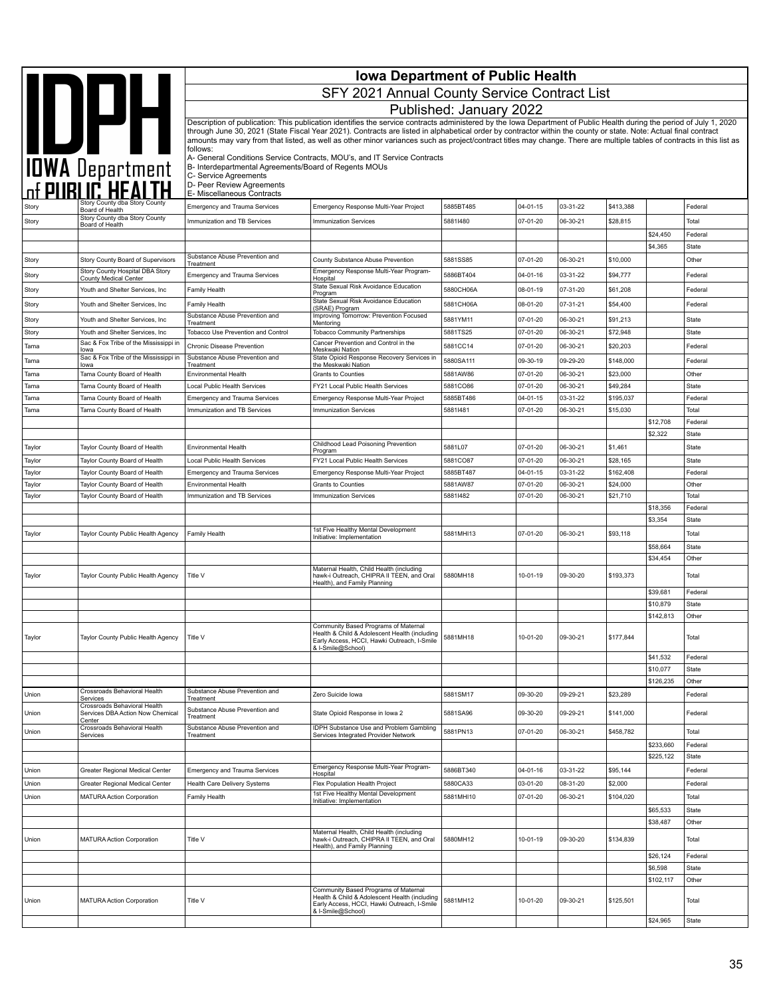|                |                                                                            |                                                                               | <b>Iowa Department of Public Health</b>                                                                                                                                                                                                                                                                                                    |                         |                |          |           |                        |                       |
|----------------|----------------------------------------------------------------------------|-------------------------------------------------------------------------------|--------------------------------------------------------------------------------------------------------------------------------------------------------------------------------------------------------------------------------------------------------------------------------------------------------------------------------------------|-------------------------|----------------|----------|-----------|------------------------|-----------------------|
|                |                                                                            |                                                                               | SFY 2021 Annual County Service Contract List                                                                                                                                                                                                                                                                                               |                         |                |          |           |                        |                       |
|                |                                                                            |                                                                               |                                                                                                                                                                                                                                                                                                                                            |                         |                |          |           |                        |                       |
|                |                                                                            |                                                                               | Description of publication: This publication identifies the service contracts administered by the Iowa Department of Public Health during the period of July 1, 2020                                                                                                                                                                       | Published: January 2022 |                |          |           |                        |                       |
|                | <b>IDPH</b>                                                                |                                                                               | through June 30, 2021 (State Fiscal Year 2021). Contracts are listed in alphabetical order by contractor within the county or state. Note: Actual final contract<br>amounts may vary from that listed, as well as other minor variances such as project/contract titles may change. There are multiple tables of contracts in this list as |                         |                |          |           |                        |                       |
|                |                                                                            | follows:<br>B- Interdepartmental Agreements/Board of Regents MOUs             | A- General Conditions Service Contracts, MOU's, and IT Service Contracts                                                                                                                                                                                                                                                                   |                         |                |          |           |                        |                       |
|                | <b>TOWA Department</b>                                                     | C- Service Agreements<br>D- Peer Review Agreements                            |                                                                                                                                                                                                                                                                                                                                            |                         |                |          |           |                        |                       |
|                | Story County dba Story County                                              | E- Miscellaneous Contracts                                                    |                                                                                                                                                                                                                                                                                                                                            |                         |                | 03-31-22 |           |                        |                       |
| Story          | Board of Health<br>Story County dba Story County                           | <b>Emergency and Trauma Services</b>                                          | Emergency Response Multi-Year Project                                                                                                                                                                                                                                                                                                      | 5885BT485               | 04-01-15       |          | \$413,388 |                        | Federal               |
| Story          | Board of Health                                                            | Immunization and TB Services                                                  | <b>Immunization Services</b>                                                                                                                                                                                                                                                                                                               | 58811480                | 07-01-20       | 06-30-21 | \$28,815  | \$24,450               | Total<br>Federal      |
|                |                                                                            |                                                                               |                                                                                                                                                                                                                                                                                                                                            |                         |                |          |           | \$4,365                | State                 |
| Story          | Story County Board of Supervisors                                          | Substance Abuse Prevention and<br>Treatment                                   | County Substance Abuse Prevention                                                                                                                                                                                                                                                                                                          | 5881SS85                | 07-01-20       | 06-30-21 | \$10,000  |                        | Other                 |
| Story          | Story County Hospital DBA Story<br>County Medical Center                   | <b>Emergency and Trauma Services</b>                                          | Emergency Response Multi-Year Program-<br>Hospital                                                                                                                                                                                                                                                                                         | 5886BT404               | 04-01-16       | 03-31-22 | \$94,777  |                        | Federal               |
| Story          | Youth and Shelter Services, Inc                                            | Family Health                                                                 | State Sexual Risk Avoidance Education                                                                                                                                                                                                                                                                                                      | 5880CH06A               | 08-01-19       | 07-31-20 | \$61,208  |                        | Federal               |
| Story          | Youth and Shelter Services, Inc                                            | Family Health                                                                 | Program<br>State Sexual Risk Avoidance Education                                                                                                                                                                                                                                                                                           | 5881CH06A               | 08-01-20       | 07-31-21 | \$54,400  |                        | Federal               |
| Story          | Youth and Shelter Services, Inc                                            | Substance Abuse Prevention and                                                | (SRAE) Program<br>Improving Tomorrow: Prevention Focused                                                                                                                                                                                                                                                                                   | 5881YM11                | 07-01-20       | 06-30-21 | \$91,213  |                        | State                 |
| Story          | Youth and Shelter Services, Inc.                                           | Treatment<br>Tobacco Use Prevention and Control                               | Mentoring<br><b>Tobacco Community Partnerships</b>                                                                                                                                                                                                                                                                                         | 5881TS25                | 07-01-20       | 06-30-21 | \$72,948  |                        | State                 |
| Tama           | Sac & Fox Tribe of the Mississippi in<br>lowa                              | Chronic Disease Prevention                                                    | Cancer Prevention and Control in the<br>Meskwaki Nation                                                                                                                                                                                                                                                                                    | 5881CC14                | 07-01-20       | 06-30-21 | \$20,203  |                        | Federal               |
| Tama           | Sac & Fox Tribe of the Mississippi in<br>lowa                              | Substance Abuse Prevention and<br>Treatment                                   | State Opioid Response Recovery Services in<br>the Meskwaki Nation                                                                                                                                                                                                                                                                          | 5880SA111               | 09-30-19       | 09-29-20 | \$148,000 |                        | Federal               |
| Tama           | Tama County Board of Health                                                | Environmental Health                                                          | <b>Grants to Counties</b>                                                                                                                                                                                                                                                                                                                  | 5881AW86                | 07-01-20       | 06-30-21 | \$23,000  |                        | Other                 |
| Tama           | Tama County Board of Health                                                | <b>Local Public Health Services</b>                                           | FY21 Local Public Health Services                                                                                                                                                                                                                                                                                                          | 5881CO86                | 07-01-20       | 06-30-21 | \$49,284  |                        | State                 |
| Tama           | Tama County Board of Health                                                | <b>Emergency and Trauma Services</b>                                          | Emergency Response Multi-Year Project                                                                                                                                                                                                                                                                                                      | 5885BT486               | 04-01-15       | 03-31-22 | \$195,037 |                        | Federal               |
| Tama           | Tama County Board of Health                                                | Immunization and TB Services                                                  | <b>Immunization Services</b>                                                                                                                                                                                                                                                                                                               | 58811481                | 07-01-20       | 06-30-21 | \$15,030  | \$12,708               | Total                 |
|                |                                                                            |                                                                               |                                                                                                                                                                                                                                                                                                                                            |                         |                |          |           | \$2,322                | Federal<br>State      |
| Taylor         | Taylor County Board of Health                                              | Environmental Health                                                          | Childhood Lead Poisoning Prevention                                                                                                                                                                                                                                                                                                        | 5881L07                 | 07-01-20       | 06-30-21 | \$1,461   |                        | State                 |
| Taylor         | Taylor County Board of Health                                              | Local Public Health Services                                                  | Program<br>FY21 Local Public Health Services                                                                                                                                                                                                                                                                                               | 5881CO87                | 07-01-20       | 06-30-21 | \$28,165  |                        | State                 |
| Taylor         | Taylor County Board of Health                                              | <b>Emergency and Trauma Services</b>                                          | Emergency Response Multi-Year Project                                                                                                                                                                                                                                                                                                      | 5885BT487               | $04 - 01 - 15$ | 03-31-22 | \$162,408 |                        | Federal               |
| Taylor         | Taylor County Board of Health                                              | Environmental Health                                                          | <b>Grants to Counties</b>                                                                                                                                                                                                                                                                                                                  | 5881AW87                | 07-01-20       | 06-30-21 | \$24,000  |                        | Other                 |
| Taylor         | Taylor County Board of Health                                              | Immunization and TB Services                                                  | <b>Immunization Services</b>                                                                                                                                                                                                                                                                                                               | 58811482                | 07-01-20       | 06-30-21 | \$21,710  |                        | Total                 |
|                |                                                                            |                                                                               |                                                                                                                                                                                                                                                                                                                                            |                         |                |          |           | \$18,356               | Federal               |
|                |                                                                            |                                                                               | 1st Five Healthy Mental Development                                                                                                                                                                                                                                                                                                        |                         |                |          |           | \$3,354                | State                 |
| Taylor         | Taylor County Public Health Agency                                         | Family Health                                                                 | Initiative: Implementation                                                                                                                                                                                                                                                                                                                 | 5881MHI13               | 07-01-20       | 06-30-21 | \$93,118  |                        | Total                 |
|                |                                                                            |                                                                               |                                                                                                                                                                                                                                                                                                                                            |                         |                |          |           | \$58,664<br>\$34,454   | <b>State</b><br>Other |
|                |                                                                            |                                                                               | Maternal Health, Child Health (including                                                                                                                                                                                                                                                                                                   |                         |                |          |           |                        |                       |
| Taylor         | Taylor County Public Health Agency                                         | Title V                                                                       | hawk-i Outreach, CHIPRA II TEEN, and Oral<br>Health), and Family Planning                                                                                                                                                                                                                                                                  | 5880MH18                | 10-01-19       | 09-30-20 | \$193,373 |                        | Total                 |
|                |                                                                            |                                                                               |                                                                                                                                                                                                                                                                                                                                            |                         |                |          |           | \$39,681               | Federal               |
|                |                                                                            |                                                                               |                                                                                                                                                                                                                                                                                                                                            |                         |                |          |           | \$10,879               | State                 |
|                |                                                                            |                                                                               | Community Based Programs of Maternal                                                                                                                                                                                                                                                                                                       |                         |                |          |           | \$142,813              | Other                 |
| Taylor         | Taylor County Public Health Agency                                         | Title V                                                                       | Health & Child & Adolescent Health (including<br>Early Access, HCCI, Hawki Outreach, I-Smile<br>& I-Smile@School)                                                                                                                                                                                                                          | 5881MH18                | 10-01-20       | 09-30-21 | \$177,844 |                        | Total                 |
|                |                                                                            |                                                                               |                                                                                                                                                                                                                                                                                                                                            |                         |                |          |           | \$41,532               | Federal               |
|                |                                                                            |                                                                               |                                                                                                                                                                                                                                                                                                                                            |                         |                |          |           | \$10,077               | State                 |
| Union          | Crossroads Behavioral Health                                               | Substance Abuse Prevention and                                                | Zero Suicide Iowa                                                                                                                                                                                                                                                                                                                          | 5881SM17                | 09-30-20       | 09-29-21 | \$23,289  | \$126,235              | Other<br>Federal      |
|                | Services<br>Crossroads Behavioral Health                                   | Treatment                                                                     |                                                                                                                                                                                                                                                                                                                                            |                         |                |          |           |                        |                       |
| Union          | Services DBA Action Now Chemical<br>Center<br>Crossroads Behavioral Health | Substance Abuse Prevention and<br>Treatment<br>Substance Abuse Prevention and | State Opioid Response in Iowa 2<br>IDPH Substance Use and Problem Gambling                                                                                                                                                                                                                                                                 | 5881SA96                | 09-30-20       | 09-29-21 | \$141,000 |                        | Federal               |
| Union          | Services                                                                   | Treatment                                                                     | Services Integrated Provider Network                                                                                                                                                                                                                                                                                                       | 5881PN13                | 07-01-20       | 06-30-21 | \$458,782 |                        | Total                 |
|                |                                                                            |                                                                               |                                                                                                                                                                                                                                                                                                                                            |                         |                |          |           | \$233,660<br>\$225,122 | Federal<br>State      |
|                |                                                                            |                                                                               | Emergency Response Multi-Year Program-                                                                                                                                                                                                                                                                                                     | 5886BT340               | 04-01-16       | 03-31-22 | \$95,144  |                        |                       |
| Union<br>Union | Greater Regional Medical Center<br>Greater Regional Medical Center         | Emergency and Trauma Services<br>Health Care Delivery Systems                 | Hospital<br>Flex Population Health Project                                                                                                                                                                                                                                                                                                 | 5880CA33                | 03-01-20       | 08-31-20 | \$2,000   |                        | Federal<br>Federal    |
| Union          | <b>MATURA Action Corporation</b>                                           | Family Health                                                                 | 1st Five Healthy Mental Development                                                                                                                                                                                                                                                                                                        | 5881MHI10               | 07-01-20       | 06-30-21 | \$104,020 |                        | Total                 |
|                |                                                                            |                                                                               | Initiative: Implementation                                                                                                                                                                                                                                                                                                                 |                         |                |          |           | \$65,533               | State                 |
|                |                                                                            |                                                                               |                                                                                                                                                                                                                                                                                                                                            |                         |                |          |           | \$38,487               | Other                 |
| Union          | MATURA Action Corporation                                                  | Title V                                                                       | Maternal Health, Child Health (including<br>hawk-i Outreach, CHIPRA II TEEN, and Oral                                                                                                                                                                                                                                                      | 5880MH12                | 10-01-19       | 09-30-20 | \$134,839 |                        | Total                 |
|                |                                                                            |                                                                               | Health), and Family Planning                                                                                                                                                                                                                                                                                                               |                         |                |          |           | \$26,124               | Federal               |
|                |                                                                            |                                                                               |                                                                                                                                                                                                                                                                                                                                            |                         |                |          |           | \$6,598                | <b>State</b>          |
|                |                                                                            |                                                                               |                                                                                                                                                                                                                                                                                                                                            |                         |                |          |           | \$102,117              | Other                 |
| Union          | <b>MATURA Action Corporation</b>                                           | Title V                                                                       | Community Based Programs of Maternal<br>Health & Child & Adolescent Health (including<br>Early Access, HCCI, Hawki Outreach, I-Smile                                                                                                                                                                                                       | 5881MH12                | 10-01-20       | 09-30-21 | \$125,501 |                        | Total                 |
|                |                                                                            |                                                                               | & I-Smile@School)                                                                                                                                                                                                                                                                                                                          |                         |                |          |           | \$24,965               | State                 |
|                |                                                                            |                                                                               |                                                                                                                                                                                                                                                                                                                                            |                         |                |          |           |                        |                       |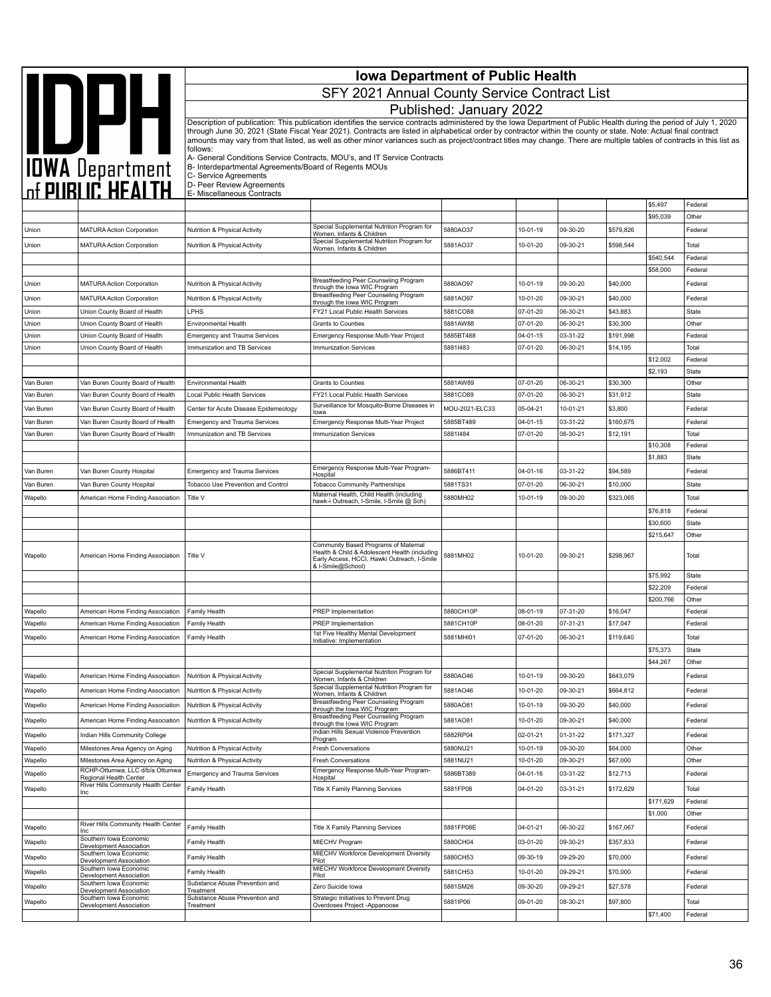|                        |                                                                              | <b>Iowa Department of Public Health</b>                                    |                                                                                                                                                                                                                                                                                                                                            |                         |                      |                      |                      |                     |                         |  |
|------------------------|------------------------------------------------------------------------------|----------------------------------------------------------------------------|--------------------------------------------------------------------------------------------------------------------------------------------------------------------------------------------------------------------------------------------------------------------------------------------------------------------------------------------|-------------------------|----------------------|----------------------|----------------------|---------------------|-------------------------|--|
|                        | <b>AND DATE</b><br>TOWA Department<br>The PUBLIC HEALTH                      |                                                                            | SFY 2021 Annual County Service Contract List                                                                                                                                                                                                                                                                                               |                         |                      |                      |                      |                     |                         |  |
|                        |                                                                              |                                                                            |                                                                                                                                                                                                                                                                                                                                            | Published: January 2022 |                      |                      |                      |                     |                         |  |
|                        |                                                                              |                                                                            | Description of publication: This publication identifies the service contracts administered by the Iowa Department of Public Health during the period of July 1, 2020                                                                                                                                                                       |                         |                      |                      |                      |                     |                         |  |
|                        |                                                                              |                                                                            | through June 30, 2021 (State Fiscal Year 2021). Contracts are listed in alphabetical order by contractor within the county or state. Note: Actual final contract<br>amounts may vary from that listed, as well as other minor variances such as project/contract titles may change. There are multiple tables of contracts in this list as |                         |                      |                      |                      |                     |                         |  |
|                        |                                                                              | follows:                                                                   |                                                                                                                                                                                                                                                                                                                                            |                         |                      |                      |                      |                     |                         |  |
|                        |                                                                              | B- Interdepartmental Agreements/Board of Regents MOUs                      | A- General Conditions Service Contracts, MOU's, and IT Service Contracts                                                                                                                                                                                                                                                                   |                         |                      |                      |                      |                     |                         |  |
|                        |                                                                              | C- Service Agreements<br>D- Peer Review Agreements                         |                                                                                                                                                                                                                                                                                                                                            |                         |                      |                      |                      |                     |                         |  |
|                        |                                                                              | E- Miscellaneous Contracts                                                 |                                                                                                                                                                                                                                                                                                                                            |                         |                      |                      |                      |                     |                         |  |
|                        |                                                                              |                                                                            |                                                                                                                                                                                                                                                                                                                                            |                         |                      |                      |                      | \$5,497<br>\$95,039 | Federal<br>Other        |  |
| Union                  | <b>MATURA Action Corporation</b>                                             | Nutrition & Physical Activity                                              | Special Supplemental Nutrition Program for<br>Women, Infants & Children                                                                                                                                                                                                                                                                    | 5880AO37                | 10-01-19             | 09-30-20             | \$579,826            |                     | Federal                 |  |
| Union                  | <b>MATURA Action Corporation</b>                                             | Nutrition & Physical Activity                                              | Special Supplemental Nutrition Program for<br>Women, Infants & Children                                                                                                                                                                                                                                                                    | 5881AO37                | 10-01-20             | 09-30-21             | \$598,544            |                     | Total                   |  |
|                        |                                                                              |                                                                            |                                                                                                                                                                                                                                                                                                                                            |                         |                      |                      |                      | \$540,544           | Federal                 |  |
|                        |                                                                              |                                                                            |                                                                                                                                                                                                                                                                                                                                            |                         |                      |                      |                      | \$58,000            | Federal                 |  |
| Union                  | <b>MATURA Action Corporation</b>                                             | Nutrition & Physical Activity                                              | Breastfeeding Peer Counseling Program<br>through the lowa WIC Program                                                                                                                                                                                                                                                                      | 5880AO97                | 10-01-19             | 09-30-20             | \$40,000             |                     | Federal                 |  |
| Union                  | <b>MATURA Action Corporation</b>                                             | Nutrition & Physical Activity                                              | Breastfeeding Peer Counseling Program<br>through the lowa WIC Program                                                                                                                                                                                                                                                                      | 5881AO97                | 10-01-20             | 09-30-21             | \$40,000             |                     | Federal                 |  |
| Union<br>Union         | Union County Board of Health<br>Union County Board of Health                 | <b>LPHS</b><br>Environmental Health                                        | FY21 Local Public Health Services<br>Grants to Counties                                                                                                                                                                                                                                                                                    | 5881CO88<br>5881AW88    | 07-01-20<br>07-01-20 | 06-30-21<br>06-30-21 | \$43,883<br>\$30,300 |                     | <b>State</b><br>Other   |  |
| Union                  | Union County Board of Health                                                 | <b>Emergency and Trauma Services</b>                                       | Emergency Response Multi-Year Project                                                                                                                                                                                                                                                                                                      | 5885BT488               | 04-01-15             | 03-31-22             | \$191,998            |                     | Federal                 |  |
| Union                  | Union County Board of Health                                                 | Immunization and TB Services                                               | <b>Immunization Services</b>                                                                                                                                                                                                                                                                                                               | 58811483                | 07-01-20             | 06-30-21             | \$14,195             |                     | Total                   |  |
|                        |                                                                              |                                                                            |                                                                                                                                                                                                                                                                                                                                            |                         |                      |                      |                      | \$12,002            | Federal                 |  |
|                        | Van Buren County Board of Health                                             |                                                                            | Grants to Counties                                                                                                                                                                                                                                                                                                                         | 5881AW89                | 07-01-20             | 06-30-21             | \$30,300             | \$2,193             | State<br>Other          |  |
| Van Buren<br>Van Buren | Van Buren County Board of Health                                             | Environmental Health<br>Local Public Health Services                       | FY21 Local Public Health Services                                                                                                                                                                                                                                                                                                          | 5881CO89                | 07-01-20             | 06-30-21             | \$31,912             |                     | State                   |  |
| Van Buren              | Van Buren County Board of Health                                             | Center for Acute Disease Epidemeology                                      | Surveillance for Mosquito-Borne Diseases in                                                                                                                                                                                                                                                                                                | MOU-2021-ELC33          | 05-04-21             | 10-01-21             | \$3,800              |                     | Federal                 |  |
| Van Buren              | Van Buren County Board of Health                                             | <b>Emergency and Trauma Services</b>                                       | lowa<br>Emergency Response Multi-Year Project                                                                                                                                                                                                                                                                                              | 5885BT489               | 04-01-15             | 03-31-22             | \$160,675            |                     | Federal                 |  |
| Van Buren              | Van Buren County Board of Health                                             | Immunization and TB Services                                               | <b>Immunization Services</b>                                                                                                                                                                                                                                                                                                               | 58811484                | 07-01-20             | 06-30-21             | \$12,191             |                     | Total                   |  |
|                        |                                                                              |                                                                            |                                                                                                                                                                                                                                                                                                                                            |                         |                      |                      |                      | \$10,308            | Federal                 |  |
|                        |                                                                              |                                                                            | Emergency Response Multi-Year Program-                                                                                                                                                                                                                                                                                                     |                         | 04-01-16             | 03-31-22             | \$94,589             | \$1,883             | <b>State</b><br>Federal |  |
| Van Buren<br>Van Buren | Van Buren County Hospital<br>Van Buren County Hospital                       | <b>Emergency and Trauma Services</b><br>Tobacco Use Prevention and Control | Hospital<br><b>Tobacco Community Partnerships</b>                                                                                                                                                                                                                                                                                          | 5886BT411<br>5881TS31   | 07-01-20             | 06-30-21             | \$10,000             |                     | <b>State</b>            |  |
| Wapello                | American Home Finding Association                                            | Title V                                                                    | Maternal Health, Child Health (including                                                                                                                                                                                                                                                                                                   | 5880MH02                | 10-01-19             | 09-30-20             | \$323,065            |                     | Total                   |  |
|                        |                                                                              |                                                                            | hawk-i Outreach, I-Smile, I-Smile @ Sch)                                                                                                                                                                                                                                                                                                   |                         |                      |                      |                      | \$76,818            | Federal                 |  |
|                        |                                                                              |                                                                            |                                                                                                                                                                                                                                                                                                                                            |                         |                      |                      |                      | \$30,600            | <b>State</b>            |  |
|                        |                                                                              |                                                                            |                                                                                                                                                                                                                                                                                                                                            |                         |                      |                      |                      | \$215,647           | Other                   |  |
| Wapello                | American Home Finding Association                                            | Title V                                                                    | Community Based Programs of Maternal<br>Health & Child & Adolescent Health (including<br>Early Access, HCCI, Hawki Outreach, I-Smile<br>& I-Smile@School)                                                                                                                                                                                  | 5881MH02                | 10-01-20             | 09-30-21             | \$298,967            |                     | Total                   |  |
|                        |                                                                              |                                                                            |                                                                                                                                                                                                                                                                                                                                            |                         |                      |                      |                      | \$75,992            | <b>State</b>            |  |
|                        |                                                                              |                                                                            |                                                                                                                                                                                                                                                                                                                                            |                         |                      |                      |                      | \$22,209            | Federal                 |  |
| Wapello                | American Home Finding Association                                            | Family Health                                                              | PREP Implementation                                                                                                                                                                                                                                                                                                                        | 5880CH10P               | 08-01-19             | 07-31-20             | \$16,047             | \$200,766           | Other<br>Federal        |  |
| Wapello                | American Home Finding Association                                            | Family Health                                                              | PREP Implementation                                                                                                                                                                                                                                                                                                                        | 5881CH10P               | 08-01-20             | 07-31-21             | \$17,047             |                     | Federal                 |  |
| Wapello                | American Home Finding Association                                            | Family Health                                                              | 1st Five Healthy Mental Development<br>Initiative: Implementation                                                                                                                                                                                                                                                                          | 5881MHI01               | 07-01-20             | 06-30-21             | \$119,640            |                     | Total                   |  |
|                        |                                                                              |                                                                            |                                                                                                                                                                                                                                                                                                                                            |                         |                      |                      |                      | \$75,373            | State                   |  |
|                        |                                                                              |                                                                            |                                                                                                                                                                                                                                                                                                                                            |                         |                      |                      |                      | \$44,267            | Other                   |  |
| Wapello                | American Home Finding Association                                            | Nutrition & Physical Activity                                              | Special Supplemental Nutrition Program for<br>Women, Infants & Children                                                                                                                                                                                                                                                                    | 5880AO46                | 10-01-19             | 09-30-20             | \$643,079            |                     | Federal                 |  |
| Wapello                | American Home Finding Association                                            | Nutrition & Physical Activity                                              | Special Supplemental Nutrition Program for<br>Women, Infants & Children                                                                                                                                                                                                                                                                    | 5881AO46                | 10-01-20             | 09-30-21             | \$664,812            |                     | Federal                 |  |
| Wapello                | American Home Finding Association                                            | Nutrition & Physical Activity                                              | Breastfeeding Peer Counseling Program<br>through the lowa WIC Program                                                                                                                                                                                                                                                                      | 5880AO81                | 10-01-19             | 09-30-20             | \$40,000             |                     | Federal                 |  |
| Wapello                | American Home Finding Association                                            | Nutrition & Physical Activity                                              | Breastfeeding Peer Counseling Program<br>through the Iowa WIC Program                                                                                                                                                                                                                                                                      | 5881AO81                | 10-01-20             | 09-30-21             | \$40,000             |                     | Federal                 |  |
| Wapello                | Indian Hills Community College                                               |                                                                            | Indian Hills Sexual Violence Prevention<br>Program                                                                                                                                                                                                                                                                                         | 5882RP04                | 02-01-21             | 01-31-22             | \$171,327            |                     | Federal                 |  |
| Wapello                | Milestones Area Agency on Aging                                              | Nutrition & Physical Activity                                              | Fresh Conversations                                                                                                                                                                                                                                                                                                                        | 5880NU21                | 10-01-19             | 09-30-20             | \$64,000             |                     | Other                   |  |
| Wapello                | Milestones Area Agency on Aging<br>RCHP-Ottumwa, LLC d/b/a Ottumwa           | Nutrition & Physical Activity<br><b>Emergency and Trauma Services</b>      | <b>Fresh Conversations</b><br>Emergency Response Multi-Year Program-                                                                                                                                                                                                                                                                       | 5881NU21<br>5886BT389   | 10-01-20<br>04-01-16 | 09-30-21<br>03-31-22 | \$67,000<br>\$12,713 |                     | Other<br>Federal        |  |
| Wapello                | Regional Health Center<br>River Hills Community Health Center                |                                                                            | Hospital                                                                                                                                                                                                                                                                                                                                   | 5881FP08                |                      |                      |                      |                     |                         |  |
| Wapello                | Inc                                                                          | Family Health                                                              | Title X Family Planning Services                                                                                                                                                                                                                                                                                                           |                         | 04-01-20             | 03-31-21             | \$172,629            | \$171,629           | Total<br>Federal        |  |
|                        |                                                                              |                                                                            |                                                                                                                                                                                                                                                                                                                                            |                         |                      |                      |                      | \$1,000             | Other                   |  |
| Wapello                | River Hills Community Health Center<br>Inc.                                  | <b>Family Health</b>                                                       | Title X Family Planning Services                                                                                                                                                                                                                                                                                                           | 5881FP08E               | 04-01-21             | 06-30-22             | \$167,067            |                     | Federal                 |  |
| Wapello                | Southern Iowa Economic<br>Development Association                            | Family Health                                                              | MIECHV Program                                                                                                                                                                                                                                                                                                                             | 5880CH04                | 03-01-20             | 09-30-21             | \$357,833            |                     | Federal                 |  |
| Wapello                | Southern Iowa Economic<br>Development Association                            | Family Health                                                              | MIECHV Workforce Development Diversity<br>Pilot                                                                                                                                                                                                                                                                                            | 5880CH53                | 09-30-19             | 09-29-20             | \$70,000             |                     | Federal                 |  |
| Wapello                | Southern Iowa Economic<br>Development Association                            | Family Health                                                              | MIECHV Workforce Development Diversity<br>Pilot                                                                                                                                                                                                                                                                                            | 5881CH53                | 10-01-20             | 09-29-21             | \$70,000             |                     | Federal                 |  |
| Wapello                | Southern Iowa Economic                                                       | Substance Abuse Prevention and                                             | Zero Suicide Iowa                                                                                                                                                                                                                                                                                                                          | 5881SM26                | 09-30-20             | 09-29-21             | \$27,578             |                     | Federal                 |  |
| Wapello                | Development Association<br>Southern Iowa Economic<br>Development Association | Treatment<br>Substance Abuse Prevention and<br>Treatment                   | Strategic Initiatives to Prevent Drug<br>Overdoses Project -Appanoose                                                                                                                                                                                                                                                                      | 5881IP06                | 09-01-20             | 08-30-21             | \$97,800             |                     | Total                   |  |
|                        |                                                                              |                                                                            |                                                                                                                                                                                                                                                                                                                                            |                         |                      |                      |                      | \$71,400            | Federal                 |  |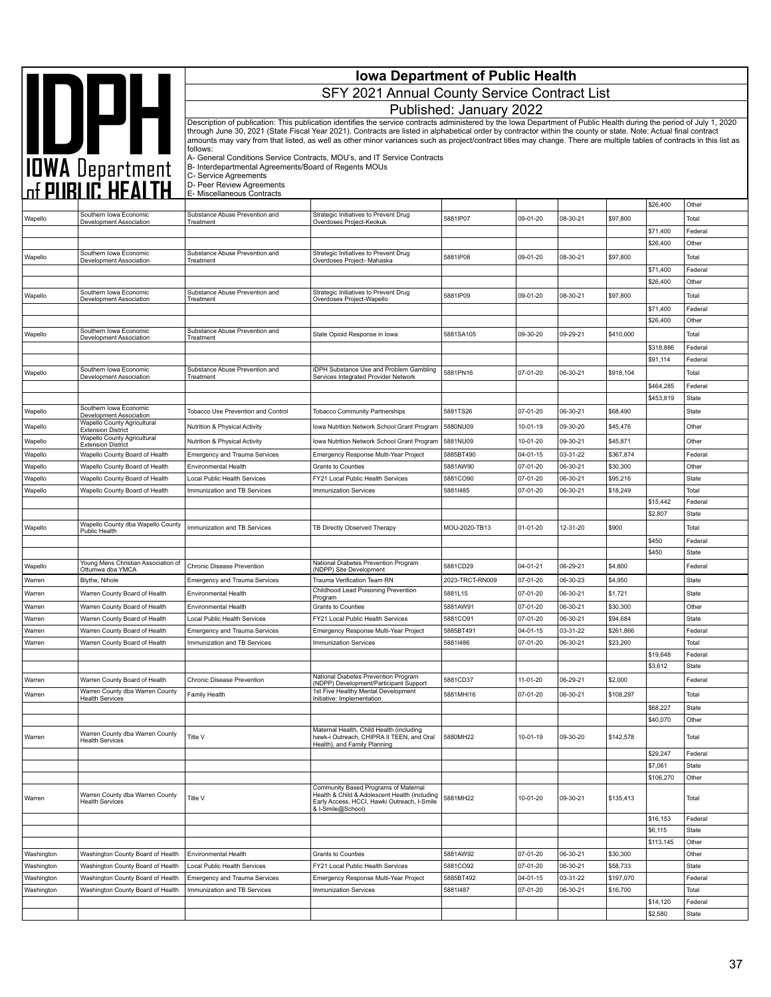|                    |                                                                                  |                                                                                                                                                                                                                                                                                                                                                        | <b>Iowa Department of Public Health</b>                                                                                                                              |                         |                            |                      |                       |                       |                       |  |  |
|--------------------|----------------------------------------------------------------------------------|--------------------------------------------------------------------------------------------------------------------------------------------------------------------------------------------------------------------------------------------------------------------------------------------------------------------------------------------------------|----------------------------------------------------------------------------------------------------------------------------------------------------------------------|-------------------------|----------------------------|----------------------|-----------------------|-----------------------|-----------------------|--|--|
|                    | <b>AND DATE</b><br>TOWA Department<br>The PUBLIC HEALTH                          | SFY 2021 Annual County Service Contract List                                                                                                                                                                                                                                                                                                           |                                                                                                                                                                      |                         |                            |                      |                       |                       |                       |  |  |
|                    |                                                                                  |                                                                                                                                                                                                                                                                                                                                                        |                                                                                                                                                                      | Published: January 2022 |                            |                      |                       |                       |                       |  |  |
|                    |                                                                                  |                                                                                                                                                                                                                                                                                                                                                        | Description of publication: This publication identifies the service contracts administered by the Iowa Department of Public Health during the period of July 1, 2020 |                         |                            |                      |                       |                       |                       |  |  |
|                    |                                                                                  | through June 30, 2021 (State Fiscal Year 2021). Contracts are listed in alphabetical order by contractor within the county or state. Note: Actual final contract<br>amounts may vary from that listed, as well as other minor variances such as project/contract titles may change. There are multiple tables of contracts in this list as<br>follows: |                                                                                                                                                                      |                         |                            |                      |                       |                       |                       |  |  |
|                    |                                                                                  | A- General Conditions Service Contracts, MOU's, and IT Service Contracts                                                                                                                                                                                                                                                                               |                                                                                                                                                                      |                         |                            |                      |                       |                       |                       |  |  |
|                    |                                                                                  | B- Interdepartmental Agreements/Board of Regents MOUs<br>C- Service Agreements                                                                                                                                                                                                                                                                         |                                                                                                                                                                      |                         |                            |                      |                       |                       |                       |  |  |
|                    |                                                                                  | D- Peer Review Agreements<br>E- Miscellaneous Contracts                                                                                                                                                                                                                                                                                                |                                                                                                                                                                      |                         |                            |                      |                       |                       |                       |  |  |
|                    | Southern Iowa Economic                                                           | Substance Abuse Prevention and                                                                                                                                                                                                                                                                                                                         | Strategic Initiatives to Prevent Drug                                                                                                                                |                         |                            |                      |                       | \$26,400              | Other                 |  |  |
| Wapello            | Development Association                                                          | Treatment                                                                                                                                                                                                                                                                                                                                              | Overdoses Project-Keokuk                                                                                                                                             | 5881IP07                | 09-01-20                   | 08-30-21             | \$97,800              | \$71,400              | Total<br>Federal      |  |  |
|                    |                                                                                  |                                                                                                                                                                                                                                                                                                                                                        |                                                                                                                                                                      |                         |                            |                      |                       | \$26,400              | Other                 |  |  |
| Wapello            | Southern Iowa Economic<br>Development Association                                | Substance Abuse Prevention and<br>Treatment                                                                                                                                                                                                                                                                                                            | Strategic Initiatives to Prevent Drug<br>Overdoses Project- Mahaska                                                                                                  | 5881IP08                | 09-01-20                   | 08-30-21             | \$97,800              |                       | Total                 |  |  |
|                    |                                                                                  |                                                                                                                                                                                                                                                                                                                                                        |                                                                                                                                                                      |                         |                            |                      |                       | \$71,400              | Federal               |  |  |
|                    | Southern Iowa Economic                                                           | Substance Abuse Prevention and                                                                                                                                                                                                                                                                                                                         | Strategic Initiatives to Prevent Drug                                                                                                                                | 5881IP09                | 09-01-20                   | 08-30-21             | \$97,800              | \$26,400              | Other<br>Total        |  |  |
| Wapello            | Development Association                                                          | Treatment                                                                                                                                                                                                                                                                                                                                              | Overdoses Project-Wapello                                                                                                                                            |                         |                            |                      |                       | \$71,400              | Federal               |  |  |
|                    |                                                                                  |                                                                                                                                                                                                                                                                                                                                                        |                                                                                                                                                                      |                         |                            |                      |                       | \$26,400              | Other                 |  |  |
| Wapello            | Southern Iowa Economic<br>Development Association                                | Substance Abuse Prevention and<br>Treatment                                                                                                                                                                                                                                                                                                            | State Opioid Response in Iowa                                                                                                                                        | 5881SA105               | 09-30-20                   | 09-29-21             | \$410,000             |                       | Total                 |  |  |
|                    |                                                                                  |                                                                                                                                                                                                                                                                                                                                                        |                                                                                                                                                                      |                         |                            |                      |                       | \$318,886<br>\$91,114 | Federal<br>Federal    |  |  |
| Wapello            | Southern Iowa Economic                                                           | Substance Abuse Prevention and                                                                                                                                                                                                                                                                                                                         | IDPH Substance Use and Problem Gambling                                                                                                                              | 5881PN16                | 07-01-20                   | 06-30-21             | \$918,104             |                       | Total                 |  |  |
|                    | Development Association                                                          | Treatment                                                                                                                                                                                                                                                                                                                                              | Services Integrated Provider Network                                                                                                                                 |                         |                            |                      |                       | \$464,285             | Federal               |  |  |
|                    |                                                                                  |                                                                                                                                                                                                                                                                                                                                                        |                                                                                                                                                                      |                         |                            |                      |                       | \$453,819             | State                 |  |  |
| Wapello            | Southern Iowa Economic<br>Development Association<br>Wapello County Agricultural | Tobacco Use Prevention and Control                                                                                                                                                                                                                                                                                                                     | <b>Tobacco Community Partnerships</b>                                                                                                                                | 5881TS26                | 07-01-20                   | 06-30-21             | \$68,490              |                       | State                 |  |  |
| Wapello            | <b>Extension District</b><br>Wapello County Agricultural                         | Nutrition & Physical Activity                                                                                                                                                                                                                                                                                                                          | Iowa Nutrition Network School Grant Program                                                                                                                          | 5880NU09                | 10-01-19                   | 09-30-20             | \$45,476              |                       | Other                 |  |  |
| Wapello<br>Wapello | <b>Extension District</b><br>Wapello County Board of Health                      | Nutrition & Physical Activity<br><b>Emergency and Trauma Services</b>                                                                                                                                                                                                                                                                                  | Iowa Nutrition Network School Grant Program<br>Emergency Response Multi-Year Project                                                                                 | 5881NU09<br>5885BT490   | 10-01-20<br>04-01-15       | 09-30-21<br>03-31-22 | \$45,871<br>\$367,874 |                       | Other<br>Federal      |  |  |
| Wapello            | Wapello County Board of Health                                                   | Environmental Health                                                                                                                                                                                                                                                                                                                                   | <b>Grants to Counties</b>                                                                                                                                            | 5881AW90                | 07-01-20                   | 06-30-21             | \$30,300              |                       | Other                 |  |  |
| Wapello            | Wapello County Board of Health                                                   | Local Public Health Services                                                                                                                                                                                                                                                                                                                           | FY21 Local Public Health Services                                                                                                                                    | 5881CO90                | 07-01-20                   | 06-30-21             | \$95,216              |                       | State                 |  |  |
| Wapello            | Wapello County Board of Health                                                   | Immunization and TB Services                                                                                                                                                                                                                                                                                                                           | <b>Immunization Services</b>                                                                                                                                         | 58811485                | 07-01-20                   | 06-30-21             | \$18,249              | \$15,442              | Total<br>Federal      |  |  |
|                    |                                                                                  |                                                                                                                                                                                                                                                                                                                                                        |                                                                                                                                                                      |                         |                            |                      |                       | \$2,807               | State                 |  |  |
| Wapello            | Wapello County dba Wapello County<br>Public Health                               | Immunization and TB Services                                                                                                                                                                                                                                                                                                                           | TB Directly Observed Therapy                                                                                                                                         | MOU-2020-TB13           | 01-01-20                   | 12-31-20             | \$900                 |                       | Total                 |  |  |
|                    |                                                                                  |                                                                                                                                                                                                                                                                                                                                                        |                                                                                                                                                                      |                         |                            |                      |                       | \$450                 | Federal               |  |  |
|                    | Young Mens Christian Association of                                              | Chronic Disease Prevention                                                                                                                                                                                                                                                                                                                             | National Diabetes Prevention Program                                                                                                                                 | 5881CD29                | 04-01-21                   | 06-29-21             | \$4,800               | \$450                 | State<br>Federal      |  |  |
| Wapello<br>Warren  | Ottumwa dba YMCA<br>Blythe, Nihole                                               | <b>Emergency and Trauma Services</b>                                                                                                                                                                                                                                                                                                                   | (NDPP) Site Development<br>Trauma Verification Team RN                                                                                                               | 2023-TRCT-RN009         | 07-01-20                   | 06-30-23             | \$4,950               |                       | State                 |  |  |
| Warren             | Warren County Board of Health                                                    | Environmental Health                                                                                                                                                                                                                                                                                                                                   | Childhood Lead Poisoning Prevention                                                                                                                                  | 5881L15                 | 07-01-20                   | 06-30-21             | \$1,721               |                       | State                 |  |  |
| Warren             | Warren County Board of Health                                                    | Environmental Health                                                                                                                                                                                                                                                                                                                                   | Program<br>Grants to Counties                                                                                                                                        | 5881AW91                | 07-01-20                   | 06-30-21             | \$30,300              |                       | Other                 |  |  |
| Warren             | Warren County Board of Health                                                    | <b>Local Public Health Services</b>                                                                                                                                                                                                                                                                                                                    | FY21 Local Public Health Services                                                                                                                                    | 5881CO91                | 07-01-20                   | 06-30-21             | \$94,684              |                       | State                 |  |  |
| Warren<br>Warren   | Warren County Board of Health<br>Warren County Board of Health                   | <b>Emergency and Trauma Services</b><br>Immunization and TB Services                                                                                                                                                                                                                                                                                   | Emergency Response Multi-Year Project<br><b>Immunization Services</b>                                                                                                | 5885BT491<br>58811486   | 04-01-15<br>07-01-20       | 03-31-22<br>06-30-21 | \$261,866<br>\$23,260 |                       | Federal<br>Total      |  |  |
|                    |                                                                                  |                                                                                                                                                                                                                                                                                                                                                        |                                                                                                                                                                      |                         |                            |                      |                       | \$19,648              | Federal               |  |  |
|                    |                                                                                  |                                                                                                                                                                                                                                                                                                                                                        |                                                                                                                                                                      |                         |                            |                      |                       | \$3,612               | State                 |  |  |
| Warren             | Warren County Board of Health                                                    | Chronic Disease Prevention                                                                                                                                                                                                                                                                                                                             | National Diabetes Prevention Program<br>(NDPP) Development/Participant Support                                                                                       | 5881CD37                | 11-01-20                   | 06-29-21             | \$2,000               |                       | Federal               |  |  |
| Warren             | Warren County dba Warren County<br><b>Health Services</b>                        | Family Health                                                                                                                                                                                                                                                                                                                                          | 1st Five Healthy Mental Development<br>Initiative: Implementation                                                                                                    | 5881MHI16               | 07-01-20                   | 06-30-21             | \$108,297             |                       | Total                 |  |  |
|                    |                                                                                  |                                                                                                                                                                                                                                                                                                                                                        |                                                                                                                                                                      |                         |                            |                      |                       | \$68,227<br>\$40,070  | State<br>Other        |  |  |
| Warren             | Warren County dba Warren County                                                  | Title V                                                                                                                                                                                                                                                                                                                                                | Maternal Health, Child Health (including<br>hawk-i Outreach, CHIPRA II TEEN, and Oral                                                                                | 5880MH22                | 10-01-19                   | 09-30-20             | \$142,578             |                       | Total                 |  |  |
|                    | <b>Health Services</b>                                                           |                                                                                                                                                                                                                                                                                                                                                        | Health), and Family Planning                                                                                                                                         |                         |                            |                      |                       | \$29,247              | Federal               |  |  |
|                    |                                                                                  |                                                                                                                                                                                                                                                                                                                                                        |                                                                                                                                                                      |                         |                            |                      |                       | \$7,061               | State                 |  |  |
|                    |                                                                                  |                                                                                                                                                                                                                                                                                                                                                        |                                                                                                                                                                      |                         |                            |                      |                       | \$106,270             | Other                 |  |  |
| Warren             | Warren County dba Warren County<br><b>Health Services</b>                        | Title V                                                                                                                                                                                                                                                                                                                                                | Community Based Programs of Maternal<br>Health & Child & Adolescent Health (including<br>Early Access, HCCI, Hawki Outreach, I-Smile<br>& I-Smile@School)            | 5881MH22                | 10-01-20                   | 09-30-21             | \$135,413             |                       | Total                 |  |  |
|                    |                                                                                  |                                                                                                                                                                                                                                                                                                                                                        |                                                                                                                                                                      |                         |                            |                      |                       | \$16,153              | Federal               |  |  |
|                    |                                                                                  |                                                                                                                                                                                                                                                                                                                                                        |                                                                                                                                                                      |                         |                            |                      |                       | \$6,115<br>\$113,145  | <b>State</b><br>Other |  |  |
| Washington         | Washington County Board of Health                                                | Environmental Health                                                                                                                                                                                                                                                                                                                                   | Grants to Counties                                                                                                                                                   | 5881AW92                | 07-01-20                   | 06-30-21             | \$30,300              |                       | Other                 |  |  |
| Washington         | Washington County Board of Health                                                | Local Public Health Services                                                                                                                                                                                                                                                                                                                           | FY21 Local Public Health Services                                                                                                                                    | 5881CO92                | 07-01-20                   | 06-30-21             | \$58,733              |                       | State                 |  |  |
| Washington         | Washington County Board of Health<br>Washington County Board of Health           | <b>Emergency and Trauma Services</b><br>Immunization and TB Services                                                                                                                                                                                                                                                                                   | Emergency Response Multi-Year Project<br>Immunization Services                                                                                                       | 5885BT492<br>58811487   | $04 - 01 - 15$<br>07-01-20 | 03-31-22<br>06-30-21 | \$197,070<br>\$16,700 |                       | Federal<br>Total      |  |  |
| Washington         |                                                                                  |                                                                                                                                                                                                                                                                                                                                                        |                                                                                                                                                                      |                         |                            |                      |                       | \$14,120              | Federal               |  |  |
|                    |                                                                                  |                                                                                                                                                                                                                                                                                                                                                        |                                                                                                                                                                      |                         |                            |                      |                       | \$2,580               | State                 |  |  |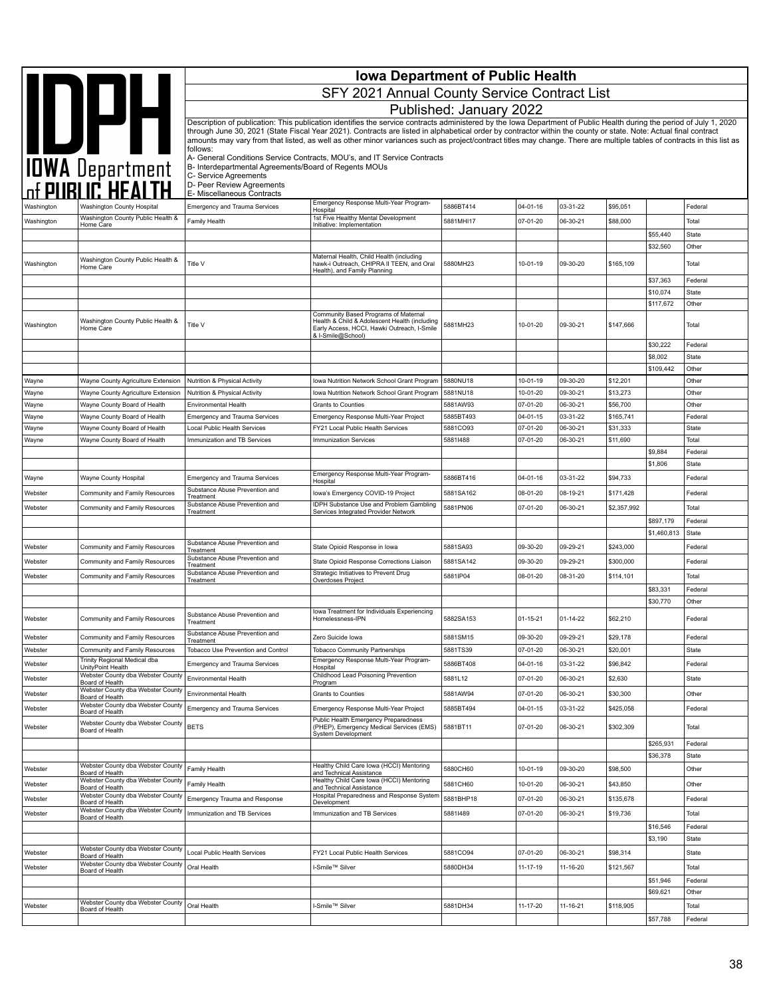|                    | IOWA Department                                                        | <b>Iowa Department of Public Health</b><br>SFY 2021 Annual County Service Contract List                                                                                                                                                                                                                                                    |                                                                                                                                                                      |                      |                      |                      |                      |                      |                         |  |  |
|--------------------|------------------------------------------------------------------------|--------------------------------------------------------------------------------------------------------------------------------------------------------------------------------------------------------------------------------------------------------------------------------------------------------------------------------------------|----------------------------------------------------------------------------------------------------------------------------------------------------------------------|----------------------|----------------------|----------------------|----------------------|----------------------|-------------------------|--|--|
|                    |                                                                        | Published: January 2022                                                                                                                                                                                                                                                                                                                    |                                                                                                                                                                      |                      |                      |                      |                      |                      |                         |  |  |
|                    |                                                                        |                                                                                                                                                                                                                                                                                                                                            | Description of publication: This publication identifies the service contracts administered by the Iowa Department of Public Health during the period of July 1, 2020 |                      |                      |                      |                      |                      |                         |  |  |
|                    |                                                                        | through June 30, 2021 (State Fiscal Year 2021). Contracts are listed in alphabetical order by contractor within the county or state. Note: Actual final contract<br>amounts may vary from that listed, as well as other minor variances such as project/contract titles may change. There are multiple tables of contracts in this list as |                                                                                                                                                                      |                      |                      |                      |                      |                      |                         |  |  |
|                    |                                                                        | follows:                                                                                                                                                                                                                                                                                                                                   |                                                                                                                                                                      |                      |                      |                      |                      |                      |                         |  |  |
|                    |                                                                        |                                                                                                                                                                                                                                                                                                                                            | A- General Conditions Service Contracts, MOU's, and IT Service Contracts<br>B- Interdepartmental Agreements/Board of Regents MOUs                                    |                      |                      |                      |                      |                      |                         |  |  |
|                    |                                                                        | C- Service Agreements<br>D- Peer Review Agreements                                                                                                                                                                                                                                                                                         |                                                                                                                                                                      |                      |                      |                      |                      |                      |                         |  |  |
|                    |                                                                        | E- Miscellaneous Contracts                                                                                                                                                                                                                                                                                                                 |                                                                                                                                                                      |                      |                      |                      |                      |                      |                         |  |  |
| Washington         | <b>Washington County Hospital</b><br>Washington County Public Health & | <b>Emergency and Trauma Services</b>                                                                                                                                                                                                                                                                                                       | Emergency Response Multi-Year Program-<br>Hospital<br>1st Five Healthy Mental Development                                                                            | 5886BT414            | 04-01-16             | 03-31-22             | \$95,051             |                      | Federal                 |  |  |
| Washington         | Home Care                                                              | Family Health                                                                                                                                                                                                                                                                                                                              | Initiative: Implementation                                                                                                                                           | 5881MHI17            | 07-01-20             | 06-30-21             | \$88,000             |                      | Total                   |  |  |
|                    |                                                                        |                                                                                                                                                                                                                                                                                                                                            |                                                                                                                                                                      |                      |                      |                      |                      | \$55,440<br>\$32,560 | State<br>Other          |  |  |
| Washington         | Washington County Public Health &                                      | Title V                                                                                                                                                                                                                                                                                                                                    | Maternal Health, Child Health (including<br>hawk-i Outreach, CHIPRA II TEEN, and Oral                                                                                | 5880MH23             | 10-01-19             | 09-30-20             | \$165,109            |                      | Total                   |  |  |
|                    | Home Care                                                              |                                                                                                                                                                                                                                                                                                                                            | Health), and Family Planning                                                                                                                                         |                      |                      |                      |                      |                      |                         |  |  |
|                    |                                                                        |                                                                                                                                                                                                                                                                                                                                            |                                                                                                                                                                      |                      |                      |                      |                      | \$37,363<br>\$10,074 | Federal<br>State        |  |  |
|                    |                                                                        |                                                                                                                                                                                                                                                                                                                                            |                                                                                                                                                                      |                      |                      |                      |                      | \$117,672            | Other                   |  |  |
|                    | Washington County Public Health &                                      | Title V                                                                                                                                                                                                                                                                                                                                    | Community Based Programs of Maternal<br>Health & Child & Adolescent Health (including                                                                                | 5881MH23             | 10-01-20             | 09-30-21             | \$147,666            |                      | Total                   |  |  |
| Washington         | Home Care                                                              |                                                                                                                                                                                                                                                                                                                                            | Early Access, HCCI, Hawki Outreach, I-Smile<br>& I-Smile@School)                                                                                                     |                      |                      |                      |                      |                      |                         |  |  |
|                    |                                                                        |                                                                                                                                                                                                                                                                                                                                            |                                                                                                                                                                      |                      |                      |                      |                      | \$30,222             | Federal                 |  |  |
|                    |                                                                        |                                                                                                                                                                                                                                                                                                                                            |                                                                                                                                                                      |                      |                      |                      |                      | \$8,002<br>\$109,442 | <b>State</b><br>Other   |  |  |
| Wayne              | Wayne County Agriculture Extension                                     | Nutrition & Physical Activity                                                                                                                                                                                                                                                                                                              | Iowa Nutrition Network School Grant Program                                                                                                                          | 5880NU18             | 10-01-19             | 09-30-20             | \$12,201             |                      | Other                   |  |  |
| Wayne              | Wayne County Agriculture Extension                                     | Nutrition & Physical Activity                                                                                                                                                                                                                                                                                                              | Iowa Nutrition Network School Grant Program                                                                                                                          | 5881NU18             | 10-01-20             | 09-30-21             | \$13,273             |                      | Other                   |  |  |
| Wayne              | Wayne County Board of Health                                           | <b>Environmental Health</b>                                                                                                                                                                                                                                                                                                                | Grants to Counties                                                                                                                                                   | 5881AW93             | 07-01-20             | 06-30-21             | \$56,700             |                      | Other                   |  |  |
| Wayne              | Wayne County Board of Health                                           | <b>Emergency and Trauma Services</b>                                                                                                                                                                                                                                                                                                       | Emergency Response Multi-Year Project                                                                                                                                | 5885BT493            | 04-01-15             | 03-31-22             | \$165,741            |                      | Federal                 |  |  |
| Wayne              | Wayne County Board of Health                                           | Local Public Health Services                                                                                                                                                                                                                                                                                                               | FY21 Local Public Health Services                                                                                                                                    | 5881CO93             | 07-01-20             | 06-30-21             | \$31,333             |                      | <b>State</b>            |  |  |
| Wayne              | Wayne County Board of Health                                           | Immunization and TB Services                                                                                                                                                                                                                                                                                                               | <b>Immunization Services</b>                                                                                                                                         | 58811488             | 07-01-20             | 06-30-21             | \$11,690             |                      | Total                   |  |  |
|                    |                                                                        |                                                                                                                                                                                                                                                                                                                                            |                                                                                                                                                                      |                      |                      |                      |                      | \$9,884<br>\$1,806   | Federal<br>State        |  |  |
| Wayne              | Wayne County Hospital                                                  | <b>Emergency and Trauma Services</b>                                                                                                                                                                                                                                                                                                       | Emergency Response Multi-Year Program-                                                                                                                               | 5886BT416            | 04-01-16             | 03-31-22             | \$94,733             |                      | Federal                 |  |  |
| Webster            | Community and Family Resources                                         | Substance Abuse Prevention and                                                                                                                                                                                                                                                                                                             | Hospital<br>lowa's Emergency COVID-19 Project                                                                                                                        | 5881SA162            | 08-01-20             | 08-19-21             | \$171,428            |                      | Federal                 |  |  |
|                    |                                                                        | Treatment<br>Substance Abuse Prevention and                                                                                                                                                                                                                                                                                                | <b>IDPH Substance Use and Problem Gambling</b>                                                                                                                       |                      |                      |                      |                      |                      |                         |  |  |
| Webster            | Community and Family Resources                                         | Treatment                                                                                                                                                                                                                                                                                                                                  | Services Integrated Provider Network                                                                                                                                 | 5881PN06             | 07-01-20             | 06-30-21             | \$2,357,992          | \$897,179            | Total<br>Federal        |  |  |
|                    |                                                                        |                                                                                                                                                                                                                                                                                                                                            |                                                                                                                                                                      |                      |                      |                      |                      | \$1,460,813          | <b>State</b>            |  |  |
| Webster            | Community and Family Resources                                         | Substance Abuse Prevention and                                                                                                                                                                                                                                                                                                             | State Opioid Response in Iowa                                                                                                                                        | 5881SA93             | 09-30-20             | 09-29-21             | \$243,000            |                      | Federal                 |  |  |
| Webster            | Community and Family Resources                                         | Treatment<br>Substance Abuse Prevention and                                                                                                                                                                                                                                                                                                | State Opioid Response Corrections Liaison                                                                                                                            | 5881SA142            | 09-30-20             | 09-29-21             | \$300,000            |                      | Federal                 |  |  |
| Webster            | Community and Family Resources                                         | Treatment<br>Substance Abuse Prevention and                                                                                                                                                                                                                                                                                                | Strategic Initiatives to Prevent Drug                                                                                                                                | 5881IP04             | 08-01-20             | 08-31-20             | \$114,101            |                      | Total                   |  |  |
|                    |                                                                        | Treatment                                                                                                                                                                                                                                                                                                                                  | Overdoses Project                                                                                                                                                    |                      |                      |                      |                      | \$83,331             | Federal                 |  |  |
|                    |                                                                        |                                                                                                                                                                                                                                                                                                                                            |                                                                                                                                                                      |                      |                      |                      |                      | \$30,770             | Other                   |  |  |
| Webster            | Community and Family Resources                                         | Substance Abuse Prevention and                                                                                                                                                                                                                                                                                                             | lowa Treatment for Individuals Experiencing<br>Homelessness-IPN                                                                                                      | 5882SA153            | 01-15-21             | $01 - 14 - 22$       | \$62,210             |                      | Federal                 |  |  |
|                    |                                                                        | Treatment<br>Substance Abuse Prevention and                                                                                                                                                                                                                                                                                                |                                                                                                                                                                      |                      |                      |                      |                      |                      |                         |  |  |
| Webster<br>Webster | Community and Family Resources<br>Community and Family Resources       | Treatment<br>Tobacco Use Prevention and Control                                                                                                                                                                                                                                                                                            | Zero Suicide Iowa<br><b>Tobacco Community Partnerships</b>                                                                                                           | 5881SM15<br>5881TS39 | 09-30-20<br>07-01-20 | 09-29-21<br>06-30-21 | \$29,178<br>\$20,001 |                      | Federal<br><b>State</b> |  |  |
| Webster            | Trinity Regional Medical dba                                           |                                                                                                                                                                                                                                                                                                                                            | Emergency Response Multi-Year Program-                                                                                                                               | 5886BT408            | 04-01-16             | 03-31-22             | \$96,842             |                      | Federal                 |  |  |
|                    | UnityPoint Health<br>Webster County dba Webster County                 | Emergency and Trauma Services                                                                                                                                                                                                                                                                                                              | Hospital<br>Childhood Lead Poisoning Prevention                                                                                                                      |                      |                      |                      |                      |                      |                         |  |  |
| Webster            | Board of Health<br>Webster County dba Webster County                   | Environmental Health                                                                                                                                                                                                                                                                                                                       | Program                                                                                                                                                              | 5881L12              | 07-01-20             | 06-30-21             | \$2,630              |                      | State                   |  |  |
| Webster            | Board of Health<br>Webster County dba Webster County                   | Environmental Health                                                                                                                                                                                                                                                                                                                       | Grants to Counties                                                                                                                                                   | 5881AW94             | 07-01-20             | 06-30-21             | \$30,300             |                      | Other                   |  |  |
| Webster            | Board of Health                                                        | <b>Emergency and Trauma Services</b>                                                                                                                                                                                                                                                                                                       | Emergency Response Multi-Year Project<br>Public Health Emergency Preparedness                                                                                        | 5885BT494            | 04-01-15             | 03-31-22             | \$425,058            |                      | Federal                 |  |  |
| Webster            | Webster County dba Webster County<br>Board of Health                   | <b>BETS</b>                                                                                                                                                                                                                                                                                                                                | (PHEP), Emergency Medical Services (EMS)<br>System Development                                                                                                       | 5881BT11             | 07-01-20             | 06-30-21             | \$302,309            |                      | Total                   |  |  |
|                    |                                                                        |                                                                                                                                                                                                                                                                                                                                            |                                                                                                                                                                      |                      |                      |                      |                      | \$265,931            | Federal                 |  |  |
|                    |                                                                        |                                                                                                                                                                                                                                                                                                                                            |                                                                                                                                                                      |                      |                      |                      |                      | \$36,378             | <b>State</b>            |  |  |
| Webster            | Webster County dba Webster County<br>Board of Health                   | Family Health                                                                                                                                                                                                                                                                                                                              | Healthy Child Care Iowa (HCCI) Mentoring<br>and Technical Assistance                                                                                                 | 5880CH60             | 10-01-19             | 09-30-20             | \$98,500             |                      | Other                   |  |  |
| Webster            | Webster County dba Webster County<br>Board of Health                   | Family Health                                                                                                                                                                                                                                                                                                                              | Healthy Child Care Iowa (HCCI) Mentoring<br>and Technical Assistance                                                                                                 | 5881CH60             | 10-01-20             | 06-30-21             | \$43,850             |                      | Other                   |  |  |
| Webster            | Webster County dba Webster County<br>Board of Health                   | Emergency Trauma and Response                                                                                                                                                                                                                                                                                                              | Hospital Preparedness and Response System<br>Development                                                                                                             | 5881BHP18            | 07-01-20             | 06-30-21             | \$135,678            |                      | Federal                 |  |  |
| Webster            | Webster County dba Webster County<br>Board of Health                   | Immunization and TB Services                                                                                                                                                                                                                                                                                                               | Immunization and TB Services                                                                                                                                         | 58811489             | 07-01-20             | 06-30-21             | \$19,736             |                      | Total                   |  |  |
|                    |                                                                        |                                                                                                                                                                                                                                                                                                                                            |                                                                                                                                                                      |                      |                      |                      |                      | \$16,546             | Federal                 |  |  |
|                    |                                                                        |                                                                                                                                                                                                                                                                                                                                            |                                                                                                                                                                      |                      |                      |                      |                      | \$3,190              | <b>State</b>            |  |  |
| Webster            | Webster County dba Webster County<br>Board of Health                   | Local Public Health Services                                                                                                                                                                                                                                                                                                               | FY21 Local Public Health Services                                                                                                                                    | 5881CO94             | 07-01-20             | 06-30-21             | \$98,314             |                      | State                   |  |  |
| Webster            | Webster County dba Webster County<br>Board of Health                   | Oral Health                                                                                                                                                                                                                                                                                                                                | I-Smile™ Silver                                                                                                                                                      | 5880DH34             | 11-17-19             | 11-16-20             | \$121,567            |                      | Total                   |  |  |
|                    |                                                                        |                                                                                                                                                                                                                                                                                                                                            |                                                                                                                                                                      |                      |                      |                      |                      | \$51,946             | Federal                 |  |  |
|                    | Webster County dba Webster County                                      |                                                                                                                                                                                                                                                                                                                                            |                                                                                                                                                                      |                      |                      |                      |                      | \$69,621             | Other                   |  |  |
| Webster            | Board of Health                                                        | Oral Health                                                                                                                                                                                                                                                                                                                                | I-Smile™ Silver                                                                                                                                                      | 5881DH34             | 11-17-20             | 11-16-21             | \$118,905            |                      | Total                   |  |  |
|                    |                                                                        |                                                                                                                                                                                                                                                                                                                                            |                                                                                                                                                                      |                      |                      |                      |                      | \$57,788             | Federal                 |  |  |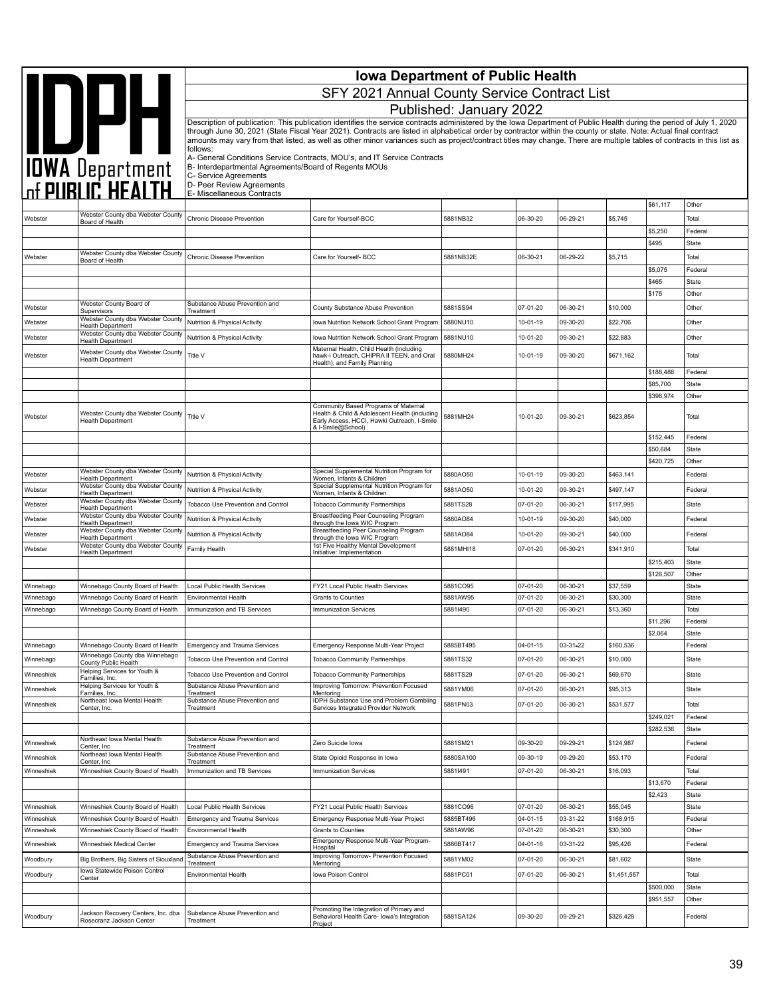|                          |                                                                         |                                                                                                                                                                                                 | <b>Iowa Department of Public Health</b>                                                                                                                                                                                                                                                                                                    |                       |                      |                      |                      |                       |                  |  |  |
|--------------------------|-------------------------------------------------------------------------|-------------------------------------------------------------------------------------------------------------------------------------------------------------------------------------------------|--------------------------------------------------------------------------------------------------------------------------------------------------------------------------------------------------------------------------------------------------------------------------------------------------------------------------------------------|-----------------------|----------------------|----------------------|----------------------|-----------------------|------------------|--|--|
|                          |                                                                         | SFY 2021 Annual County Service Contract List                                                                                                                                                    |                                                                                                                                                                                                                                                                                                                                            |                       |                      |                      |                      |                       |                  |  |  |
|                          |                                                                         | Published: January 2022<br>Description of publication: This publication identifies the service contracts administered by the Iowa Department of Public Health during the period of July 1, 2020 |                                                                                                                                                                                                                                                                                                                                            |                       |                      |                      |                      |                       |                  |  |  |
|                          | <b>AND DESCRIPTION</b>                                                  | follows:                                                                                                                                                                                        | through June 30, 2021 (State Fiscal Year 2021). Contracts are listed in alphabetical order by contractor within the county or state. Note: Actual final contract<br>amounts may vary from that listed, as well as other minor variances such as project/contract titles may change. There are multiple tables of contracts in this list as |                       |                      |                      |                      |                       |                  |  |  |
|                          |                                                                         | A- General Conditions Service Contracts, MOU's, and IT Service Contracts<br>B- Interdepartmental Agreements/Board of Regents MOUs<br>C- Service Agreements                                      |                                                                                                                                                                                                                                                                                                                                            |                       |                      |                      |                      |                       |                  |  |  |
|                          |                                                                         | D- Peer Review Agreements                                                                                                                                                                       |                                                                                                                                                                                                                                                                                                                                            |                       |                      |                      |                      |                       |                  |  |  |
|                          |                                                                         | E- Miscellaneous Contracts                                                                                                                                                                      |                                                                                                                                                                                                                                                                                                                                            |                       |                      |                      |                      | \$61,117              | Other            |  |  |
| Webster                  | Webster County dba Webster County<br>Board of Health                    | Chronic Disease Prevention                                                                                                                                                                      | Care for Yourself-BCC                                                                                                                                                                                                                                                                                                                      | 5881NB32              | 06-30-20             | 06-29-21             | \$5,745              |                       | Total            |  |  |
|                          |                                                                         |                                                                                                                                                                                                 |                                                                                                                                                                                                                                                                                                                                            |                       |                      |                      |                      | \$5,250               | Federal          |  |  |
|                          | Webster County dba Webster County                                       |                                                                                                                                                                                                 |                                                                                                                                                                                                                                                                                                                                            |                       |                      |                      |                      | \$495                 | State            |  |  |
| Webster                  | Board of Health                                                         | Chronic Disease Prevention                                                                                                                                                                      | Care for Yourself- BCC                                                                                                                                                                                                                                                                                                                     | 5881NB32E             | 06-30-21             | 06-29-22             | \$5,715              | \$5,075               | Total<br>Federal |  |  |
|                          |                                                                         |                                                                                                                                                                                                 |                                                                                                                                                                                                                                                                                                                                            |                       |                      |                      |                      | \$465                 | State            |  |  |
|                          |                                                                         |                                                                                                                                                                                                 |                                                                                                                                                                                                                                                                                                                                            |                       |                      |                      |                      | \$175                 | Other            |  |  |
| Webster                  | Webster County Board of<br>Supervisors                                  | Substance Abuse Prevention and<br>Treatment                                                                                                                                                     | County Substance Abuse Prevention                                                                                                                                                                                                                                                                                                          | 5881SS94              | 07-01-20             | 06-30-21             | \$10,000             |                       | Other            |  |  |
| Webster                  | Webster County dba Webster County<br>Health Department                  | <b>Nutrition &amp; Physical Activity</b>                                                                                                                                                        | Iowa Nutrition Network School Grant Program                                                                                                                                                                                                                                                                                                | 5880NU10              | 10-01-19             | 09-30-20             | \$22,706             |                       | Other            |  |  |
| Webster                  | Webster County dba Webster County<br>Health Department                  | Nutrition & Physical Activity                                                                                                                                                                   | Iowa Nutrition Network School Grant Program                                                                                                                                                                                                                                                                                                | 5881NU10              | 10-01-20             | 09-30-21             | \$22,883             |                       | Other            |  |  |
| Webster                  | Webster County dba Webster County<br><b>Health Department</b>           | Title V                                                                                                                                                                                         | Maternal Health, Child Health (including<br>hawk-i Outreach, CHIPRA II TEEN, and Oral                                                                                                                                                                                                                                                      | 5880MH24              | 10-01-19             | 09-30-20             | \$671,162            |                       | Total            |  |  |
|                          |                                                                         |                                                                                                                                                                                                 | Health), and Family Planning                                                                                                                                                                                                                                                                                                               |                       |                      |                      |                      | \$188,488             | Federal          |  |  |
|                          |                                                                         |                                                                                                                                                                                                 |                                                                                                                                                                                                                                                                                                                                            |                       |                      |                      |                      | \$85,700              | State            |  |  |
|                          |                                                                         |                                                                                                                                                                                                 | Community Based Programs of Maternal                                                                                                                                                                                                                                                                                                       |                       |                      |                      |                      | \$396,974             | Other            |  |  |
| Webster                  | Webster County dba Webster County<br><b>Health Department</b>           | Title V                                                                                                                                                                                         | Health & Child & Adolescent Health (including<br>Early Access, HCCI, Hawki Outreach, I-Smile<br>& I-Smile@School)                                                                                                                                                                                                                          | 5881MH24              | 10-01-20             | 09-30-21             | \$623,854            |                       | Total            |  |  |
|                          |                                                                         |                                                                                                                                                                                                 |                                                                                                                                                                                                                                                                                                                                            |                       |                      |                      |                      | \$152,445             | Federal          |  |  |
|                          |                                                                         |                                                                                                                                                                                                 |                                                                                                                                                                                                                                                                                                                                            |                       |                      |                      |                      | \$50,684<br>\$420,725 | State<br>Other   |  |  |
| Webster                  | Webster County dba Webster County<br><b>Health Department</b>           | Nutrition & Physical Activity                                                                                                                                                                   | Special Supplemental Nutrition Program for<br>Women, Infants & Children                                                                                                                                                                                                                                                                    | 5880AO50              | 10-01-19             | 09-30-20             | \$463,141            |                       | Federal          |  |  |
| Webster                  | Webster County dba Webster County<br><b>Health Department</b>           | Nutrition & Physical Activity                                                                                                                                                                   | Special Supplemental Nutrition Program for<br>Women, Infants & Children                                                                                                                                                                                                                                                                    | 5881AO50              | 10-01-20             | 09-30-21             | \$497,147            |                       | Federal          |  |  |
| Webster                  | Webster County dba Webster County<br><b>Health Department</b>           | Tobacco Use Prevention and Control                                                                                                                                                              | <b>Tobacco Community Partnerships</b>                                                                                                                                                                                                                                                                                                      | 5881TS28              | 07-01-20             | 06-30-21             | \$117,995            |                       | State            |  |  |
| Webster                  | Webster County dba Webster County<br><b>Health Department</b>           | Nutrition & Physical Activity                                                                                                                                                                   | Breastfeeding Peer Counseling Program<br>through the lowa WIC Program                                                                                                                                                                                                                                                                      | 5880AO84              | 10-01-19             | 09-30-20             | \$40,000             |                       | Federal          |  |  |
| Webster                  | Webster County dba Webster County<br>Health Department                  | Nutrition & Physical Activity                                                                                                                                                                   | Breastfeeding Peer Counseling Program<br>through the lowa WIC Program                                                                                                                                                                                                                                                                      | 5881AO84              | 10-01-20             | 09-30-21             | \$40,000             |                       | Federal          |  |  |
| Webster                  | Webster County dba Webster County<br><b>Health Department</b>           | Family Health                                                                                                                                                                                   | 1st Five Healthy Mental Development<br>Initiative: Implementation                                                                                                                                                                                                                                                                          | 5881MHI18             | 07-01-20             | 06-30-21             | \$341,910            |                       | Total            |  |  |
|                          |                                                                         |                                                                                                                                                                                                 |                                                                                                                                                                                                                                                                                                                                            |                       |                      |                      |                      | \$215,403             | State            |  |  |
| Winnebago                | Winnebago County Board of Health                                        | Local Public Health Services                                                                                                                                                                    | FY21 Local Public Health Services                                                                                                                                                                                                                                                                                                          | 5881CO95              | 07-01-20             | 06-30-21             | \$37,559             | \$126,507             | Other<br>State   |  |  |
| Winnebago                | Winnebago County Board of Health                                        | <b>Environmental Health</b>                                                                                                                                                                     | Grants to Counties                                                                                                                                                                                                                                                                                                                         | 5881AW95              | 07-01-20             | 06-30-21             | \$30,300             |                       | State            |  |  |
| Winnebago                | Winnebago County Board of Health                                        | Immunization and TB Services                                                                                                                                                                    | <b>Immunization Services</b>                                                                                                                                                                                                                                                                                                               | 58811490              | 07-01-20             | 06-30-21             | \$13,360             |                       | Total            |  |  |
|                          |                                                                         |                                                                                                                                                                                                 |                                                                                                                                                                                                                                                                                                                                            |                       |                      |                      |                      | \$11,296              | Federal          |  |  |
| Winnebago                | Winnebago County Board of Health                                        | <b>Emergency and Trauma Services</b>                                                                                                                                                            | Emergency Response Multi-Year Project                                                                                                                                                                                                                                                                                                      | 5885BT495             | 04-01-15             | 03-31-22             | \$160,536            | \$2,064               | State<br>Federal |  |  |
| Winnebago                | Winnebago County dba Winnebago                                          | Tobacco Use Prevention and Control                                                                                                                                                              | <b>Tobacco Community Partnerships</b>                                                                                                                                                                                                                                                                                                      | 5881TS32              | 07-01-20             | 06-30-21             | \$10,000             |                       | State            |  |  |
| Winneshiek               | County Public Health<br>Helping Services for Youth &                    | Tobacco Use Prevention and Control                                                                                                                                                              | <b>Tobacco Community Partnerships</b>                                                                                                                                                                                                                                                                                                      | 5881TS29              | 07-01-20             | 06-30-21             | \$69,670             |                       | State            |  |  |
| Winneshiek               | Families, Inc.<br>Helping Services for Youth &<br>Families, Inc.        | Substance Abuse Prevention and                                                                                                                                                                  | Improving Tomorrow: Prevention Focused<br>Mentoring                                                                                                                                                                                                                                                                                        | 5881YM06              | 07-01-20             | 06-30-21             | \$95,313             |                       | State            |  |  |
| Winneshiek               | Northeast Iowa Mental Health<br>Center, Inc.                            | Treatment<br>Substance Abuse Prevention and<br>Treatment                                                                                                                                        | <b>IDPH Substance Use and Problem Gambling</b><br>Services Integrated Provider Network                                                                                                                                                                                                                                                     | 5881PN03              | 07-01-20             | 06-30-21             | \$531,577            |                       | Total            |  |  |
|                          |                                                                         |                                                                                                                                                                                                 |                                                                                                                                                                                                                                                                                                                                            |                       |                      |                      |                      | \$249,021             | Federal          |  |  |
|                          |                                                                         | Substance Abuse Prevention and                                                                                                                                                                  |                                                                                                                                                                                                                                                                                                                                            |                       |                      |                      |                      | \$282,536             | State            |  |  |
| Winneshiek               | Northeast Iowa Mental Health<br>Center, Inc.                            | Treatment                                                                                                                                                                                       | Zero Suicide Iowa                                                                                                                                                                                                                                                                                                                          | 5881SM21              | 09-30-20             | 09-29-21             | \$124,987            |                       | Federal          |  |  |
| Winneshiek               | Northeast Iowa Mental Health<br>Center, Inc.                            | Substance Abuse Prevention and<br>Treatment                                                                                                                                                     | State Opioid Response in Iowa                                                                                                                                                                                                                                                                                                              | 5880SA100             | 09-30-19             | 09-29-20             | \$53,170             |                       | Federal          |  |  |
| Winneshiek               | Winneshiek County Board of Health                                       | Immunization and TB Services                                                                                                                                                                    | <b>Immunization Services</b>                                                                                                                                                                                                                                                                                                               | 58811491              | 07-01-20             | 06-30-21             | \$16,093             | \$13,670              | Total<br>Federal |  |  |
|                          |                                                                         |                                                                                                                                                                                                 |                                                                                                                                                                                                                                                                                                                                            |                       |                      |                      |                      | \$2,423               | State            |  |  |
| Winneshiek               | Winneshiek County Board of Health                                       | Local Public Health Services                                                                                                                                                                    | FY21 Local Public Health Services                                                                                                                                                                                                                                                                                                          | 5881CO96              | 07-01-20             | 06-30-21             | \$55,045             |                       | State            |  |  |
| Winneshiek               | Winneshiek County Board of Health                                       | <b>Emergency and Trauma Services</b>                                                                                                                                                            | Emergency Response Multi-Year Project                                                                                                                                                                                                                                                                                                      | 5885BT496             | 04-01-15             | 03-31-22             | \$168,915            |                       | Federal          |  |  |
| Winneshiek<br>Winneshiek | Winneshiek County Board of Health<br>Winneshiek Medical Center          | Environmental Health<br><b>Emergency and Trauma Services</b>                                                                                                                                    | Grants to Counties<br>Emergency Response Multi-Year Program-                                                                                                                                                                                                                                                                               | 5881AW96<br>5886BT417 | 07-01-20<br>04-01-16 | 06-30-21<br>03-31-22 | \$30,300<br>\$95,426 |                       | Other<br>Federal |  |  |
|                          |                                                                         | Substance Abuse Prevention and                                                                                                                                                                  | Hospital<br>Improving Tomorrow- Prevention Focused                                                                                                                                                                                                                                                                                         |                       |                      |                      |                      |                       |                  |  |  |
| Woodbury                 | Big Brothers, Big Sisters of Siouxland<br>Iowa Statewide Poison Control | Treatment                                                                                                                                                                                       | Mentoring                                                                                                                                                                                                                                                                                                                                  | 5881YM02              | 07-01-20<br>07-01-20 | 06-30-21<br>06-30-21 | \$81,602             |                       | State<br>Total   |  |  |
| Woodbury                 | Center                                                                  | Environmental Health                                                                                                                                                                            | Iowa Poison Control                                                                                                                                                                                                                                                                                                                        | 5881PC01              |                      |                      | \$1,451,557          | \$500,000             | State            |  |  |
|                          |                                                                         |                                                                                                                                                                                                 |                                                                                                                                                                                                                                                                                                                                            |                       |                      |                      |                      | \$951,557             | Other            |  |  |
| Woodbury                 | Jackson Recovery Centers, Inc. dba<br>Rosecranz Jackson Center          | Substance Abuse Prevention and<br>Treatment                                                                                                                                                     | Promoting the Integration of Primary and<br>Behavioral Health Care- Iowa's Integration<br>Project                                                                                                                                                                                                                                          | 5881SA124             | 09-30-20             | 09-29-21             | \$326,428            |                       | Federal          |  |  |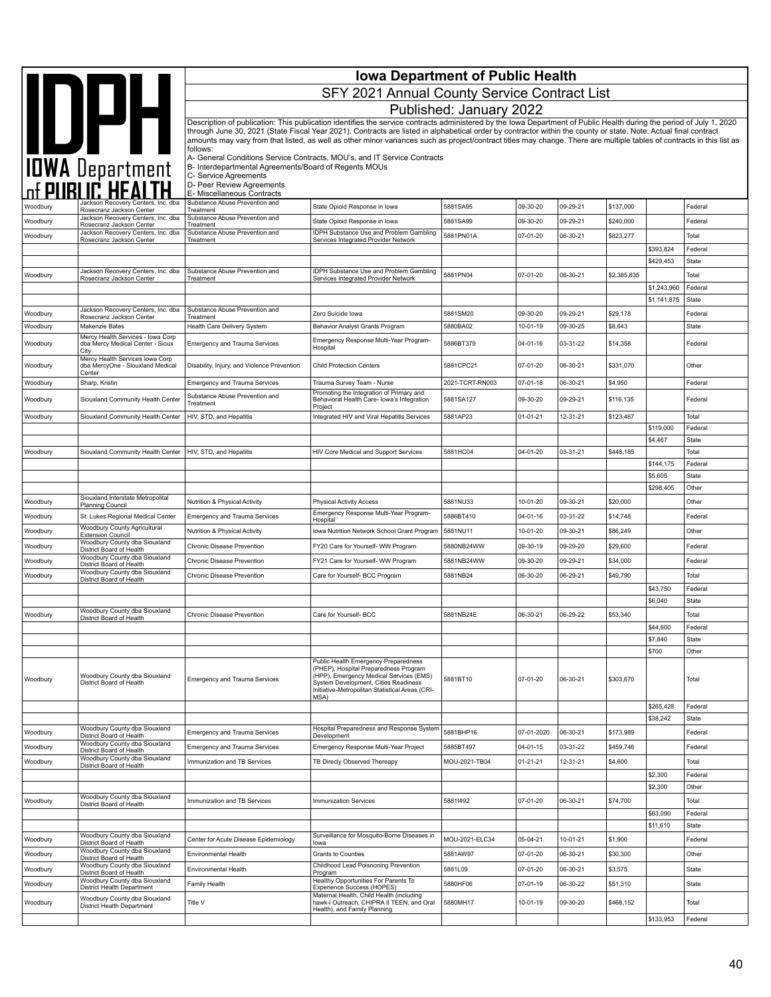|                 |                                                                               |                                                                                                                                                                      | <b>Iowa Department of Public Health</b>                                                                                                                                                                                                                                                                                                                |                 |                |          |             |             |                  |  |  |
|-----------------|-------------------------------------------------------------------------------|----------------------------------------------------------------------------------------------------------------------------------------------------------------------|--------------------------------------------------------------------------------------------------------------------------------------------------------------------------------------------------------------------------------------------------------------------------------------------------------------------------------------------------------|-----------------|----------------|----------|-------------|-------------|------------------|--|--|
|                 |                                                                               | SFY 2021 Annual County Service Contract List                                                                                                                         |                                                                                                                                                                                                                                                                                                                                                        |                 |                |          |             |             |                  |  |  |
|                 |                                                                               | Published: January 2022                                                                                                                                              |                                                                                                                                                                                                                                                                                                                                                        |                 |                |          |             |             |                  |  |  |
|                 |                                                                               | Description of publication: This publication identifies the service contracts administered by the Iowa Department of Public Health during the period of July 1, 2020 |                                                                                                                                                                                                                                                                                                                                                        |                 |                |          |             |             |                  |  |  |
|                 | IOWA Department                                                               |                                                                                                                                                                      | through June 30, 2021 (State Fiscal Year 2021). Contracts are listed in alphabetical order by contractor within the county or state. Note: Actual final contract<br>amounts may vary from that listed, as well as other minor variances such as project/contract titles may change. There are multiple tables of contracts in this list as<br>follows: |                 |                |          |             |             |                  |  |  |
|                 |                                                                               | A- General Conditions Service Contracts, MOU's, and IT Service Contracts<br>B- Interdepartmental Agreements/Board of Regents MOUs                                    |                                                                                                                                                                                                                                                                                                                                                        |                 |                |          |             |             |                  |  |  |
|                 |                                                                               | C- Service Agreements<br>D- Peer Review Agreements                                                                                                                   |                                                                                                                                                                                                                                                                                                                                                        |                 |                |          |             |             |                  |  |  |
|                 | Jackson Recovery Centers, Inc. dba                                            | E- Miscellaneous Contracts<br>Substance Abuse Prevention and                                                                                                         |                                                                                                                                                                                                                                                                                                                                                        | 5881SA95        | 09-30-20       | 09-29-21 | \$137,000   |             |                  |  |  |
| <b>Noodbury</b> | Rosecranz Jackson Center<br>Jackson Recovery Centers, Inc. dba                | Treatment<br>Substance Abuse Prevention and                                                                                                                          | State Opioid Response in Iowa                                                                                                                                                                                                                                                                                                                          |                 |                |          |             |             | Federal          |  |  |
| Woodbury        | Rosecranz Jackson Center<br>Jackson Recovery Centers, Inc. dba                | Treatment<br>Substance Abuse Prevention and                                                                                                                          | State Opioid Response in Iowa<br>IDPH Substance Use and Problem Gambling                                                                                                                                                                                                                                                                               | 5881SA99        | 09-30-20       | 09-29-21 | \$240,000   |             | Federal          |  |  |
| Woodbury        | Rosecranz Jackson Center                                                      | Treatment                                                                                                                                                            | Services Integrated Provider Network                                                                                                                                                                                                                                                                                                                   | 5881PN01A       | 07-01-20       | 06-30-21 | \$823,277   | \$393,824   | Total<br>Federal |  |  |
|                 |                                                                               |                                                                                                                                                                      |                                                                                                                                                                                                                                                                                                                                                        |                 |                |          |             | \$429,453   | State            |  |  |
| Woodbury        | Jackson Recovery Centers, Inc. dba<br>Rosecranz Jackson Center                | Substance Abuse Prevention and<br>Treatment                                                                                                                          | IDPH Substance Use and Problem Gambling<br>Services Integrated Provider Network                                                                                                                                                                                                                                                                        | 5881PN04        | 07-01-20       | 06-30-21 | \$2,385,835 |             | Total            |  |  |
|                 |                                                                               |                                                                                                                                                                      |                                                                                                                                                                                                                                                                                                                                                        |                 |                |          |             | \$1,243,960 | Federal          |  |  |
|                 |                                                                               |                                                                                                                                                                      |                                                                                                                                                                                                                                                                                                                                                        |                 |                |          |             | \$1,141,875 | State            |  |  |
| Woodbury        | Jackson Recovery Centers, Inc. dba<br>Rosecranz Jackson Center                | Substance Abuse Prevention and<br>Treatment                                                                                                                          | Zero Suicide Iowa                                                                                                                                                                                                                                                                                                                                      | 5881SM20        | 09-30-20       | 09-29-21 | \$29,178    |             | Federal          |  |  |
| Woodbury        | Makenzie Bates                                                                | Health Care Delivery System                                                                                                                                          | Behavior Analyst Grants Program                                                                                                                                                                                                                                                                                                                        | 5880BA02        | 10-01-19       | 09-30-25 | \$8,643     |             | State            |  |  |
| Woodbury        | Mercy Health Services - Iowa Corp<br>dba Mercy Medical Center - Sioux<br>City | <b>Emergency and Trauma Services</b>                                                                                                                                 | Emergency Response Multi-Year Program-<br>Hospital                                                                                                                                                                                                                                                                                                     | 5886BT379       | 04-01-16       | 03-31-22 | \$14,358    |             | Federal          |  |  |
| Woodbury        | Mercy Health Services Iowa Corp<br>dba MercyOne - Siouxland Medical<br>Center | Disability, Injury, and Violence Prevention                                                                                                                          | <b>Child Protection Centers</b>                                                                                                                                                                                                                                                                                                                        | 5881CPC21       | 07-01-20       | 06-30-21 | \$331,070   |             | Other            |  |  |
| Woodbury        | Sharp, Kristin                                                                | <b>Emergency and Trauma Services</b>                                                                                                                                 | Trauma Survey Team - Nurse                                                                                                                                                                                                                                                                                                                             | 2021-TCRT-RN003 | $07 - 01 - 18$ | 06-30-21 | \$4,950     |             | Federal          |  |  |
| Woodbury        | Siouxland Community Health Center                                             | Substance Abuse Prevention and<br>Treatment                                                                                                                          | Promoting the Integration of Primary and<br>Behavioral Health Care- Iowa's Integration<br>Project                                                                                                                                                                                                                                                      | 5881SA127       | 09-30-20       | 09-29-21 | \$116,135   |             | Federal          |  |  |
| Woodbury        | Siouxland Community Health Center                                             | HIV, STD, and Hepatitis                                                                                                                                              | Integrated HIV and Viral Hepatitis Services                                                                                                                                                                                                                                                                                                            | 5881AP23        | $01 - 01 - 21$ | 12-31-21 | \$123,467   |             | Total            |  |  |
|                 |                                                                               |                                                                                                                                                                      |                                                                                                                                                                                                                                                                                                                                                        |                 |                |          |             | \$119,000   | Federal          |  |  |
| Woodbury        | Siouxland Community Health Center                                             | HIV, STD, and Hepatitis                                                                                                                                              | HIV Core Medical and Support Services                                                                                                                                                                                                                                                                                                                  | 5881HC04        | 04-01-20       | 03-31-21 | \$448,185   | \$4,467     | State<br>Total   |  |  |
|                 |                                                                               |                                                                                                                                                                      |                                                                                                                                                                                                                                                                                                                                                        |                 |                |          |             | \$144,175   | Federal          |  |  |
|                 |                                                                               |                                                                                                                                                                      |                                                                                                                                                                                                                                                                                                                                                        |                 |                |          |             | \$5,605     | <b>State</b>     |  |  |
|                 |                                                                               |                                                                                                                                                                      |                                                                                                                                                                                                                                                                                                                                                        |                 |                |          |             | \$298,405   | Other            |  |  |
| Woodbury        | Siouxland Interstate Metropolital<br><b>Planning Council</b>                  | Nutrition & Physical Activity                                                                                                                                        | <b>Physical Activity Access</b>                                                                                                                                                                                                                                                                                                                        | 5881NU33        | 10-01-20       | 09-30-21 | \$20,000    |             | Other            |  |  |
| Woodbury        | St. Lukes Regional Medical Center                                             | <b>Emergency and Trauma Services</b>                                                                                                                                 | Emergency Response Multi-Year Program-<br>Hospital                                                                                                                                                                                                                                                                                                     | 5886BT410       | $04 - 01 - 16$ | 03-31-22 | \$14,748    |             | Federal          |  |  |
| Woodbury        | Woodbury County Agricultural                                                  | Nutrition & Physical Activity                                                                                                                                        | Iowa Nutrition Network School Grant Program                                                                                                                                                                                                                                                                                                            | 5881NU11        | 10-01-20       | 09-30-21 | \$86,249    |             | Other            |  |  |
| Woodbury        | <b>Extension Council</b><br>Woodbury County dba Siouxland                     | Chronic Disease Prevention                                                                                                                                           | FY20 Care for Yourself- WW Program                                                                                                                                                                                                                                                                                                                     | 5880NB24WW      | 09-30-19       | 09-29-20 | \$29,600    |             | Federal          |  |  |
| Woodbury        | District Board of Health<br>Woodbury County dba Siouxland                     | Chronic Disease Prevention                                                                                                                                           | FY21 Care for Yourself- WW Program                                                                                                                                                                                                                                                                                                                     | 5881NB24WW      | 09-30-20       | 09-29-21 | \$34,000    |             | Federal          |  |  |
|                 | District Board of Health<br>Woodbury County dba Siouxland                     |                                                                                                                                                                      |                                                                                                                                                                                                                                                                                                                                                        |                 |                |          |             |             |                  |  |  |
| Woodbury        | District Board of Health                                                      | Chronic Disease Prevention                                                                                                                                           | Care for Yourself- BCC Program                                                                                                                                                                                                                                                                                                                         | 5881NB24        | 06-30-20       | 06-29-21 | \$49,790    | \$43,750    | Total            |  |  |
|                 |                                                                               |                                                                                                                                                                      |                                                                                                                                                                                                                                                                                                                                                        |                 |                |          |             | \$6,040     | Federal<br>State |  |  |
| Woodbury        | Woodbury County dba Siouxland                                                 | Chronic Disease Prevention                                                                                                                                           | Care for Yourself- BCC                                                                                                                                                                                                                                                                                                                                 | 5881NB24E       | 06-30-21       | 06-29-22 | \$53,340    |             | Total            |  |  |
|                 | District Board of Health                                                      |                                                                                                                                                                      |                                                                                                                                                                                                                                                                                                                                                        |                 |                |          |             | \$44,800    | Federal          |  |  |
|                 |                                                                               |                                                                                                                                                                      |                                                                                                                                                                                                                                                                                                                                                        |                 |                |          |             | \$7,840     | State            |  |  |
|                 |                                                                               |                                                                                                                                                                      |                                                                                                                                                                                                                                                                                                                                                        |                 |                |          |             | \$700       | Other            |  |  |
| Woodbury        | Woodbury County dba Siouxland<br>District Board of Health                     | Emergency and Trauma Services                                                                                                                                        | Public Health Emergency Preparedness<br>(PHEP), Hospital Preparedness Program<br>(HPP), Emergency Medical Services (EMS)<br>System Development, Cities Readiness<br>Initiative-Metropolitan Statistical Areas (CRI-<br>MSA)                                                                                                                            | 5881BT10        | 07-01-20       | 06-30-21 | \$303,670   |             | Total            |  |  |
|                 |                                                                               |                                                                                                                                                                      |                                                                                                                                                                                                                                                                                                                                                        |                 |                |          |             | \$265,428   | Federal          |  |  |
|                 | Woodbury County dba Siouxland                                                 |                                                                                                                                                                      |                                                                                                                                                                                                                                                                                                                                                        |                 |                |          |             | \$38,242    | State            |  |  |
| Woodbury        | District Board of Health                                                      | <b>Emergency and Trauma Services</b>                                                                                                                                 | Hospital Preparedness and Response System<br>Development                                                                                                                                                                                                                                                                                               | 5881BHP16       | 07-01-2020     | 06-30-21 | \$173,989   |             | Federal          |  |  |
| Woodbury        | Woodbury County dba Siouxland<br>District Board of Health                     | Emergency and Trauma Services                                                                                                                                        | Emergency Response Multi-Year Project                                                                                                                                                                                                                                                                                                                  | 5885BT497       | $04 - 01 - 15$ | 03-31-22 | \$459,746   |             | Federal          |  |  |
| Woodbury        | Woodbury County dba Siouxland<br>District Board of Health                     | Immunization and TB Services                                                                                                                                         | TB Direcly Observed Thereapy                                                                                                                                                                                                                                                                                                                           | MOU-2021-TB04   | $01 - 21 - 21$ | 12-31-21 | \$4,600     |             | Total            |  |  |
|                 |                                                                               |                                                                                                                                                                      |                                                                                                                                                                                                                                                                                                                                                        |                 |                |          |             | \$2,300     | Federal          |  |  |
|                 |                                                                               |                                                                                                                                                                      |                                                                                                                                                                                                                                                                                                                                                        |                 |                |          |             | \$2,300     | Other            |  |  |
| Woodbury        | Woodbury County dba Siouxland<br>District Board of Health                     | Immunization and TB Services                                                                                                                                         | Immunization Services                                                                                                                                                                                                                                                                                                                                  | 58811492        | 07-01-20       | 06-30-21 | \$74,700    |             | Total            |  |  |
|                 |                                                                               |                                                                                                                                                                      |                                                                                                                                                                                                                                                                                                                                                        |                 |                |          |             | \$63,090    | Federal          |  |  |
|                 | Woodbury County dba Siouxland                                                 |                                                                                                                                                                      | Surveillance for Mosquito-Borne Diseases in                                                                                                                                                                                                                                                                                                            |                 |                |          |             | \$11,610    | <b>State</b>     |  |  |
| Woodbury        | District Board of Health                                                      | Center for Acute Disease Epidemiology                                                                                                                                | lowa                                                                                                                                                                                                                                                                                                                                                   | MOU-2021-ELC34  | 05-04-21       | 10-01-21 | \$1,900     |             | Federal          |  |  |
| Woodbury        | Woodbury County dba Siouxland<br>District Board of Health                     | Environmental Health                                                                                                                                                 | Grants to Counties                                                                                                                                                                                                                                                                                                                                     | 5881AW97        | 07-01-20       | 06-30-21 | \$30,300    |             | Other            |  |  |
| Woodbury        | Woodbury County dba Siouxland<br>District Board of Health                     | Environmental Health                                                                                                                                                 | Childhood Lead Poisnoning Prevention<br>Program                                                                                                                                                                                                                                                                                                        | 5881L09         | 07-01-20       | 06-30-21 | \$3,575     |             | State            |  |  |
| Woodbury        | Woodbury County dba Siouxland<br>District Health Department                   | Family Health                                                                                                                                                        | Healthy Opportunities For Parents To<br>Experience Success (HOPES)                                                                                                                                                                                                                                                                                     | 5880HF06        | 07-01-19       | 06-30-22 | \$51,310    |             | State            |  |  |
| Woodbury        | Woodbury County dba Siouxland<br>District Health Department                   | Title V                                                                                                                                                              | Maternal Health, Child Health (including<br>hawk-i Outreach, CHIPRA II TEEN, and Oral<br>Health), and Family Planning                                                                                                                                                                                                                                  | 5880MH17        | 10-01-19       | 09-30-20 | \$468,152   |             | Total            |  |  |
|                 |                                                                               |                                                                                                                                                                      |                                                                                                                                                                                                                                                                                                                                                        |                 |                |          |             | \$133,953   | Federal          |  |  |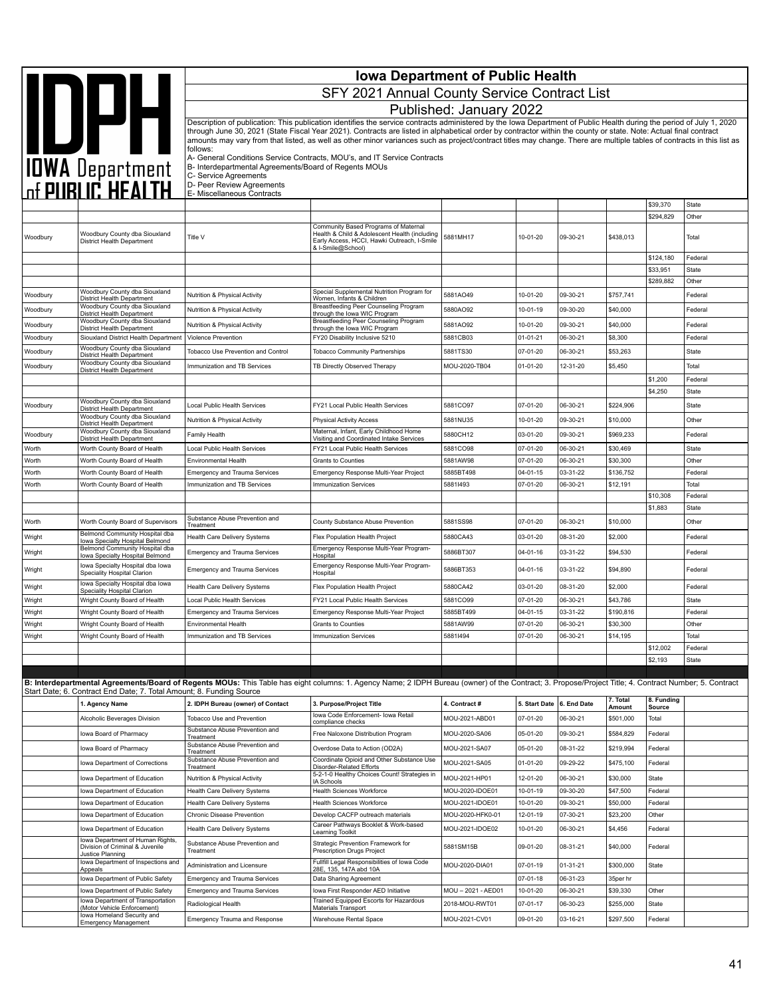| <b>AND DEALTH</b><br>Published: January 2022<br>Description of publication: This publication identifies the service contracts administered by the Iowa Department of Public Health during the period of July 1, 2020<br>through June 30, 2021 (State Fiscal Year 2021). Contracts are listed in alphabetical order by contractor within the county or state. Note: Actual final contract<br>amounts may vary from that listed, as well as other minor variances such as project/contract titles may change. There are multiple tables of contracts in this list as<br>follows:<br>A- General Conditions Service Contracts, MOU's, and IT Service Contracts<br>B- Interdepartmental Agreements/Board of Regents MOUs<br>C- Service Agreements<br>D- Peer Review Agreements<br>E- Miscellaneous Contracts<br>\$39,370<br><b>State</b><br>\$294,829<br>Other<br>Community Based Programs of Maternal<br>Woodbury County dba Siouxland<br>Health & Child & Adolescent Health (including<br>Title V<br>5881MH17<br>10-01-20<br>09-30-21<br>\$438,013<br>Woodbury<br>Total<br>District Health Department<br>Early Access, HCCI, Hawki Outreach, I-Smile<br>& I-Smile@School)<br>\$124,180<br>Federal<br>\$33,951<br>State<br>\$289,882<br>Other<br>Woodbury County dba Siouxland<br>Special Supplemental Nutrition Program for<br>5881AO49<br>10-01-20<br>09-30-21<br>\$757,741<br>Federal<br>Woodbury<br>Nutrition & Physical Activity<br>District Health Department<br>Women, Infants & Children<br>Woodbury County dba Siouxland<br>Breastfeeding Peer Counseling Program<br>5880AO92<br>10-01-19<br>09-30-20<br>\$40,000<br>Woodbury<br>Nutrition & Physical Activity<br>Federal<br>District Health Department<br>through the lowa WIC Program<br>Woodbury County dba Siouxland<br>Breastfeeding Peer Counseling Program<br>Woodbury<br>Nutrition & Physical Activity<br>5881AO92<br>10-01-20<br>09-30-21<br>\$40,000<br>Federal<br>District Health Department<br>through the lowa WIC Program<br>Siouxland District Health Departmen<br>FY20 Disability Inclusive 5210<br>5881CB03<br>$01 - 01 - 21$<br>06-30-21<br>\$8,300<br>Woodbury<br>Violence Prevention<br>Federal<br>Woodbury County dba Siouxland<br>07-01-20<br>\$53,263<br>Woodbury<br>Tobacco Use Prevention and Control<br><b>Tobacco Community Partnerships</b><br>5881TS30<br>06-30-21<br><b>State</b><br>District Health Department<br>Woodbury County dba Siouxland<br>\$5,450<br>Woodbury<br>Immunization and TB Services<br>TB Directly Observed Therapy<br>MOU-2020-TB04<br>01-01-20<br>12-31-20<br>Total<br>District Health Department<br>\$1,200<br>Federal<br>\$4,250<br><b>State</b><br>Woodbury County dba Siouxland<br>FY21 Local Public Health Services<br>5881CO97<br>07-01-20<br>06-30-21<br>\$224,906<br><b>State</b><br>Woodbury<br><b>Local Public Health Services</b><br>District Health Department<br>Woodbury County dba Siouxland<br>5881NU35<br>10-01-20<br>09-30-21<br>\$10,000<br>Other<br>Nutrition & Physical Activity<br><b>Physical Activity Access</b><br>District Health Department<br>Woodbury County dba Siouxland<br>Maternal, Infant, Early Childhood Home<br>5880CH12<br>03-01-20<br>09-30-21<br>\$969,233<br>Woodbury<br>Family Health<br>Federal<br><b>District Health Department</b><br>Visiting and Coordinated Intake Services<br>Worth County Board of Health<br>Local Public Health Services<br>FY21 Local Public Health Services<br>5881CO98<br>07-01-20<br>06-30-21<br>\$30,469<br>State<br>Worth<br>5881AW98<br>07-01-20<br>06-30-21<br>\$30,300<br>Other<br>Worth<br>Grants to Counties<br>Worth County Board of Health<br><b>Environmental Health</b><br>Worth<br>Worth County Board of Health<br>5885BT498<br>04-01-15<br>03-31-22<br>\$136,752<br><b>Emergency and Trauma Services</b><br>Emergency Response Multi-Year Project<br>Federal<br>Worth<br>Worth County Board of Health<br>Immunization and TB Services<br>58811493<br>07-01-20<br>06-30-21<br>\$12,191<br>Total<br><b>Immunization Services</b><br>\$10,308<br>Federal<br>\$1,883<br>State<br>Substance Abuse Prevention and<br>Worth County Board of Supervisors<br>5881SS98<br>07-01-20<br>06-30-21<br>\$10,000<br>Other<br>Worth<br>County Substance Abuse Prevention<br>Treatment<br>Belmond Community Hospital dba<br>Flex Population Health Project<br>5880CA43<br>03-01-20<br>08-31-20<br>\$2,000<br>Federal<br>Wright<br>Health Care Delivery Systems<br>Iowa Specialty Hospital Belmond<br>Belmond Community Hospital dba<br>Emergency Response Multi-Year Program-<br>5886BT307<br>04-01-16<br>03-31-22<br>\$94,530<br>Wright<br><b>Emergency and Trauma Services</b><br>Federal<br>Iowa Specialty Hospital Belmond<br>Hospital<br>Iowa Specialty Hospital dba Iowa<br>Emergency Response Multi-Year Program-<br>5886BT353<br>04-01-16<br>03-31-22<br>\$94,890<br>Wright<br><b>Emergency and Trauma Services</b><br>Federal<br>Speciality Hospital Clarion<br>Hospital<br>Iowa Specialty Hospital dba Iowa<br>08-31-20<br>Wright<br>Health Care Delivery Systems<br>Flex Population Health Project<br>5880CA42<br>03-01-20<br>\$2,000<br>Federal<br>Speciality Hospital Clarion<br>5881CO99<br>07-01-20<br>06-30-21<br>\$43,786<br>Wright<br>Wright County Board of Health<br>FY21 Local Public Health Services<br>State<br>Local Public Health Services<br>Wright<br>Emergency Response Multi-Year Project<br>5885BT499<br>04-01-15<br>03-31-22<br>\$190,816<br>Wright County Board of Health<br><b>Emergency and Trauma Services</b><br>Federal<br>5881AW99<br>07-01-20<br>Wright<br>Wright County Board of Health<br><b>Environmental Health</b><br>Grants to Counties<br>06-30-21<br>\$30,300<br>Other<br>Wright<br>58811494<br>07-01-20<br>06-30-21<br>\$14,195<br>Total<br>Wright County Board of Health<br>Immunization and TB Services<br>Immunization Services<br>\$12,002<br>Federal<br>\$2,193<br>State<br>B: Interdepartmental Agreements/Board of Regents MOUs: This Table has eight columns: 1. Agency Name; 2 IDPH Bureau (owner) of the Contract; 3. Propose/Project Title; 4. Contract Number; 5. Contract<br>Start Date; 6. Contract End Date; 7. Total Amount; 8. Funding Source<br>7. Total<br>8. Funding<br>2. IDPH Bureau (owner) of Contact<br>3. Purpose/Project Title<br>4. Contract #<br>5. Start Date<br>6. End Date<br>1. Agency Name<br>Amount<br>Source<br>Iowa Code Enforcement- Iowa Retail<br>MOU-2021-ABD01<br>Alcoholic Beverages Division<br>Tobacco Use and Prevention<br>07-01-20<br>06-30-21<br>\$501,000<br>Total<br>compliance checks<br>Substance Abuse Prevention and<br>Iowa Board of Pharmacy<br>Free Naloxone Distribution Program<br>MOU-2020-SA06<br>05-01-20<br>09-30-21<br>\$584,829<br>Federal<br>Treatment<br>Substance Abuse Prevention and<br>Iowa Board of Pharmacy<br>Overdose Data to Action (OD2A)<br>MOU-2021-SA07<br>05-01-20<br>08-31-22<br>\$219,994<br>Federal<br>Treatment<br>Substance Abuse Prevention and<br>Coordinate Opioid and Other Substance Use<br>Iowa Department of Corrections<br>MOU-2021-SA05<br>01-01-20<br>09-29-22<br>\$475,100<br>Federal<br>Disorder-Related Efforts<br>Treatment<br>5-2-1-0 Healthy Choices Count! Strategies in<br>MOU-2021-HP01<br>12-01-20<br>06-30-21<br>\$30,000<br>State<br>Iowa Department of Education<br>Nutrition & Physical Activity<br>IA Schools<br><b>Health Sciences Workforce</b><br>\$47,500<br>Federal<br>Iowa Department of Education<br>Health Care Delivery Systems<br>MOU-2020-IDOE01<br>10-01-19<br>09-30-20<br>Iowa Department of Education<br>Health Care Delivery Systems<br><b>Health Sciences Workforce</b><br>MOU-2021-IDOE01<br>10-01-20<br>09-30-21<br>\$50,000<br>Federal<br>07-30-21<br>\$23,200<br>Other<br>Iowa Department of Education<br>Chronic Disease Prevention<br>Develop CACFP outreach materials<br>MOU-2020-HFK0-01<br>12-01-19<br>Career Pathways Booklet & Work-based<br>MOU-2021-IDOE02<br>Iowa Department of Education<br>10-01-20<br>06-30-21<br>\$4,456<br>Federal<br>Health Care Delivery Systems<br>Learning Toolkit<br>Iowa Department of Human Rights,<br>Strategic Prevention Framework for<br>Substance Abuse Prevention and<br>Division of Criminal & Juvenile<br>5881SM15B<br>09-01-20<br>08-31-21<br>\$40,000<br>Federal<br>Prescription Drugs Project<br>Treatment<br>Justice Planning<br>Iowa Department of Inspections and<br>Fullfill Legal Responsibilities of Iowa Code<br>Administration and Licensure<br>MOU-2020-DIA01<br>07-01-19<br>01-31-21<br>\$300,000<br>State<br>28E, 135, 147A abd 10A<br>Appeals<br>Iowa Department of Public Safety<br>Emergency and Trauma Services<br>Data Sharing Agreement<br>07-01-18<br>06-31-23<br>35per hr<br>Iowa Department of Public Safety<br>MOU-2021-AED01<br>10-01-20<br>06-30-21<br>\$39,330<br>Other<br>Emergency and Trauma Services<br>Iowa First Responder AED Initiative<br>Iowa Department of Transportation<br>Trained Equipped Escorts for Hazardous<br>2018-MOU-RWT01<br>\$255,000<br>Radiological Health<br>07-01-17<br>06-30-23<br>State<br>(Motor Vehicle Enforcement)<br>Materials Transport<br>lowa Homeland Security and<br>MOU-2021-CV01<br>\$297,500<br>Emergency Trauma and Response<br>Warehouse Rental Space<br>09-01-20<br>03-16-21<br>Federal<br><b>Emergency Management</b> |  |                                              | <b>Iowa Department of Public Health</b> |  |  |  |  |  |  |  |  |
|--------------------------------------------------------------------------------------------------------------------------------------------------------------------------------------------------------------------------------------------------------------------------------------------------------------------------------------------------------------------------------------------------------------------------------------------------------------------------------------------------------------------------------------------------------------------------------------------------------------------------------------------------------------------------------------------------------------------------------------------------------------------------------------------------------------------------------------------------------------------------------------------------------------------------------------------------------------------------------------------------------------------------------------------------------------------------------------------------------------------------------------------------------------------------------------------------------------------------------------------------------------------------------------------------------------------------------------------------------------------------------------------------------------------------------------------------------------------------------------------------------------------------------------------------------------------------------------------------------------------------------------------------------------------------------------------------------------------------------------------------------------------------------------------------------------------------------------------------------------------------------------------------------------------------------------------------------------------------------------------------------------------------------------------------------------------------------------------------------------------------------------------------------------------------------------------------------------------------------------------------------------------------------------------------------------------------------------------------------------------------------------------------------------------------------------------------------------------------------------------------------------------------------------------------------------------------------------------------------------------------------------------------------------------------------------------------------------------------------------------------------------------------------------------------------------------------------------------------------------------------------------------------------------------------------------------------------------------------------------------------------------------------------------------------------------------------------------------------------------------------------------------------------------------------------------------------------------------------------------------------------------------------------------------------------------------------------------------------------------------------------------------------------------------------------------------------------------------------------------------------------------------------------------------------------------------------------------------------------------------------------------------------------------------------------------------------------------------------------------------------------------------------------------------------------------------------------------------------------------------------------------------------------------------------------------------------------------------------------------------------------------------------------------------------------------------------------------------------------------------------------------------------------------------------------------------------------------------------------------------------------------------------------------------------------------------------------------------------------------------------------------------------------------------------------------------------------------------------------------------------------------------------------------------------------------------------------------------------------------------------------------------------------------------------------------------------------------------------------------------------------------------------------------------------------------------------------------------------------------------------------------------------------------------------------------------------------------------------------------------------------------------------------------------------------------------------------------------------------------------------------------------------------------------------------------------------------------------------------------------------------------------------------------------------------------------------------------------------------------------------------------------------------------------------------------------------------------------------------------------------------------------------------------------------------------------------------------------------------------------------------------------------------------------------------------------------------------------------------------------------------------------------------------------------------------------------------------------------------------------------------------------------------------------------------------------------------------------------------------------------------------------------------------------------------------------------------------------------------------------------------------------------------------------------------------------------------------------------------------------------------------------------------------------------------------------------------------------------------------------------------------------------------------------------------------------------------------------------------------------------------------------------------------------------------------------------------------------------------------------------------------------------------------------------------------------------------------------------------------------------------------------------------------------------------------------------------------------------------------------------------------------------------------------------------------------------------------------------------------------------------------------------------------------------------------------------------------------------------------------------------------------------------------------------------------------------------------------------------------------------------------------------------------------------------------------------------------------------------------------------------------------------------------------------------------------------------------------------------------------------------------------------------------------------------------------------------------------------------------------------------------------------------------------------------------------------------------------------------------------------------------------------------------------------------------------------------------------------------------------------------------------------------------------------------------------------------------------------------------------------------------------------------------------------------------------------------------------------------------------------------------------------------------------------------------------------------------------------------------------------------------------------------------------------------------------------------------------------------------------------------------------------------------------------------------------------------------------------------------------------------------------------------------------------------------------------------------------------------------------------------------------------------------------------------------------------------------------------------------------------------------------------------------------------------------------------------------------------------------------------------------------------------------------------------------------------------------------------------------------------------------------------------------------------------------------------------------------------------------------------------------------------------------------------------------------------------------------------------------------------------------------------------------------------------------|--|----------------------------------------------|-----------------------------------------|--|--|--|--|--|--|--|--|
|                                                                                                                                                                                                                                                                                                                                                                                                                                                                                                                                                                                                                                                                                                                                                                                                                                                                                                                                                                                                                                                                                                                                                                                                                                                                                                                                                                                                                                                                                                                                                                                                                                                                                                                                                                                                                                                                                                                                                                                                                                                                                                                                                                                                                                                                                                                                                                                                                                                                                                                                                                                                                                                                                                                                                                                                                                                                                                                                                                                                                                                                                                                                                                                                                                                                                                                                                                                                                                                                                                                                                                                                                                                                                                                                                                                                                                                                                                                                                                                                                                                                                                                                                                                                                                                                                                                                                                                                                                                                                                                                                                                                                                                                                                                                                                                                                                                                                                                                                                                                                                                                                                                                                                                                                                                                                                                                                                                                                                                                                                                                                                                                                                                                                                                                                                                                                                                                                                                                                                                                                                                                                                                                                                                                                                                                                                                                                                                                                                                                                                                                                                                                                                                                                                                                                                                                                                                                                                                                                                                                                                                                                                                                                                                                                                                                                                                                                                                                                                                                                                                                                                                                                                                                                                                                                                                                                                                                                                                                                                                                                                                                                                                                                                                                                                                                                                                                                                                                                                                                                                                                                                                                                                                                                                                                                                                                                                                                                                                                                                                                                                                                                                                                                                                                                                                                                                              |  | SFY 2021 Annual County Service Contract List |                                         |  |  |  |  |  |  |  |  |
|                                                                                                                                                                                                                                                                                                                                                                                                                                                                                                                                                                                                                                                                                                                                                                                                                                                                                                                                                                                                                                                                                                                                                                                                                                                                                                                                                                                                                                                                                                                                                                                                                                                                                                                                                                                                                                                                                                                                                                                                                                                                                                                                                                                                                                                                                                                                                                                                                                                                                                                                                                                                                                                                                                                                                                                                                                                                                                                                                                                                                                                                                                                                                                                                                                                                                                                                                                                                                                                                                                                                                                                                                                                                                                                                                                                                                                                                                                                                                                                                                                                                                                                                                                                                                                                                                                                                                                                                                                                                                                                                                                                                                                                                                                                                                                                                                                                                                                                                                                                                                                                                                                                                                                                                                                                                                                                                                                                                                                                                                                                                                                                                                                                                                                                                                                                                                                                                                                                                                                                                                                                                                                                                                                                                                                                                                                                                                                                                                                                                                                                                                                                                                                                                                                                                                                                                                                                                                                                                                                                                                                                                                                                                                                                                                                                                                                                                                                                                                                                                                                                                                                                                                                                                                                                                                                                                                                                                                                                                                                                                                                                                                                                                                                                                                                                                                                                                                                                                                                                                                                                                                                                                                                                                                                                                                                                                                                                                                                                                                                                                                                                                                                                                                                                                                                                                                                              |  |                                              |                                         |  |  |  |  |  |  |  |  |
|                                                                                                                                                                                                                                                                                                                                                                                                                                                                                                                                                                                                                                                                                                                                                                                                                                                                                                                                                                                                                                                                                                                                                                                                                                                                                                                                                                                                                                                                                                                                                                                                                                                                                                                                                                                                                                                                                                                                                                                                                                                                                                                                                                                                                                                                                                                                                                                                                                                                                                                                                                                                                                                                                                                                                                                                                                                                                                                                                                                                                                                                                                                                                                                                                                                                                                                                                                                                                                                                                                                                                                                                                                                                                                                                                                                                                                                                                                                                                                                                                                                                                                                                                                                                                                                                                                                                                                                                                                                                                                                                                                                                                                                                                                                                                                                                                                                                                                                                                                                                                                                                                                                                                                                                                                                                                                                                                                                                                                                                                                                                                                                                                                                                                                                                                                                                                                                                                                                                                                                                                                                                                                                                                                                                                                                                                                                                                                                                                                                                                                                                                                                                                                                                                                                                                                                                                                                                                                                                                                                                                                                                                                                                                                                                                                                                                                                                                                                                                                                                                                                                                                                                                                                                                                                                                                                                                                                                                                                                                                                                                                                                                                                                                                                                                                                                                                                                                                                                                                                                                                                                                                                                                                                                                                                                                                                                                                                                                                                                                                                                                                                                                                                                                                                                                                                                                                              |  |                                              |                                         |  |  |  |  |  |  |  |  |
|                                                                                                                                                                                                                                                                                                                                                                                                                                                                                                                                                                                                                                                                                                                                                                                                                                                                                                                                                                                                                                                                                                                                                                                                                                                                                                                                                                                                                                                                                                                                                                                                                                                                                                                                                                                                                                                                                                                                                                                                                                                                                                                                                                                                                                                                                                                                                                                                                                                                                                                                                                                                                                                                                                                                                                                                                                                                                                                                                                                                                                                                                                                                                                                                                                                                                                                                                                                                                                                                                                                                                                                                                                                                                                                                                                                                                                                                                                                                                                                                                                                                                                                                                                                                                                                                                                                                                                                                                                                                                                                                                                                                                                                                                                                                                                                                                                                                                                                                                                                                                                                                                                                                                                                                                                                                                                                                                                                                                                                                                                                                                                                                                                                                                                                                                                                                                                                                                                                                                                                                                                                                                                                                                                                                                                                                                                                                                                                                                                                                                                                                                                                                                                                                                                                                                                                                                                                                                                                                                                                                                                                                                                                                                                                                                                                                                                                                                                                                                                                                                                                                                                                                                                                                                                                                                                                                                                                                                                                                                                                                                                                                                                                                                                                                                                                                                                                                                                                                                                                                                                                                                                                                                                                                                                                                                                                                                                                                                                                                                                                                                                                                                                                                                                                                                                                                                                              |  |                                              |                                         |  |  |  |  |  |  |  |  |
|                                                                                                                                                                                                                                                                                                                                                                                                                                                                                                                                                                                                                                                                                                                                                                                                                                                                                                                                                                                                                                                                                                                                                                                                                                                                                                                                                                                                                                                                                                                                                                                                                                                                                                                                                                                                                                                                                                                                                                                                                                                                                                                                                                                                                                                                                                                                                                                                                                                                                                                                                                                                                                                                                                                                                                                                                                                                                                                                                                                                                                                                                                                                                                                                                                                                                                                                                                                                                                                                                                                                                                                                                                                                                                                                                                                                                                                                                                                                                                                                                                                                                                                                                                                                                                                                                                                                                                                                                                                                                                                                                                                                                                                                                                                                                                                                                                                                                                                                                                                                                                                                                                                                                                                                                                                                                                                                                                                                                                                                                                                                                                                                                                                                                                                                                                                                                                                                                                                                                                                                                                                                                                                                                                                                                                                                                                                                                                                                                                                                                                                                                                                                                                                                                                                                                                                                                                                                                                                                                                                                                                                                                                                                                                                                                                                                                                                                                                                                                                                                                                                                                                                                                                                                                                                                                                                                                                                                                                                                                                                                                                                                                                                                                                                                                                                                                                                                                                                                                                                                                                                                                                                                                                                                                                                                                                                                                                                                                                                                                                                                                                                                                                                                                                                                                                                                                                              |  |                                              |                                         |  |  |  |  |  |  |  |  |
|                                                                                                                                                                                                                                                                                                                                                                                                                                                                                                                                                                                                                                                                                                                                                                                                                                                                                                                                                                                                                                                                                                                                                                                                                                                                                                                                                                                                                                                                                                                                                                                                                                                                                                                                                                                                                                                                                                                                                                                                                                                                                                                                                                                                                                                                                                                                                                                                                                                                                                                                                                                                                                                                                                                                                                                                                                                                                                                                                                                                                                                                                                                                                                                                                                                                                                                                                                                                                                                                                                                                                                                                                                                                                                                                                                                                                                                                                                                                                                                                                                                                                                                                                                                                                                                                                                                                                                                                                                                                                                                                                                                                                                                                                                                                                                                                                                                                                                                                                                                                                                                                                                                                                                                                                                                                                                                                                                                                                                                                                                                                                                                                                                                                                                                                                                                                                                                                                                                                                                                                                                                                                                                                                                                                                                                                                                                                                                                                                                                                                                                                                                                                                                                                                                                                                                                                                                                                                                                                                                                                                                                                                                                                                                                                                                                                                                                                                                                                                                                                                                                                                                                                                                                                                                                                                                                                                                                                                                                                                                                                                                                                                                                                                                                                                                                                                                                                                                                                                                                                                                                                                                                                                                                                                                                                                                                                                                                                                                                                                                                                                                                                                                                                                                                                                                                                                                              |  |                                              |                                         |  |  |  |  |  |  |  |  |
|                                                                                                                                                                                                                                                                                                                                                                                                                                                                                                                                                                                                                                                                                                                                                                                                                                                                                                                                                                                                                                                                                                                                                                                                                                                                                                                                                                                                                                                                                                                                                                                                                                                                                                                                                                                                                                                                                                                                                                                                                                                                                                                                                                                                                                                                                                                                                                                                                                                                                                                                                                                                                                                                                                                                                                                                                                                                                                                                                                                                                                                                                                                                                                                                                                                                                                                                                                                                                                                                                                                                                                                                                                                                                                                                                                                                                                                                                                                                                                                                                                                                                                                                                                                                                                                                                                                                                                                                                                                                                                                                                                                                                                                                                                                                                                                                                                                                                                                                                                                                                                                                                                                                                                                                                                                                                                                                                                                                                                                                                                                                                                                                                                                                                                                                                                                                                                                                                                                                                                                                                                                                                                                                                                                                                                                                                                                                                                                                                                                                                                                                                                                                                                                                                                                                                                                                                                                                                                                                                                                                                                                                                                                                                                                                                                                                                                                                                                                                                                                                                                                                                                                                                                                                                                                                                                                                                                                                                                                                                                                                                                                                                                                                                                                                                                                                                                                                                                                                                                                                                                                                                                                                                                                                                                                                                                                                                                                                                                                                                                                                                                                                                                                                                                                                                                                                                                              |  |                                              |                                         |  |  |  |  |  |  |  |  |
|                                                                                                                                                                                                                                                                                                                                                                                                                                                                                                                                                                                                                                                                                                                                                                                                                                                                                                                                                                                                                                                                                                                                                                                                                                                                                                                                                                                                                                                                                                                                                                                                                                                                                                                                                                                                                                                                                                                                                                                                                                                                                                                                                                                                                                                                                                                                                                                                                                                                                                                                                                                                                                                                                                                                                                                                                                                                                                                                                                                                                                                                                                                                                                                                                                                                                                                                                                                                                                                                                                                                                                                                                                                                                                                                                                                                                                                                                                                                                                                                                                                                                                                                                                                                                                                                                                                                                                                                                                                                                                                                                                                                                                                                                                                                                                                                                                                                                                                                                                                                                                                                                                                                                                                                                                                                                                                                                                                                                                                                                                                                                                                                                                                                                                                                                                                                                                                                                                                                                                                                                                                                                                                                                                                                                                                                                                                                                                                                                                                                                                                                                                                                                                                                                                                                                                                                                                                                                                                                                                                                                                                                                                                                                                                                                                                                                                                                                                                                                                                                                                                                                                                                                                                                                                                                                                                                                                                                                                                                                                                                                                                                                                                                                                                                                                                                                                                                                                                                                                                                                                                                                                                                                                                                                                                                                                                                                                                                                                                                                                                                                                                                                                                                                                                                                                                                                                              |  |                                              |                                         |  |  |  |  |  |  |  |  |
|                                                                                                                                                                                                                                                                                                                                                                                                                                                                                                                                                                                                                                                                                                                                                                                                                                                                                                                                                                                                                                                                                                                                                                                                                                                                                                                                                                                                                                                                                                                                                                                                                                                                                                                                                                                                                                                                                                                                                                                                                                                                                                                                                                                                                                                                                                                                                                                                                                                                                                                                                                                                                                                                                                                                                                                                                                                                                                                                                                                                                                                                                                                                                                                                                                                                                                                                                                                                                                                                                                                                                                                                                                                                                                                                                                                                                                                                                                                                                                                                                                                                                                                                                                                                                                                                                                                                                                                                                                                                                                                                                                                                                                                                                                                                                                                                                                                                                                                                                                                                                                                                                                                                                                                                                                                                                                                                                                                                                                                                                                                                                                                                                                                                                                                                                                                                                                                                                                                                                                                                                                                                                                                                                                                                                                                                                                                                                                                                                                                                                                                                                                                                                                                                                                                                                                                                                                                                                                                                                                                                                                                                                                                                                                                                                                                                                                                                                                                                                                                                                                                                                                                                                                                                                                                                                                                                                                                                                                                                                                                                                                                                                                                                                                                                                                                                                                                                                                                                                                                                                                                                                                                                                                                                                                                                                                                                                                                                                                                                                                                                                                                                                                                                                                                                                                                                                                              |  |                                              |                                         |  |  |  |  |  |  |  |  |
|                                                                                                                                                                                                                                                                                                                                                                                                                                                                                                                                                                                                                                                                                                                                                                                                                                                                                                                                                                                                                                                                                                                                                                                                                                                                                                                                                                                                                                                                                                                                                                                                                                                                                                                                                                                                                                                                                                                                                                                                                                                                                                                                                                                                                                                                                                                                                                                                                                                                                                                                                                                                                                                                                                                                                                                                                                                                                                                                                                                                                                                                                                                                                                                                                                                                                                                                                                                                                                                                                                                                                                                                                                                                                                                                                                                                                                                                                                                                                                                                                                                                                                                                                                                                                                                                                                                                                                                                                                                                                                                                                                                                                                                                                                                                                                                                                                                                                                                                                                                                                                                                                                                                                                                                                                                                                                                                                                                                                                                                                                                                                                                                                                                                                                                                                                                                                                                                                                                                                                                                                                                                                                                                                                                                                                                                                                                                                                                                                                                                                                                                                                                                                                                                                                                                                                                                                                                                                                                                                                                                                                                                                                                                                                                                                                                                                                                                                                                                                                                                                                                                                                                                                                                                                                                                                                                                                                                                                                                                                                                                                                                                                                                                                                                                                                                                                                                                                                                                                                                                                                                                                                                                                                                                                                                                                                                                                                                                                                                                                                                                                                                                                                                                                                                                                                                                                                              |  |                                              |                                         |  |  |  |  |  |  |  |  |
|                                                                                                                                                                                                                                                                                                                                                                                                                                                                                                                                                                                                                                                                                                                                                                                                                                                                                                                                                                                                                                                                                                                                                                                                                                                                                                                                                                                                                                                                                                                                                                                                                                                                                                                                                                                                                                                                                                                                                                                                                                                                                                                                                                                                                                                                                                                                                                                                                                                                                                                                                                                                                                                                                                                                                                                                                                                                                                                                                                                                                                                                                                                                                                                                                                                                                                                                                                                                                                                                                                                                                                                                                                                                                                                                                                                                                                                                                                                                                                                                                                                                                                                                                                                                                                                                                                                                                                                                                                                                                                                                                                                                                                                                                                                                                                                                                                                                                                                                                                                                                                                                                                                                                                                                                                                                                                                                                                                                                                                                                                                                                                                                                                                                                                                                                                                                                                                                                                                                                                                                                                                                                                                                                                                                                                                                                                                                                                                                                                                                                                                                                                                                                                                                                                                                                                                                                                                                                                                                                                                                                                                                                                                                                                                                                                                                                                                                                                                                                                                                                                                                                                                                                                                                                                                                                                                                                                                                                                                                                                                                                                                                                                                                                                                                                                                                                                                                                                                                                                                                                                                                                                                                                                                                                                                                                                                                                                                                                                                                                                                                                                                                                                                                                                                                                                                                                                              |  |                                              |                                         |  |  |  |  |  |  |  |  |
|                                                                                                                                                                                                                                                                                                                                                                                                                                                                                                                                                                                                                                                                                                                                                                                                                                                                                                                                                                                                                                                                                                                                                                                                                                                                                                                                                                                                                                                                                                                                                                                                                                                                                                                                                                                                                                                                                                                                                                                                                                                                                                                                                                                                                                                                                                                                                                                                                                                                                                                                                                                                                                                                                                                                                                                                                                                                                                                                                                                                                                                                                                                                                                                                                                                                                                                                                                                                                                                                                                                                                                                                                                                                                                                                                                                                                                                                                                                                                                                                                                                                                                                                                                                                                                                                                                                                                                                                                                                                                                                                                                                                                                                                                                                                                                                                                                                                                                                                                                                                                                                                                                                                                                                                                                                                                                                                                                                                                                                                                                                                                                                                                                                                                                                                                                                                                                                                                                                                                                                                                                                                                                                                                                                                                                                                                                                                                                                                                                                                                                                                                                                                                                                                                                                                                                                                                                                                                                                                                                                                                                                                                                                                                                                                                                                                                                                                                                                                                                                                                                                                                                                                                                                                                                                                                                                                                                                                                                                                                                                                                                                                                                                                                                                                                                                                                                                                                                                                                                                                                                                                                                                                                                                                                                                                                                                                                                                                                                                                                                                                                                                                                                                                                                                                                                                                                                              |  |                                              |                                         |  |  |  |  |  |  |  |  |
|                                                                                                                                                                                                                                                                                                                                                                                                                                                                                                                                                                                                                                                                                                                                                                                                                                                                                                                                                                                                                                                                                                                                                                                                                                                                                                                                                                                                                                                                                                                                                                                                                                                                                                                                                                                                                                                                                                                                                                                                                                                                                                                                                                                                                                                                                                                                                                                                                                                                                                                                                                                                                                                                                                                                                                                                                                                                                                                                                                                                                                                                                                                                                                                                                                                                                                                                                                                                                                                                                                                                                                                                                                                                                                                                                                                                                                                                                                                                                                                                                                                                                                                                                                                                                                                                                                                                                                                                                                                                                                                                                                                                                                                                                                                                                                                                                                                                                                                                                                                                                                                                                                                                                                                                                                                                                                                                                                                                                                                                                                                                                                                                                                                                                                                                                                                                                                                                                                                                                                                                                                                                                                                                                                                                                                                                                                                                                                                                                                                                                                                                                                                                                                                                                                                                                                                                                                                                                                                                                                                                                                                                                                                                                                                                                                                                                                                                                                                                                                                                                                                                                                                                                                                                                                                                                                                                                                                                                                                                                                                                                                                                                                                                                                                                                                                                                                                                                                                                                                                                                                                                                                                                                                                                                                                                                                                                                                                                                                                                                                                                                                                                                                                                                                                                                                                                                                              |  |                                              |                                         |  |  |  |  |  |  |  |  |
|                                                                                                                                                                                                                                                                                                                                                                                                                                                                                                                                                                                                                                                                                                                                                                                                                                                                                                                                                                                                                                                                                                                                                                                                                                                                                                                                                                                                                                                                                                                                                                                                                                                                                                                                                                                                                                                                                                                                                                                                                                                                                                                                                                                                                                                                                                                                                                                                                                                                                                                                                                                                                                                                                                                                                                                                                                                                                                                                                                                                                                                                                                                                                                                                                                                                                                                                                                                                                                                                                                                                                                                                                                                                                                                                                                                                                                                                                                                                                                                                                                                                                                                                                                                                                                                                                                                                                                                                                                                                                                                                                                                                                                                                                                                                                                                                                                                                                                                                                                                                                                                                                                                                                                                                                                                                                                                                                                                                                                                                                                                                                                                                                                                                                                                                                                                                                                                                                                                                                                                                                                                                                                                                                                                                                                                                                                                                                                                                                                                                                                                                                                                                                                                                                                                                                                                                                                                                                                                                                                                                                                                                                                                                                                                                                                                                                                                                                                                                                                                                                                                                                                                                                                                                                                                                                                                                                                                                                                                                                                                                                                                                                                                                                                                                                                                                                                                                                                                                                                                                                                                                                                                                                                                                                                                                                                                                                                                                                                                                                                                                                                                                                                                                                                                                                                                                                                              |  |                                              |                                         |  |  |  |  |  |  |  |  |
|                                                                                                                                                                                                                                                                                                                                                                                                                                                                                                                                                                                                                                                                                                                                                                                                                                                                                                                                                                                                                                                                                                                                                                                                                                                                                                                                                                                                                                                                                                                                                                                                                                                                                                                                                                                                                                                                                                                                                                                                                                                                                                                                                                                                                                                                                                                                                                                                                                                                                                                                                                                                                                                                                                                                                                                                                                                                                                                                                                                                                                                                                                                                                                                                                                                                                                                                                                                                                                                                                                                                                                                                                                                                                                                                                                                                                                                                                                                                                                                                                                                                                                                                                                                                                                                                                                                                                                                                                                                                                                                                                                                                                                                                                                                                                                                                                                                                                                                                                                                                                                                                                                                                                                                                                                                                                                                                                                                                                                                                                                                                                                                                                                                                                                                                                                                                                                                                                                                                                                                                                                                                                                                                                                                                                                                                                                                                                                                                                                                                                                                                                                                                                                                                                                                                                                                                                                                                                                                                                                                                                                                                                                                                                                                                                                                                                                                                                                                                                                                                                                                                                                                                                                                                                                                                                                                                                                                                                                                                                                                                                                                                                                                                                                                                                                                                                                                                                                                                                                                                                                                                                                                                                                                                                                                                                                                                                                                                                                                                                                                                                                                                                                                                                                                                                                                                                                              |  |                                              |                                         |  |  |  |  |  |  |  |  |
|                                                                                                                                                                                                                                                                                                                                                                                                                                                                                                                                                                                                                                                                                                                                                                                                                                                                                                                                                                                                                                                                                                                                                                                                                                                                                                                                                                                                                                                                                                                                                                                                                                                                                                                                                                                                                                                                                                                                                                                                                                                                                                                                                                                                                                                                                                                                                                                                                                                                                                                                                                                                                                                                                                                                                                                                                                                                                                                                                                                                                                                                                                                                                                                                                                                                                                                                                                                                                                                                                                                                                                                                                                                                                                                                                                                                                                                                                                                                                                                                                                                                                                                                                                                                                                                                                                                                                                                                                                                                                                                                                                                                                                                                                                                                                                                                                                                                                                                                                                                                                                                                                                                                                                                                                                                                                                                                                                                                                                                                                                                                                                                                                                                                                                                                                                                                                                                                                                                                                                                                                                                                                                                                                                                                                                                                                                                                                                                                                                                                                                                                                                                                                                                                                                                                                                                                                                                                                                                                                                                                                                                                                                                                                                                                                                                                                                                                                                                                                                                                                                                                                                                                                                                                                                                                                                                                                                                                                                                                                                                                                                                                                                                                                                                                                                                                                                                                                                                                                                                                                                                                                                                                                                                                                                                                                                                                                                                                                                                                                                                                                                                                                                                                                                                                                                                                                                              |  |                                              |                                         |  |  |  |  |  |  |  |  |
|                                                                                                                                                                                                                                                                                                                                                                                                                                                                                                                                                                                                                                                                                                                                                                                                                                                                                                                                                                                                                                                                                                                                                                                                                                                                                                                                                                                                                                                                                                                                                                                                                                                                                                                                                                                                                                                                                                                                                                                                                                                                                                                                                                                                                                                                                                                                                                                                                                                                                                                                                                                                                                                                                                                                                                                                                                                                                                                                                                                                                                                                                                                                                                                                                                                                                                                                                                                                                                                                                                                                                                                                                                                                                                                                                                                                                                                                                                                                                                                                                                                                                                                                                                                                                                                                                                                                                                                                                                                                                                                                                                                                                                                                                                                                                                                                                                                                                                                                                                                                                                                                                                                                                                                                                                                                                                                                                                                                                                                                                                                                                                                                                                                                                                                                                                                                                                                                                                                                                                                                                                                                                                                                                                                                                                                                                                                                                                                                                                                                                                                                                                                                                                                                                                                                                                                                                                                                                                                                                                                                                                                                                                                                                                                                                                                                                                                                                                                                                                                                                                                                                                                                                                                                                                                                                                                                                                                                                                                                                                                                                                                                                                                                                                                                                                                                                                                                                                                                                                                                                                                                                                                                                                                                                                                                                                                                                                                                                                                                                                                                                                                                                                                                                                                                                                                                                                              |  |                                              |                                         |  |  |  |  |  |  |  |  |
|                                                                                                                                                                                                                                                                                                                                                                                                                                                                                                                                                                                                                                                                                                                                                                                                                                                                                                                                                                                                                                                                                                                                                                                                                                                                                                                                                                                                                                                                                                                                                                                                                                                                                                                                                                                                                                                                                                                                                                                                                                                                                                                                                                                                                                                                                                                                                                                                                                                                                                                                                                                                                                                                                                                                                                                                                                                                                                                                                                                                                                                                                                                                                                                                                                                                                                                                                                                                                                                                                                                                                                                                                                                                                                                                                                                                                                                                                                                                                                                                                                                                                                                                                                                                                                                                                                                                                                                                                                                                                                                                                                                                                                                                                                                                                                                                                                                                                                                                                                                                                                                                                                                                                                                                                                                                                                                                                                                                                                                                                                                                                                                                                                                                                                                                                                                                                                                                                                                                                                                                                                                                                                                                                                                                                                                                                                                                                                                                                                                                                                                                                                                                                                                                                                                                                                                                                                                                                                                                                                                                                                                                                                                                                                                                                                                                                                                                                                                                                                                                                                                                                                                                                                                                                                                                                                                                                                                                                                                                                                                                                                                                                                                                                                                                                                                                                                                                                                                                                                                                                                                                                                                                                                                                                                                                                                                                                                                                                                                                                                                                                                                                                                                                                                                                                                                                                                              |  |                                              |                                         |  |  |  |  |  |  |  |  |
|                                                                                                                                                                                                                                                                                                                                                                                                                                                                                                                                                                                                                                                                                                                                                                                                                                                                                                                                                                                                                                                                                                                                                                                                                                                                                                                                                                                                                                                                                                                                                                                                                                                                                                                                                                                                                                                                                                                                                                                                                                                                                                                                                                                                                                                                                                                                                                                                                                                                                                                                                                                                                                                                                                                                                                                                                                                                                                                                                                                                                                                                                                                                                                                                                                                                                                                                                                                                                                                                                                                                                                                                                                                                                                                                                                                                                                                                                                                                                                                                                                                                                                                                                                                                                                                                                                                                                                                                                                                                                                                                                                                                                                                                                                                                                                                                                                                                                                                                                                                                                                                                                                                                                                                                                                                                                                                                                                                                                                                                                                                                                                                                                                                                                                                                                                                                                                                                                                                                                                                                                                                                                                                                                                                                                                                                                                                                                                                                                                                                                                                                                                                                                                                                                                                                                                                                                                                                                                                                                                                                                                                                                                                                                                                                                                                                                                                                                                                                                                                                                                                                                                                                                                                                                                                                                                                                                                                                                                                                                                                                                                                                                                                                                                                                                                                                                                                                                                                                                                                                                                                                                                                                                                                                                                                                                                                                                                                                                                                                                                                                                                                                                                                                                                                                                                                                                                              |  |                                              |                                         |  |  |  |  |  |  |  |  |
|                                                                                                                                                                                                                                                                                                                                                                                                                                                                                                                                                                                                                                                                                                                                                                                                                                                                                                                                                                                                                                                                                                                                                                                                                                                                                                                                                                                                                                                                                                                                                                                                                                                                                                                                                                                                                                                                                                                                                                                                                                                                                                                                                                                                                                                                                                                                                                                                                                                                                                                                                                                                                                                                                                                                                                                                                                                                                                                                                                                                                                                                                                                                                                                                                                                                                                                                                                                                                                                                                                                                                                                                                                                                                                                                                                                                                                                                                                                                                                                                                                                                                                                                                                                                                                                                                                                                                                                                                                                                                                                                                                                                                                                                                                                                                                                                                                                                                                                                                                                                                                                                                                                                                                                                                                                                                                                                                                                                                                                                                                                                                                                                                                                                                                                                                                                                                                                                                                                                                                                                                                                                                                                                                                                                                                                                                                                                                                                                                                                                                                                                                                                                                                                                                                                                                                                                                                                                                                                                                                                                                                                                                                                                                                                                                                                                                                                                                                                                                                                                                                                                                                                                                                                                                                                                                                                                                                                                                                                                                                                                                                                                                                                                                                                                                                                                                                                                                                                                                                                                                                                                                                                                                                                                                                                                                                                                                                                                                                                                                                                                                                                                                                                                                                                                                                                                                                              |  |                                              |                                         |  |  |  |  |  |  |  |  |
|                                                                                                                                                                                                                                                                                                                                                                                                                                                                                                                                                                                                                                                                                                                                                                                                                                                                                                                                                                                                                                                                                                                                                                                                                                                                                                                                                                                                                                                                                                                                                                                                                                                                                                                                                                                                                                                                                                                                                                                                                                                                                                                                                                                                                                                                                                                                                                                                                                                                                                                                                                                                                                                                                                                                                                                                                                                                                                                                                                                                                                                                                                                                                                                                                                                                                                                                                                                                                                                                                                                                                                                                                                                                                                                                                                                                                                                                                                                                                                                                                                                                                                                                                                                                                                                                                                                                                                                                                                                                                                                                                                                                                                                                                                                                                                                                                                                                                                                                                                                                                                                                                                                                                                                                                                                                                                                                                                                                                                                                                                                                                                                                                                                                                                                                                                                                                                                                                                                                                                                                                                                                                                                                                                                                                                                                                                                                                                                                                                                                                                                                                                                                                                                                                                                                                                                                                                                                                                                                                                                                                                                                                                                                                                                                                                                                                                                                                                                                                                                                                                                                                                                                                                                                                                                                                                                                                                                                                                                                                                                                                                                                                                                                                                                                                                                                                                                                                                                                                                                                                                                                                                                                                                                                                                                                                                                                                                                                                                                                                                                                                                                                                                                                                                                                                                                                                                              |  |                                              |                                         |  |  |  |  |  |  |  |  |
|                                                                                                                                                                                                                                                                                                                                                                                                                                                                                                                                                                                                                                                                                                                                                                                                                                                                                                                                                                                                                                                                                                                                                                                                                                                                                                                                                                                                                                                                                                                                                                                                                                                                                                                                                                                                                                                                                                                                                                                                                                                                                                                                                                                                                                                                                                                                                                                                                                                                                                                                                                                                                                                                                                                                                                                                                                                                                                                                                                                                                                                                                                                                                                                                                                                                                                                                                                                                                                                                                                                                                                                                                                                                                                                                                                                                                                                                                                                                                                                                                                                                                                                                                                                                                                                                                                                                                                                                                                                                                                                                                                                                                                                                                                                                                                                                                                                                                                                                                                                                                                                                                                                                                                                                                                                                                                                                                                                                                                                                                                                                                                                                                                                                                                                                                                                                                                                                                                                                                                                                                                                                                                                                                                                                                                                                                                                                                                                                                                                                                                                                                                                                                                                                                                                                                                                                                                                                                                                                                                                                                                                                                                                                                                                                                                                                                                                                                                                                                                                                                                                                                                                                                                                                                                                                                                                                                                                                                                                                                                                                                                                                                                                                                                                                                                                                                                                                                                                                                                                                                                                                                                                                                                                                                                                                                                                                                                                                                                                                                                                                                                                                                                                                                                                                                                                                                                              |  |                                              |                                         |  |  |  |  |  |  |  |  |
|                                                                                                                                                                                                                                                                                                                                                                                                                                                                                                                                                                                                                                                                                                                                                                                                                                                                                                                                                                                                                                                                                                                                                                                                                                                                                                                                                                                                                                                                                                                                                                                                                                                                                                                                                                                                                                                                                                                                                                                                                                                                                                                                                                                                                                                                                                                                                                                                                                                                                                                                                                                                                                                                                                                                                                                                                                                                                                                                                                                                                                                                                                                                                                                                                                                                                                                                                                                                                                                                                                                                                                                                                                                                                                                                                                                                                                                                                                                                                                                                                                                                                                                                                                                                                                                                                                                                                                                                                                                                                                                                                                                                                                                                                                                                                                                                                                                                                                                                                                                                                                                                                                                                                                                                                                                                                                                                                                                                                                                                                                                                                                                                                                                                                                                                                                                                                                                                                                                                                                                                                                                                                                                                                                                                                                                                                                                                                                                                                                                                                                                                                                                                                                                                                                                                                                                                                                                                                                                                                                                                                                                                                                                                                                                                                                                                                                                                                                                                                                                                                                                                                                                                                                                                                                                                                                                                                                                                                                                                                                                                                                                                                                                                                                                                                                                                                                                                                                                                                                                                                                                                                                                                                                                                                                                                                                                                                                                                                                                                                                                                                                                                                                                                                                                                                                                                                                              |  |                                              |                                         |  |  |  |  |  |  |  |  |
|                                                                                                                                                                                                                                                                                                                                                                                                                                                                                                                                                                                                                                                                                                                                                                                                                                                                                                                                                                                                                                                                                                                                                                                                                                                                                                                                                                                                                                                                                                                                                                                                                                                                                                                                                                                                                                                                                                                                                                                                                                                                                                                                                                                                                                                                                                                                                                                                                                                                                                                                                                                                                                                                                                                                                                                                                                                                                                                                                                                                                                                                                                                                                                                                                                                                                                                                                                                                                                                                                                                                                                                                                                                                                                                                                                                                                                                                                                                                                                                                                                                                                                                                                                                                                                                                                                                                                                                                                                                                                                                                                                                                                                                                                                                                                                                                                                                                                                                                                                                                                                                                                                                                                                                                                                                                                                                                                                                                                                                                                                                                                                                                                                                                                                                                                                                                                                                                                                                                                                                                                                                                                                                                                                                                                                                                                                                                                                                                                                                                                                                                                                                                                                                                                                                                                                                                                                                                                                                                                                                                                                                                                                                                                                                                                                                                                                                                                                                                                                                                                                                                                                                                                                                                                                                                                                                                                                                                                                                                                                                                                                                                                                                                                                                                                                                                                                                                                                                                                                                                                                                                                                                                                                                                                                                                                                                                                                                                                                                                                                                                                                                                                                                                                                                                                                                                                                              |  |                                              |                                         |  |  |  |  |  |  |  |  |
|                                                                                                                                                                                                                                                                                                                                                                                                                                                                                                                                                                                                                                                                                                                                                                                                                                                                                                                                                                                                                                                                                                                                                                                                                                                                                                                                                                                                                                                                                                                                                                                                                                                                                                                                                                                                                                                                                                                                                                                                                                                                                                                                                                                                                                                                                                                                                                                                                                                                                                                                                                                                                                                                                                                                                                                                                                                                                                                                                                                                                                                                                                                                                                                                                                                                                                                                                                                                                                                                                                                                                                                                                                                                                                                                                                                                                                                                                                                                                                                                                                                                                                                                                                                                                                                                                                                                                                                                                                                                                                                                                                                                                                                                                                                                                                                                                                                                                                                                                                                                                                                                                                                                                                                                                                                                                                                                                                                                                                                                                                                                                                                                                                                                                                                                                                                                                                                                                                                                                                                                                                                                                                                                                                                                                                                                                                                                                                                                                                                                                                                                                                                                                                                                                                                                                                                                                                                                                                                                                                                                                                                                                                                                                                                                                                                                                                                                                                                                                                                                                                                                                                                                                                                                                                                                                                                                                                                                                                                                                                                                                                                                                                                                                                                                                                                                                                                                                                                                                                                                                                                                                                                                                                                                                                                                                                                                                                                                                                                                                                                                                                                                                                                                                                                                                                                                                                              |  |                                              |                                         |  |  |  |  |  |  |  |  |
|                                                                                                                                                                                                                                                                                                                                                                                                                                                                                                                                                                                                                                                                                                                                                                                                                                                                                                                                                                                                                                                                                                                                                                                                                                                                                                                                                                                                                                                                                                                                                                                                                                                                                                                                                                                                                                                                                                                                                                                                                                                                                                                                                                                                                                                                                                                                                                                                                                                                                                                                                                                                                                                                                                                                                                                                                                                                                                                                                                                                                                                                                                                                                                                                                                                                                                                                                                                                                                                                                                                                                                                                                                                                                                                                                                                                                                                                                                                                                                                                                                                                                                                                                                                                                                                                                                                                                                                                                                                                                                                                                                                                                                                                                                                                                                                                                                                                                                                                                                                                                                                                                                                                                                                                                                                                                                                                                                                                                                                                                                                                                                                                                                                                                                                                                                                                                                                                                                                                                                                                                                                                                                                                                                                                                                                                                                                                                                                                                                                                                                                                                                                                                                                                                                                                                                                                                                                                                                                                                                                                                                                                                                                                                                                                                                                                                                                                                                                                                                                                                                                                                                                                                                                                                                                                                                                                                                                                                                                                                                                                                                                                                                                                                                                                                                                                                                                                                                                                                                                                                                                                                                                                                                                                                                                                                                                                                                                                                                                                                                                                                                                                                                                                                                                                                                                                                                              |  |                                              |                                         |  |  |  |  |  |  |  |  |
|                                                                                                                                                                                                                                                                                                                                                                                                                                                                                                                                                                                                                                                                                                                                                                                                                                                                                                                                                                                                                                                                                                                                                                                                                                                                                                                                                                                                                                                                                                                                                                                                                                                                                                                                                                                                                                                                                                                                                                                                                                                                                                                                                                                                                                                                                                                                                                                                                                                                                                                                                                                                                                                                                                                                                                                                                                                                                                                                                                                                                                                                                                                                                                                                                                                                                                                                                                                                                                                                                                                                                                                                                                                                                                                                                                                                                                                                                                                                                                                                                                                                                                                                                                                                                                                                                                                                                                                                                                                                                                                                                                                                                                                                                                                                                                                                                                                                                                                                                                                                                                                                                                                                                                                                                                                                                                                                                                                                                                                                                                                                                                                                                                                                                                                                                                                                                                                                                                                                                                                                                                                                                                                                                                                                                                                                                                                                                                                                                                                                                                                                                                                                                                                                                                                                                                                                                                                                                                                                                                                                                                                                                                                                                                                                                                                                                                                                                                                                                                                                                                                                                                                                                                                                                                                                                                                                                                                                                                                                                                                                                                                                                                                                                                                                                                                                                                                                                                                                                                                                                                                                                                                                                                                                                                                                                                                                                                                                                                                                                                                                                                                                                                                                                                                                                                                                                                              |  |                                              |                                         |  |  |  |  |  |  |  |  |
|                                                                                                                                                                                                                                                                                                                                                                                                                                                                                                                                                                                                                                                                                                                                                                                                                                                                                                                                                                                                                                                                                                                                                                                                                                                                                                                                                                                                                                                                                                                                                                                                                                                                                                                                                                                                                                                                                                                                                                                                                                                                                                                                                                                                                                                                                                                                                                                                                                                                                                                                                                                                                                                                                                                                                                                                                                                                                                                                                                                                                                                                                                                                                                                                                                                                                                                                                                                                                                                                                                                                                                                                                                                                                                                                                                                                                                                                                                                                                                                                                                                                                                                                                                                                                                                                                                                                                                                                                                                                                                                                                                                                                                                                                                                                                                                                                                                                                                                                                                                                                                                                                                                                                                                                                                                                                                                                                                                                                                                                                                                                                                                                                                                                                                                                                                                                                                                                                                                                                                                                                                                                                                                                                                                                                                                                                                                                                                                                                                                                                                                                                                                                                                                                                                                                                                                                                                                                                                                                                                                                                                                                                                                                                                                                                                                                                                                                                                                                                                                                                                                                                                                                                                                                                                                                                                                                                                                                                                                                                                                                                                                                                                                                                                                                                                                                                                                                                                                                                                                                                                                                                                                                                                                                                                                                                                                                                                                                                                                                                                                                                                                                                                                                                                                                                                                                                                              |  |                                              |                                         |  |  |  |  |  |  |  |  |
|                                                                                                                                                                                                                                                                                                                                                                                                                                                                                                                                                                                                                                                                                                                                                                                                                                                                                                                                                                                                                                                                                                                                                                                                                                                                                                                                                                                                                                                                                                                                                                                                                                                                                                                                                                                                                                                                                                                                                                                                                                                                                                                                                                                                                                                                                                                                                                                                                                                                                                                                                                                                                                                                                                                                                                                                                                                                                                                                                                                                                                                                                                                                                                                                                                                                                                                                                                                                                                                                                                                                                                                                                                                                                                                                                                                                                                                                                                                                                                                                                                                                                                                                                                                                                                                                                                                                                                                                                                                                                                                                                                                                                                                                                                                                                                                                                                                                                                                                                                                                                                                                                                                                                                                                                                                                                                                                                                                                                                                                                                                                                                                                                                                                                                                                                                                                                                                                                                                                                                                                                                                                                                                                                                                                                                                                                                                                                                                                                                                                                                                                                                                                                                                                                                                                                                                                                                                                                                                                                                                                                                                                                                                                                                                                                                                                                                                                                                                                                                                                                                                                                                                                                                                                                                                                                                                                                                                                                                                                                                                                                                                                                                                                                                                                                                                                                                                                                                                                                                                                                                                                                                                                                                                                                                                                                                                                                                                                                                                                                                                                                                                                                                                                                                                                                                                                                                              |  |                                              |                                         |  |  |  |  |  |  |  |  |
|                                                                                                                                                                                                                                                                                                                                                                                                                                                                                                                                                                                                                                                                                                                                                                                                                                                                                                                                                                                                                                                                                                                                                                                                                                                                                                                                                                                                                                                                                                                                                                                                                                                                                                                                                                                                                                                                                                                                                                                                                                                                                                                                                                                                                                                                                                                                                                                                                                                                                                                                                                                                                                                                                                                                                                                                                                                                                                                                                                                                                                                                                                                                                                                                                                                                                                                                                                                                                                                                                                                                                                                                                                                                                                                                                                                                                                                                                                                                                                                                                                                                                                                                                                                                                                                                                                                                                                                                                                                                                                                                                                                                                                                                                                                                                                                                                                                                                                                                                                                                                                                                                                                                                                                                                                                                                                                                                                                                                                                                                                                                                                                                                                                                                                                                                                                                                                                                                                                                                                                                                                                                                                                                                                                                                                                                                                                                                                                                                                                                                                                                                                                                                                                                                                                                                                                                                                                                                                                                                                                                                                                                                                                                                                                                                                                                                                                                                                                                                                                                                                                                                                                                                                                                                                                                                                                                                                                                                                                                                                                                                                                                                                                                                                                                                                                                                                                                                                                                                                                                                                                                                                                                                                                                                                                                                                                                                                                                                                                                                                                                                                                                                                                                                                                                                                                                                                              |  |                                              |                                         |  |  |  |  |  |  |  |  |
|                                                                                                                                                                                                                                                                                                                                                                                                                                                                                                                                                                                                                                                                                                                                                                                                                                                                                                                                                                                                                                                                                                                                                                                                                                                                                                                                                                                                                                                                                                                                                                                                                                                                                                                                                                                                                                                                                                                                                                                                                                                                                                                                                                                                                                                                                                                                                                                                                                                                                                                                                                                                                                                                                                                                                                                                                                                                                                                                                                                                                                                                                                                                                                                                                                                                                                                                                                                                                                                                                                                                                                                                                                                                                                                                                                                                                                                                                                                                                                                                                                                                                                                                                                                                                                                                                                                                                                                                                                                                                                                                                                                                                                                                                                                                                                                                                                                                                                                                                                                                                                                                                                                                                                                                                                                                                                                                                                                                                                                                                                                                                                                                                                                                                                                                                                                                                                                                                                                                                                                                                                                                                                                                                                                                                                                                                                                                                                                                                                                                                                                                                                                                                                                                                                                                                                                                                                                                                                                                                                                                                                                                                                                                                                                                                                                                                                                                                                                                                                                                                                                                                                                                                                                                                                                                                                                                                                                                                                                                                                                                                                                                                                                                                                                                                                                                                                                                                                                                                                                                                                                                                                                                                                                                                                                                                                                                                                                                                                                                                                                                                                                                                                                                                                                                                                                                                                              |  |                                              |                                         |  |  |  |  |  |  |  |  |
|                                                                                                                                                                                                                                                                                                                                                                                                                                                                                                                                                                                                                                                                                                                                                                                                                                                                                                                                                                                                                                                                                                                                                                                                                                                                                                                                                                                                                                                                                                                                                                                                                                                                                                                                                                                                                                                                                                                                                                                                                                                                                                                                                                                                                                                                                                                                                                                                                                                                                                                                                                                                                                                                                                                                                                                                                                                                                                                                                                                                                                                                                                                                                                                                                                                                                                                                                                                                                                                                                                                                                                                                                                                                                                                                                                                                                                                                                                                                                                                                                                                                                                                                                                                                                                                                                                                                                                                                                                                                                                                                                                                                                                                                                                                                                                                                                                                                                                                                                                                                                                                                                                                                                                                                                                                                                                                                                                                                                                                                                                                                                                                                                                                                                                                                                                                                                                                                                                                                                                                                                                                                                                                                                                                                                                                                                                                                                                                                                                                                                                                                                                                                                                                                                                                                                                                                                                                                                                                                                                                                                                                                                                                                                                                                                                                                                                                                                                                                                                                                                                                                                                                                                                                                                                                                                                                                                                                                                                                                                                                                                                                                                                                                                                                                                                                                                                                                                                                                                                                                                                                                                                                                                                                                                                                                                                                                                                                                                                                                                                                                                                                                                                                                                                                                                                                                                                              |  |                                              |                                         |  |  |  |  |  |  |  |  |
|                                                                                                                                                                                                                                                                                                                                                                                                                                                                                                                                                                                                                                                                                                                                                                                                                                                                                                                                                                                                                                                                                                                                                                                                                                                                                                                                                                                                                                                                                                                                                                                                                                                                                                                                                                                                                                                                                                                                                                                                                                                                                                                                                                                                                                                                                                                                                                                                                                                                                                                                                                                                                                                                                                                                                                                                                                                                                                                                                                                                                                                                                                                                                                                                                                                                                                                                                                                                                                                                                                                                                                                                                                                                                                                                                                                                                                                                                                                                                                                                                                                                                                                                                                                                                                                                                                                                                                                                                                                                                                                                                                                                                                                                                                                                                                                                                                                                                                                                                                                                                                                                                                                                                                                                                                                                                                                                                                                                                                                                                                                                                                                                                                                                                                                                                                                                                                                                                                                                                                                                                                                                                                                                                                                                                                                                                                                                                                                                                                                                                                                                                                                                                                                                                                                                                                                                                                                                                                                                                                                                                                                                                                                                                                                                                                                                                                                                                                                                                                                                                                                                                                                                                                                                                                                                                                                                                                                                                                                                                                                                                                                                                                                                                                                                                                                                                                                                                                                                                                                                                                                                                                                                                                                                                                                                                                                                                                                                                                                                                                                                                                                                                                                                                                                                                                                                                                              |  |                                              |                                         |  |  |  |  |  |  |  |  |
|                                                                                                                                                                                                                                                                                                                                                                                                                                                                                                                                                                                                                                                                                                                                                                                                                                                                                                                                                                                                                                                                                                                                                                                                                                                                                                                                                                                                                                                                                                                                                                                                                                                                                                                                                                                                                                                                                                                                                                                                                                                                                                                                                                                                                                                                                                                                                                                                                                                                                                                                                                                                                                                                                                                                                                                                                                                                                                                                                                                                                                                                                                                                                                                                                                                                                                                                                                                                                                                                                                                                                                                                                                                                                                                                                                                                                                                                                                                                                                                                                                                                                                                                                                                                                                                                                                                                                                                                                                                                                                                                                                                                                                                                                                                                                                                                                                                                                                                                                                                                                                                                                                                                                                                                                                                                                                                                                                                                                                                                                                                                                                                                                                                                                                                                                                                                                                                                                                                                                                                                                                                                                                                                                                                                                                                                                                                                                                                                                                                                                                                                                                                                                                                                                                                                                                                                                                                                                                                                                                                                                                                                                                                                                                                                                                                                                                                                                                                                                                                                                                                                                                                                                                                                                                                                                                                                                                                                                                                                                                                                                                                                                                                                                                                                                                                                                                                                                                                                                                                                                                                                                                                                                                                                                                                                                                                                                                                                                                                                                                                                                                                                                                                                                                                                                                                                                                              |  |                                              |                                         |  |  |  |  |  |  |  |  |
|                                                                                                                                                                                                                                                                                                                                                                                                                                                                                                                                                                                                                                                                                                                                                                                                                                                                                                                                                                                                                                                                                                                                                                                                                                                                                                                                                                                                                                                                                                                                                                                                                                                                                                                                                                                                                                                                                                                                                                                                                                                                                                                                                                                                                                                                                                                                                                                                                                                                                                                                                                                                                                                                                                                                                                                                                                                                                                                                                                                                                                                                                                                                                                                                                                                                                                                                                                                                                                                                                                                                                                                                                                                                                                                                                                                                                                                                                                                                                                                                                                                                                                                                                                                                                                                                                                                                                                                                                                                                                                                                                                                                                                                                                                                                                                                                                                                                                                                                                                                                                                                                                                                                                                                                                                                                                                                                                                                                                                                                                                                                                                                                                                                                                                                                                                                                                                                                                                                                                                                                                                                                                                                                                                                                                                                                                                                                                                                                                                                                                                                                                                                                                                                                                                                                                                                                                                                                                                                                                                                                                                                                                                                                                                                                                                                                                                                                                                                                                                                                                                                                                                                                                                                                                                                                                                                                                                                                                                                                                                                                                                                                                                                                                                                                                                                                                                                                                                                                                                                                                                                                                                                                                                                                                                                                                                                                                                                                                                                                                                                                                                                                                                                                                                                                                                                                                                              |  |                                              |                                         |  |  |  |  |  |  |  |  |
|                                                                                                                                                                                                                                                                                                                                                                                                                                                                                                                                                                                                                                                                                                                                                                                                                                                                                                                                                                                                                                                                                                                                                                                                                                                                                                                                                                                                                                                                                                                                                                                                                                                                                                                                                                                                                                                                                                                                                                                                                                                                                                                                                                                                                                                                                                                                                                                                                                                                                                                                                                                                                                                                                                                                                                                                                                                                                                                                                                                                                                                                                                                                                                                                                                                                                                                                                                                                                                                                                                                                                                                                                                                                                                                                                                                                                                                                                                                                                                                                                                                                                                                                                                                                                                                                                                                                                                                                                                                                                                                                                                                                                                                                                                                                                                                                                                                                                                                                                                                                                                                                                                                                                                                                                                                                                                                                                                                                                                                                                                                                                                                                                                                                                                                                                                                                                                                                                                                                                                                                                                                                                                                                                                                                                                                                                                                                                                                                                                                                                                                                                                                                                                                                                                                                                                                                                                                                                                                                                                                                                                                                                                                                                                                                                                                                                                                                                                                                                                                                                                                                                                                                                                                                                                                                                                                                                                                                                                                                                                                                                                                                                                                                                                                                                                                                                                                                                                                                                                                                                                                                                                                                                                                                                                                                                                                                                                                                                                                                                                                                                                                                                                                                                                                                                                                                                                              |  |                                              |                                         |  |  |  |  |  |  |  |  |
|                                                                                                                                                                                                                                                                                                                                                                                                                                                                                                                                                                                                                                                                                                                                                                                                                                                                                                                                                                                                                                                                                                                                                                                                                                                                                                                                                                                                                                                                                                                                                                                                                                                                                                                                                                                                                                                                                                                                                                                                                                                                                                                                                                                                                                                                                                                                                                                                                                                                                                                                                                                                                                                                                                                                                                                                                                                                                                                                                                                                                                                                                                                                                                                                                                                                                                                                                                                                                                                                                                                                                                                                                                                                                                                                                                                                                                                                                                                                                                                                                                                                                                                                                                                                                                                                                                                                                                                                                                                                                                                                                                                                                                                                                                                                                                                                                                                                                                                                                                                                                                                                                                                                                                                                                                                                                                                                                                                                                                                                                                                                                                                                                                                                                                                                                                                                                                                                                                                                                                                                                                                                                                                                                                                                                                                                                                                                                                                                                                                                                                                                                                                                                                                                                                                                                                                                                                                                                                                                                                                                                                                                                                                                                                                                                                                                                                                                                                                                                                                                                                                                                                                                                                                                                                                                                                                                                                                                                                                                                                                                                                                                                                                                                                                                                                                                                                                                                                                                                                                                                                                                                                                                                                                                                                                                                                                                                                                                                                                                                                                                                                                                                                                                                                                                                                                                                                              |  |                                              |                                         |  |  |  |  |  |  |  |  |
|                                                                                                                                                                                                                                                                                                                                                                                                                                                                                                                                                                                                                                                                                                                                                                                                                                                                                                                                                                                                                                                                                                                                                                                                                                                                                                                                                                                                                                                                                                                                                                                                                                                                                                                                                                                                                                                                                                                                                                                                                                                                                                                                                                                                                                                                                                                                                                                                                                                                                                                                                                                                                                                                                                                                                                                                                                                                                                                                                                                                                                                                                                                                                                                                                                                                                                                                                                                                                                                                                                                                                                                                                                                                                                                                                                                                                                                                                                                                                                                                                                                                                                                                                                                                                                                                                                                                                                                                                                                                                                                                                                                                                                                                                                                                                                                                                                                                                                                                                                                                                                                                                                                                                                                                                                                                                                                                                                                                                                                                                                                                                                                                                                                                                                                                                                                                                                                                                                                                                                                                                                                                                                                                                                                                                                                                                                                                                                                                                                                                                                                                                                                                                                                                                                                                                                                                                                                                                                                                                                                                                                                                                                                                                                                                                                                                                                                                                                                                                                                                                                                                                                                                                                                                                                                                                                                                                                                                                                                                                                                                                                                                                                                                                                                                                                                                                                                                                                                                                                                                                                                                                                                                                                                                                                                                                                                                                                                                                                                                                                                                                                                                                                                                                                                                                                                                                                              |  |                                              |                                         |  |  |  |  |  |  |  |  |
|                                                                                                                                                                                                                                                                                                                                                                                                                                                                                                                                                                                                                                                                                                                                                                                                                                                                                                                                                                                                                                                                                                                                                                                                                                                                                                                                                                                                                                                                                                                                                                                                                                                                                                                                                                                                                                                                                                                                                                                                                                                                                                                                                                                                                                                                                                                                                                                                                                                                                                                                                                                                                                                                                                                                                                                                                                                                                                                                                                                                                                                                                                                                                                                                                                                                                                                                                                                                                                                                                                                                                                                                                                                                                                                                                                                                                                                                                                                                                                                                                                                                                                                                                                                                                                                                                                                                                                                                                                                                                                                                                                                                                                                                                                                                                                                                                                                                                                                                                                                                                                                                                                                                                                                                                                                                                                                                                                                                                                                                                                                                                                                                                                                                                                                                                                                                                                                                                                                                                                                                                                                                                                                                                                                                                                                                                                                                                                                                                                                                                                                                                                                                                                                                                                                                                                                                                                                                                                                                                                                                                                                                                                                                                                                                                                                                                                                                                                                                                                                                                                                                                                                                                                                                                                                                                                                                                                                                                                                                                                                                                                                                                                                                                                                                                                                                                                                                                                                                                                                                                                                                                                                                                                                                                                                                                                                                                                                                                                                                                                                                                                                                                                                                                                                                                                                                                                              |  |                                              |                                         |  |  |  |  |  |  |  |  |
|                                                                                                                                                                                                                                                                                                                                                                                                                                                                                                                                                                                                                                                                                                                                                                                                                                                                                                                                                                                                                                                                                                                                                                                                                                                                                                                                                                                                                                                                                                                                                                                                                                                                                                                                                                                                                                                                                                                                                                                                                                                                                                                                                                                                                                                                                                                                                                                                                                                                                                                                                                                                                                                                                                                                                                                                                                                                                                                                                                                                                                                                                                                                                                                                                                                                                                                                                                                                                                                                                                                                                                                                                                                                                                                                                                                                                                                                                                                                                                                                                                                                                                                                                                                                                                                                                                                                                                                                                                                                                                                                                                                                                                                                                                                                                                                                                                                                                                                                                                                                                                                                                                                                                                                                                                                                                                                                                                                                                                                                                                                                                                                                                                                                                                                                                                                                                                                                                                                                                                                                                                                                                                                                                                                                                                                                                                                                                                                                                                                                                                                                                                                                                                                                                                                                                                                                                                                                                                                                                                                                                                                                                                                                                                                                                                                                                                                                                                                                                                                                                                                                                                                                                                                                                                                                                                                                                                                                                                                                                                                                                                                                                                                                                                                                                                                                                                                                                                                                                                                                                                                                                                                                                                                                                                                                                                                                                                                                                                                                                                                                                                                                                                                                                                                                                                                                                                              |  |                                              |                                         |  |  |  |  |  |  |  |  |
|                                                                                                                                                                                                                                                                                                                                                                                                                                                                                                                                                                                                                                                                                                                                                                                                                                                                                                                                                                                                                                                                                                                                                                                                                                                                                                                                                                                                                                                                                                                                                                                                                                                                                                                                                                                                                                                                                                                                                                                                                                                                                                                                                                                                                                                                                                                                                                                                                                                                                                                                                                                                                                                                                                                                                                                                                                                                                                                                                                                                                                                                                                                                                                                                                                                                                                                                                                                                                                                                                                                                                                                                                                                                                                                                                                                                                                                                                                                                                                                                                                                                                                                                                                                                                                                                                                                                                                                                                                                                                                                                                                                                                                                                                                                                                                                                                                                                                                                                                                                                                                                                                                                                                                                                                                                                                                                                                                                                                                                                                                                                                                                                                                                                                                                                                                                                                                                                                                                                                                                                                                                                                                                                                                                                                                                                                                                                                                                                                                                                                                                                                                                                                                                                                                                                                                                                                                                                                                                                                                                                                                                                                                                                                                                                                                                                                                                                                                                                                                                                                                                                                                                                                                                                                                                                                                                                                                                                                                                                                                                                                                                                                                                                                                                                                                                                                                                                                                                                                                                                                                                                                                                                                                                                                                                                                                                                                                                                                                                                                                                                                                                                                                                                                                                                                                                                                                              |  |                                              |                                         |  |  |  |  |  |  |  |  |
|                                                                                                                                                                                                                                                                                                                                                                                                                                                                                                                                                                                                                                                                                                                                                                                                                                                                                                                                                                                                                                                                                                                                                                                                                                                                                                                                                                                                                                                                                                                                                                                                                                                                                                                                                                                                                                                                                                                                                                                                                                                                                                                                                                                                                                                                                                                                                                                                                                                                                                                                                                                                                                                                                                                                                                                                                                                                                                                                                                                                                                                                                                                                                                                                                                                                                                                                                                                                                                                                                                                                                                                                                                                                                                                                                                                                                                                                                                                                                                                                                                                                                                                                                                                                                                                                                                                                                                                                                                                                                                                                                                                                                                                                                                                                                                                                                                                                                                                                                                                                                                                                                                                                                                                                                                                                                                                                                                                                                                                                                                                                                                                                                                                                                                                                                                                                                                                                                                                                                                                                                                                                                                                                                                                                                                                                                                                                                                                                                                                                                                                                                                                                                                                                                                                                                                                                                                                                                                                                                                                                                                                                                                                                                                                                                                                                                                                                                                                                                                                                                                                                                                                                                                                                                                                                                                                                                                                                                                                                                                                                                                                                                                                                                                                                                                                                                                                                                                                                                                                                                                                                                                                                                                                                                                                                                                                                                                                                                                                                                                                                                                                                                                                                                                                                                                                                                                              |  |                                              |                                         |  |  |  |  |  |  |  |  |
|                                                                                                                                                                                                                                                                                                                                                                                                                                                                                                                                                                                                                                                                                                                                                                                                                                                                                                                                                                                                                                                                                                                                                                                                                                                                                                                                                                                                                                                                                                                                                                                                                                                                                                                                                                                                                                                                                                                                                                                                                                                                                                                                                                                                                                                                                                                                                                                                                                                                                                                                                                                                                                                                                                                                                                                                                                                                                                                                                                                                                                                                                                                                                                                                                                                                                                                                                                                                                                                                                                                                                                                                                                                                                                                                                                                                                                                                                                                                                                                                                                                                                                                                                                                                                                                                                                                                                                                                                                                                                                                                                                                                                                                                                                                                                                                                                                                                                                                                                                                                                                                                                                                                                                                                                                                                                                                                                                                                                                                                                                                                                                                                                                                                                                                                                                                                                                                                                                                                                                                                                                                                                                                                                                                                                                                                                                                                                                                                                                                                                                                                                                                                                                                                                                                                                                                                                                                                                                                                                                                                                                                                                                                                                                                                                                                                                                                                                                                                                                                                                                                                                                                                                                                                                                                                                                                                                                                                                                                                                                                                                                                                                                                                                                                                                                                                                                                                                                                                                                                                                                                                                                                                                                                                                                                                                                                                                                                                                                                                                                                                                                                                                                                                                                                                                                                                                                              |  |                                              |                                         |  |  |  |  |  |  |  |  |
|                                                                                                                                                                                                                                                                                                                                                                                                                                                                                                                                                                                                                                                                                                                                                                                                                                                                                                                                                                                                                                                                                                                                                                                                                                                                                                                                                                                                                                                                                                                                                                                                                                                                                                                                                                                                                                                                                                                                                                                                                                                                                                                                                                                                                                                                                                                                                                                                                                                                                                                                                                                                                                                                                                                                                                                                                                                                                                                                                                                                                                                                                                                                                                                                                                                                                                                                                                                                                                                                                                                                                                                                                                                                                                                                                                                                                                                                                                                                                                                                                                                                                                                                                                                                                                                                                                                                                                                                                                                                                                                                                                                                                                                                                                                                                                                                                                                                                                                                                                                                                                                                                                                                                                                                                                                                                                                                                                                                                                                                                                                                                                                                                                                                                                                                                                                                                                                                                                                                                                                                                                                                                                                                                                                                                                                                                                                                                                                                                                                                                                                                                                                                                                                                                                                                                                                                                                                                                                                                                                                                                                                                                                                                                                                                                                                                                                                                                                                                                                                                                                                                                                                                                                                                                                                                                                                                                                                                                                                                                                                                                                                                                                                                                                                                                                                                                                                                                                                                                                                                                                                                                                                                                                                                                                                                                                                                                                                                                                                                                                                                                                                                                                                                                                                                                                                                                                              |  |                                              |                                         |  |  |  |  |  |  |  |  |
|                                                                                                                                                                                                                                                                                                                                                                                                                                                                                                                                                                                                                                                                                                                                                                                                                                                                                                                                                                                                                                                                                                                                                                                                                                                                                                                                                                                                                                                                                                                                                                                                                                                                                                                                                                                                                                                                                                                                                                                                                                                                                                                                                                                                                                                                                                                                                                                                                                                                                                                                                                                                                                                                                                                                                                                                                                                                                                                                                                                                                                                                                                                                                                                                                                                                                                                                                                                                                                                                                                                                                                                                                                                                                                                                                                                                                                                                                                                                                                                                                                                                                                                                                                                                                                                                                                                                                                                                                                                                                                                                                                                                                                                                                                                                                                                                                                                                                                                                                                                                                                                                                                                                                                                                                                                                                                                                                                                                                                                                                                                                                                                                                                                                                                                                                                                                                                                                                                                                                                                                                                                                                                                                                                                                                                                                                                                                                                                                                                                                                                                                                                                                                                                                                                                                                                                                                                                                                                                                                                                                                                                                                                                                                                                                                                                                                                                                                                                                                                                                                                                                                                                                                                                                                                                                                                                                                                                                                                                                                                                                                                                                                                                                                                                                                                                                                                                                                                                                                                                                                                                                                                                                                                                                                                                                                                                                                                                                                                                                                                                                                                                                                                                                                                                                                                                                                                              |  |                                              |                                         |  |  |  |  |  |  |  |  |
|                                                                                                                                                                                                                                                                                                                                                                                                                                                                                                                                                                                                                                                                                                                                                                                                                                                                                                                                                                                                                                                                                                                                                                                                                                                                                                                                                                                                                                                                                                                                                                                                                                                                                                                                                                                                                                                                                                                                                                                                                                                                                                                                                                                                                                                                                                                                                                                                                                                                                                                                                                                                                                                                                                                                                                                                                                                                                                                                                                                                                                                                                                                                                                                                                                                                                                                                                                                                                                                                                                                                                                                                                                                                                                                                                                                                                                                                                                                                                                                                                                                                                                                                                                                                                                                                                                                                                                                                                                                                                                                                                                                                                                                                                                                                                                                                                                                                                                                                                                                                                                                                                                                                                                                                                                                                                                                                                                                                                                                                                                                                                                                                                                                                                                                                                                                                                                                                                                                                                                                                                                                                                                                                                                                                                                                                                                                                                                                                                                                                                                                                                                                                                                                                                                                                                                                                                                                                                                                                                                                                                                                                                                                                                                                                                                                                                                                                                                                                                                                                                                                                                                                                                                                                                                                                                                                                                                                                                                                                                                                                                                                                                                                                                                                                                                                                                                                                                                                                                                                                                                                                                                                                                                                                                                                                                                                                                                                                                                                                                                                                                                                                                                                                                                                                                                                                                                              |  |                                              |                                         |  |  |  |  |  |  |  |  |
|                                                                                                                                                                                                                                                                                                                                                                                                                                                                                                                                                                                                                                                                                                                                                                                                                                                                                                                                                                                                                                                                                                                                                                                                                                                                                                                                                                                                                                                                                                                                                                                                                                                                                                                                                                                                                                                                                                                                                                                                                                                                                                                                                                                                                                                                                                                                                                                                                                                                                                                                                                                                                                                                                                                                                                                                                                                                                                                                                                                                                                                                                                                                                                                                                                                                                                                                                                                                                                                                                                                                                                                                                                                                                                                                                                                                                                                                                                                                                                                                                                                                                                                                                                                                                                                                                                                                                                                                                                                                                                                                                                                                                                                                                                                                                                                                                                                                                                                                                                                                                                                                                                                                                                                                                                                                                                                                                                                                                                                                                                                                                                                                                                                                                                                                                                                                                                                                                                                                                                                                                                                                                                                                                                                                                                                                                                                                                                                                                                                                                                                                                                                                                                                                                                                                                                                                                                                                                                                                                                                                                                                                                                                                                                                                                                                                                                                                                                                                                                                                                                                                                                                                                                                                                                                                                                                                                                                                                                                                                                                                                                                                                                                                                                                                                                                                                                                                                                                                                                                                                                                                                                                                                                                                                                                                                                                                                                                                                                                                                                                                                                                                                                                                                                                                                                                                                                              |  |                                              |                                         |  |  |  |  |  |  |  |  |
|                                                                                                                                                                                                                                                                                                                                                                                                                                                                                                                                                                                                                                                                                                                                                                                                                                                                                                                                                                                                                                                                                                                                                                                                                                                                                                                                                                                                                                                                                                                                                                                                                                                                                                                                                                                                                                                                                                                                                                                                                                                                                                                                                                                                                                                                                                                                                                                                                                                                                                                                                                                                                                                                                                                                                                                                                                                                                                                                                                                                                                                                                                                                                                                                                                                                                                                                                                                                                                                                                                                                                                                                                                                                                                                                                                                                                                                                                                                                                                                                                                                                                                                                                                                                                                                                                                                                                                                                                                                                                                                                                                                                                                                                                                                                                                                                                                                                                                                                                                                                                                                                                                                                                                                                                                                                                                                                                                                                                                                                                                                                                                                                                                                                                                                                                                                                                                                                                                                                                                                                                                                                                                                                                                                                                                                                                                                                                                                                                                                                                                                                                                                                                                                                                                                                                                                                                                                                                                                                                                                                                                                                                                                                                                                                                                                                                                                                                                                                                                                                                                                                                                                                                                                                                                                                                                                                                                                                                                                                                                                                                                                                                                                                                                                                                                                                                                                                                                                                                                                                                                                                                                                                                                                                                                                                                                                                                                                                                                                                                                                                                                                                                                                                                                                                                                                                                                              |  |                                              |                                         |  |  |  |  |  |  |  |  |
|                                                                                                                                                                                                                                                                                                                                                                                                                                                                                                                                                                                                                                                                                                                                                                                                                                                                                                                                                                                                                                                                                                                                                                                                                                                                                                                                                                                                                                                                                                                                                                                                                                                                                                                                                                                                                                                                                                                                                                                                                                                                                                                                                                                                                                                                                                                                                                                                                                                                                                                                                                                                                                                                                                                                                                                                                                                                                                                                                                                                                                                                                                                                                                                                                                                                                                                                                                                                                                                                                                                                                                                                                                                                                                                                                                                                                                                                                                                                                                                                                                                                                                                                                                                                                                                                                                                                                                                                                                                                                                                                                                                                                                                                                                                                                                                                                                                                                                                                                                                                                                                                                                                                                                                                                                                                                                                                                                                                                                                                                                                                                                                                                                                                                                                                                                                                                                                                                                                                                                                                                                                                                                                                                                                                                                                                                                                                                                                                                                                                                                                                                                                                                                                                                                                                                                                                                                                                                                                                                                                                                                                                                                                                                                                                                                                                                                                                                                                                                                                                                                                                                                                                                                                                                                                                                                                                                                                                                                                                                                                                                                                                                                                                                                                                                                                                                                                                                                                                                                                                                                                                                                                                                                                                                                                                                                                                                                                                                                                                                                                                                                                                                                                                                                                                                                                                                                              |  |                                              |                                         |  |  |  |  |  |  |  |  |
|                                                                                                                                                                                                                                                                                                                                                                                                                                                                                                                                                                                                                                                                                                                                                                                                                                                                                                                                                                                                                                                                                                                                                                                                                                                                                                                                                                                                                                                                                                                                                                                                                                                                                                                                                                                                                                                                                                                                                                                                                                                                                                                                                                                                                                                                                                                                                                                                                                                                                                                                                                                                                                                                                                                                                                                                                                                                                                                                                                                                                                                                                                                                                                                                                                                                                                                                                                                                                                                                                                                                                                                                                                                                                                                                                                                                                                                                                                                                                                                                                                                                                                                                                                                                                                                                                                                                                                                                                                                                                                                                                                                                                                                                                                                                                                                                                                                                                                                                                                                                                                                                                                                                                                                                                                                                                                                                                                                                                                                                                                                                                                                                                                                                                                                                                                                                                                                                                                                                                                                                                                                                                                                                                                                                                                                                                                                                                                                                                                                                                                                                                                                                                                                                                                                                                                                                                                                                                                                                                                                                                                                                                                                                                                                                                                                                                                                                                                                                                                                                                                                                                                                                                                                                                                                                                                                                                                                                                                                                                                                                                                                                                                                                                                                                                                                                                                                                                                                                                                                                                                                                                                                                                                                                                                                                                                                                                                                                                                                                                                                                                                                                                                                                                                                                                                                                                                              |  |                                              |                                         |  |  |  |  |  |  |  |  |
|                                                                                                                                                                                                                                                                                                                                                                                                                                                                                                                                                                                                                                                                                                                                                                                                                                                                                                                                                                                                                                                                                                                                                                                                                                                                                                                                                                                                                                                                                                                                                                                                                                                                                                                                                                                                                                                                                                                                                                                                                                                                                                                                                                                                                                                                                                                                                                                                                                                                                                                                                                                                                                                                                                                                                                                                                                                                                                                                                                                                                                                                                                                                                                                                                                                                                                                                                                                                                                                                                                                                                                                                                                                                                                                                                                                                                                                                                                                                                                                                                                                                                                                                                                                                                                                                                                                                                                                                                                                                                                                                                                                                                                                                                                                                                                                                                                                                                                                                                                                                                                                                                                                                                                                                                                                                                                                                                                                                                                                                                                                                                                                                                                                                                                                                                                                                                                                                                                                                                                                                                                                                                                                                                                                                                                                                                                                                                                                                                                                                                                                                                                                                                                                                                                                                                                                                                                                                                                                                                                                                                                                                                                                                                                                                                                                                                                                                                                                                                                                                                                                                                                                                                                                                                                                                                                                                                                                                                                                                                                                                                                                                                                                                                                                                                                                                                                                                                                                                                                                                                                                                                                                                                                                                                                                                                                                                                                                                                                                                                                                                                                                                                                                                                                                                                                                                                                              |  |                                              |                                         |  |  |  |  |  |  |  |  |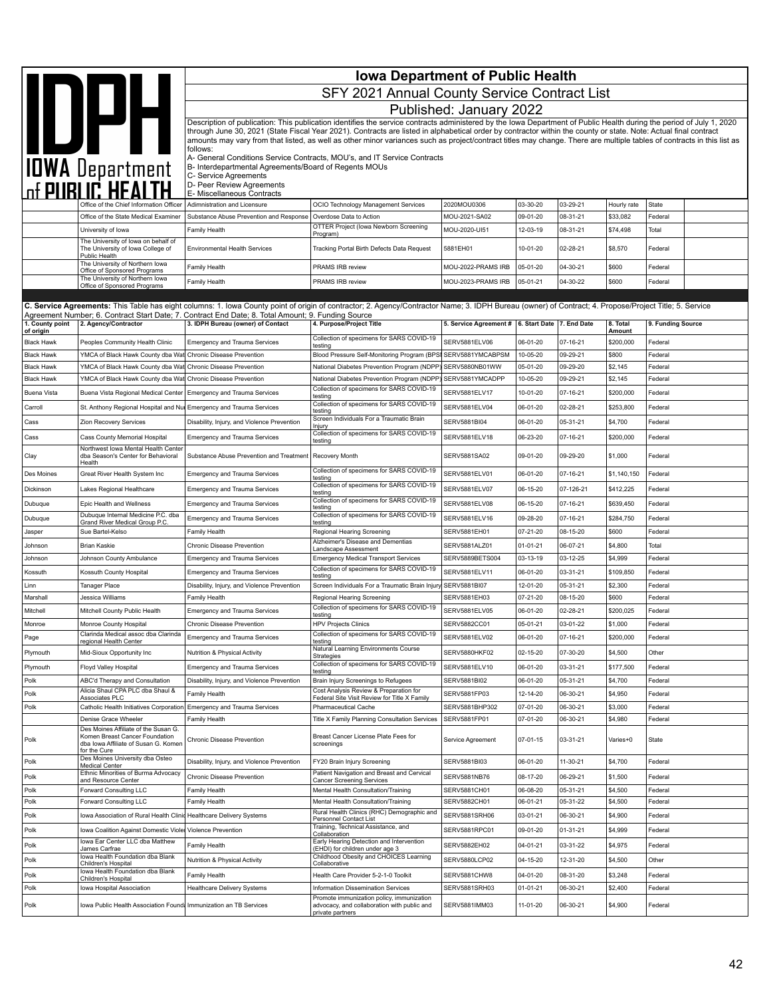|                              | <b>Iowa Department of Public Health</b>                                                       |                                                                                                    |                                                                                                                                                                                                                                                                                                                                            |                                                  |                      |                      |                    |                    |  |  |  |
|------------------------------|-----------------------------------------------------------------------------------------------|----------------------------------------------------------------------------------------------------|--------------------------------------------------------------------------------------------------------------------------------------------------------------------------------------------------------------------------------------------------------------------------------------------------------------------------------------------|--------------------------------------------------|----------------------|----------------------|--------------------|--------------------|--|--|--|
|                              | <b>IDPH</b>                                                                                   | SFY 2021 Annual County Service Contract List                                                       |                                                                                                                                                                                                                                                                                                                                            |                                                  |                      |                      |                    |                    |  |  |  |
|                              |                                                                                               | Published: January 2022                                                                            |                                                                                                                                                                                                                                                                                                                                            |                                                  |                      |                      |                    |                    |  |  |  |
|                              |                                                                                               |                                                                                                    | Description of publication: This publication identifies the service contracts administered by the Iowa Department of Public Health during the period of July 1, 2020                                                                                                                                                                       |                                                  |                      |                      |                    |                    |  |  |  |
|                              |                                                                                               |                                                                                                    | through June 30, 2021 (State Fiscal Year 2021). Contracts are listed in alphabetical order by contractor within the county or state. Note: Actual final contract<br>amounts may vary from that listed, as well as other minor variances such as project/contract titles may change. There are multiple tables of contracts in this list as |                                                  |                      |                      |                    |                    |  |  |  |
|                              |                                                                                               | follows:                                                                                           | A- General Conditions Service Contracts, MOU's, and IT Service Contracts                                                                                                                                                                                                                                                                   |                                                  |                      |                      |                    |                    |  |  |  |
|                              |                                                                                               | B- Interdepartmental Agreements/Board of Regents MOUs                                              |                                                                                                                                                                                                                                                                                                                                            |                                                  |                      |                      |                    |                    |  |  |  |
|                              | <b>IOWA Department</b>                                                                        | C- Service Agreements<br>D- Peer Review Agreements                                                 |                                                                                                                                                                                                                                                                                                                                            |                                                  |                      |                      |                    |                    |  |  |  |
|                              | Office of the Chief Information Officer                                                       | E- Miscellaneous Contracts<br>Adimnistration and Licensure                                         | OCIO Technology Management Services                                                                                                                                                                                                                                                                                                        | 2020MOU0306                                      | 03-30-20             | 03-29-21             | Hourly rate        | State              |  |  |  |
|                              | Office of the State Medical Examiner                                                          | Substance Abuse Prevention and Response                                                            | Overdose Data to Action                                                                                                                                                                                                                                                                                                                    | MOU-2021-SA02                                    | 09-01-20             | 08-31-21             | \$33,082           | Federal            |  |  |  |
|                              | University of Iowa                                                                            | Family Health                                                                                      | OTTER Project (lowa Newborn Screening<br>Program)                                                                                                                                                                                                                                                                                          | MOU-2020-UI51                                    | 12-03-19             | 08-31-21             | \$74,498           | Total              |  |  |  |
|                              | The University of Iowa on behalf of<br>The University of Iowa College of                      | <b>Environmental Health Services</b>                                                               | Tracking Portal Birth Defects Data Request                                                                                                                                                                                                                                                                                                 | 5881EH01                                         | 10-01-20             | 02-28-21             | \$8,570            | Federal            |  |  |  |
|                              | Public Health<br>The University of Northern lowa<br>Office of Sponsored Programs              | Family Health                                                                                      | PRAMS IRB review                                                                                                                                                                                                                                                                                                                           | MOU-2022-PRAMS IRB                               | 05-01-20             | 04-30-21             | \$600              | Federal            |  |  |  |
|                              | The University of Northern lowa<br>Office of Sponsored Programs                               | Family Health                                                                                      | PRAMS IRB review                                                                                                                                                                                                                                                                                                                           | MOU-2023-PRAMS IRB                               | 05-01-21             | 04-30-22             | \$600              | Federal            |  |  |  |
|                              |                                                                                               |                                                                                                    |                                                                                                                                                                                                                                                                                                                                            |                                                  |                      |                      |                    |                    |  |  |  |
|                              |                                                                                               | Agreement Number; 6. Contract Start Date; 7. Contract End Date; 8. Total Amount; 9. Funding Source | C. Service Agreements: This Table has eight columns: 1. Iowa County point of origin of contractor; 2. Agency/Contractor Name; 3. IDPH Bureau (owner) of Contract; 4. Propose/Project Title; 5. Service                                                                                                                                     |                                                  |                      |                      |                    |                    |  |  |  |
| 1. County point<br>of origin | 2. Agency/Contractor                                                                          | 3. IDPH Bureau (owner) of Contact                                                                  | 4. Purpose/Project Title                                                                                                                                                                                                                                                                                                                   | 5. Service Agreement # 6. Start Date 7. End Date |                      |                      | 8. Total<br>Amount | 9. Funding Source  |  |  |  |
| <b>Black Hawk</b>            | Peoples Community Health Clinic                                                               | <b>Emergency and Trauma Services</b>                                                               | Collection of specimens for SARS COVID-19<br>testing                                                                                                                                                                                                                                                                                       | SERV5881ELV06                                    | 06-01-20             | 07-16-21             | \$200,000          | Federal            |  |  |  |
| <b>Black Hawk</b>            | YMCA of Black Hawk County dba Wat Chronic Disease Prevention                                  |                                                                                                    | Blood Pressure Self-Monitoring Program (BPSI                                                                                                                                                                                                                                                                                               | SERV5881YMCABPSM                                 | 10-05-20             | 09-29-21             | \$800              | Federal            |  |  |  |
| <b>Black Hawk</b>            | YMCA of Black Hawk County dba Wat Chronic Disease Prevention                                  |                                                                                                    | National Diabetes Prevention Program (NDPP)                                                                                                                                                                                                                                                                                                | SERV5880NB01WW                                   | 05-01-20             | 09-29-20             | \$2,145            | Federal            |  |  |  |
| <b>Black Hawk</b>            | YMCA of Black Hawk County dba Wat                                                             | Chronic Disease Prevention                                                                         | National Diabetes Prevention Program (NDPP)<br>Collection of specimens for SARS COVID-19                                                                                                                                                                                                                                                   | SERV5881YMCADPP                                  | 10-05-20             | 09-29-21             | \$2,145            | Federal            |  |  |  |
| <b>Buena Vista</b>           | Buena Vista Regional Medical Center                                                           | <b>Emergency and Trauma Services</b>                                                               | testing<br>Collection of specimens for SARS COVID-19                                                                                                                                                                                                                                                                                       | SERV5881ELV17                                    | 10-01-20             | 07-16-21             | \$200,000          | Federal            |  |  |  |
| Carroll                      | St. Anthony Regional Hospital and Nur Emergency and Trauma Services                           |                                                                                                    | testing<br>Screen Individuals For a Traumatic Brain                                                                                                                                                                                                                                                                                        | SERV5881ELV04                                    | 06-01-20             | 02-28-21             | \$253,800          | Federal            |  |  |  |
| Cass                         | Zion Recovery Services                                                                        | Disability, Injury, and Violence Prevention                                                        | njury<br>Collection of specimens for SARS COVID-19                                                                                                                                                                                                                                                                                         | <b>SERV5881BI04</b>                              | 06-01-20             | 05-31-21             | \$4,700            | Federal            |  |  |  |
| Cass                         | Cass County Memorial Hospital<br>Northwest Iowa Mental Health Center                          | <b>Emergency and Trauma Services</b>                                                               | testing                                                                                                                                                                                                                                                                                                                                    | SERV5881ELV18                                    | 06-23-20             | 07-16-21             | \$200,000          | Federal            |  |  |  |
| Clay                         | dba Season's Center for Behavioral<br>Health                                                  | Substance Abuse Prevention and Treatment   Recovery Month                                          |                                                                                                                                                                                                                                                                                                                                            | SERV5881SA02                                     | 09-01-20             | 09-29-20             | \$1,000            | Federal            |  |  |  |
| Des Moines                   | Great River Health System Inc                                                                 | <b>Emergency and Trauma Services</b>                                                               | Collection of specimens for SARS COVID-19<br>testing                                                                                                                                                                                                                                                                                       | SERV5881ELV01                                    | 06-01-20             | 07-16-21             | \$1,140,150        | Federal            |  |  |  |
| Dickinson                    | Lakes Regional Healthcare                                                                     | <b>Emergency and Trauma Services</b>                                                               | Collection of specimens for SARS COVID-19<br>testing                                                                                                                                                                                                                                                                                       | SERV5881ELV07                                    | 06-15-20             | 07-126-21            | \$412,225          | Federal            |  |  |  |
| Dubuque                      | Epic Health and Wellness                                                                      | <b>Emergency and Trauma Services</b>                                                               | Collection of specimens for SARS COVID-19<br>testing                                                                                                                                                                                                                                                                                       | SERV5881ELV08                                    | 06-15-20             | 07-16-21             | \$639,450          | Federal            |  |  |  |
| Dubuque                      | Dubuque Internal Medicine P.C. dba<br>Grand River Medical Group P.C.                          | <b>Emergency and Trauma Services</b>                                                               | Collection of specimens for SARS COVID-19<br>testing                                                                                                                                                                                                                                                                                       | SERV5881ELV16                                    | 09-28-20             | 07-16-21             | \$284,750          | Federal            |  |  |  |
| Jasper                       | Sue Bartel-Kelso                                                                              | Family Health                                                                                      | Regional Hearing Screening                                                                                                                                                                                                                                                                                                                 | SERV5881EH01                                     | 07-21-20             | 08-15-20             | \$600              | Federal            |  |  |  |
| Johnson                      | <b>Brian Kaskie</b>                                                                           | Chronic Disease Prevention                                                                         | Alzheimer's Disease and Dementias<br>Landscape Assessment                                                                                                                                                                                                                                                                                  | SERV5881ALZ01                                    | 01-01-21             | 06-07-21             | \$4,800            | Total              |  |  |  |
| Johnson                      | Johnson County Ambulance                                                                      | <b>Emergency and Trauma Services</b>                                                               | <b>Emergency Medical Transport Services</b><br>Collection of specimens for SARS COVID-19                                                                                                                                                                                                                                                   | SERV5889BETS004                                  | 03-13-19             | 03-12-25             | \$4,999            | Federal            |  |  |  |
| Kossuth                      | Kossuth County Hospital                                                                       | <b>Emergency and Trauma Services</b>                                                               | testing                                                                                                                                                                                                                                                                                                                                    | SERV5881ELV11                                    | 06-01-20             | 03-31-21             | \$109,850          | Federal            |  |  |  |
| Linn<br>Marshall             | Tanager Place<br>Jessica Williams                                                             | Disability, Injury, and Violence Prevention<br>Family Health                                       | Screen Individuals For a Traumatic Brain Injury<br>Regional Hearing Screening                                                                                                                                                                                                                                                              | SERV5881BI07<br>SERV5881EH03                     | 12-01-20<br>07-21-20 | 05-31-21<br>08-15-20 | \$2,300<br>\$600   | Federal<br>Federal |  |  |  |
| Mitchell                     | Mitchell County Public Health                                                                 | <b>Emergency and Trauma Services</b>                                                               | Collection of specimens for SARS COVID-19                                                                                                                                                                                                                                                                                                  | SERV5881ELV05                                    | 06-01-20             | 02-28-21             | \$200,025          | Federal            |  |  |  |
| Monroe                       | Monroe County Hospital                                                                        | Chronic Disease Prevention                                                                         | testing<br><b>HPV Projects Clinics</b>                                                                                                                                                                                                                                                                                                     | SERV5882CC01                                     | 05-01-21             | 03-01-22             | \$1,000            | Federal            |  |  |  |
| Page                         | Clarinda Medical assoc dba Clarinda<br>regional Health Center                                 | Emergency and Trauma Services                                                                      | Collection of specimens for SARS COVID-19<br>testing                                                                                                                                                                                                                                                                                       | SERV5881ELV02                                    | 06-01-20             | 07-16-21             | \$200,000          | Federal            |  |  |  |
| Plymouth                     | Mid-Sioux Opportunity Inc                                                                     | Nutrition & Physical Activity                                                                      | Natural Learning Environments Course                                                                                                                                                                                                                                                                                                       | SERV5880HKF02                                    | 02-15-20             | 07-30-20             | \$4,500            | Other              |  |  |  |
| Plymouth                     | Floyd Valley Hospital                                                                         | <b>Emergency and Trauma Services</b>                                                               | Strategies<br>Collection of specimens for SARS COVID-19<br>testing                                                                                                                                                                                                                                                                         | SERV5881ELV10                                    | 06-01-20             | 03-31-21             | \$177,500          | Federal            |  |  |  |
| Polk                         | ABC'd Therapy and Consultation                                                                | Disability, Injury, and Violence Prevention                                                        | Brain Injury Screenings to Refugees                                                                                                                                                                                                                                                                                                        | SERV5881BI02                                     | 06-01-20             | 05-31-21             | \$4,700            | Federal            |  |  |  |
| Polk                         | Alicia Shaul CPA PLC dba Shaul &<br>Associates PLC                                            | Family Health                                                                                      | Cost Analysis Review & Preparation for<br>Federal Site Visit Review for Title X Family                                                                                                                                                                                                                                                     | SERV5881FP03                                     | 12-14-20             | 06-30-21             | \$4,950            | Federal            |  |  |  |
| Polk                         | Catholic Health Initiatives Corporation                                                       | <b>Emergency and Trauma Services</b>                                                               | Pharmaceutical Cache                                                                                                                                                                                                                                                                                                                       | SERV5881BHP302                                   | 07-01-20             | 06-30-21             | \$3,000            | Federal            |  |  |  |
|                              | Denise Grace Wheeler<br>Des Moines Affiliate of the Susan G.                                  | Family Health                                                                                      | Title X Family Planning Consultation Services                                                                                                                                                                                                                                                                                              | SERV5881FP01                                     | 07-01-20             | 06-30-21             | \$4,980            | Federal            |  |  |  |
| Polk                         | Komen Breast Cancer Foundation<br>dba Iowa Affiliate of Susan G. Komen<br>for the Cure        | Chronic Disease Prevention                                                                         | Breast Cancer License Plate Fees for<br>screenings                                                                                                                                                                                                                                                                                         | Service Agreement                                | 07-01-15             | 03-31-21             | Varies+0           | State              |  |  |  |
| Polk                         | Des Moines University dba Osteo<br>Medical Center                                             | Disability, Injury, and Violence Prevention                                                        | FY20 Brain Injury Screening                                                                                                                                                                                                                                                                                                                | SERV5881BI03                                     | 06-01-20             | 11-30-21             | \$4,700            | Federal            |  |  |  |
| Polk                         | Ethnic Minorities of Burma Advocacy<br>and Resource Center                                    | Chronic Disease Prevention                                                                         | Patient Navigation and Breast and Cervical<br><b>Cancer Screening Services</b>                                                                                                                                                                                                                                                             | SERV5881NB76                                     | 08-17-20             | 06-29-21             | \$1,500            | Federal            |  |  |  |
| Polk                         | Forward Consulting LLC                                                                        | Family Health                                                                                      | Mental Health Consultation/Training                                                                                                                                                                                                                                                                                                        | SERV5881CH01                                     | 06-08-20             | 05-31-21             | \$4,500            | Federal            |  |  |  |
| Polk                         | Forward Consulting LLC                                                                        | Family Health                                                                                      | Mental Health Consultation/Training<br>Rural Health Clinics (RHC) Demographic and                                                                                                                                                                                                                                                          | SERV5882CH01                                     | 06-01-21             | 05-31-22             | \$4,500            | Federal            |  |  |  |
| Polk                         | Iowa Association of Rural Health Clinic                                                       | Healthcare Delivery Systems                                                                        | Personnel Contact List<br>Training, Technical Assistance, and                                                                                                                                                                                                                                                                              | SERV5881SRH06                                    | 03-01-21             | 06-30-21             | \$4,900            | Federal            |  |  |  |
| Polk                         | Iowa Coalition Against Domestic Violer Violence Prevention<br>Iowa Ear Center LLC dba Matthew |                                                                                                    | Collaboration<br>Early Hearing Detection and Intervention                                                                                                                                                                                                                                                                                  | SERV5881RPC01                                    | 09-01-20             | 01-31-21             | \$4,999            | Federal            |  |  |  |
| Polk                         | James Carfrae<br>Iowa Health Foundation dba Blank                                             | Family Health                                                                                      | (EHDI) for children under age 3<br>Childhood Obesity and CHOICES Learning                                                                                                                                                                                                                                                                  | SERV5882EH02                                     | 04-01-21             | 03-31-22             | \$4,975            | Federal            |  |  |  |
| Polk                         | Children's Hospital<br>Iowa Health Foundation dba Blank                                       | Nutrition & Physical Activity                                                                      | Collaborative                                                                                                                                                                                                                                                                                                                              | SERV5880LCP02                                    | 04-15-20             | 12-31-20             | \$4,500            | Other              |  |  |  |
| Polk                         | Children's Hospital                                                                           | Family Health                                                                                      | Health Care Provider 5-2-1-0 Toolkit                                                                                                                                                                                                                                                                                                       | SERV5881CHW8                                     | 04-01-20             | 08-31-20             | \$3,248            | Federal            |  |  |  |
| Polk                         | Iowa Hospital Association                                                                     | <b>Healthcare Delivery Systems</b>                                                                 | Information Dissemination Services<br>Promote immunization policy, immunization                                                                                                                                                                                                                                                            | SERV5881SRH03                                    | 01-01-21             | 06-30-21             | \$2,400            | Federal            |  |  |  |
| Polk                         | Iowa Public Health Association Founda Immunization an TB Services                             |                                                                                                    | advocacy, and collaboration with public and<br>private partners                                                                                                                                                                                                                                                                            | SERV5881IMM03                                    | 11-01-20             | 06-30-21             | \$4,900            | Federal            |  |  |  |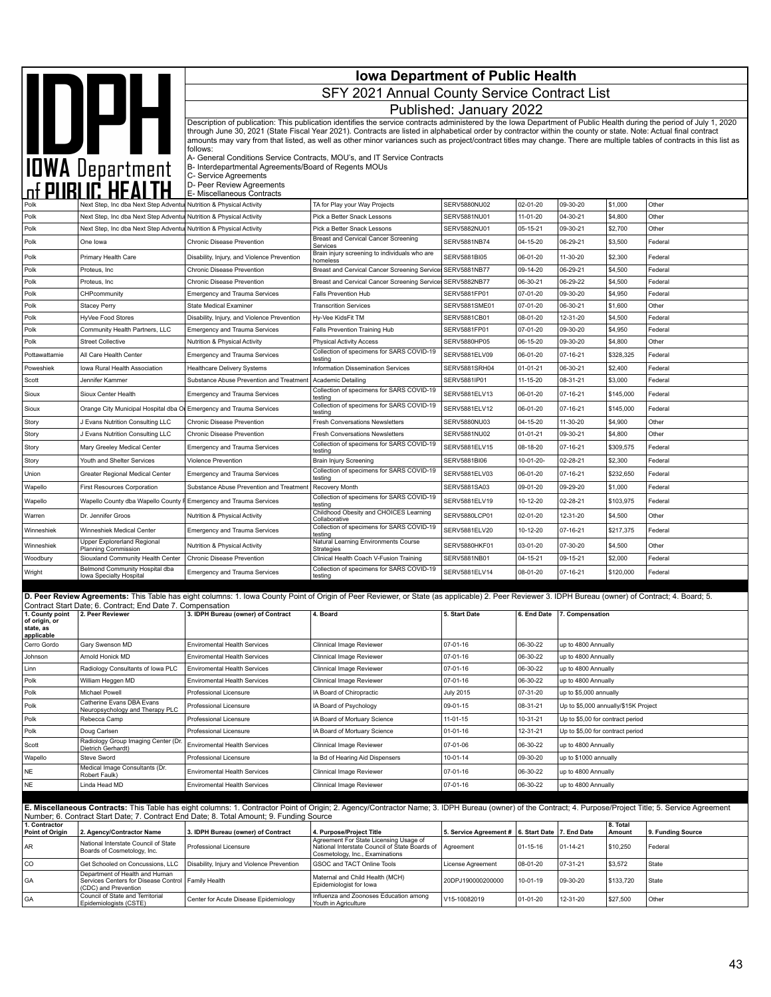|                                          | <b>Iowa Department of Public Health</b>                                                                                                    |                                                                                          |                                                                                                                                                                                                                                                                                                                                                                                                                                                                                                                    |                                                  |                      |                                            |                    |                   |  |
|------------------------------------------|--------------------------------------------------------------------------------------------------------------------------------------------|------------------------------------------------------------------------------------------|--------------------------------------------------------------------------------------------------------------------------------------------------------------------------------------------------------------------------------------------------------------------------------------------------------------------------------------------------------------------------------------------------------------------------------------------------------------------------------------------------------------------|--------------------------------------------------|----------------------|--------------------------------------------|--------------------|-------------------|--|
|                                          |                                                                                                                                            | SFY 2021 Annual County Service Contract List                                             |                                                                                                                                                                                                                                                                                                                                                                                                                                                                                                                    |                                                  |                      |                                            |                    |                   |  |
|                                          |                                                                                                                                            |                                                                                          |                                                                                                                                                                                                                                                                                                                                                                                                                                                                                                                    | Published: January 2022                          |                      |                                            |                    |                   |  |
|                                          | IOWA Department                                                                                                                            |                                                                                          | Description of publication: This publication identifies the service contracts administered by the Iowa Department of Public Health during the period of July 1, 2020<br>through June 30, 2021 (State Fiscal Year 2021). Contracts are listed in alphabetical order by contractor within the county or state. Note: Actual final contract<br>amounts may vary from that listed, as well as other minor variances such as project/contract titles may change. There are multiple tables of contracts in this list as |                                                  |                      |                                            |                    |                   |  |
|                                          |                                                                                                                                            | follows:<br>B- Interdepartmental Agreements/Board of Regents MOUs                        | A- General Conditions Service Contracts, MOU's, and IT Service Contracts                                                                                                                                                                                                                                                                                                                                                                                                                                           |                                                  |                      |                                            |                    |                   |  |
|                                          |                                                                                                                                            | C- Service Agreements<br>D- Peer Review Agreements                                       |                                                                                                                                                                                                                                                                                                                                                                                                                                                                                                                    |                                                  |                      |                                            |                    |                   |  |
|                                          |                                                                                                                                            | E- Miscellaneous Contracts                                                               |                                                                                                                                                                                                                                                                                                                                                                                                                                                                                                                    |                                                  |                      |                                            |                    |                   |  |
| Polk                                     | Next Step, Inc dba Next Step Adventur Nutrition & Physical Activity<br>Next Step, Inc dba Next Step Adventur Nutrition & Physical Activity |                                                                                          | TA for Play your Way Projects<br>Pick a Better Snack Lessons                                                                                                                                                                                                                                                                                                                                                                                                                                                       | <b>SERV5880NU02</b><br>SERV5881NU01              | 02-01-20<br>11-01-20 | 09-30-20<br>04-30-21                       | \$1,000<br>\$4,800 | Other<br>Other    |  |
| Polk                                     | Next Step, Inc dba Next Step Adventul Nutrition & Physical Activity                                                                        |                                                                                          | Pick a Better Snack Lessons                                                                                                                                                                                                                                                                                                                                                                                                                                                                                        | SERV5882NU01                                     | 05-15-21             | 09-30-21                                   | \$2,700            | Other             |  |
| Polk                                     | One lowa                                                                                                                                   | Chronic Disease Prevention                                                               | Breast and Cervical Cancer Screening<br>Services                                                                                                                                                                                                                                                                                                                                                                                                                                                                   | SERV5881NB74                                     | 04-15-20             | 06-29-21                                   | \$3,500            | Federal           |  |
| Polk                                     | Primary Health Care                                                                                                                        | Disability, Injury, and Violence Prevention                                              | Brain injury screening to individuals who are                                                                                                                                                                                                                                                                                                                                                                                                                                                                      | SERV5881BI05                                     | 06-01-20             | 11-30-20                                   | \$2,300            | Federal           |  |
| Polk                                     | Proteus, Inc.                                                                                                                              | Chronic Disease Prevention                                                               | homeless<br>Breast and Cervical Cancer Screening Service                                                                                                                                                                                                                                                                                                                                                                                                                                                           | SERV5881NB77                                     | 09-14-20             | 06-29-21                                   | \$4,500            | Federal           |  |
| Polk                                     | Proteus, Inc.                                                                                                                              | Chronic Disease Prevention                                                               | Breast and Cervical Cancer Screening Services SERV5882NB77                                                                                                                                                                                                                                                                                                                                                                                                                                                         |                                                  | 06-30-21             | 06-29-22                                   | \$4,500            | Federal           |  |
| Polk                                     | CHPcommunity                                                                                                                               | <b>Emergency and Trauma Services</b>                                                     | <b>Falls Prevention Hub</b>                                                                                                                                                                                                                                                                                                                                                                                                                                                                                        | SERV5881FP01                                     | 07-01-20             | 09-30-20                                   | \$4,950            | Federal           |  |
| Polk                                     | <b>Stacey Perry</b>                                                                                                                        | <b>State Medical Examiner</b>                                                            | <b>Transcrition Services</b>                                                                                                                                                                                                                                                                                                                                                                                                                                                                                       | SERV5881SME01                                    | 07-01-20             | 06-30-21                                   | \$1,600            | Other             |  |
| Polk                                     | HyVee Food Stores                                                                                                                          | Disability, Injury, and Violence Prevention                                              | Hy-Vee KidsFit TM                                                                                                                                                                                                                                                                                                                                                                                                                                                                                                  | SERV5881CB01                                     | 08-01-20             | 12-31-20                                   | \$4,500            | Federal           |  |
| Polk<br>Polk                             | Community Health Partners, LLC<br><b>Street Collective</b>                                                                                 | <b>Emergency and Trauma Services</b><br>Nutrition & Physical Activity                    | Falls Prevention Training Hub<br><b>Physical Activity Access</b>                                                                                                                                                                                                                                                                                                                                                                                                                                                   | SERV5881FP01<br>SERV5880HP05                     | 07-01-20<br>06-15-20 | 09-30-20<br>09-30-20                       | \$4,950<br>\$4,800 | Federal<br>Other  |  |
| Pottawattamie                            | All Care Health Center                                                                                                                     | <b>Emergency and Trauma Services</b>                                                     | Collection of specimens for SARS COVID-19                                                                                                                                                                                                                                                                                                                                                                                                                                                                          | <b>SERV5881ELV09</b>                             | 06-01-20             | 07-16-21                                   | \$328,325          | Federal           |  |
| Poweshiek                                | Iowa Rural Health Association                                                                                                              | Healthcare Delivery Systems                                                              | testina<br>Information Dissemination Services                                                                                                                                                                                                                                                                                                                                                                                                                                                                      | SERV5881SRH04                                    | $01 - 01 - 21$       | 06-30-21                                   | \$2,400            | Federal           |  |
| Scott                                    | Jennifer Kammer                                                                                                                            | Substance Abuse Prevention and Treatment                                                 | <b>Academic Detailing</b>                                                                                                                                                                                                                                                                                                                                                                                                                                                                                          | SERV5881IP01                                     | 11-15-20             | 08-31-21                                   | \$3,000            | Federal           |  |
| Sioux                                    | Sioux Center Health                                                                                                                        | <b>Emergency and Trauma Services</b>                                                     | Collection of specimens for SARS COVID-19                                                                                                                                                                                                                                                                                                                                                                                                                                                                          | SERV5881ELV13                                    | 06-01-20             | 07-16-21                                   | \$145,000          | Federal           |  |
| Sioux                                    | Orange City Municipal Hospital dba Or Emergency and Trauma Services                                                                        |                                                                                          | testina<br>Collection of specimens for SARS COVID-19                                                                                                                                                                                                                                                                                                                                                                                                                                                               | SERV5881ELV12                                    | 06-01-20             | 07-16-21                                   | \$145,000          | Federal           |  |
| Story                                    | J Evans Nutrition Consulting LLC                                                                                                           | Chronic Disease Prevention                                                               | testing<br><b>Fresh Conversations Newsletters</b>                                                                                                                                                                                                                                                                                                                                                                                                                                                                  | SERV5880NU03                                     | 04-15-20             | 11-30-20                                   | \$4,900            | Other             |  |
| Story                                    | J Evans Nutrition Consulting LLC                                                                                                           | Chronic Disease Prevention                                                               | <b>Fresh Conversations Newsletters</b>                                                                                                                                                                                                                                                                                                                                                                                                                                                                             | <b>SERV5881NU02</b>                              | $01 - 01 - 21$       | 09-30-21                                   | \$4,800            | Other             |  |
| Story                                    | Mary Greeley Medical Center                                                                                                                | <b>Emergency and Trauma Services</b>                                                     | Collection of specimens for SARS COVID-19<br>testina                                                                                                                                                                                                                                                                                                                                                                                                                                                               | SERV5881ELV15                                    | 08-18-20             | 07-16-21                                   | \$309,575          | Federal           |  |
| Story                                    | Youth and Shelter Services                                                                                                                 | Violence Prevention                                                                      | <b>Brain Injury Screening</b>                                                                                                                                                                                                                                                                                                                                                                                                                                                                                      | <b>SERV5881BI06</b>                              | 10-01-20-            | 02-28-21                                   | \$2,300            | Federal           |  |
| Union                                    | Greater Regional Medical Center                                                                                                            | <b>Emergency and Trauma Services</b>                                                     | Collection of specimens for SARS COVID-19                                                                                                                                                                                                                                                                                                                                                                                                                                                                          | SERV5881ELV03                                    | 06-01-20             | 07-16-21                                   | \$232,650          | Federal           |  |
| Wapello                                  | <b>First Resources Corporation</b>                                                                                                         | Substance Abuse Prevention and Treatmen                                                  | testing<br>Recovery Month                                                                                                                                                                                                                                                                                                                                                                                                                                                                                          | SERV5881SA03                                     | 09-01-20             | 09-29-20                                   | \$1,000            | Federal           |  |
| Wapello                                  | Wapello County dba Wapello County F Emergency and Trauma Services                                                                          |                                                                                          | Collection of specimens for SARS COVID-19                                                                                                                                                                                                                                                                                                                                                                                                                                                                          | SERV5881ELV19                                    | 10-12-20             | 02-28-21                                   | \$103,975          | Federal           |  |
| Warren                                   | Dr. Jennifer Groos                                                                                                                         | Nutrition & Physical Activity                                                            | testing<br>Childhood Obesity and CHOICES Learning                                                                                                                                                                                                                                                                                                                                                                                                                                                                  | SERV5880LCP01                                    | 02-01-20             | 12-31-20                                   | \$4,500            | Other             |  |
| Winneshiek                               | Winneshiek Medical Center                                                                                                                  | <b>Emergency and Trauma Services</b>                                                     | Collaborative<br>Collection of specimens for SARS COVID-19                                                                                                                                                                                                                                                                                                                                                                                                                                                         | SERV5881ELV20                                    | 10-12-20             | 07-16-21                                   | \$217,375          | Federal           |  |
|                                          | Upper Explorerland Regional                                                                                                                |                                                                                          | testing<br>Natural Learning Environments Course                                                                                                                                                                                                                                                                                                                                                                                                                                                                    |                                                  |                      |                                            |                    |                   |  |
| Winneshiek<br>Woodbury                   | Planning Commission<br>Siouxland Community Health Center                                                                                   | Nutrition & Physical Activity<br>Chronic Disease Prevention                              | Strategies<br>Clinical Health Coach V-Fusion Training                                                                                                                                                                                                                                                                                                                                                                                                                                                              | SERV5880HKF01<br>SERV5881NB01                    | 03-01-20<br>04-15-21 | 07-30-20<br>09-15-21                       | \$4,500<br>\$2,000 | Other<br>Federal  |  |
| Wright                                   | Belmond Community Hospital dba                                                                                                             | <b>Emergency and Trauma Services</b>                                                     | Collection of specimens for SARS COVID-19                                                                                                                                                                                                                                                                                                                                                                                                                                                                          | SERV5881ELV14                                    | 08-01-20             | 07-16-21                                   | \$120,000          | Federal           |  |
|                                          | Iowa Specialty Hospital                                                                                                                    |                                                                                          | testing                                                                                                                                                                                                                                                                                                                                                                                                                                                                                                            |                                                  |                      |                                            |                    |                   |  |
|                                          |                                                                                                                                            |                                                                                          | D. Peer Review Agreements: This Table has eight columns: 1. Iowa County Point of Origin of Peer Reviewer, or State (as applicable) 2. Peer Reviewer 3. IDPH Bureau (owner) of Contract; 4. Board; 5.                                                                                                                                                                                                                                                                                                               |                                                  |                      |                                            |                    |                   |  |
| 1. County point                          | Contract Start Date; 6. Contract; End Date 7. Compensation<br>2. Peer Reviewer                                                             | 3. IDPH Bureau (owner) of Contract                                                       | 4. Board                                                                                                                                                                                                                                                                                                                                                                                                                                                                                                           | 5. Start Date                                    |                      | 6. End Date 7. Compensation                |                    |                   |  |
| of origin, or<br>state, as<br>applicable |                                                                                                                                            |                                                                                          |                                                                                                                                                                                                                                                                                                                                                                                                                                                                                                                    |                                                  |                      |                                            |                    |                   |  |
| Cerro Gordo                              | Gary Swenson MD                                                                                                                            | <b>Enviromental Health Services</b>                                                      | Clinnical Image Reviewer                                                                                                                                                                                                                                                                                                                                                                                                                                                                                           | 07-01-16                                         | 06-30-22             | up to 4800 Annually                        |                    |                   |  |
| Johnson                                  | Arnold Honick MD                                                                                                                           | <b>Enviromental Health Services</b>                                                      | Clinnical Image Reviewer                                                                                                                                                                                                                                                                                                                                                                                                                                                                                           | 07-01-16                                         | 06-30-22             | up to 4800 Annually                        |                    |                   |  |
| Linn<br>Polk                             | Radiology Consultants of Iowa PLC<br>William Heggen MD                                                                                     | <b>Enviromental Health Services</b>                                                      | Clinnical Image Reviewer<br>Clinnical Image Reviewer                                                                                                                                                                                                                                                                                                                                                                                                                                                               | 07-01-16<br>07-01-16                             | 06-30-22<br>06-30-22 | up to 4800 Annually<br>up to 4800 Annually |                    |                   |  |
| Polk                                     | Michael Powell                                                                                                                             | <b>Enviromental Health Services</b><br>Professional Licensure                            | IA Board of Chiropractic                                                                                                                                                                                                                                                                                                                                                                                                                                                                                           | July 2015                                        | 07-31-20             | up to \$5,000 annually                     |                    |                   |  |
| Polk                                     | Catherine Evans DBA Evans                                                                                                                  | Professional Licensure                                                                   | IA Board of Psychology                                                                                                                                                                                                                                                                                                                                                                                                                                                                                             | 09-01-15                                         | 08-31-21             | Up to \$5,000 annually/\$15K Project       |                    |                   |  |
| Polk                                     | Neuropsychology and Therapy PLC<br>Rebecca Camp                                                                                            | Professional Licensure                                                                   | IA Board of Mortuary Science                                                                                                                                                                                                                                                                                                                                                                                                                                                                                       | $11 - 01 - 15$                                   | 10-31-21             | Up to \$5,00 for contract period           |                    |                   |  |
| Polk                                     | Doug Carlsen                                                                                                                               | Professional Licensure                                                                   | IA Board of Mortuary Science                                                                                                                                                                                                                                                                                                                                                                                                                                                                                       | 01-01-16                                         | 12-31-21             | Up to \$5,00 for contract period           |                    |                   |  |
| Scott                                    | Radiology Group Imaging Center (Dr.                                                                                                        | Enviromental Health Services                                                             | Clinnical Image Reviewer                                                                                                                                                                                                                                                                                                                                                                                                                                                                                           | 07-01-06                                         | 06-30-22             | up to 4800 Annually                        |                    |                   |  |
| Wapello                                  | Dietrich Gerhardt)<br>Steve Sword                                                                                                          | Professional Licensure                                                                   | la Bd of Hearing Aid Dispensers                                                                                                                                                                                                                                                                                                                                                                                                                                                                                    | 10-01-14                                         | 09-30-20             | up to \$1000 annually                      |                    |                   |  |
| NE                                       | Medical Image Consultants (Dr.                                                                                                             | <b>Enviromental Health Services</b>                                                      | Clinnical Image Reviewer                                                                                                                                                                                                                                                                                                                                                                                                                                                                                           | 07-01-16                                         | 06-30-22             | up to 4800 Annually                        |                    |                   |  |
| <b>NE</b>                                | Robert Faulk)<br>Linda Head MD                                                                                                             | <b>Enviromental Health Services</b>                                                      | Clinnical Image Reviewer                                                                                                                                                                                                                                                                                                                                                                                                                                                                                           | 07-01-16                                         | 06-30-22             | up to 4800 Annually                        |                    |                   |  |
|                                          |                                                                                                                                            |                                                                                          |                                                                                                                                                                                                                                                                                                                                                                                                                                                                                                                    |                                                  |                      |                                            |                    |                   |  |
| 1. Contractor                            |                                                                                                                                            | Number; 6. Contract Start Date; 7. Contract End Date; 8. Total Amount; 9. Funding Source | E. Miscellaneous Contracts: This Table has eight columns: 1. Contractor Point of Origin; 2. Agency/Contractor Name; 3. IDPH Bureau (owner) of the Contract; 4. Purpose/Project Title; 5. Service Agreement                                                                                                                                                                                                                                                                                                         |                                                  |                      |                                            | 8. Total           |                   |  |
| <b>Point of Origin</b>                   | 2. Agency/Contractor Name                                                                                                                  | 3. IDPH Bureau (owner) of Contract                                                       | 4. Purpose/Project Title<br>Agreement For State Licensing Usage of                                                                                                                                                                                                                                                                                                                                                                                                                                                 | 5. Service Agreement # 6. Start Date 7. End Date |                      |                                            | Amount             | 9. Funding Source |  |
| AR                                       | National Interstate Council of State<br>Boards of Cosmetology, Inc.                                                                        | Professional Licensure                                                                   | National Interstate Council of State Boards of<br>Cosmetology, Inc., Examinations                                                                                                                                                                                                                                                                                                                                                                                                                                  | Agreement                                        | $01 - 15 - 16$       | $01 - 14 - 21$                             | \$10,250           | Federal           |  |
| CO                                       | Get Schooled on Concussions, LLC                                                                                                           | Disability, Injury and Violence Prevention                                               | GSOC and TACT Online Tools                                                                                                                                                                                                                                                                                                                                                                                                                                                                                         | License Agreement                                | 08-01-20             | 07-31-21                                   | \$3,572            | State             |  |
| GA                                       | Department of Health and Human<br>Services Centers for Disease Control   Family Health                                                     |                                                                                          | Maternal and Child Health (MCH)<br>Epidemiologist for lowa                                                                                                                                                                                                                                                                                                                                                                                                                                                         | 20DPJ190000200000                                | 10-01-19             | 09-30-20                                   | \$133,720          | State             |  |
| GA                                       | (CDC) and Prevention<br>Council of State and Territorial<br>Epidemiologists (CSTE)                                                         | Center for Acute Disease Epidemiology                                                    | Influenza and Zoonoses Education among<br>Youth in Agriculture                                                                                                                                                                                                                                                                                                                                                                                                                                                     | V15-10082019                                     | 01-01-20             | 12-31-20                                   | \$27,500           | Other             |  |
|                                          |                                                                                                                                            |                                                                                          |                                                                                                                                                                                                                                                                                                                                                                                                                                                                                                                    |                                                  |                      |                                            |                    |                   |  |